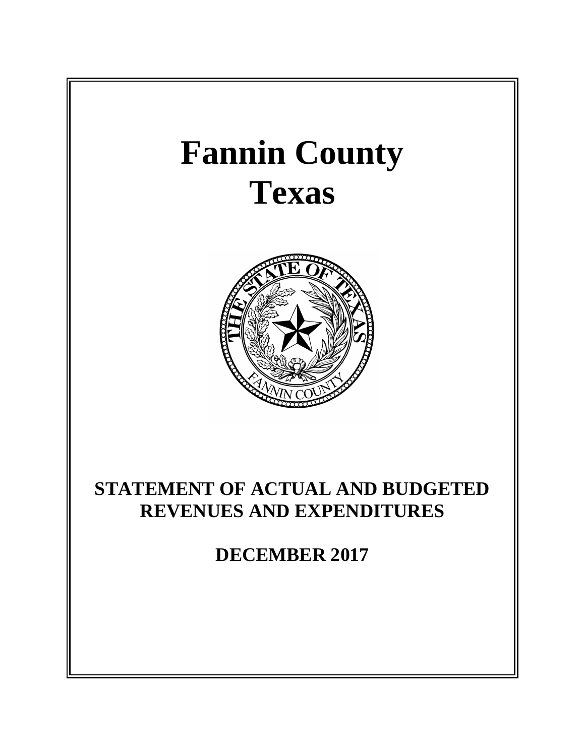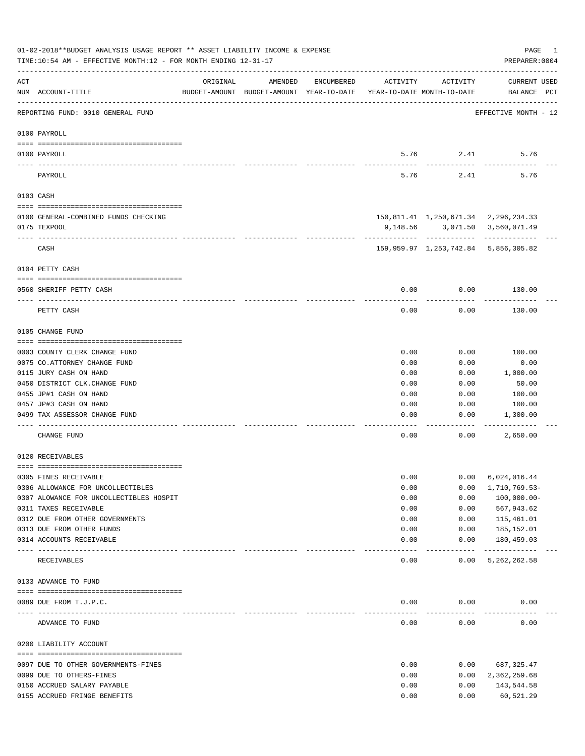|     | 01-02-2018**BUDGET ANALYSIS USAGE REPORT ** ASSET LIABILITY INCOME & EXPENSE<br>TIME:10:54 AM - EFFECTIVE MONTH:12 - FOR MONTH ENDING 12-31-17 |          |                                                     |            |                                        |               | PAGE<br>PREPARER: 0004                                                 | 1 |
|-----|------------------------------------------------------------------------------------------------------------------------------------------------|----------|-----------------------------------------------------|------------|----------------------------------------|---------------|------------------------------------------------------------------------|---|
| ACT | NUM ACCOUNT-TITLE                                                                                                                              | ORIGINAL | AMENDED<br>BUDGET-AMOUNT BUDGET-AMOUNT YEAR-TO-DATE | ENCUMBERED | ACTIVITY<br>YEAR-TO-DATE MONTH-TO-DATE | ACTIVITY      | <b>CURRENT USED</b><br>BALANCE PCT                                     |   |
|     | REPORTING FUND: 0010 GENERAL FUND                                                                                                              |          |                                                     |            |                                        |               | EFFECTIVE MONTH - 12                                                   |   |
|     | 0100 PAYROLL                                                                                                                                   |          |                                                     |            |                                        |               |                                                                        |   |
|     | 0100 PAYROLL                                                                                                                                   |          |                                                     |            |                                        | 5.76 2.41     | 5.76                                                                   |   |
|     | PAYROLL                                                                                                                                        |          |                                                     |            | 5.76                                   | 2.41          | 5.76                                                                   |   |
|     | 0103 CASH                                                                                                                                      |          |                                                     |            |                                        |               |                                                                        |   |
|     |                                                                                                                                                |          |                                                     |            |                                        |               |                                                                        |   |
|     | 0100 GENERAL-COMBINED FUNDS CHECKING<br>0175 TEXPOOL                                                                                           |          |                                                     |            |                                        |               | 150,811.41 1,250,671.34 2,296,234.33<br>9,148.56 3,071.50 3,560,071.49 |   |
|     |                                                                                                                                                |          |                                                     |            |                                        |               | ---------- ------------ ------------                                   |   |
|     | CASH                                                                                                                                           |          |                                                     |            |                                        |               | 159,959.97 1,253,742.84 5,856,305.82                                   |   |
|     | 0104 PETTY CASH                                                                                                                                |          |                                                     |            |                                        |               |                                                                        |   |
|     |                                                                                                                                                |          |                                                     |            |                                        |               |                                                                        |   |
|     | 0560 SHERIFF PETTY CASH                                                                                                                        |          |                                                     |            | 0.00                                   | 0.00          | 130.00                                                                 |   |
|     | PETTY CASH                                                                                                                                     |          |                                                     |            | 0.00                                   | 0.00          | 130.00                                                                 |   |
|     | 0105 CHANGE FUND                                                                                                                               |          |                                                     |            |                                        |               |                                                                        |   |
|     | 0003 COUNTY CLERK CHANGE FUND                                                                                                                  |          |                                                     |            | 0.00                                   | 0.00          | 100.00                                                                 |   |
|     | 0075 CO. ATTORNEY CHANGE FUND                                                                                                                  |          |                                                     |            | 0.00                                   | 0.00          | 0.00                                                                   |   |
|     | 0115 JURY CASH ON HAND                                                                                                                         |          |                                                     |            | 0.00                                   | 0.00          | 1,000.00                                                               |   |
|     | 0450 DISTRICT CLK. CHANGE FUND                                                                                                                 |          |                                                     |            | 0.00                                   | 0.00          | 50.00                                                                  |   |
|     | 0455 JP#1 CASH ON HAND                                                                                                                         |          |                                                     |            | 0.00                                   | 0.00          | 100.00                                                                 |   |
|     | 0457 JP#3 CASH ON HAND                                                                                                                         |          |                                                     |            | 0.00                                   | 0.00          | 100.00                                                                 |   |
|     | 0499 TAX ASSESSOR CHANGE FUND                                                                                                                  |          |                                                     |            | 0.00                                   | 0.00          | 1,300.00                                                               |   |
|     | CHANGE FUND                                                                                                                                    |          |                                                     |            | 0.00                                   | 0.00          | 2,650.00                                                               |   |
|     | 0120 RECEIVABLES                                                                                                                               |          |                                                     |            |                                        |               |                                                                        |   |
|     | 0305 FINES RECEIVABLE                                                                                                                          |          |                                                     |            | 0.00                                   | 0.00          | 6,024,016.44                                                           |   |
|     | 0306 ALLOWANCE FOR UNCOLLECTIBLES                                                                                                              |          |                                                     |            | 0.00                                   | 0.00          | 1,710,769.53-                                                          |   |
|     | 0307 ALOWANCE FOR UNCOLLECTIBLES HOSPIT                                                                                                        |          |                                                     |            | 0.00                                   | 0.00          | $100,000.00 -$                                                         |   |
|     | 0311 TAXES RECEIVABLE                                                                                                                          |          |                                                     |            | 0.00                                   | 0.00          | 567,943.62                                                             |   |
|     | 0312 DUE FROM OTHER GOVERNMENTS                                                                                                                |          |                                                     |            | 0.00                                   | 0.00          | 115,461.01                                                             |   |
|     | 0313 DUE FROM OTHER FUNDS                                                                                                                      |          |                                                     |            | 0.00                                   | 0.00          | 185,152.01                                                             |   |
|     | 0314 ACCOUNTS RECEIVABLE                                                                                                                       |          |                                                     |            | 0.00                                   | 0.00<br>----- | 180,459.03<br>-------------                                            |   |
|     | RECEIVABLES                                                                                                                                    |          |                                                     |            | 0.00                                   | 0.00          | 5, 262, 262.58                                                         |   |
|     | 0133 ADVANCE TO FUND                                                                                                                           |          |                                                     |            |                                        |               |                                                                        |   |
|     | 0089 DUE FROM T.J.P.C.                                                                                                                         |          |                                                     |            | 0.00                                   | 0.00          | 0.00                                                                   |   |
|     | ADVANCE TO FUND                                                                                                                                |          |                                                     |            | 0.00                                   | 0.00          | 0.00                                                                   |   |
|     | 0200 LIABILITY ACCOUNT                                                                                                                         |          |                                                     |            |                                        |               |                                                                        |   |
|     |                                                                                                                                                |          |                                                     |            |                                        |               |                                                                        |   |
|     | 0097 DUE TO OTHER GOVERNMENTS-FINES                                                                                                            |          |                                                     |            | 0.00                                   | 0.00          | 687, 325.47                                                            |   |
|     | 0099 DUE TO OTHERS-FINES<br>0150 ACCRUED SALARY PAYABLE                                                                                        |          |                                                     |            | 0.00<br>0.00                           | 0.00<br>0.00  | 2,362,259.68<br>143,544.58                                             |   |
|     | 0155 ACCRUED FRINGE BENEFITS                                                                                                                   |          |                                                     |            | 0.00                                   | 0.00          | 60,521.29                                                              |   |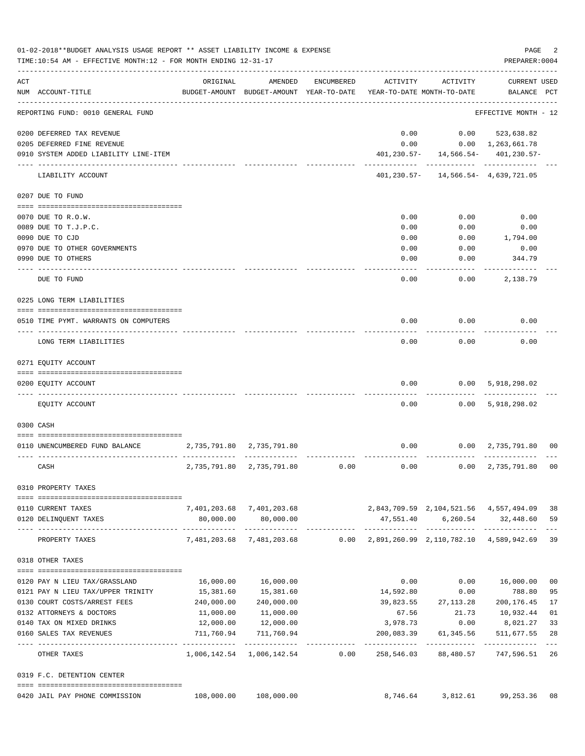|     | 01-02-2018**BUDGET ANALYSIS USAGE REPORT ** ASSET LIABILITY INCOME & EXPENSE<br>TIME:10:54 AM - EFFECTIVE MONTH:12 - FOR MONTH ENDING 12-31-17 |              |                                                                     |            |                                                     |                                                             | PAGE<br>PREPARER: 0004    | 2                   |
|-----|------------------------------------------------------------------------------------------------------------------------------------------------|--------------|---------------------------------------------------------------------|------------|-----------------------------------------------------|-------------------------------------------------------------|---------------------------|---------------------|
| ACT |                                                                                                                                                | ORIGINAL     | AMENDED                                                             | ENCUMBERED | ACTIVITY                                            | ACTIVITY                                                    | <b>CURRENT USED</b>       |                     |
|     | NUM ACCOUNT-TITLE                                                                                                                              |              | BUDGET-AMOUNT BUDGET-AMOUNT YEAR-TO-DATE YEAR-TO-DATE MONTH-TO-DATE |            |                                                     |                                                             | BALANCE PCT               |                     |
|     | REPORTING FUND: 0010 GENERAL FUND                                                                                                              |              |                                                                     |            |                                                     |                                                             | EFFECTIVE MONTH - 12      |                     |
|     | 0200 DEFERRED TAX REVENUE                                                                                                                      |              |                                                                     |            | 0.00                                                |                                                             | $0.00$ $523,638.82$       |                     |
|     | 0205 DEFERRED FINE REVENUE                                                                                                                     |              |                                                                     |            | 0.00                                                |                                                             | $0.00 \quad 1,263,661.78$ |                     |
|     | 0910 SYSTEM ADDED LIABILITY LINE-ITEM                                                                                                          |              |                                                                     |            |                                                     | $401, 230.57 - 14, 566.54 - 401, 230.57 -$                  |                           |                     |
|     | LIABILITY ACCOUNT                                                                                                                              |              |                                                                     |            |                                                     | ------------<br>$401, 230.57 - 14, 566.54 - 4, 639, 721.05$ | -------------             |                     |
|     | 0207 DUE TO FUND                                                                                                                               |              |                                                                     |            |                                                     |                                                             |                           |                     |
|     | 0070 DUE TO R.O.W.                                                                                                                             |              |                                                                     |            | 0.00                                                | 0.00                                                        | 0.00                      |                     |
|     | 0089 DUE TO T.J.P.C.                                                                                                                           |              |                                                                     |            | 0.00                                                | 0.00                                                        | 0.00                      |                     |
|     | 0090 DUE TO CJD                                                                                                                                |              |                                                                     |            | 0.00                                                | 0.00                                                        | 1,794.00                  |                     |
|     | 0970 DUE TO OTHER GOVERNMENTS                                                                                                                  |              |                                                                     |            | 0.00                                                | 0.00                                                        | 0.00                      |                     |
|     | 0990 DUE TO OTHERS                                                                                                                             |              |                                                                     |            | 0.00                                                | 0.00                                                        | 344.79                    |                     |
|     |                                                                                                                                                |              |                                                                     |            |                                                     |                                                             |                           |                     |
|     | DUE TO FUND                                                                                                                                    |              |                                                                     |            | 0.00                                                | 0.00                                                        | 2,138.79                  |                     |
|     | 0225 LONG TERM LIABILITIES                                                                                                                     |              |                                                                     |            |                                                     |                                                             |                           |                     |
|     | 0510 TIME PYMT. WARRANTS ON COMPUTERS                                                                                                          |              |                                                                     |            | 0.00                                                | 0.00                                                        | 0.00                      |                     |
|     | LONG TERM LIABILITIES                                                                                                                          |              |                                                                     |            | 0.00                                                | 0.00                                                        | 0.00                      |                     |
|     | 0271 EQUITY ACCOUNT                                                                                                                            |              |                                                                     |            |                                                     |                                                             |                           |                     |
|     |                                                                                                                                                |              |                                                                     |            |                                                     |                                                             |                           |                     |
|     | 0200 EQUITY ACCOUNT                                                                                                                            |              |                                                                     |            | 0.00                                                | 0.00                                                        | 5,918,298.02              |                     |
|     | EQUITY ACCOUNT                                                                                                                                 |              |                                                                     |            | 0.00                                                | 0.00                                                        | 5,918,298.02              |                     |
|     | 0300 CASH                                                                                                                                      |              |                                                                     |            |                                                     |                                                             |                           |                     |
|     |                                                                                                                                                |              |                                                                     |            |                                                     |                                                             |                           |                     |
|     | 0110 UNENCUMBERED FUND BALANCE                                                                                                                 |              | 2,735,791.80 2,735,791.80                                           |            | 0.00                                                | 0.00                                                        | 2,735,791.80              | 00                  |
|     | CASH                                                                                                                                           | 2,735,791.80 | 2,735,791.80                                                        | 0.00       | 0.00                                                |                                                             | $0.00 \quad 2,735,791.80$ | 0 <sup>0</sup>      |
|     | 0310 PROPERTY TAXES                                                                                                                            |              |                                                                     |            |                                                     |                                                             |                           |                     |
|     | 0110 CURRENT TAXES                                                                                                                             |              | 7,401,203.68 7,401,203.68                                           |            | 2,843,709.59 2,104,521.56 4,557,494.09              |                                                             |                           | 38                  |
|     | 0120 DELINQUENT TAXES                                                                                                                          | 80,000.00    | 80,000.00                                                           |            |                                                     | 47,551.40 6,260.54 32,448.60                                |                           | 59                  |
|     | PROPERTY TAXES                                                                                                                                 |              | -------------<br>7,481,203.68 7,481,203.68                          |            | $0.00$ $2,891,260.99$ $2,110,782.10$ $4,589,942.69$ |                                                             |                           | $\frac{1}{2}$<br>39 |
|     | 0318 OTHER TAXES                                                                                                                               |              |                                                                     |            |                                                     |                                                             |                           |                     |
|     |                                                                                                                                                |              |                                                                     |            |                                                     |                                                             |                           |                     |
|     | 0120 PAY N LIEU TAX/GRASSLAND                                                                                                                  | 16,000.00    | 16,000.00                                                           |            | 0.00                                                | 0.00                                                        | 16,000.00                 | 0 <sub>0</sub>      |
|     | 0121 PAY N LIEU TAX/UPPER TRINITY                                                                                                              | 15,381.60    | 15,381.60                                                           |            | 14,592.80                                           | 0.00                                                        | 788.80                    | 95                  |
|     | 0130 COURT COSTS/ARREST FEES                                                                                                                   | 240,000.00   | 240,000.00                                                          |            | 39,823.55                                           | 27,113.28                                                   | 200, 176.45               | 17                  |
|     | 0132 ATTORNEYS & DOCTORS                                                                                                                       | 11,000.00    | 11,000.00                                                           |            | 67.56                                               | 21.73                                                       | 10,932.44                 | 01                  |
|     | 0140 TAX ON MIXED DRINKS                                                                                                                       |              | 12,000.00   12,000.00                                               |            |                                                     | 3,978.73 0.00 8,021.27                                      |                           | 33                  |
|     | 0160 SALES TAX REVENUES                                                                                                                        |              | 711,760.94 711,760.94                                               |            |                                                     | 200,083.39 61,345.56                                        | 511,677.55                | 28                  |
|     | OTHER TAXES                                                                                                                                    |              | 1,006,142.54 1,006,142.54 0.00 258,546.03                           |            |                                                     | 88,480.57                                                   | 747,596.51                | 26                  |
|     | 0319 F.C. DETENTION CENTER                                                                                                                     |              |                                                                     |            |                                                     |                                                             |                           |                     |
|     | 0420 JAIL PAY PHONE COMMISSION                                                                                                                 | 108,000.00   | 108,000.00                                                          |            | 8,746.64                                            |                                                             | 3,812.61 99,253.36        | 08                  |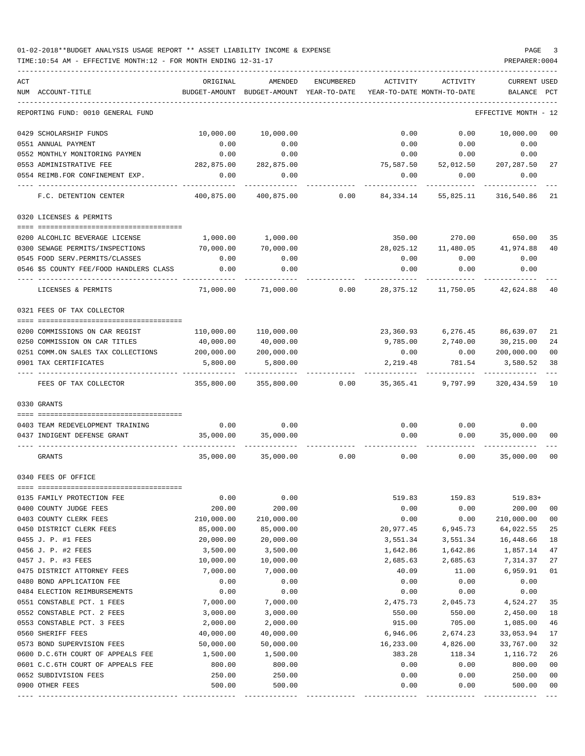TIME:10:54 AM - EFFECTIVE MONTH:12 - FOR MONTH ENDING 12-31-17 PREPARER:0004

| ACT<br>NUM ACCOUNT-TITLE                | ORIGINAL<br>BUDGET-AMOUNT | AMENDED               | ENCUMBERED | ACTIVITY<br>BUDGET-AMOUNT YEAR-TO-DATE YEAR-TO-DATE MONTH-TO-DATE | ACTIVITY                       | <b>CURRENT USED</b><br>BALANCE PCT |                |
|-----------------------------------------|---------------------------|-----------------------|------------|-------------------------------------------------------------------|--------------------------------|------------------------------------|----------------|
| REPORTING FUND: 0010 GENERAL FUND       |                           |                       |            |                                                                   |                                | EFFECTIVE MONTH - 12               |                |
| 0429 SCHOLARSHIP FUNDS                  | 10,000.00                 | 10,000.00             |            | 0.00                                                              |                                | 0.00 10,000.00                     | 0 <sub>0</sub> |
| 0551 ANNUAL PAYMENT                     | 0.00                      | 0.00                  |            | 0.00                                                              | 0.00                           | 0.00                               |                |
| 0552 MONTHLY MONITORING PAYMEN          | 0.00                      | 0.00                  |            | 0.00                                                              | 0.00                           | 0.00                               |                |
| 0553 ADMINISTRATIVE FEE                 | 282,875.00                | 282,875.00            |            |                                                                   | 75,587.50 52,012.50 207,287.50 |                                    | 27             |
| 0554 REIMB.FOR CONFINEMENT EXP.         | 0.00                      | 0.00                  |            | 0.00                                                              | 0.00                           | 0.00                               |                |
| F.C. DETENTION CENTER                   | 400,875.00                | 400,875.00 0.00       |            | 84,334.14                                                         | 55,825.11                      | 316,540.86                         | 21             |
| 0320 LICENSES & PERMITS                 |                           |                       |            |                                                                   |                                |                                    |                |
|                                         |                           |                       |            |                                                                   |                                |                                    |                |
| 0200 ALCOHLIC BEVERAGE LICENSE          | 1,000.00                  | 1,000.00              |            | 350.00                                                            | 270.00                         | 650.00                             | 35             |
| 0300 SEWAGE PERMITS/INSPECTIONS         | 70,000.00                 | 70,000.00             |            | 28,025.12                                                         | 11,480.05                      | 41,974.88                          | 40             |
| 0545 FOOD SERV. PERMITS/CLASSES         | 0.00                      | 0.00                  |            | 0.00                                                              | 0.00                           | 0.00                               |                |
| 0546 \$5 COUNTY FEE/FOOD HANDLERS CLASS | 0.00                      | 0.00                  |            | 0.00                                                              | 0.00                           | 0.00                               |                |
| LICENSES & PERMITS                      | 71,000.00                 | 71,000.00             | 0.00       | 28, 375. 12                                                       | 11,750.05                      | 42,624.88                          | 40             |
| 0321 FEES OF TAX COLLECTOR              |                           |                       |            |                                                                   |                                |                                    |                |
| 0200 COMMISSIONS ON CAR REGIST          |                           | 110,000.00 110,000.00 |            |                                                                   | 23,360.93 6,276.45 86,639.07   |                                    | 21             |
| 0250 COMMISSION ON CAR TITLES           | 40,000.00                 | 40,000.00             |            | 9,785.00                                                          | 2,740.00                       | 30,215.00                          | 24             |
| 0251 COMM.ON SALES TAX COLLECTIONS      | 200,000.00                | 200,000.00            |            | 0.00                                                              | 0.00                           | 200,000.00                         | 0 <sub>0</sub> |
| 0901 TAX CERTIFICATES                   | 5,800.00                  | 5,800.00              |            | 2,219.48                                                          | 781.54                         | 3,580.52                           | 38             |
| FEES OF TAX COLLECTOR                   | 355,800.00                | 355,800.00            | 0.00       |                                                                   | 35,365.41 9,797.99             | 320,434.59                         | 10             |
| 0330 GRANTS                             |                           |                       |            |                                                                   |                                |                                    |                |
|                                         |                           |                       |            |                                                                   |                                |                                    |                |
| 0403 TEAM REDEVELOPMENT TRAINING        |                           | $0.00$ 0.00           |            |                                                                   | $0.00$ $0.00$ $0.00$           |                                    |                |
| 0437 INDIGENT DEFENSE GRANT             | 35,000.00                 | 35,000.00             |            | 0.00                                                              | 0.00                           | 35,000.00                          | 00             |
| GRANTS                                  | 35,000.00                 | 35,000.00             | 0.00       | 0.00                                                              | 0.00                           | 35,000.00                          | 0 <sub>0</sub> |
| 0340 FEES OF OFFICE                     |                           |                       |            |                                                                   |                                |                                    |                |
|                                         |                           |                       |            |                                                                   |                                |                                    |                |
| 0135 FAMILY PROTECTION FEE              | 0.00                      | 0.00                  |            | 519.83                                                            | 159.83                         | $519.83+$                          |                |
| 0400 COUNTY JUDGE FEES                  | 200.00                    | 200.00                |            | 0.00                                                              | 0.00                           | 200.00                             | 00             |
| 0403 COUNTY CLERK FEES                  | 210,000.00                | 210,000.00            |            | 0.00                                                              | 0.00                           | 210,000.00                         | 0 <sub>0</sub> |
| 0450 DISTRICT CLERK FEES                | 85,000.00                 | 85,000.00             |            | 20,977.45                                                         | 6,945.73                       | 64,022.55                          | 25             |
| 0455 J. P. #1 FEES                      | 20,000.00                 | 20,000.00             |            | 3,551.34                                                          | 3,551.34                       | 16,448.66                          | 18             |
| 0456 J. P. #2 FEES                      | 3,500.00                  | 3,500.00              |            | 1,642.86                                                          | 1,642.86                       | 1,857.14                           | 47             |
| 0457 J. P. #3 FEES                      | 10,000.00                 | 10,000.00             |            | 2,685.63                                                          | 2,685.63                       | 7,314.37                           | 27             |
| 0475 DISTRICT ATTORNEY FEES             | 7,000.00                  | 7,000.00              |            | 40.09                                                             | 11.00                          | 6,959.91                           | 01             |
| 0480 BOND APPLICATION FEE               | 0.00                      | 0.00                  |            | 0.00                                                              | 0.00                           | 0.00                               |                |
| 0484 ELECTION REIMBURSEMENTS            | 0.00                      | 0.00                  |            | 0.00                                                              | 0.00                           | 0.00                               |                |
| 0551 CONSTABLE PCT. 1 FEES              | 7,000.00                  | 7,000.00              |            | 2,475.73                                                          | 2,045.73                       | 4,524.27                           | 35             |
| 0552 CONSTABLE PCT. 2 FEES              | 3,000.00                  | 3,000.00              |            | 550.00                                                            | 550.00                         | 2,450.00                           | 18             |
| 0553 CONSTABLE PCT. 3 FEES              | 2,000.00                  | 2,000.00              |            | 915.00                                                            | 705.00                         | 1,085.00                           | 46             |
| 0560 SHERIFF FEES                       | 40,000.00                 | 40,000.00             |            | 6,946.06                                                          | 2,674.23                       | 33,053.94                          | 17             |
| 0573 BOND SUPERVISION FEES              | 50,000.00                 | 50,000.00             |            | 16,233.00                                                         | 4,826.00                       | 33,767.00                          | 32             |
| 0600 D.C.6TH COURT OF APPEALS FEE       | 1,500.00                  | 1,500.00              |            | 383.28                                                            | 118.34                         | 1,116.72                           | 26             |
| 0601 C.C.6TH COURT OF APPEALS FEE       | 800.00                    | 800.00                |            | 0.00                                                              | 0.00                           | 800.00                             | 0 <sub>0</sub> |
| 0652 SUBDIVISION FEES                   | 250.00                    | 250.00                |            | 0.00                                                              | 0.00                           | 250.00                             | 0 <sub>0</sub> |

0900 OTHER FEES 500.00 500.00 0.00 0.00 500.00 00 ---- ---------------------------------- ------------- ------------- ------------ ------------- ------------ ------------- ---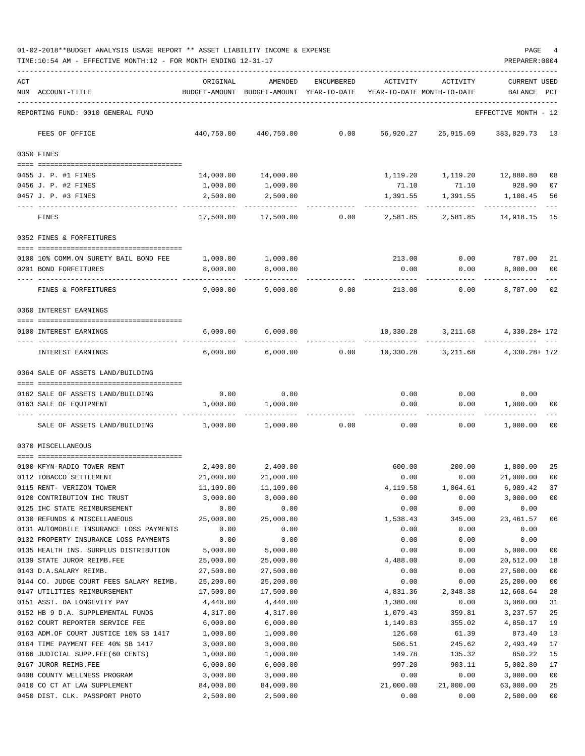| ACT | NUM ACCOUNT-TITLE                                                | ORIGINAL<br>BUDGET-AMOUNT | AMENDED<br>BUDGET-AMOUNT YEAR-TO-DATE | ENCUMBERED | ACTIVITY             | ACTIVITY<br>YEAR-TO-DATE MONTH-TO-DATE         | CURRENT USED<br>BALANCE PCT |          |
|-----|------------------------------------------------------------------|---------------------------|---------------------------------------|------------|----------------------|------------------------------------------------|-----------------------------|----------|
|     | REPORTING FUND: 0010 GENERAL FUND                                |                           |                                       |            |                      |                                                | EFFECTIVE MONTH - 12        |          |
|     | FEES OF OFFICE                                                   |                           |                                       |            |                      | 440,750.00 440,750.00 0.00 56,920.27 25,915.69 | 383,829.73 13               |          |
|     | 0350 FINES                                                       |                           |                                       |            |                      |                                                |                             |          |
|     | 0455 J. P. #1 FINES                                              |                           | 14,000.00 14,000.00                   |            |                      | 1,119.20    1,119.20    12,880.80              |                             | 08       |
|     | 0456 J. P. #2 FINES                                              | 1,000.00                  | 1,000.00                              |            | 71.10                | 71.10                                          | 928.90                      | 07       |
|     | 0457 J. P. #3 FINES                                              | 2,500.00                  | 2,500.00                              |            | 1,391.55             | 1,391.55                                       | 1,108.45                    | 56       |
|     | FINES                                                            | 17,500.00                 | 17,500.00                             | 0.00       | 2,581.85             | 2,581.85                                       | 14,918.15                   | 15       |
|     | 0352 FINES & FORFEITURES                                         |                           |                                       |            |                      |                                                |                             |          |
|     |                                                                  |                           |                                       |            |                      |                                                |                             |          |
|     | 0100 10% COMM.ON SURETY BAIL BOND FEE                            | 1,000.00                  | 1,000.00                              |            | 213.00               | 0.00                                           | 787.00 21                   |          |
|     | 0201 BOND FORFEITURES                                            | 8,000.00                  | 8,000.00                              |            | 0.00                 | 0.00                                           | 8,000.00                    | 00       |
|     | FINES & FORFEITURES                                              | 9,000.00                  | 9,000.00                              | 0.00       | 213.00               | 0.00                                           | 8,787.00 02                 |          |
|     | 0360 INTEREST EARNINGS                                           |                           |                                       |            |                      |                                                |                             |          |
|     |                                                                  |                           |                                       |            |                      |                                                |                             |          |
|     | 0100 INTEREST EARNINGS                                           | 6,000.00                  | 6,000.00                              |            | 10,330.28            |                                                | 3, 211.68 4, 330.28+ 172    |          |
|     | INTEREST EARNINGS                                                | 6,000.00                  | 6,000.00                              |            | 0.00 10,330.28       | 3,211.68                                       | 4,330.28+ 172               |          |
|     | 0364 SALE OF ASSETS LAND/BUILDING                                |                           |                                       |            |                      |                                                |                             |          |
|     | 0162 SALE OF ASSETS LAND/BUILDING                                | 0.00                      | 0.00                                  |            |                      | $0.00$ $0.00$                                  | 0.00                        |          |
|     | 0163 SALE OF EQUIPMENT                                           | 1,000.00                  | 1,000.00                              |            | 0.00                 |                                                | 0.00 1,000.00               | 00       |
|     | SALE OF ASSETS LAND/BUILDING                                     | 1,000.00                  | 1,000.00                              | 0.00       | 0.00                 | 0.00                                           | 1,000.00                    | 00       |
|     | 0370 MISCELLANEOUS                                               |                           |                                       |            |                      |                                                |                             |          |
|     |                                                                  |                           |                                       |            |                      |                                                |                             |          |
|     | 0100 KFYN-RADIO TOWER RENT                                       | 2,400.00                  | 2,400.00                              |            | 600.00               |                                                | 200.00 1,800.00             | 25       |
|     | 0112 TOBACCO SETTLEMENT<br>0115 RENT- VERIZON TOWER              | 21,000.00<br>11,109.00    | 21,000.00<br>11,109.00                |            | 0.00<br>4,119.58     | 0.00<br>1,064.61                               | 21,000.00<br>6,989.42 37    | 00       |
|     | 0120 CONTRIBUTION IHC TRUST                                      | 3,000.00                  | 3,000.00                              |            | 0.00                 | 0.00                                           | 3,000.00                    | 00       |
|     | 0125 IHC STATE REIMBURSEMENT                                     | 0.00                      | 0.00                                  |            | 0.00                 | 0.00                                           | 0.00                        |          |
|     | 0130 REFUNDS & MISCELLANEOUS                                     | 25,000.00                 | 25,000.00                             |            | 1,538.43             | 345.00                                         | 23, 461.57                  | 06       |
|     | 0131 AUTOMOBILE INSURANCE LOSS PAYMENTS                          | 0.00                      | 0.00                                  |            | 0.00                 | 0.00                                           | 0.00                        |          |
|     | 0132 PROPERTY INSURANCE LOSS PAYMENTS                            | 0.00                      | 0.00                                  |            | 0.00                 | 0.00                                           | 0.00                        |          |
|     | 0135 HEALTH INS. SURPLUS DISTRIBUTION                            | 5,000.00                  | 5,000.00                              |            | 0.00                 | 0.00                                           | 5,000.00                    | 00       |
|     | 0139 STATE JUROR REIMB.FEE                                       | 25,000.00                 | 25,000.00                             |            | 4,488.00             | 0.00                                           | 20,512.00                   | 18       |
|     | 0143 D.A.SALARY REIMB.                                           | 27,500.00                 | 27,500.00                             |            | 0.00                 | 0.00                                           | 27,500.00                   | 00       |
|     | 0144 CO. JUDGE COURT FEES SALARY REIMB.                          | 25,200.00                 | 25,200.00                             |            | 0.00                 | 0.00                                           | 25,200.00                   | $00\,$   |
|     | 0147 UTILITIES REIMBURSEMENT                                     | 17,500.00                 | 17,500.00                             |            | 4,831.36             | 2,348.38                                       | 12,668.64                   | 28       |
|     | 0151 ASST. DA LONGEVITY PAY<br>0152 HB 9 D.A. SUPPLEMENTAL FUNDS | 4,440.00<br>4,317.00      | 4,440.00<br>4,317.00                  |            | 1,380.00<br>1,079.43 | 0.00<br>359.81                                 | 3,060.00<br>3,237.57        | 31<br>25 |
|     | 0162 COURT REPORTER SERVICE FEE                                  | 6,000.00                  | 6,000.00                              |            | 1,149.83             | 355.02                                         | 4,850.17                    | 19       |
|     | 0163 ADM.OF COURT JUSTICE 10% SB 1417                            | 1,000.00                  | 1,000.00                              |            | 126.60               | 61.39                                          | 873.40                      | 13       |
|     | 0164 TIME PAYMENT FEE 40% SB 1417                                | 3,000.00                  | 3,000.00                              |            | 506.51               | 245.62                                         | 2,493.49                    | 17       |
|     | 0166 JUDICIAL SUPP.FEE(60 CENTS)                                 | 1,000.00                  | 1,000.00                              |            | 149.78               | 135.32                                         | 850.22                      | 15       |
|     | 0167 JUROR REIMB.FEE                                             | 6,000.00                  | 6,000.00                              |            | 997.20               | 903.11                                         | 5,002.80                    | 17       |
|     | 0408 COUNTY WELLNESS PROGRAM                                     | 3,000.00                  | 3,000.00                              |            | 0.00                 | 0.00                                           | 3,000.00                    | 00       |
|     | 0410 CO CT AT LAW SUPPLEMENT                                     | 84,000.00                 | 84,000.00                             |            | 21,000.00            | 21,000.00                                      | 63,000.00                   | 25       |

0450 DIST. CLK. PASSPORT PHOTO 2,500.00 2,500.00 0.00 0.00 2,500.00 00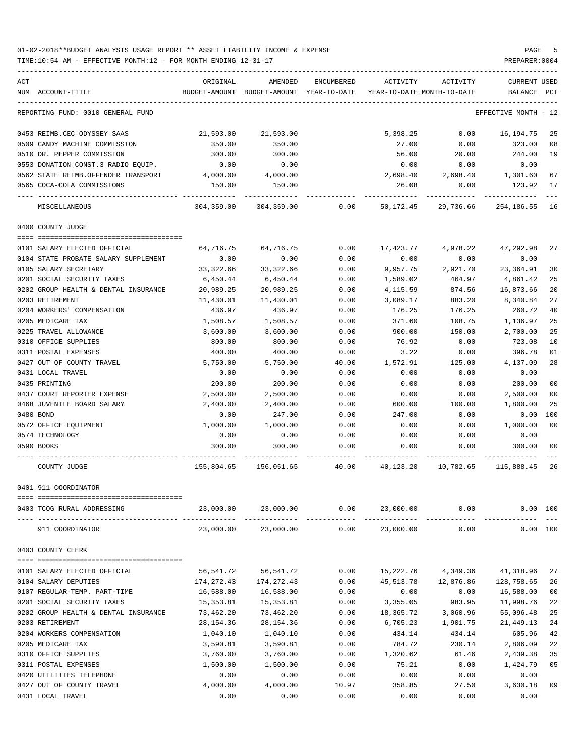| ACT                                                  | ORIGINAL   | AMENDED         | ENCUMBERED | ACTIVITY                                                            | ACTIVITY                       | <b>CURRENT USED</b>     |                |
|------------------------------------------------------|------------|-----------------|------------|---------------------------------------------------------------------|--------------------------------|-------------------------|----------------|
| NUM ACCOUNT-TITLE                                    |            |                 |            | BUDGET-AMOUNT BUDGET-AMOUNT YEAR-TO-DATE YEAR-TO-DATE MONTH-TO-DATE |                                | BALANCE PCT             |                |
| REPORTING FUND: 0010 GENERAL FUND                    |            |                 |            |                                                                     |                                | EFFECTIVE MONTH - 12    |                |
| 0453 REIMB.CEC ODYSSEY SAAS                          | 21,593.00  | 21,593.00       |            | 5,398.25                                                            | 0.00                           | 16,194.75               | 25             |
| 0509 CANDY MACHINE COMMISSION                        | 350.00     | 350.00          |            | 27.00                                                               | 0.00                           | 323.00                  | 08             |
| 0510 DR. PEPPER COMMISSION                           | 300.00     | 300.00          |            | 56.00                                                               | 20.00                          | 244.00                  | 19             |
| 0553 DONATION CONST.3 RADIO EQUIP.                   | 0.00       | 0.00            |            | 0.00                                                                | 0.00                           | 0.00                    |                |
| 0562 STATE REIMB.OFFENDER TRANSPORT                  | 4,000.00   | 4,000.00        |            | 2,698.40                                                            | 2,698.40                       | 1,301.60                | 67             |
| 0565 COCA-COLA COMMISSIONS                           | 150.00     | 150.00          |            | 26.08                                                               | 0.00                           | 123.92                  | 17             |
| MISCELLANEOUS                                        | 304,359.00 | 304,359.00 0.00 |            |                                                                     | 50,172.45 29,736.66 254,186.55 |                         | 16             |
| 0400 COUNTY JUDGE                                    |            |                 |            |                                                                     |                                |                         |                |
| 0101 SALARY ELECTED OFFICIAL                         | 64,716.75  | 64,716.75       | 0.00       | 17,423.77                                                           | 4,978.22                       | 47,292.98               | 27             |
| 0104 STATE PROBATE SALARY SUPPLEMENT                 | 0.00       | 0.00            | 0.00       | 0.00                                                                | 0.00                           | 0.00                    |                |
| 0105 SALARY SECRETARY                                | 33,322.66  | 33,322.66       | 0.00       | 9,957.75                                                            | 2,921.70                       | 23,364.91               | 30             |
| 0201 SOCIAL SECURITY TAXES                           | 6,450.44   | 6,450.44        | 0.00       | 1,589.02                                                            | 464.97                         | 4,861.42                | 25             |
| 0202 GROUP HEALTH & DENTAL INSURANCE                 | 20,989.25  | 20,989.25       | 0.00       | 4,115.59                                                            | 874.56                         | 16,873.66               | 20             |
| 0203 RETIREMENT                                      | 11,430.01  | 11,430.01       | 0.00       | 3,089.17                                                            | 883.20                         | 8,340.84                | 27             |
| 0204 WORKERS' COMPENSATION                           | 436.97     | 436.97          | 0.00       | 176.25                                                              | 176.25                         | 260.72                  | 40             |
| 0205 MEDICARE TAX                                    | 1,508.57   | 1,508.57        | 0.00       | 371.60                                                              | 108.75                         | 1,136.97                | 25             |
| 0225 TRAVEL ALLOWANCE                                | 3,600.00   | 3,600.00        | 0.00       | 900.00                                                              | 150.00                         | 2,700.00                | 25             |
| 0310 OFFICE SUPPLIES                                 | 800.00     | 800.00          | 0.00       | 76.92                                                               | 0.00                           | 723.08                  | 10             |
| 0311 POSTAL EXPENSES                                 | 400.00     | 400.00          | 0.00       | 3.22                                                                | 0.00                           | 396.78                  | 01             |
| 0427 OUT OF COUNTY TRAVEL                            | 5,750.00   | 5,750.00        | 40.00      | 1,572.91                                                            | 125.00                         | 4,137.09                | 28             |
| 0431 LOCAL TRAVEL                                    | 0.00       | 0.00            | 0.00       | 0.00                                                                | 0.00                           | 0.00                    |                |
| 0435 PRINTING                                        | 200.00     | 200.00          | 0.00       | 0.00                                                                | 0.00                           | 200.00                  | 0 <sub>0</sub> |
| 0437 COURT REPORTER EXPENSE                          | 2,500.00   | 2,500.00        | 0.00       | 0.00                                                                | 0.00                           | 2,500.00                | 0 <sub>0</sub> |
| 0468 JUVENILE BOARD SALARY                           | 2,400.00   | 2,400.00        | 0.00       | 600.00                                                              | 100.00                         | 1,800.00                | 25             |
| 0480 BOND                                            | 0.00       | 247.00          | 0.00       | 247.00                                                              | 0.00                           | 0.00                    | 100            |
| 0572 OFFICE EQUIPMENT                                | 1,000.00   | 1,000.00        | 0.00       | 0.00                                                                | 0.00                           | 1,000.00                | 0 <sub>0</sub> |
| 0574 TECHNOLOGY                                      | 0.00       | 0.00            | 0.00       | 0.00                                                                | 0.00                           | 0.00                    |                |
| 0590 BOOKS                                           | 300.00     | 300.00          | 0.00       | 0.00                                                                | 0.00                           | 300.00                  | 0 <sub>0</sub> |
| COUNTY JUDGE                                         |            |                 |            | 155,804.65 156,051.65 40.00 40,123.20 10,782.65                     |                                | 115,888.45              | 26             |
| 0401 911 COORDINATOR                                 |            |                 |            |                                                                     |                                |                         |                |
| 0403 TCOG RURAL ADDRESSING                           |            |                 |            | $23,000.00$ $23,000.00$ $0.00$ $23,000.00$ $0.00$                   |                                | $0.00$ 100              |                |
| 911 COORDINATOR                                      | 23,000.00  | 23,000.00       | 0.00       | 23,000.00                                                           | 0.00                           | 0.00 100                |                |
| 0403 COUNTY CLERK                                    |            |                 |            |                                                                     |                                |                         |                |
|                                                      | 56,541.72  | 56,541.72       | 0.00       |                                                                     |                                | 41,318.96               | 27             |
| 0101 SALARY ELECTED OFFICIAL<br>0104 SALARY DEPUTIES | 174,272.43 | 174,272.43      | 0.00       | 15,222.76<br>45,513.78                                              | 4,349.36<br>12,876.86          |                         | 26             |
| 0107 REGULAR-TEMP. PART-TIME                         | 16,588.00  | 16,588.00       | 0.00       | 0.00                                                                | 0.00                           | 128,758.65<br>16,588.00 | 0 <sub>0</sub> |
| 0201 SOCIAL SECURITY TAXES                           | 15,353.81  | 15,353.81       | 0.00       | 3,355.05                                                            | 983.95                         | 11,998.76               | 22             |
| 0202 GROUP HEALTH & DENTAL INSURANCE                 | 73,462.20  | 73,462.20       | 0.00       | 18,365.72                                                           | 3,060.96                       | 55,096.48               | 25             |
| 0203 RETIREMENT                                      | 28,154.36  | 28,154.36       | 0.00       | 6,705.23                                                            | 1,901.75                       | 21,449.13               | 24             |
| 0204 WORKERS COMPENSATION                            | 1,040.10   | 1,040.10        | 0.00       | 434.14                                                              | 434.14                         | 605.96                  | 42             |
| 0205 MEDICARE TAX                                    | 3,590.81   | 3,590.81        | 0.00       | 784.72                                                              | 230.14                         | 2,806.09                | 22             |
| 0310 OFFICE SUPPLIES                                 | 3,760.00   | 3,760.00        | 0.00       | 1,320.62                                                            | 61.46                          | 2,439.38                | 35             |
| 0311 POSTAL EXPENSES                                 | 1,500.00   | 1,500.00        | 0.00       | 75.21                                                               | 0.00                           | 1,424.79                | 05             |
| 0420 UTILITIES TELEPHONE                             | 0.00       | 0.00            | 0.00       | 0.00                                                                | 0.00                           | 0.00                    |                |
| 0427 OUT OF COUNTY TRAVEL                            | 4,000.00   | 4,000.00        | 10.97      | 358.85                                                              | 27.50                          | 3,630.18                | 09             |
| 0431 LOCAL TRAVEL                                    | 0.00       | 0.00            | 0.00       | 0.00                                                                | 0.00                           | 0.00                    |                |
|                                                      |            |                 |            |                                                                     |                                |                         |                |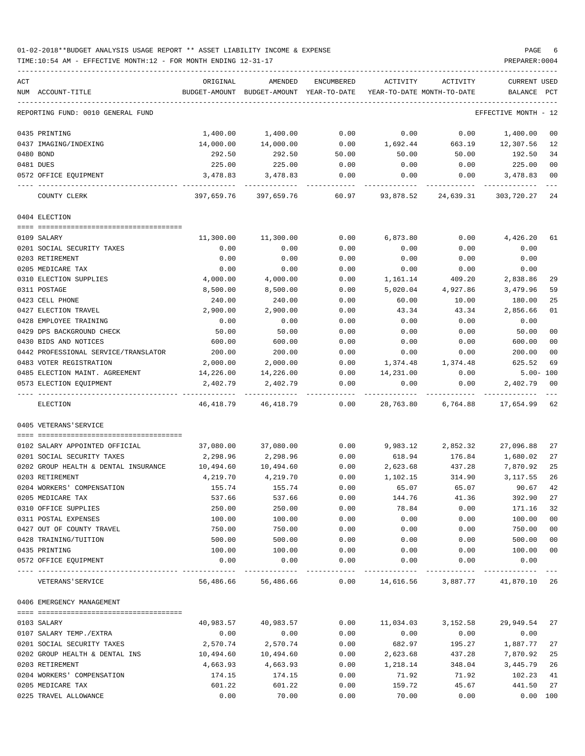01-02-2018\*\*BUDGET ANALYSIS USAGE REPORT \*\* ASSET LIABILITY INCOME & EXPENSE PAGE 6 TIME:10:54 AM - EFFECTIVE MONTH:12 - FOR MONTH ENDING 12-31-17 PREPARER:0004

| ACT                                  | ORIGINAL   | AMENDED                                                             | ENCUMBERED         | ACTIVITY            | ACTIVITY  | <b>CURRENT USED</b>  |                |
|--------------------------------------|------------|---------------------------------------------------------------------|--------------------|---------------------|-----------|----------------------|----------------|
| NUM ACCOUNT-TITLE                    |            | BUDGET-AMOUNT BUDGET-AMOUNT YEAR-TO-DATE YEAR-TO-DATE MONTH-TO-DATE |                    |                     |           | BALANCE PCT          |                |
| REPORTING FUND: 0010 GENERAL FUND    |            |                                                                     |                    |                     |           | EFFECTIVE MONTH - 12 |                |
| 0435 PRINTING                        | 1,400.00   | 1,400.00                                                            | 0.00               | 0.00                | 0.00      | 1,400.00             | 0 <sub>0</sub> |
| 0437 IMAGING/INDEXING                | 14,000.00  | 14,000.00                                                           | 0.00               | 1,692.44            | 663.19    | 12,307.56            | 12             |
| 0480 BOND                            | 292.50     | 292.50                                                              | 50.00              | 50.00               | 50.00     | 192.50               | 34             |
| 0481 DUES                            | 225.00     | 225.00                                                              | 0.00               | 0.00                | 0.00      | 225.00               | 0 <sub>0</sub> |
| 0572 OFFICE EQUIPMENT                | 3,478.83   | 3,478.83                                                            | 0.00               | 0.00                | 0.00      | 3,478.83             | 0 <sub>0</sub> |
| COUNTY CLERK                         | 397,659.76 | 397,659.76                                                          | 60.97              | 93,878.52           | 24,639.31 | 303,720.27           | 24             |
| 0404 ELECTION                        |            |                                                                     |                    |                     |           |                      |                |
|                                      |            |                                                                     |                    |                     |           |                      |                |
| 0109 SALARY                          | 11,300.00  | 11,300.00                                                           | 0.00               | 6,873.80            | 0.00      | 4,426.20             | 61             |
| 0201 SOCIAL SECURITY TAXES           | 0.00       | 0.00                                                                | 0.00               | 0.00                | 0.00      | 0.00                 |                |
| 0203 RETIREMENT                      | 0.00       | 0.00                                                                | 0.00               | 0.00                | 0.00      | 0.00                 |                |
| 0205 MEDICARE TAX                    | 0.00       | 0.00                                                                | 0.00               | 0.00                | 0.00      | 0.00                 |                |
| 0310 ELECTION SUPPLIES               | 4,000.00   | 4,000.00                                                            | 0.00               | 1,161.14            | 409.20    | 2,838.86             | 29             |
| 0311 POSTAGE                         | 8,500.00   | 8,500.00                                                            | 0.00               | 5,020.04            | 4,927.86  | 3,479.96             | 59             |
| 0423 CELL PHONE                      | 240.00     | 240.00                                                              | 0.00               | 60.00               | 10.00     | 180.00               | 25             |
| 0427 ELECTION TRAVEL                 | 2,900.00   | 2,900.00                                                            | 0.00               | 43.34               | 43.34     | 2,856.66             | 01             |
| 0428 EMPLOYEE TRAINING               | 0.00       | 0.00                                                                | 0.00               | 0.00                | 0.00      | 0.00                 |                |
| 0429 DPS BACKGROUND CHECK            | 50.00      | 50.00                                                               | 0.00               | 0.00                | 0.00      | 50.00                | 0 <sub>0</sub> |
| 0430 BIDS AND NOTICES                | 600.00     | 600.00                                                              | 0.00               | 0.00                | 0.00      | 600.00               | 0 <sub>0</sub> |
| 0442 PROFESSIONAL SERVICE/TRANSLATOR | 200.00     | 200.00                                                              | 0.00               | 0.00                | 0.00      | 200.00               | 0 <sub>0</sub> |
| 0483 VOTER REGISTRATION              | 2,000.00   | 2,000.00                                                            | 0.00               | 1,374.48            | 1,374.48  | 625.52               | 69             |
| 0485 ELECTION MAINT. AGREEMENT       | 14,226.00  | 14,226.00                                                           | 0.00               | 14,231.00           | 0.00      | $5.00 - 100$         |                |
| 0573 ELECTION EQUIPMENT              | 2,402.79   | 2,402.79                                                            | 0.00               | 0.00                | 0.00      | 2,402.79             | 0 <sub>0</sub> |
| ELECTION                             | 46,418.79  | 46,418.79                                                           | 0.00               | 28,763.80           | 6,764.88  | 17,654.99            | 62             |
| 0405 VETERANS'SERVICE                |            |                                                                     |                    |                     |           |                      |                |
|                                      |            |                                                                     |                    |                     |           |                      |                |
| 0102 SALARY APPOINTED OFFICIAL       | 37,080.00  | 37,080.00                                                           | 0.00               | 9,983.12            | 2,852.32  | 27,096.88            | 27             |
| 0201 SOCIAL SECURITY TAXES           | 2,298.96   | 2,298.96                                                            | 0.00               | 618.94              | 176.84    | 1,680.02             | 27             |
| 0202 GROUP HEALTH & DENTAL INSURANCE | 10,494.60  | 10,494.60                                                           | 0.00               | 2,623.68            | 437.28    | 7,870.92             | 25             |
| 0203 RETIREMENT                      | 4,219.70   | 4,219.70                                                            | 0.00               | 1,102.15            | 314.90    | 3,117.55             | 26             |
| 0204 WORKERS' COMPENSATION           | 155.74     | 155.74                                                              | 0.00               | 65.07               | 65.07     | 90.67                | 42             |
| 0205 MEDICARE TAX                    | 537.66     | 537.66                                                              | 0.00               | 144.76              | 41.36     | 392.90               | 27             |
| 0310 OFFICE SUPPLIES                 | 250.00     | 250.00                                                              | 0.00               | 78.84               | 0.00      | 171.16               | 32             |
| 0311 POSTAL EXPENSES                 | 100.00     | 100.00                                                              | 0.00               | 0.00                | 0.00      | 100.00               | 0 <sub>0</sub> |
| 0427 OUT OF COUNTY TRAVEL            | 750.00     | 750.00                                                              | 0.00               | 0.00                | 0.00      | 750.00               | 0 <sub>0</sub> |
| 0428 TRAINING/TUITION                | 500.00     | 500.00                                                              | 0.00               | 0.00                | 0.00      | 500.00               | 0 <sub>0</sub> |
| 0435 PRINTING                        | 100.00     | 100.00                                                              | 0.00               | 0.00                | 0.00      | 100.00               | 0 <sub>0</sub> |
| 0572 OFFICE EQUIPMENT                | 0.00       | 0.00                                                                | 0.00<br>---------- | 0.00<br>----------- | 0.00      | 0.00                 |                |
| VETERANS ' SERVICE                   |            | 56,486.66 56,486.66 0.00 14,616.56 3,887.77 41,870.10 26            |                    |                     |           |                      |                |
| 0406 EMERGENCY MANAGEMENT            |            |                                                                     |                    |                     |           |                      |                |
|                                      |            |                                                                     |                    |                     |           |                      |                |
| 0103 SALARY                          | 40,983.57  | 40,983.57                                                           | 0.00               | 11,034.03           | 3,152.58  | 29,949.54            | 27             |
| 0107 SALARY TEMP./EXTRA              | 0.00       | 0.00                                                                | 0.00               | 0.00                | 0.00      | 0.00                 |                |
| 0201 SOCIAL SECURITY TAXES           | 2,570.74   | 2,570.74                                                            | 0.00               | 682.97              | 195.27    | 1,887.77             | 27             |
| 0202 GROUP HEALTH & DENTAL INS       | 10,494.60  | 10,494.60                                                           | 0.00               | 2,623.68            | 437.28    | 7,870.92             | 25             |
| 0203 RETIREMENT                      | 4,663.93   | 4,663.93                                                            | 0.00               | 1,218.14            | 348.04    | 3,445.79             | 26             |
| 0204 WORKERS' COMPENSATION           | 174.15     | 174.15                                                              | 0.00               | 71.92               | 71.92     | 102.23               | 41             |
| 0205 MEDICARE TAX                    | 601.22     | 601.22                                                              | 0.00               | 159.72              | 45.67     | 441.50               | 27             |

0225 TRAVEL ALLOWANCE 0.00 70.00 0.00 70.00 0.00 0.00 100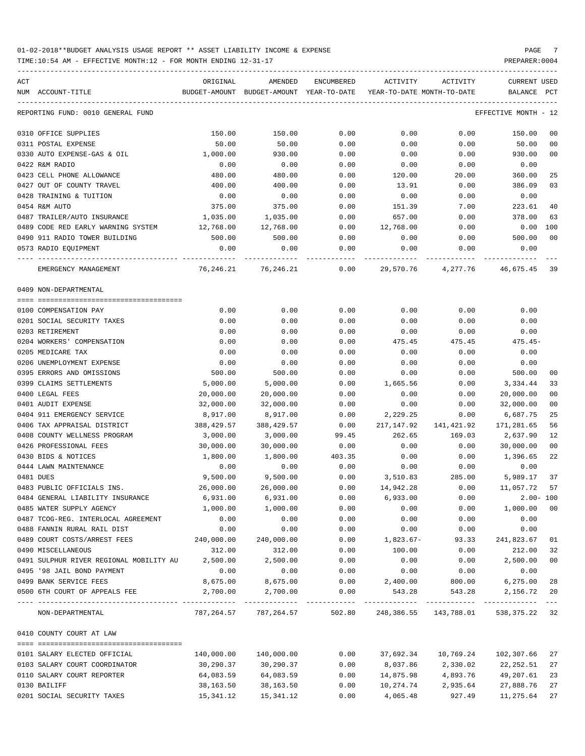| ACT |                                                  | ORIGINAL   | AMENDED                                  | ENCUMBERED | ACTIVITY                   | ACTIVITY                                   | CURRENT USED            |       |
|-----|--------------------------------------------------|------------|------------------------------------------|------------|----------------------------|--------------------------------------------|-------------------------|-------|
|     | NUM ACCOUNT-TITLE                                |            | BUDGET-AMOUNT BUDGET-AMOUNT YEAR-TO-DATE |            | YEAR-TO-DATE MONTH-TO-DATE |                                            | BALANCE                 | PCT   |
|     | REPORTING FUND: 0010 GENERAL FUND                |            |                                          |            |                            |                                            | EFFECTIVE MONTH - 12    |       |
|     | 0310 OFFICE SUPPLIES                             | 150.00     | 150.00                                   | 0.00       | 0.00                       | 0.00                                       | 150.00                  | 00    |
|     | 0311 POSTAL EXPENSE                              | 50.00      | 50.00                                    | 0.00       | 0.00                       | 0.00                                       | 50.00                   | 00    |
|     | 0330 AUTO EXPENSE-GAS & OIL                      | 1,000.00   | 930.00                                   | 0.00       | 0.00                       | 0.00                                       | 930.00                  | 00    |
|     | 0422 R&M RADIO                                   | 0.00       | 0.00                                     | 0.00       | 0.00                       | 0.00                                       | 0.00                    |       |
|     | 0423 CELL PHONE ALLOWANCE                        | 480.00     | 480.00                                   | 0.00       | 120.00                     | 20.00                                      | 360.00                  | 25    |
|     | 0427 OUT OF COUNTY TRAVEL                        | 400.00     | 400.00                                   | 0.00       | 13.91                      | 0.00                                       | 386.09                  | 03    |
|     | 0428 TRAINING & TUITION                          | 0.00       | 0.00                                     | 0.00       | 0.00                       | 0.00                                       | 0.00                    |       |
|     | 0454 R&M AUTO                                    | 375.00     | 375.00                                   | 0.00       | 151.39                     | 7.00                                       | 223.61                  | 40    |
|     | 0487 TRAILER/AUTO INSURANCE                      | 1,035.00   | 1,035.00                                 | 0.00       | 657.00                     | 0.00                                       | 378.00                  | 63    |
|     | 0489 CODE RED EARLY WARNING SYSTEM               | 12,768.00  | 12,768.00                                | 0.00       | 12,768.00                  | 0.00                                       | $0.00$ 100              |       |
|     | 0490 911 RADIO TOWER BUILDING                    | 500.00     | 500.00                                   | 0.00       | 0.00                       | 0.00                                       | 500.00                  | 00    |
|     |                                                  | 0.00       |                                          |            |                            |                                            | 0.00                    |       |
|     | 0573 RADIO EQUIPMENT                             |            | 0.00                                     | 0.00       | 0.00                       | 0.00                                       |                         |       |
|     | EMERGENCY MANAGEMENT                             |            | 76,246.21 76,246.21                      | 0.00       | 29,570.76                  |                                            | 4, 277.76 46, 675.45 39 |       |
|     | 0409 NON-DEPARTMENTAL                            |            |                                          |            |                            |                                            |                         |       |
|     |                                                  |            |                                          |            |                            |                                            |                         |       |
|     | 0100 COMPENSATION PAY                            | 0.00       | 0.00                                     | 0.00       | 0.00                       | 0.00                                       | 0.00                    |       |
|     | 0201 SOCIAL SECURITY TAXES                       | 0.00       | 0.00                                     | 0.00       | 0.00                       | 0.00                                       | 0.00                    |       |
|     | 0203 RETIREMENT                                  | 0.00       | 0.00                                     | 0.00       | 0.00                       | 0.00                                       | 0.00                    |       |
|     | 0204 WORKERS' COMPENSATION                       | 0.00       | 0.00                                     | 0.00       | 475.45                     | 475.45                                     | 475.45-                 |       |
|     | 0205 MEDICARE TAX                                | 0.00       | 0.00                                     | 0.00       | 0.00                       | 0.00                                       | 0.00                    |       |
|     | 0206 UNEMPLOYMENT EXPENSE                        | 0.00       | 0.00                                     | 0.00       | 0.00                       | 0.00                                       | 0.00                    |       |
|     | 0395 ERRORS AND OMISSIONS                        | 500.00     | 500.00                                   | 0.00       | 0.00                       | 0.00                                       | 500.00                  | 00    |
|     | 0399 CLAIMS SETTLEMENTS                          | 5,000.00   | 5,000.00                                 | 0.00       | 1,665.56                   | 0.00                                       | 3,334.44                | 33    |
|     | 0400 LEGAL FEES                                  | 20,000.00  | 20,000.00                                | 0.00       | 0.00                       | 0.00                                       | 20,000.00               | 00    |
|     | 0401 AUDIT EXPENSE                               | 32,000.00  | 32,000.00                                | 0.00       | 0.00                       | 0.00                                       | 32,000.00               | 00    |
|     | 0404 911 EMERGENCY SERVICE                       | 8,917.00   | 8,917.00                                 | 0.00       | 2,229.25                   | 0.00                                       | 6,687.75                | 25    |
|     | 0406 TAX APPRAISAL DISTRICT                      | 388,429.57 | 388,429.57                               | 0.00       |                            | 217, 147.92 141, 421.92                    | 171,281.65              | 56    |
|     | 0408 COUNTY WELLNESS PROGRAM                     | 3,000.00   | 3,000.00                                 | 99.45      | 262.65                     | 169.03                                     | 2,637.90                | 12    |
|     | 0426 PROFESSIONAL FEES                           | 30,000.00  | 30,000.00                                | 0.00       | 0.00                       | 0.00                                       | 30,000.00               | 00    |
|     | 0430 BIDS & NOTICES                              | 1,800.00   | 1,800.00                                 | 403.35     | 0.00                       | 0.00                                       | 1,396.65                | 22    |
|     | 0444 LAWN MAINTENANCE                            | 0.00       | 0.00                                     | 0.00       | 0.00                       | 0.00                                       | 0.00                    |       |
|     | 0481 DUES                                        | 9,500.00   | 9,500.00                                 | 0.00       | 3,510.83                   | 285.00                                     | 5,989.17                | 37    |
|     | 0483 PUBLIC OFFICIALS INS.                       | 26,000.00  | 26,000.00                                | 0.00       | 14,942.28                  | 0.00                                       | 11,057.72               | 57    |
|     | 0484 GENERAL LIABILITY INSURANCE                 | 6,931.00   | 6,931.00                                 | 0.00       | 6,933.00                   | 0.00                                       | $2.00 - 100$            |       |
|     | 0485 WATER SUPPLY AGENCY                         | 1,000.00   | 1,000.00                                 | 0.00       | 0.00                       | 0.00                                       | 1,000.00 00             |       |
|     | 0487 TCOG-REG. INTERLOCAL AGREEMENT              | 0.00       | 0.00                                     | 0.00       | 0.00                       | 0.00                                       | 0.00                    |       |
|     | 0488 FANNIN RURAL RAIL DIST                      | 0.00       | 0.00                                     | 0.00       | 0.00                       | 0.00                                       | 0.00                    |       |
|     | 0489 COURT COSTS/ARREST FEES 240,000.00          |            | 240,000.00                               | 0.00       | 1,823.67-                  | 93.33                                      | 241,823.67              | 01    |
|     | 0490 MISCELLANEOUS                               | 312.00     | 312.00                                   | 0.00       | 100.00                     | 0.00                                       | 212.00                  | 32    |
|     | 0491 SULPHUR RIVER REGIONAL MOBILITY AU 2,500.00 |            | 2,500.00                                 | 0.00       | 0.00                       | 0.00                                       | 2,500.00                | 00    |
|     | 0495 '98 JAIL BOND PAYMENT                       | 0.00       | 0.00                                     | 0.00       | 0.00                       | 0.00                                       | 0.00                    |       |
|     | 0499 BANK SERVICE FEES                           |            | 8,675.00 8,675.00                        | 0.00       | 2,400.00                   | 800.00                                     | 6,275.00 28             |       |
|     | 0500 6TH COURT OF APPEALS FEE                    | 2,700.00   | 2,700.00                                 | 0.00       | 543.28                     |                                            | 543.28 2,156.72         | 20    |
|     | NON-DEPARTMENTAL                                 |            | 787, 264.57 787, 264.57                  |            |                            | 502.80 248,386.55 143,788.01 538,375.22 32 |                         | $- -$ |
|     |                                                  |            |                                          |            |                            |                                            |                         |       |
|     | 0410 COUNTY COURT AT LAW                         |            |                                          |            |                            |                                            |                         |       |
|     | 0101 SALARY ELECTED OFFICIAL                     | 140,000.00 | 140,000.00                               | 0.00       |                            |                                            |                         | 27    |
|     | 0103 SALARY COURT COORDINATOR                    | 30,290.37  | 30,290.37                                | 0.00       | 8,037.86                   | 2,330.02                                   | 22,252.51               | 27    |
|     | 0110 SALARY COURT REPORTER                       | 64,083.59  | 64,083.59                                | 0.00       | 14,875.98                  | 4,893.76                                   | 49,207.61               | 23    |
|     | 0130 BAILIFF                                     | 38,163.50  | 38,163.50                                | 0.00       | 10,274.74                  | 2,935.64                                   | 27,888.76               | 27    |
|     | 0201 SOCIAL SECURITY TAXES                       | 15,341.12  | 15,341.12                                | 0.00       | 4,065.48                   | 927.49                                     | 11,275.64               | 27    |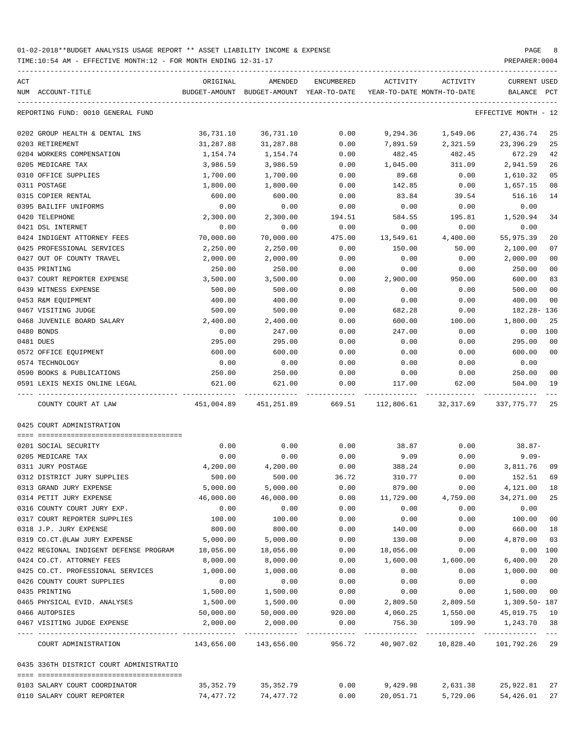| ACT |                                         | ORIGINAL   | AMENDED                                  | ENCUMBERED | ACTIVITY  | ACTIVITY                    | CURRENT USED         |                |
|-----|-----------------------------------------|------------|------------------------------------------|------------|-----------|-----------------------------|----------------------|----------------|
|     | NUM ACCOUNT-TITLE                       |            | BUDGET-AMOUNT BUDGET-AMOUNT YEAR-TO-DATE |            |           | YEAR-TO-DATE MONTH-TO-DATE  | BALANCE              | PCT            |
|     | REPORTING FUND: 0010 GENERAL FUND       |            |                                          |            |           |                             | EFFECTIVE MONTH - 12 |                |
|     | 0202 GROUP HEALTH & DENTAL INS          | 36,731.10  | 36,731.10                                | 0.00       | 9,294.36  | 1,549.06                    | 27,436.74            | 25             |
|     | 0203 RETIREMENT                         | 31,287.88  | 31,287.88                                | 0.00       | 7,891.59  | 2,321.59                    | 23,396.29            | 25             |
|     | 0204 WORKERS COMPENSATION               | 1,154.74   | 1,154.74                                 | 0.00       | 482.45    | 482.45                      | 672.29               | 42             |
|     | 0205 MEDICARE TAX                       | 3,986.59   | 3,986.59                                 | 0.00       | 1,045.00  | 311.09                      | 2,941.59             | 26             |
|     | 0310 OFFICE SUPPLIES                    | 1,700.00   | 1,700.00                                 | 0.00       | 89.68     | 0.00                        | 1,610.32             | 05             |
|     | 0311 POSTAGE                            | 1,800.00   | 1,800.00                                 | 0.00       | 142.85    | 0.00                        | 1,657.15             | 08             |
|     | 0315 COPIER RENTAL                      | 600.00     | 600.00                                   | 0.00       | 83.84     | 39.54                       | 516.16               | 14             |
|     | 0395 BAILIFF UNIFORMS                   | 0.00       | 0.00                                     | 0.00       | 0.00      | 0.00                        | 0.00                 |                |
|     | 0420 TELEPHONE                          | 2,300.00   | 2,300.00                                 | 194.51     | 584.55    | 195.81                      | 1,520.94             | 34             |
|     | 0421 DSL INTERNET                       | 0.00       | 0.00                                     | 0.00       | 0.00      | 0.00                        | 0.00                 |                |
|     | 0424 INDIGENT ATTORNEY FEES             | 70,000.00  | 70,000.00                                | 475.00     | 13,549.61 | 4,400.00                    | 55,975.39            | 20             |
|     | 0425 PROFESSIONAL SERVICES              | 2,250.00   | 2,250.00                                 | 0.00       | 150.00    | 50.00                       | 2,100.00             | 07             |
|     | 0427 OUT OF COUNTY TRAVEL               | 2,000.00   | 2,000.00                                 | 0.00       | 0.00      | 0.00                        | 2,000.00             | 00             |
|     | 0435 PRINTING                           | 250.00     | 250.00                                   | 0.00       | 0.00      | 0.00                        | 250.00               | 0 <sub>0</sub> |
|     | 0437 COURT REPORTER EXPENSE             | 3,500.00   | 3,500.00                                 | 0.00       | 2,900.00  | 950.00                      | 600.00               | 83             |
|     | 0439 WITNESS EXPENSE                    | 500.00     | 500.00                                   | 0.00       | 0.00      | 0.00                        | 500.00               | 00             |
|     | 0453 R&M EQUIPMENT                      | 400.00     | 400.00                                   | 0.00       | 0.00      | 0.00                        | 400.00               | 00             |
|     | 0467 VISITING JUDGE                     | 500.00     | 500.00                                   | 0.00       | 682.28    | 0.00                        | 182.28- 136          |                |
|     | 0468 JUVENILE BOARD SALARY              | 2,400.00   | 2,400.00                                 | 0.00       | 600.00    | 100.00                      | 1,800.00             | -25            |
|     | 0480 BONDS                              | 0.00       | 247.00                                   | 0.00       | 247.00    | 0.00                        | $0.00$ 100           |                |
|     | 0481 DUES                               | 295.00     | 295.00                                   | 0.00       | 0.00      | 0.00                        | 295.00               | 00             |
|     | 0572 OFFICE EQUIPMENT                   | 600.00     | 600.00                                   | 0.00       | 0.00      | 0.00                        | 600.00               | 00             |
|     | 0574 TECHNOLOGY                         | 0.00       | 0.00                                     | 0.00       | 0.00      | 0.00                        | 0.00                 |                |
|     | 0590 BOOKS & PUBLICATIONS               | 250.00     | 250.00                                   | 0.00       | 0.00      | 0.00                        | 250.00               | 00             |
|     | 0591 LEXIS NEXIS ONLINE LEGAL           | 621.00     | 621.00                                   | 0.00       | 117.00    | 62.00                       | 504.00               | 19             |
|     | COUNTY COURT AT LAW                     | 451,004.89 | 451,251.89                               |            |           | 669.51 112,806.61 32,317.69 | 337,775.77 25        |                |
|     | 0425 COURT ADMINISTRATION               |            |                                          |            |           |                             |                      |                |
|     | 0201 SOCIAL SECURITY                    | 0.00       | 0.00                                     | 0.00       | 38.87     | 0.00                        | 38.87-               |                |
|     | 0205 MEDICARE TAX                       | 0.00       | 0.00                                     | 0.00       | 9.09      | 0.00                        | $9.09 -$             |                |
|     | 0311 JURY POSTAGE                       | 4,200.00   | 4,200.00                                 | 0.00       | 388.24    | 0.00                        | 3,811.76             | 09             |
|     | 0312 DISTRICT JURY SUPPLIES             | 500.00     | 500.00                                   | 36.72      | 310.77    | 0.00                        | 152.51               | 69             |
|     | 0313 GRAND JURY EXPENSE                 | 5,000.00   | 5,000.00                                 | 0.00       | 879.00    | 0.00                        | 4,121.00             | 18             |
|     | 0314 PETIT JURY EXPENSE                 | 46,000.00  | 46,000.00                                | 0.00       | 11,729.00 | 4,759.00                    | 34, 271.00 25        |                |
|     | 0316 COUNTY COURT JURY EXP.             | 0.00       | 0.00                                     | 0.00       | 0.00      | 0.00                        | 0.00                 |                |
|     | 0317 COURT REPORTER SUPPLIES            | 100.00     | 100.00                                   | 0.00       | 0.00      | 0.00                        | 100.00               | 00             |
|     | 0318 J.P. JURY EXPENSE                  | 800.00     | 800.00                                   | 0.00       | 140.00    | 0.00                        | 660.00               | 18             |
|     | 0319 CO.CT.@LAW JURY EXPENSE            | 5,000.00   | 5,000.00                                 | 0.00       | 130.00    | 0.00                        | 4,870.00             | 03             |
|     | 0422 REGIONAL INDIGENT DEFENSE PROGRAM  | 18,056.00  | 18,056.00                                | 0.00       | 18,056.00 | 0.00                        | 0.00 100             |                |
|     | 0424 CO.CT. ATTORNEY FEES               | 8,000.00   | 8,000.00                                 | 0.00       | 1,600.00  | 1,600.00                    | 6,400.00             | 20             |
|     | 0425 CO.CT. PROFESSIONAL SERVICES       | 1,000.00   | 1,000.00                                 | 0.00       | 0.00      | 0.00                        | 1,000.00 00          |                |
|     | 0426 COUNTY COURT SUPPLIES              | 0.00       | 0.00                                     | 0.00       | 0.00      | 0.00                        | 0.00                 |                |
|     | 0435 PRINTING                           | 1,500.00   | 1,500.00                                 | 0.00       | 0.00      | 0.00                        | 1,500.00             | 00             |
|     | 0465 PHYSICAL EVID. ANALYSES            | 1,500.00   | 1,500.00                                 | 0.00       | 2,809.50  | 2,809.50                    | 1,309.50- 187        |                |
|     | 0466 AUTOPSIES                          | 50,000.00  | 50,000.00                                | 920.00     | 4,060.25  | 1,550.00                    | 45,019.75 10         |                |
|     | 0467 VISITING JUDGE EXPENSE             | 2,000.00   | 2,000.00                                 | 0.00       | 756.30    | 109.90                      | 1,243.70 38          |                |
|     | COURT ADMINISTRATION                    | 143,656.00 | 143,656.00                               | 956.72     | 40,907.02 | 10,828.40                   | 101,792.26 29        |                |
|     | 0435 336TH DISTRICT COURT ADMINISTRATIO |            |                                          |            |           |                             |                      |                |
|     | 0103 SALARY COURT COORDINATOR           | 35,352.79  | 35,352.79                                | 0.00       | 9,429.98  | 2,631.38                    | 25,922.81            | 27             |
|     | 0110 SALARY COURT REPORTER              | 74,477.72  | 74,477.72                                | 0.00       | 20,051.71 | 5,729.06                    | 54,426.01            | 27             |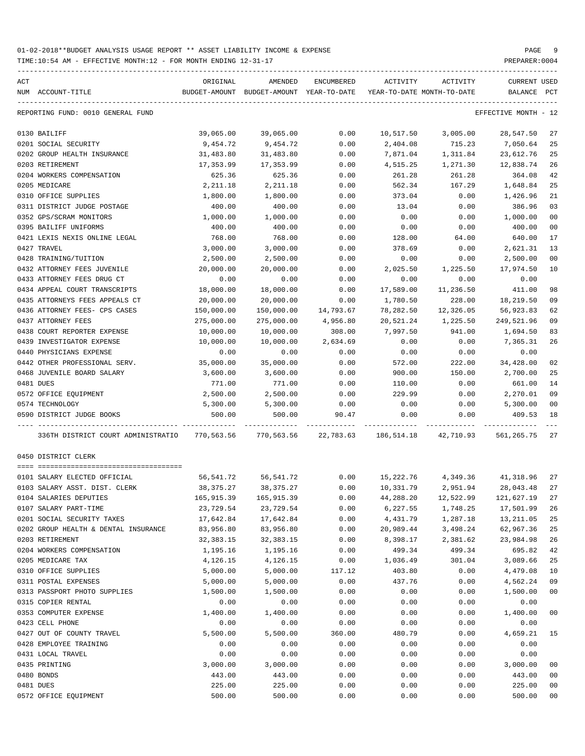| ACT |                                      | ORIGINAL    | AMENDED                                                      | ENCUMBERED | ACTIVITY                   | ACTIVITY                                  | CURRENT USED         |     |
|-----|--------------------------------------|-------------|--------------------------------------------------------------|------------|----------------------------|-------------------------------------------|----------------------|-----|
|     | NUM ACCOUNT-TITLE                    |             | BUDGET-AMOUNT BUDGET-AMOUNT YEAR-TO-DATE                     |            | YEAR-TO-DATE MONTH-TO-DATE |                                           | BALANCE              | PCT |
|     | REPORTING FUND: 0010 GENERAL FUND    |             |                                                              |            |                            |                                           | EFFECTIVE MONTH - 12 |     |
|     | 0130 BAILIFF                         | 39,065.00   | 39,065.00                                                    | 0.00       | 10,517.50                  | 3,005.00                                  | 28,547.50            | 27  |
|     | 0201 SOCIAL SECURITY                 | 9,454.72    | 9,454.72                                                     | 0.00       | 2,404.08                   | 715.23                                    | 7,050.64             | 25  |
|     | 0202 GROUP HEALTH INSURANCE          | 31,483.80   | 31,483.80                                                    | 0.00       | 7,871.04                   | 1,311.84                                  | 23,612.76            | 25  |
|     | 0203 RETIREMENT                      | 17,353.99   | 17,353.99                                                    | 0.00       | 4,515.25                   | 1,271.30                                  | 12,838.74            | 26  |
|     | 0204 WORKERS COMPENSATION            | 625.36      | 625.36                                                       | 0.00       | 261.28                     | 261.28                                    | 364.08               | 42  |
|     | 0205 MEDICARE                        | 2,211.18    | 2,211.18                                                     | 0.00       | 562.34                     | 167.29                                    | 1,648.84             | 25  |
|     | 0310 OFFICE SUPPLIES                 | 1,800.00    | 1,800.00                                                     | 0.00       | 373.04                     | 0.00                                      | 1,426.96             | 21  |
|     | 0311 DISTRICT JUDGE POSTAGE          | 400.00      | 400.00                                                       | 0.00       | 13.04                      | 0.00                                      | 386.96               | 03  |
|     | 0352 GPS/SCRAM MONITORS              | 1,000.00    | 1,000.00                                                     | 0.00       | 0.00                       | 0.00                                      | 1,000.00             | 00  |
|     | 0395 BAILIFF UNIFORMS                | 400.00      | 400.00                                                       | 0.00       | 0.00                       | 0.00                                      | 400.00               | 00  |
|     | 0421 LEXIS NEXIS ONLINE LEGAL        | 768.00      | 768.00                                                       | 0.00       | 128.00                     | 64.00                                     | 640.00               | 17  |
|     | 0427 TRAVEL                          | 3,000.00    | 3,000.00                                                     | 0.00       | 378.69                     | 0.00                                      | 2,621.31             | 13  |
|     | 0428 TRAINING/TUITION                | 2,500.00    | 2,500.00                                                     | 0.00       | 0.00                       | 0.00                                      | 2,500.00             | 00  |
|     | 0432 ATTORNEY FEES JUVENILE          | 20,000.00   | 20,000.00                                                    | 0.00       | 2,025.50                   | 1,225.50                                  | 17,974.50            | 10  |
|     | 0433 ATTORNEY FEES DRUG CT           | 0.00        | 0.00                                                         | 0.00       | 0.00                       | 0.00                                      | 0.00                 |     |
|     | 0434 APPEAL COURT TRANSCRIPTS        | 18,000.00   | 18,000.00                                                    | 0.00       | 17,589.00                  | 11,236.50                                 | 411.00               | 98  |
|     | 0435 ATTORNEYS FEES APPEALS CT       | 20,000.00   | 20,000.00                                                    | 0.00       | 1,780.50                   | 228.00                                    | 18,219.50            | 09  |
|     | 0436 ATTORNEY FEES- CPS CASES        | 150,000.00  | 150,000.00                                                   | 14,793.67  | 78,282.50                  | 12,326.05                                 | 56,923.83            | 62  |
|     | 0437 ATTORNEY FEES                   | 275,000.00  | 275,000.00                                                   | 4,956.80   | 20,521.24                  | 1,225.50                                  | 249,521.96           | 09  |
|     | 0438 COURT REPORTER EXPENSE          | 10,000.00   | 10,000.00                                                    | 308.00     | 7,997.50                   | 941.00                                    | 1,694.50             | 83  |
|     | 0439 INVESTIGATOR EXPENSE            | 10,000.00   | 10,000.00                                                    | 2,634.69   | 0.00                       | 0.00                                      | 7,365.31             | 26  |
|     | 0440 PHYSICIANS EXPENSE              | 0.00        | 0.00                                                         | 0.00       | 0.00                       | 0.00                                      | 0.00                 |     |
|     | 0442 OTHER PROFESSIONAL SERV.        | 35,000.00   | 35,000.00                                                    | 0.00       | 572.00                     | 222.00                                    | 34,428.00            | 02  |
|     | 0468 JUVENILE BOARD SALARY           | 3,600.00    | 3,600.00                                                     | 0.00       | 900.00                     | 150.00                                    | 2,700.00             | 25  |
|     | 0481 DUES                            | 771.00      | 771.00                                                       | 0.00       | 110.00                     | 0.00                                      | 661.00               | 14  |
|     | 0572 OFFICE EQUIPMENT                | 2,500.00    | 2,500.00                                                     | 0.00       | 229.99                     | 0.00                                      | 2,270.01             | 09  |
|     | 0574 TECHNOLOGY                      | 5,300.00    | 5,300.00                                                     | 0.00       | 0.00                       | 0.00                                      | 5,300.00             | 00  |
|     | 0590 DISTRICT JUDGE BOOKS            | 500.00      | 500.00                                                       | 90.47      | 0.00                       | 0.00                                      | 409.53               | 18  |
|     | 336TH DISTRICT COURT ADMINISTRATIO   |             | 770,563.56   770,563.56   22,783.63   186,514.18   42,710.93 |            |                            |                                           | 561, 265. 75 27      |     |
|     | 0450 DISTRICT CLERK                  |             |                                                              |            |                            |                                           |                      |     |
|     | 0101 SALARY ELECTED OFFICIAL         |             | 56,541.72 56,541.72                                          |            |                            | $0.00$ $15,222.76$ $4,349.36$ $41,318.96$ |                      | 27  |
|     | 0103 SALARY ASST. DIST. CLERK        | 38,375.27   | 38,375.27                                                    | 0.00       | 10,331.79                  |                                           | 2,951.94 28,043.48   | 27  |
|     | 0104 SALARIES DEPUTIES               | 165,915.39  | 165,915.39                                                   | 0.00       | 44,288.20                  | 12,522.99                                 | 121,627.19 27        |     |
|     | 0107 SALARY PART-TIME                | 23,729.54   | 23,729.54                                                    | 0.00       | 6,227.55                   | 1,748.25                                  | 17,501.99            | 26  |
|     | 0201 SOCIAL SECURITY TAXES           | 17,642.84   | 17,642.84                                                    | 0.00       | 4,431.79                   | 1,287.18                                  | 13,211.05            | 25  |
|     | 0202 GROUP HEALTH & DENTAL INSURANCE | 83,956.80   | 83,956.80                                                    | 0.00       | 20,989.44                  | 3,498.24                                  | 62,967.36            | 25  |
|     | 0203 RETIREMENT                      | 32, 383. 15 | 32, 383. 15                                                  | 0.00       | 8,398.17                   | 2,381.62                                  | 23,984.98            | 26  |
|     | 0204 WORKERS COMPENSATION            | 1,195.16    | 1,195.16                                                     | 0.00       | 499.34                     | 499.34                                    | 695.82               | 42  |
|     | 0205 MEDICARE TAX                    | 4,126.15    | 4,126.15                                                     | 0.00       | 1,036.49                   | 301.04                                    | 3,089.66             | 25  |
|     | 0310 OFFICE SUPPLIES                 | 5,000.00    | 5,000.00                                                     | 117.12     | 403.80                     | 0.00                                      | 4,479.08             | 10  |
|     | 0311 POSTAL EXPENSES                 | 5,000.00    | 5,000.00                                                     | 0.00       | 437.76                     | 0.00                                      | 4,562.24             | 09  |
|     | 0313 PASSPORT PHOTO SUPPLIES         | 1,500.00    | 1,500.00                                                     | 0.00       | 0.00                       | 0.00                                      | 1,500.00             | 00  |
|     | 0315 COPIER RENTAL                   | 0.00        | 0.00                                                         | 0.00       | 0.00                       | 0.00                                      | 0.00                 |     |
|     | 0353 COMPUTER EXPENSE                | 1,400.00    | 1,400.00                                                     | 0.00       | 0.00                       | 0.00                                      | 1,400.00             | 00  |
|     | 0423 CELL PHONE                      | 0.00        | 0.00                                                         | 0.00       | 0.00                       | 0.00                                      | 0.00                 |     |
|     | 0427 OUT OF COUNTY TRAVEL            | 5,500.00    | 5,500.00                                                     | 360.00     | 480.79                     | 0.00                                      | 4,659.21             | 15  |
|     | 0428 EMPLOYEE TRAINING               | 0.00        | 0.00                                                         | 0.00       | 0.00                       | 0.00                                      | 0.00                 |     |
|     | 0431 LOCAL TRAVEL                    | 0.00        | 0.00                                                         | 0.00       | 0.00                       | 0.00                                      | 0.00                 |     |
|     | 0435 PRINTING                        | 3,000.00    | 3,000.00                                                     | 0.00       | 0.00                       | 0.00                                      | 3,000.00             | 00  |
|     | 0480 BONDS                           | 443.00      | 443.00                                                       | 0.00       | 0.00                       | 0.00                                      | 443.00               | 00  |
|     | 0481 DUES                            | 225.00      | 225.00                                                       | 0.00       | 0.00                       | 0.00                                      | 225.00               | 00  |
|     | 0572 OFFICE EQUIPMENT                | 500.00      | 500.00                                                       | 0.00       | 0.00                       | 0.00                                      | 500.00               | 00  |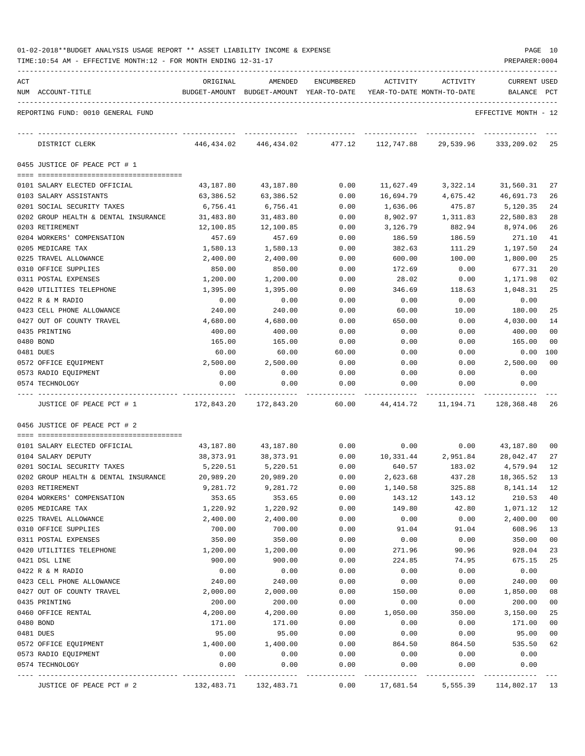| 01-02-2018**BUDGET ANALYSIS USAGE REPORT ** ASSET LIABILITY INCOME & EXPENSE |  |  |  | PAGE |  |
|------------------------------------------------------------------------------|--|--|--|------|--|
|                                                                              |  |  |  |      |  |

TIME:10:54 AM - EFFECTIVE MONTH:12 - FOR MONTH ENDING 12-31-17

|           | REPORTING FUND: 0010 GENERAL FUND            |                      |                      |              |                 |                |                      |                |
|-----------|----------------------------------------------|----------------------|----------------------|--------------|-----------------|----------------|----------------------|----------------|
|           |                                              |                      |                      |              |                 |                |                      |                |
|           |                                              |                      |                      |              |                 |                | EFFECTIVE MONTH - 12 |                |
|           | DISTRICT CLERK                               | 446,434.02           | 446,434.02           | 477.12       | 112,747.88      | 29,539.96      | 333, 209.02          | 25             |
|           | 0455 JUSTICE OF PEACE PCT # 1                |                      |                      |              |                 |                |                      |                |
|           |                                              |                      |                      |              |                 |                |                      |                |
|           | 0101 SALARY ELECTED OFFICIAL                 | 43,187.80            | 43,187.80            | 0.00         | 11,627.49       | 3,322.14       | 31,560.31            | 27             |
|           | 0103 SALARY ASSISTANTS                       | 63,386.52            | 63,386.52            | 0.00         | 16,694.79       | 4,675.42       | 46,691.73            | 26             |
|           | 0201 SOCIAL SECURITY TAXES                   | 6,756.41             | 6,756.41             | 0.00         | 1,636.06        | 475.87         | 5,120.35             | 24             |
|           | 0202 GROUP HEALTH & DENTAL INSURANCE         | 31,483.80            | 31,483.80            | 0.00         | 8,902.97        | 1,311.83       | 22,580.83            | 28             |
|           | 0203 RETIREMENT                              | 12,100.85            | 12,100.85            | 0.00         | 3,126.79        | 882.94         | 8,974.06             | 26             |
|           | 0204 WORKERS' COMPENSATION                   | 457.69               | 457.69               | 0.00         | 186.59          | 186.59         | 271.10               | 41             |
|           | 0205 MEDICARE TAX                            | 1,580.13             | 1,580.13             | 0.00         | 382.63          | 111.29         | 1,197.50             | 24             |
|           | 0225 TRAVEL ALLOWANCE                        | 2,400.00             | 2,400.00             | 0.00         | 600.00          | 100.00         | 1,800.00             | 25             |
|           | 0310 OFFICE SUPPLIES<br>0311 POSTAL EXPENSES | 850.00               | 850.00               | 0.00         | 172.69<br>28.02 | 0.00           | 677.31<br>1,171.98   | 20<br>02       |
|           | 0420 UTILITIES TELEPHONE                     | 1,200.00<br>1,395.00 | 1,200.00<br>1,395.00 | 0.00<br>0.00 | 346.69          | 0.00<br>118.63 | 1,048.31             | 25             |
|           | 0422 R & M RADIO                             | 0.00                 | 0.00                 | 0.00         | 0.00            | 0.00           | 0.00                 |                |
|           | 0423 CELL PHONE ALLOWANCE                    | 240.00               | 240.00               | 0.00         | 60.00           | 10.00          | 180.00               | 25             |
|           | 0427 OUT OF COUNTY TRAVEL                    | 4,680.00             | 4,680.00             | 0.00         | 650.00          | 0.00           | 4,030.00             | 14             |
|           | 0435 PRINTING                                | 400.00               | 400.00               | 0.00         | 0.00            | 0.00           | 400.00               | 00             |
| 0480 BOND |                                              | 165.00               | 165.00               | 0.00         | 0.00            | 0.00           | 165.00               | 0 <sub>0</sub> |
| 0481 DUES |                                              | 60.00                | 60.00                | 60.00        | 0.00            | 0.00           | 0.00                 | 100            |
|           | 0572 OFFICE EQUIPMENT                        | 2,500.00             | 2,500.00             | 0.00         | 0.00            | 0.00           | 2,500.00             | 00             |
|           | 0573 RADIO EQUIPMENT                         | 0.00                 | 0.00                 | 0.00         | 0.00            | 0.00           | 0.00                 |                |
|           | 0574 TECHNOLOGY                              | 0.00                 | 0.00                 | 0.00         | 0.00            | 0.00           | 0.00                 |                |
|           |                                              |                      |                      |              |                 |                |                      |                |
|           | JUSTICE OF PEACE PCT # 1                     | 172,843.20           | 172,843.20           | 60.00        | 44,414.72       | 11,194.71      | 128,368.48           | 26             |
|           | 0456 JUSTICE OF PEACE PCT # 2                |                      |                      |              |                 |                |                      |                |
|           | 0101 SALARY ELECTED OFFICIAL                 | 43,187.80            | 43,187.80            | 0.00         | 0.00            | 0.00           | 43,187.80            | 00             |
|           | 0104 SALARY DEPUTY                           | 38, 373.91           | 38,373.91            | 0.00         | 10,331.44       | 2,951.84       | 28,042.47            | 27             |
|           | 0201 SOCIAL SECURITY TAXES                   | 5,220.51             | 5,220.51             | 0.00         | 640.57          | 183.02         | 4,579.94             | 12             |
|           | 0202 GROUP HEALTH & DENTAL INSURANCE         | 20,989.20            | 20,989.20            | 0.00         | 2,623.68        | 437.28         | 18,365.52            | 13             |
|           | 0203 RETIREMENT                              | 9,281.72             | 9,281.72             | 0.00         | 1,140.58        | 325.88         | 8,141.14             | 12             |
|           | 0204 WORKERS' COMPENSATION                   | 353.65               | 353.65               | 0.00         | 143.12          | 143.12         | 210.53               | 40             |
|           | 0205 MEDICARE TAX                            | 1,220.92             | 1,220.92             | 0.00         | 149.80          | 42.80          | 1,071.12             | 12             |
|           | 0225 TRAVEL ALLOWANCE                        | 2,400.00             | 2,400.00             | 0.00         | 0.00            | 0.00           | 2,400.00             | 00             |
|           | 0310 OFFICE SUPPLIES                         | 700.00               | 700.00               | 0.00         | 91.04           | 91.04          | 608.96               | 13             |
|           | 0311 POSTAL EXPENSES                         | 350.00               | 350.00               | 0.00         | 0.00            | 0.00           | 350.00               | 00             |
|           | 0420 UTILITIES TELEPHONE                     | 1,200.00             | 1,200.00             | 0.00         | 271.96          | 90.96          | 928.04               | 23             |
|           | 0421 DSL LINE                                | 900.00               | 900.00               | 0.00         | 224.85          | 74.95          | 675.15               | 25             |
|           | 0422 R & M RADIO                             | 0.00                 | 0.00                 | 0.00         | 0.00            | 0.00           | 0.00                 |                |
|           | 0423 CELL PHONE ALLOWANCE                    | 240.00               | 240.00               | 0.00         | 0.00            | 0.00           | 240.00               | 00             |
|           | 0427 OUT OF COUNTY TRAVEL                    | 2,000.00             | 2,000.00             | 0.00         | 150.00          | 0.00           | 1,850.00             | 08             |
|           | 0435 PRINTING                                | 200.00               | 200.00               | 0.00         | 0.00            | 0.00           | 200.00               | 00             |
|           | 0460 OFFICE RENTAL                           | 4,200.00             | 4,200.00             | 0.00         | 1,050.00        | 350.00         | 3,150.00             | 25             |
| 0480 BOND |                                              | 171.00               | 171.00               | 0.00         | 0.00            | 0.00           | 171.00               | 00             |
| 0481 DUES |                                              | 95.00                | 95.00                | 0.00         | 0.00            | 0.00           | 95.00                | 00             |
|           | 0572 OFFICE EQUIPMENT                        | 1,400.00             | 1,400.00             | 0.00         | 864.50          | 864.50         | 535.50               | 62             |
|           | 0573 RADIO EQUIPMENT                         | 0.00                 | 0.00                 | 0.00         | 0.00            | 0.00           | 0.00                 |                |
|           | 0574 TECHNOLOGY                              | 0.00                 | 0.00                 | 0.00         | 0.00            | 0.00           | 0.00                 |                |

JUSTICE OF PEACE PCT # 2 132,483.71 132,483.71 0.00 17,681.54 5,555.39 114,802.17 13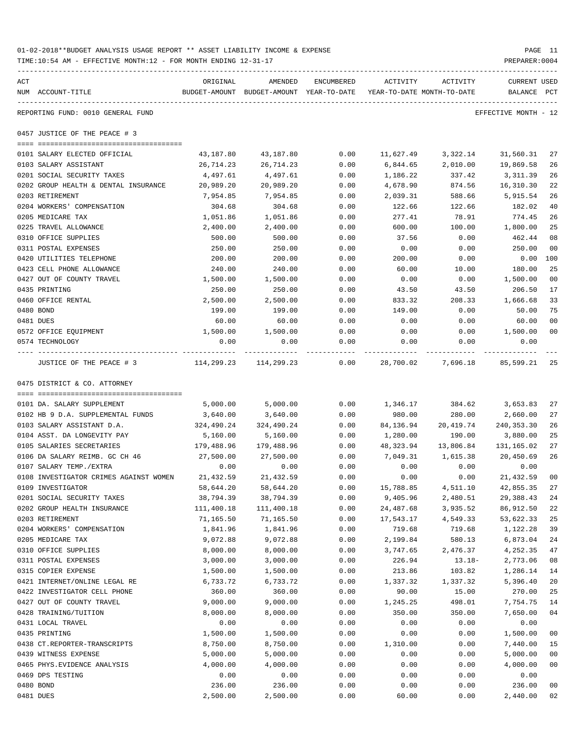| 01-02-2018**BUDGET ANALYSIS USAGE REPORT ** ASSET LIABILITY INCOME & EXPENSE | PAGE 11        |
|------------------------------------------------------------------------------|----------------|
| TIME:10:54 AM - EFFECTIVE MONTH:12 - FOR MONTH ENDING 12-31-17               | PREPARER: 0004 |

| ACT |                                                      | ORIGINAL                  | AMENDED                                  | ENCUMBERED            | ACTIVITY                   | ACTIVITY                        | CURRENT USED         |        |
|-----|------------------------------------------------------|---------------------------|------------------------------------------|-----------------------|----------------------------|---------------------------------|----------------------|--------|
|     | NUM ACCOUNT-TITLE                                    |                           | BUDGET-AMOUNT BUDGET-AMOUNT YEAR-TO-DATE |                       | YEAR-TO-DATE MONTH-TO-DATE |                                 | BALANCE PCT          |        |
|     | REPORTING FUND: 0010 GENERAL FUND                    |                           |                                          |                       |                            |                                 | EFFECTIVE MONTH - 12 |        |
|     | 0457 JUSTICE OF THE PEACE # 3                        |                           |                                          |                       |                            |                                 |                      |        |
|     | 0101 SALARY ELECTED OFFICIAL                         | 43,187.80                 | 43,187.80                                | 0.00                  | 11,627.49                  | 3,322.14                        | 31,560.31            | 27     |
|     | 0103 SALARY ASSISTANT                                | 26,714.23                 | 26,714.23                                | 0.00                  | 6,844.65                   | 2,010.00                        | 19,869.58            | 26     |
|     | 0201 SOCIAL SECURITY TAXES                           | 4,497.61                  | 4,497.61                                 | 0.00                  | 1,186.22                   | 337.42                          | 3,311.39             | 26     |
|     | 0202 GROUP HEALTH & DENTAL INSURANCE                 | 20,989.20                 | 20,989.20                                | 0.00                  | 4,678.90                   | 874.56                          | 16,310.30            | 22     |
|     | 0203 RETIREMENT                                      | 7,954.85                  | 7,954.85                                 | 0.00                  | 2,039.31                   | 588.66                          | 5,915.54             | 26     |
|     | 0204 WORKERS' COMPENSATION                           | 304.68                    | 304.68                                   | 0.00                  | 122.66                     | 122.66                          | 182.02               | 40     |
|     | 0205 MEDICARE TAX                                    | 1,051.86                  | 1,051.86                                 | 0.00                  | 277.41                     | 78.91                           | 774.45               | 26     |
|     | 0225 TRAVEL ALLOWANCE                                | 2,400.00                  | 2,400.00                                 | 0.00                  | 600.00                     | 100.00                          | 1,800.00             | 25     |
|     | 0310 OFFICE SUPPLIES                                 | 500.00                    | 500.00                                   | 0.00                  | 37.56                      | 0.00                            | 462.44               | 08     |
|     | 0311 POSTAL EXPENSES                                 | 250.00                    | 250.00                                   | 0.00                  | 0.00                       | 0.00                            | 250.00               | 00     |
|     | 0420 UTILITIES TELEPHONE                             | 200.00                    | 200.00                                   | 0.00                  | 200.00                     | 0.00                            | 0.00                 | 100    |
|     | 0423 CELL PHONE ALLOWANCE                            | 240.00                    | 240.00                                   | 0.00                  | 60.00                      | 10.00                           | 180.00               | 25     |
|     | 0427 OUT OF COUNTY TRAVEL                            | 1,500.00                  | 1,500.00                                 | 0.00                  | 0.00                       | 0.00                            | 1,500.00             | 00     |
|     | 0435 PRINTING                                        | 250.00                    | 250.00                                   | 0.00                  | 43.50                      | 43.50                           | 206.50               | 17     |
|     | 0460 OFFICE RENTAL                                   | 2,500.00                  | 2,500.00                                 | 0.00                  | 833.32                     | 208.33                          | 1,666.68             | 33     |
|     | 0480 BOND                                            | 199.00                    | 199.00                                   | 0.00                  | 149.00                     | 0.00                            | 50.00                | 75     |
|     | 0481 DUES                                            | 60.00                     | 60.00                                    | 0.00                  | 0.00                       | 0.00                            | 60.00                | $00\,$ |
|     | 0572 OFFICE EQUIPMENT                                | 1,500.00                  | 1,500.00                                 | 0.00                  | 0.00                       | 0.00                            | 1,500.00             | 00     |
|     | 0574 TECHNOLOGY                                      | 0.00                      | 0.00                                     | 0.00                  | 0.00                       | 0.00                            | 0.00<br>-----------  |        |
|     | ---- -------------------<br>JUSTICE OF THE PEACE # 3 | $114,299.23$ $114,299.23$ |                                          | -------------<br>0.00 |                            | 28,700.02 7,696.18 85,599.21 25 |                      |        |
|     | 0475 DISTRICT & CO. ATTORNEY                         |                           |                                          |                       |                            |                                 |                      |        |
|     |                                                      |                           |                                          |                       |                            |                                 |                      |        |
|     | 0101 DA. SALARY SUPPLEMENT                           | 5,000.00                  | 5,000.00                                 | 0.00                  |                            | 1,346.17 384.62                 | 3,653.83             | 27     |
|     | 0102 HB 9 D.A. SUPPLEMENTAL FUNDS                    | 3,640.00                  | 3,640.00                                 | 0.00                  | 980.00                     | 280.00                          | 2,660.00             | 27     |
|     | 0103 SALARY ASSISTANT D.A.                           | 324,490.24                | 324,490.24                               | 0.00                  | 84,136.94                  | 20,419.74                       | 240,353.30           | 26     |
|     | 0104 ASST. DA LONGEVITY PAY                          | 5,160.00                  | 5,160.00                                 | 0.00                  | 1,280.00                   | 190.00                          | 3,880.00             | 25     |
|     | 0105 SALARIES SECRETARIES                            | 179,488.96                | 179,488.96                               | 0.00                  | 48,323.94                  | 13,806.84                       | 131,165.02           | 27     |
|     | 0106 DA SALARY REIMB. GC CH 46                       | 27,500.00                 | 27,500.00                                | 0.00                  | 7,049.31                   | 1,615.38                        | 20,450.69            | 26     |
|     | 0107 SALARY TEMP./EXTRA                              | 0.00                      | 0.00                                     | 0.00                  | 0.00                       | 0.00                            | 0.00                 |        |
|     | 0108 INVESTIGATOR CRIMES AGAINST WOMEN               | 21,432.59                 | 21,432.59                                | 0.00                  | 0.00                       | 0.00                            | 21,432.59            | $00\,$ |
|     | 0109 INVESTIGATOR                                    | 58,644.20                 | 58,644.20                                | 0.00                  | 15,788.85                  | 4,511.10                        | 42,855.35            | 27     |
|     | 0201 SOCIAL SECURITY TAXES                           | 38,794.39                 | 38,794.39                                | 0.00                  | 9,405.96                   | 2,480.51                        | 29, 388. 43 24       |        |
|     | 0202 GROUP HEALTH INSURANCE                          | 111,400.18                | 111,400.18                               | 0.00                  | 24,487.68                  | 3,935.52                        | 86, 912.50           | 22     |
|     | 0203 RETIREMENT                                      | 71,165.50                 | 71,165.50                                | 0.00                  | 17,543.17                  | 4,549.33                        | 53,622.33            | 25     |
|     | 0204 WORKERS' COMPENSATION                           | 1,841.96                  | 1,841.96                                 | 0.00                  | 719.68                     | 719.68                          | 1,122.28             | 39     |
|     | 0205 MEDICARE TAX                                    | 9,072.88                  | 9,072.88                                 | 0.00                  | 2,199.84                   | 580.13                          | 6,873.04             | 24     |
|     | 0310 OFFICE SUPPLIES                                 | 8,000.00                  | 8,000.00                                 | 0.00                  | 3,747.65                   | 2,476.37                        | 4,252.35             | 47     |
|     | 0311 POSTAL EXPENSES                                 | 3,000.00                  | 3,000.00                                 | 0.00                  | 226.94                     | 13.18-                          | 2,773.06             | 08     |
|     | 0315 COPIER EXPENSE                                  | 1,500.00                  | 1,500.00                                 | 0.00                  | 213.86                     | 103.82                          | 1,286.14             | 14     |
|     | 0421 INTERNET/ONLINE LEGAL RE                        | 6,733.72                  | 6,733.72                                 | 0.00                  | 1,337.32                   | 1,337.32                        | 5,396.40             | 20     |
|     | 0422 INVESTIGATOR CELL PHONE                         | 360.00                    | 360.00                                   | 0.00                  | 90.00                      | 15.00                           | 270.00               | 25     |
|     | 0427 OUT OF COUNTY TRAVEL                            | 9,000.00                  | 9,000.00                                 | 0.00                  | 1,245.25                   | 498.01                          | 7,754.75             | 14     |
|     | 0428 TRAINING/TUITION                                | 8,000.00                  | 8,000.00                                 | 0.00                  | 350.00                     | 350.00                          | 7,650.00             | 04     |
|     | 0431 LOCAL TRAVEL                                    | 0.00                      | 0.00                                     | 0.00                  | 0.00                       | 0.00                            | 0.00                 |        |
|     | 0435 PRINTING                                        | 1,500.00                  | 1,500.00                                 | 0.00                  | 0.00                       | 0.00                            | 1,500.00             | 00     |
|     | 0438 CT.REPORTER-TRANSCRIPTS                         | 8,750.00                  | 8,750.00                                 | 0.00                  | 1,310.00                   | 0.00                            | 7,440.00             | 15     |
|     | 0439 WITNESS EXPENSE                                 | 5,000.00                  | 5,000.00                                 | 0.00                  | 0.00                       | 0.00                            | 5,000.00             | 00     |
|     | 0465 PHYS. EVIDENCE ANALYSIS                         | 4,000.00                  | 4,000.00                                 | 0.00                  | 0.00                       | 0.00                            | 4,000.00             | 00     |
|     | 0469 DPS TESTING                                     | 0.00                      | 0.00                                     | 0.00                  | 0.00                       | 0.00                            | 0.00                 |        |
|     | 0480 BOND                                            | 236.00                    | 236.00                                   | 0.00                  | 0.00                       | 0.00                            | 236.00               | 00     |
|     | 0481 DUES                                            | 2,500.00                  | 2,500.00                                 | 0.00                  | 60.00                      | 0.00                            | 2,440.00             | 02     |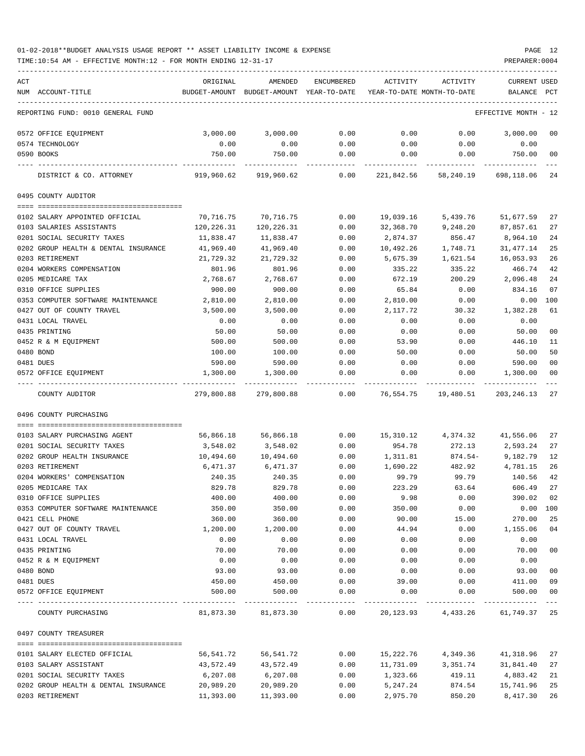| ACT                                  | ORIGINAL      | AMENDED       | <b>ENCUMBERED</b> | ACTIVITY   | ACTIVITY                        | <b>CURRENT USED</b>  |        |
|--------------------------------------|---------------|---------------|-------------------|------------|---------------------------------|----------------------|--------|
| NUM ACCOUNT-TITLE                    | BUDGET-AMOUNT | BUDGET-AMOUNT | YEAR-TO-DATE      |            | YEAR-TO-DATE MONTH-TO-DATE      | BALANCE              | PCT    |
| REPORTING FUND: 0010 GENERAL FUND    |               |               |                   |            |                                 | EFFECTIVE MONTH - 12 |        |
| 0572 OFFICE EQUIPMENT                | 3,000.00      | 3,000.00      | 0.00              | 0.00       | 0.00                            | 3,000.00             | 00     |
| 0574 TECHNOLOGY                      | 0.00          | 0.00          | 0.00              | 0.00       | 0.00                            | 0.00                 |        |
| 0590 BOOKS                           | 750.00        | 750.00        | 0.00              | 0.00       | 0.00                            | 750.00               | 00     |
| DISTRICT & CO. ATTORNEY              | 919,960.62    | 919,960.62    | 0.00              | 221,842.56 | 58,240.19                       | 698,118.06           | 24     |
| 0495 COUNTY AUDITOR                  |               |               |                   |            |                                 |                      |        |
| 0102 SALARY APPOINTED OFFICIAL       | 70,716.75     | 70,716.75     | 0.00              | 19,039.16  | 5,439.76                        | 51,677.59            | 27     |
| 0103 SALARIES ASSISTANTS             | 120,226.31    | 120,226.31    | 0.00              | 32,368.70  | 9,248.20                        | 87,857.61            | 27     |
| 0201 SOCIAL SECURITY TAXES           | 11,838.47     | 11,838.47     | 0.00              | 2,874.37   | 856.47                          | 8,964.10             | 24     |
| 0202 GROUP HEALTH & DENTAL INSURANCE | 41,969.40     | 41,969.40     | 0.00              | 10,492.26  | 1,748.71                        | 31, 477.14           | 25     |
| 0203 RETIREMENT                      | 21,729.32     | 21,729.32     | 0.00              | 5,675.39   | 1,621.54                        | 16,053.93            | 26     |
| 0204 WORKERS COMPENSATION            | 801.96        | 801.96        | 0.00              | 335.22     | 335.22                          | 466.74               | 42     |
| 0205 MEDICARE TAX                    | 2,768.67      | 2,768.67      | 0.00              | 672.19     | 200.29                          | 2,096.48             | 24     |
| 0310 OFFICE SUPPLIES                 | 900.00        | 900.00        | 0.00              | 65.84      | 0.00                            | 834.16               | 07     |
| 0353 COMPUTER SOFTWARE MAINTENANCE   | 2,810.00      | 2,810.00      | 0.00              | 2,810.00   | 0.00                            | 0.00                 | 100    |
| 0427 OUT OF COUNTY TRAVEL            | 3,500.00      | 3,500.00      | 0.00              | 2,117.72   | 30.32                           | 1,382.28             | 61     |
| 0431 LOCAL TRAVEL                    | 0.00          | 0.00          | 0.00              | 0.00       | 0.00                            | 0.00                 |        |
| 0435 PRINTING                        | 50.00         | 50.00         | 0.00              | 0.00       | 0.00                            | 50.00                | 00     |
| 0452 R & M EQUIPMENT                 | 500.00        | 500.00        | 0.00              | 53.90      | 0.00                            | 446.10               | 11     |
| 0480 BOND                            | 100.00        | 100.00        | 0.00              | 50.00      | 0.00                            | 50.00                | 50     |
| 0481 DUES                            | 590.00        | 590.00        | 0.00              | 0.00       | 0.00                            | 590.00               | 00     |
| 0572 OFFICE EQUIPMENT                | 1,300.00      | 1,300.00      | 0.00              | 0.00       | 0.00                            | 1,300.00             | 00     |
| COUNTY AUDITOR                       | 279,800.88    | 279,800.88    | 0.00              | 76,554.75  | 19,480.51                       | 203, 246. 13         | 27     |
| 0496 COUNTY PURCHASING               |               |               |                   |            |                                 |                      |        |
|                                      |               |               |                   |            |                                 |                      |        |
| 0103 SALARY PURCHASING AGENT         | 56,866.18     | 56,866.18     | 0.00              | 15,310.12  | 4,374.32                        | 41,556.06            | 27     |
| 0201 SOCIAL SECURITY TAXES           | 3,548.02      | 3,548.02      | 0.00              | 954.78     | 272.13                          | 2,593.24             | 27     |
| 0202 GROUP HEALTH INSURANCE          | 10,494.60     | 10,494.60     | 0.00              | 1,311.81   | $874.54-$                       | 9,182.79             | 12     |
| 0203 RETIREMENT                      | 6,471.37      | 6,471.37      | 0.00              | 1,690.22   | 482.92                          | 4,781.15             | 26     |
| 0204 WORKERS' COMPENSATION           | 240.35        | 240.35        | 0.00              | 99.79      | 99.79                           | 140.56               | 42     |
| 0205 MEDICARE TAX                    | 829.78        | 829.78        | 0.00              | 223.29     | 63.64                           | 606.49               | 27     |
| 0310 OFFICE SUPPLIES                 | 400.00        | 400.00        | 0.00              | 9.98       | 0.00                            | 390.02               | 02     |
| 0353 COMPUTER SOFTWARE MAINTENANCE   | 350.00        | 350.00        | 0.00              | 350.00     | 0.00                            | 0.00 100             |        |
| 0421 CELL PHONE                      | 360.00        | 360.00        | 0.00              | 90.00      | 15.00                           | 270.00               | 25     |
| 0427 OUT OF COUNTY TRAVEL            | 1,200.00      | 1,200.00      | 0.00              | 44.94      | 0.00                            | 1,155.06             | 04     |
| 0431 LOCAL TRAVEL                    | 0.00          | 0.00          | 0.00              | 0.00       | 0.00                            | 0.00                 |        |
| 0435 PRINTING                        | 70.00         | 70.00         | 0.00              | 0.00       | 0.00                            | 70.00                | $00\,$ |
| 0452 R & M EQUIPMENT                 | 0.00          | 0.00          | 0.00              | 0.00       | 0.00                            | 0.00                 |        |
| 0480 BOND                            | 93.00         | 93.00         | 0.00              | 0.00       | 0.00                            | 93.00                | $00\,$ |
| 0481 DUES                            | 450.00        | 450.00        | 0.00              | 39.00      | 0.00                            | 411.00               | 09     |
| 0572 OFFICE EQUIPMENT                | 500.00        | 500.00        | 0.00              | 0.00       | 0.00                            | 500.00               | 00     |
| COUNTY PURCHASING                    | 81,873.30     | 81,873.30     | 0.00              |            | 20, 123.93 4, 433.26 61, 749.37 |                      | 25     |
| 0497 COUNTY TREASURER                |               |               |                   |            |                                 |                      |        |
|                                      |               |               |                   |            |                                 |                      |        |
| 0101 SALARY ELECTED OFFICIAL         | 56,541.72     | 56,541.72     | 0.00              | 15,222.76  |                                 | 4, 349.36 41, 318.96 | 27     |
| 0103 SALARY ASSISTANT                | 43,572.49     | 43,572.49     | 0.00              | 11,731.09  | 3,351.74                        | 31,841.40            | 27     |
| 0201 SOCIAL SECURITY TAXES           | 6,207.08      | 6,207.08      | 0.00              | 1,323.66   | 419.11                          | 4,883.42             | 21     |
| 0202 GROUP HEALTH & DENTAL INSURANCE | 20,989.20     | 20,989.20     | 0.00              | 5,247.24   | 874.54                          | 15,741.96            | 25     |
| 0203 RETIREMENT                      | 11,393.00     | 11,393.00     | 0.00              | 2,975.70   | 850.20                          | 8,417.30             | 26     |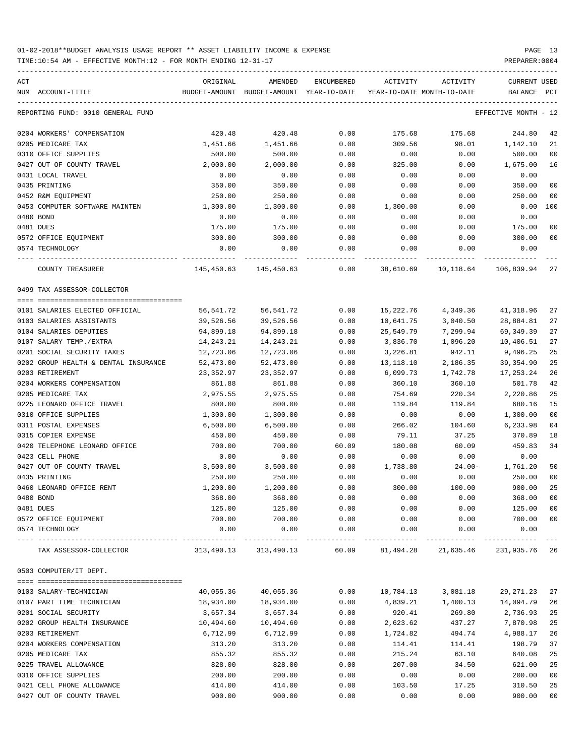TIME:10:54 AM - EFFECTIVE MONTH:12 - FOR MONTH ENDING 12-31-17 PREPARER:0004

| ACT<br>NUM ACCOUNT-TITLE             | ORIGINAL   | AMENDED<br>BUDGET-AMOUNT BUDGET-AMOUNT YEAR-TO-DATE | ENCUMBERED            | ACTIVITY<br>YEAR-TO-DATE MONTH-TO-DATE | ACTIVITY                                          | CURRENT USED<br>BALANCE PCT |                |
|--------------------------------------|------------|-----------------------------------------------------|-----------------------|----------------------------------------|---------------------------------------------------|-----------------------------|----------------|
| REPORTING FUND: 0010 GENERAL FUND    |            |                                                     |                       |                                        |                                                   | EFFECTIVE MONTH - 12        |                |
| 0204 WORKERS' COMPENSATION           | 420.48     | 420.48                                              | 0.00                  | 175.68                                 | 175.68                                            | 244.80                      | 42             |
| 0205 MEDICARE TAX                    | 1,451.66   | 1,451.66                                            | 0.00                  | 309.56                                 | 98.01                                             | 1,142.10                    | 21             |
| 0310 OFFICE SUPPLIES                 | 500.00     | 500.00                                              | 0.00                  | 0.00                                   | 0.00                                              | 500.00                      | 0 <sub>0</sub> |
| 0427 OUT OF COUNTY TRAVEL            | 2,000.00   | 2,000.00                                            | 0.00                  | 325.00                                 | 0.00                                              | 1,675.00                    | 16             |
| 0431 LOCAL TRAVEL                    | 0.00       | 0.00                                                | 0.00                  | 0.00                                   | 0.00                                              | 0.00                        |                |
| 0435 PRINTING                        | 350.00     | 350.00                                              | 0.00                  | 0.00                                   | 0.00                                              | 350.00                      | 0 <sub>0</sub> |
| 0452 R&M EQUIPMENT                   | 250.00     | 250.00                                              | 0.00                  | 0.00                                   | 0.00                                              | 250.00                      | 0 <sub>0</sub> |
| 0453 COMPUTER SOFTWARE MAINTEN       | 1,300.00   | 1,300.00                                            | 0.00                  | 1,300.00                               | 0.00                                              | $0.00$ 100                  |                |
| 0480 BOND                            | 0.00       | 0.00                                                | 0.00                  | 0.00                                   | 0.00                                              | 0.00                        |                |
| 0481 DUES                            | 175.00     | 175.00                                              | 0.00                  | 0.00                                   | 0.00                                              | 175.00                      | 0 <sub>0</sub> |
| 0572 OFFICE EQUIPMENT                | 300.00     | 300.00                                              | 0.00                  | 0.00                                   | 0.00                                              | 300.00                      | 0 <sub>0</sub> |
| 0574 TECHNOLOGY                      | 0.00       | 0.00                                                | 0.00                  | 0.00                                   | 0.00                                              | 0.00                        |                |
| COUNTY TREASURER                     |            | 145,450.63 145,450.63                               | 0.00                  |                                        | 38,610.69    10,118.64    106,839.94              |                             | 27             |
| 0499 TAX ASSESSOR-COLLECTOR          |            |                                                     |                       |                                        |                                                   |                             |                |
| 0101 SALARIES ELECTED OFFICIAL       | 56,541.72  | 56,541.72                                           | 0.00                  | 15,222.76                              | 4,349.36                                          | 41,318.96                   | 27             |
| 0103 SALARIES ASSISTANTS             | 39,526.56  | 39,526.56                                           | 0.00                  | 10,641.75                              | 3,040.50                                          | 28,884.81                   | 27             |
| 0104 SALARIES DEPUTIES               | 94,899.18  | 94,899.18                                           | 0.00                  | 25,549.79                              | 7,299.94                                          | 69, 349.39                  | 27             |
| 0107 SALARY TEMP./EXTRA              | 14,243.21  | 14,243.21                                           | 0.00                  | 3,836.70                               | 1,096.20                                          | 10,406.51                   | 27             |
| 0201 SOCIAL SECURITY TAXES           | 12,723.06  | 12,723.06                                           | 0.00                  | 3,226.81                               | 942.11                                            | 9,496.25                    | 25             |
| 0202 GROUP HEALTH & DENTAL INSURANCE | 52,473.00  | 52,473.00                                           | 0.00                  | 13,118.10                              | 2,186.35                                          | 39,354.90                   | 25             |
| 0203 RETIREMENT                      | 23,352.97  | 23,352.97                                           | 0.00                  | 6,099.73                               | 1,742.78                                          | 17,253.24                   | 26             |
| 0204 WORKERS COMPENSATION            | 861.88     | 861.88                                              | 0.00                  | 360.10                                 | 360.10                                            | 501.78                      | 42             |
| 0205 MEDICARE TAX                    | 2,975.55   | 2,975.55                                            | 0.00                  | 754.69                                 | 220.34                                            | 2,220.86                    | 25             |
| 0225 LEONARD OFFICE TRAVEL           | 800.00     | 800.00                                              | 0.00                  | 119.84                                 | 119.84                                            | 680.16                      | 15             |
| 0310 OFFICE SUPPLIES                 | 1,300.00   | 1,300.00                                            | 0.00                  | 0.00                                   | 0.00                                              | 1,300.00                    | 0 <sub>0</sub> |
| 0311 POSTAL EXPENSES                 | 6,500.00   | 6,500.00                                            | 0.00                  | 266.02                                 | 104.60                                            | 6,233.98                    | 0 <sub>4</sub> |
| 0315 COPIER EXPENSE                  | 450.00     | 450.00                                              | 0.00                  | 79.11                                  | 37.25                                             | 370.89                      | 18             |
| 0420 TELEPHONE LEONARD OFFICE        | 700.00     | 700.00                                              | 60.09                 | 180.08                                 | 60.09                                             | 459.83                      | 34             |
| 0423 CELL PHONE                      | 0.00       | 0.00                                                | 0.00                  | 0.00                                   | 0.00                                              | 0.00                        |                |
| 0427 OUT OF COUNTY TRAVEL            | 3,500.00   | 3,500.00                                            | 0.00                  | 1,738.80                               | 24.00-                                            | 1,761.20                    | 50             |
| 0435 PRINTING                        | 250.00     | 250.00                                              | 0.00                  | 0.00                                   | 0.00                                              | 250.00                      | 0 <sub>0</sub> |
| 0460 LEONARD OFFICE RENT             | 1,200.00   | 1,200.00                                            | 0.00                  | 300.00                                 | 100.00                                            | 900.00                      | 25             |
| 0480 BOND                            | 368.00     | 368.00                                              | 0.00                  | 0.00                                   | 0.00                                              | 368.00                      | 0 <sub>0</sub> |
| 0481 DUES                            | 125.00     | 125.00                                              | 0.00                  | 0.00                                   | 0.00                                              | 125.00                      | 0 <sub>0</sub> |
| 0572 OFFICE EQUIPMENT                | 700.00     | 700.00                                              | 0.00                  | 0.00                                   | 0.00                                              | 700.00                      | 0 <sub>0</sub> |
| 0574 TECHNOLOGY                      | 0.00       | 0.00                                                | 0.00                  | 0.00                                   | 0.00                                              | 0.00                        |                |
| TAX ASSESSOR-COLLECTOR               | 313,490.13 | 313,490.13                                          | ------------<br>60.09 | -----------                            | ------------<br>81,494.28 21,635.46 231,935.76 26 |                             |                |
| 0503 COMPUTER/IT DEPT.               |            |                                                     |                       |                                        |                                                   |                             |                |
| 0103 SALARY-TECHNICIAN               | 40,055.36  | 40,055.36                                           | 0.00                  | 10,784.13                              | 3,081.18                                          | 29, 271. 23                 | 27             |
| 0107 PART TIME TECHNICIAN            | 18,934.00  | 18,934.00                                           | 0.00                  | 4,839.21                               | 1,400.13                                          | 14,094.79                   | 26             |
| 0201 SOCIAL SECURITY                 | 3,657.34   | 3,657.34                                            | 0.00                  | 920.41                                 | 269.80                                            | 2,736.93                    | 25             |
| 0202 GROUP HEALTH INSURANCE          | 10,494.60  | 10,494.60                                           | 0.00                  | 2,623.62                               | 437.27                                            | 7,870.98                    | 25             |
| 0203 RETIREMENT                      | 6,712.99   | 6,712.99                                            | 0.00                  | 1,724.82                               | 494.74                                            | 4,988.17                    | 26             |
| 0204 WORKERS COMPENSATION            | 313.20     | 313.20                                              | 0.00                  | 114.41                                 | 114.41                                            | 198.79                      | 37             |
| 0205 MEDICARE TAX                    | 855.32     | 855.32                                              | 0.00                  | 215.24                                 | 63.10                                             | 640.08                      | 25             |
| 0225 TRAVEL ALLOWANCE                | 828.00     | 828.00                                              | 0.00                  | 207.00                                 | 34.50                                             | 621.00                      | 25             |
| 0310 OFFICE SUPPLIES                 | 200.00     | 200.00                                              | 0.00                  | 0.00                                   | 0.00                                              | 200.00                      | 0 <sub>0</sub> |
| 0421 CELL PHONE ALLOWANCE            | 414.00     | 414.00                                              | 0.00                  | 103.50                                 | 17.25                                             | 310.50                      | 25             |
|                                      |            |                                                     |                       |                                        |                                                   |                             |                |

0427 OUT OF COUNTY TRAVEL 900.00 900.00 0.00 0.00 0.00 900.00 00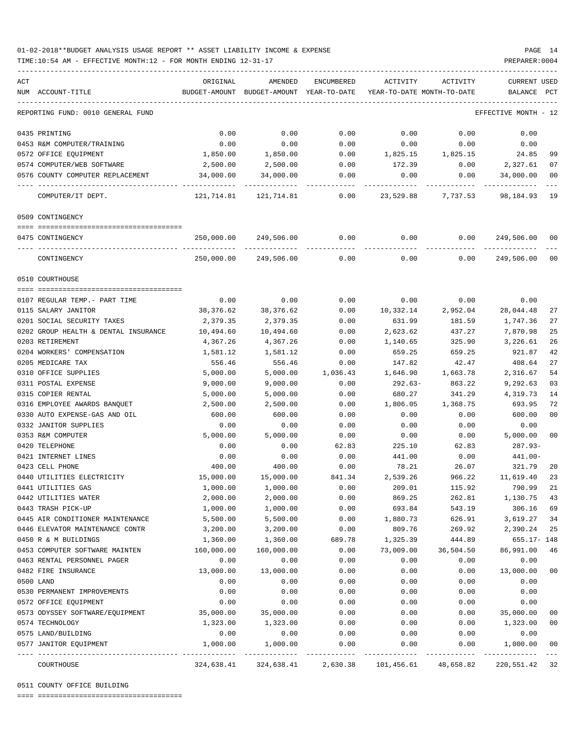TIME:10:54 AM - EFFECTIVE MONTH:12 - FOR MONTH ENDING 12-31-17 PREPARER:0004

| ACT<br>NUM ACCOUNT-TITLE                         | ORIGINAL              | AMENDED<br>BUDGET-AMOUNT BUDGET-AMOUNT YEAR-TO-DATE | ENCUMBERED           | YEAR-TO-DATE MONTH-TO-DATE | ACTIVITY ACTIVITY  | CURRENT USED<br>BALANCE PCT |                |
|--------------------------------------------------|-----------------------|-----------------------------------------------------|----------------------|----------------------------|--------------------|-----------------------------|----------------|
| REPORTING FUND: 0010 GENERAL FUND                |                       |                                                     |                      |                            |                    | EFFECTIVE MONTH - 12        |                |
| 0435 PRINTING                                    | 0.00                  | 0.00                                                | 0.00                 | 0.00                       | 0.00               | 0.00                        |                |
| 0453 R&M COMPUTER/TRAINING                       | 0.00                  | 0.00                                                | 0.00                 | 0.00                       | 0.00               | 0.00                        |                |
| 0572 OFFICE EQUIPMENT                            | 1,850.00              | 1,850.00                                            | 0.00                 |                            | 1,825.15 1,825.15  | 24.85                       | 99             |
| 0574 COMPUTER/WEB SOFTWARE                       | 2,500.00              | 2,500.00                                            | 0.00                 | 172.39                     | 0.00               | 2,327.61                    | 07             |
| 0576 COUNTY COMPUTER REPLACEMENT                 | 34,000.00             | 34,000.00                                           | 0.00                 | 0.00                       | 0.00               | 34,000.00                   | 00             |
| COMPUTER/IT DEPT.                                |                       |                                                     |                      |                            | 23,529.88 7,737.53 | 98,184.93                   | 19             |
| 0509 CONTINGENCY                                 |                       |                                                     |                      |                            |                    |                             |                |
| 0475 CONTINGENCY                                 |                       | 250,000.00 249,506.00                               | 0.00                 | 0.00                       | 0.00               | 249,506.00                  | 00             |
| CONTINGENCY                                      |                       | 250,000.00 249,506.00                               | ------------<br>0.00 | 0.00                       | 0.00               | 249,506.00                  | 0 <sup>0</sup> |
| 0510 COURTHOUSE                                  |                       |                                                     |                      |                            |                    |                             |                |
|                                                  |                       |                                                     |                      |                            |                    |                             |                |
| 0107 REGULAR TEMP. - PART TIME                   | 0.00                  | 0.00                                                | 0.00                 | 0.00                       | 0.00               | 0.00                        |                |
| 0115 SALARY JANITOR                              | 38,376.62             | 38,376.62                                           | 0.00                 | 10,332.14                  | 2,952.04           | 28,044.48                   | 27             |
| 0201 SOCIAL SECURITY TAXES                       | 2,379.35              | 2,379.35                                            | 0.00                 | 631.99                     | 181.59             | 1,747.36                    | 27             |
| 0202 GROUP HEALTH & DENTAL INSURANCE             | 10,494.60             | 10,494.60                                           | 0.00                 | 2,623.62                   | 437.27             | 7,870.98                    | 25             |
| 0203 RETIREMENT                                  | 4,367.26              | 4,367.26                                            | 0.00                 | 1,140.65                   | 325.90             | 3,226.61                    | 26             |
| 0204 WORKERS' COMPENSATION                       | 1,581.12              | 1,581.12                                            | 0.00                 | 659.25                     | 659.25             | 921.87                      | 42             |
| 0205 MEDICARE TAX                                | 556.46                | 556.46                                              | 0.00                 | 147.82                     | 42.47              | 408.64                      | 27             |
| 0310 OFFICE SUPPLIES                             | 5,000.00              | 5,000.00                                            | 1,036.43             | 1,646.90                   | 1,663.78           | 2,316.67                    | 54             |
| 0311 POSTAL EXPENSE                              | 9,000.00              | 9,000.00                                            | 0.00                 | 292.63-                    | 863.22             | 9,292.63                    | 03             |
| 0315 COPIER RENTAL                               | 5,000.00              | 5,000.00                                            | 0.00                 | 680.27                     | 341.29             | 4,319.73                    | 14             |
| 0316 EMPLOYEE AWARDS BANQUET                     | 2,500.00              | 2,500.00                                            | 0.00                 | 1,806.05                   | 1,368.75           | 693.95                      | 72             |
| 0330 AUTO EXPENSE-GAS AND OIL                    | 600.00                | 600.00                                              | 0.00                 | 0.00                       | 0.00               | 600.00                      | 0 <sub>0</sub> |
| 0332 JANITOR SUPPLIES                            | 0.00                  | 0.00                                                | 0.00                 | 0.00                       | 0.00               | 0.00                        |                |
| 0353 R&M COMPUTER                                | 5,000.00              | 5,000.00                                            | 0.00                 | 0.00                       | 0.00               | 5,000.00                    | 0 <sub>0</sub> |
| 0420 TELEPHONE                                   | 0.00                  | 0.00                                                | 62.83                | 225.10                     | 62.83              | 287.93-                     |                |
| 0421 INTERNET LINES                              | 0.00                  | 0.00                                                | 0.00                 | 441.00                     | 0.00               | 441.00-                     |                |
| 0423 CELL PHONE                                  | 400.00                | 400.00<br>15,000.00                                 | 0.00                 | 78.21                      | 26.07              | 321.79                      | 20             |
| 0440 UTILITIES ELECTRICITY<br>0441 UTILITIES GAS | 15,000.00<br>1,000.00 | 1,000.00                                            | 841.34<br>0.00       | 2,539.26<br>209.01         | 966.22<br>115.92   | 11,619.40<br>790.99         | 23<br>21       |
| 0442 UTILITIES WATER                             | 2,000.00              | 2,000.00                                            | 0.00                 | 869.25                     | 262.81             | 1,130.75                    | 43             |
| 0443 TRASH PICK-UP                               | 1,000.00              | 1,000.00                                            | 0.00                 | 693.84                     | 543.19             | 306.16                      | 69             |
| 0445 AIR CONDITIONER MAINTENANCE                 | 5,500.00              | 5,500.00                                            | 0.00                 | 1,880.73                   | 626.91             | 3,619.27                    | 34             |
| 0446 ELEVATOR MAINTENANCE CONTR                  | 3,200.00              | 3,200.00                                            | 0.00                 | 809.76                     | 269.92             | 2,390.24                    | 25             |
| 0450 R & M BUILDINGS                             | 1,360.00              | 1,360.00                                            | 689.78               | 1,325.39                   | 444.89             | 655.17- 148                 |                |
| 0453 COMPUTER SOFTWARE MAINTEN                   | 160,000.00            | 160,000.00                                          | 0.00                 | 73,009.00                  | 36,504.50          | 86,991.00                   | 46             |
| 0463 RENTAL PERSONNEL PAGER                      | 0.00                  | 0.00                                                | 0.00                 | 0.00                       | 0.00               | 0.00                        |                |
| 0482 FIRE INSURANCE                              | 13,000.00             | 13,000.00                                           | 0.00                 | 0.00                       | 0.00               | 13,000.00                   | 0 <sub>0</sub> |
| 0500 LAND                                        | 0.00                  | 0.00                                                | 0.00                 | 0.00                       | 0.00               | 0.00                        |                |
| 0530 PERMANENT IMPROVEMENTS                      | 0.00                  | 0.00                                                | 0.00                 | 0.00                       | 0.00               | 0.00                        |                |
| 0572 OFFICE EQUIPMENT                            | 0.00                  | 0.00                                                | 0.00                 | 0.00                       | 0.00               | 0.00                        |                |
| 0573 ODYSSEY SOFTWARE/EQUIPMENT                  | 35,000.00             | 35,000.00                                           | 0.00                 | 0.00                       | 0.00               | 35,000.00                   | 0 <sub>0</sub> |
| 0574 TECHNOLOGY                                  | 1,323.00              | 1,323.00                                            | 0.00                 | 0.00                       | 0.00               | 1,323.00                    | 0 <sub>0</sub> |
| 0575 LAND/BUILDING                               | 0.00                  | 0.00                                                | 0.00                 | 0.00                       | 0.00               | 0.00                        |                |
| 0577 JANITOR EQUIPMENT                           | 1,000.00              | 1,000.00                                            | 0.00                 | 0.00                       | 0.00               | 1,000.00                    | 0 <sub>0</sub> |
| COURTHOUSE                                       | 324,638.41            | 324,638.41                                          | 2,630.38             | 101,456.61                 | 48,658.82          | 220,551.42                  | 32             |

0511 COUNTY OFFICE BUILDING

==== ===================================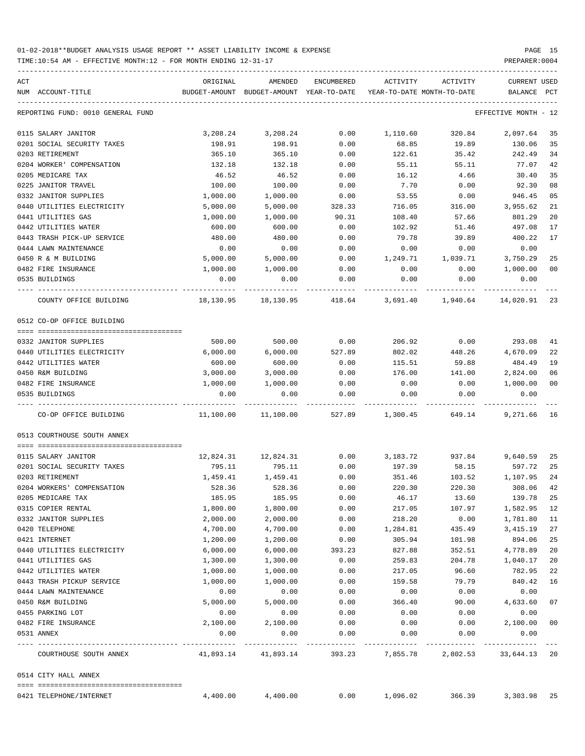| ACT |                                   | ORIGINAL  | AMENDED                                  | ENCUMBERED | ACTIVITY                   | ACTIVITY | CURRENT USED          |              |
|-----|-----------------------------------|-----------|------------------------------------------|------------|----------------------------|----------|-----------------------|--------------|
|     | NUM ACCOUNT-TITLE                 |           | BUDGET-AMOUNT BUDGET-AMOUNT YEAR-TO-DATE |            | YEAR-TO-DATE MONTH-TO-DATE |          | BALANCE               | $_{\rm PCT}$ |
|     | REPORTING FUND: 0010 GENERAL FUND |           |                                          |            |                            |          | EFFECTIVE MONTH - 12  |              |
|     | 0115 SALARY JANITOR               | 3,208.24  | 3,208.24                                 | 0.00       | 1,110.60                   | 320.84   | 2,097.64              | 35           |
|     | 0201 SOCIAL SECURITY TAXES        | 198.91    | 198.91                                   | 0.00       | 68.85                      | 19.89    | 130.06                | 35           |
|     | 0203 RETIREMENT                   | 365.10    | 365.10                                   | 0.00       | 122.61                     | 35.42    | 242.49                | 34           |
|     | 0204 WORKER' COMPENSATION         | 132.18    | 132.18                                   | 0.00       | 55.11                      | 55.11    | 77.07                 | 42           |
|     | 0205 MEDICARE TAX                 | 46.52     | 46.52                                    | 0.00       | 16.12                      | 4.66     | 30.40                 | 35           |
|     | 0225 JANITOR TRAVEL               | 100.00    | 100.00                                   | 0.00       | 7.70                       | 0.00     | 92.30                 | 08           |
|     | 0332 JANITOR SUPPLIES             | 1,000.00  | 1,000.00                                 | 0.00       | 53.55                      | 0.00     | 946.45                | 05           |
|     | 0440 UTILITIES ELECTRICITY        | 5,000.00  | 5,000.00                                 | 328.33     | 716.05                     | 316.00   | 3,955.62              | 21           |
|     | 0441 UTILITIES GAS                | 1,000.00  | 1,000.00                                 | 90.31      | 108.40                     | 57.66    | 801.29                | 20           |
|     | 0442 UTILITIES WATER              | 600.00    | 600.00                                   | 0.00       | 102.92                     | 51.46    | 497.08                | 17           |
|     | 0443 TRASH PICK-UP SERVICE        | 480.00    | 480.00                                   | 0.00       | 79.78                      | 39.89    | 400.22                | 17           |
|     | 0444 LAWN MAINTENANCE             | 0.00      | 0.00                                     | 0.00       | 0.00                       | 0.00     | 0.00                  |              |
|     | 0450 R & M BUILDING               | 5,000.00  | 5,000.00                                 | 0.00       | 1,249.71                   | 1,039.71 | 3,750.29              | 25           |
|     | 0482 FIRE INSURANCE               | 1,000.00  | 1,000.00                                 | 0.00       | 0.00                       | 0.00     | 1,000.00              | 00           |
|     | 0535 BUILDINGS                    | 0.00      | 0.00                                     | 0.00       | 0.00                       | 0.00     | 0.00                  |              |
|     | COUNTY OFFICE BUILDING            |           | 18,130.95    18,130.95    418.64         |            | 3,691.40                   | 1,940.64 | 14,020.91 23          |              |
|     | 0512 CO-OP OFFICE BUILDING        |           |                                          |            |                            |          |                       |              |
|     | 0332 JANITOR SUPPLIES             | 500.00    | 500.00                                   | 0.00       | 206.92                     | 0.00     | 293.08                | 41           |
|     | 0440 UTILITIES ELECTRICITY        | 6,000.00  | 6,000.00                                 | 527.89     | 802.02                     | 448.26   | 4,670.09              | 22           |
|     | 0442 UTILITIES WATER              | 600.00    | 600.00                                   | 0.00       | 115.51                     | 59.88    | 484.49                | 19           |
|     | 0450 R&M BUILDING                 | 3,000.00  | 3,000.00                                 | 0.00       | 176.00                     | 141.00   | 2,824.00              | 06           |
|     | 0482 FIRE INSURANCE               | 1,000.00  | 1,000.00                                 | 0.00       | 0.00                       | 0.00     | 1,000.00              | 00           |
|     | 0535 BUILDINGS                    | 0.00      | 0.00                                     | 0.00       | 0.00                       | 0.00     | 0.00                  |              |
|     | CO-OP OFFICE BUILDING             |           | 11,100.00    11,100.00                   | 527.89     | 1,300.45                   | 649.14   | 9,271.66 16           |              |
|     | 0513 COURTHOUSE SOUTH ANNEX       |           |                                          |            |                            |          |                       |              |
|     | 0115 SALARY JANITOR               | 12,824.31 | 12,824.31                                | 0.00       | 3,183.72                   | 937.84   | 9,640.59              | 25           |
|     | 0201 SOCIAL SECURITY TAXES        | 795.11    | 795.11                                   | 0.00       | 197.39                     | 58.15    | 597.72 25             |              |
|     | 0203 RETIREMENT                   | 1,459.41  | 1,459.41                                 | 0.00       | 351.46                     | 103.52   | 1,107.95              | 24           |
|     | 0204 WORKERS' COMPENSATION        | 528.36    | 528.36                                   | 0.00       | 220.30                     | 220.30   | 308.06                | 42           |
|     | 0205 MEDICARE TAX                 | 185.95    | 185.95                                   | 0.00       | 46.17                      | 13.60    | 139.78 25             |              |
|     | 0315 COPIER RENTAL                | 1,800.00  | 1,800.00                                 | 0.00       | 217.05                     | 107.97   | 1,582.95              | 12           |
|     | 0332 JANITOR SUPPLIES             | 2,000.00  | 2,000.00                                 | 0.00       | 218.20                     | 0.00     | 1,781.80              | 11           |
|     | 0420 TELEPHONE                    | 4,700.00  | 4,700.00                                 | 0.00       | 1,284.81                   | 435.49   | 3,415.19              | 27           |
|     | 0421 INTERNET                     | 1,200.00  | 1,200.00                                 | 0.00       | 305.94                     | 101.98   | 894.06                | 25           |
|     | 0440 UTILITIES ELECTRICITY        | 6,000.00  | 6,000.00                                 | 393.23     | 827.88                     | 352.51   | 4,778.89              | 20           |
|     | 0441 UTILITIES GAS                | 1,300.00  | 1,300.00                                 | 0.00       | 259.83                     | 204.78   | 1,040.17              | 20           |
|     | 0442 UTILITIES WATER              | 1,000.00  | 1,000.00                                 | 0.00       | 217.05                     | 96.60    | 782.95                | 22           |
|     | 0443 TRASH PICKUP SERVICE         | 1,000.00  | 1,000.00                                 | 0.00       | 159.58                     | 79.79    | 840.42                | 16           |
|     | 0444 LAWN MAINTENANCE             | 0.00      | 0.00                                     | 0.00       | 0.00                       | 0.00     | 0.00                  |              |
|     | 0450 R&M BUILDING                 | 5,000.00  | 5,000.00                                 | 0.00       | 366.40                     | 90.00    | 4,633.60              | 07           |
|     | 0455 PARKING LOT                  | 0.00      | 0.00                                     | 0.00       | 0.00                       | 0.00     | 0.00                  |              |
|     | 0482 FIRE INSURANCE               | 2,100.00  | 2,100.00                                 | 0.00       | 0.00                       | 0.00     | 2,100.00              | 00           |
|     | 0531 ANNEX                        | 0.00      | 0.00                                     | 0.00       | 0.00                       | 0.00     | 0.00                  |              |
|     | COURTHOUSE SOUTH ANNEX            | 41,893.14 | 41,893.14                                | 393.23     | 7,855.78                   |          | 2,802.53 33,644.13 20 |              |
|     | 0514 CITY HALL ANNEX              |           |                                          |            |                            |          |                       |              |
|     | 0421 TELEPHONE/INTERNET           | 4,400.00  | 4,400.00                                 | 0.00       | 1,096.02                   | 366.39   | 3,303.98 25           |              |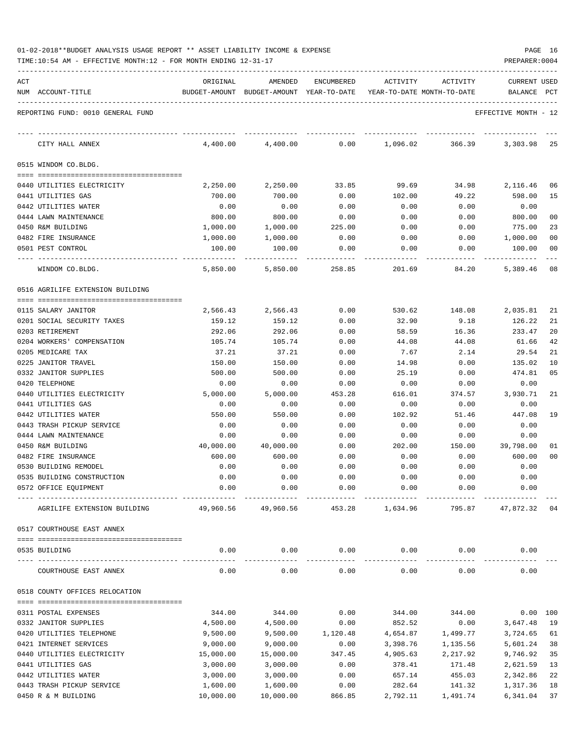| ACT                                             | ORIGINAL                                | AMENDED                                  | ENCUMBERED        | ACTIVITY                   | ACTIVITY     | <b>CURRENT USED</b>  |          |
|-------------------------------------------------|-----------------------------------------|------------------------------------------|-------------------|----------------------------|--------------|----------------------|----------|
| NUM ACCOUNT-TITLE                               |                                         | BUDGET-AMOUNT BUDGET-AMOUNT YEAR-TO-DATE |                   | YEAR-TO-DATE MONTH-TO-DATE |              | BALANCE              | PCT      |
| REPORTING FUND: 0010 GENERAL FUND               |                                         |                                          |                   |                            |              | EFFECTIVE MONTH - 12 |          |
|                                                 |                                         |                                          |                   |                            |              |                      |          |
| CITY HALL ANNEX                                 | 4,400.00                                | 4,400.00                                 | 0.00              | 1,096.02                   | 366.39       | 3,303.98             | 25       |
| 0515 WINDOM CO.BLDG.                            |                                         |                                          |                   |                            |              |                      |          |
|                                                 |                                         |                                          |                   |                            |              |                      |          |
| 0440 UTILITIES ELECTRICITY                      | 2,250.00                                | 2,250.00                                 | 33.85             | 99.69                      | 34.98        | 2,116.46             | 06       |
| 0441 UTILITIES GAS                              | 700.00                                  | 700.00                                   | 0.00              | 102.00                     | 49.22        | 598.00               | 15       |
| 0442 UTILITIES WATER<br>0444 LAWN MAINTENANCE   | 0.00<br>800.00                          | 0.00<br>800.00                           | 0.00<br>0.00      | 0.00                       | 0.00<br>0.00 | 0.00<br>800.00       | 00       |
| 0450 R&M BUILDING                               | 1,000.00                                |                                          |                   | 0.00                       |              | 775.00               | 23       |
| 0482 FIRE INSURANCE                             |                                         | 1,000.00                                 | 225.00            | 0.00                       | 0.00         |                      |          |
| 0501 PEST CONTROL                               | 1,000.00<br>100.00                      | 1,000.00                                 | 0.00<br>0.00      | 0.00                       | 0.00         | 1,000.00<br>100.00   | 00<br>00 |
|                                                 |                                         | 100.00                                   |                   | 0.00                       | 0.00         |                      |          |
| WINDOM CO.BLDG.                                 | 5,850.00                                | 5,850.00                                 | 258.85            | 201.69                     | 84.20        | 5,389.46             | 08       |
| 0516 AGRILIFE EXTENSION BUILDING                |                                         |                                          |                   |                            |              |                      |          |
| 0115 SALARY JANITOR                             |                                         | 2,566.43                                 | 0.00              | 530.62                     | 148.08       |                      | 21       |
| 0201 SOCIAL SECURITY TAXES                      | 2,566.43<br>159.12                      | 159.12                                   | 0.00              |                            | 9.18         | 2,035.81             | 21       |
| 0203 RETIREMENT                                 | 292.06                                  | 292.06                                   | 0.00              | 32.90<br>58.59             | 16.36        | 126.22<br>233.47     | 20       |
| 0204 WORKERS' COMPENSATION                      | 105.74                                  | 105.74                                   | 0.00              | 44.08                      | 44.08        | 61.66                | 42       |
| 0205 MEDICARE TAX                               | 37.21                                   | 37.21                                    | 0.00              | 7.67                       | 2.14         | 29.54                | 21       |
| 0225 JANITOR TRAVEL                             | 150.00                                  |                                          |                   |                            |              |                      | 10       |
|                                                 |                                         | 150.00                                   | 0.00              | 14.98                      | 0.00         | 135.02               |          |
| 0332 JANITOR SUPPLIES                           | 500.00                                  | 500.00                                   | 0.00              | 25.19                      | 0.00         | 474.81               | 05       |
| 0420 TELEPHONE                                  | 0.00                                    | 0.00                                     | 0.00              | 0.00                       | 0.00         | 0.00                 |          |
| 0440 UTILITIES ELECTRICITY                      | 5,000.00                                | 5,000.00                                 | 453.28            | 616.01                     | 374.57       | 3,930.71             | 21       |
| 0441 UTILITIES GAS                              | 0.00                                    | 0.00                                     | 0.00              | 0.00                       | 0.00         | 0.00                 |          |
| 0442 UTILITIES WATER                            | 550.00                                  | 550.00                                   | 0.00              | 102.92                     | 51.46        | 447.08               | 19       |
| 0443 TRASH PICKUP SERVICE                       | 0.00                                    | 0.00                                     | 0.00              | 0.00                       | 0.00         | 0.00                 |          |
| 0444 LAWN MAINTENANCE                           | 0.00                                    | 0.00                                     | 0.00              | 0.00                       | 0.00         | 0.00                 |          |
| 0450 R&M BUILDING                               | 40,000.00                               | 40,000.00                                | 0.00              | 202.00                     | 150.00       | 39,798.00            | 01       |
| 0482 FIRE INSURANCE                             | 600.00                                  | 600.00                                   | 0.00              | 0.00                       | 0.00         | 600.00               | 00       |
| 0530 BUILDING REMODEL                           | 0.00                                    | 0.00                                     | 0.00              | 0.00                       | 0.00         | 0.00                 |          |
| 0535 BUILDING CONSTRUCTION                      | 0.00                                    | 0.00                                     | 0.00              | 0.00                       | 0.00         | 0.00                 |          |
| 0572 OFFICE EQUIPMENT                           | 0.00                                    | 0.00                                     | 0.00              | 0.00                       | 0.00         | 0.00                 |          |
| AGRILIFE EXTENSION BUILDING 49,960.56 49,960.56 |                                         |                                          |                   | 453.28 1,634.96            |              | 795.87 47,872.32 04  |          |
| 0517 COURTHOUSE EAST ANNEX                      |                                         |                                          |                   |                            |              |                      |          |
| 0535 BUILDING                                   | 0.00                                    | 0.00                                     | 0.00              | 0.00                       | 0.00         | 0.00                 |          |
| ---- ---------------<br>COURTHOUSE EAST ANNEX   | -------------------------------<br>0.00 | 0.00                                     | 0.00              | 0.00                       | 0.00         | 0.00                 |          |
| 0518 COUNTY OFFICES RELOCATION                  |                                         |                                          |                   |                            |              |                      |          |
|                                                 |                                         |                                          |                   |                            |              |                      |          |
| 0311 POSTAL EXPENSES                            | 344.00                                  | 344.00                                   |                   | $0.00$ 344.00 344.00       |              | $0.00$ 100           |          |
| 0332 JANITOR SUPPLIES                           | 4,500.00                                | 4,500.00                                 | 0.00              | 852.52                     | 0.00         | 3,647.48 19          |          |
| 0420 UTILITIES TELEPHONE                        | 9,500.00                                |                                          | 9,500.00 1,120.48 | 4,654.87                   | 1,499.77     | 3,724.65             | 61       |
| 0421 INTERNET SERVICES                          | 9,000.00                                | 9,000.00                                 | 0.00              | 3,398.76                   | 1,135.56     | 5,601.24             | 38       |
| 0440 UTILITIES ELECTRICITY                      | 15,000.00                               | 15,000.00                                | 347.45            | 4,905.63                   | 2,217.92     | 9,746.92             | 35       |
| 0441 UTILITIES GAS                              | 3,000.00                                | 3,000.00                                 | 0.00              | 378.41                     | 171.48       | 2,621.59             | 13       |
| 0442 UTILITIES WATER                            | 3,000.00                                | 3,000.00                                 | 0.00              | 657.14                     | 455.03       | 2,342.86             | 22       |
| 0443 TRASH PICKUP SERVICE                       | 1,600.00                                | 1,600.00                                 | 0.00              | 282.64                     | 141.32       | 1,317.36             | 18       |
| 0450 R & M BUILDING                             | 10,000.00                               | 10,000.00                                | 866.85            | 2,792.11                   | 1,491.74     | 6,341.04             | 37       |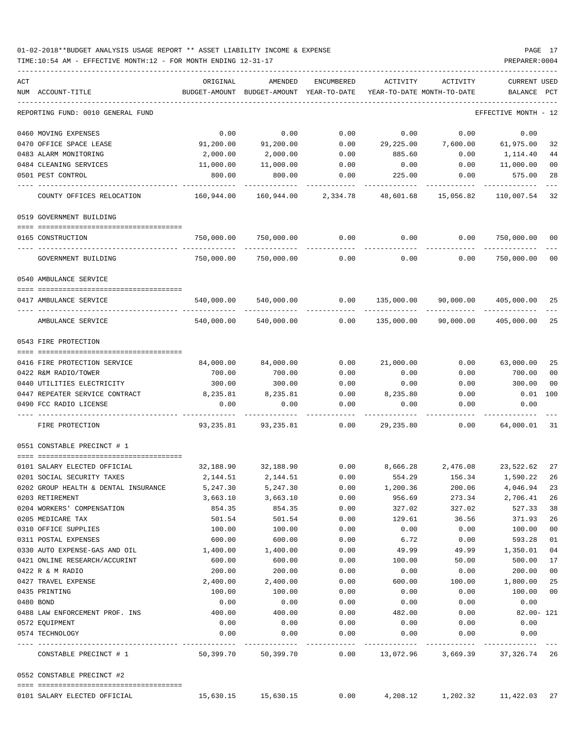### 01-02-2018\*\*BUDGET ANALYSIS USAGE REPORT \*\* ASSET LIABILITY INCOME & EXPENSE PAGE 17 TIME:10:54 AM - EFFECTIVE MONTH:12 - FOR MONTH ENDING 12-31-17 PREPARER:0004

-----------------------------------------------------------------------------------------------------------------------------------

| ACT       |                                      | ORIGINAL      | AMENDED                    | ENCUMBERED          | ACTIVITY          | ACTIVITY                   | <b>CURRENT USED</b>                  |                |
|-----------|--------------------------------------|---------------|----------------------------|---------------------|-------------------|----------------------------|--------------------------------------|----------------|
|           | NUM ACCOUNT-TITLE                    | BUDGET-AMOUNT | BUDGET-AMOUNT YEAR-TO-DATE |                     |                   | YEAR-TO-DATE MONTH-TO-DATE | BALANCE                              | $_{\rm PCT}$   |
|           | REPORTING FUND: 0010 GENERAL FUND    |               |                            |                     |                   |                            | EFFECTIVE MONTH - 12                 |                |
|           | 0460 MOVING EXPENSES                 | 0.00          | 0.00                       | 0.00                | 0.00              | 0.00                       | 0.00                                 |                |
|           | 0470 OFFICE SPACE LEASE              | 91,200.00     | 91,200.00                  | 0.00                | 29,225.00         | 7,600.00                   | 61,975.00                            | 32             |
|           | 0483 ALARM MONITORING                | 2,000.00      | 2,000.00                   | 0.00                | 885.60            | 0.00                       | 1,114.40                             | 44             |
|           | 0484 CLEANING SERVICES               | 11,000.00     | 11,000.00                  | 0.00                | 0.00              | 0.00                       | 11,000.00                            | 00             |
|           | 0501 PEST CONTROL                    | 800.00        | 800.00                     | 0.00                | 225.00            | 0.00                       | 575.00                               | 28             |
|           | COUNTY OFFICES RELOCATION            | 160,944.00    | 160,944.00                 | 2,334.78            | 48,601.68         | 15,056.82                  | 110,007.54                           | 32             |
|           | 0519 GOVERNMENT BUILDING             |               |                            |                     |                   |                            |                                      |                |
|           |                                      |               |                            |                     |                   |                            |                                      |                |
|           | 0165 CONSTRUCTION                    | 750,000.00    | 750,000.00                 | 0.00                | 0.00              |                            | 0.00 750,000.00                      | 00             |
|           | GOVERNMENT BUILDING                  | 750,000.00    | 750,000.00                 | 0.00                | 0.00              | 0.00                       | 750,000.00                           | 00             |
|           | 0540 AMBULANCE SERVICE               |               |                            |                     |                   |                            |                                      |                |
|           | 0417 AMBULANCE SERVICE               | 540,000.00    | 540,000.00                 | 0.00                | 135,000.00        | 90,000.00                  | 405,000.00                           | 25             |
|           | .<br>AMBULANCE SERVICE               | 540,000.00    | 540,000.00                 | --------<br>0.00    | 135,000.00        | 90,000.00                  | 405,000.00                           | 25             |
|           | 0543 FIRE PROTECTION                 |               |                            |                     |                   |                            |                                      |                |
|           | 0416 FIRE PROTECTION SERVICE         | 84,000.00     | 84,000.00                  | 0.00                | 21,000.00         | 0.00                       | 63,000.00                            | 25             |
|           | 0422 R&M RADIO/TOWER                 | 700.00        | 700.00                     | 0.00                | 0.00              | 0.00                       | 700.00                               | 0 <sup>0</sup> |
|           | 0440 UTILITIES ELECTRICITY           | 300.00        | 300.00                     | 0.00                | 0.00              | 0.00                       | 300.00                               | 0 <sub>0</sub> |
|           | 0447 REPEATER SERVICE CONTRACT       | 8,235.81      | 8,235.81                   | 0.00                | 8,235.80          | 0.00                       | 0.01                                 | 100            |
|           | 0490 FCC RADIO LICENSE               | 0.00          | 0.00                       | 0.00                | 0.00              | 0.00                       | 0.00                                 |                |
|           | FIRE PROTECTION                      | 93,235.81     | 93,235.81                  | 0.00                | 29,235.80         | 0.00                       | 64,000.01                            | 31             |
|           | 0551 CONSTABLE PRECINCT # 1          |               |                            |                     |                   |                            |                                      |                |
|           | 0101 SALARY ELECTED OFFICIAL         | 32,188.90     |                            | 32,188.90 0.00      | 8,666.28 2,476.08 |                            | 23,522.62                            | 27             |
|           | 0201 SOCIAL SECURITY TAXES           | 2,144.51      | 2,144.51                   | 0.00                | 554.29            | 156.34                     | 1,590.22                             | 26             |
|           | 0202 GROUP HEALTH & DENTAL INSURANCE | 5,247.30      | 5,247.30                   | 0.00                | 1,200.36          | 200.06                     | 4,046.94                             | 23             |
|           | 0203 RETIREMENT                      | 3,663.10      | 3,663.10                   | 0.00                | 956.69            | 273.34                     | 2,706.41                             | 26             |
|           | 0204 WORKERS' COMPENSATION           | 854.35        | 854.35                     | 0.00                | 327.02            | 327.02                     | 527.33                               | 38             |
|           | 0205 MEDICARE TAX                    | 501.54        | 501.54                     | 0.00                | 129.61            | 36.56                      | 371.93                               | 26             |
|           | 0310 OFFICE SUPPLIES                 | 100.00        | 100.00                     | 0.00                | 0.00              | 0.00                       | 100.00                               | 00             |
|           | 0311 POSTAL EXPENSES                 | 600.00        | 600.00                     | 0.00                | 6.72              | 0.00                       | 593.28                               | 01             |
|           | 0330 AUTO EXPENSE-GAS AND OIL        | 1,400.00      | 1,400.00                   | 0.00                | 49.99             | 49.99                      | 1,350.01                             | 04             |
|           | 0421 ONLINE RESEARCH/ACCURINT        | 600.00        | 600.00                     | 0.00                | 100.00            | 50.00                      | 500.00                               | 17             |
|           | 0422 R & M RADIO                     | 200.00        | 200.00                     | 0.00                | 0.00              | 0.00                       | 200.00                               | 00             |
|           | 0427 TRAVEL EXPENSE                  | 2,400.00      | 2,400.00                   | 0.00                | 600.00            | 100.00                     | 1,800.00                             | 25             |
|           | 0435 PRINTING                        | 100.00        | 100.00                     | 0.00                | 0.00              | 0.00                       | 100.00                               | 00             |
| 0480 BOND |                                      | 0.00          | 0.00                       | 0.00                | 0.00              | 0.00                       | 0.00                                 |                |
|           | 0488 LAW ENFORCEMENT PROF. INS       | 400.00        | 400.00                     | 0.00                | 482.00            | 0.00                       | 82.00- 121                           |                |
|           | 0572 EQUIPMENT                       | 0.00          | 0.00                       | 0.00                | 0.00              | 0.00                       | 0.00                                 |                |
|           | 0574 TECHNOLOGY                      | 0.00          | 0.00                       | 0.00<br>----------- | 0.00              | 0.00                       | 0.00                                 |                |
|           | CONSTABLE PRECINCT # 1               |               | 50,399.70 50,399.70        |                     |                   |                            | 0.00 13,072.96 3,669.39 37,326.74 26 |                |
|           | 0552 CONSTABLE PRECINCT #2           |               |                            |                     |                   |                            |                                      |                |
|           | 0101 SALARY ELECTED OFFICIAL         |               | 15,630.15 15,630.15        | 0.00                |                   |                            | 4, 208.12 1, 202.32 11, 422.03 27    |                |
|           |                                      |               |                            |                     |                   |                            |                                      |                |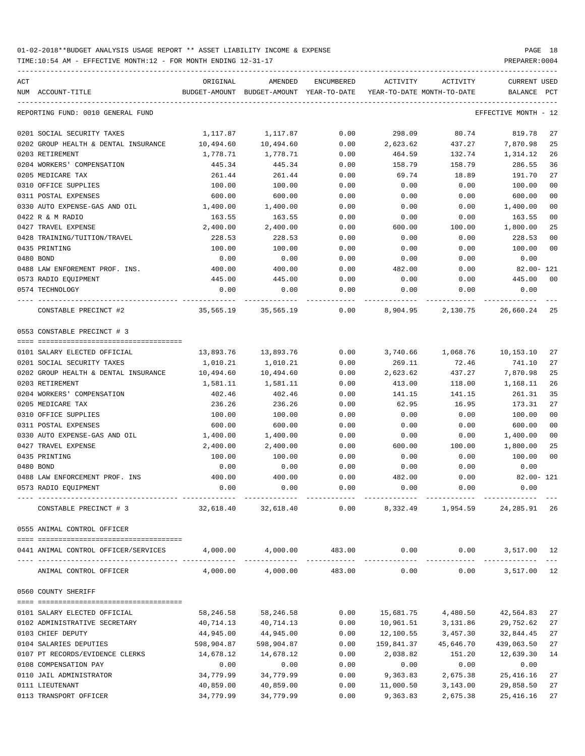| ACT |                                      | ORIGINAL                     | AMENDED                                  | ENCUMBERED | ACTIVITY                   | ACTIVITY                      | <b>CURRENT USED</b>  |     |
|-----|--------------------------------------|------------------------------|------------------------------------------|------------|----------------------------|-------------------------------|----------------------|-----|
|     | NUM ACCOUNT-TITLE                    |                              | BUDGET-AMOUNT BUDGET-AMOUNT YEAR-TO-DATE |            | YEAR-TO-DATE MONTH-TO-DATE |                               | BALANCE              | PCT |
|     | REPORTING FUND: 0010 GENERAL FUND    |                              |                                          |            |                            |                               | EFFECTIVE MONTH - 12 |     |
|     | 0201 SOCIAL SECURITY TAXES           | 1,117.87                     | 1,117.87                                 | 0.00       | 298.09                     | 80.74                         | 819.78               | 27  |
|     | 0202 GROUP HEALTH & DENTAL INSURANCE | 10,494.60                    | 10,494.60                                | 0.00       | 2,623.62                   | 437.27                        | 7,870.98             | 25  |
|     | 0203 RETIREMENT                      | 1,778.71                     | 1,778.71                                 | 0.00       | 464.59                     | 132.74                        | 1,314.12             | 26  |
|     | 0204 WORKERS' COMPENSATION           | 445.34                       | 445.34                                   | 0.00       | 158.79                     | 158.79                        | 286.55               | 36  |
|     | 0205 MEDICARE TAX                    | 261.44                       | 261.44                                   | 0.00       | 69.74                      | 18.89                         | 191.70               | 27  |
|     | 0310 OFFICE SUPPLIES                 | 100.00                       | 100.00                                   | 0.00       | 0.00                       | 0.00                          | 100.00               | 00  |
|     | 0311 POSTAL EXPENSES                 | 600.00                       | 600.00                                   | 0.00       | 0.00                       | 0.00                          | 600.00               | 00  |
|     | 0330 AUTO EXPENSE-GAS AND OIL        | 1,400.00                     | 1,400.00                                 | 0.00       | 0.00                       | 0.00                          | 1,400.00             | 00  |
|     | 0422 R & M RADIO                     | 163.55                       | 163.55                                   | 0.00       | 0.00                       | 0.00                          | 163.55               | 00  |
|     | 0427 TRAVEL EXPENSE                  | 2,400.00                     | 2,400.00                                 | 0.00       | 600.00                     | 100.00                        | 1,800.00             | 25  |
|     | 0428 TRAINING/TUITION/TRAVEL         | 228.53                       | 228.53                                   | 0.00       | 0.00                       | 0.00                          | 228.53               | 00  |
|     | 0435 PRINTING                        | 100.00                       | 100.00                                   | 0.00       | 0.00                       | 0.00                          | 100.00               | 00  |
|     | 0480 BOND                            | 0.00                         | 0.00                                     | 0.00       | 0.00                       | 0.00                          | 0.00                 |     |
|     | 0488 LAW ENFOREMENT PROF. INS.       | 400.00                       | 400.00                                   | 0.00       | 482.00                     | 0.00                          | $82.00 - 121$        |     |
|     | 0573 RADIO EQUIPMENT                 | 445.00                       | 445.00                                   | 0.00       | 0.00                       | 0.00                          | 445.00               | 00  |
|     | 0574 TECHNOLOGY                      | 0.00                         | 0.00                                     | 0.00       | 0.00                       | 0.00                          | 0.00                 |     |
|     | CONSTABLE PRECINCT #2                | $35,565.19$ $35,565.19$ 0.00 |                                          |            |                            | 8,904.95 2,130.75 26,660.24   |                      | 25  |
|     | 0553 CONSTABLE PRECINCT # 3          |                              |                                          |            |                            |                               |                      |     |
|     |                                      |                              |                                          |            |                            |                               |                      |     |
|     | 0101 SALARY ELECTED OFFICIAL         | 13,893.76                    | 13,893.76                                | 0.00       |                            | 3,740.66 1,068.76             | 10,153.10            | 27  |
|     | 0201 SOCIAL SECURITY TAXES           | 1,010.21                     | 1,010.21                                 | 0.00       | 269.11                     | 72.46                         | 741.10               | 27  |
|     | 0202 GROUP HEALTH & DENTAL INSURANCE | 10,494.60                    | 10,494.60                                | 0.00       | 2,623.62                   | 437.27                        | 7,870.98             | 25  |
|     | 0203 RETIREMENT                      | 1,581.11                     | 1,581.11                                 | 0.00       | 413.00                     | 118.00                        | 1,168.11             | 26  |
|     | 0204 WORKERS' COMPENSATION           | 402.46                       | 402.46                                   | 0.00       | 141.15                     | 141.15                        | 261.31               | 35  |
|     | 0205 MEDICARE TAX                    | 236.26                       | 236.26                                   | 0.00       | 62.95                      | 16.95                         | 173.31               | 27  |
|     | 0310 OFFICE SUPPLIES                 | 100.00                       | 100.00                                   | 0.00       | 0.00                       | 0.00                          | 100.00               | 00  |
|     | 0311 POSTAL EXPENSES                 | 600.00                       | 600.00                                   | 0.00       | 0.00                       | 0.00                          | 600.00               | 00  |
|     | 0330 AUTO EXPENSE-GAS AND OIL        | 1,400.00                     | 1,400.00                                 | 0.00       | 0.00                       | 0.00                          | 1,400.00             | 00  |
|     | 0427 TRAVEL EXPENSE                  | 2,400.00                     | 2,400.00                                 | 0.00       | 600.00                     | 100.00                        | 1,800.00             | 25  |
|     | 0435 PRINTING                        | 100.00                       | 100.00                                   | 0.00       | 0.00                       | 0.00                          | 100.00               | 00  |
|     | 0480 BOND                            | 0.00                         | 0.00                                     | 0.00       | 0.00                       | 0.00                          | 0.00                 |     |
|     | 0488 LAW ENFORCEMENT PROF. INS       | 400.00                       | 400.00                                   | 0.00       | 482.00                     | 0.00                          | 82.00- 121           |     |
|     | 0573 RADIO EQUIPMENT                 | 0.00                         | 0.00                                     | 0.00       | 0.00                       | 0.00                          | 0.00                 |     |
|     | CONSTABLE PRECINCT # 3               | 32,618.40                    | 32,618.40                                | 0.00       | 8,332.49                   | 1,954.59                      | 24, 285. 91 26       |     |
|     | 0555 ANIMAL CONTROL OFFICER          |                              |                                          |            |                            |                               |                      |     |
|     | 0441 ANIMAL CONTROL OFFICER/SERVICES | 4,000.00                     | 4,000.00                                 | 483.00     |                            | $0.00$ $0.00$ $3,517.00$ $12$ |                      |     |
|     | ANIMAL CONTROL OFFICER               |                              | 4,000.00 4,000.00 483.00                 |            | 0.00                       | 0.00                          | 3,517.00 12          |     |
|     | 0560 COUNTY SHERIFF                  |                              |                                          |            |                            |                               |                      |     |
|     |                                      |                              |                                          |            |                            |                               |                      |     |
|     | 0101 SALARY ELECTED OFFICIAL         | 58,246.58                    | 58,246.58                                | 0.00       | 15,681.75                  | 4,480.50                      | 42,564.83            | 27  |
|     | 0102 ADMINISTRATIVE SECRETARY        | 40,714.13                    | 40,714.13                                | 0.00       | 10,961.51                  | 3,131.86                      | 29,752.62            | 27  |
|     | 0103 CHIEF DEPUTY                    | 44,945.00                    | 44,945.00                                | 0.00       | 12,100.55                  | 3,457.30                      | 32,844.45            | 27  |
|     | 0104 SALARIES DEPUTIES               | 598,904.87                   | 598,904.87                               | 0.00       |                            | 159,841.37 45,646.70          | 439,063.50           | 27  |
|     | 0107 PT RECORDS/EVIDENCE CLERKS      | 14,678.12                    | 14,678.12                                | 0.00       | 2,038.82                   | 151.20                        | 12,639.30            | 14  |
|     | 0108 COMPENSATION PAY                | 0.00                         | 0.00                                     | 0.00       | 0.00                       | 0.00                          | 0.00                 |     |
|     | 0110 JAIL ADMINISTRATOR              | 34,779.99                    | 34,779.99                                | 0.00       | 9,363.83                   | 2,675.38                      | 25,416.16            | 27  |
|     | 0111 LIEUTENANT                      | 40,859.00                    | 40,859.00                                | 0.00       | 11,000.50                  | 3,143.00                      | 29,858.50            | 27  |
|     | 0113 TRANSPORT OFFICER               | 34,779.99                    | 34,779.99                                | 0.00       | 9,363.83                   | 2,675.38                      | 25, 416.16           | 27  |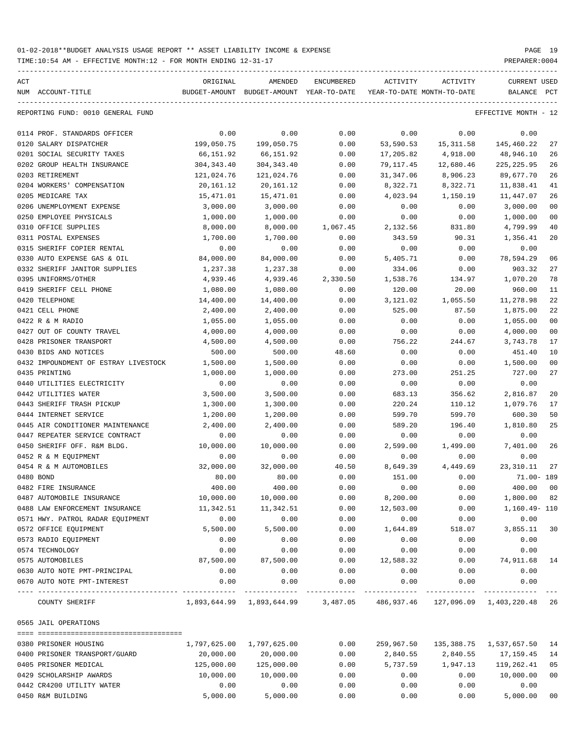TIME:10:54 AM - EFFECTIVE MONTH:12 - FOR MONTH ENDING 12-31-17 PREPARER:0004

| ACT           |                                      | ORIGINAL     | AMENDED                                       | <b>ENCUMBERED</b> | ACTIVITY                   | ACTIVITY  | <b>CURRENT USED</b>        |                |
|---------------|--------------------------------------|--------------|-----------------------------------------------|-------------------|----------------------------|-----------|----------------------------|----------------|
|               | NUM ACCOUNT-TITLE                    |              | BUDGET-AMOUNT BUDGET-AMOUNT YEAR-TO-DATE      |                   | YEAR-TO-DATE MONTH-TO-DATE |           | BALANCE PCT                |                |
|               | REPORTING FUND: 0010 GENERAL FUND    |              |                                               |                   |                            |           | EFFECTIVE MONTH - 12       |                |
|               | 0114 PROF. STANDARDS OFFICER         | 0.00         | 0.00                                          | 0.00              | 0.00                       | 0.00      | 0.00                       |                |
|               | 0120 SALARY DISPATCHER               | 199,050.75   | 199,050.75                                    | 0.00              | 53,590.53                  | 15,311.58 | 145,460.22                 | 27             |
|               | 0201 SOCIAL SECURITY TAXES           | 66,151.92    | 66,151.92                                     | 0.00              | 17,205.82                  | 4,918.00  | 48,946.10                  | 26             |
|               | 0202 GROUP HEALTH INSURANCE          | 304,343.40   | 304,343.40                                    | 0.00              | 79,117.45                  | 12,680.46 | 225, 225.95                | 26             |
|               | 0203 RETIREMENT                      | 121,024.76   | 121,024.76                                    | 0.00              | 31,347.06                  | 8,906.23  | 89,677.70                  | 26             |
|               | 0204 WORKERS' COMPENSATION           | 20,161.12    | 20,161.12                                     | 0.00              | 8,322.71                   | 8,322.71  | 11,838.41                  | 41             |
|               | 0205 MEDICARE TAX                    | 15,471.01    | 15,471.01                                     | 0.00              | 4,023.94                   | 1,150.19  | 11,447.07                  | 26             |
|               | 0206 UNEMPLOYMENT EXPENSE            | 3,000.00     | 3,000.00                                      | 0.00              | 0.00                       | 0.00      | 3,000.00                   | 00             |
|               | 0250 EMPLOYEE PHYSICALS              | 1,000.00     | 1,000.00                                      | 0.00              | 0.00                       | 0.00      | 1,000.00                   | 0 <sub>0</sub> |
|               | 0310 OFFICE SUPPLIES                 | 8,000.00     | 8,000.00                                      | 1,067.45          | 2,132.56                   | 831.80    | 4,799.99                   | 40             |
|               | 0311 POSTAL EXPENSES                 | 1,700.00     | 1,700.00                                      | 0.00              | 343.59                     | 90.31     | 1,356.41                   | 20             |
|               | 0315 SHERIFF COPIER RENTAL           | 0.00         | 0.00                                          | 0.00              | 0.00                       | 0.00      | 0.00                       |                |
|               | 0330 AUTO EXPENSE GAS & OIL          | 84,000.00    | 84,000.00                                     | 0.00              | 5,405.71                   | 0.00      | 78,594.29                  | 06             |
|               | 0332 SHERIFF JANITOR SUPPLIES        | 1,237.38     | 1,237.38                                      | 0.00              | 334.06                     | 0.00      | 903.32                     | 27             |
|               | 0395 UNIFORMS/OTHER                  | 4,939.46     | 4,939.46                                      | 2,330.50          | 1,538.76                   | 134.97    | 1,070.20                   | 78             |
|               | 0419 SHERIFF CELL PHONE              | 1,080.00     | 1,080.00                                      | 0.00              | 120.00                     | 20.00     | 960.00                     | 11             |
|               | 0420 TELEPHONE                       | 14,400.00    | 14,400.00                                     | 0.00              | 3,121.02                   | 1,055.50  | 11,278.98                  | 22             |
|               | 0421 CELL PHONE                      | 2,400.00     | 2,400.00                                      | 0.00              | 525.00                     | 87.50     | 1,875.00                   | 22             |
|               | 0422 R & M RADIO                     | 1,055.00     | 1,055.00                                      | 0.00              | 0.00                       | 0.00      | 1,055.00                   | 00             |
|               | 0427 OUT OF COUNTY TRAVEL            | 4,000.00     | 4,000.00                                      | 0.00              | 0.00                       | 0.00      | 4,000.00                   | 0 <sub>0</sub> |
|               | 0428 PRISONER TRANSPORT              | 4,500.00     | 4,500.00                                      | 0.00              | 756.22                     | 244.67    | 3,743.78                   | 17             |
|               | 0430 BIDS AND NOTICES                | 500.00       | 500.00                                        | 48.60             | 0.00                       | 0.00      | 451.40                     | 10             |
|               | 0432 IMPOUNDMENT OF ESTRAY LIVESTOCK | 1,500.00     | 1,500.00                                      | 0.00              | 0.00                       | 0.00      | 1,500.00                   | 00             |
| 0435 PRINTING |                                      | 1,000.00     | 1,000.00                                      | 0.00              | 273.00                     | 251.25    | 727.00                     | 27             |
|               | 0440 UTILITIES ELECTRICITY           | 0.00         | 0.00                                          | 0.00              | 0.00                       | 0.00      | 0.00                       |                |
|               | 0442 UTILITIES WATER                 | 3,500.00     | 3,500.00                                      | 0.00              | 683.13                     | 356.62    | 2,816.87                   | 20             |
|               | 0443 SHERIFF TRASH PICKUP            | 1,300.00     | 1,300.00                                      | 0.00              | 220.24                     | 110.12    | 1,079.76                   | 17             |
|               | 0444 INTERNET SERVICE                | 1,200.00     | 1,200.00                                      | 0.00              | 599.70                     | 599.70    | 600.30                     | 50             |
|               | 0445 AIR CONDITIONER MAINTENANCE     | 2,400.00     | 2,400.00                                      | 0.00              | 589.20                     | 196.40    | 1,810.80                   | 25             |
|               | 0447 REPEATER SERVICE CONTRACT       | 0.00         | 0.00                                          | 0.00              | 0.00                       | 0.00      | 0.00                       |                |
|               | 0450 SHERIFF OFF. R&M BLDG.          | 10,000.00    | 10,000.00                                     | 0.00              | 2,599.00                   | 1,499.00  | 7,401.00                   | 26             |
|               | 0452 R & M EQUIPMENT                 | 0.00         | 0.00                                          | 0.00              | 0.00                       | 0.00      | 0.00                       |                |
|               | 0454 R & M AUTOMOBILES               | 32,000.00    | 32,000.00                                     | 40.50             | 8,649.39                   | 4,449.69  | 23, 310.11                 | 27             |
| 0480 BOND     |                                      | 80.00        | 80.00                                         | 0.00              | 151.00                     | 0.00      | 71.00- 189                 |                |
|               | 0482 FIRE INSURANCE                  | 400.00       | 400.00                                        | 0.00              | 0.00                       | 0.00      | 400.00                     | 0 <sub>0</sub> |
|               | 0487 AUTOMOBILE INSURANCE            | 10,000.00    | 10,000.00                                     | 0.00              | 8,200.00                   | 0.00      | 1,800.00 82                |                |
|               | 0488 LAW ENFORCEMENT INSURANCE       | 11,342.51    | 11,342.51                                     | 0.00              | 12,503.00                  | 0.00      | 1,160.49- 110              |                |
|               | 0571 HWY. PATROL RADAR EQUIPMENT     | 0.00         | 0.00                                          | 0.00              | 0.00                       | 0.00      | 0.00                       |                |
|               | 0572 OFFICE EQUIPMENT                | 5,500.00     | 5,500.00                                      | 0.00              | 1,644.89                   | 518.07    | 3,855.11                   | 30             |
|               | 0573 RADIO EQUIPMENT                 | 0.00         | 0.00                                          | 0.00              | 0.00                       | 0.00      | 0.00                       |                |
|               | 0574 TECHNOLOGY                      | 0.00         | 0.00                                          | 0.00              | 0.00                       | 0.00      | 0.00                       |                |
|               | 0575 AUTOMOBILES                     | 87,500.00    | 87,500.00                                     | 0.00              | 12,588.32                  | 0.00      | 74,911.68                  | 14             |
|               | 0630 AUTO NOTE PMT-PRINCIPAL         | 0.00         | 0.00                                          | 0.00              | 0.00                       | 0.00      | 0.00                       |                |
|               | 0670 AUTO NOTE PMT-INTEREST          | 0.00         | 0.00                                          | 0.00              | 0.00                       | 0.00      | 0.00                       |                |
|               |                                      |              |                                               |                   |                            |           |                            |                |
|               | COUNTY SHERIFF                       |              | 1,893,644.99 1,893,644.99 3,487.05 486,937.46 |                   |                            |           | 127,096.09    1,403,220.48 | 26             |
|               | 0565 JAIL OPERATIONS                 |              |                                               |                   |                            |           |                            |                |
|               |                                      |              |                                               |                   |                            |           |                            |                |
|               | 0380 PRISONER HOUSING                | 1,797,625.00 | 1,797,625.00                                  | 0.00              | 259,967.50                 |           | 135,388.75 1,537,657.50    | 14             |
|               | 0400 PRISONER TRANSPORT/GUARD        | 20,000.00    | 20,000.00                                     | 0.00              | 2,840.55                   | 2,840.55  | 17,159.45                  | 14             |
|               | 0405 PRISONER MEDICAL                | 125,000.00   | 125,000.00                                    | 0.00              | 5,737.59                   | 1,947.13  | 119,262.41                 | 05             |
|               | 0429 SCHOLARSHIP AWARDS              | 10,000.00    | 10,000.00                                     | 0.00              | 0.00                       | 0.00      | 10,000.00                  | 0 <sub>0</sub> |
|               | 0442 CR4200 UTILITY WATER            | 0.00         | 0.00                                          | 0.00              | 0.00                       | 0.00      | 0.00                       |                |

0450 R&M BUILDING 5,000.00 5,000.00 0.00 0.00 0.00 5,000.00 00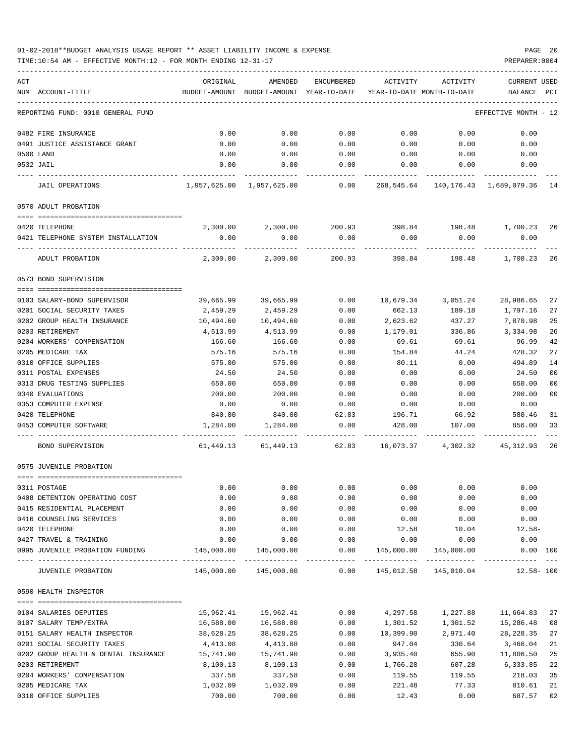| ACT |                                      | ORIGINAL   | AMENDED                                            | ENCUMBERED            | ACTIVITY                   | ACTIVITY           | <b>CURRENT USED</b>               |             |
|-----|--------------------------------------|------------|----------------------------------------------------|-----------------------|----------------------------|--------------------|-----------------------------------|-------------|
|     | NUM ACCOUNT-TITLE                    |            | BUDGET-AMOUNT BUDGET-AMOUNT YEAR-TO-DATE           |                       | YEAR-TO-DATE MONTH-TO-DATE |                    | BALANCE PCT                       |             |
|     |                                      |            |                                                    |                       |                            |                    |                                   |             |
|     | REPORTING FUND: 0010 GENERAL FUND    |            |                                                    |                       |                            |                    | EFFECTIVE MONTH - 12              |             |
|     | 0482 FIRE INSURANCE                  | 0.00       | 0.00                                               | 0.00                  | 0.00                       | 0.00               | 0.00                              |             |
|     | 0491 JUSTICE ASSISTANCE GRANT        | 0.00       | 0.00                                               | 0.00                  | 0.00                       | 0.00               | 0.00                              |             |
|     | 0500 LAND                            | 0.00       | 0.00                                               | 0.00                  | 0.00                       | 0.00               | 0.00                              |             |
|     | 0532 JAIL                            | 0.00       | 0.00<br>-----------                                | 0.00<br>-----------   | 0.00<br>-----------        | 0.00<br>---------- | 0.00                              |             |
|     | <b>JAIL OPERATIONS</b>               |            | 1,957,625,00 1,957,625,00                          | 0.00                  | 268,545.64                 |                    | 140, 176. 43 1, 689, 079. 36 14   |             |
|     | 0570 ADULT PROBATION                 |            |                                                    |                       |                            |                    |                                   |             |
|     |                                      |            |                                                    |                       |                            |                    |                                   |             |
|     | 0420 TELEPHONE                       |            | 2,300.00 2,300.00 200.93 398.84 198.48 1,700.23 26 |                       |                            |                    |                                   |             |
|     | 0421 TELEPHONE SYSTEM INSTALLATION   | 0.00       | 0.00                                               | 0.00                  | 0.00                       | 0.00               | 0.00                              |             |
|     | ADULT PROBATION                      | 2,300.00   | 2,300.00                                           |                       |                            |                    | 200.93 398.84 198.48 1,700.23     | 26          |
|     | 0573 BOND SUPERVISION                |            |                                                    |                       |                            |                    |                                   |             |
|     | 0103 SALARY-BOND SUPERVISOR          | 39,665.99  | 39,665.99                                          | 0.00                  |                            | 10,679.34 3,051.24 | 28,986.65                         | 27          |
|     | 0201 SOCIAL SECURITY TAXES           | 2,459.29   | 2,459.29                                           | 0.00                  | 662.13                     | 189.18             | 1,797.16                          | 27          |
|     | 0202 GROUP HEALTH INSURANCE          | 10,494.60  | 10,494.60                                          | 0.00                  | 2,623.62                   | 437.27             | 7,870.98                          | 25          |
|     | 0203 RETIREMENT                      | 4,513.99   | 4,513.99                                           | 0.00                  | 1,179.01                   | 336.86             | 3,334.98                          | 26          |
|     | 0204 WORKERS' COMPENSATION           | 166.60     | 166.60                                             | 0.00                  | 69.61                      | 69.61              | 96.99                             | 42          |
|     | 0205 MEDICARE TAX                    | 575.16     | 575.16                                             | 0.00                  | 154.84                     | 44.24              | 420.32                            | 27          |
|     | 0310 OFFICE SUPPLIES                 | 575.00     | 575.00                                             | 0.00                  | 80.11                      | 0.00               | 494.89                            | 14          |
|     | 0311 POSTAL EXPENSES                 | 24.50      | 24.50                                              | 0.00                  | 0.00                       | 0.00               | 24.50                             | 00          |
|     | 0313 DRUG TESTING SUPPLIES           | 650.00     | 650.00                                             | 0.00                  | 0.00                       | 0.00               | 650.00                            | 00          |
|     | 0340 EVALUATIONS                     | 200.00     | 200.00                                             | 0.00                  | 0.00                       | 0.00               | 200.00                            | 00          |
|     | 0353 COMPUTER EXPENSE                | 0.00       | 0.00                                               | 0.00                  | 0.00                       | 0.00               | 0.00                              |             |
|     |                                      |            |                                                    |                       |                            |                    |                                   |             |
|     | 0420 TELEPHONE                       | 840.00     | 840.00                                             | 62.83                 | 196.71                     | 66.92              | 580.46                            | 31          |
|     | 0453 COMPUTER SOFTWARE               | 1,284.00   | 1,284.00                                           | 0.00<br>$- - - - - -$ | 428.00                     | 107.00             | 856.00                            | 33<br>$---$ |
|     | BOND SUPERVISION                     | 61,449.13  | 61,449.13                                          | 62.83                 | 16,073.37                  | 4,302.32           | 45,312.93 26                      |             |
|     | 0575 JUVENILE PROBATION              |            |                                                    |                       |                            |                    |                                   |             |
|     |                                      |            |                                                    |                       |                            |                    |                                   |             |
|     | 0311 POSTAGE                         | 0.00       | 0.00                                               | 0.00                  | 0.00                       | 0.00               | 0.00                              |             |
|     | 0408 DETENTION OPERATING COST        | 0.00       | 0.00                                               | 0.00                  | 0.00                       | 0.00               | 0.00                              |             |
|     | 0415 RESIDENTIAL PLACEMENT           | 0.00       | 0.00                                               | 0.00                  | 0.00                       | 0.00               | 0.00                              |             |
|     | 0416 COUNSELING SERVICES             | 0.00       | 0.00                                               | 0.00                  | 0.00                       | 0.00               | 0.00                              |             |
|     | 0420 TELEPHONE                       | 0.00       | 0.00                                               | 0.00                  | 12.58                      | 10.04              | $12.58-$                          |             |
|     | 0427 TRAVEL & TRAINING               | 0.00       | 0.00                                               | 0.00                  | 0.00                       | 0.00               | 0.00                              |             |
|     | 0995 JUVENILE PROBATION FUNDING      | 145,000.00 | 145,000.00                                         | 0.00                  | 145,000.00                 | 145,000.00         | 0.00 100                          |             |
|     | JUVENILE PROBATION                   |            | 145,000.00  145,000.00  0.00                       |                       |                            |                    | 145,012.58  145,010.04  12.58-100 |             |
|     | 0590 HEALTH INSPECTOR                |            |                                                    |                       |                            |                    |                                   |             |
|     |                                      |            |                                                    |                       |                            |                    |                                   |             |
|     | 0104 SALARIES DEPUTIES               | 15,962.41  | 15,962.41                                          | 0.00                  | 4,297.58                   | 1,227.88           | 11,664.83 27                      |             |
|     | 0107 SALARY TEMP/EXTRA               | 16,588.00  | 16,588.00                                          | 0.00                  | 1,301.52                   | 1,301.52           | 15,286.48                         | 08          |
|     | 0151 SALARY HEALTH INSPECTOR         | 38,628.25  | 38,628.25                                          | 0.00                  | 10,399.90                  | 2,971.40           | 28,228.35                         | 27          |
|     | 0201 SOCIAL SECURITY TAXES           | 4,413.08   | 4,413.08                                           | 0.00                  | 947.04                     | 330.64             | 3,466.04                          | 21          |
|     | 0202 GROUP HEALTH & DENTAL INSURANCE | 15,741.90  | 15,741.90                                          | 0.00                  | 3,935.40                   | 655.90             | 11,806.50                         | 25          |
|     | 0203 RETIREMENT                      | 8,100.13   | 8,100.13                                           | 0.00                  | 1,766.28                   | 607.28             | 6,333.85                          | 22          |
|     | 0204 WORKERS' COMPENSATION           | 337.58     | 337.58                                             | 0.00                  | 119.55                     | 119.55             | 218.03                            | 35          |
|     | 0205 MEDICARE TAX                    | 1,032.09   | 1,032.09                                           | 0.00                  | 221.48                     | 77.33              | 810.61                            | 21          |
|     | 0310 OFFICE SUPPLIES                 | 700.00     | 700.00                                             | 0.00                  | 12.43                      | 0.00               | 687.57                            | 02          |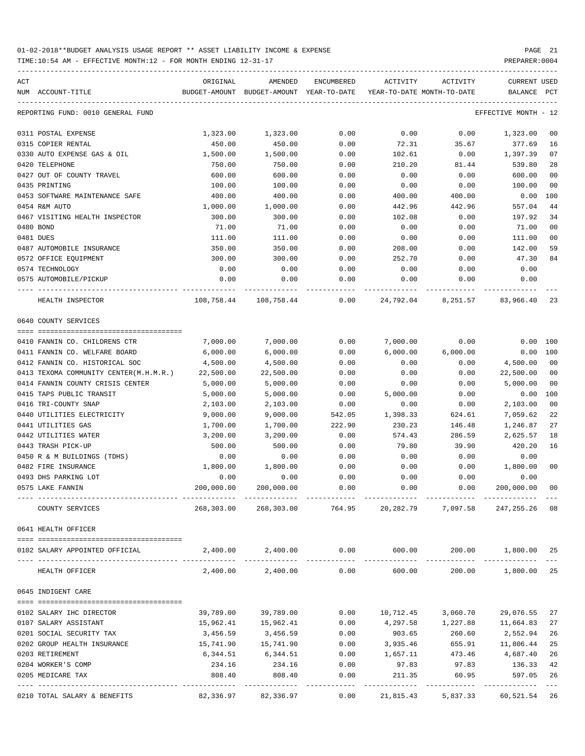TIME:10:54 AM - EFFECTIVE MONTH:12 - FOR MONTH ENDING 12-31-17 PREPARER:0004

| ACT<br>NUM ACCOUNT-TITLE               | ORIGINAL   | AMENDED<br>BUDGET-AMOUNT BUDGET-AMOUNT YEAR-TO-DATE | ENCUMBERED | ACTIVITY      | ACTIVITY<br>YEAR-TO-DATE MONTH-TO-DATE | <b>CURRENT USED</b><br>BALANCE PCT |                |
|----------------------------------------|------------|-----------------------------------------------------|------------|---------------|----------------------------------------|------------------------------------|----------------|
| REPORTING FUND: 0010 GENERAL FUND      |            |                                                     |            |               |                                        | EFFECTIVE MONTH - 12               |                |
| 0311 POSTAL EXPENSE                    | 1,323.00   | 1,323.00                                            | 0.00       | 0.00          | 0.00                                   | 1,323.00                           | 00             |
| 0315 COPIER RENTAL                     | 450.00     | 450.00                                              | 0.00       | 72.31         | 35.67                                  | 377.69                             | 16             |
| 0330 AUTO EXPENSE GAS & OIL            | 1,500.00   | 1,500.00                                            | 0.00       | 102.61        | 0.00                                   | 1,397.39                           | 07             |
| 0420 TELEPHONE                         | 750.00     | 750.00                                              | 0.00       | 210.20        | 81.44                                  | 539.80                             | 28             |
| 0427 OUT OF COUNTY TRAVEL              | 600.00     | 600.00                                              | 0.00       | 0.00          | 0.00                                   | 600.00                             | 0 <sub>0</sub> |
| 0435 PRINTING                          | 100.00     | 100.00                                              | 0.00       | 0.00          | 0.00                                   | 100.00                             | 0 <sub>0</sub> |
| 0453 SOFTWARE MAINTENANCE SAFE         | 400.00     | 400.00                                              | 0.00       | 400.00        | 400.00                                 | 0.00                               | 100            |
| 0454 R&M AUTO                          | 1,000.00   | 1,000.00                                            | 0.00       | 442.96        | 442.96                                 | 557.04                             | 44             |
| 0467 VISITING HEALTH INSPECTOR         | 300.00     | 300.00                                              | 0.00       | 102.08        | 0.00                                   | 197.92                             | 34             |
| 0480 BOND                              | 71.00      | 71.00                                               | 0.00       | 0.00          | 0.00                                   | 71.00                              | 0 <sub>0</sub> |
| 0481 DUES                              | 111.00     | 111.00                                              | 0.00       | 0.00          | 0.00                                   | 111.00                             | 0 <sub>0</sub> |
| 0487 AUTOMOBILE INSURANCE              | 350.00     | 350.00                                              | 0.00       | 208.00        | 0.00                                   | 142.00                             | 59             |
| 0572 OFFICE EQUIPMENT                  | 300.00     | 300.00                                              | 0.00       | 252.70        | 0.00                                   | 47.30                              | 84             |
| 0574 TECHNOLOGY                        | 0.00       | 0.00                                                | 0.00       | 0.00          | 0.00                                   | 0.00                               |                |
| 0575 AUTOMOBILE/PICKUP                 | 0.00       | 0.00                                                | 0.00       | 0.00          | 0.00                                   | 0.00                               |                |
| HEALTH INSPECTOR                       |            |                                                     |            |               | 24,792.04 8,251.57 83,966.40           |                                    | 23             |
| 0640 COUNTY SERVICES                   |            |                                                     |            |               |                                        |                                    |                |
|                                        |            |                                                     |            |               |                                        |                                    |                |
| 0410 FANNIN CO. CHILDRENS CTR          | 7,000.00   | 7,000.00                                            | 0.00       | 7,000.00      | 0.00                                   | $0.00$ 100                         |                |
| 0411 FANNIN CO. WELFARE BOARD          | 6,000.00   | 6,000.00                                            | 0.00       | 6,000.00      | 6,000.00                               | $0.00$ 100                         |                |
| 0412 FANNIN CO. HISTORICAL SOC         | 4,500.00   | 4,500.00                                            | 0.00       | 0.00          | 0.00                                   | 4,500.00                           | 0 <sub>0</sub> |
| 0413 TEXOMA COMMUNITY CENTER(M.H.M.R.) | 22,500.00  | 22,500.00                                           | 0.00       | 0.00          | 0.00                                   | 22,500.00                          | 0 <sub>0</sub> |
| 0414 FANNIN COUNTY CRISIS CENTER       | 5,000.00   | 5,000.00                                            | 0.00       | 0.00          | 0.00                                   | 5,000.00                           | 0 <sub>0</sub> |
| 0415 TAPS PUBLIC TRANSIT               | 5,000.00   | 5,000.00                                            | 0.00       | 5,000.00      | 0.00                                   | 0.00                               | 100            |
| 0416 TRI-COUNTY SNAP                   | 2,103.00   | 2,103.00                                            | 0.00       | 0.00          | 0.00                                   | 2,103.00                           | 0 <sub>0</sub> |
| 0440 UTILITIES ELECTRICITY             | 9,000.00   | 9,000.00                                            | 542.05     | 1,398.33      | 624.61                                 | 7,059.62                           | 22             |
| 0441 UTILITIES GAS                     | 1,700.00   | 1,700.00                                            | 222.90     | 230.23        | 146.48                                 | 1,246.87                           | 27             |
| 0442 UTILITIES WATER                   | 3,200.00   | 3,200.00                                            | 0.00       | 574.43        | 286.59                                 | 2,625.57                           | 18             |
| 0443 TRASH PICK-UP                     | 500.00     | 500.00                                              | 0.00       | 79.80         | 39.90                                  | 420.20                             | 16             |
| 0450 R & M BUILDINGS (TDHS)            | 0.00       | 0.00                                                | 0.00       | 0.00          | 0.00                                   | 0.00                               |                |
| 0482 FIRE INSURANCE                    | 1,800.00   | 1,800.00                                            | 0.00       | 0.00          | 0.00                                   | 1,800.00                           | 0 <sub>0</sub> |
| 0493 DHS PARKING LOT                   | 0.00       | 0.00                                                | 0.00       | 0.00          | 0.00                                   | 0.00                               |                |
| 0575 LAKE FANNIN                       | 200,000.00 | 200,000.00                                          | 0.00       | 0.00          | 0.00                                   | 200,000.00                         | 0 <sub>0</sub> |
| COUNTY SERVICES                        | 268,303.00 | 268,303.00                                          | 764.95     | 20,282.79     | 7,097.58                               | 247,255.26                         | 08             |
| 0641 HEALTH OFFICER                    |            |                                                     |            |               |                                        |                                    |                |
|                                        |            |                                                     |            |               |                                        |                                    |                |
| 0102 SALARY APPOINTED OFFICIAL         |            | 2,400.00 2,400.00                                   |            | $0.00$ 600.00 | 200.00                                 | 1,800.00                           | 25             |
| HEALTH OFFICER                         | 2,400.00   | 2,400.00                                            | 0.00       | 600.00        | 200.00                                 | 1,800.00                           | 25             |
| 0645 INDIGENT CARE                     |            |                                                     |            |               |                                        |                                    |                |
| 0102 SALARY IHC DIRECTOR               | 39,789.00  | 39,789.00                                           | 0.00       | 10,712.45     | 3,060.70                               | 29,076.55                          | 27             |
| 0107 SALARY ASSISTANT                  | 15,962.41  | 15,962.41                                           | 0.00       | 4,297.58      | 1,227.88                               | 11,664.83                          | 27             |
| 0201 SOCIAL SECURITY TAX               | 3,456.59   | 3,456.59                                            | 0.00       | 903.65        | 260.60                                 | 2,552.94                           | 26             |
| 0202 GROUP HEALTH INSURANCE            | 15,741.90  | 15,741.90                                           | 0.00       | 3,935.46      | 655.91                                 | 11,806.44                          | 25             |
| 0203 RETIREMENT                        | 6,344.51   | 6,344.51                                            | 0.00       | 1,657.11      | 473.46                                 | 4,687.40                           | 26             |
| 0204 WORKER'S COMP                     | 234.16     | 234.16                                              | 0.00       | 97.83         | 97.83                                  | 136.33                             | 42             |
| 0205 MEDICARE TAX                      | 808.40     | 808.40                                              | 0.00       | 211.35        | 60.95                                  | 597.05                             | 26             |
|                                        |            |                                                     |            |               |                                        |                                    |                |

0210 TOTAL SALARY & BENEFITS 82,336.97 82,336.97 0.00 21,815.43 5,837.33 60,521.54 26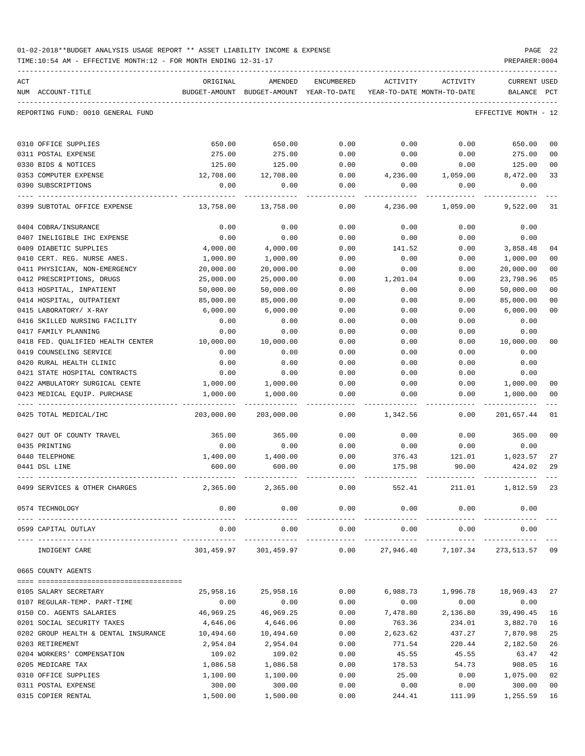|  |  |  |  | 01-02-2018**BUDGET ANALYSIS USAGE REPORT ** ASSET LIABILITY INCOME & EXPENSE |  | PAGE 22 |  |
|--|--|--|--|------------------------------------------------------------------------------|--|---------|--|
|  |  |  |  |                                                                              |  |         |  |

| ACT                                                        | ORIGINAL     | AMENDED                                                             | ENCUMBERED           | ACTIVITY            | ACTIVITY             | <b>CURRENT USED</b>  |                |
|------------------------------------------------------------|--------------|---------------------------------------------------------------------|----------------------|---------------------|----------------------|----------------------|----------------|
| NUM ACCOUNT-TITLE                                          |              | BUDGET-AMOUNT BUDGET-AMOUNT YEAR-TO-DATE YEAR-TO-DATE MONTH-TO-DATE |                      |                     |                      | BALANCE              | PCT            |
| REPORTING FUND: 0010 GENERAL FUND                          |              |                                                                     |                      |                     |                      | EFFECTIVE MONTH - 12 |                |
| 0310 OFFICE SUPPLIES                                       | 650.00       | 650.00                                                              | 0.00                 | 0.00                | 0.00                 | 650.00               | 00             |
| 0311 POSTAL EXPENSE                                        | 275.00       | 275.00                                                              | 0.00                 | 0.00                | 0.00                 | 275.00               | 00             |
| 0330 BIDS & NOTICES                                        | 125.00       | 125.00                                                              | 0.00                 | 0.00                | 0.00                 | 125.00               | 00             |
| 0353 COMPUTER EXPENSE                                      | 12,708.00    | 12,708.00                                                           | 0.00                 | 4,236.00            | 1,059.00             | 8,472.00             | 33             |
| 0390 SUBSCRIPTIONS                                         | 0.00         | 0.00                                                                | 0.00                 | 0.00                | 0.00                 | 0.00                 |                |
| 0399 SUBTOTAL OFFICE EXPENSE                               | 13,758.00    | 13,758.00                                                           | 0.00                 | 4,236.00            | 1,059.00             | 9,522.00             | 31             |
| 0404 COBRA/INSURANCE                                       | 0.00         | 0.00                                                                | 0.00                 | 0.00                | 0.00                 | 0.00                 |                |
| 0407 INELIGIBLE IHC EXPENSE                                | 0.00         | 0.00                                                                | 0.00                 | 0.00                | 0.00                 | 0.00                 |                |
| 0409 DIABETIC SUPPLIES                                     | 4,000.00     | 4,000.00                                                            | 0.00                 | 141.52              | 0.00                 | 3,858.48             | 04             |
| 0410 CERT. REG. NURSE ANES.                                | 1,000.00     | 1,000.00                                                            | 0.00                 | 0.00                | 0.00                 | 1,000.00             | 00             |
| 0411 PHYSICIAN, NON-EMERGENCY                              | 20,000.00    | 20,000.00                                                           | 0.00                 | 0.00                | 0.00                 | 20,000.00            | 0 <sub>0</sub> |
| 0412 PRESCRIPTIONS, DRUGS                                  | 25,000.00    | 25,000.00                                                           | 0.00                 | 1,201.04            | 0.00                 | 23,798.96            | 05             |
| 0413 HOSPITAL, INPATIENT                                   | 50,000.00    | 50,000.00                                                           | 0.00                 | 0.00                | 0.00                 | 50,000.00            | 0 <sub>0</sub> |
| 0414 HOSPITAL, OUTPATIENT                                  | 85,000.00    | 85,000.00                                                           | 0.00                 | 0.00                | 0.00                 | 85,000.00            | 00             |
| 0415 LABORATORY/ X-RAY<br>0416 SKILLED NURSING FACILITY    | 6,000.00     | 6,000.00                                                            | 0.00                 | 0.00                | 0.00                 | 6,000.00             | 00             |
| 0417 FAMILY PLANNING                                       | 0.00<br>0.00 | 0.00<br>0.00                                                        | 0.00<br>0.00         | 0.00<br>0.00        | 0.00<br>0.00         | 0.00<br>0.00         |                |
| 0418 FED. QUALIFIED HEALTH CENTER                          | 10,000.00    | 10,000.00                                                           | 0.00                 | 0.00                | 0.00                 | 10,000.00            | 00             |
| 0419 COUNSELING SERVICE                                    | 0.00         | 0.00                                                                | 0.00                 | 0.00                | 0.00                 | 0.00                 |                |
| 0420 RURAL HEALTH CLINIC                                   | 0.00         | 0.00                                                                | 0.00                 | 0.00                | 0.00                 | 0.00                 |                |
| 0421 STATE HOSPITAL CONTRACTS                              | 0.00         | 0.00                                                                | 0.00                 | 0.00                | 0.00                 | 0.00                 |                |
| 0422 AMBULATORY SURGICAL CENTE                             | 1,000.00     | 1,000.00                                                            | 0.00                 | 0.00                | 0.00                 | 1,000.00             | 00             |
| 0423 MEDICAL EQUIP. PURCHASE                               | 1,000.00     | 1,000.00                                                            | 0.00                 | 0.00                | 0.00                 | 1,000.00             | 00             |
| 0425 TOTAL MEDICAL/IHC                                     | 203,000.00   | 203,000.00                                                          | 0.00                 | 1,342.56            | 0.00                 | 201,657.44           | -01            |
| 0427 OUT OF COUNTY TRAVEL                                  | 365.00       | 365.00                                                              | 0.00                 | 0.00                | 0.00                 | 365.00               | 00             |
| 0435 PRINTING                                              | 0.00         | 0.00                                                                | 0.00                 | 0.00                | 0.00                 | 0.00                 |                |
| 0440 TELEPHONE                                             | 1,400.00     | 1,400.00                                                            | 0.00                 | 376.43              | 121.01               | 1,023.57             | 27             |
| 0441 DSL LINE                                              | 600.00       | 600.00                                                              | 0.00                 | 175.98              | 90.00                | 424.02               | 29             |
| 0499 SERVICES & OTHER CHARGES                              | 2,365.00     | 2,365.00                                                            | 0.00                 | 552.41              | 211.01               | 1,812.59             | 23             |
| 0574 TECHNOLOGY                                            | 0.00         | 0.00                                                                | 0.00<br>--------     | 0.00                | 0.00                 | 0.00                 |                |
| 0599 CAPITAL OUTLAY<br>-------------------- -------------- | 0.00         | 0.00<br>. <u>.</u>                                                  | 0.00<br>------------ | 0.00<br>----------- | 0.00<br>------------ | 0.00<br>-----------  |                |
| INDIGENT CARE                                              | 301,459.97   | 301,459.97                                                          | 0.00                 | 27,946.40           | 7,107.34             | 273,513.57 09        |                |
| 0665 COUNTY AGENTS                                         |              |                                                                     |                      |                     |                      |                      |                |
| 0105 SALARY SECRETARY                                      | 25,958.16    | 25,958.16                                                           | 0.00                 | 6,988.73            | 1,996.78             | 18,969.43            | 27             |
| 0107 REGULAR-TEMP. PART-TIME                               | 0.00         | 0.00                                                                | 0.00                 | 0.00                | 0.00                 | 0.00                 |                |
| 0150 CO. AGENTS SALARIES                                   | 46,969.25    | 46,969.25                                                           | 0.00                 | 7,478.80            | 2,136.80             | 39,490.45            | 16             |
| 0201 SOCIAL SECURITY TAXES                                 | 4,646.06     | 4,646.06                                                            | 0.00                 | 763.36              | 234.01               | 3,882.70             | 16             |
| 0202 GROUP HEALTH & DENTAL INSURANCE                       | 10,494.60    | 10,494.60                                                           | 0.00                 | 2,623.62            | 437.27               | 7,870.98             | 25             |
| 0203 RETIREMENT                                            | 2,954.04     | 2,954.04                                                            | 0.00                 | 771.54              | 220.44               | 2,182.50             | 26             |
| 0204 WORKERS' COMPENSATION                                 | 109.02       | 109.02                                                              | 0.00                 | 45.55               | 45.55                | 63.47                | 42             |
| 0205 MEDICARE TAX                                          | 1,086.58     | 1,086.58                                                            | 0.00                 | 178.53              | 54.73                | 908.05               | 16             |
| 0310 OFFICE SUPPLIES                                       | 1,100.00     | 1,100.00                                                            | 0.00                 | 25.00               | 0.00                 | 1,075.00             | 02             |
| 0311 POSTAL EXPENSE                                        | 300.00       | 300.00                                                              | 0.00                 | 0.00                | 0.00                 | 300.00               | 00             |
| 0315 COPIER RENTAL                                         | 1,500.00     | 1,500.00                                                            | 0.00                 | 244.41              | 111.99               | 1,255.59             | 16             |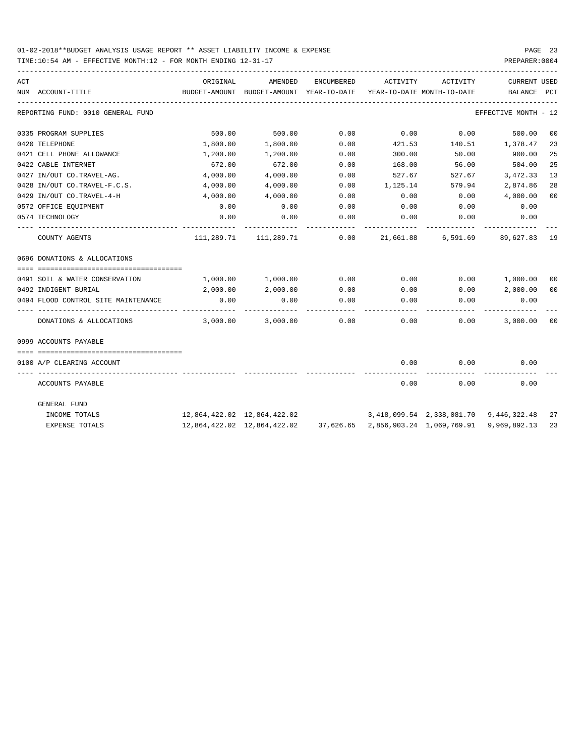| ACT |                                     | ORIGINAL                                 | AMENDED                        | ENCUMBERED | ACTIVITY                   | ACTIVITY                                         | <b>CURRENT USED</b>  |    |
|-----|-------------------------------------|------------------------------------------|--------------------------------|------------|----------------------------|--------------------------------------------------|----------------------|----|
|     | NUM ACCOUNT-TITLE                   | BUDGET-AMOUNT BUDGET-AMOUNT YEAR-TO-DATE |                                |            | YEAR-TO-DATE MONTH-TO-DATE |                                                  | BALANCE PCT          |    |
|     | REPORTING FUND: 0010 GENERAL FUND   |                                          |                                |            |                            |                                                  | EFFECTIVE MONTH - 12 |    |
|     | 0335 PROGRAM SUPPLIES               | 500.00                                   | 500.00                         | 0.00       | 0.00                       | 0.00                                             | 500.00               | 00 |
|     | 0420 TELEPHONE                      | 1,800.00                                 | 1,800.00                       | 0.00       | 421.53                     | 140.51                                           | 1,378.47             | 23 |
|     | 0421 CELL PHONE ALLOWANCE           | 1,200.00                                 | 1,200.00                       | 0.00       | 300.00                     | 50.00                                            | 900.00               | 25 |
|     | 0422 CABLE INTERNET                 | 672.00                                   | 672.00                         | 0.00       | 168.00                     | 56.00                                            | 504.00               | 25 |
|     | 0427 IN/OUT CO.TRAVEL-AG.           | 4,000.00                                 | 4,000.00                       | 0.00       | 527.67                     | 527.67                                           | 3,472.33             | 13 |
|     | 0428 IN/OUT CO.TRAVEL-F.C.S.        | 4,000.00                                 | 4,000.00                       | 0.00       | 1,125.14                   | 579.94                                           | 2,874.86             | 28 |
|     | 0429 IN/OUT CO.TRAVEL-4-H           | 4,000.00                                 | 4,000.00                       | 0.00       | 0.00                       | 0.00                                             | 4,000.00             | 00 |
|     | 0572 OFFICE EQUIPMENT               | 0.00                                     | 0.00                           | 0.00       | 0.00                       | 0.00                                             | 0.00                 |    |
|     | 0574 TECHNOLOGY                     | 0.00                                     | 0.00                           | 0.00       | 0.00                       | 0.00                                             | 0.00                 |    |
|     | COUNTY AGENTS                       |                                          | $111,289.71$ $111,289.71$ 0.00 |            |                            | 21,661.88 6,591.69 89,627.83 19                  |                      |    |
|     | 0696 DONATIONS & ALLOCATIONS        |                                          |                                |            |                            |                                                  |                      |    |
|     |                                     |                                          |                                |            |                            |                                                  |                      |    |
|     | 0491 SOIL & WATER CONSERVATION      |                                          | 1,000.00 1,000.00              | 0.00       | 0.00                       | 0.00                                             | 1,000.00 00          |    |
|     | 0492 INDIGENT BURIAL                | 2,000.00                                 | 2,000.00                       | 0.00       | 0.00                       | 0.00                                             | 2,000.00 00          |    |
|     | 0494 FLOOD CONTROL SITE MAINTENANCE | 0.00                                     | 0.00                           | 0.00       | 0.00                       | 0.00                                             | 0.00                 |    |
|     | DONATIONS & ALLOCATIONS             | 3,000.00                                 | 3,000.00                       | 0.00       | 0.00                       | 0.00                                             | 3,000.00             | 00 |
|     | 0999 ACCOUNTS PAYABLE               |                                          |                                |            |                            |                                                  |                      |    |
|     | 0100 A/P CLEARING ACCOUNT           |                                          |                                |            | 0.00                       | 0.00                                             | 0.00                 |    |
|     | ACCOUNTS PAYABLE                    |                                          |                                |            | 0.00                       | 0.00                                             | 0.00                 |    |
|     | GENERAL FUND                        |                                          |                                |            |                            |                                                  |                      |    |
|     | INCOME TOTALS                       | 12,864,422.02 12,864,422.02              |                                |            |                            | 3,418,099.54 2,338,081.70 9,446,322.48 27        |                      |    |
|     | <b>EXPENSE TOTALS</b>               |                                          | 12,864,422.02 12,864,422.02    |            |                            | 37,626.65 2,856,903.24 1,069,769.91 9,969,892.13 |                      | 23 |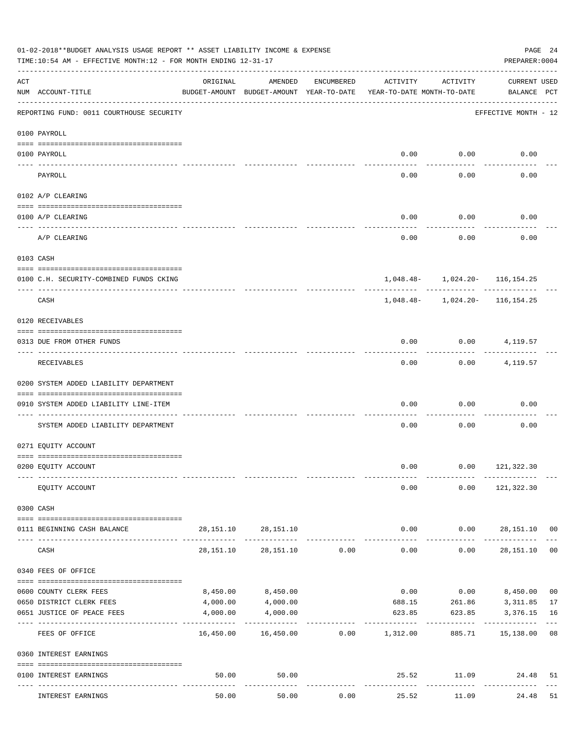|                    | 01-02-2018**BUDGET ANALYSIS USAGE REPORT ** ASSET LIABILITY INCOME & EXPENSE<br>TIME:10:54 AM - EFFECTIVE MONTH:12 - FOR MONTH ENDING 12-31-17                                                                                                                                                                                                                                                                                                                                                                      |           |                                                     |                |                                        |                                    | PREPARER: 0004                       | PAGE 24        |
|--------------------|---------------------------------------------------------------------------------------------------------------------------------------------------------------------------------------------------------------------------------------------------------------------------------------------------------------------------------------------------------------------------------------------------------------------------------------------------------------------------------------------------------------------|-----------|-----------------------------------------------------|----------------|----------------------------------------|------------------------------------|--------------------------------------|----------------|
| $\mathop{\rm ACT}$ | NUM ACCOUNT-TITLE                                                                                                                                                                                                                                                                                                                                                                                                                                                                                                   | ORIGINAL  | AMENDED<br>BUDGET-AMOUNT BUDGET-AMOUNT YEAR-TO-DATE | ENCUMBERED     | ACTIVITY<br>YEAR-TO-DATE MONTH-TO-DATE | ACTIVITY                           | CURRENT USED<br>BALANCE PCT          |                |
|                    | REPORTING FUND: 0011 COURTHOUSE SECURITY                                                                                                                                                                                                                                                                                                                                                                                                                                                                            |           |                                                     |                |                                        |                                    | EFFECTIVE MONTH - 12                 |                |
|                    | 0100 PAYROLL                                                                                                                                                                                                                                                                                                                                                                                                                                                                                                        |           |                                                     |                |                                        |                                    |                                      |                |
|                    | 0100 PAYROLL                                                                                                                                                                                                                                                                                                                                                                                                                                                                                                        |           |                                                     |                |                                        | $0.00$ $0.00$                      | 0.00                                 |                |
| ---- ----          | PAYROLL                                                                                                                                                                                                                                                                                                                                                                                                                                                                                                             |           |                                                     |                | 0.00                                   | 0.00                               | 0.00                                 |                |
|                    | 0102 A/P CLEARING                                                                                                                                                                                                                                                                                                                                                                                                                                                                                                   |           |                                                     |                |                                        |                                    |                                      |                |
|                    | 0100 A/P CLEARING                                                                                                                                                                                                                                                                                                                                                                                                                                                                                                   |           |                                                     |                | 0.00                                   | 0.00                               | 0.00                                 |                |
|                    | A/P CLEARING                                                                                                                                                                                                                                                                                                                                                                                                                                                                                                        |           |                                                     |                | 0.00                                   | 0.00                               | 0.00                                 |                |
|                    | 0103 CASH                                                                                                                                                                                                                                                                                                                                                                                                                                                                                                           |           |                                                     |                |                                        |                                    |                                      |                |
|                    | 0100 C.H. SECURITY-COMBINED FUNDS CKING                                                                                                                                                                                                                                                                                                                                                                                                                                                                             |           |                                                     |                |                                        | $1,048.48 - 1,024.20 - 116,154.25$ |                                      |                |
|                    | CASH                                                                                                                                                                                                                                                                                                                                                                                                                                                                                                                |           |                                                     |                |                                        | $1,048.48 - 1,024.20 - 116,154.25$ |                                      |                |
|                    | 0120 RECEIVABLES                                                                                                                                                                                                                                                                                                                                                                                                                                                                                                    |           |                                                     |                |                                        |                                    |                                      |                |
|                    | 0313 DUE FROM OTHER FUNDS                                                                                                                                                                                                                                                                                                                                                                                                                                                                                           |           |                                                     |                | 0.00                                   |                                    | $0.00$ 4, 119.57                     |                |
|                    | RECEIVABLES                                                                                                                                                                                                                                                                                                                                                                                                                                                                                                         |           |                                                     |                | 0.00                                   | 0.00                               | 4,119.57                             |                |
|                    | 0200 SYSTEM ADDED LIABILITY DEPARTMENT                                                                                                                                                                                                                                                                                                                                                                                                                                                                              |           |                                                     |                |                                        |                                    |                                      |                |
|                    | 0910 SYSTEM ADDED LIABILITY LINE-ITEM                                                                                                                                                                                                                                                                                                                                                                                                                                                                               |           |                                                     |                | 0.00                                   | 0.00                               | 0.00                                 |                |
|                    | SYSTEM ADDED LIABILITY DEPARTMENT                                                                                                                                                                                                                                                                                                                                                                                                                                                                                   |           |                                                     |                | 0.00                                   | 0.00                               | 0.00                                 |                |
|                    | 0271 EQUITY ACCOUNT                                                                                                                                                                                                                                                                                                                                                                                                                                                                                                 |           |                                                     |                |                                        |                                    |                                      |                |
|                    | 0200 EQUITY ACCOUNT                                                                                                                                                                                                                                                                                                                                                                                                                                                                                                 |           |                                                     |                |                                        | $0.00$ $0.00$ $121,322.30$         |                                      |                |
|                    | EQUITY ACCOUNT                                                                                                                                                                                                                                                                                                                                                                                                                                                                                                      |           |                                                     |                | 0.00                                   |                                    | $0.00$ 121,322.30                    |                |
|                    | 0300 CASH                                                                                                                                                                                                                                                                                                                                                                                                                                                                                                           |           |                                                     |                |                                        |                                    |                                      |                |
|                    | $\begin{minipage}{0.03\textwidth} \centering \begin{tabular}{ l l l } \hline \texttt{0.03}\end{tabular} \end{minipage} \end{minipage} \begin{minipage}{0.03\textwidth} \centering \begin{tabular}{ l l l } \hline \texttt{0.03}\end{tabular} \end{minipage} \end{minipage} \begin{minipage}{0.03\textwidth} \centering \begin{tabular}{ l l l l } \hline \texttt{0.03}\end{tabular} \end{minipage} \end{minipage} \begin{minipage}{0.03\textwidth} \centering \begin{tabular}{ l l $<br>0111 BEGINNING CASH BALANCE |           | 28, 151. 10 28, 151. 10                             |                | 0.00                                   | 0.00                               | 28,151.10 00                         |                |
|                    | CASH                                                                                                                                                                                                                                                                                                                                                                                                                                                                                                                | 28,151.10 |                                                     | 28,151.10 0.00 | --------------<br>0.00                 | ----------<br>0.00                 | 28,151.10                            | 0 <sub>0</sub> |
|                    | 0340 FEES OF OFFICE                                                                                                                                                                                                                                                                                                                                                                                                                                                                                                 |           |                                                     |                |                                        |                                    |                                      |                |
|                    | 0600 COUNTY CLERK FEES                                                                                                                                                                                                                                                                                                                                                                                                                                                                                              | 8,450.00  | 8,450.00                                            |                | 0.00                                   |                                    | $0.00$ $8,450.00$                    | 0 <sub>0</sub> |
|                    | 0650 DISTRICT CLERK FEES                                                                                                                                                                                                                                                                                                                                                                                                                                                                                            | 4,000.00  | 4,000.00                                            |                |                                        | 688.15 261.86 3,311.85             |                                      | 17             |
|                    | 0651 JUSTICE OF PEACE FEES<br>--------------------- -------------                                                                                                                                                                                                                                                                                                                                                                                                                                                   | 4,000.00  | 4,000.00                                            |                | 623.85<br>------------                 |                                    | 623.85 3,376.15 16<br>-------------- |                |
|                    | FEES OF OFFICE                                                                                                                                                                                                                                                                                                                                                                                                                                                                                                      |           | 16,450.00    16,450.00    0.00    1,312.00          |                |                                        |                                    | 885.71  15,138.00  08                |                |
|                    | 0360 INTEREST EARNINGS                                                                                                                                                                                                                                                                                                                                                                                                                                                                                              |           |                                                     |                |                                        |                                    |                                      |                |
|                    | 0100 INTEREST EARNINGS                                                                                                                                                                                                                                                                                                                                                                                                                                                                                              | 50.00     | 50.00                                               |                | ------------                           | 25.52 11.09 24.48<br>------------  |                                      | 51             |
|                    | INTEREST EARNINGS                                                                                                                                                                                                                                                                                                                                                                                                                                                                                                   | 50.00     | 50.00                                               | 0.00           | 25.52                                  | 11.09                              | 24.48                                | 51             |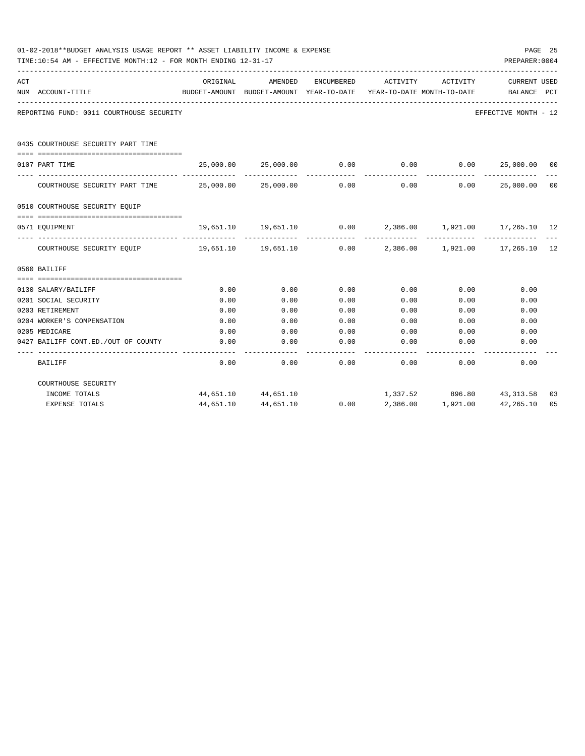|     | 01-02-2018**BUDGET ANALYSIS USAGE REPORT ** ASSET LIABILITY INCOME & EXPENSE<br>TIME:10:54 AM - EFFECTIVE MONTH:12 - FOR MONTH ENDING 12-31-17 |                     |                                                     |            |                              |                                        | PREPARER: 0004                                          | PAGE 25 |
|-----|------------------------------------------------------------------------------------------------------------------------------------------------|---------------------|-----------------------------------------------------|------------|------------------------------|----------------------------------------|---------------------------------------------------------|---------|
| ACT | NUM ACCOUNT-TITLE                                                                                                                              | ORIGINAL            | AMENDED<br>BUDGET-AMOUNT BUDGET-AMOUNT YEAR-TO-DATE | ENCUMBERED | ACTIVITY                     | ACTIVITY<br>YEAR-TO-DATE MONTH-TO-DATE | CURRENT USED<br>BALANCE                                 | PCT     |
|     | REPORTING FUND: 0011 COURTHOUSE SECURITY                                                                                                       |                     |                                                     |            |                              |                                        | EFFECTIVE MONTH - 12                                    |         |
|     | 0435 COURTHOUSE SECURITY PART TIME<br>=====================================                                                                    |                     |                                                     |            |                              |                                        |                                                         |         |
|     | 0107 PART TIME                                                                                                                                 | 25,000.00 25,000.00 |                                                     |            |                              |                                        | $0.00$ $0.00$ $0.00$ $0.00$ $25,000.00$ $00$            |         |
|     | COURTHOUSE SECURITY PART TIME $25,000.00$ $25,000.00$                                                                                          |                     |                                                     | 0.00       | 0.00                         |                                        | 0.00 25,000.00                                          | 00      |
|     | 0510 COURTHOUSE SECURITY EQUIP                                                                                                                 |                     |                                                     |            |                              |                                        |                                                         |         |
|     | 0571 EOUIPMENT                                                                                                                                 |                     |                                                     |            | ------------- -------------- |                                        | 19,651.10 19,651.10 0.00 2,386.00 1,921.00 17,265.10 12 |         |
|     | COURTHOUSE SECURITY EQUIP 19,651.10 19,651.10 0.00 2,386.00 1,921.00 17,265.10 12                                                              |                     |                                                     |            |                              |                                        |                                                         |         |
|     | 0560 BAILIFF                                                                                                                                   |                     |                                                     |            |                              |                                        |                                                         |         |
|     |                                                                                                                                                |                     |                                                     |            |                              |                                        |                                                         |         |
|     | 0130 SALARY/BAILIFF                                                                                                                            | 0.00                | 0.00                                                | 0.00       | 0.00                         | 0.00                                   | 0.00                                                    |         |
|     | 0201 SOCIAL SECURITY                                                                                                                           | 0.00                | 0.00                                                | 0.00       | 0.00                         | 0.00                                   | 0.00                                                    |         |
|     | 0203 RETIREMENT                                                                                                                                | 0.00                | 0.00                                                | 0.00       | 0.00                         | 0.00                                   | 0.00                                                    |         |
|     | 0204 WORKER'S COMPENSATION                                                                                                                     | 0.00                | 0.00                                                | 0.00       | 0.00                         | 0.00                                   | 0.00                                                    |         |
|     | 0205 MEDICARE                                                                                                                                  | 0.00                | 0.00                                                | 0.00       | 0.00                         | 0.00                                   | 0.00                                                    |         |
|     | 0427 BAILIFF CONT.ED./OUT OF COUNTY                                                                                                            | 0.00                | 0.00                                                | 0.00       | 0.00                         | 0.00                                   | 0.00                                                    |         |
|     | <b>BAILIFF</b>                                                                                                                                 | 0.00                | 0.00                                                | 0.00       | 0.00                         | 0.00                                   | 0.00                                                    |         |
|     | COURTHOUSE SECURITY                                                                                                                            |                     |                                                     |            |                              |                                        |                                                         |         |
|     | INCOME TOTALS                                                                                                                                  |                     | 44,651.10 44,651.10                                 |            |                              |                                        | 1,337.52 896.80 43,313.58                               | 03      |
|     | <b>EXPENSE TOTALS</b>                                                                                                                          |                     | 44,651.10 44,651.10                                 |            |                              |                                        | $0.00$ 2,386.00 1,921.00 42,265.10                      | 05      |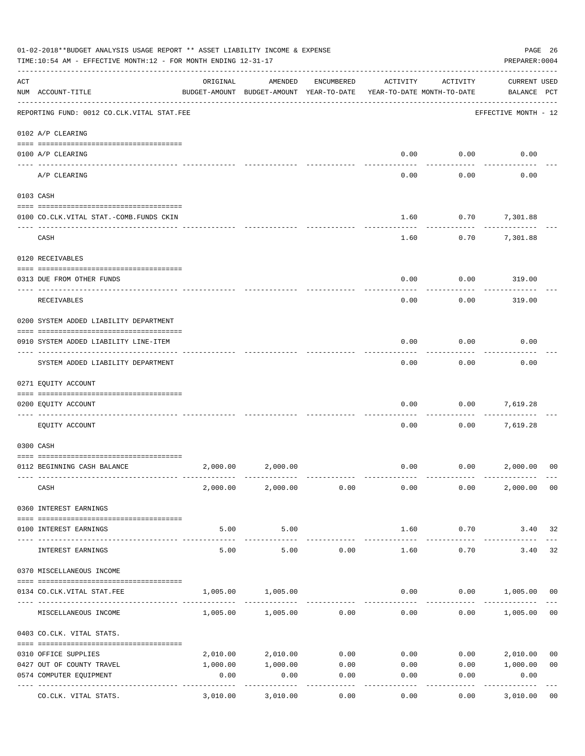|     | 01-02-2018**BUDGET ANALYSIS USAGE REPORT ** ASSET LIABILITY INCOME & EXPENSE<br>TIME:10:54 AM - EFFECTIVE MONTH:12 - FOR MONTH ENDING 12-31-17 |                 |                                                     |                    |          |                                        | PAGE 26<br>PREPARER: 0004                  |
|-----|------------------------------------------------------------------------------------------------------------------------------------------------|-----------------|-----------------------------------------------------|--------------------|----------|----------------------------------------|--------------------------------------------|
| ACT | NUM ACCOUNT-TITLE                                                                                                                              | ORIGINAL        | AMENDED<br>BUDGET-AMOUNT BUDGET-AMOUNT YEAR-TO-DATE | ENCUMBERED         | ACTIVITY | ACTIVITY<br>YEAR-TO-DATE MONTH-TO-DATE | <b>CURRENT USED</b><br>BALANCE PCT         |
|     | -------------------------------------<br>REPORTING FUND: 0012 CO.CLK.VITAL STAT.FEE                                                            |                 |                                                     |                    |          |                                        | EFFECTIVE MONTH - 12                       |
|     | 0102 A/P CLEARING                                                                                                                              |                 |                                                     |                    |          |                                        |                                            |
|     | 0100 A/P CLEARING<br>---- -------------                                                                                                        |                 |                                                     |                    | 0.00     | 0.00                                   | 0.00                                       |
|     | A/P CLEARING                                                                                                                                   |                 |                                                     |                    | 0.00     | 0.00                                   | 0.00                                       |
|     | 0103 CASH                                                                                                                                      |                 |                                                     |                    |          |                                        |                                            |
|     | 0100 CO.CLK.VITAL STAT.-COMB.FUNDS CKIN                                                                                                        |                 |                                                     |                    | 1.60     | 0.70                                   | 7,301.88                                   |
|     | CASH                                                                                                                                           |                 |                                                     |                    | 1.60     | 0.70                                   | 7,301.88                                   |
|     | 0120 RECEIVABLES                                                                                                                               |                 |                                                     |                    |          |                                        |                                            |
|     |                                                                                                                                                |                 |                                                     |                    | 0.00     | 0.00                                   |                                            |
|     | 0313 DUE FROM OTHER FUNDS                                                                                                                      |                 |                                                     |                    |          |                                        | 319.00                                     |
|     | RECEIVABLES                                                                                                                                    |                 |                                                     |                    | 0.00     | 0.00                                   | 319.00                                     |
|     | 0200 SYSTEM ADDED LIABILITY DEPARTMENT                                                                                                         |                 |                                                     |                    |          |                                        |                                            |
|     | 0910 SYSTEM ADDED LIABILITY LINE-ITEM                                                                                                          |                 |                                                     |                    | 0.00     | 0.00                                   | 0.00                                       |
|     | SYSTEM ADDED LIABILITY DEPARTMENT                                                                                                              |                 |                                                     |                    | 0.00     | 0.00                                   | 0.00                                       |
|     | 0271 EQUITY ACCOUNT                                                                                                                            |                 |                                                     |                    |          |                                        |                                            |
|     | 0200 EQUITY ACCOUNT                                                                                                                            |                 |                                                     |                    | 0.00     | 0.00                                   | 7,619.28                                   |
|     | EQUITY ACCOUNT                                                                                                                                 |                 |                                                     |                    | 0.00     | 0.00                                   | 7,619.28                                   |
|     | 0300 CASH                                                                                                                                      |                 |                                                     |                    |          |                                        |                                            |
|     | 0112 BEGINNING CASH BALANCE                                                                                                                    | 2,000.00        | 2,000.00                                            |                    | 0.00     |                                        | 0.00 2,000.00<br>0 <sup>0</sup>            |
|     |                                                                                                                                                |                 |                                                     |                    |          |                                        |                                            |
|     | CASH                                                                                                                                           |                 | 2,000.00 2,000.00 0.00                              |                    | 0.00     | 0.00                                   | 2,000.00 00                                |
|     | 0360 INTEREST EARNINGS                                                                                                                         |                 |                                                     |                    |          |                                        |                                            |
|     | 0100 INTEREST EARNINGS                                                                                                                         | 5.00            | 5.00                                                |                    | 1.60     | 0.70                                   | 3.40 32                                    |
|     | INTEREST EARNINGS                                                                                                                              | -------<br>5.00 | ----------<br>5.00                                  | 0.00               | 1.60     | --------<br>0.70                       | 32<br>3.40                                 |
|     | 0370 MISCELLANEOUS INCOME                                                                                                                      |                 |                                                     |                    |          |                                        |                                            |
|     |                                                                                                                                                |                 |                                                     |                    |          |                                        |                                            |
|     | 0134 CO. CLK. VITAL STAT. FEE                                                                                                                  | 1,005.00        | 1,005.00                                            |                    | 0.00     |                                        | $0.00$ 1,005.00<br>0 <sub>0</sub>          |
|     | MISCELLANEOUS INCOME                                                                                                                           |                 | 1,005.00 1,005.00                                   | 0.00               | 0.00     | 0.00                                   | 1,005.00<br>0 <sub>0</sub>                 |
|     | 0403 CO.CLK. VITAL STATS.                                                                                                                      |                 |                                                     |                    |          |                                        |                                            |
|     | 0310 OFFICE SUPPLIES                                                                                                                           | 2,010.00        | 2,010.00                                            | 0.00               | 0.00     | 0.00                                   | 2,010.00<br>0 <sub>0</sub>                 |
|     | 0427 OUT OF COUNTY TRAVEL                                                                                                                      | 1,000.00        | 1,000.00                                            | 0.00               | 0.00     |                                        | 0.00 1,000.00<br>0 <sub>0</sub>            |
|     | 0574 COMPUTER EQUIPMENT                                                                                                                        | 0.00            | 0.00                                                | 0.00               | 0.00     | 0.00                                   | 0.00                                       |
|     | ---- ----------------<br>--------------- --------------<br>CO.CLK. VITAL STATS.                                                                | 3,010.00        | 3,010.00                                            | ----------<br>0.00 | 0.00     | 0.00                                   | . <u>.</u> .<br>3,010.00<br>0 <sub>0</sub> |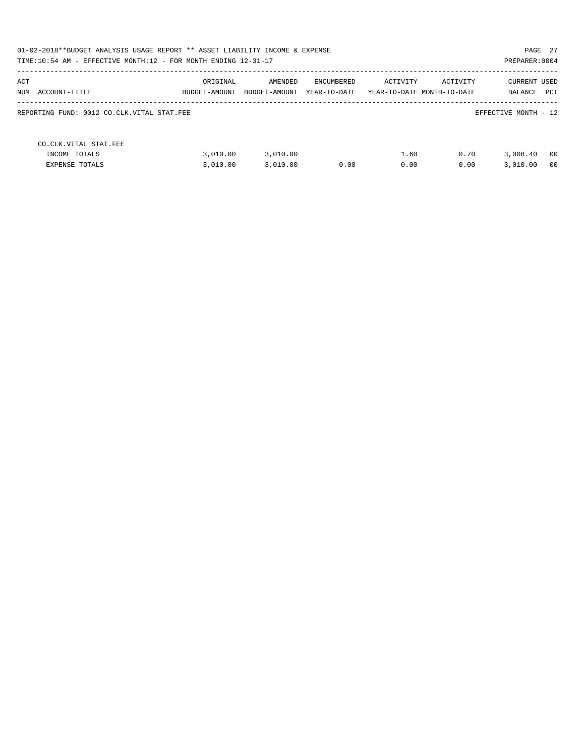| 01-02-2018**BUDGET ANALYSIS USAGE REPORT ** ASSET LIABILITY INCOME & EXPENSE<br>TIME:10:54 AM - EFFECTIVE MONTH:12 - FOR MONTH ENDING 12-31-17 |                           |                          |                            |                                        |              | PAGE 27<br>PREPARER: 0004 |                      |
|------------------------------------------------------------------------------------------------------------------------------------------------|---------------------------|--------------------------|----------------------------|----------------------------------------|--------------|---------------------------|----------------------|
| ACT<br>NUM ACCOUNT-TITLE                                                                                                                       | ORIGINAL<br>BUDGET-AMOUNT | AMENDED<br>BUDGET-AMOUNT | ENCUMBERED<br>YEAR-TO-DATE | ACTIVITY<br>YEAR-TO-DATE MONTH-TO-DATE | ACTIVITY     | CURRENT USED<br>BALANCE   | PCT                  |
| REPORTING FUND: 0012 CO.CLK.VITAL STAT.FEE                                                                                                     |                           |                          |                            |                                        |              | EFFECTIVE MONTH - 12      |                      |
| CO.CLK.VITAL STAT.FEE<br>INCOME TOTALS<br>EXPENSE TOTALS                                                                                       | 3.010.00<br>3.010.00      | 3,010.00<br>3.010.00     | 0.00                       | 1.60<br>0.00                           | 0.70<br>0.00 | 3,008.40<br>3.010.00      | 00<br>0 <sub>0</sub> |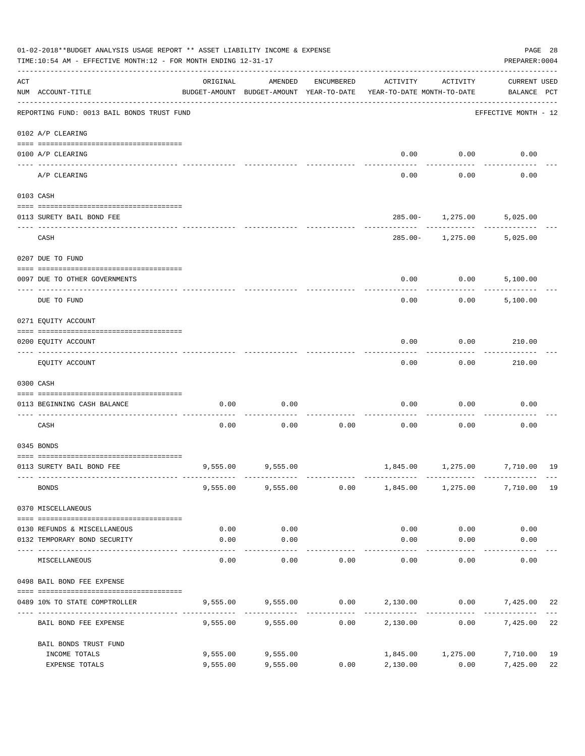| <b>CURRENT USED</b><br>ACT<br>ORIGINAL<br>AMENDED<br>ENCUMBERED<br>ACTIVITY<br>ACTIVITY<br>NUM ACCOUNT-TITLE<br>BUDGET-AMOUNT BUDGET-AMOUNT YEAR-TO-DATE<br>YEAR-TO-DATE MONTH-TO-DATE<br>BALANCE PCT<br>REPORTING FUND: 0013 BAIL BONDS TRUST FUND<br>EFFECTIVE MONTH - 12<br>0102 A/P CLEARING<br>0.00<br>0.00<br>0.00<br>0100 A/P CLEARING<br>----- ------<br>A/P CLEARING<br>0.00<br>0.00<br>0.00<br>0103 CASH<br>$285.00 - 1,275.00$<br>5,025.00<br>0113 SURETY BAIL BOND FEE<br>----------<br>CASH<br>$285.00 -$<br>1,275.00<br>5,025.00<br>0207 DUE TO FUND<br>0.00<br>0.00<br>5,100.00<br>0097 DUE TO OTHER GOVERNMENTS<br>0.00<br>0.00<br>DUE TO FUND<br>5,100.00<br>0271 EQUITY ACCOUNT<br>0.00<br>0.00<br>210.00<br>0200 EQUITY ACCOUNT<br>0.00<br>0.00<br>EQUITY ACCOUNT<br>210.00<br>0300 CASH<br>0.00<br>0.00<br>0.00<br>0.00<br>0.00<br>0113 BEGINNING CASH BALANCE<br>CASH<br>0.00<br>0.00<br>0.00<br>0.00<br>0.00<br>0.00<br>0345 BONDS<br>9,555.00 9,555.00<br>1,845.00 1,275.00 7,710.00 19<br>0113 SURETY BAIL BOND FEE<br><b>BONDS</b><br>$9,555.00$ $9,555.00$ $0.00$ $1,845.00$ $1,275.00$<br>7,710.00 19<br>0370 MISCELLANEOUS<br>0.00<br>0.00<br>0.00<br>0.00<br>0.00<br>0130 REFUNDS & MISCELLANEOUS<br>0.00<br>0.00<br>0132 TEMPORARY BOND SECURITY<br>0.00<br>0.00<br>0.00<br>-----------<br>----------<br>0.00<br>0.00<br>0.00<br>0.00<br>MISCELLANEOUS<br>0.00<br>0.00<br>0498 BAIL BOND FEE EXPENSE<br>$9,555.00$ $9,555.00$ $0.00$ $2,130.00$ $0.00$ $7,425.00$<br>0489 10% TO STATE COMPTROLLER<br>-----------<br>----------<br>-----------<br>9,555.00<br>9,555.00<br>0.00<br>2,130.00<br>0.00<br>7,425.00<br>BAIL BOND FEE EXPENSE<br>BAIL BONDS TRUST FUND<br>9,555.00<br>9,555.00<br>1,845.00 1,275.00<br>7,710.00<br>INCOME TOTALS | 01-02-2018**BUDGET ANALYSIS USAGE REPORT ** ASSET LIABILITY INCOME & EXPENSE<br>TIME:10:54 AM - EFFECTIVE MONTH:12 - FOR MONTH ENDING 12-31-17 |          |          |      |          |      | PREPARER: 0004 | PAGE 28  |
|--------------------------------------------------------------------------------------------------------------------------------------------------------------------------------------------------------------------------------------------------------------------------------------------------------------------------------------------------------------------------------------------------------------------------------------------------------------------------------------------------------------------------------------------------------------------------------------------------------------------------------------------------------------------------------------------------------------------------------------------------------------------------------------------------------------------------------------------------------------------------------------------------------------------------------------------------------------------------------------------------------------------------------------------------------------------------------------------------------------------------------------------------------------------------------------------------------------------------------------------------------------------------------------------------------------------------------------------------------------------------------------------------------------------------------------------------------------------------------------------------------------------------------------------------------------------------------------------------------------------------------------------------------------------------------------------------------------------------------------------------------------------------|------------------------------------------------------------------------------------------------------------------------------------------------|----------|----------|------|----------|------|----------------|----------|
|                                                                                                                                                                                                                                                                                                                                                                                                                                                                                                                                                                                                                                                                                                                                                                                                                                                                                                                                                                                                                                                                                                                                                                                                                                                                                                                                                                                                                                                                                                                                                                                                                                                                                                                                                                          |                                                                                                                                                |          |          |      |          |      |                |          |
|                                                                                                                                                                                                                                                                                                                                                                                                                                                                                                                                                                                                                                                                                                                                                                                                                                                                                                                                                                                                                                                                                                                                                                                                                                                                                                                                                                                                                                                                                                                                                                                                                                                                                                                                                                          |                                                                                                                                                |          |          |      |          |      |                |          |
|                                                                                                                                                                                                                                                                                                                                                                                                                                                                                                                                                                                                                                                                                                                                                                                                                                                                                                                                                                                                                                                                                                                                                                                                                                                                                                                                                                                                                                                                                                                                                                                                                                                                                                                                                                          |                                                                                                                                                |          |          |      |          |      |                |          |
|                                                                                                                                                                                                                                                                                                                                                                                                                                                                                                                                                                                                                                                                                                                                                                                                                                                                                                                                                                                                                                                                                                                                                                                                                                                                                                                                                                                                                                                                                                                                                                                                                                                                                                                                                                          |                                                                                                                                                |          |          |      |          |      |                |          |
|                                                                                                                                                                                                                                                                                                                                                                                                                                                                                                                                                                                                                                                                                                                                                                                                                                                                                                                                                                                                                                                                                                                                                                                                                                                                                                                                                                                                                                                                                                                                                                                                                                                                                                                                                                          |                                                                                                                                                |          |          |      |          |      |                |          |
|                                                                                                                                                                                                                                                                                                                                                                                                                                                                                                                                                                                                                                                                                                                                                                                                                                                                                                                                                                                                                                                                                                                                                                                                                                                                                                                                                                                                                                                                                                                                                                                                                                                                                                                                                                          |                                                                                                                                                |          |          |      |          |      |                |          |
|                                                                                                                                                                                                                                                                                                                                                                                                                                                                                                                                                                                                                                                                                                                                                                                                                                                                                                                                                                                                                                                                                                                                                                                                                                                                                                                                                                                                                                                                                                                                                                                                                                                                                                                                                                          |                                                                                                                                                |          |          |      |          |      |                |          |
|                                                                                                                                                                                                                                                                                                                                                                                                                                                                                                                                                                                                                                                                                                                                                                                                                                                                                                                                                                                                                                                                                                                                                                                                                                                                                                                                                                                                                                                                                                                                                                                                                                                                                                                                                                          |                                                                                                                                                |          |          |      |          |      |                |          |
|                                                                                                                                                                                                                                                                                                                                                                                                                                                                                                                                                                                                                                                                                                                                                                                                                                                                                                                                                                                                                                                                                                                                                                                                                                                                                                                                                                                                                                                                                                                                                                                                                                                                                                                                                                          |                                                                                                                                                |          |          |      |          |      |                |          |
|                                                                                                                                                                                                                                                                                                                                                                                                                                                                                                                                                                                                                                                                                                                                                                                                                                                                                                                                                                                                                                                                                                                                                                                                                                                                                                                                                                                                                                                                                                                                                                                                                                                                                                                                                                          |                                                                                                                                                |          |          |      |          |      |                |          |
|                                                                                                                                                                                                                                                                                                                                                                                                                                                                                                                                                                                                                                                                                                                                                                                                                                                                                                                                                                                                                                                                                                                                                                                                                                                                                                                                                                                                                                                                                                                                                                                                                                                                                                                                                                          |                                                                                                                                                |          |          |      |          |      |                |          |
|                                                                                                                                                                                                                                                                                                                                                                                                                                                                                                                                                                                                                                                                                                                                                                                                                                                                                                                                                                                                                                                                                                                                                                                                                                                                                                                                                                                                                                                                                                                                                                                                                                                                                                                                                                          |                                                                                                                                                |          |          |      |          |      |                |          |
|                                                                                                                                                                                                                                                                                                                                                                                                                                                                                                                                                                                                                                                                                                                                                                                                                                                                                                                                                                                                                                                                                                                                                                                                                                                                                                                                                                                                                                                                                                                                                                                                                                                                                                                                                                          |                                                                                                                                                |          |          |      |          |      |                |          |
|                                                                                                                                                                                                                                                                                                                                                                                                                                                                                                                                                                                                                                                                                                                                                                                                                                                                                                                                                                                                                                                                                                                                                                                                                                                                                                                                                                                                                                                                                                                                                                                                                                                                                                                                                                          |                                                                                                                                                |          |          |      |          |      |                |          |
|                                                                                                                                                                                                                                                                                                                                                                                                                                                                                                                                                                                                                                                                                                                                                                                                                                                                                                                                                                                                                                                                                                                                                                                                                                                                                                                                                                                                                                                                                                                                                                                                                                                                                                                                                                          |                                                                                                                                                |          |          |      |          |      |                |          |
|                                                                                                                                                                                                                                                                                                                                                                                                                                                                                                                                                                                                                                                                                                                                                                                                                                                                                                                                                                                                                                                                                                                                                                                                                                                                                                                                                                                                                                                                                                                                                                                                                                                                                                                                                                          |                                                                                                                                                |          |          |      |          |      |                |          |
|                                                                                                                                                                                                                                                                                                                                                                                                                                                                                                                                                                                                                                                                                                                                                                                                                                                                                                                                                                                                                                                                                                                                                                                                                                                                                                                                                                                                                                                                                                                                                                                                                                                                                                                                                                          |                                                                                                                                                |          |          |      |          |      |                |          |
|                                                                                                                                                                                                                                                                                                                                                                                                                                                                                                                                                                                                                                                                                                                                                                                                                                                                                                                                                                                                                                                                                                                                                                                                                                                                                                                                                                                                                                                                                                                                                                                                                                                                                                                                                                          |                                                                                                                                                |          |          |      |          |      |                |          |
|                                                                                                                                                                                                                                                                                                                                                                                                                                                                                                                                                                                                                                                                                                                                                                                                                                                                                                                                                                                                                                                                                                                                                                                                                                                                                                                                                                                                                                                                                                                                                                                                                                                                                                                                                                          |                                                                                                                                                |          |          |      |          |      |                |          |
|                                                                                                                                                                                                                                                                                                                                                                                                                                                                                                                                                                                                                                                                                                                                                                                                                                                                                                                                                                                                                                                                                                                                                                                                                                                                                                                                                                                                                                                                                                                                                                                                                                                                                                                                                                          |                                                                                                                                                |          |          |      |          |      |                |          |
|                                                                                                                                                                                                                                                                                                                                                                                                                                                                                                                                                                                                                                                                                                                                                                                                                                                                                                                                                                                                                                                                                                                                                                                                                                                                                                                                                                                                                                                                                                                                                                                                                                                                                                                                                                          |                                                                                                                                                |          |          |      |          |      |                |          |
|                                                                                                                                                                                                                                                                                                                                                                                                                                                                                                                                                                                                                                                                                                                                                                                                                                                                                                                                                                                                                                                                                                                                                                                                                                                                                                                                                                                                                                                                                                                                                                                                                                                                                                                                                                          |                                                                                                                                                |          |          |      |          |      |                |          |
|                                                                                                                                                                                                                                                                                                                                                                                                                                                                                                                                                                                                                                                                                                                                                                                                                                                                                                                                                                                                                                                                                                                                                                                                                                                                                                                                                                                                                                                                                                                                                                                                                                                                                                                                                                          |                                                                                                                                                |          |          |      |          |      |                |          |
|                                                                                                                                                                                                                                                                                                                                                                                                                                                                                                                                                                                                                                                                                                                                                                                                                                                                                                                                                                                                                                                                                                                                                                                                                                                                                                                                                                                                                                                                                                                                                                                                                                                                                                                                                                          |                                                                                                                                                |          |          |      |          |      |                |          |
|                                                                                                                                                                                                                                                                                                                                                                                                                                                                                                                                                                                                                                                                                                                                                                                                                                                                                                                                                                                                                                                                                                                                                                                                                                                                                                                                                                                                                                                                                                                                                                                                                                                                                                                                                                          |                                                                                                                                                |          |          |      |          |      |                |          |
|                                                                                                                                                                                                                                                                                                                                                                                                                                                                                                                                                                                                                                                                                                                                                                                                                                                                                                                                                                                                                                                                                                                                                                                                                                                                                                                                                                                                                                                                                                                                                                                                                                                                                                                                                                          |                                                                                                                                                |          |          |      |          |      |                | 22       |
|                                                                                                                                                                                                                                                                                                                                                                                                                                                                                                                                                                                                                                                                                                                                                                                                                                                                                                                                                                                                                                                                                                                                                                                                                                                                                                                                                                                                                                                                                                                                                                                                                                                                                                                                                                          |                                                                                                                                                |          |          |      |          |      |                | 22       |
|                                                                                                                                                                                                                                                                                                                                                                                                                                                                                                                                                                                                                                                                                                                                                                                                                                                                                                                                                                                                                                                                                                                                                                                                                                                                                                                                                                                                                                                                                                                                                                                                                                                                                                                                                                          |                                                                                                                                                |          |          |      |          |      |                |          |
|                                                                                                                                                                                                                                                                                                                                                                                                                                                                                                                                                                                                                                                                                                                                                                                                                                                                                                                                                                                                                                                                                                                                                                                                                                                                                                                                                                                                                                                                                                                                                                                                                                                                                                                                                                          | EXPENSE TOTALS                                                                                                                                 | 9,555.00 | 9,555.00 | 0.00 | 2,130.00 | 0.00 | 7,425.00       | 19<br>22 |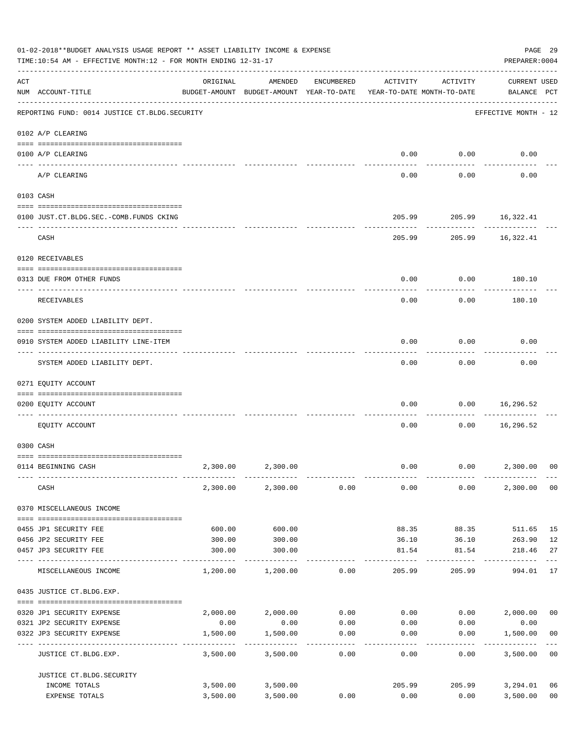|     | 01-02-2018**BUDGET ANALYSIS USAGE REPORT ** ASSET LIABILITY INCOME & EXPENSE<br>TIME:10:54 AM - EFFECTIVE MONTH:12 - FOR MONTH ENDING 12-31-17 |                                                                                 |                        |                  |          |                         | PAGE 29<br>PREPARER: 0004              |                |
|-----|------------------------------------------------------------------------------------------------------------------------------------------------|---------------------------------------------------------------------------------|------------------------|------------------|----------|-------------------------|----------------------------------------|----------------|
| ACT | NUM ACCOUNT-TITLE                                                                                                                              | ORIGINAL<br>BUDGET-AMOUNT BUDGET-AMOUNT YEAR-TO-DATE YEAR-TO-DATE MONTH-TO-DATE | AMENDED                | ENCUMBERED       | ACTIVITY | ACTIVITY                | <b>CURRENT USED</b><br>BALANCE PCT     |                |
|     | REPORTING FUND: 0014 JUSTICE CT. BLDG. SECURITY                                                                                                |                                                                                 |                        |                  |          |                         | EFFECTIVE MONTH - 12                   |                |
|     | 0102 A/P CLEARING                                                                                                                              |                                                                                 |                        |                  |          |                         |                                        |                |
|     | 0100 A/P CLEARING                                                                                                                              |                                                                                 |                        |                  | 0.00     | 0.00                    | 0.00                                   |                |
|     | A/P CLEARING                                                                                                                                   |                                                                                 |                        |                  | 0.00     | 0.00                    | 0.00                                   |                |
|     | 0103 CASH                                                                                                                                      |                                                                                 |                        |                  |          |                         |                                        |                |
|     | 0100 JUST.CT.BLDG.SEC.-COMB.FUNDS CKING                                                                                                        |                                                                                 |                        |                  |          | 205.99 205.99 16,322.41 |                                        |                |
|     | -----------------------------------<br>CASH                                                                                                    |                                                                                 |                        |                  |          | ---------<br>205.99     | 205.99 16,322.41                       |                |
|     | 0120 RECEIVABLES                                                                                                                               |                                                                                 |                        |                  |          |                         |                                        |                |
|     | 0313 DUE FROM OTHER FUNDS                                                                                                                      |                                                                                 |                        |                  | 0.00     | 0.00                    | 180.10                                 |                |
|     | RECEIVABLES                                                                                                                                    |                                                                                 |                        |                  | 0.00     | 0.00                    | 180.10                                 |                |
|     | 0200 SYSTEM ADDED LIABILITY DEPT.                                                                                                              |                                                                                 |                        |                  |          |                         |                                        |                |
|     | 0910 SYSTEM ADDED LIABILITY LINE-ITEM                                                                                                          |                                                                                 |                        |                  | 0.00     | 0.00                    | 0.00                                   |                |
|     | SYSTEM ADDED LIABILITY DEPT.                                                                                                                   |                                                                                 |                        |                  | 0.00     | 0.00                    | 0.00                                   |                |
|     | 0271 EQUITY ACCOUNT                                                                                                                            |                                                                                 |                        |                  |          |                         |                                        |                |
|     | 0200 EQUITY ACCOUNT                                                                                                                            |                                                                                 |                        |                  | 0.00     | 0.00                    | 16,296.52                              |                |
|     | --------------------- ---------<br>----- -----------<br>EQUITY ACCOUNT                                                                         |                                                                                 |                        |                  | 0.00     | 0.00                    | 16,296.52                              |                |
|     | 0300 CASH                                                                                                                                      |                                                                                 |                        |                  |          |                         |                                        |                |
|     | 0114 BEGINNING CASH                                                                                                                            | 2,300.00                                                                        | 2,300.00               |                  | 0.00     |                         | $0.00$ 2,300.00                        | 00             |
|     |                                                                                                                                                |                                                                                 |                        |                  |          |                         |                                        |                |
|     | CASH                                                                                                                                           |                                                                                 | 2,300.00 2,300.00      | 0.00             | 0.00     | 0.00                    | 2,300.00                               | 0 <sub>0</sub> |
|     | 0370 MISCELLANEOUS INCOME                                                                                                                      |                                                                                 |                        |                  |          |                         |                                        |                |
|     | 0455 JP1 SECURITY FEE                                                                                                                          | 600.00                                                                          | 600.00                 |                  | 88.35    | 88.35                   | 511.65                                 | 15             |
|     | 0456 JP2 SECURITY FEE                                                                                                                          | 300.00                                                                          | 300.00                 |                  | 36.10    | 36.10                   | 263.90                                 | 12             |
|     | 0457 JP3 SECURITY FEE<br>---- ----------------                                                                                                 | 300.00<br>------------- --------------                                          | 300.00                 |                  | 81.54    | 81.54                   | 218.46<br>--------                     | 27             |
|     | MISCELLANEOUS INCOME                                                                                                                           | 1,200.00                                                                        | 1,200.00               | 0.00             | 205.99   | 205.99                  | 994.01                                 | 17             |
|     | 0435 JUSTICE CT.BLDG.EXP.                                                                                                                      |                                                                                 |                        |                  |          |                         |                                        |                |
|     | 0320 JP1 SECURITY EXPENSE                                                                                                                      |                                                                                 | 2,000.00 2,000.00      |                  |          |                         | $0.00$ $0.00$ $0.00$ $0.00$ $2,000.00$ | 0 <sub>0</sub> |
|     | 0321 JP2 SECURITY EXPENSE                                                                                                                      | 0.00                                                                            | 0.00                   | 0.00             | 0.00     | 0.00                    | 0.00                                   |                |
|     | 0322 JP3 SECURITY EXPENSE                                                                                                                      | 1,500.00                                                                        | 1,500.00<br>---------- | 0.00<br>-------- | 0.00     | 0.00<br>---------       | 1,500.00                               | 00             |
|     | JUSTICE CT.BLDG.EXP.                                                                                                                           | 3,500.00                                                                        | 3,500.00               | 0.00             | 0.00     | 0.00                    | 3,500.00                               | 0 <sub>0</sub> |
|     | JUSTICE CT.BLDG.SECURITY<br>INCOME TOTALS                                                                                                      |                                                                                 | 3,500.00 3,500.00      |                  | 205.99   | 205.99                  | 3,294.01                               | 06             |
|     | EXPENSE TOTALS                                                                                                                                 | 3,500.00                                                                        | 3,500.00               | 0.00             | 0.00     | 0.00                    | 3,500.00                               | 0 <sub>0</sub> |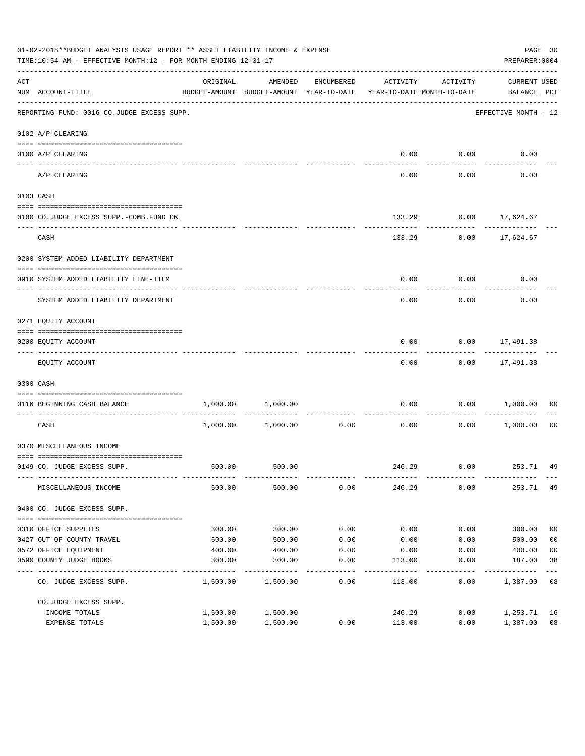|     | 01-02-2018**BUDGET ANALYSIS USAGE REPORT ** ASSET LIABILITY INCOME & EXPENSE<br>TIME:10:54 AM - EFFECTIVE MONTH:12 - FOR MONTH ENDING 12-31-17 |          |                                                     |               |                                        |                    | PREPARER: 0004                  | PAGE 30        |
|-----|------------------------------------------------------------------------------------------------------------------------------------------------|----------|-----------------------------------------------------|---------------|----------------------------------------|--------------------|---------------------------------|----------------|
| ACT | NUM ACCOUNT-TITLE                                                                                                                              | ORIGINAL | AMENDED<br>BUDGET-AMOUNT BUDGET-AMOUNT YEAR-TO-DATE | ENCUMBERED    | ACTIVITY<br>YEAR-TO-DATE MONTH-TO-DATE | ACTIVITY           | CURRENT USED<br>BALANCE PCT     |                |
|     | REPORTING FUND: 0016 CO.JUDGE EXCESS SUPP.                                                                                                     |          |                                                     |               |                                        |                    | EFFECTIVE MONTH - 12            |                |
|     | 0102 A/P CLEARING                                                                                                                              |          |                                                     |               |                                        |                    |                                 |                |
|     | 0100 A/P CLEARING                                                                                                                              |          |                                                     |               | 0.00                                   | 0.00               | 0.00                            |                |
|     | ---- -------<br>A/P CLEARING                                                                                                                   |          |                                                     |               | 0.00                                   | 0.00               | 0.00                            |                |
|     | 0103 CASH                                                                                                                                      |          |                                                     |               |                                        |                    |                                 |                |
|     | 0100 CO.JUDGE EXCESS SUPP.-COMB.FUND CK                                                                                                        |          |                                                     |               | 133.29                                 |                    | $0.00$ 17,624.67                |                |
|     | CASH                                                                                                                                           |          |                                                     |               | 133.29                                 |                    | $0.00$ 17,624.67                |                |
|     | 0200 SYSTEM ADDED LIABILITY DEPARTMENT                                                                                                         |          |                                                     |               |                                        |                    |                                 |                |
|     | 0910 SYSTEM ADDED LIABILITY LINE-ITEM                                                                                                          |          |                                                     |               | 0.00                                   | 0.00               | 0.00                            |                |
|     | SYSTEM ADDED LIABILITY DEPARTMENT                                                                                                              |          |                                                     |               | 0.00                                   | 0.00               | 0.00                            |                |
|     | 0271 EQUITY ACCOUNT                                                                                                                            |          |                                                     |               |                                        |                    |                                 |                |
|     | 0200 EQUITY ACCOUNT                                                                                                                            |          |                                                     |               | 0.00                                   |                    | $0.00$ 17,491.38                |                |
|     | EQUITY ACCOUNT                                                                                                                                 |          |                                                     |               | 0.00                                   |                    | -----------<br>$0.00$ 17,491.38 |                |
|     | 0300 CASH                                                                                                                                      |          |                                                     |               |                                        |                    |                                 |                |
|     | 0116 BEGINNING CASH BALANCE                                                                                                                    | 1,000.00 | 1,000.00                                            |               | 0.00                                   | 0.00               | 1,000.00                        | 00             |
|     | CASH                                                                                                                                           | 1,000.00 | 1,000.00                                            | 0.00          | ------------- -------------<br>0.00    | ----------<br>0.00 | 1,000.00                        | 00             |
|     | 0370 MISCELLANEOUS INCOME                                                                                                                      |          |                                                     |               |                                        |                    |                                 |                |
|     | 0149 CO. JUDGE EXCESS SUPP.                                                                                                                    |          | 500.00 500.00                                       |               |                                        |                    | 246.29 0.00 253.71 49           |                |
|     | MISCELLANEOUS INCOME                                                                                                                           | 500.00   | 500.00                                              | 0.00          | 246.29                                 | 0.00               | 253.71 49                       |                |
|     | 0400 CO. JUDGE EXCESS SUPP.                                                                                                                    |          |                                                     |               |                                        |                    |                                 |                |
|     | 0310 OFFICE SUPPLIES                                                                                                                           | 300.00   | 300.00                                              | 0.00          | 0.00                                   | 0.00               | 300.00                          | 0 <sub>0</sub> |
|     | 0427 OUT OF COUNTY TRAVEL                                                                                                                      | 500.00   | 500.00                                              | 0.00          | 0.00                                   | 0.00               | 500.00                          | 0 <sub>0</sub> |
|     | 0572 OFFICE EQUIPMENT                                                                                                                          | 400.00   | 400.00                                              | 0.00          | 0.00                                   | 0.00               | 400.00                          | 0 <sub>0</sub> |
|     | 0590 COUNTY JUDGE BOOKS                                                                                                                        | 300.00   | 300.00                                              | 0.00          | 113.00                                 | 0.00               | 187.00                          | 38             |
|     | CO. JUDGE EXCESS SUPP.                                                                                                                         | 1,500.00 | 1,500.00                                            | $---$<br>0.00 | 113.00                                 | 0.00               | 1,387.00                        | 08             |
|     | CO.JUDGE EXCESS SUPP.                                                                                                                          |          |                                                     |               |                                        |                    |                                 |                |
|     | INCOME TOTALS                                                                                                                                  | 1,500.00 | 1,500.00                                            |               | 246.29                                 | 0.00               | 1,253.71                        | 16             |
|     | EXPENSE TOTALS                                                                                                                                 | 1,500.00 | 1,500.00                                            | 0.00          | 113.00                                 | 0.00               | 1,387.00                        | 08             |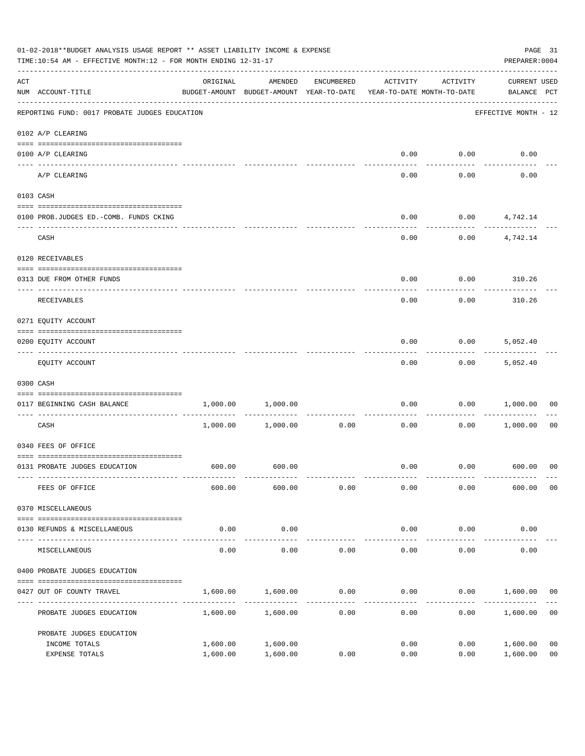|                    | 01-02-2018**BUDGET ANALYSIS USAGE REPORT ** ASSET LIABILITY INCOME & EXPENSE<br>PREPARER: 0004<br>TIME:10:54 AM - EFFECTIVE MONTH:12 - FOR MONTH ENDING 12-31-17<br>AMENDED<br>ACTIVITY<br>ACTIVITY<br>ORIGINAL<br>ENCUMBERED |                                          |                     |      |                                     |                    |                                    |                |
|--------------------|-------------------------------------------------------------------------------------------------------------------------------------------------------------------------------------------------------------------------------|------------------------------------------|---------------------|------|-------------------------------------|--------------------|------------------------------------|----------------|
| $\mathop{\rm ACT}$ | NUM ACCOUNT-TITLE                                                                                                                                                                                                             | BUDGET-AMOUNT BUDGET-AMOUNT YEAR-TO-DATE |                     |      | YEAR-TO-DATE MONTH-TO-DATE          |                    | <b>CURRENT USED</b><br>BALANCE PCT |                |
|                    | REPORTING FUND: 0017 PROBATE JUDGES EDUCATION                                                                                                                                                                                 |                                          |                     |      |                                     |                    | EFFECTIVE MONTH - 12               |                |
|                    | 0102 A/P CLEARING                                                                                                                                                                                                             |                                          |                     |      |                                     |                    |                                    |                |
|                    | 0100 A/P CLEARING                                                                                                                                                                                                             |                                          |                     |      | 0.00                                | 0.00               | 0.00                               |                |
|                    | ---- --------<br>A/P CLEARING                                                                                                                                                                                                 |                                          |                     |      | 0.00                                | 0.00               | 0.00                               |                |
|                    | 0103 CASH                                                                                                                                                                                                                     |                                          |                     |      |                                     |                    |                                    |                |
|                    | 0100 PROB.JUDGES ED.-COMB. FUNDS CKING                                                                                                                                                                                        |                                          |                     |      | 0.00                                |                    | $0.00$ $4,742.14$                  |                |
|                    | CASH                                                                                                                                                                                                                          |                                          |                     |      | 0.00                                |                    | -----------<br>$0.00$ $4,742.14$   |                |
|                    | 0120 RECEIVABLES                                                                                                                                                                                                              |                                          |                     |      |                                     |                    |                                    |                |
|                    | 0313 DUE FROM OTHER FUNDS                                                                                                                                                                                                     |                                          |                     |      | 0.00                                |                    | $0.00$ 310.26                      |                |
|                    | RECEIVABLES                                                                                                                                                                                                                   |                                          |                     |      | 0.00                                | 0.00               | 310.26                             |                |
|                    | 0271 EQUITY ACCOUNT                                                                                                                                                                                                           |                                          |                     |      |                                     |                    |                                    |                |
|                    | 0200 EQUITY ACCOUNT                                                                                                                                                                                                           |                                          |                     |      | 0.00                                | 0.00               | 5,052.40                           |                |
|                    | EQUITY ACCOUNT                                                                                                                                                                                                                |                                          |                     |      | 0.00                                | 0.00               | -----------<br>5,052.40            |                |
|                    | 0300 CASH                                                                                                                                                                                                                     |                                          |                     |      |                                     |                    |                                    |                |
|                    | 0117 BEGINNING CASH BALANCE                                                                                                                                                                                                   | 1,000.00                                 | 1,000.00            |      | 0.00                                | 0.00               | 1,000.00                           | 00             |
|                    | CASH                                                                                                                                                                                                                          |                                          | 1,000.00 1,000.00   | 0.00 | ---------------------------<br>0.00 | ----------<br>0.00 | 1,000.00                           | 0 <sub>0</sub> |
|                    | 0340 FEES OF OFFICE                                                                                                                                                                                                           |                                          |                     |      |                                     |                    |                                    |                |
|                    | 0131 PROBATE JUDGES EDUCATION                                                                                                                                                                                                 |                                          | 600.00 600.00       |      |                                     |                    | $0.00$ $0.00$ $600.00$ 00          |                |
|                    | FEES OF OFFICE                                                                                                                                                                                                                | 600.00                                   | 600.00              | 0.00 | 0.00                                | 0.00               | 600.00                             | 0 <sub>0</sub> |
|                    | 0370 MISCELLANEOUS                                                                                                                                                                                                            |                                          |                     |      |                                     |                    |                                    |                |
|                    | 0130 REFUNDS & MISCELLANEOUS                                                                                                                                                                                                  | 0.00                                     | 0.00                |      | 0.00                                | 0.00               | 0.00                               |                |
|                    | MISCELLANEOUS                                                                                                                                                                                                                 | 0.00                                     | -----------<br>0.00 | 0.00 | -------------<br>0.00               | 0.00               | 0.00                               |                |
|                    | 0400 PROBATE JUDGES EDUCATION                                                                                                                                                                                                 |                                          |                     |      |                                     |                    |                                    |                |
|                    | 0427 OUT OF COUNTY TRAVEL                                                                                                                                                                                                     | 1,600.00                                 | 1,600.00            | 0.00 | 0.00                                |                    | $0.00$ 1,600.00                    | 00             |
|                    | PROBATE JUDGES EDUCATION                                                                                                                                                                                                      |                                          | 1,600.00 1,600.00   | 0.00 | 0.00                                | 0.00               | 1,600.00                           | 0 <sub>0</sub> |
|                    | PROBATE JUDGES EDUCATION                                                                                                                                                                                                      |                                          |                     |      |                                     |                    |                                    |                |
|                    | INCOME TOTALS                                                                                                                                                                                                                 | 1,600.00                                 | 1,600.00            |      | 0.00                                | 0.00               | 1,600.00                           | 0 <sub>0</sub> |
|                    | EXPENSE TOTALS                                                                                                                                                                                                                | 1,600.00                                 | 1,600.00            | 0.00 | 0.00                                | 0.00               | 1,600.00                           | 0 <sub>0</sub> |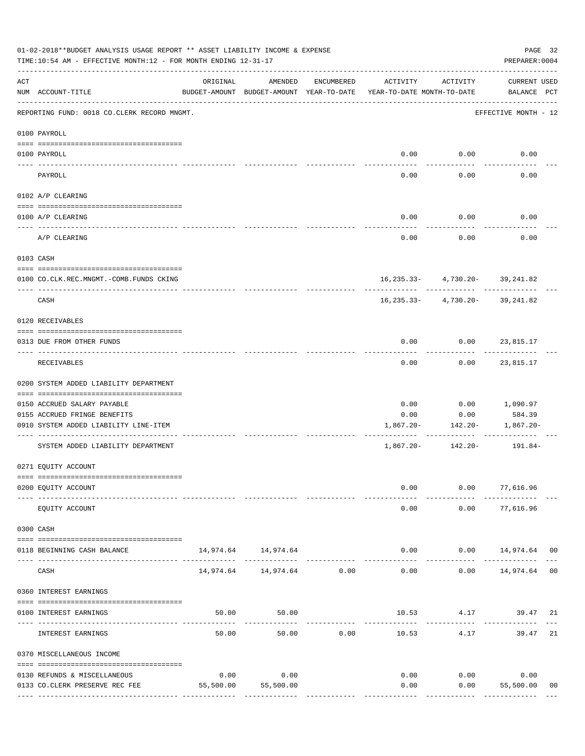|               | 01-02-2018**BUDGET ANALYSIS USAGE REPORT ** ASSET LIABILITY INCOME & EXPENSE<br>TIME:10:54 AM - EFFECTIVE MONTH:12 - FOR MONTH ENDING 12-31-17 |           |                                |               |                                                                                 |                                                                   | PAGE 32<br>PREPARER: 0004                    |    |
|---------------|------------------------------------------------------------------------------------------------------------------------------------------------|-----------|--------------------------------|---------------|---------------------------------------------------------------------------------|-------------------------------------------------------------------|----------------------------------------------|----|
| ACT           | NUM ACCOUNT-TITLE                                                                                                                              | ORIGINAL  | AMENDED                        | ENCUMBERED    | ACTIVITY<br>BUDGET-AMOUNT BUDGET-AMOUNT YEAR-TO-DATE YEAR-TO-DATE MONTH-TO-DATE | ACTIVITY                                                          | CURRENT USED<br>BALANCE PCT                  |    |
|               | REPORTING FUND: 0018 CO.CLERK RECORD MNGMT.                                                                                                    |           |                                |               |                                                                                 |                                                                   | EFFECTIVE MONTH - 12                         |    |
|               | 0100 PAYROLL                                                                                                                                   |           |                                |               |                                                                                 |                                                                   |                                              |    |
| $\frac{1}{2}$ | 0100 PAYROLL                                                                                                                                   |           |                                |               |                                                                                 | $0.00$ 0.00                                                       | 0.00                                         |    |
|               | PAYROLL                                                                                                                                        |           |                                |               | 0.00                                                                            | 0.00                                                              | 0.00                                         |    |
|               | 0102 A/P CLEARING                                                                                                                              |           |                                |               |                                                                                 |                                                                   |                                              |    |
|               | 0100 A/P CLEARING                                                                                                                              |           |                                |               | 0.00                                                                            | 0.00                                                              | 0.00                                         |    |
|               | A/P CLEARING                                                                                                                                   |           |                                |               | 0.00                                                                            | 0.00                                                              | 0.00                                         |    |
|               | 0103 CASH                                                                                                                                      |           |                                |               |                                                                                 |                                                                   |                                              |    |
|               | 0100 CO.CLK.REC.MNGMT.-COMB.FUNDS CKING                                                                                                        |           |                                |               |                                                                                 | 16, 235. 33 - 4, 730. 20 - 39, 241. 82                            |                                              |    |
|               | -----------------------------<br>CASH                                                                                                          |           |                                |               |                                                                                 | --------- -------------<br>16, 235. 33 - 4, 730. 20 - 39, 241. 82 |                                              |    |
|               | 0120 RECEIVABLES                                                                                                                               |           |                                |               |                                                                                 |                                                                   |                                              |    |
|               | 0313 DUE FROM OTHER FUNDS                                                                                                                      |           |                                |               | 0.00                                                                            | $0.00$ 23,815.17                                                  |                                              |    |
|               | RECEIVABLES                                                                                                                                    |           |                                |               | 0.00                                                                            |                                                                   | $0.00$ 23,815.17                             |    |
|               | 0200 SYSTEM ADDED LIABILITY DEPARTMENT                                                                                                         |           |                                |               |                                                                                 |                                                                   |                                              |    |
|               | 0150 ACCRUED SALARY PAYABLE                                                                                                                    |           |                                |               | 0.00                                                                            | 0.00                                                              | 1,090.97                                     |    |
|               | 0155 ACCRUED FRINGE BENEFITS<br>0910 SYSTEM ADDED LIABILITY LINE-ITEM                                                                          |           |                                |               | 0.00<br>1,867.20-                                                               | 0.00<br>142.20-                                                   | 584.39<br>1,867.20-                          |    |
|               |                                                                                                                                                |           |                                |               |                                                                                 |                                                                   |                                              |    |
|               | SYSTEM ADDED LIABILITY DEPARTMENT                                                                                                              |           |                                |               | 1,867.20-                                                                       |                                                                   | 142.20- 191.84-                              |    |
|               | 0271 EQUITY ACCOUNT                                                                                                                            |           |                                |               |                                                                                 |                                                                   |                                              |    |
|               | 0200 EQUITY ACCOUNT                                                                                                                            |           |                                |               | 0.00                                                                            |                                                                   | $0.00$ 77,616.96                             |    |
|               | EQUITY ACCOUNT                                                                                                                                 |           |                                |               | 0.00                                                                            | 0.00                                                              | 77,616.96                                    |    |
|               | 0300 CASH                                                                                                                                      |           |                                |               |                                                                                 |                                                                   |                                              |    |
|               | 0118 BEGINNING CASH BALANCE                                                                                                                    |           | 14,974.64 14,974.64            |               |                                                                                 |                                                                   | $0.00$ $0.00$ $14,974.64$ 00<br>------------ |    |
|               | CASH                                                                                                                                           |           | 14,974.64    14,974.64    0.00 | ------------- | $- - - - - -$<br>0.00                                                           | -----------                                                       | $0.00$ 14,974.64 00                          |    |
|               | 0360 INTEREST EARNINGS                                                                                                                         |           |                                |               |                                                                                 |                                                                   |                                              |    |
|               | 0100 INTEREST EARNINGS                                                                                                                         | 50.00     | 50.00                          |               |                                                                                 |                                                                   | 10.53 4.17 39.47 21                          |    |
|               | INTEREST EARNINGS                                                                                                                              | 50.00     | 50.00                          | 0.00          | 10.53                                                                           | 4.17                                                              | 39.47 21                                     |    |
|               | 0370 MISCELLANEOUS INCOME                                                                                                                      |           |                                |               |                                                                                 |                                                                   |                                              |    |
|               | 0130 REFUNDS & MISCELLANEOUS                                                                                                                   | 0.00      | 0.00                           |               | 0.00                                                                            | 0.00                                                              | 0.00                                         |    |
|               | 0133 CO.CLERK PRESERVE REC FEE                                                                                                                 | 55,500.00 | 55,500.00                      |               | 0.00                                                                            | 0.00                                                              | 55,500.00                                    | 00 |
|               |                                                                                                                                                |           |                                |               |                                                                                 |                                                                   |                                              |    |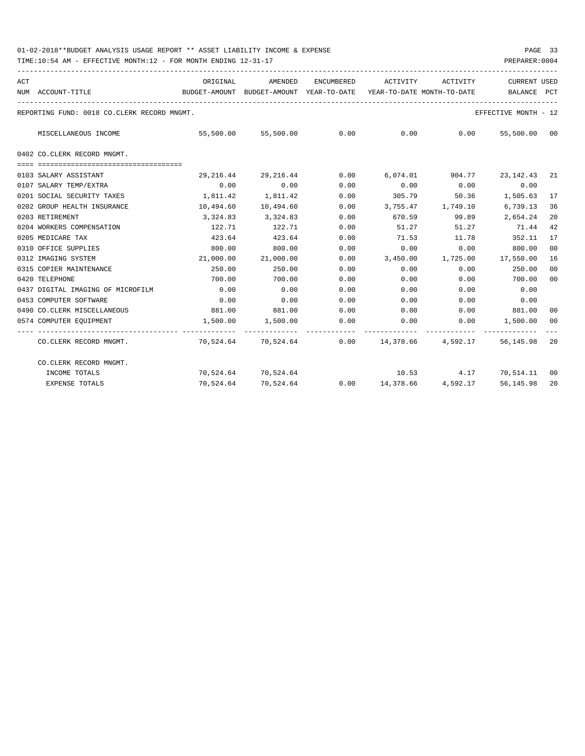| ACT |                                                         | ORIGINAL                                                            | AMENDED                                             |      | ENCUMBERED ACTIVITY ACTIVITY |              | <b>CURRENT USED</b>                                      |     |
|-----|---------------------------------------------------------|---------------------------------------------------------------------|-----------------------------------------------------|------|------------------------------|--------------|----------------------------------------------------------|-----|
|     | NUM ACCOUNT-TITLE<br>---------------------------------- | BUDGET-AMOUNT BUDGET-AMOUNT YEAR-TO-DATE YEAR-TO-DATE MONTH-TO-DATE |                                                     |      |                              |              | <b>BALANCE</b>                                           | PCT |
|     | REPORTING FUND: 0018 CO.CLERK RECORD MNGMT.             |                                                                     |                                                     |      |                              |              | EFFECTIVE MONTH - 12                                     |     |
|     | MISCELLANEOUS INCOME                                    |                                                                     | $55,500.00$ $55,500.00$ $0.00$ $0.00$ $0.00$ $0.00$ |      |                              |              | 55,500.00 00                                             |     |
|     | 0402 CO.CLERK RECORD MNGMT.                             |                                                                     |                                                     |      |                              |              |                                                          |     |
|     |                                                         |                                                                     |                                                     |      |                              |              |                                                          |     |
|     | 0103 SALARY ASSISTANT                                   | 29,216.44                                                           | 29,216.44                                           | 0.00 |                              |              | $6,074.01$ $904.77$ $23,142.43$ $21$                     |     |
|     | 0107 SALARY TEMP/EXTRA                                  | 0.00                                                                | 0.00                                                | 0.00 | 0.00                         | 0.00         | 0.00                                                     |     |
|     | 0201 SOCIAL SECURITY TAXES                              |                                                                     | 1,811.42 1,811.42                                   | 0.00 |                              |              | 305.79 50.36 1,505.63                                    | 17  |
|     | 0202 GROUP HEALTH INSURANCE                             |                                                                     | 10,494.60  10,494.60                                | 0.00 |                              |              | 3,755.47 1,749.10 6,739.13                               | 36  |
|     | 0203 RETIREMENT                                         |                                                                     | 3, 324, 83 3, 324, 83                               | 0.00 |                              | 670.59 99.89 | 2,654.24                                                 | 20  |
|     | 0204 WORKERS COMPENSATION                               | 122.71                                                              | 122.71                                              | 0.00 | 51.27                        | 51.27        | 71.44                                                    | 42  |
|     | 0205 MEDICARE TAX                                       | 423.64                                                              | 423.64                                              | 0.00 | 71.53                        | 11.78        | 352.11                                                   | 17  |
|     | 0310 OFFICE SUPPLIES                                    | 800.00                                                              | 800.00                                              | 0.00 | 0.00                         | 0.00         | 800.00                                                   | 00  |
|     | 0312 IMAGING SYSTEM                                     |                                                                     | 21,000.00 21,000.00                                 | 0.00 |                              |              | 3,450.00 1,725.00 17,550.00                              | 16  |
|     | 0315 COPIER MAINTENANCE                                 | 250.00                                                              | 250.00                                              | 0.00 | 0.00                         | 0.00         | 250.00                                                   | 00  |
|     | 0420 TELEPHONE                                          | 700.00                                                              | 700.00                                              | 0.00 | 0.00                         | 0.00         | 700.00                                                   | 00  |
|     | 0437 DIGITAL IMAGING OF MICROFILM                       | 0.00                                                                | 0.00                                                | 0.00 | 0.00                         | 0.00         | 0.00                                                     |     |
|     | 0453 COMPUTER SOFTWARE                                  | 0.00                                                                | 0.00                                                | 0.00 | 0.00                         | 0.00         | 0.00                                                     |     |
|     | 0490 CO. CLERK MISCELLANEOUS                            |                                                                     | 881.00 881.00                                       | 0.00 | $0.00$ $0.00$ $881.00$       |              |                                                          | 00  |
|     | 0574 COMPUTER EOUIPMENT                                 |                                                                     | $1,500.00$ $1,500.00$ 0.00                          |      |                              |              | $0.00$ $0.00$ $1,500.00$                                 | 00  |
|     | CO.CLERK RECORD MNGMT.                                  |                                                                     |                                                     |      |                              |              | 70,524.64 70,524.64 0.00 14,378.66 4,592.17 56,145.98 20 |     |
|     | CO.CLERK RECORD MNGMT.                                  |                                                                     |                                                     |      |                              |              |                                                          |     |
|     | INCOME TOTALS                                           |                                                                     | 70,524.64 70,524.64                                 |      |                              |              | 10.53 4.17 70,514.11 00                                  |     |
|     | <b>EXPENSE TOTALS</b>                                   |                                                                     |                                                     |      |                              |              | 70,524.64 70,524.64 0.00 14,378.66 4,592.17 56,145.98    | 20  |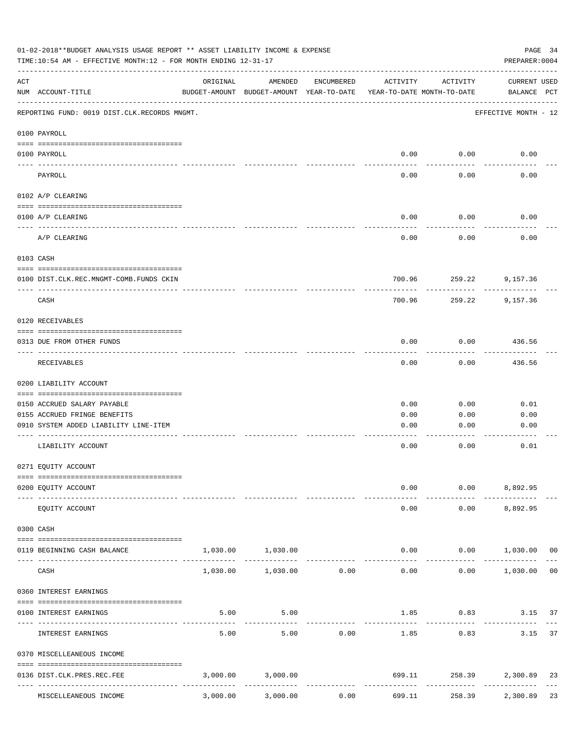|     | 01-02-2018**BUDGET ANALYSIS USAGE REPORT ** ASSET LIABILITY INCOME & EXPENSE<br>PAGE 34<br>TIME:10:54 AM - EFFECTIVE MONTH:12 - FOR MONTH ENDING 12-31-17<br>PREPARER: 0004 |          |                                                     |              |                                        |                        |                                   |  |  |
|-----|-----------------------------------------------------------------------------------------------------------------------------------------------------------------------------|----------|-----------------------------------------------------|--------------|----------------------------------------|------------------------|-----------------------------------|--|--|
| ACT | NUM ACCOUNT-TITLE                                                                                                                                                           | ORIGINAL | AMENDED<br>BUDGET-AMOUNT BUDGET-AMOUNT YEAR-TO-DATE | ENCUMBERED   | ACTIVITY<br>YEAR-TO-DATE MONTH-TO-DATE | ACTIVITY               | CURRENT USED<br>BALANCE PCT       |  |  |
|     | REPORTING FUND: 0019 DIST.CLK.RECORDS MNGMT.                                                                                                                                |          |                                                     |              |                                        |                        | EFFECTIVE MONTH - 12              |  |  |
|     | 0100 PAYROLL                                                                                                                                                                |          |                                                     |              |                                        |                        |                                   |  |  |
|     | 0100 PAYROLL<br>----- -------                                                                                                                                               |          |                                                     |              | 0.00                                   | 0.00                   | 0.00                              |  |  |
|     | PAYROLL                                                                                                                                                                     |          |                                                     |              | 0.00                                   | 0.00                   | 0.00                              |  |  |
|     | 0102 A/P CLEARING                                                                                                                                                           |          |                                                     |              |                                        |                        |                                   |  |  |
|     | 0100 A/P CLEARING                                                                                                                                                           |          |                                                     |              | 0.00                                   | 0.00                   | 0.00                              |  |  |
|     | A/P CLEARING                                                                                                                                                                |          |                                                     |              | 0.00                                   | 0.00                   | 0.00                              |  |  |
|     | 0103 CASH                                                                                                                                                                   |          |                                                     |              |                                        |                        |                                   |  |  |
|     | 0100 DIST.CLK.REC.MNGMT-COMB.FUNDS CKIN                                                                                                                                     |          |                                                     |              |                                        | 700.96 259.22 9,157.36 |                                   |  |  |
|     | CASH                                                                                                                                                                        |          |                                                     |              | 700.96                                 | 259.22                 | 9,157.36                          |  |  |
|     | 0120 RECEIVABLES                                                                                                                                                            |          |                                                     |              |                                        |                        |                                   |  |  |
|     | 0313 DUE FROM OTHER FUNDS                                                                                                                                                   |          |                                                     |              | 0.00                                   | 0.00                   | 436.56                            |  |  |
|     | RECEIVABLES                                                                                                                                                                 |          |                                                     |              | 0.00                                   | 0.00                   | ---------<br>436.56               |  |  |
|     | 0200 LIABILITY ACCOUNT                                                                                                                                                      |          |                                                     |              |                                        |                        |                                   |  |  |
|     | 0150 ACCRUED SALARY PAYABLE                                                                                                                                                 |          |                                                     |              | 0.00                                   | 0.00                   | 0.01                              |  |  |
|     | 0155 ACCRUED FRINGE BENEFITS                                                                                                                                                |          |                                                     |              | 0.00                                   | 0.00                   | 0.00                              |  |  |
|     | 0910 SYSTEM ADDED LIABILITY LINE-ITEM                                                                                                                                       |          |                                                     |              | 0.00                                   | 0.00                   | 0.00                              |  |  |
|     | LIABILITY ACCOUNT                                                                                                                                                           |          |                                                     |              | 0.00                                   | 0.00                   | 0.01                              |  |  |
|     | 0271 EQUITY ACCOUNT                                                                                                                                                         |          |                                                     |              |                                        |                        |                                   |  |  |
|     | 0200 EQUITY ACCOUNT                                                                                                                                                         |          |                                                     |              | 0.00                                   |                        | $0.00$ 8,892.95                   |  |  |
|     | EQUITY ACCOUNT                                                                                                                                                              |          |                                                     |              | 0.00                                   |                        | $0.00$ $8,892.95$                 |  |  |
|     | 0300 CASH                                                                                                                                                                   |          |                                                     |              |                                        |                        |                                   |  |  |
|     | 0119 BEGINNING CASH BALANCE                                                                                                                                                 |          | 1,030.00 1,030.00<br>-------------                  |              |                                        |                        | $0.00$ $0.00$ $1,030.00$ 00       |  |  |
|     | CASH                                                                                                                                                                        | 1,030.00 | $1,030.00$ 0.00                                     |              | 0.00                                   | .                      | $0.00$ 1,030.00<br>0 <sub>0</sub> |  |  |
|     | 0360 INTEREST EARNINGS                                                                                                                                                      |          |                                                     |              |                                        |                        |                                   |  |  |
|     | 0100 INTEREST EARNINGS                                                                                                                                                      | 5.00     | 5.00                                                |              |                                        | $1.85$ 0.83            | 3.15<br>37                        |  |  |
|     | INTEREST EARNINGS                                                                                                                                                           | 5.00     | 5.00                                                | 0.00         | 1.85                                   | 0.83                   | 37<br>3.15                        |  |  |
|     | 0370 MISCELLEANEOUS INCOME                                                                                                                                                  |          |                                                     |              |                                        |                        |                                   |  |  |
|     |                                                                                                                                                                             |          |                                                     |              |                                        |                        |                                   |  |  |
|     | 0136 DIST.CLK.PRES.REC.FEE<br>---------------- --------------<br>------------------                                                                                         |          | 3,000.00 3,000.00                                   | ------------ | 699.11<br>--------------               | ------------           | 258.39 2,300.89<br>23             |  |  |
|     | MISCELLEANEOUS INCOME                                                                                                                                                       | 3,000.00 | 3,000.00                                            | 0.00         | 699.11                                 | 258.39                 | 2,300.89<br>23                    |  |  |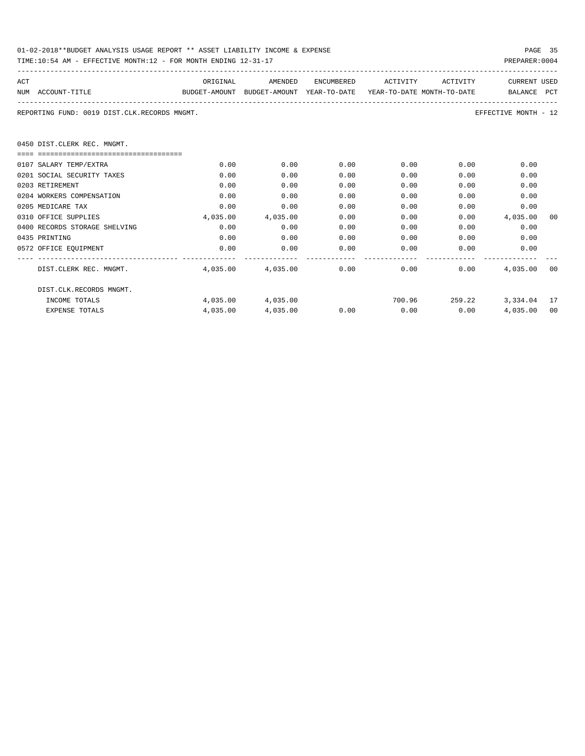| 01-02-2018**BUDGET ANALYSIS USAGE REPORT ** ASSET LIABILITY INCOME & EXPENSE |  |  | PAGE |  |
|------------------------------------------------------------------------------|--|--|------|--|
|                                                                              |  |  |      |  |

0450

| TIME:10:54 AM - EFFECTIVE MONTH:12 - FOR MONTH ENDING 12-31-17<br>PREPARER: 0004 |                                                                     |          |            |          |          |                      |    |  |  |
|----------------------------------------------------------------------------------|---------------------------------------------------------------------|----------|------------|----------|----------|----------------------|----|--|--|
| ACT                                                                              | ORIGINAL                                                            | AMENDED  | ENCUMBERED | ACTIVITY | ACTIVITY | <b>CURRENT USED</b>  |    |  |  |
| NUM ACCOUNT-TITLE                                                                | BUDGET-AMOUNT BUDGET-AMOUNT YEAR-TO-DATE YEAR-TO-DATE MONTH-TO-DATE |          |            |          |          | BALANCE PCT          |    |  |  |
| REPORTING FUND: 0019 DIST.CLK.RECORDS MNGMT.                                     |                                                                     |          |            |          |          | EFFECTIVE MONTH - 12 |    |  |  |
| 0450 DIST.CLERK REC. MNGMT.                                                      |                                                                     |          |            |          |          |                      |    |  |  |
| ===================================                                              |                                                                     |          |            |          |          |                      |    |  |  |
| 0107 SALARY TEMP/EXTRA                                                           | 0.00                                                                | 0.00     | 0.00       | 0.00     | 0.00     | 0.00                 |    |  |  |
| 0201 SOCIAL SECURITY TAXES                                                       | 0.00                                                                | 0.00     | 0.00       | 0.00     | 0.00     | 0.00                 |    |  |  |
| 0203 RETIREMENT                                                                  | 0.00                                                                | 0.00     | 0.00       | 0.00     | 0.00     | 0.00                 |    |  |  |
| 0204 WORKERS COMPENSATION                                                        | 0.00                                                                | 0.00     | 0.00       | 0.00     | 0.00     | 0.00                 |    |  |  |
| 0205 MEDICARE TAX                                                                | 0.00                                                                | 0.00     | 0.00       | 0.00     | 0.00     | 0.00                 |    |  |  |
| 0310 OFFICE SUPPLIES                                                             | 4,035.00                                                            | 4,035.00 | 0.00       | 0.00     | 0.00     | 4,035.00             | 00 |  |  |
| 0400 RECORDS STORAGE SHELVING                                                    | 0.00                                                                | 0.00     | 0.00       | 0.00     | 0.00     | 0.00                 |    |  |  |
| 0435 PRINTING                                                                    | 0.00                                                                | 0.00     | 0.00       | 0.00     | 0.00     | 0.00                 |    |  |  |

| DIST.CLERK REC. MNGMT.  | 4,035.00 | 4,035.00 | 0.00 | 0.00   | 0.00   | 4,035.00 | 00 |
|-------------------------|----------|----------|------|--------|--------|----------|----|
| DIST.CLK.RECORDS MNGMT. |          |          |      |        |        |          |    |
| INCOME TOTALS           | 4,035.00 | 4,035,00 |      | 700.96 | 259.22 | 3,334.04 | 17 |
| EXPENSE TOTALS          | 4,035.00 | 4,035.00 | 0.00 | 0.00   | 0.00   | 4,035.00 | 00 |

0572 OFFICE EQUIPMENT 0.00 0.00 0.00 0.00 0.00 0.00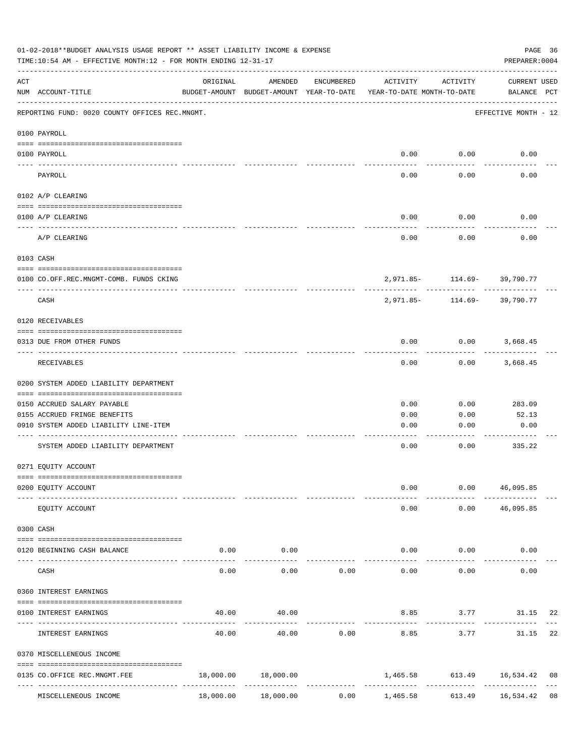|     | 01-02-2018**BUDGET ANALYSIS USAGE REPORT ** ASSET LIABILITY INCOME & EXPENSE<br>TIME:10:54 AM - EFFECTIVE MONTH:12 - FOR MONTH ENDING 12-31-17 |                                           |                            |            |                                                                                 |                                | PAGE 36<br>PREPARER: 0004   |    |
|-----|------------------------------------------------------------------------------------------------------------------------------------------------|-------------------------------------------|----------------------------|------------|---------------------------------------------------------------------------------|--------------------------------|-----------------------------|----|
| ACT | NUM ACCOUNT-TITLE                                                                                                                              | ORIGINAL                                  | AMENDED                    | ENCUMBERED | ACTIVITY<br>BUDGET-AMOUNT BUDGET-AMOUNT YEAR-TO-DATE YEAR-TO-DATE MONTH-TO-DATE | ACTIVITY                       | CURRENT USED<br>BALANCE PCT |    |
|     | REPORTING FUND: 0020 COUNTY OFFICES REC.MNGMT.                                                                                                 |                                           |                            |            |                                                                                 |                                | EFFECTIVE MONTH - 12        |    |
|     | 0100 PAYROLL                                                                                                                                   |                                           |                            |            |                                                                                 |                                |                             |    |
|     | 0100 PAYROLL                                                                                                                                   |                                           |                            |            |                                                                                 | $0.00$ $0.00$                  | 0.00                        |    |
|     | PAYROLL                                                                                                                                        |                                           |                            |            | 0.00                                                                            | 0.00                           | 0.00                        |    |
|     | 0102 A/P CLEARING                                                                                                                              |                                           |                            |            |                                                                                 |                                |                             |    |
|     | 0100 A/P CLEARING                                                                                                                              |                                           |                            |            | 0.00                                                                            | 0.00                           | 0.00                        |    |
|     | A/P CLEARING                                                                                                                                   |                                           |                            |            | 0.00                                                                            | 0.00                           | 0.00                        |    |
|     | 0103 CASH                                                                                                                                      |                                           |                            |            |                                                                                 |                                |                             |    |
|     | 0100 CO.OFF.REC.MNGMT-COMB. FUNDS CKING                                                                                                        |                                           |                            |            |                                                                                 | 2,971.85- 114.69- 39,790.77    |                             |    |
|     | _______________________________<br>CASH                                                                                                        |                                           |                            |            | 2,971.85-                                                                       | -------------                  | 114.69- 39,790.77           |    |
|     | 0120 RECEIVABLES                                                                                                                               |                                           |                            |            |                                                                                 |                                |                             |    |
|     | 0313 DUE FROM OTHER FUNDS                                                                                                                      |                                           |                            |            | 0.00                                                                            | $0.00$ 3,668.45                |                             |    |
|     | RECEIVABLES                                                                                                                                    |                                           |                            |            | 0.00                                                                            |                                | $0.00$ 3,668.45             |    |
|     | 0200 SYSTEM ADDED LIABILITY DEPARTMENT                                                                                                         |                                           |                            |            |                                                                                 |                                |                             |    |
|     | 0150 ACCRUED SALARY PAYABLE                                                                                                                    |                                           |                            |            | 0.00                                                                            | 0.00                           | 283.09                      |    |
|     | 0155 ACCRUED FRINGE BENEFITS                                                                                                                   |                                           |                            |            | 0.00                                                                            | 0.00                           | 52.13                       |    |
|     | 0910 SYSTEM ADDED LIABILITY LINE-ITEM                                                                                                          |                                           |                            |            | 0.00                                                                            | 0.00                           | 0.00                        |    |
|     | SYSTEM ADDED LIABILITY DEPARTMENT                                                                                                              |                                           |                            |            | 0.00                                                                            | 0.00                           | 335.22                      |    |
|     | 0271 EQUITY ACCOUNT                                                                                                                            |                                           |                            |            |                                                                                 |                                |                             |    |
|     | 0200 EQUITY ACCOUNT                                                                                                                            |                                           |                            |            | 0.00                                                                            |                                | 0.00 46,095.85              |    |
|     | EQUITY ACCOUNT                                                                                                                                 |                                           |                            |            | 0.00                                                                            |                                | $0.00$ 46,095.85            |    |
|     | 0300 CASH                                                                                                                                      |                                           |                            |            |                                                                                 |                                |                             |    |
|     | 0120 BEGINNING CASH BALANCE                                                                                                                    | 0.00                                      | 0.00                       |            |                                                                                 | $0.00$ $0.00$                  | 0.00                        |    |
|     | CASH                                                                                                                                           | 0.00                                      | . <u>.</u> .<br>0.00       | 0.00       | $- - - - -$<br>0.00                                                             | ----------<br>0.00             | 0.00                        |    |
|     | 0360 INTEREST EARNINGS                                                                                                                         |                                           |                            |            |                                                                                 |                                |                             |    |
|     | 0100 INTEREST EARNINGS                                                                                                                         | 40.00                                     | 40.00                      |            |                                                                                 | 8.85 3.77                      | 31.15                       | 22 |
|     | INTEREST EARNINGS                                                                                                                              | 40.00                                     | 40.00                      | 0.00       | 8.85                                                                            | 3.77                           | 31.15                       | 22 |
|     | 0370 MISCELLENEOUS INCOME                                                                                                                      |                                           |                            |            |                                                                                 |                                |                             |    |
|     | 0135 CO.OFFICE REC.MNGMT.FEE<br>---- --------------------                                                                                      | 18,000.00<br>-------------- ------------- | 18,000.00<br>------------- |            | 1,465.58<br>-----------------------------                                       | ------------------------------ | 613.49  16,534.42  08       |    |
|     | MISCELLENEOUS INCOME                                                                                                                           | 18,000.00                                 | 18,000.00                  | 0.00       | 1,465.58                                                                        | 613.49                         | 16,534.42 08                |    |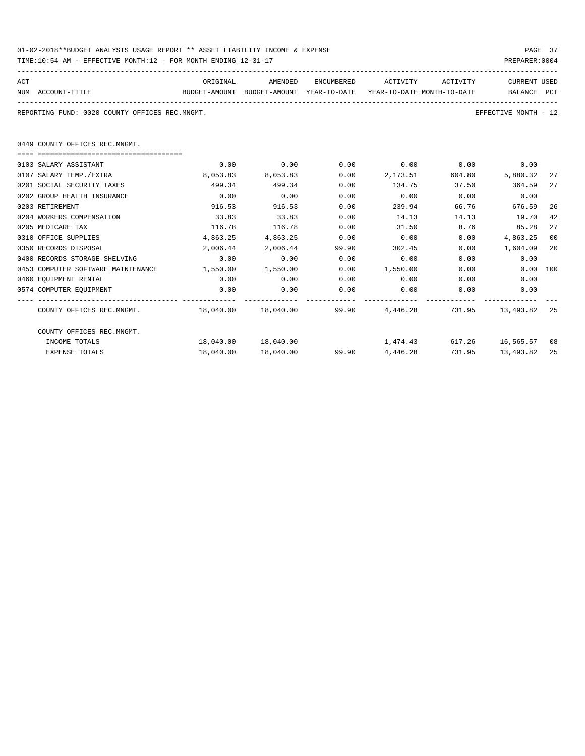| 01-02-2018**BUDGET ANALYSIS USAGE REPORT ** ASSET LIABILITY INCOME & EXPENSE | PAGE 37        |
|------------------------------------------------------------------------------|----------------|
| TIME:10:54 AM - EFFECTIVE MONTH:12 - FOR MONTH ENDING 12-31-17               | PREPARER: 0004 |

| ACT |                                                                                          | ORIGINAL              | AMENDED                                                 |       | ENCUMBERED ACTIVITY ACTIVITY |               | <b>CURRENT USED</b>         |    |
|-----|------------------------------------------------------------------------------------------|-----------------------|---------------------------------------------------------|-------|------------------------------|---------------|-----------------------------|----|
|     | NUM ACCOUNT-TITLE<br>BUDGET-AMOUNT BUDGET-AMOUNT YEAR-TO-DATE YEAR-TO-DATE MONTH-TO-DATE |                       |                                                         |       |                              |               | BALANCE PCT                 |    |
|     |                                                                                          |                       |                                                         |       |                              |               |                             |    |
|     | REPORTING FUND: 0020 COUNTY OFFICES REC.MNGMT.                                           |                       |                                                         |       |                              |               | EFFECTIVE MONTH - 12        |    |
|     |                                                                                          |                       |                                                         |       |                              |               |                             |    |
|     |                                                                                          |                       |                                                         |       |                              |               |                             |    |
|     | 0449 COUNTY OFFICES REC.MNGMT.                                                           |                       |                                                         |       |                              |               |                             |    |
|     | ===================================                                                      |                       |                                                         |       |                              |               |                             |    |
|     | 0103 SALARY ASSISTANT                                                                    | 0.00                  | 0.00                                                    | 0.00  |                              |               | $0.00$ $0.00$ $0.00$ $0.00$ |    |
|     | 0107 SALARY TEMP./EXTRA                                                                  | 8,053.83              | 8,053.83                                                | 0.00  | 2,173.51                     | 604.80        | 5,880.32                    | 27 |
|     | 0201 SOCIAL SECURITY TAXES                                                               | 499.34                | 499.34                                                  | 0.00  | 134.75                       | 37.50         | 364.59                      | 27 |
|     | 0202 GROUP HEALTH INSURANCE                                                              | 0.00                  | 0.00                                                    | 0.00  | 0.00                         | 0.00          | 0.00                        |    |
|     | 0203 RETIREMENT                                                                          | 916.53                | 916.53                                                  | 0.00  | 239.94                       | 66.76         | 676.59                      | 26 |
|     | 0204 WORKERS COMPENSATION                                                                | 33.83                 | 33.83                                                   | 0.00  | 14.13                        | 14.13         | 19.70                       | 42 |
|     | 0205 MEDICARE TAX                                                                        | 116.78                | 116.78                                                  | 0.00  | 31.50                        | 8.76          | 85.28                       | 27 |
|     | 0310 OFFICE SUPPLIES                                                                     | 4,863.25              | 4,863.25                                                | 0.00  | 0.00                         | 0.00          | 4,863.25                    | 00 |
|     | 0350 RECORDS DISPOSAL                                                                    | 2,006.44              | 2,006.44                                                | 99.90 | 302.45                       |               | $0.00$ 1,604.09             | 20 |
|     | 0400 RECORDS STORAGE SHELVING                                                            | 0.00                  | 0.00                                                    | 0.00  | 0.00                         | 0.00          | 0.00                        |    |
|     | 0453 COMPUTER SOFTWARE MAINTENANCE                                                       | $1,550.00$ $1,550.00$ |                                                         | 0.00  | 1,550.00                     |               | 0.00 100<br>0.00            |    |
|     | 0460 EOUIPMENT RENTAL                                                                    | 0.00                  | 0.00                                                    | 0.00  | 0.00                         | 0.00          | 0.00                        |    |
|     | 0574 COMPUTER EQUIPMENT                                                                  | 0.00                  | 0.00                                                    | 0.00  | 0.00                         | 0.00          | 0.00                        |    |
|     |                                                                                          |                       |                                                         |       |                              | ------------- |                             |    |
|     | COUNTY OFFICES REC.MNGMT. 4.49.040.00 18,040.00 99.90 4,446.28 731.95 13,493.82          |                       |                                                         |       |                              |               |                             | 25 |
|     |                                                                                          |                       |                                                         |       |                              |               |                             |    |
|     | COUNTY OFFICES REC.MNGMT.                                                                |                       |                                                         |       |                              |               |                             |    |
|     | INCOME TOTALS                                                                            |                       | $18,040.00$ $18,040.00$ $1,474.43$ $617.26$ $16,565.57$ |       |                              |               |                             | 08 |
|     | <b>EXPENSE TOTALS</b>                                                                    | 18,040.00             | 18,040.00                                               |       | 99.90 4,446.28               | 731.95        | 13,493.82                   | 25 |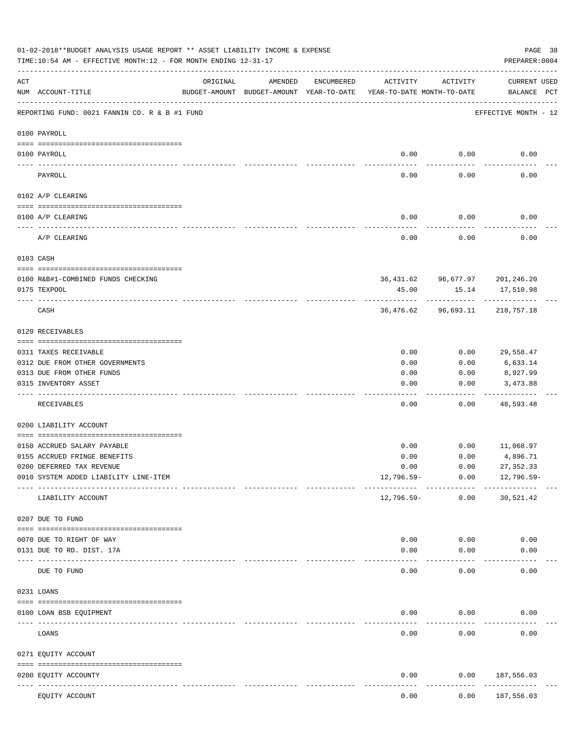|            | 01-02-2018**BUDGET ANALYSIS USAGE REPORT ** ASSET LIABILITY INCOME & EXPENSE<br>TIME:10:54 AM - EFFECTIVE MONTH:12 - FOR MONTH ENDING 12-31-17 |                            |                                                     |            |                                        |          | PREPARER: 0004                              | PAGE 38 |
|------------|------------------------------------------------------------------------------------------------------------------------------------------------|----------------------------|-----------------------------------------------------|------------|----------------------------------------|----------|---------------------------------------------|---------|
| ACT        | NUM ACCOUNT-TITLE                                                                                                                              | ORIGINAL                   | AMENDED<br>BUDGET-AMOUNT BUDGET-AMOUNT YEAR-TO-DATE | ENCUMBERED | ACTIVITY<br>YEAR-TO-DATE MONTH-TO-DATE | ACTIVITY | <b>CURRENT USED</b><br>BALANCE PCT          |         |
|            | REPORTING FUND: 0021 FANNIN CO. R & B #1 FUND                                                                                                  |                            |                                                     |            |                                        |          | EFFECTIVE MONTH - 12                        |         |
|            | 0100 PAYROLL                                                                                                                                   |                            |                                                     |            |                                        |          |                                             |         |
|            | 0100 PAYROLL                                                                                                                                   |                            |                                                     |            | 0.00                                   | 0.00     | 0.00                                        |         |
| ----- ---- | PAYROLL                                                                                                                                        |                            |                                                     |            | 0.00                                   | 0.00     | 0.00                                        |         |
|            | 0102 A/P CLEARING                                                                                                                              |                            |                                                     |            |                                        |          |                                             |         |
|            | 0100 A/P CLEARING                                                                                                                              |                            |                                                     |            | 0.00                                   | 0.00     | 0.00                                        |         |
|            | A/P CLEARING                                                                                                                                   |                            |                                                     |            | 0.00                                   | 0.00     | 0.00                                        |         |
|            | 0103 CASH                                                                                                                                      |                            |                                                     |            |                                        |          |                                             |         |
|            |                                                                                                                                                |                            |                                                     |            |                                        |          |                                             |         |
|            | 0100 R&B#1-COMBINED FUNDS CHECKING<br>0175 TEXPOOL                                                                                             |                            |                                                     |            | 45.00                                  | 15.14    | 36,431.62 96,677.97 201,246.20<br>17,510.98 |         |
|            | CASH                                                                                                                                           |                            |                                                     |            |                                        |          | 36,476.62 96,693.11 218,757.18              |         |
|            | 0120 RECEIVABLES                                                                                                                               |                            |                                                     |            |                                        |          |                                             |         |
|            | 0311 TAXES RECEIVABLE                                                                                                                          |                            |                                                     |            | 0.00                                   | 0.00     | 29,558.47                                   |         |
|            | 0312 DUE FROM OTHER GOVERNMENTS                                                                                                                |                            |                                                     |            | 0.00                                   | 0.00     | 6,633.14                                    |         |
|            | 0313 DUE FROM OTHER FUNDS                                                                                                                      |                            |                                                     |            | 0.00                                   | 0.00     | 8,927.99                                    |         |
|            | 0315 INVENTORY ASSET                                                                                                                           |                            |                                                     |            | 0.00                                   | 0.00     | 3,473.88<br>----------                      |         |
|            | RECEIVABLES                                                                                                                                    |                            |                                                     |            | 0.00                                   | 0.00     | 48,593.48                                   |         |
|            | 0200 LIABILITY ACCOUNT                                                                                                                         |                            |                                                     |            |                                        |          |                                             |         |
|            | 0150 ACCRUED SALARY PAYABLE                                                                                                                    |                            |                                                     |            | 0.00                                   | 0.00     | 11,068.97                                   |         |
|            | 0155 ACCRUED FRINGE BENEFITS                                                                                                                   |                            |                                                     |            | 0.00                                   | 0.00     | 4,896.71                                    |         |
|            | 0200 DEFERRED TAX REVENUE                                                                                                                      |                            |                                                     |            | 0.00                                   | 0.00     | 27, 352.33                                  |         |
|            | 0910 SYSTEM ADDED LIABILITY LINE-ITEM                                                                                                          |                            |                                                     |            | 12,796.59-                             | 0.00     | $12,796.59-$                                |         |
|            | LIABILITY ACCOUNT                                                                                                                              |                            |                                                     |            | 12,796.59-                             | 0.00     | 30,521.42                                   |         |
|            | 0207 DUE TO FUND                                                                                                                               |                            |                                                     |            |                                        |          |                                             |         |
|            | 0070 DUE TO RIGHT OF WAY                                                                                                                       |                            |                                                     |            | 0.00                                   | 0.00     | 0.00                                        |         |
|            | 0131 DUE TO RD. DIST. 17A                                                                                                                      |                            |                                                     |            | 0.00                                   | 0.00     | 0.00                                        |         |
|            | DUE TO FUND                                                                                                                                    | ------------ ------------- |                                                     |            | 0.00                                   | 0.00     | 0.00                                        |         |
|            | 0231 LOANS                                                                                                                                     |                            |                                                     |            |                                        |          |                                             |         |
|            | 0100 LOAN BSB EQUIPMENT                                                                                                                        |                            |                                                     |            | 0.00                                   | 0.00     | 0.00                                        |         |
|            | LOANS                                                                                                                                          |                            |                                                     |            | 0.00                                   | 0.00     | 0.00                                        |         |
|            | 0271 EQUITY ACCOUNT                                                                                                                            |                            |                                                     |            |                                        |          |                                             |         |
|            |                                                                                                                                                |                            |                                                     |            |                                        |          |                                             |         |
|            | 0200 EQUITY ACCOUNTY                                                                                                                           | ------ -------------       |                                                     |            | 0.00                                   | 0.00     | 187,556.03<br>----------                    |         |
|            | EQUITY ACCOUNT                                                                                                                                 |                            |                                                     |            | 0.00                                   | 0.00     | 187,556.03                                  |         |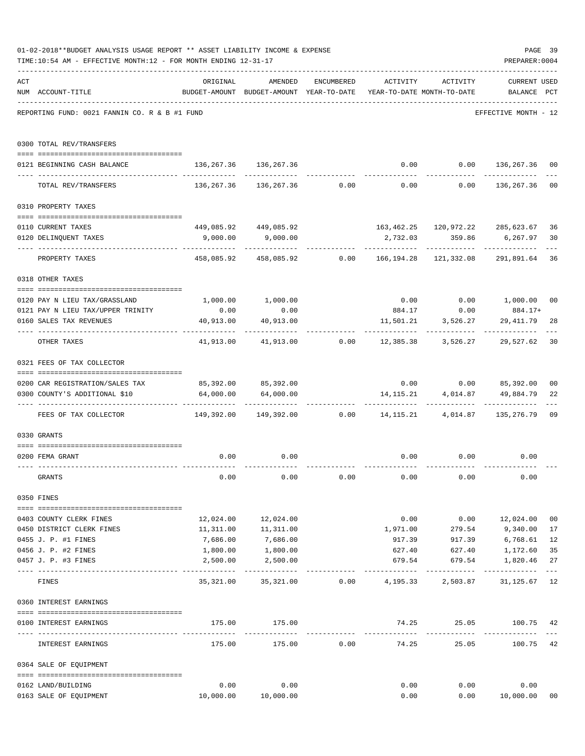|     | 01-02-2018**BUDGET ANALYSIS USAGE REPORT ** ASSET LIABILITY INCOME & EXPENSE<br>TIME:10:54 AM - EFFECTIVE MONTH:12 - FOR MONTH ENDING 12-31-17 |                                                                      |                                                                     |                |                              |                      | PAGE 39<br>PREPARER: 0004          |                |
|-----|------------------------------------------------------------------------------------------------------------------------------------------------|----------------------------------------------------------------------|---------------------------------------------------------------------|----------------|------------------------------|----------------------|------------------------------------|----------------|
| ACT |                                                                                                                                                | ORIGINAL                                                             | AMENDED                                                             | ENCUMBERED     |                              | ACTIVITY ACTIVITY    | <b>CURRENT USED</b>                |                |
|     | NUM ACCOUNT-TITLE                                                                                                                              |                                                                      | BUDGET-AMOUNT BUDGET-AMOUNT YEAR-TO-DATE YEAR-TO-DATE MONTH-TO-DATE |                |                              |                      | BALANCE PCT                        |                |
|     | REPORTING FUND: 0021 FANNIN CO. R & B #1 FUND                                                                                                  |                                                                      |                                                                     |                |                              |                      | EFFECTIVE MONTH - 12               |                |
|     | 0300 TOTAL REV/TRANSFERS                                                                                                                       |                                                                      |                                                                     |                |                              |                      |                                    |                |
|     | 0121 BEGINNING CASH BALANCE                                                                                                                    | 136, 267.36 136, 267.36                                              |                                                                     |                |                              |                      | $0.00$ $0.00$ $136,267.36$         | 00             |
|     | TOTAL REV/TRANSFERS                                                                                                                            |                                                                      | $136, 267.36$ $136, 267.36$ 0.00 0.00 0.00 136,267.36               |                |                              |                      |                                    | 0 <sub>0</sub> |
|     | 0310 PROPERTY TAXES                                                                                                                            |                                                                      |                                                                     |                |                              |                      |                                    |                |
|     | 0110 CURRENT TAXES                                                                                                                             |                                                                      | 449,085.92 449,085.92                                               |                |                              |                      | 163,462.25  120,972.22  285,623.67 | 36             |
|     | 0120 DELINQUENT TAXES                                                                                                                          |                                                                      | $9,000.00$ $9,000.00$                                               |                |                              |                      | 2,732.03 359.86 6,267.97           | 30             |
|     | PROPERTY TAXES                                                                                                                                 |                                                                      | 458,085.92 458,085.92 0.00 166,194.28 121,332.08                    |                | -----------                  |                      | . <u>.</u><br>291,891.64           | 36             |
|     | 0318 OTHER TAXES                                                                                                                               |                                                                      |                                                                     |                |                              |                      |                                    |                |
|     | 0120 PAY N LIEU TAX/GRASSLAND                                                                                                                  |                                                                      | 1,000.00 1,000.00                                                   |                |                              |                      | $0.00$ $0.00$ $1,000.00$           | 0 <sup>0</sup> |
|     | 0121 PAY N LIEU TAX/UPPER TRINITY                                                                                                              | 0.00                                                                 | 0.00                                                                |                | 884.17                       | 0.00                 | 884.17+                            |                |
|     | 0160 SALES TAX REVENUES                                                                                                                        | 40,913.00                                                            | 40,913.00                                                           |                | 11,501.21                    | 3,526.27             | 29,411.79                          | 28             |
|     | OTHER TAXES                                                                                                                                    |                                                                      | 41,913.00 41,913.00 0.00 12,385.38 3,526.27 29,527.62               |                |                              |                      |                                    | 30             |
|     | 0321 FEES OF TAX COLLECTOR                                                                                                                     |                                                                      |                                                                     |                |                              |                      |                                    |                |
|     | 0200 CAR REGISTRATION/SALES TAX                                                                                                                |                                                                      | 85,392.00 85,392.00                                                 |                |                              |                      | $0.00$ $0.00$ $85,392.00$          | 0 <sub>0</sub> |
|     | 0300 COUNTY'S ADDITIONAL \$10                                                                                                                  | 64,000.00                                                            | 64,000.00                                                           |                |                              |                      | 14, 115. 21 4, 014. 87 49, 884. 79 | 22             |
|     | FEES OF TAX COLLECTOR                                                                                                                          | $149,392.00$ $149,392.00$ $0.00$ $14,115.21$ $4,014.87$ $135,276.79$ |                                                                     |                |                              | .                    |                                    | 09             |
|     | 0330 GRANTS                                                                                                                                    |                                                                      |                                                                     |                |                              |                      |                                    |                |
|     | 0200 FEMA GRANT                                                                                                                                | 0.00                                                                 | 0.00                                                                |                |                              |                      | $0.00$ $0.00$ $0.00$               |                |
|     | GRANTS                                                                                                                                         | 0.00                                                                 | 0.00                                                                | 0.00           | 0.00                         | 0.00                 | 0.00                               |                |
|     | 0350 FINES                                                                                                                                     |                                                                      |                                                                     |                |                              |                      |                                    |                |
|     | 0403 COUNTY CLERK FINES                                                                                                                        |                                                                      | 12,024.00 12,024.00                                                 |                | 0.00                         |                      | $0.00$ 12,024.00                   | 0 <sub>0</sub> |
|     | 0450 DISTRICT CLERK FINES                                                                                                                      | 11,311.00                                                            | 11,311.00                                                           |                | 1,971.00                     | 279.54               | 9,340.00                           | 17             |
|     | 0455 J. P. #1 FINES                                                                                                                            | 7,686.00                                                             | 7,686.00                                                            |                | 917.39                       | 917.39               | 6,768.61                           | 12             |
|     | 0456 J. P. #2 FINES                                                                                                                            | 1,800.00                                                             | 1,800.00                                                            |                | 627.40                       | 627.40               | 1,172.60                           | 35             |
|     | 0457 J. P. #3 FINES                                                                                                                            | 2,500.00                                                             | 2,500.00                                                            |                | 679.54                       | 679.54<br>---------  | 1,820.46                           | 27<br>$---$    |
|     | FINES                                                                                                                                          | 35,321.00                                                            |                                                                     | 35,321.00 0.00 | 4,195.33                     | 2,503.87             | 31,125.67                          | 12             |
|     | 0360 INTEREST EARNINGS                                                                                                                         |                                                                      |                                                                     |                |                              |                      |                                    |                |
|     | 0100 INTEREST EARNINGS                                                                                                                         | 175.00                                                               | 175.00                                                              |                |                              |                      | 74.25 25.05 100.75 42              |                |
|     | INTEREST EARNINGS                                                                                                                              | ------------- --------------<br>175.00                               | 175.00                                                              |                | ------------<br>$0.00$ 74.25 | -----------<br>25.05 | 100.75                             | 42             |
|     | 0364 SALE OF EQUIPMENT                                                                                                                         |                                                                      |                                                                     |                |                              |                      |                                    |                |
|     | 0162 LAND/BUILDING                                                                                                                             | 0.00                                                                 | 0.00                                                                |                | 0.00                         | 0.00                 | 0.00                               |                |
|     | 0163 SALE OF EQUIPMENT                                                                                                                         |                                                                      | 10,000.00   10,000.00                                               |                | 0.00                         |                      | 10,000.00<br>0.00                  | 00             |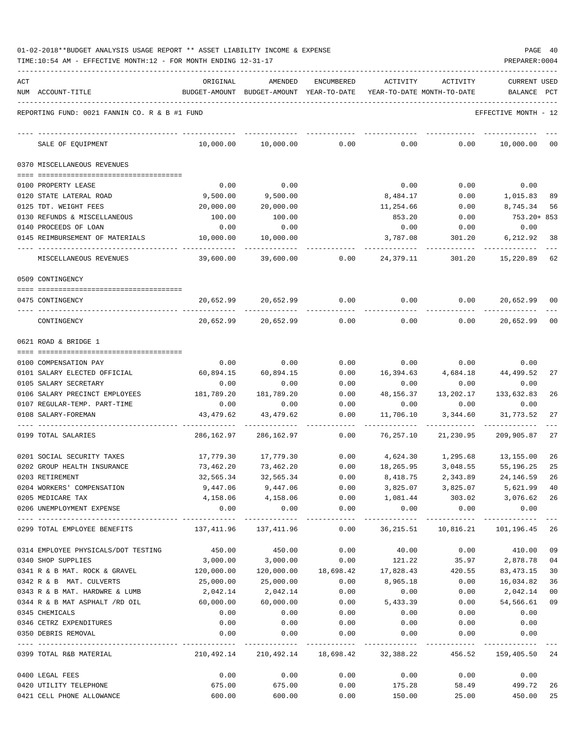| 01-02-2018**BUDGET ANALYSIS USAGE REPORT ** ASSET LIABILITY INCOME & EXPENSE |  |  |  |  | PAGE | 40 |
|------------------------------------------------------------------------------|--|--|--|--|------|----|
|                                                                              |  |  |  |  |      |    |

| ACT |                                                                | ORIGINAL                                                              | AMENDED                                                             | ENCUMBERED                         | ACTIVITY          | ACTIVITY          | <b>CURRENT USED</b>                                            |                |
|-----|----------------------------------------------------------------|-----------------------------------------------------------------------|---------------------------------------------------------------------|------------------------------------|-------------------|-------------------|----------------------------------------------------------------|----------------|
|     | NUM ACCOUNT-TITLE                                              |                                                                       | BUDGET-AMOUNT BUDGET-AMOUNT YEAR-TO-DATE YEAR-TO-DATE MONTH-TO-DATE |                                    |                   |                   | BALANCE PCT                                                    |                |
|     | REPORTING FUND: 0021 FANNIN CO. R & B #1 FUND                  |                                                                       |                                                                     |                                    |                   |                   | EFFECTIVE MONTH - 12                                           |                |
|     | SALE OF EQUIPMENT                                              | 10,000.00                                                             | 10,000.00                                                           | 0.00                               | 0.00              | 0.00              | 10,000.00                                                      | 00             |
|     | 0370 MISCELLANEOUS REVENUES                                    |                                                                       |                                                                     |                                    |                   |                   |                                                                |                |
|     |                                                                |                                                                       |                                                                     |                                    |                   |                   |                                                                |                |
|     | 0100 PROPERTY LEASE                                            | 0.00                                                                  | 0.00                                                                |                                    | 0.00              | 0.00              | 0.00                                                           |                |
|     | 0120 STATE LATERAL ROAD                                        | 9,500.00                                                              | 9,500.00                                                            |                                    | 8,484.17          | 0.00              | 1,015.83                                                       | 89             |
|     | 0125 TDT. WEIGHT FEES                                          | 20,000.00                                                             | 20,000.00                                                           |                                    | 11,254.66         | 0.00              | 8,745.34                                                       | 56             |
|     | 0130 REFUNDS & MISCELLANEOUS                                   | 100.00                                                                | 100.00                                                              |                                    | 853.20            | 0.00              | 753.20+ 853                                                    |                |
|     | 0140 PROCEEDS OF LOAN                                          | 0.00                                                                  | 0.00                                                                |                                    | 0.00              | 0.00              | 0.00                                                           |                |
|     | 0145 REIMBURSEMENT OF MATERIALS                                | 10,000.00                                                             | 10,000.00                                                           |                                    | 3,787.08          | 301.20            | 6,212.92                                                       | 38             |
|     | MISCELLANEOUS REVENUES                                         | 39,600.00                                                             | 39,600.00                                                           | 0.00                               | 24,379.11         | 301.20            | 15,220.89                                                      | 62             |
|     | 0509 CONTINGENCY                                               |                                                                       |                                                                     |                                    |                   |                   |                                                                |                |
|     | 0475 CONTINGENCY                                               |                                                                       | 20,652.99 20,652.99                                                 | 0.00                               | 0.00              | 0.00              | 20,652.99                                                      | 00             |
|     | CONTINGENCY                                                    | 20,652.99                                                             | 20,652.99                                                           | 0.00                               | 0.00              | 0.00              | 20,652.99                                                      | 0 <sub>0</sub> |
|     | 0621 ROAD & BRIDGE 1                                           |                                                                       |                                                                     |                                    |                   |                   |                                                                |                |
|     |                                                                |                                                                       |                                                                     |                                    |                   |                   |                                                                |                |
|     | 0100 COMPENSATION PAY                                          | 0.00                                                                  | 0.00                                                                | 0.00                               | 0.00              | 0.00              | 0.00                                                           |                |
|     | 0101 SALARY ELECTED OFFICIAL                                   | 60,894.15                                                             | 60,894.15                                                           | 0.00                               | 16,394.63         | 4,684.18          | 44,499.52                                                      | 27             |
|     | 0105 SALARY SECRETARY                                          | 0.00                                                                  | 0.00                                                                | 0.00                               | 0.00              | 0.00              | 0.00                                                           | 26             |
|     | 0106 SALARY PRECINCT EMPLOYEES<br>0107 REGULAR-TEMP. PART-TIME | 181,789.20<br>0.00                                                    | 181,789.20<br>0.00                                                  | 0.00<br>0.00                       | 48,156.37<br>0.00 | 13,202.17<br>0.00 | 133,632.83<br>0.00                                             |                |
|     | 0108 SALARY-FOREMAN                                            | 43,479.62                                                             | 43,479.62                                                           | 0.00                               | 11,706.10         | 3,344.60          | 31,773.52                                                      | 27             |
|     | 0199 TOTAL SALARIES                                            | 286,162.97                                                            | 286,162.97                                                          | -----<br>0.00                      | 76,257.10         | 21,230.95         | 209,905.87                                                     | 27             |
|     | 0201 SOCIAL SECURITY TAXES                                     | 17,779.30                                                             | 17,779.30                                                           | 0.00                               | 4,624.30          | 1,295.68          | 13,155.00                                                      | 26             |
|     | 0202 GROUP HEALTH INSURANCE                                    | 73,462.20                                                             | 73,462.20                                                           | 0.00                               | 18,265.95         | 3,048.55          | 55,196.25                                                      | 25             |
|     | 0203 RETIREMENT                                                | 32,565.34                                                             | 32,565.34                                                           | 0.00                               | 8,418.75          |                   | 2,343.89 24,146.59                                             | 26             |
|     | 0204 WORKERS' COMPENSATION                                     | 9,447.06                                                              | 9,447.06                                                            | 0.00                               | 3,825.07          | 3,825.07          | 5,621.99                                                       | 40             |
|     | 0205 MEDICARE TAX                                              |                                                                       | 4, 158.06 4, 158.06                                                 |                                    |                   |                   | $0.00$ 1,081.44 303.02 3,076.62 26                             |                |
|     | 0206 UNEMPLOYMENT EXPENSE                                      | 0.00                                                                  | 0.00                                                                | 0.00                               | 0.00              | 0.00              | 0.00                                                           |                |
|     | 0299 TOTAL EMPLOYEE BENEFITS                                   | $137,411.96$ $137,411.96$ $0.00$ $36,215.51$ $10,816.21$ $101,196.45$ |                                                                     |                                    |                   |                   |                                                                | 26             |
|     | 0314 EMPLOYEE PHYSICALS/DOT TESTING                            |                                                                       | 450.00 450.00                                                       | 0.00                               |                   |                   | 40.00   0.00   410.00                                          | 09             |
|     | 0340 SHOP SUPPLIES                                             |                                                                       | 3,000.00 3,000.00                                                   | 0.00                               |                   |                   | 121.22 35.97 2,878.78                                          | 04             |
|     | 0341 R & B MAT. ROCK & GRAVEL 120,000.00                       |                                                                       |                                                                     |                                    |                   |                   | $120,000.00$ $18,698.42$ $17,828.43$ $420.55$ $83,473.15$      | 30             |
|     | 0342 R & B MAT. CULVERTS                                       | 25,000.00                                                             | 25,000.00                                                           |                                    | $0.00$ $8,965.18$ | 0.00              | 16,034.82                                                      | 36             |
|     | 0343 R & B MAT. HARDWRE & LUMB                                 | 2,042.14                                                              | 2,042.14                                                            | 0.00                               | 0.00              | 0.00              | 2,042.14                                                       | 0 <sub>0</sub> |
|     | 0344 R & B MAT ASPHALT /RD OIL                                 | 60,000.00                                                             | 60,000.00                                                           | 0.00                               | 5,433.39          | 0.00              | 54,566.61                                                      | 09             |
|     | 0345 CHEMICALS                                                 | 0.00                                                                  | 0.00                                                                | 0.00                               | 0.00              | 0.00              | 0.00                                                           |                |
|     | 0346 CETRZ EXPENDITURES                                        | 0.00                                                                  |                                                                     | $0.00$ $0.00$ $0.00$ $0.00$ $0.00$ |                   |                   | 0.00                                                           |                |
|     | 0350 DEBRIS REMOVAL                                            | 0.00                                                                  |                                                                     | $0.00$ $0.00$ $0.00$ $0.00$ $0.00$ |                   |                   | 0.00                                                           |                |
|     | 0399 TOTAL R&B MATERIAL                                        |                                                                       |                                                                     |                                    |                   |                   | 210,492.14 210,492.14 18,698.42 32,388.22 456.52 159,405.50 24 |                |
|     | 0400 LEGAL FEES                                                |                                                                       |                                                                     |                                    |                   |                   | $0.00$ $0.00$ $0.00$ $0.00$ $0.00$ $0.00$ $0.00$ $0.00$        |                |
|     | 0420 UTILITY TELEPHONE                                         |                                                                       |                                                                     |                                    |                   |                   | $675.00$ $675.00$ $0.00$ $175.28$ $58.49$ $499.72$             | 26             |
|     | 0421 CELL PHONE ALLOWANCE                                      | 600.00                                                                | 600.00                                                              |                                    |                   |                   | $0.00$ $150.00$ $25.00$ $450.00$                               | 25             |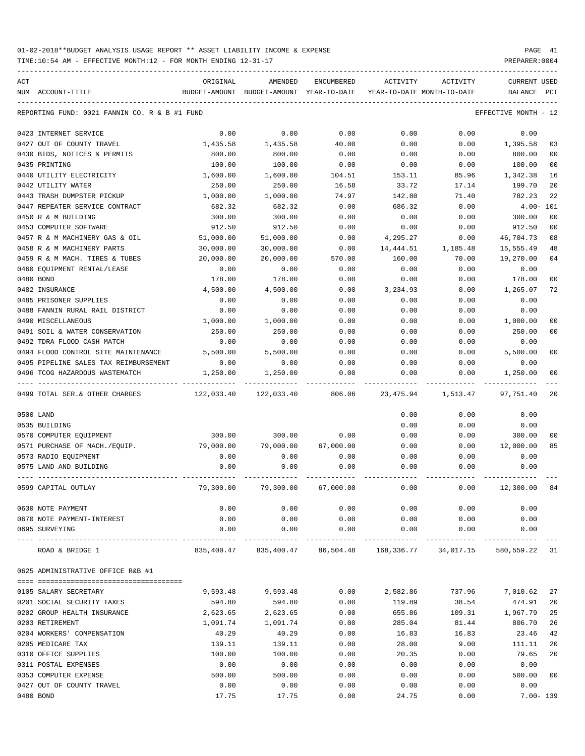TIME:10:54 AM - EFFECTIVE MONTH:12 - FOR MONTH ENDING 12-31-17

| ACT |                                               | ORIGINAL  | AMENDED                                              | ENCUMBERED | ACTIVITY         | ACTIVITY                   | <b>CURRENT USED</b>  |                |
|-----|-----------------------------------------------|-----------|------------------------------------------------------|------------|------------------|----------------------------|----------------------|----------------|
|     | NUM ACCOUNT-TITLE                             |           | BUDGET-AMOUNT BUDGET-AMOUNT YEAR-TO-DATE             |            |                  | YEAR-TO-DATE MONTH-TO-DATE | BALANCE PCT          |                |
|     | REPORTING FUND: 0021 FANNIN CO. R & B #1 FUND |           |                                                      |            |                  |                            | EFFECTIVE MONTH - 12 |                |
|     | 0423 INTERNET SERVICE                         | 0.00      | 0.00                                                 | 0.00       | 0.00             | 0.00                       | 0.00                 |                |
|     | 0427 OUT OF COUNTY TRAVEL                     | 1,435.58  | 1,435.58                                             | 40.00      | 0.00             | 0.00                       | 1,395.58             | 03             |
|     | 0430 BIDS, NOTICES & PERMITS                  | 800.00    | 800.00                                               | 0.00       | 0.00             | 0.00                       | 800.00               | 0 <sub>0</sub> |
|     | 0435 PRINTING                                 | 100.00    | 100.00                                               | 0.00       | 0.00             | 0.00                       | 100.00               | 0 <sub>0</sub> |
|     | 0440 UTILITY ELECTRICITY                      | 1,600.00  | 1,600.00                                             | 104.51     | 153.11           | 85.96                      | 1,342.38             | 16             |
|     | 0442 UTILITY WATER                            | 250.00    | 250.00                                               | 16.58      | 33.72            | 17.14                      | 199.70               | 20             |
|     | 0443 TRASH DUMPSTER PICKUP                    | 1,000.00  | 1,000.00                                             | 74.97      | 142.80           | 71.40                      | 782.23               | 22             |
|     | 0447 REPEATER SERVICE CONTRACT                | 682.32    | 682.32                                               | 0.00       | 686.32           | 0.00                       | $4.00 - 101$         |                |
|     | 0450 R & M BUILDING                           | 300.00    | 300.00                                               | 0.00       | 0.00             | 0.00                       | 300.00               | 0 <sub>0</sub> |
|     | 0453 COMPUTER SOFTWARE                        | 912.50    | 912.50                                               | 0.00       | 0.00             | 0.00                       | 912.50               | 0 <sub>0</sub> |
|     | 0457 R & M MACHINERY GAS & OIL                | 51,000.00 | 51,000.00                                            | 0.00       | 4,295.27         | 0.00                       | 46,704.73            | 08             |
|     | 0458 R & M MACHINERY PARTS                    | 30,000.00 | 30,000.00                                            | 0.00       | 14,444.51        | 1,185.48                   | 15,555.49            | 48             |
|     | 0459 R & M MACH. TIRES & TUBES                | 20,000.00 | 20,000.00                                            | 570.00     | 160.00           | 70.00                      | 19,270.00            | 0 <sub>4</sub> |
|     | 0460 EQUIPMENT RENTAL/LEASE                   | 0.00      | 0.00                                                 | 0.00       | 0.00             | 0.00                       | 0.00                 |                |
|     | 0480 BOND                                     | 178.00    | 178.00                                               | 0.00       | 0.00             | 0.00                       | 178.00               | 0 <sub>0</sub> |
|     | 0482 INSURANCE                                | 4,500.00  | 4,500.00                                             | 0.00       | 3,234.93         | 0.00                       | 1,265.07             | 72             |
|     | 0485 PRISONER SUPPLIES                        | 0.00      | 0.00                                                 | 0.00       | 0.00             | 0.00                       | 0.00                 |                |
|     | 0488 FANNIN RURAL RAIL DISTRICT               | 0.00      | 0.00                                                 | 0.00       | 0.00             | 0.00                       | 0.00                 |                |
|     | 0490 MISCELLANEOUS                            | 1,000.00  | 1,000.00                                             | 0.00       | 0.00             | 0.00                       | 1,000.00             | 00             |
|     | 0491 SOIL & WATER CONSERVATION                | 250.00    | 250.00                                               | 0.00       | 0.00             | 0.00                       | 250.00               | 0 <sub>0</sub> |
|     | 0492 TDRA FLOOD CASH MATCH                    | 0.00      | 0.00                                                 | 0.00       | 0.00             | 0.00                       | 0.00                 |                |
|     | 0494 FLOOD CONTROL SITE MAINTENANCE 5,500.00  |           | 5,500.00                                             | 0.00       | 0.00             | 0.00                       | 5,500.00             | 0 <sub>0</sub> |
|     | 0495 PIPELINE SALES TAX REIMBURSEMENT         | 0.00      | 0.00                                                 | 0.00       | 0.00             | 0.00                       | 0.00                 |                |
|     | 0496 TCOG HAZARDOUS WASTEMATCH                | 1,250.00  | 1,250.00                                             | 0.00       | 0.00             | 0.00                       | 1,250.00             | 0 <sub>0</sub> |
|     | 0499 TOTAL SER.& OTHER CHARGES                |           | 122,033.40 122,033.40 806.06 23,475.94               |            |                  | 1,513.47                   | 97,751.40            | 20             |
|     | 0500 LAND                                     |           |                                                      |            | 0.00             | 0.00                       | 0.00                 |                |
|     | 0535 BUILDING                                 |           |                                                      |            | 0.00             | 0.00                       | 0.00                 |                |
|     | 0570 COMPUTER EQUIPMENT                       | 300.00    | 300.00                                               | 0.00       | 0.00             | 0.00                       | 300.00               | 00             |
|     | 0571 PURCHASE OF MACH./EOUIP.                 | 79,000.00 | 79,000.00                                            | 67,000.00  | 0.00             | 0.00                       | 12,000.00            | 85             |
|     | 0573 RADIO EQUIPMENT                          | 0.00      | 0.00                                                 | 0.00       | 0.00             | 0.00                       | 0.00                 |                |
|     | 0575 LAND AND BUILDING                        | 0.00      | 0.00                                                 | 0.00       | 0.00             | 0.00                       | 0.00                 |                |
|     | 0599 CAPITAL OUTLAY                           | 79,300.00 | 79,300.00                                            | 67,000.00  | 0.00             | 0.00                       | 12,300.00            | 84             |
|     | 0630 NOTE PAYMENT                             | 0.00      | 0.00                                                 | 0.00       | 0.00             | 0.00                       | 0.00                 |                |
|     | 0670 NOTE PAYMENT-INTEREST                    | 0.00      | 0.00                                                 | 0.00       | 0.00             | 0.00                       | 0.00                 |                |
|     | 0695 SURVEYING                                | 0.00      | 0.00                                                 | 0.00       | 0.00             | 0.00                       | 0.00                 |                |
|     | ROAD & BRIDGE 1                               |           | 835,400.47 835,400.47 86,504.48 168,336.77 34,017.15 |            |                  |                            | 580,559.22           | -31            |
|     | 0625 ADMINISTRATIVE OFFICE R&B #1             |           |                                                      |            |                  |                            |                      |                |
|     |                                               |           |                                                      | 0.00       | 2,582.86         | 737.96                     | 7,010.62             | 27             |
|     | 0105 SALARY SECRETARY                         | 9,593.48  | 9,593.48                                             |            |                  |                            |                      |                |
|     | 0201 SOCIAL SECURITY TAXES                    | 594.80    | 594.80                                               | 0.00       | 119.89<br>655.86 | 38.54                      | 474.91               | 20<br>25       |
|     | 0202 GROUP HEALTH INSURANCE                   | 2,623.65  | 2,623.65                                             | 0.00       |                  | 109.31                     | 1,967.79             |                |
|     | 0203 RETIREMENT                               | 1,091.74  | 1,091.74                                             | 0.00       | 285.04           | 81.44                      | 806.70               | 26             |
|     | 0204 WORKERS' COMPENSATION                    | 40.29     | 40.29                                                | 0.00       | 16.83            | 16.83                      | 23.46                | 42             |
|     | 0205 MEDICARE TAX                             | 139.11    | 139.11                                               | 0.00       | 28.00            | 9.00                       | 111.11               | 20             |
|     | 0310 OFFICE SUPPLIES                          | 100.00    | 100.00                                               | 0.00       | 20.35            | 0.00                       | 79.65                | 20             |
|     | 0311 POSTAL EXPENSES                          | 0.00      | 0.00                                                 | 0.00       | 0.00             | 0.00                       | 0.00                 |                |
|     | 0353 COMPUTER EXPENSE                         | 500.00    | 500.00                                               | 0.00       | 0.00             | 0.00                       | 500.00               | 0 <sub>0</sub> |
|     | 0427 OUT OF COUNTY TRAVEL                     | 0.00      | 0.00                                                 | 0.00       | 0.00             | 0.00                       | 0.00                 |                |

0480 BOND 17.75 17.75 0.00 24.75 0.00 7.00- 139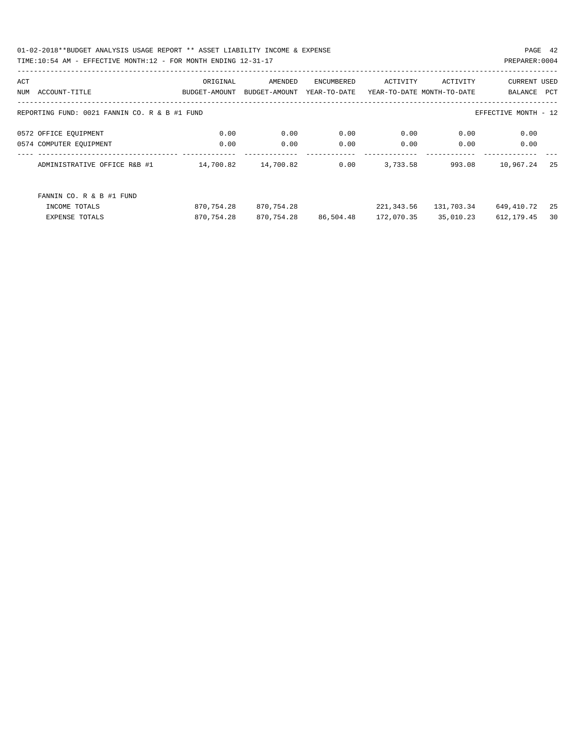01-02-2018\*\*BUDGET ANALYSIS USAGE REPORT \*\* ASSET LIABILITY INCOME & EXPENSE PAGE 42 TIME:10:54 AM - EFFECTIVE MONTH:12 - FOR MONTH ENDING 12-31-17

| ACT |                                                                       | ORIGINAL      | AMENDED       | ENCUMBERED   | ACTIVITY                   | ACTIVITY   | <b>CURRENT USED</b> |     |
|-----|-----------------------------------------------------------------------|---------------|---------------|--------------|----------------------------|------------|---------------------|-----|
| NUM | ACCOUNT-TITLE                                                         | BUDGET-AMOUNT | BUDGET-AMOUNT | YEAR-TO-DATE | YEAR-TO-DATE MONTH-TO-DATE |            | BALANCE             | PCT |
|     |                                                                       |               |               |              |                            |            |                     |     |
|     | REPORTING FUND: 0021 FANNIN CO. R & B #1 FUND<br>EFFECTIVE MONTH - 12 |               |               |              |                            |            |                     |     |
|     | 0572 OFFICE EQUIPMENT                                                 | 0.00          | 0.00          | 0.00         | 0.00                       | 0.00       | 0.00                |     |
|     | 0574 COMPUTER EQUIPMENT                                               | 0.00          | 0.00          | 0.00         | 0.00                       | 0.00       | 0.00                |     |
|     | ADMINISTRATIVE OFFICE R&B #1                                          | 14,700.82     | 14,700.82     | 0.00         | 3,733.58                   | 993.08     | 10,967.24           | 25  |
|     | FANNIN CO. R & B #1 FUND                                              |               |               |              |                            |            |                     |     |
|     | INCOME TOTALS                                                         | 870,754.28    | 870,754.28    |              | 221,343.56                 | 131,703.34 | 649,410.72          | 25  |
|     | <b>EXPENSE TOTALS</b>                                                 | 870,754.28    | 870,754.28    | 86,504.48    | 172,070.35                 | 35,010.23  | 612, 179.45         | 30  |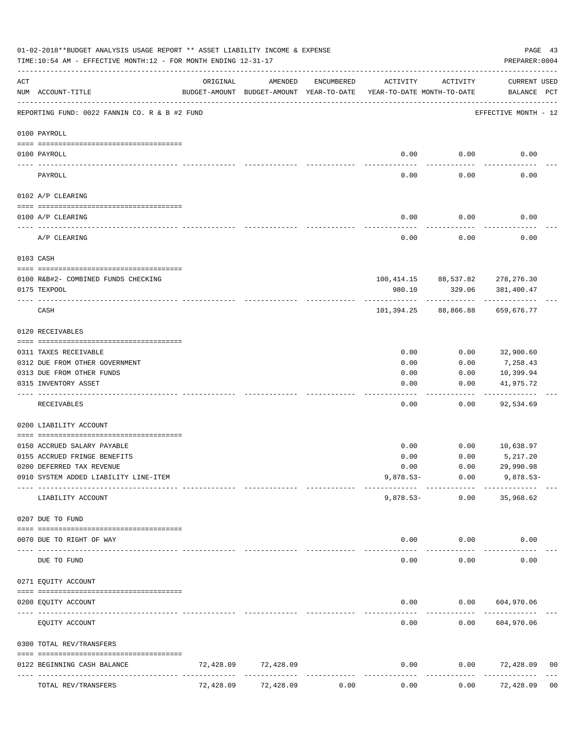|                   | 01-02-2018**BUDGET ANALYSIS USAGE REPORT ** ASSET LIABILITY INCOME & EXPENSE<br>TIME:10:54 AM - EFFECTIVE MONTH:12 - FOR MONTH ENDING 12-31-17 |           |                                                     |            |                                        |                                 | PAGE 43<br>PREPARER: 0004   |                |
|-------------------|------------------------------------------------------------------------------------------------------------------------------------------------|-----------|-----------------------------------------------------|------------|----------------------------------------|---------------------------------|-----------------------------|----------------|
| ACT               | NUM ACCOUNT-TITLE                                                                                                                              | ORIGINAL  | AMENDED<br>BUDGET-AMOUNT BUDGET-AMOUNT YEAR-TO-DATE | ENCUMBERED | ACTIVITY<br>YEAR-TO-DATE MONTH-TO-DATE | ACTIVITY                        | CURRENT USED<br>BALANCE PCT |                |
|                   | REPORTING FUND: 0022 FANNIN CO. R & B #2 FUND                                                                                                  |           |                                                     |            |                                        |                                 | EFFECTIVE MONTH - 12        |                |
|                   | 0100 PAYROLL                                                                                                                                   |           |                                                     |            |                                        |                                 |                             |                |
| $- - - - - - - -$ | 0100 PAYROLL                                                                                                                                   |           |                                                     |            | 0.00                                   | 0.00                            | 0.00                        |                |
|                   | PAYROLL                                                                                                                                        |           |                                                     |            | 0.00                                   | 0.00                            | 0.00                        |                |
|                   | 0102 A/P CLEARING                                                                                                                              |           |                                                     |            |                                        |                                 |                             |                |
|                   | 0100 A/P CLEARING                                                                                                                              |           |                                                     |            | 0.00                                   | 0.00                            | 0.00                        |                |
|                   |                                                                                                                                                |           |                                                     |            |                                        |                                 |                             |                |
|                   | A/P CLEARING                                                                                                                                   |           |                                                     |            | 0.00                                   | 0.00                            | 0.00                        |                |
|                   | 0103 CASH                                                                                                                                      |           |                                                     |            |                                        |                                 |                             |                |
|                   | 0100 R&B#2- COMBINED FUNDS CHECKING                                                                                                            |           |                                                     |            |                                        | 100,414.15 88,537.82 278,276.30 |                             |                |
|                   | 0175 TEXPOOL                                                                                                                                   |           |                                                     |            | 980.10                                 | 329.06                          | 381,400.47                  |                |
|                   | CASH                                                                                                                                           |           |                                                     |            | 101,394.25                             | ------------<br>88,866.88       | 659,676.77                  |                |
|                   | 0120 RECEIVABLES                                                                                                                               |           |                                                     |            |                                        |                                 |                             |                |
|                   | 0311 TAXES RECEIVABLE                                                                                                                          |           |                                                     |            | 0.00                                   | 0.00                            | 32,900.60                   |                |
|                   | 0312 DUE FROM OTHER GOVERNMENT                                                                                                                 |           |                                                     |            | 0.00                                   | 0.00                            | 7,258.43                    |                |
|                   | 0313 DUE FROM OTHER FUNDS                                                                                                                      |           |                                                     |            | 0.00                                   | 0.00                            | 10,399.94                   |                |
|                   | 0315 INVENTORY ASSET                                                                                                                           |           |                                                     |            | 0.00                                   | 0.00                            | 41,975.72<br>----------     |                |
|                   | RECEIVABLES                                                                                                                                    |           |                                                     |            | 0.00                                   | 0.00                            | 92,534.69                   |                |
|                   | 0200 LIABILITY ACCOUNT                                                                                                                         |           |                                                     |            |                                        |                                 |                             |                |
|                   | 0150 ACCRUED SALARY PAYABLE                                                                                                                    |           |                                                     |            | 0.00                                   | 0.00                            | 10,638.97                   |                |
|                   | 0155 ACCRUED FRINGE BENEFITS                                                                                                                   |           |                                                     |            | 0.00                                   | 0.00                            | 5,217.20                    |                |
|                   | 0200 DEFERRED TAX REVENUE                                                                                                                      |           |                                                     |            | 0.00                                   | 0.00                            | 29,990.98                   |                |
|                   | 0910 SYSTEM ADDED LIABILITY LINE-ITEM                                                                                                          |           |                                                     |            | $9,878.53-$                            | 0.00                            | $9,878.53-$                 |                |
|                   | LIABILITY ACCOUNT                                                                                                                              |           |                                                     |            | $9,878.53-$                            | 0.00                            | 35,968.62                   |                |
|                   | 0207 DUE TO FUND                                                                                                                               |           |                                                     |            |                                        |                                 |                             |                |
|                   | 0070 DUE TO RIGHT OF WAY                                                                                                                       |           |                                                     |            | 0.00                                   | 0.00                            | 0.00                        |                |
| $- - - -$         | DUE TO FUND                                                                                                                                    |           |                                                     |            | 0.00                                   | 0.00                            | 0.00                        |                |
|                   | 0271 EQUITY ACCOUNT                                                                                                                            |           |                                                     |            |                                        |                                 |                             |                |
|                   | 0200 EQUITY ACCOUNT                                                                                                                            |           |                                                     |            | 0.00                                   |                                 | 0.00 604,970.06             |                |
|                   | EQUITY ACCOUNT                                                                                                                                 |           |                                                     |            | 0.00                                   | 0.00                            | 604,970.06                  |                |
|                   | 0300 TOTAL REV/TRANSFERS                                                                                                                       |           |                                                     |            |                                        |                                 |                             |                |
|                   | 0122 BEGINNING CASH BALANCE                                                                                                                    | 72,428.09 | 72,428.09                                           |            | 0.00                                   | 0.00                            | 72,428.09                   | 00             |
|                   | TOTAL REV/TRANSFERS                                                                                                                            | 72,428.09 | 72,428.09                                           | 0.00       | 0.00                                   | 0.00                            | 72,428.09                   | 0 <sub>0</sub> |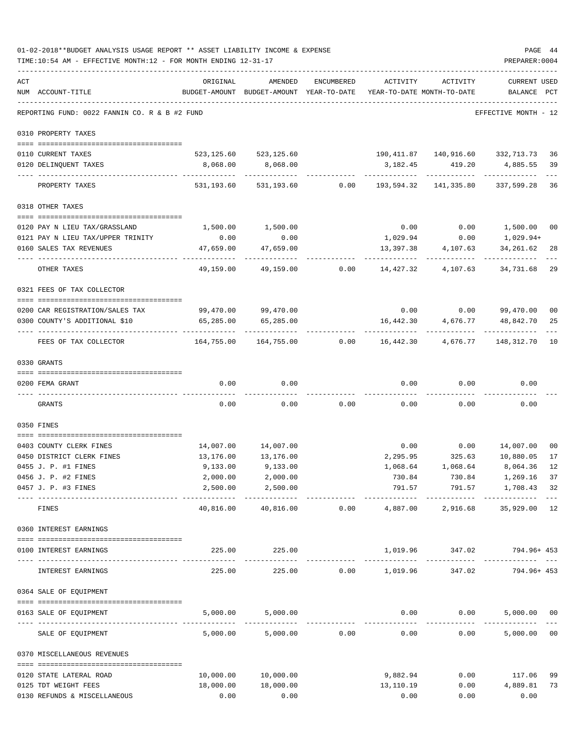|     | 01-02-2018**BUDGET ANALYSIS USAGE REPORT ** ASSET LIABILITY INCOME & EXPENSE<br>TIME:10:54 AM - EFFECTIVE MONTH:12 - FOR MONTH ENDING 12-31-17 |                     |                                                     |                |           |                                                                | PAGE 44<br>PREPARER: 0004     |                      |
|-----|------------------------------------------------------------------------------------------------------------------------------------------------|---------------------|-----------------------------------------------------|----------------|-----------|----------------------------------------------------------------|-------------------------------|----------------------|
| ACT | NUM ACCOUNT-TITLE                                                                                                                              | ORIGINAL            | AMENDED<br>BUDGET-AMOUNT BUDGET-AMOUNT YEAR-TO-DATE | ENCUMBERED     | ACTIVITY  | ACTIVITY<br>YEAR-TO-DATE MONTH-TO-DATE                         | CURRENT USED<br>BALANCE       | $_{\rm PCT}$         |
|     | REPORTING FUND: 0022 FANNIN CO. R & B #2 FUND                                                                                                  |                     |                                                     |                |           |                                                                | EFFECTIVE MONTH - 12          |                      |
|     | 0310 PROPERTY TAXES                                                                                                                            |                     |                                                     |                |           |                                                                |                               |                      |
|     |                                                                                                                                                |                     |                                                     |                |           |                                                                |                               |                      |
|     | 0110 CURRENT TAXES<br>0120 DELINQUENT TAXES                                                                                                    | 8,068.00            | 523, 125.60 523, 125.60<br>8,068.00                 |                | 3,182.45  | 190,411.87  140,916.60  332,713.73  36<br>419.20               | 4,885.55 39                   |                      |
|     |                                                                                                                                                |                     |                                                     |                |           |                                                                |                               |                      |
|     | PROPERTY TAXES                                                                                                                                 |                     |                                                     |                |           | 531,193.60 531,193.60 0.00 193,594.32 141,335.80 337,599.28 36 |                               |                      |
|     | 0318 OTHER TAXES                                                                                                                               |                     |                                                     |                |           |                                                                |                               |                      |
|     | 0120 PAY N LIEU TAX/GRASSLAND                                                                                                                  | 1,500.00            | 1,500.00                                            |                | 0.00      | 0.00                                                           | 1,500.00 00                   |                      |
|     | 0121 PAY N LIEU TAX/UPPER TRINITY                                                                                                              | 0.00                | 0.00                                                |                | 1,029.94  | 0.00                                                           | 1,029.94+                     |                      |
|     | 0160 SALES TAX REVENUES                                                                                                                        | 47,659.00           | 47,659.00                                           |                | 13,397.38 | 4,107.63                                                       | 34,261.62                     | 28                   |
|     | OTHER TAXES                                                                                                                                    | 49,159.00           | 49,159.00                                           | 0.00           | 14,427.32 | 4,107.63                                                       | 34,731.68                     | 29                   |
|     | 0321 FEES OF TAX COLLECTOR                                                                                                                     |                     |                                                     |                |           |                                                                |                               |                      |
|     |                                                                                                                                                | 99,470.00 99,470.00 |                                                     |                |           |                                                                |                               |                      |
|     | 0200 CAR REGISTRATION/SALES TAX<br>0300 COUNTY'S ADDITIONAL \$10                                                                               | 65,285.00           | 65,285.00                                           |                | 16,442.30 | $0.00$ $0.00$ $99,470.00$<br>4,676.77                          | 48,842.70                     | 0 <sub>0</sub><br>25 |
|     | FEES OF TAX COLLECTOR                                                                                                                          |                     |                                                     | 0.00           |           | 16,442.30 4,676.77 148,312.70                                  |                               | 10                   |
|     | 0330 GRANTS                                                                                                                                    |                     |                                                     |                |           |                                                                |                               |                      |
|     | 0200 FEMA GRANT                                                                                                                                | 0.00                | 0.00                                                |                | 0.00      |                                                                | $0.00$ 0.00                   |                      |
|     | GRANTS                                                                                                                                         | 0.00                | 0.00                                                | 0.00           | 0.00      | 0.00                                                           | 0.00                          |                      |
|     | 0350 FINES                                                                                                                                     |                     |                                                     |                |           |                                                                |                               |                      |
|     | 0403 COUNTY CLERK FINES                                                                                                                        | 14,007.00           | 14,007.00                                           |                | 0.00      |                                                                | $0.00$ 14,007.00 00           |                      |
|     | 0450 DISTRICT CLERK FINES                                                                                                                      | 13,176.00           | 13,176.00                                           |                | 2,295.95  | 325.63                                                         | 10,880.05                     | 17                   |
|     | 0455 J. P. #1 FINES                                                                                                                            | 9,133.00            | 9,133.00                                            |                |           | 1,068.64 1,068.64                                              | 8,064.36                      | 12                   |
|     | 0456 J. P. #2 FINES                                                                                                                            |                     | $2,000.00$ $2,000.00$                               |                |           | 730.84 730.84 1,269.16 37                                      |                               |                      |
|     | 0457 J. P. #3 FINES                                                                                                                            | 2,500.00            | 2,500.00<br>--------------                          |                |           | 791.57 791.57 1,708.43 32                                      |                               |                      |
|     | FINES                                                                                                                                          | 40,816.00           |                                                     | 40,816.00 0.00 |           | 4,887.00 2,916.68 35,929.00 12                                 |                               |                      |
|     | 0360 INTEREST EARNINGS                                                                                                                         |                     |                                                     |                |           |                                                                |                               |                      |
|     | 0100 INTEREST EARNINGS                                                                                                                         |                     | 225.00 225.00                                       |                |           | 1,019.96 347.02 794.96+453                                     |                               |                      |
|     | INTEREST EARNINGS                                                                                                                              |                     | 225.00 225.00 0.00 1,019.96                         |                |           | ------------<br>347.02                                         | -------------<br>794.96+ 453  |                      |
|     | 0364 SALE OF EQUIPMENT                                                                                                                         |                     |                                                     |                |           |                                                                |                               |                      |
|     | 0163 SALE OF EQUIPMENT                                                                                                                         |                     | 5,000.00 5,000.00                                   |                |           | $0.00$ $0.00$ $5,000.00$ $00$                                  |                               |                      |
|     | SALE OF EQUIPMENT                                                                                                                              |                     | 5,000.00 5,000.00 0.00                              |                | 0.00      | ------------<br>0.00                                           | --------------<br>5,000.00 00 |                      |
|     | 0370 MISCELLANEOUS REVENUES                                                                                                                    |                     |                                                     |                |           |                                                                |                               |                      |
|     |                                                                                                                                                |                     |                                                     |                |           |                                                                |                               |                      |
|     | 0120 STATE LATERAL ROAD                                                                                                                        |                     | 10,000.00 10,000.00                                 |                | 9,882.94  | 0.00                                                           | 117.06 99                     |                      |
|     | 0125 TDT WEIGHT FEES                                                                                                                           | 18,000.00           | 18,000.00                                           |                | 13,110.19 | 0.00                                                           | 4,889.81 73                   |                      |
|     | 0130 REFUNDS & MISCELLANEOUS                                                                                                                   | 0.00                | 0.00                                                |                | 0.00      | 0.00                                                           | 0.00                          |                      |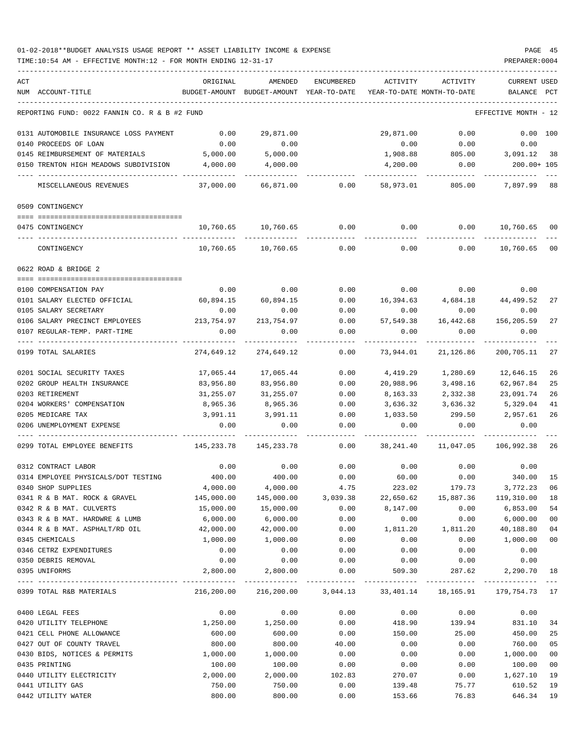| ACT |                                               | ORIGINAL      | AMENDED                                                          | ENCUMBERED   | ACTIVITY                   | ACTIVITY           | <b>CURRENT USED</b>  |        |
|-----|-----------------------------------------------|---------------|------------------------------------------------------------------|--------------|----------------------------|--------------------|----------------------|--------|
|     | NUM ACCOUNT-TITLE                             | BUDGET-AMOUNT | BUDGET-AMOUNT                                                    | YEAR-TO-DATE | YEAR-TO-DATE MONTH-TO-DATE |                    | BALANCE              | PCT    |
|     | REPORTING FUND: 0022 FANNIN CO. R & B #2 FUND |               |                                                                  |              |                            |                    | EFFECTIVE MONTH - 12 |        |
|     | 0131 AUTOMOBILE INSURANCE LOSS PAYMENT        | 0.00          | 29,871.00                                                        |              | 29,871.00                  | 0.00               | 0.00 100             |        |
|     | 0140 PROCEEDS OF LOAN                         | 0.00          | 0.00                                                             |              | 0.00                       | 0.00               | 0.00                 |        |
|     | 0145 REIMBURSEMENT OF MATERIALS               | 5,000.00      | 5,000.00                                                         |              | 1,908.88                   | 805.00             | 3,091.12 38          |        |
|     | 0150 TRENTON HIGH MEADOWS SUBDIVISION         | 4,000.00      | 4,000.00                                                         |              | 4,200.00                   | 0.00               | 200.00+ 105          |        |
|     | MISCELLANEOUS REVENUES                        | 37,000.00     | 66,871.00                                                        | 0.00         | 58,973.01                  | 805.00             | 7,897.99             | 88     |
|     | 0509 CONTINGENCY                              |               |                                                                  |              |                            |                    |                      |        |
|     |                                               |               |                                                                  |              |                            |                    |                      |        |
|     | 0475 CONTINGENCY                              | 10,760.65     | 10,760.65                                                        | 0.00         | 0.00                       | 0.00               | 10,760.65 00         |        |
|     | CONTINGENCY                                   | 10,760.65     | 10,760.65                                                        | 0.00         | 0.00                       | 0.00               | 10,760.65            | 00     |
|     | 0622 ROAD & BRIDGE 2                          |               |                                                                  |              |                            |                    |                      |        |
|     | 0100 COMPENSATION PAY                         | 0.00          | 0.00                                                             | 0.00         |                            | $0.00$ 0.00        | 0.00                 |        |
|     | 0101 SALARY ELECTED OFFICIAL                  | 60,894.15     | 60,894.15                                                        | 0.00         | 16,394.63                  | 4,684.18 44,499.52 |                      | 27     |
|     | 0105 SALARY SECRETARY                         | 0.00          | 0.00                                                             | 0.00         | 0.00                       | 0.00               | 0.00                 |        |
|     | 0106 SALARY PRECINCT EMPLOYEES                | 213,754.97    | 213,754.97                                                       | 0.00         | 57,549.38                  | 16,442.68          | 156,205.59           | 27     |
|     | 0107 REGULAR-TEMP. PART-TIME                  | 0.00          | 0.00                                                             | 0.00         | 0.00                       | 0.00               | 0.00                 |        |
|     | 0199 TOTAL SALARIES                           | 274,649.12    | 274,649.12                                                       | 0.00         | 73,944.01                  | 21,126.86          | 200,705.11           | 27     |
|     | 0201 SOCIAL SECURITY TAXES                    | 17,065.44     | 17,065.44                                                        | 0.00         | 4,419.29                   | 1,280.69           | 12,646.15            | 26     |
|     | 0202 GROUP HEALTH INSURANCE                   | 83,956.80     | 83,956.80                                                        | 0.00         | 20,988.96                  | 3,498.16           | 62,967.84            | 25     |
|     | 0203 RETIREMENT                               | 31,255.07     | 31,255.07                                                        | 0.00         | 8,163.33                   | 2,332.38           | 23,091.74            | 26     |
|     | 0204 WORKERS' COMPENSATION                    | 8,965.36      | 8,965.36                                                         | 0.00         | 3,636.32                   | 3,636.32           | 5,329.04             | 41     |
|     | 0205 MEDICARE TAX                             | 3,991.11      | 3,991.11                                                         | 0.00         | 1,033.50                   | 299.50             | 2,957.61             | 26     |
|     | 0206 UNEMPLOYMENT EXPENSE                     | 0.00          | 0.00                                                             | 0.00         | 0.00                       | 0.00               | 0.00                 |        |
|     | 0299 TOTAL EMPLOYEE BENEFITS                  | 145,233.78    | 145,233.78                                                       | 0.00         | 38,241.40                  | 11,047.05          | 106,992.38           | 26     |
|     | 0312 CONTRACT LABOR                           | 0.00          | 0.00                                                             | 0.00         | 0.00                       | 0.00               | 0.00                 |        |
|     | 0314 EMPLOYEE PHYSICALS/DOT TESTING           | 400.00        | 400.00                                                           | 0.00         | 60.00                      | 0.00               | 340.00               | 15     |
|     | 0340 SHOP SUPPLIES                            | 4,000.00      | 4,000.00                                                         | 4.75         | 223.02                     | 179.73             | 3,772.23             | 06     |
|     | 0341 R & B MAT. ROCK & GRAVEL                 | 145,000.00    | 145,000.00                                                       | 3,039.38     | 22,650.62                  | 15,887.36          | 119,310.00           | 18     |
|     | 0342 R & B MAT. CULVERTS                      | 15,000.00     | 15,000.00                                                        | 0.00         | 8,147.00                   | 0.00               | 6,853.00             | 54     |
|     | 0343 R & B MAT. HARDWRE & LUMB                | 6,000.00      | 6,000.00                                                         | 0.00         | 0.00                       | 0.00               | 6,000.00             | $00\,$ |
|     | 0344 R & B MAT. ASPHALT/RD OIL                | 42,000.00     | 42,000.00                                                        | 0.00         | 1,811.20                   | 1,811.20           | 40,188.80            | 04     |
|     | 0345 CHEMICALS                                | 1,000.00      | 1,000.00                                                         | 0.00         | 0.00                       | 0.00               | 1,000.00             | $00\,$ |
|     | 0346 CETRZ EXPENDITURES                       | 0.00          | 0.00                                                             | 0.00         | 0.00                       | 0.00               | 0.00                 |        |
|     | 0350 DEBRIS REMOVAL                           | 0.00          | 0.00                                                             | 0.00         | 0.00                       | 0.00               | 0.00                 |        |
|     | 0395 UNIFORMS                                 | 2,800.00      | 2,800.00                                                         | 0.00         | 509.30                     | 287.62             | 2,290.70             | 18     |
|     | 0399 TOTAL R&B MATERIALS                      |               | 216,200.00 216,200.00 3,044.13 33,401.14 18,165.91 179,754.73 17 |              |                            |                    |                      |        |
|     | 0400 LEGAL FEES                               | 0.00          | 0.00                                                             | 0.00         | 0.00                       | 0.00               | 0.00                 |        |
|     | 0420 UTILITY TELEPHONE                        | 1,250.00      | 1,250.00                                                         | 0.00         | 418.90                     | 139.94             | 831.10               | 34     |
|     | 0421 CELL PHONE ALLOWANCE                     | 600.00        | 600.00                                                           | 0.00         | 150.00                     | 25.00              | 450.00               | 25     |
|     | 0427 OUT OF COUNTY TRAVEL                     | 800.00        | 800.00                                                           | 40.00        | 0.00                       | 0.00               | 760.00               | 05     |
|     | 0430 BIDS, NOTICES & PERMITS                  | 1,000.00      | 1,000.00                                                         | 0.00         | 0.00                       | 0.00               | 1,000.00             | 00     |
|     | 0435 PRINTING                                 | 100.00        | 100.00                                                           | 0.00         | 0.00                       | 0.00               | 100.00               | 00     |
|     | 0440 UTILITY ELECTRICITY                      | 2,000.00      | 2,000.00                                                         | 102.83       | 270.07                     | 0.00               | 1,627.10             | 19     |
|     | 0441 UTILITY GAS                              | 750.00        | 750.00                                                           | 0.00         | 139.48                     | 75.77              | 610.52               | 19     |
|     | 0442 UTILITY WATER                            | 800.00        | 800.00                                                           | 0.00         | 153.66                     | 76.83              | 646.34               | 19     |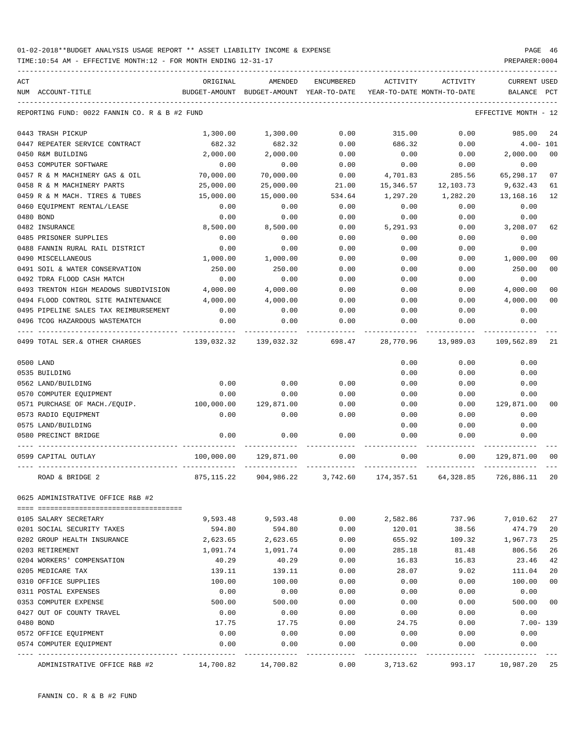| ACT |                                               | ORIGINAL   | AMENDED                                  | <b>ENCUMBERED</b> | ACTIVITY                   | ACTIVITY  | CURRENT USED         |                |
|-----|-----------------------------------------------|------------|------------------------------------------|-------------------|----------------------------|-----------|----------------------|----------------|
|     | NUM ACCOUNT-TITLE                             |            | BUDGET-AMOUNT BUDGET-AMOUNT YEAR-TO-DATE |                   | YEAR-TO-DATE MONTH-TO-DATE |           | BALANCE              | PCT            |
|     | REPORTING FUND: 0022 FANNIN CO. R & B #2 FUND |            |                                          |                   |                            |           | EFFECTIVE MONTH - 12 |                |
|     | 0443 TRASH PICKUP                             | 1,300.00   | 1,300.00                                 | 0.00              | 315.00                     | 0.00      | 985.00               | 24             |
|     | 0447 REPEATER SERVICE CONTRACT                | 682.32     | 682.32                                   | 0.00              | 686.32                     | 0.00      | $4.00 - 101$         |                |
|     | 0450 R&M BUILDING                             | 2,000.00   | 2,000.00                                 | 0.00              | 0.00                       | 0.00      | 2,000.00             | 0 <sup>0</sup> |
|     | 0453 COMPUTER SOFTWARE                        | 0.00       | 0.00                                     | 0.00              | 0.00                       | 0.00      | 0.00                 |                |
|     | 0457 R & M MACHINERY GAS & OIL                | 70,000.00  | 70,000.00                                | 0.00              | 4,701.83                   | 285.56    | 65,298.17            | 07             |
|     | 0458 R & M MACHINERY PARTS                    | 25,000.00  | 25,000.00                                | 21.00             | 15,346.57                  | 12,103.73 | 9,632.43             | 61             |
|     | 0459 R & M MACH. TIRES & TUBES                | 15,000.00  | 15,000.00                                | 534.64            | 1,297.20                   | 1,282.20  | 13,168.16            | 12             |
|     | 0460 EQUIPMENT RENTAL/LEASE                   | 0.00       | 0.00                                     | 0.00              | 0.00                       | 0.00      | 0.00                 |                |
|     | 0480 BOND                                     | 0.00       | 0.00                                     | 0.00              | 0.00                       | 0.00      | 0.00                 |                |
|     | 0482 INSURANCE                                | 8,500.00   | 8,500.00                                 | 0.00              | 5,291.93                   | 0.00      | 3,208.07             | 62             |
|     | 0485 PRISONER SUPPLIES                        | 0.00       | 0.00                                     | 0.00              | 0.00                       | 0.00      | 0.00                 |                |
|     | 0488 FANNIN RURAL RAIL DISTRICT               | 0.00       | 0.00                                     | 0.00              | 0.00                       | 0.00      | 0.00                 |                |
|     | 0490 MISCELLANEOUS                            | 1,000.00   | 1,000.00                                 | 0.00              | 0.00                       | 0.00      | 1,000.00             | 0 <sub>0</sub> |
|     | 0491 SOIL & WATER CONSERVATION                | 250.00     | 250.00                                   | 0.00              | 0.00                       | 0.00      | 250.00               | 00             |
|     | 0492 TDRA FLOOD CASH MATCH                    | 0.00       | 0.00                                     | 0.00              | 0.00                       | 0.00      | 0.00                 |                |
|     | 0493 TRENTON HIGH MEADOWS SUBDIVISION         | 4,000.00   | 4,000.00                                 | 0.00              | 0.00                       | 0.00      | 4,000.00             | 00             |
|     | 0494 FLOOD CONTROL SITE MAINTENANCE           | 4,000.00   | 4,000.00                                 | 0.00              | 0.00                       | 0.00      | 4,000.00             | 0 <sup>0</sup> |
|     | 0495 PIPELINE SALES TAX REIMBURSEMENT         | 0.00       | 0.00                                     | 0.00              | 0.00                       | 0.00      | 0.00                 |                |
|     | 0496 TCOG HAZARDOUS WASTEMATCH                | 0.00       | 0.00                                     | 0.00              | 0.00                       | 0.00      | 0.00                 |                |
|     | 0499 TOTAL SER. & OTHER CHARGES               | 139,032.32 | 139,032.32                               | 698.47            | 28,770.96                  | 13,989.03 | 109,562.89           | 21             |
|     | 0500 LAND                                     |            |                                          |                   | 0.00                       | 0.00      | 0.00                 |                |
|     | 0535 BUILDING                                 |            |                                          |                   | 0.00                       | 0.00      | 0.00                 |                |
|     | 0562 LAND/BUILDING                            | 0.00       | 0.00                                     | 0.00              | 0.00                       | 0.00      | 0.00                 |                |
|     | 0570 COMPUTER EQUIPMENT                       | 0.00       | 0.00                                     | 0.00              | 0.00                       | 0.00      | 0.00                 |                |
|     | 0571 PURCHASE OF MACH./EQUIP.                 | 100,000.00 | 129,871.00                               | 0.00              | 0.00                       | 0.00      | 129,871.00           | 0 <sup>0</sup> |
|     | 0573 RADIO EQUIPMENT                          | 0.00       | 0.00                                     | 0.00              | 0.00                       | 0.00      | 0.00                 |                |
|     | 0575 LAND/BUILDING                            |            |                                          |                   | 0.00                       | 0.00      | 0.00                 |                |
|     | 0580 PRECINCT BRIDGE                          | 0.00       | 0.00                                     | 0.00              | 0.00                       | 0.00      | 0.00                 |                |
|     | 0599 CAPITAL OUTLAY                           | 100,000.00 | 129,871.00                               | 0.00              | 0.00                       | 0.00      | 129,871.00           | 00             |
|     | ROAD & BRIDGE 2                               | 875,115.22 | 904,986.22                               | 3,742.60          | 174,357.51                 | 64,328.85 | 726,886.11           | 20             |
|     | 0625 ADMINISTRATIVE OFFICE R&B #2             |            |                                          |                   |                            |           |                      |                |
|     |                                               |            |                                          |                   |                            |           |                      |                |
|     | 0105 SALARY SECRETARY                         | 9,593.48   | 9,593.48                                 | 0.00              | 2,582.86                   | 737.96    | 7,010.62             | 27             |
|     | 0201 SOCIAL SECURITY TAXES                    | 594.80     | 594.80                                   | 0.00              | 120.01                     | 38.56     | 474.79               | 20             |
|     | 0202 GROUP HEALTH INSURANCE                   | 2,623.65   | 2,623.65                                 | 0.00              | 655.92                     | 109.32    | 1,967.73             | 25             |
|     | 0203 RETIREMENT                               | 1,091.74   | 1,091.74                                 | 0.00              | 285.18                     | 81.48     | 806.56               | 26             |
|     | 0204 WORKERS' COMPENSATION                    | 40.29      | 40.29                                    | 0.00              | 16.83                      | 16.83     | 23.46                | 42             |
|     | 0205 MEDICARE TAX                             | 139.11     | 139.11                                   | 0.00              | 28.07                      | 9.02      | 111.04               | 20             |
|     | 0310 OFFICE SUPPLIES                          | 100.00     | 100.00                                   | 0.00              | 0.00                       | 0.00      | 100.00               | 00             |
|     | 0311 POSTAL EXPENSES                          | 0.00       | 0.00                                     | 0.00              | 0.00                       | 0.00      | 0.00                 |                |
|     | 0353 COMPUTER EXPENSE                         | 500.00     | 500.00                                   | 0.00              | 0.00                       | 0.00      | 500.00               | 00             |
|     | 0427 OUT OF COUNTY TRAVEL                     | 0.00       | 0.00                                     | 0.00              | 0.00                       | 0.00      | 0.00                 |                |
|     | 0480 BOND                                     | 17.75      | 17.75                                    | 0.00              | 24.75                      | 0.00      | $7.00 - 139$         |                |
|     | 0572 OFFICE EQUIPMENT                         | 0.00       | 0.00                                     | 0.00              | 0.00                       | 0.00      | 0.00                 |                |
|     | 0574 COMPUTER EQUIPMENT                       | 0.00       | 0.00                                     | 0.00              | 0.00                       | 0.00      | 0.00                 |                |
|     | ADMINISTRATIVE OFFICE R&B #2                  | 14,700.82  | 14,700.82                                | ----<br>0.00      | 3,713.62                   | 993.17    | 10,987.20            | 25             |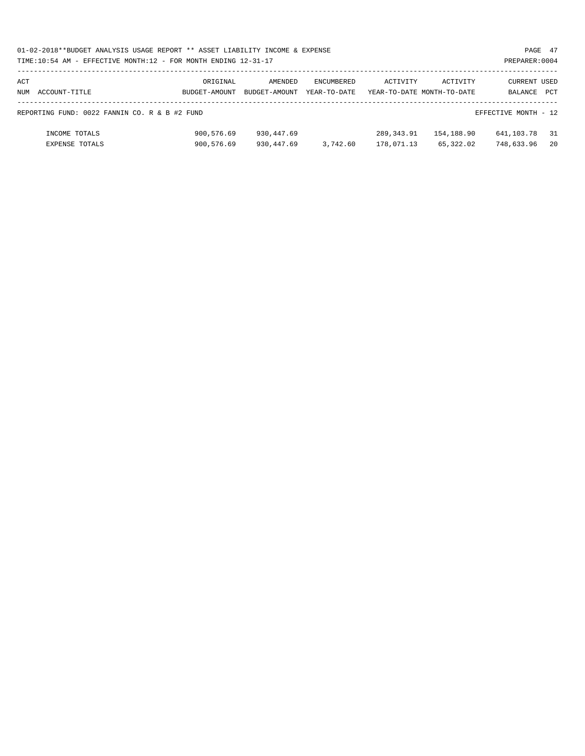| 01-02-2018**BUDGET ANALYSIS USAGE REPORT ** ASSET LIABILITY INCOME & EXPENSE     |          |                             |                   |          |                            |              | PAGE 47 |  |  |  |  |
|----------------------------------------------------------------------------------|----------|-----------------------------|-------------------|----------|----------------------------|--------------|---------|--|--|--|--|
| TIME:10:54 AM - EFFECTIVE MONTH:12 - FOR MONTH ENDING 12-31-17<br>PREPARER: 0004 |          |                             |                   |          |                            |              |         |  |  |  |  |
|                                                                                  |          |                             |                   |          |                            |              |         |  |  |  |  |
| ACT                                                                              | ORIGINAL | AMENDED                     | <b>ENCUMBERED</b> | ACTIVITY | ACTIVITY                   | CURRENT USED |         |  |  |  |  |
| NUM ACCOUNT-TITLE                                                                |          | BUDGET-AMOUNT BUDGET-AMOUNT | YEAR-TO-DATE      |          | YEAR-TO-DATE MONTH-TO-DATE | BALANCE PCT  |         |  |  |  |  |
|                                                                                  |          |                             |                   |          |                            |              |         |  |  |  |  |
| REPORTING FUND: 0022 FANNIN CO. R & B #2 FUND<br>EFFECTIVE MONTH - 12            |          |                             |                   |          |                            |              |         |  |  |  |  |

| INCOME TOTALS  | 900,576.69 | 930,447.69 |          | 289,343.91 | 154,188.90 | 641,103.78 31 |  |
|----------------|------------|------------|----------|------------|------------|---------------|--|
| EXPENSE TOTALS | 900,576.69 | 930,447.69 | 3,742.60 | 178,071.13 | 65,322.02  | 748,633.96 20 |  |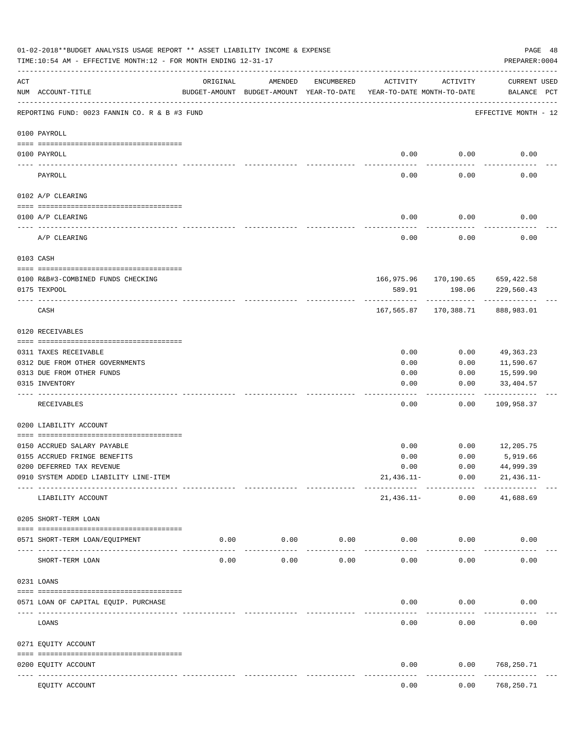|     | 01-02-2018**BUDGET ANALYSIS USAGE REPORT ** ASSET LIABILITY INCOME & EXPENSE<br>TIME:10:54 AM - EFFECTIVE MONTH:12 - FOR MONTH ENDING 12-31-17 |                             |                                                                                |               |                     |           | PREPARER: 0004                     | PAGE 48 |
|-----|------------------------------------------------------------------------------------------------------------------------------------------------|-----------------------------|--------------------------------------------------------------------------------|---------------|---------------------|-----------|------------------------------------|---------|
| ACT | NUM ACCOUNT-TITLE                                                                                                                              | ORIGINAL                    | AMENDED<br>BUDGET-AMOUNT BUDGET-AMOUNT YEAR-TO-DATE YEAR-TO-DATE MONTH-TO-DATE | ENCUMBERED    | ACTIVITY            | ACTIVITY  | <b>CURRENT USED</b><br>BALANCE PCT |         |
|     | REPORTING FUND: 0023 FANNIN CO. R & B #3 FUND                                                                                                  |                             |                                                                                |               |                     |           | EFFECTIVE MONTH - 12               |         |
|     | 0100 PAYROLL                                                                                                                                   |                             |                                                                                |               |                     |           |                                    |         |
|     | 0100 PAYROLL                                                                                                                                   |                             |                                                                                |               | 0.00                | 0.00      | 0.00                               |         |
|     | PAYROLL                                                                                                                                        |                             |                                                                                |               | 0.00                | 0.00      | 0.00                               |         |
|     | 0102 A/P CLEARING                                                                                                                              |                             |                                                                                |               |                     |           |                                    |         |
|     | 0100 A/P CLEARING                                                                                                                              |                             |                                                                                |               | 0.00                | 0.00      | 0.00                               |         |
|     | A/P CLEARING                                                                                                                                   |                             |                                                                                |               | $- - - - -$<br>0.00 | .<br>0.00 | 0.00                               |         |
|     | 0103 CASH                                                                                                                                      |                             |                                                                                |               |                     |           |                                    |         |
|     |                                                                                                                                                |                             |                                                                                |               |                     |           |                                    |         |
|     | 0100 R&B#3-COMBINED FUNDS CHECKING                                                                                                             |                             |                                                                                |               |                     |           | 166,975.96 170,190.65 659,422.58   |         |
|     | 0175 TEXPOOL                                                                                                                                   |                             |                                                                                |               | 589.91              | 198.06    | 229,560.43                         |         |
|     | CASH                                                                                                                                           |                             |                                                                                |               |                     |           | 167,565.87 170,388.71 888,983.01   |         |
|     | 0120 RECEIVABLES                                                                                                                               |                             |                                                                                |               |                     |           |                                    |         |
|     | 0311 TAXES RECEIVABLE                                                                                                                          |                             |                                                                                |               | 0.00                | 0.00      | 49, 363. 23                        |         |
|     | 0312 DUE FROM OTHER GOVERNMENTS                                                                                                                |                             |                                                                                |               | 0.00                | 0.00      | 11,590.67                          |         |
|     | 0313 DUE FROM OTHER FUNDS                                                                                                                      |                             |                                                                                |               | 0.00                | 0.00      | 15,599.90                          |         |
|     | 0315 INVENTORY                                                                                                                                 |                             |                                                                                |               | 0.00                | 0.00      | 33,404.57<br>. <u>.</u>            |         |
|     | RECEIVABLES                                                                                                                                    |                             |                                                                                |               | 0.00                | 0.00      | 109,958.37                         |         |
|     | 0200 LIABILITY ACCOUNT                                                                                                                         |                             |                                                                                |               |                     |           |                                    |         |
|     | 0150 ACCRUED SALARY PAYABLE                                                                                                                    |                             |                                                                                |               | 0.00                | 0.00      | 12,205.75                          |         |
|     | 0155 ACCRUED FRINGE BENEFITS                                                                                                                   |                             |                                                                                |               | 0.00                | 0.00      | 5,919.66                           |         |
|     | 0200 DEFERRED TAX REVENUE                                                                                                                      |                             |                                                                                |               | 0.00                | 0.00      | 44,999.39                          |         |
|     | 0910 SYSTEM ADDED LIABILITY LINE-ITEM                                                                                                          |                             |                                                                                |               | $21,436.11-$        | 0.00      | 21,436.11-                         |         |
|     | LIABILITY ACCOUNT                                                                                                                              |                             |                                                                                |               | 21,436.11-          | 0.00      | 41,688.69                          |         |
|     | 0205 SHORT-TERM LOAN                                                                                                                           |                             |                                                                                |               |                     |           |                                    |         |
|     | 0571 SHORT-TERM LOAN/EQUIPMENT                                                                                                                 | 0.00                        | 0.00                                                                           | 0.00          | 0.00                | 0.00      | 0.00                               |         |
|     | SHORT-TERM LOAN                                                                                                                                | 0.00                        | 0.00                                                                           | -----<br>0.00 | 0.00                | 0.00      | 0.00                               |         |
|     | 0231 LOANS                                                                                                                                     |                             |                                                                                |               |                     |           |                                    |         |
|     | 0571 LOAN OF CAPITAL EQUIP. PURCHASE                                                                                                           |                             |                                                                                |               | 0.00                | 0.00      | 0.00                               |         |
|     |                                                                                                                                                |                             |                                                                                |               |                     |           |                                    |         |
|     | LOANS                                                                                                                                          |                             |                                                                                |               | 0.00                | 0.00      | 0.00                               |         |
|     | 0271 EQUITY ACCOUNT                                                                                                                            |                             |                                                                                |               |                     |           |                                    |         |
|     | 0200 EQUITY ACCOUNT<br>----------                                                                                                              | ------------- ------------- |                                                                                |               | 0.00                | 0.00      | 768,250.71<br>----------           |         |
|     | EQUITY ACCOUNT                                                                                                                                 |                             |                                                                                |               | 0.00                | 0.00      | 768,250.71                         |         |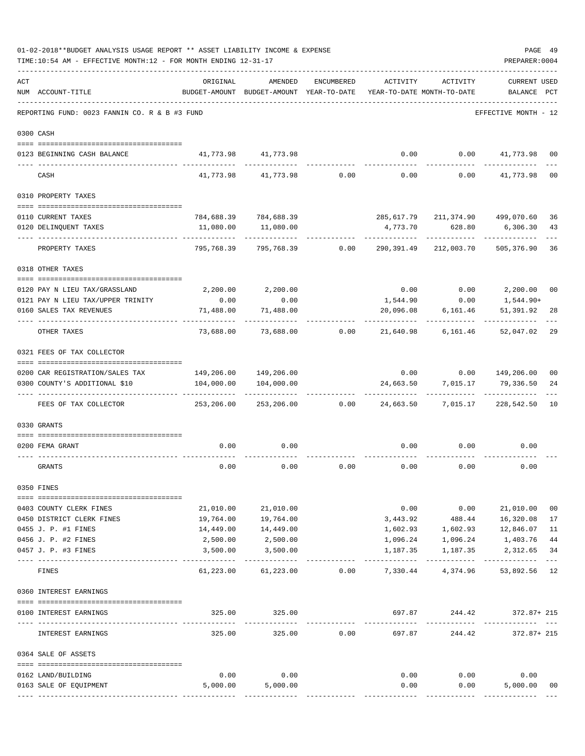|     | TIME:10:54 AM - EFFECTIVE MONTH:12 - FOR MONTH ENDING 12-31-17   |              |                                                                                |                           |             |                   | PREPARER: 0004                               |                      |
|-----|------------------------------------------------------------------|--------------|--------------------------------------------------------------------------------|---------------------------|-------------|-------------------|----------------------------------------------|----------------------|
| ACT | NUM ACCOUNT-TITLE                                                | ORIGINAL     | AMENDED<br>BUDGET-AMOUNT BUDGET-AMOUNT YEAR-TO-DATE YEAR-TO-DATE MONTH-TO-DATE | ENCUMBERED                | ACTIVITY    | ACTIVITY          | <b>CURRENT USED</b><br>BALANCE PCT           |                      |
|     | REPORTING FUND: 0023 FANNIN CO. R & B #3 FUND                    |              |                                                                                |                           |             |                   | EFFECTIVE MONTH - 12                         |                      |
|     | 0300 CASH                                                        |              |                                                                                |                           |             |                   |                                              |                      |
|     | 0123 BEGINNING CASH BALANCE                                      |              | 41,773.98 41,773.98                                                            |                           | 0.00        |                   | $0.00$ $41,773.98$                           | 00                   |
|     | CASH                                                             |              | 41,773.98 41,773.98                                                            |                           | $0.00$ 0.00 | 0.00              | 41,773.98                                    | 0 <sub>0</sub>       |
|     | 0310 PROPERTY TAXES                                              |              |                                                                                |                           |             |                   |                                              |                      |
|     |                                                                  |              |                                                                                |                           |             |                   |                                              |                      |
|     | 0110 CURRENT TAXES<br>0120 DELINQUENT TAXES                      | 11,080.00    | 784,688.39 784,688.39<br>11,080.00                                             |                           | 4,773.70    | 628.80            | 285,617.79 211,374.90 499,070.60<br>6,306.30 | 36<br>43             |
|     | ------------------- --                                           |              |                                                                                |                           | ----------  |                   |                                              |                      |
|     | PROPERTY TAXES                                                   | 795,768.39   | 795,768.39                                                                     | 0.00                      | 290,391.49  | 212,003.70        | 505,376.90                                   | 36                   |
|     | 0318 OTHER TAXES                                                 |              |                                                                                |                           |             |                   |                                              |                      |
|     | 0120 PAY N LIEU TAX/GRASSLAND                                    |              | 2,200.00 2,200.00                                                              |                           |             |                   | $0.00$ $0.00$ $2,200.00$                     | 00                   |
|     | 0121 PAY N LIEU TAX/UPPER TRINITY                                | 0.00         | 0.00                                                                           |                           | 1,544.90    | 0.00              | 1,544.90+                                    |                      |
|     | 0160 SALES TAX REVENUES                                          | 71,488.00    | 71,488.00                                                                      |                           | 20,096.08   | 6,161.46          | 51,391.92                                    | 28                   |
|     | OTHER TAXES                                                      | 73,688.00    |                                                                                | 73,688.00 0.00            | 21,640.98   | 6,161.46          | 52,047.02                                    | 29                   |
|     | 0321 FEES OF TAX COLLECTOR                                       |              |                                                                                |                           |             |                   |                                              |                      |
|     |                                                                  |              |                                                                                |                           |             |                   | $0.00$ $0.00$ $149,206.00$                   |                      |
|     | 0200 CAR REGISTRATION/SALES TAX<br>0300 COUNTY'S ADDITIONAL \$10 |              | 149,206.00 149,206.00<br>104,000.00   104,000.00                               |                           |             |                   | 24,663.50 7,015.17 79,336.50                 | 0 <sub>0</sub><br>24 |
|     |                                                                  | ------------ |                                                                                |                           |             | .                 | ------------                                 |                      |
|     | FEES OF TAX COLLECTOR                                            | 253,206.00   |                                                                                | 253,206.00 0.00 24,663.50 |             | 7,015.17          | 228,542.50                                   | 10                   |
|     | 0330 GRANTS                                                      |              |                                                                                |                           |             |                   |                                              |                      |
|     |                                                                  |              |                                                                                |                           |             |                   |                                              |                      |
|     | 0200 FEMA GRANT                                                  | 0.00         | 0.00                                                                           |                           | 0.00        | 0.00              | 0.00                                         |                      |
|     | GRANTS                                                           | 0.00         | 0.00                                                                           | 0.00                      | 0.00        | 0.00              | 0.00                                         |                      |
|     | 0350 FINES                                                       |              |                                                                                |                           |             |                   |                                              |                      |
|     | 0403 COUNTY CLERK FINES                                          | 21,010.00    | 21,010.00                                                                      |                           |             |                   | $0.00$ $0.00$ $21,010.00$                    | 00                   |
|     | 0450 DISTRICT CLERK FINES                                        | 19,764.00    | 19,764.00                                                                      |                           | 3,443.92    |                   | 488.44 16,320.08                             | 17                   |
|     | 0455 J. P. #1 FINES                                              | 14,449.00    | 14,449.00                                                                      |                           |             | 1,602.93 1,602.93 | 12,846.07                                    | 11                   |
|     | 0456 J. P. #2 FINES                                              | 2,500.00     | 2,500.00                                                                       |                           | 1,096.24    | 1,096.24          | 1,403.76                                     | 44                   |
|     | 0457 J. P. #3 FINES                                              | 3,500.00     | 3,500.00                                                                       |                           | 1,187.35    | 1,187.35          | 2,312.65<br>.                                | 34<br>$- - -$        |
|     | FINES                                                            | 61,223.00    | 61,223.00                                                                      | 0.00                      |             | 7,330.44 4,374.96 | 53,892.56                                    | 12                   |
|     | 0360 INTEREST EARNINGS                                           |              |                                                                                |                           |             |                   |                                              |                      |
|     | 0100 INTEREST EARNINGS                                           | 325.00       | 325.00<br>-----------                                                          |                           |             |                   | 697.87 244.42 372.87+215<br>-------------    |                      |
|     | INTEREST EARNINGS                                                | 325.00       | 325.00                                                                         | 0.00                      | .<br>697.87 | -----------       | 244.42 372.87+215                            |                      |
|     | 0364 SALE OF ASSETS                                              |              |                                                                                |                           |             |                   |                                              |                      |
|     | 0162 LAND/BUILDING                                               | 0.00         | 0.00                                                                           |                           |             | $0.00$ $0.00$     | 0.00                                         |                      |
|     | 0163 SALE OF EQUIPMENT                                           | 5,000.00     | 5,000.00                                                                       |                           | 0.00        |                   | 0.00<br>5,000.00                             | 00                   |
|     |                                                                  |              |                                                                                |                           |             |                   |                                              |                      |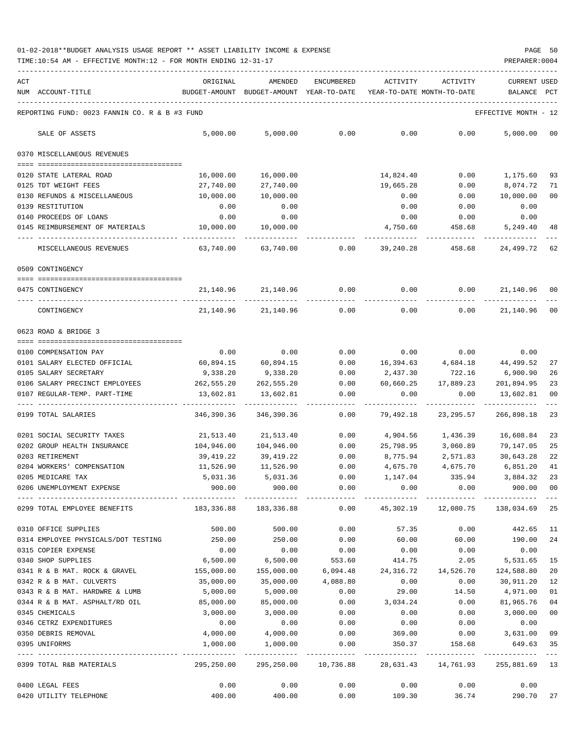| ACT | NUM ACCOUNT-TITLE                                                                            | ORIGINAL             | AMENDED<br>BUDGET-AMOUNT BUDGET-AMOUNT YEAR-TO-DATE | ENCUMBERED           | ACTIVITY<br>YEAR-TO-DATE MONTH-TO-DATE | ACTIVITY            | <b>CURRENT USED</b><br>BALANCE | PCT       |
|-----|----------------------------------------------------------------------------------------------|----------------------|-----------------------------------------------------|----------------------|----------------------------------------|---------------------|--------------------------------|-----------|
|     |                                                                                              |                      |                                                     |                      |                                        |                     |                                |           |
|     | REPORTING FUND: 0023 FANNIN CO. R & B #3 FUND                                                |                      |                                                     |                      |                                        |                     | EFFECTIVE MONTH - 12           |           |
|     | SALE OF ASSETS                                                                               | 5,000.00             | 5,000.00                                            | 0.00                 | 0.00                                   | 0.00                | 5.000.00                       | 00        |
|     | 0370 MISCELLANEOUS REVENUES                                                                  |                      |                                                     |                      |                                        |                     |                                |           |
|     | 0120 STATE LATERAL ROAD                                                                      | 16,000.00            | 16,000.00                                           |                      | 14,824.40                              | 0.00                | 1,175.60                       | 93        |
|     | 0125 TDT WEIGHT FEES                                                                         | 27,740.00            | 27,740.00                                           |                      | 19,665.28                              | 0.00                | 8,074.72                       | 71        |
|     | 0130 REFUNDS & MISCELLANEOUS                                                                 | 10,000.00            | 10,000.00                                           |                      | 0.00                                   | 0.00                | 10,000.00                      | 00        |
|     | 0139 RESTITUTION                                                                             | 0.00                 | 0.00                                                |                      | 0.00                                   | 0.00                | 0.00                           |           |
|     | 0140 PROCEEDS OF LOANS                                                                       | 0.00                 | 0.00                                                |                      | 0.00                                   | 0.00                | 0.00                           |           |
|     | 0145 REIMBURSEMENT OF MATERIALS                                                              | 10,000.00            | 10,000.00                                           |                      | 4,750.60                               | 458.68              | 5,249.40                       | 48        |
|     | MISCELLANEOUS REVENUES                                                                       | 63,740.00            | 63,740.00                                           | 0.00                 | 39,240.28                              | 458.68              | 24,499.72                      | 62        |
|     | 0509 CONTINGENCY                                                                             |                      |                                                     |                      |                                        |                     |                                |           |
|     | 0475 CONTINGENCY                                                                             | 21,140.96            | 21,140.96                                           | 0.00                 | 0.00                                   | 0.00                | 21,140.96 00                   |           |
|     | CONTINGENCY                                                                                  |                      | 21, 140.96 21, 140.96                               | 0.00                 | 0.00                                   | 0.00                | 21,140.96                      | $_{00}$   |
|     | 0623 ROAD & BRIDGE 3                                                                         |                      |                                                     |                      |                                        |                     |                                |           |
|     |                                                                                              | 0.00                 | 0.00                                                | 0.00                 | 0.00                                   | 0.00                |                                |           |
|     | 0100 COMPENSATION PAY<br>0101 SALARY ELECTED OFFICIAL                                        | 60,894.15            | 60,894.15                                           | 0.00                 | 16,394.63                              | 4,684.18            | 0.00<br>44,499.52              | 27        |
|     | 0105 SALARY SECRETARY                                                                        | 9,338.20             | 9,338.20                                            | 0.00                 | 2,437.30                               | 722.16              | 6,900.90                       | 26        |
|     | 0106 SALARY PRECINCT EMPLOYEES                                                               | 262,555.20           | 262,555.20                                          | 0.00                 | 60,660.25                              | 17,889.23           | 201,894.95                     | 23        |
|     | 0107 REGULAR-TEMP. PART-TIME                                                                 | 13,602.81            | 13,602.81                                           | 0.00                 | 0.00                                   | 0.00                | 13,602.81                      | 00        |
|     | 0199 TOTAL SALARIES                                                                          | 346,390.36           | 346,390.36                                          | 0.00                 | 79,492.18                              | 23, 295.57          | 266,898.18                     | 23        |
|     | 0201 SOCIAL SECURITY TAXES                                                                   | 21,513.40            | 21,513.40                                           | 0.00                 | 4,904.56                               | 1,436.39            | 16,608.84                      | 23        |
|     | 0202 GROUP HEALTH INSURANCE                                                                  | 104,946.00           | 104,946.00                                          | 0.00                 | 25,798.95                              | 3,060.89            | 79,147.05                      | 25        |
|     | 0203 RETIREMENT                                                                              | 39,419.22            | 39,419.22                                           | 0.00                 | 8,775.94                               | 2,571.83            | 30,643.28                      | 22        |
|     | 0204 WORKERS' COMPENSATION                                                                   | 11,526.90            | 11,526.90                                           | 0.00                 | 4,675.70                               | 4,675.70            | 6,851.20                       | 41        |
|     | 0205 MEDICARE TAX                                                                            | 5,031.36             | 5,031.36                                            | 0.00                 | 1,147.04                               | 335.94              | 3,884.32                       | 23        |
|     | 0206 UNEMPLOYMENT EXPENSE                                                                    | 900.00               | 900.00                                              | 0.00                 | 0.00                                   | 0.00                | 900.00                         | 00        |
|     | 0299 TOTAL EMPLOYEE BENEFITS 48,336.88 183,336.88 680 0.00 45,302.19 12,080.75 138,034.69 25 |                      |                                                     |                      |                                        |                     |                                |           |
|     | 0310 OFFICE SUPPLIES                                                                         | 500.00               | 500.00                                              | 0.00                 | 57.35                                  | 0.00                | 442.65                         | 11        |
|     | 0314 EMPLOYEE PHYSICALS/DOT TESTING 250.00                                                   |                      | 250.00                                              | 0.00                 | 60.00                                  | 60.00               | 190.00                         | 24        |
|     | 0315 COPIER EXPENSE                                                                          | 0.00                 | 0.00                                                | 0.00                 | 0.00                                   | 0.00                | 0.00                           |           |
|     | 0340 SHOP SUPPLIES                                                                           | 6,500.00             | 6,500.00                                            | 553.60               | 414.75                                 | 2.05                | 5,531.65                       | 15        |
|     | 0341 R & B MAT. ROCK & GRAVEL                                                                | 155,000.00           |                                                     | 155,000.00 6,094.48  | 24,316.72 14,526.70                    |                     | 124,588.80                     | 20        |
|     | 0342 R & B MAT. CULVERTS                                                                     | 35,000.00            | 35,000.00                                           | 4,088.80             | 0.00                                   | 0.00                | 30,911.20                      | 12        |
|     | 0343 R & B MAT. HARDWRE & LUMB                                                               | 5,000.00             | 5,000.00                                            | 0.00                 | 29.00                                  | 14.50               | 4,971.00                       | 01        |
|     | 0344 R & B MAT. ASPHALT/RD OIL                                                               | 85,000.00            | 85,000.00                                           | 0.00                 | 3,034.24                               | 0.00                | 81,965.76                      | 04        |
|     | 0345 CHEMICALS                                                                               | 3,000.00             | 3,000.00                                            | 0.00                 | 0.00                                   | 0.00                | 3,000.00                       | $00\,$    |
|     | 0346 CETRZ EXPENDITURES                                                                      | 0.00                 | $0.00$ $4,000.00$                                   | 0.00                 | 0.00                                   | 0.00                | 0.00                           |           |
|     | 0350 DEBRIS REMOVAL<br>0395 UNIFORMS                                                         | 4,000.00<br>1,000.00 | 1,000.00                                            | 0.00<br>0.00         | 369.00<br>350.37                       | 0.00<br>158.68      | 3,631.00<br>649.63 35          | 09        |
|     | 0399 TOTAL R&B MATERIALS                                                                     | 295,250.00           |                                                     | 295,250.00 10,736.88 |                                        | 28,631.43 14,761.93 | 255,881.69 13                  | $- - - -$ |
|     |                                                                                              |                      |                                                     |                      |                                        |                     |                                |           |
|     | 0400 LEGAL FEES                                                                              | 0.00                 | 0.00                                                | 0.00                 | 0.00                                   | 0.00                | 0.00                           |           |
|     | 0420 UTILITY TELEPHONE                                                                       | 400.00               | 400.00                                              | 0.00                 | 109.30                                 | 36.74               | 290.70                         | 27        |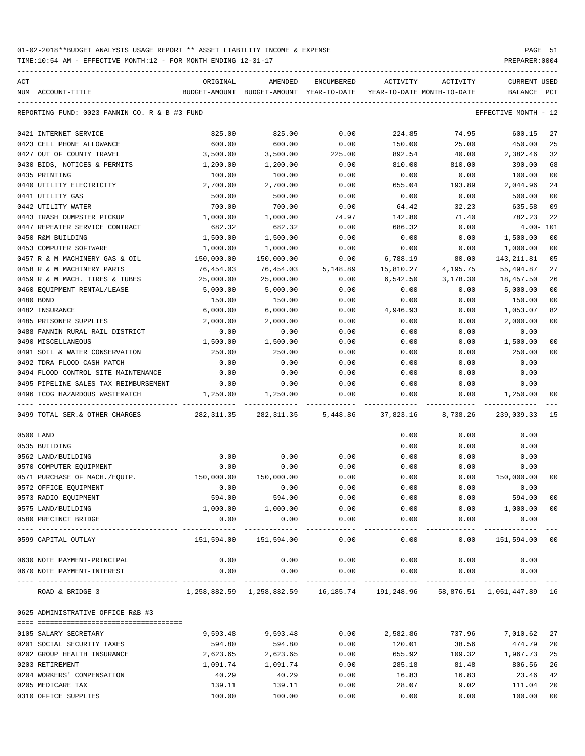| ACT |                                               | ORIGINAL   | AMENDED                                                                                   | <b>ENCUMBERED</b> | ACTIVITY                   | ACTIVITY  | <b>CURRENT USED</b>  |              |
|-----|-----------------------------------------------|------------|-------------------------------------------------------------------------------------------|-------------------|----------------------------|-----------|----------------------|--------------|
|     | NUM ACCOUNT-TITLE                             |            | BUDGET-AMOUNT BUDGET-AMOUNT YEAR-TO-DATE                                                  |                   | YEAR-TO-DATE MONTH-TO-DATE |           | <b>BALANCE</b>       | $_{\rm PCT}$ |
|     |                                               |            |                                                                                           |                   |                            |           |                      |              |
|     | REPORTING FUND: 0023 FANNIN CO. R & B #3 FUND |            |                                                                                           |                   |                            |           | EFFECTIVE MONTH - 12 |              |
|     | 0421 INTERNET SERVICE                         | 825.00     | 825.00                                                                                    | 0.00              | 224.85                     | 74.95     | 600.15               | 27           |
|     | 0423 CELL PHONE ALLOWANCE                     | 600.00     | 600.00                                                                                    | 0.00              | 150.00                     | 25.00     | 450.00               | 25           |
|     | 0427 OUT OF COUNTY TRAVEL                     | 3,500.00   | 3,500.00                                                                                  | 225.00            | 892.54                     | 40.00     | 2,382.46             | 32           |
|     | 0430 BIDS, NOTICES & PERMITS                  | 1,200.00   | 1,200.00                                                                                  | 0.00              | 810.00                     | 810.00    | 390.00               | 68           |
|     | 0435 PRINTING                                 | 100.00     | 100.00                                                                                    | 0.00              | 0.00                       | 0.00      | 100.00               | 00           |
|     | 0440 UTILITY ELECTRICITY                      | 2,700.00   | 2,700.00                                                                                  | 0.00              | 655.04                     | 193.89    | 2,044.96             | 24           |
|     | 0441 UTILITY GAS                              | 500.00     | 500.00                                                                                    | 0.00              | 0.00                       | 0.00      | 500.00               | 00           |
|     | 0442 UTILITY WATER                            | 700.00     | 700.00                                                                                    | 0.00              | 64.42                      | 32.23     | 635.58               | 09           |
|     | 0443 TRASH DUMPSTER PICKUP                    | 1,000.00   | 1,000.00                                                                                  | 74.97             | 142.80                     | 71.40     | 782.23               | 22           |
|     | 0447 REPEATER SERVICE CONTRACT                | 682.32     | 682.32                                                                                    | 0.00              | 686.32                     | 0.00      | $4.00 - 101$         |              |
|     | 0450 R&M BUILDING                             | 1,500.00   | 1,500.00                                                                                  | 0.00              | 0.00                       | 0.00      | 1,500.00             | 00           |
|     | 0453 COMPUTER SOFTWARE                        | 1,000.00   | 1,000.00                                                                                  | 0.00              | 0.00                       | 0.00      | 1,000.00             | 00           |
|     | 0457 R & M MACHINERY GAS & OIL                | 150,000.00 | 150,000.00                                                                                | 0.00              | 6,788.19                   | 80.00     | 143, 211, 81         | 05           |
|     | 0458 R & M MACHINERY PARTS                    | 76,454.03  | 76,454.03                                                                                 | 5,148.89          | 15,810.27                  | 4,195.75  | 55,494.87            | 27           |
|     | 0459 R & M MACH. TIRES & TUBES                | 25,000.00  | 25,000.00                                                                                 | 0.00              | 6,542.50                   | 3,178.30  | 18,457.50            | 26           |
|     | 0460 EOUIPMENT RENTAL/LEASE                   | 5,000.00   | 5,000.00                                                                                  | 0.00              | 0.00                       | 0.00      | 5.000.00             | 00           |
|     | 0480 BOND                                     | 150.00     | 150.00                                                                                    | 0.00              | 0.00                       | 0.00      | 150.00               | 00           |
|     | 0482 INSURANCE                                | 6,000.00   | 6,000.00                                                                                  | 0.00              | 4,946.93                   | 0.00      | 1,053.07             | 82           |
|     | 0485 PRISONER SUPPLIES                        | 2,000.00   | 2,000.00                                                                                  | 0.00              | 0.00                       | 0.00      | 2,000.00             | 00           |
|     | 0488 FANNIN RURAL RAIL DISTRICT               | 0.00       | 0.00                                                                                      | 0.00              | 0.00                       | 0.00      | 0.00                 |              |
|     |                                               |            |                                                                                           |                   |                            |           |                      |              |
|     | 0490 MISCELLANEOUS                            | 1,500.00   | 1,500.00                                                                                  | 0.00              | 0.00                       | 0.00      | 1,500.00             | 00           |
|     | 0491 SOIL & WATER CONSERVATION                | 250.00     | 250.00                                                                                    | 0.00              | 0.00                       | 0.00      | 250.00               | 00           |
|     | 0492 TDRA FLOOD CASH MATCH                    | 0.00       | 0.00                                                                                      | 0.00              | 0.00                       | 0.00      | 0.00                 |              |
|     | 0494 FLOOD CONTROL SITE MAINTENANCE           | 0.00       | 0.00                                                                                      | 0.00              | 0.00                       | 0.00      | 0.00                 |              |
|     | 0495 PIPELINE SALES TAX REIMBURSEMENT         | 0.00       | 0.00                                                                                      | 0.00              | 0.00                       | 0.00      | 0.00                 |              |
|     | 0496 TCOG HAZARDOUS WASTEMATCH                | 1,250.00   | 1,250.00                                                                                  | 0.00              | 0.00                       | 0.00      | 1,250.00             | 00           |
|     | 0499 TOTAL SER. & OTHER CHARGES               | 282,311.35 | 282,311.35 5,448.86                                                                       |                   | 37,823.16                  | 8,738.26  | 239,039.33           | 15           |
|     | 0500 LAND                                     |            |                                                                                           |                   | 0.00                       | 0.00      | 0.00                 |              |
|     | 0535 BUILDING                                 |            |                                                                                           |                   | 0.00                       | 0.00      | 0.00                 |              |
|     | 0562 LAND/BUILDING                            | 0.00       | 0.00                                                                                      | 0.00              | 0.00                       | 0.00      | 0.00                 |              |
|     | 0570 COMPUTER EQUIPMENT                       | 0.00       | 0.00                                                                                      | 0.00              | 0.00                       | 0.00      | 0.00                 |              |
|     | 0571 PURCHASE OF MACH./EQUIP.                 | 150,000.00 | 150,000.00                                                                                | 0.00              | 0.00                       | 0.00      | 150,000.00           | 00           |
|     | 0572 OFFICE EQUIPMENT                         | 0.00       | 0.00                                                                                      | 0.00              | 0.00                       | 0.00      | 0.00                 |              |
|     | 0573 RADIO EQUIPMENT                          | 594.00     | 594.00                                                                                    | 0.00              | 0.00                       | 0.00      | 594.00               | 00           |
|     | 0575 LAND/BUILDING                            | 1,000.00   | 1,000.00                                                                                  | 0.00              | 0.00                       | 0.00      | 1,000.00             | 00           |
|     | 0580 PRECINCT BRIDGE                          | 0.00       | 0.00                                                                                      | 0.00              | 0.00                       | 0.00      | 0.00                 |              |
|     | --------------------- ---------------         |            | -----------                                                                               | -------           |                            | --------- |                      |              |
|     | 0599 CAPITAL OUTLAY                           | 151,594.00 | 151,594.00                                                                                | 0.00              | 0.00                       | 0.00      | 151,594.00 00        |              |
|     | 0630 NOTE PAYMENT-PRINCIPAL                   | 0.00       | 0.00                                                                                      | 0.00              | 0.00                       | 0.00      | 0.00                 |              |
|     | 0670 NOTE PAYMENT-INTEREST                    | 0.00       | 0.00                                                                                      | 0.00              | 0.00                       | 0.00      | 0.00                 |              |
|     | ROAD & BRIDGE 3                               |            | _____________<br>1,258,882.59 1,258,882.59 16,185.74 191,248.96 58,876.51 1,051,447.89 16 | -------------     |                            |           | -------------        |              |
|     | 0625 ADMINISTRATIVE OFFICE R&B #3             |            |                                                                                           |                   |                            |           |                      |              |
|     |                                               |            |                                                                                           |                   |                            |           |                      |              |
|     | 0105 SALARY SECRETARY                         | 9,593.48   | 9,593.48                                                                                  | 0.00              | 2,582.86                   | 737.96    | 7,010.62             | 27           |
|     | 0201 SOCIAL SECURITY TAXES                    | 594.80     | 594.80                                                                                    | 0.00              | 120.01                     | 38.56     | 474.79               | 20           |
|     | 0202 GROUP HEALTH INSURANCE                   | 2,623.65   | 2,623.65                                                                                  | 0.00              | 655.92                     | 109.32    | 1,967.73             | 25           |
|     | 0203 RETIREMENT                               | 1,091.74   | 1,091.74                                                                                  | 0.00              | 285.18                     | 81.48     | 806.56               | 26           |
|     | 0204 WORKERS' COMPENSATION                    | 40.29      | 40.29                                                                                     | 0.00              | 16.83                      | 16.83     | 23.46                | 42           |
|     | 0205 MEDICARE TAX                             | 139.11     | 139.11                                                                                    | 0.00              | 28.07                      | 9.02      | 111.04               | 20           |
|     | 0310 OFFICE SUPPLIES                          | 100.00     | 100.00                                                                                    | 0.00              | 0.00                       | 0.00      | 100.00               | $00\,$       |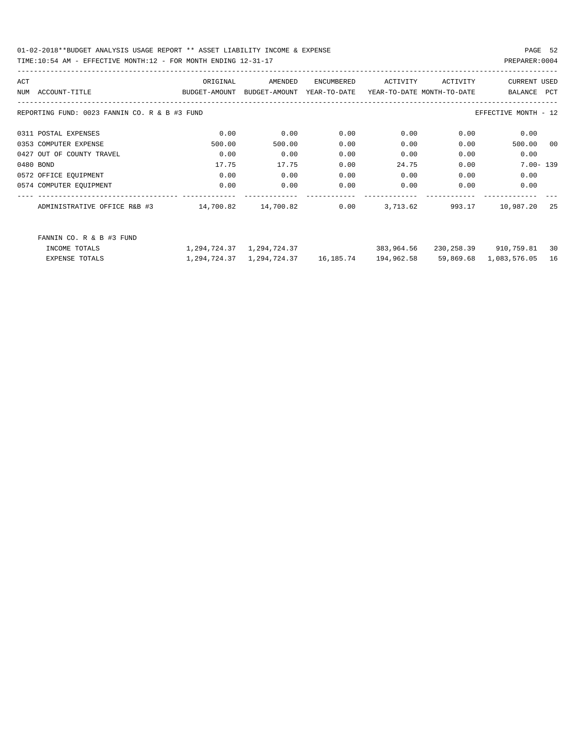01-02-2018\*\*BUDGET ANALYSIS USAGE REPORT \*\* ASSET LIABILITY INCOME & EXPENSE PAGE 52 TIME:10:54 AM - EFFECTIVE MONTH:12 - FOR MONTH ENDING 12-31-17 PREPARER:0004

| ACT                                           | ORIGINAL      | AMENDED       | ENCUMBERED                | ACTIVITY                   | ACTIVITY  | <b>CURRENT USED</b>     |            |
|-----------------------------------------------|---------------|---------------|---------------------------|----------------------------|-----------|-------------------------|------------|
| ACCOUNT-TITLE<br>NUM                          | BUDGET-AMOUNT | BUDGET-AMOUNT | YEAR-TO-DATE              | YEAR-TO-DATE MONTH-TO-DATE |           | BALANCE                 | <b>PCT</b> |
| REPORTING FUND: 0023 FANNIN CO. R & B #3 FUND |               |               |                           |                            |           | EFFECTIVE MONTH - 12    |            |
| 0311 POSTAL EXPENSES                          | 0.00          | 0.00          | 0.00                      | 0.00                       | 0.00      | 0.00                    |            |
| 0353 COMPUTER EXPENSE                         | 500.00        | 500.00        | 0.00                      | 0.00                       | 0.00      | 500.00                  | 00         |
| 0427 OUT OF COUNTY TRAVEL                     | 0.00          | 0.00          | 0.00                      | 0.00                       | 0.00      | 0.00                    |            |
| 0480 BOND                                     | 17.75         | 17.75         | 0.00                      | 24.75                      | 0.00      | $7.00 - 139$            |            |
| 0572 OFFICE EQUIPMENT                         | 0.00          | 0.00          | 0.00                      | 0.00                       | 0.00      | 0.00                    |            |
| 0574 COMPUTER EQUIPMENT                       | 0.00          | 0.00          | 0.00                      | 0.00                       | 0.00      | 0.00                    |            |
| ADMINISTRATIVE OFFICE R&B #3                  | 14,700.82     | 14,700.82     | 0.00                      | 3,713.62                   | 993.17    | 10,987.20               | 25         |
| FANNIN CO. R & B #3 FUND                      |               |               |                           |                            |           |                         |            |
| INCOME TOTALS                                 | 1,294,724.37  | 1,294,724.37  |                           | 383,964.56                 |           | 230, 258.39 910, 759.81 | 30         |
| EXPENSE TOTALS                                | 1,294,724.37  |               | 1,294,724.37    16,185.74 | 194,962.58                 | 59,869.68 | 1,083,576.05            | 16         |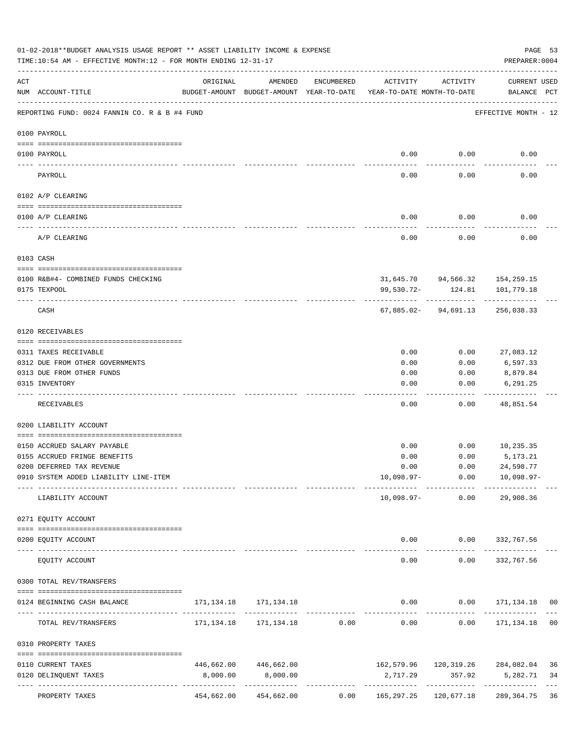|     | 01-02-2018**BUDGET ANALYSIS USAGE REPORT ** ASSET LIABILITY INCOME & EXPENSE<br>TIME:10:54 AM - EFFECTIVE MONTH:12 - FOR MONTH ENDING 12-31-17 |            |                                      |            |                                                                                 |                                       | PREPARER: 0004                              | PAGE 53         |
|-----|------------------------------------------------------------------------------------------------------------------------------------------------|------------|--------------------------------------|------------|---------------------------------------------------------------------------------|---------------------------------------|---------------------------------------------|-----------------|
| ACT | NUM ACCOUNT-TITLE                                                                                                                              | ORIGINAL   | AMENDED                              | ENCUMBERED | ACTIVITY<br>BUDGET-AMOUNT BUDGET-AMOUNT YEAR-TO-DATE YEAR-TO-DATE MONTH-TO-DATE | ACTIVITY                              | <b>CURRENT USED</b><br>BALANCE PCT          |                 |
|     | REPORTING FUND: 0024 FANNIN CO. R & B #4 FUND                                                                                                  |            |                                      |            |                                                                                 |                                       | EFFECTIVE MONTH - 12                        |                 |
|     | 0100 PAYROLL                                                                                                                                   |            |                                      |            |                                                                                 |                                       |                                             |                 |
|     | 0100 PAYROLL                                                                                                                                   |            |                                      |            | 0.00                                                                            | 0.00                                  | 0.00                                        |                 |
|     | PAYROLL                                                                                                                                        |            |                                      |            | 0.00                                                                            | 0.00                                  | 0.00                                        |                 |
|     | 0102 A/P CLEARING                                                                                                                              |            |                                      |            |                                                                                 |                                       |                                             |                 |
|     | 0100 A/P CLEARING                                                                                                                              |            |                                      |            | 0.00                                                                            | 0.00                                  | 0.00                                        |                 |
|     | A/P CLEARING                                                                                                                                   |            |                                      |            | 0.00                                                                            | 0.00                                  | 0.00                                        |                 |
|     | 0103 CASH                                                                                                                                      |            |                                      |            |                                                                                 |                                       |                                             |                 |
|     | 0100 R&B#4- COMBINED FUNDS CHECKING                                                                                                            |            |                                      |            |                                                                                 |                                       | 31,645.70 94,566.32 154,259.15              |                 |
|     | 0175 TEXPOOL                                                                                                                                   |            |                                      |            | 99,530.72-                                                                      | 124.81                                | 101,779.18                                  |                 |
|     | CASH                                                                                                                                           |            |                                      |            |                                                                                 | 67,885.02-94,691.13                   | 256,038.33                                  |                 |
|     | 0120 RECEIVABLES                                                                                                                               |            |                                      |            |                                                                                 |                                       |                                             |                 |
|     | 0311 TAXES RECEIVABLE                                                                                                                          |            |                                      |            | 0.00                                                                            | 0.00                                  | 27,083.12                                   |                 |
|     | 0312 DUE FROM OTHER GOVERNMENTS                                                                                                                |            |                                      |            | 0.00                                                                            | 0.00                                  | 6,597.33                                    |                 |
|     | 0313 DUE FROM OTHER FUNDS                                                                                                                      |            |                                      |            | 0.00                                                                            | 0.00                                  | 8,879.84                                    |                 |
|     | 0315 INVENTORY                                                                                                                                 |            |                                      |            | 0.00                                                                            | 0.00                                  | 6,291.25                                    |                 |
|     | RECEIVABLES                                                                                                                                    |            |                                      |            | 0.00                                                                            | 0.00                                  | 48,851.54                                   |                 |
|     | 0200 LIABILITY ACCOUNT                                                                                                                         |            |                                      |            |                                                                                 |                                       |                                             |                 |
|     | 0150 ACCRUED SALARY PAYABLE                                                                                                                    |            |                                      |            | 0.00                                                                            | 0.00                                  | 10,235.35                                   |                 |
|     | 0155 ACCRUED FRINGE BENEFITS                                                                                                                   |            |                                      |            | 0.00                                                                            | 0.00                                  | 5,173.21                                    |                 |
|     | 0200 DEFERRED TAX REVENUE                                                                                                                      |            |                                      |            | 0.00                                                                            | 0.00                                  | 24,598.77                                   |                 |
|     | 0910 SYSTEM ADDED LIABILITY LINE-ITEM                                                                                                          |            |                                      |            | $10,098.97-$                                                                    | 0.00                                  | 10,098.97-                                  |                 |
|     | LIABILITY ACCOUNT                                                                                                                              |            |                                      |            |                                                                                 | -- -------------<br>$10,098.97-$ 0.00 | 29,908.36                                   |                 |
|     | 0271 EQUITY ACCOUNT                                                                                                                            |            |                                      |            |                                                                                 |                                       |                                             |                 |
|     | 0200 EQUITY ACCOUNT                                                                                                                            |            | -------------                        |            |                                                                                 |                                       | $0.00$ $0.00$ $332,767.56$<br>_____________ |                 |
|     | EQUITY ACCOUNT                                                                                                                                 |            |                                      |            | $- - - - -$<br>0.00                                                             | -----------<br>0.00                   | 332,767.56                                  |                 |
|     | 0300 TOTAL REV/TRANSFERS                                                                                                                       |            |                                      |            |                                                                                 |                                       |                                             |                 |
|     | 0124 BEGINNING CASH BALANCE                                                                                                                    |            | 171, 134. 18   171, 134. 18          |            |                                                                                 |                                       | $0.00$ $0.00$ $171,134.18$ 00               |                 |
|     | TOTAL REV/TRANSFERS                                                                                                                            |            | 171, 134. 18    171, 134. 18    0.00 |            |                                                                                 |                                       | $0.00$ $0.00$ $171,134.18$                  | 0 <sub>0</sub>  |
|     | 0310 PROPERTY TAXES                                                                                                                            |            |                                      |            |                                                                                 |                                       |                                             |                 |
|     | 0110 CURRENT TAXES                                                                                                                             | 446,662.00 | 446,662.00                           |            |                                                                                 |                                       | 162,579.96 120,319.26 284,082.04            | 36              |
|     | 0120 DELINQUENT TAXES                                                                                                                          | 8,000.00   | 8,000.00                             |            | 2,717.29                                                                        | 357.92                                | 5,282.71                                    | 34              |
|     | PROPERTY TAXES                                                                                                                                 | 454,662.00 | -------------<br>454,662.00          | 0.00       | -------------<br>165,297.25                                                     | 120,677.18                            | 289,364.75                                  | $- - - -$<br>36 |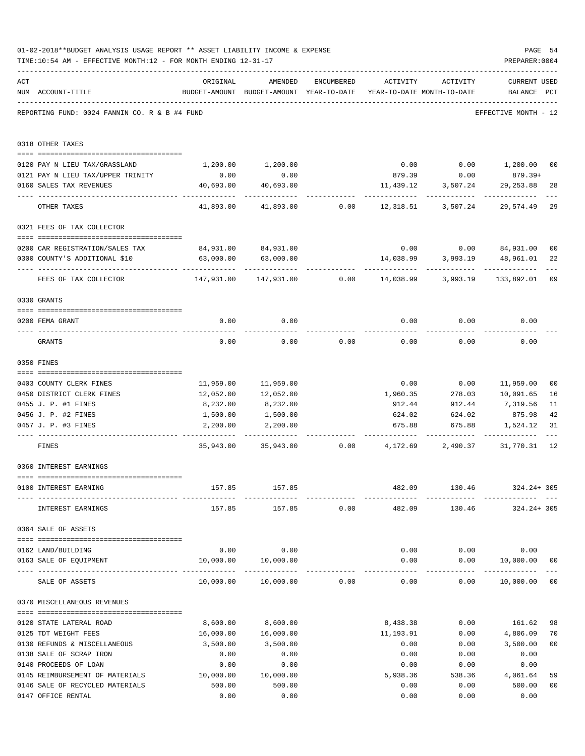|     | 01-02-2018**BUDGET ANALYSIS USAGE REPORT ** ASSET LIABILITY INCOME & EXPENSE<br>TIME:10:54 AM - EFFECTIVE MONTH:12 - FOR MONTH ENDING 12-31-17                                                                                                                                                                                                                                                                                                   |                                                                                |                                                                                |            |               |                        | PAGE 54<br>PREPARER: 0004             |                |
|-----|--------------------------------------------------------------------------------------------------------------------------------------------------------------------------------------------------------------------------------------------------------------------------------------------------------------------------------------------------------------------------------------------------------------------------------------------------|--------------------------------------------------------------------------------|--------------------------------------------------------------------------------|------------|---------------|------------------------|---------------------------------------|----------------|
| ACT | NUM ACCOUNT-TITLE                                                                                                                                                                                                                                                                                                                                                                                                                                | ORIGINAL                                                                       | AMENDED<br>BUDGET-AMOUNT BUDGET-AMOUNT YEAR-TO-DATE YEAR-TO-DATE MONTH-TO-DATE | ENCUMBERED | ACTIVITY      | ACTIVITY               | CURRENT USED<br>BALANCE PCT           |                |
|     | REPORTING FUND: 0024 FANNIN CO. R & B #4 FUND                                                                                                                                                                                                                                                                                                                                                                                                    |                                                                                |                                                                                |            |               |                        | EFFECTIVE MONTH - 12                  |                |
|     | 0318 OTHER TAXES                                                                                                                                                                                                                                                                                                                                                                                                                                 |                                                                                |                                                                                |            |               |                        |                                       |                |
|     | 0120 PAY N LIEU TAX/GRASSLAND                                                                                                                                                                                                                                                                                                                                                                                                                    |                                                                                | 1,200.00 1,200.00                                                              |            |               |                        | $0.00$ $0.00$ $1,200.00$              | 00             |
|     | 0121 PAY N LIEU TAX/UPPER TRINITY                                                                                                                                                                                                                                                                                                                                                                                                                | 0.00                                                                           | 0.00                                                                           |            |               | 879.39 0.00            | 879.39+                               |                |
|     | 0160 SALES TAX REVENUES                                                                                                                                                                                                                                                                                                                                                                                                                          | 40,693.00                                                                      | 40,693.00                                                                      |            | 11,439.12     | 3,507.24               | 29,253.88                             | 28             |
|     | OTHER TAXES                                                                                                                                                                                                                                                                                                                                                                                                                                      | .<br>41,893.00                                                                 | 41,893.00                                                                      | 0.00       |               | 12,318.51 3,507.24     | 29,574.49                             | 29             |
|     | 0321 FEES OF TAX COLLECTOR                                                                                                                                                                                                                                                                                                                                                                                                                       |                                                                                |                                                                                |            |               |                        |                                       |                |
|     |                                                                                                                                                                                                                                                                                                                                                                                                                                                  |                                                                                |                                                                                |            |               |                        |                                       |                |
|     | 0200 CAR REGISTRATION/SALES TAX                                                                                                                                                                                                                                                                                                                                                                                                                  |                                                                                | 84,931.00 84,931.00                                                            |            |               | $0.00$ 0.00            | 84,931.00                             | 0 <sub>0</sub> |
|     | 0300 COUNTY'S ADDITIONAL \$10                                                                                                                                                                                                                                                                                                                                                                                                                    | 63,000.00                                                                      | 63,000.00                                                                      |            | 14,038.99     | 3,993.19<br>---------- | 48,961.01                             | 22             |
|     | FEES OF TAX COLLECTOR                                                                                                                                                                                                                                                                                                                                                                                                                            | 147,931.00 147,931.00        0.00      14,038.99      3,993.19      133,892.01 |                                                                                |            |               |                        |                                       | 09             |
|     | 0330 GRANTS                                                                                                                                                                                                                                                                                                                                                                                                                                      |                                                                                |                                                                                |            |               |                        |                                       |                |
|     | 0200 FEMA GRANT                                                                                                                                                                                                                                                                                                                                                                                                                                  | 0.00                                                                           | 0.00                                                                           |            | 0.00          | 0.00                   | 0.00                                  |                |
|     |                                                                                                                                                                                                                                                                                                                                                                                                                                                  |                                                                                |                                                                                |            |               |                        |                                       |                |
|     | GRANTS                                                                                                                                                                                                                                                                                                                                                                                                                                           | 0.00                                                                           | 0.00                                                                           | 0.00       | 0.00          | 0.00                   | 0.00                                  |                |
|     | 0350 FINES                                                                                                                                                                                                                                                                                                                                                                                                                                       |                                                                                |                                                                                |            |               |                        |                                       |                |
|     | 0403 COUNTY CLERK FINES                                                                                                                                                                                                                                                                                                                                                                                                                          |                                                                                | 11,959.00 11,959.00                                                            |            |               |                        | $0.00$ $0.00$ $11,959.00$             | 00             |
|     | 0450 DISTRICT CLERK FINES                                                                                                                                                                                                                                                                                                                                                                                                                        | 12,052.00                                                                      | 12,052.00                                                                      |            |               |                        | 1,960.35 278.03 10,091.65             | 16             |
|     | 0455 J. P. #1 FINES                                                                                                                                                                                                                                                                                                                                                                                                                              | 8,232.00                                                                       | 8,232.00                                                                       |            | 912.44        |                        | 912.44 7,319.56                       | 11             |
|     | 0456 J. P. #2 FINES                                                                                                                                                                                                                                                                                                                                                                                                                              | 1,500.00                                                                       | 1,500.00                                                                       |            | 624.02        | 624.02                 | 875.98                                | 42             |
|     | 0457 J. P. #3 FINES                                                                                                                                                                                                                                                                                                                                                                                                                              | 2,200.00                                                                       | 2,200.00                                                                       |            | 675.88        | 675.88                 | 1,524.12                              | 31             |
|     | FINES                                                                                                                                                                                                                                                                                                                                                                                                                                            |                                                                                | 35,943.00 35,943.00 0.00 4,172.69                                              |            |               |                        | 2,490.37 31,770.31                    | 12             |
|     | 0360 INTEREST EARNINGS                                                                                                                                                                                                                                                                                                                                                                                                                           |                                                                                |                                                                                |            |               |                        |                                       |                |
|     | 0100 INTEREST EARNING                                                                                                                                                                                                                                                                                                                                                                                                                            |                                                                                | 157.85 157.85                                                                  |            |               |                        | 482.09 130.46 324.24+305              |                |
|     |                                                                                                                                                                                                                                                                                                                                                                                                                                                  |                                                                                |                                                                                |            | ------------- |                        |                                       |                |
|     | INTEREST EARNINGS                                                                                                                                                                                                                                                                                                                                                                                                                                |                                                                                | 157.85 157.85 0.00 482.09                                                      |            |               |                        | 130.46 324.24+305                     |                |
|     | 0364 SALE OF ASSETS                                                                                                                                                                                                                                                                                                                                                                                                                              |                                                                                |                                                                                |            |               |                        |                                       |                |
|     | 0162 LAND/BUILDING                                                                                                                                                                                                                                                                                                                                                                                                                               |                                                                                | $0.00$ 0.00                                                                    |            |               |                        | $0.00$ $0.00$ $0.00$ $0.00$           |                |
|     | 0163 SALE OF EQUIPMENT                                                                                                                                                                                                                                                                                                                                                                                                                           |                                                                                | 10,000.00  10,000.00                                                           |            |               |                        | $0.00$ $0.00$ $10,000.00$             | 0 <sub>0</sub> |
|     | SALE OF ASSETS                                                                                                                                                                                                                                                                                                                                                                                                                                   |                                                                                | 10,000.00  10,000.00  0.00                                                     |            | 0.00          | -------------          | --------------<br>$0.00$ 10,000.00 00 |                |
|     | 0370 MISCELLANEOUS REVENUES                                                                                                                                                                                                                                                                                                                                                                                                                      |                                                                                |                                                                                |            |               |                        |                                       |                |
|     | $\verb c  = \verb c  = \verb c  = \verb c  = \verb c  = \verb c  = \verb c  = \verb c  = \verb c  = \verb c  = \verb c  = \verb c  = \verb c  = \verb c  = \verb c  = \verb c  = \verb c  = \verb c  = \verb c  = \verb c  = \verb c  = \verb c  = \verb c  = \verb c  = \verb c  = \verb c  = \verb c  = \verb c  = \verb c  = \verb c  = \verb c  = \verb c  = \verb c  = \verb c  = \verb c  = \verb c  = \verb c$<br>0120 STATE LATERAL ROAD | 8,600.00                                                                       | 8,600.00                                                                       |            | 8,438.38      |                        | $0.00$ 161.62                         | 98             |
|     | 0125 TDT WEIGHT FEES                                                                                                                                                                                                                                                                                                                                                                                                                             | 16,000.00                                                                      | 16,000.00                                                                      |            | 11,193.91     | 0.00                   | 4,806.09                              | 70             |
|     | 0130 REFUNDS & MISCELLANEOUS                                                                                                                                                                                                                                                                                                                                                                                                                     | 3,500.00                                                                       | 3,500.00                                                                       |            | 0.00          | 0.00                   | 3,500.00                              | 0 <sub>0</sub> |
|     | 0138 SALE OF SCRAP IRON                                                                                                                                                                                                                                                                                                                                                                                                                          | 0.00                                                                           | 0.00                                                                           |            | 0.00          | 0.00                   | 0.00                                  |                |
|     | 0140 PROCEEDS OF LOAN                                                                                                                                                                                                                                                                                                                                                                                                                            | 0.00                                                                           | 0.00                                                                           |            | 0.00          | 0.00                   | 0.00                                  |                |
|     | 0145 REIMBURSEMENT OF MATERIALS 10,000.00                                                                                                                                                                                                                                                                                                                                                                                                        |                                                                                | 10,000.00                                                                      |            | 5,938.36      | 538.36                 | 4,061.64                              | 59             |
|     | 0146 SALE OF RECYCLED MATERIALS                                                                                                                                                                                                                                                                                                                                                                                                                  | 500.00                                                                         | 500.00                                                                         |            | 0.00          | 0.00                   | 500.00                                | 0 <sub>0</sub> |
|     | 0147 OFFICE RENTAL                                                                                                                                                                                                                                                                                                                                                                                                                               | 0.00                                                                           | 0.00                                                                           |            | 0.00          | 0.00                   | 0.00                                  |                |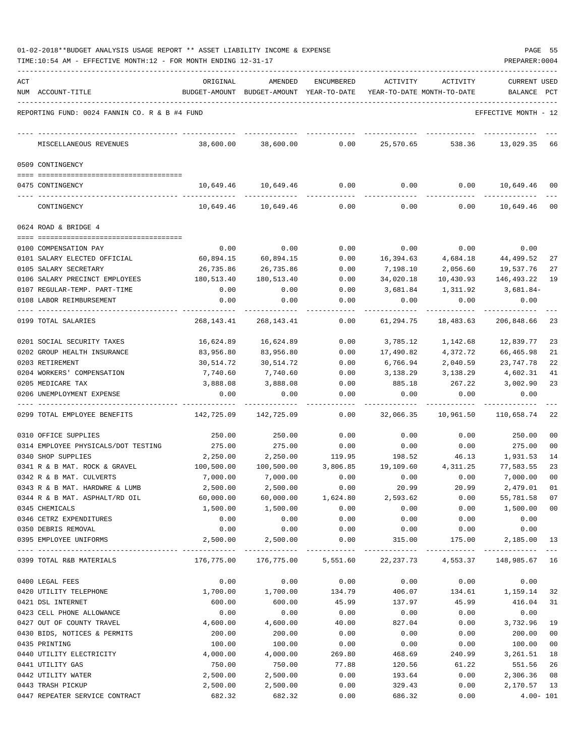| 01-02-2018**BUDGET ANALYSIS USAGE REPORT ** ASSET LIABILITY INCOME & EXPENSE |  |  |  |  | PAGE |  |
|------------------------------------------------------------------------------|--|--|--|--|------|--|
|                                                                              |  |  |  |  |      |  |

| ACT |                                               | ORIGINAL      | AMENDED                    | ENCUMBERED | ACTIVITY       | ACTIVITY                   | <b>CURRENT USED</b>                                  |                 |
|-----|-----------------------------------------------|---------------|----------------------------|------------|----------------|----------------------------|------------------------------------------------------|-----------------|
|     | NUM ACCOUNT-TITLE                             | BUDGET-AMOUNT | BUDGET-AMOUNT YEAR-TO-DATE |            |                | YEAR-TO-DATE MONTH-TO-DATE | BALANCE                                              | PCT             |
|     | REPORTING FUND: 0024 FANNIN CO. R & B #4 FUND |               |                            |            |                |                            | EFFECTIVE MONTH - 12                                 |                 |
|     | MISCELLANEOUS REVENUES                        | 38,600.00     | 38,600.00                  | 0.00       | 25,570.65      | 538.36                     | 13,029.35                                            | 66              |
|     | 0509 CONTINGENCY                              |               |                            |            |                |                            |                                                      |                 |
|     |                                               |               |                            |            |                |                            |                                                      |                 |
|     | 0475 CONTINGENCY                              | 10,649.46     | 10,649.46                  | 0.00       | 0.00           | 0.00                       | 10,649.46                                            | 00              |
|     | CONTINGENCY                                   | 10,649.46     | 10,649.46                  | 0.00       | 0.00           | 0.00                       | 10,649.46                                            | $\overline{00}$ |
|     | 0624 ROAD & BRIDGE 4                          |               |                            |            |                |                            |                                                      |                 |
|     |                                               |               |                            |            |                |                            |                                                      |                 |
|     | 0100 COMPENSATION PAY                         | 0.00          | 0.00                       | 0.00       | 0.00           | 0.00                       | 0.00                                                 |                 |
|     | 0101 SALARY ELECTED OFFICIAL                  | 60,894.15     | 60,894.15                  | 0.00       | 16,394.63      | 4,684.18                   | 44,499.52                                            | 27              |
|     | 0105 SALARY SECRETARY                         | 26,735.86     | 26,735.86                  | 0.00       | 7,198.10       | 2,056.60                   | 19,537.76                                            | 27              |
|     | 0106 SALARY PRECINCT EMPLOYEES                | 180,513.40    | 180,513.40                 | 0.00       | 34,020.18      | 10,430.93                  | 146,493.22                                           | 19              |
|     | 0107 REGULAR-TEMP. PART-TIME                  | 0.00          | 0.00                       | 0.00       | 3,681.84       | 1,311.92                   | 3,681.84-                                            |                 |
|     | 0108 LABOR REIMBURSEMENT                      | 0.00          | 0.00                       | 0.00       | 0.00           | 0.00                       | 0.00                                                 |                 |
|     | 0199 TOTAL SALARIES                           | 268,143.41    | 268, 143. 41               | 0.00       | 61,294.75      | 18,483.63                  | 206,848.66                                           | 23              |
|     |                                               |               |                            |            |                |                            |                                                      |                 |
|     | 0201 SOCIAL SECURITY TAXES                    | 16,624.89     | 16,624.89                  | 0.00       | 3,785.12       | 1,142.68                   | 12,839.77                                            | 23              |
|     | 0202 GROUP HEALTH INSURANCE                   | 83,956.80     | 83,956.80                  | 0.00       | 17,490.82      | 4,372.72                   | 66,465.98                                            | 21              |
|     | 0203 RETIREMENT                               | 30,514.72     | 30,514.72                  | 0.00       | 6,766.94       | 2,040.59                   | 23,747.78                                            | 22              |
|     | 0204 WORKERS' COMPENSATION                    | 7,740.60      | 7,740.60                   | 0.00       | 3,138.29       | 3,138.29                   | 4,602.31                                             | 41              |
|     | 0205 MEDICARE TAX                             | 3,888.08      | 3,888.08                   | 0.00       | 885.18         | 267.22                     | 3,002.90                                             | 23              |
|     | 0206 UNEMPLOYMENT EXPENSE                     | 0.00          | 0.00                       | 0.00       | 0.00           | 0.00                       | 0.00                                                 |                 |
|     | 0299 TOTAL EMPLOYEE BENEFITS                  | 142,725.09    | 142,725.09                 | 0.00       | 32,066.35      | 10,961.50                  | 110,658.74                                           | 22              |
|     | 0310 OFFICE SUPPLIES                          | 250.00        | 250.00                     | 0.00       | 0.00           | 0.00                       | 250.00                                               | 00              |
|     | 0314 EMPLOYEE PHYSICALS/DOT TESTING           | 275.00        | 275.00                     | 0.00       | 0.00           | 0.00                       | 275.00                                               | 00              |
|     | 0340 SHOP SUPPLIES                            | 2,250.00      | 2,250.00                   | 119.95     | 198.52         | 46.13                      | 1,931.53                                             | 14              |
|     | 0341 R & B MAT. ROCK & GRAVEL                 | 100,500.00    | 100,500.00                 | 3,806.85   | 19,109.60      | 4,311.25                   | 77,583.55                                            | 23              |
|     | 0342 R & B MAT. CULVERTS                      | 7,000.00      | 7,000.00                   | 0.00       | 0.00           | 0.00                       | 7,000.00                                             | 0 <sub>0</sub>  |
|     | 0343 R & B MAT. HARDWRE & LUMB                | 2,500.00      | 2,500.00                   | 0.00       | 20.99          | 20.99                      | 2,479.01                                             | 01              |
|     | 0344 R & B MAT. ASPHALT/RD OIL                | 60,000.00     | 60,000.00                  | 1,624.80   | 2,593.62       | 0.00                       | 55,781.58 07                                         |                 |
|     | 0345 CHEMICALS                                | 1,500.00      | 1,500.00                   | 0.00       | 0.00           | 0.00                       | 1,500.00 00                                          |                 |
|     | 0346 CETRZ EXPENDITURES                       | 0.00          | 0.00                       | 0.00       | 0.00           | 0.00                       | 0.00                                                 |                 |
|     | 0350 DEBRIS REMOVAL                           | 0.00          |                            | 0.00       |                |                            |                                                      |                 |
|     | 0395 EMPLOYEE UNIFORMS                        | 2,500.00      | 0.00<br>2,500.00           | 0.00       | 0.00<br>315.00 | 0.00<br>175.00             | 0.00<br>2,185.00                                     | 13              |
|     | 0399 TOTAL R&B MATERIALS                      | 176,775.00    |                            |            |                |                            | 176,775.00 5,551.60 22,237.73 4,553.37 148,985.67 16 |                 |
|     |                                               |               |                            |            |                |                            |                                                      |                 |
|     | 0400 LEGAL FEES                               | 0.00          | 0.00                       | 0.00       | 0.00           | 0.00                       | 0.00                                                 |                 |
|     | 0420 UTILITY TELEPHONE                        | 1,700.00      | 1,700.00                   | 134.79     | 406.07         |                            | 134.61 1,159.14                                      | 32              |
|     | 0421 DSL INTERNET                             | 600.00        | 600.00                     | 45.99      | 137.97         | 45.99                      | 416.04                                               | 31              |
|     | 0423 CELL PHONE ALLOWANCE                     | 0.00          | 0.00                       | 0.00       | 0.00           | 0.00                       | 0.00                                                 |                 |
|     | 0427 OUT OF COUNTY TRAVEL                     | 4,600.00      | 4,600.00                   | 40.00      | 827.04         | 0.00                       | 3,732.96                                             | 19              |
|     | 0430 BIDS, NOTICES & PERMITS                  | 200.00        | 200.00                     | 0.00       | 0.00           | 0.00                       | 200.00                                               | 00              |
|     | 0435 PRINTING                                 | 100.00        | 100.00                     | 0.00       | 0.00           | 0.00                       | 100.00                                               | 00              |
|     | 0440 UTILITY ELECTRICITY                      | 4,000.00      | 4,000.00                   | 269.80     | 468.69         | 240.99                     | 3,261.51                                             | 18              |
|     | 0441 UTILITY GAS                              | 750.00        | 750.00                     | 77.88      | 120.56         | 61.22                      | 551.56                                               | 26              |
|     | 0442 UTILITY WATER                            | 2,500.00      | 2,500.00                   | 0.00       | 193.64         | 0.00                       | 2,306.36 08                                          |                 |
|     | 0443 TRASH PICKUP                             | 2,500.00      | 2,500.00                   | 0.00       | 329.43         | 0.00                       | 2,170.57 13                                          |                 |
|     | 0447 REPEATER SERVICE CONTRACT                | 682.32        | 682.32                     | 0.00       | 686.32         | 0.00                       |                                                      | $4.00 - 101$    |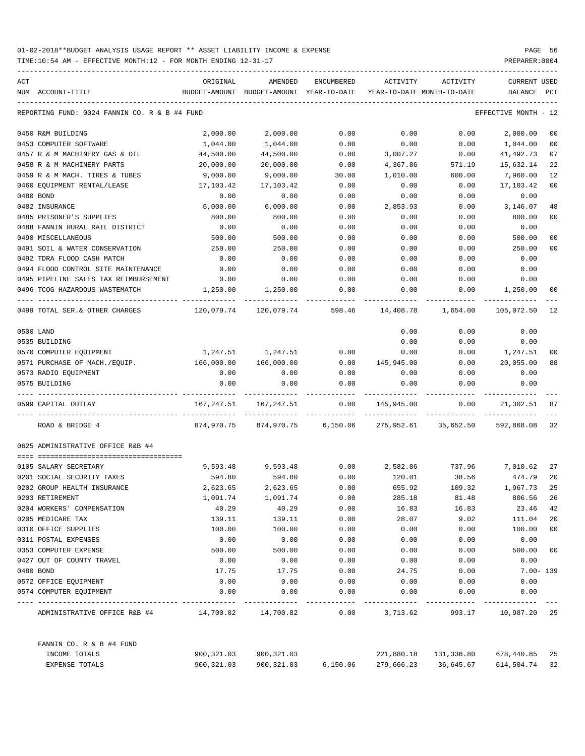| ACT |                                                  | ORIGINAL   | AMENDED                                  | ENCUMBERED | <b>ACTIVITY</b>            | ACTIVITY             | <b>CURRENT USED</b>  |                |
|-----|--------------------------------------------------|------------|------------------------------------------|------------|----------------------------|----------------------|----------------------|----------------|
|     | NUM ACCOUNT-TITLE                                |            | BUDGET-AMOUNT BUDGET-AMOUNT YEAR-TO-DATE |            | YEAR-TO-DATE MONTH-TO-DATE |                      | BALANCE              | PCT            |
|     | REPORTING FUND: 0024 FANNIN CO. R & B #4 FUND    |            |                                          |            |                            |                      | EFFECTIVE MONTH - 12 |                |
|     | 0450 R&M BUILDING                                | 2,000.00   | 2,000.00                                 | 0.00       | 0.00                       | 0.00                 | 2,000.00             | 00             |
|     | 0453 COMPUTER SOFTWARE                           | 1,044.00   | 1,044.00                                 | 0.00       | 0.00                       | 0.00                 | 1,044.00             | 00             |
|     | 0457 R & M MACHINERY GAS & OIL                   | 44,500.00  | 44,500.00                                | 0.00       | 3,007.27                   | 0.00                 | 41,492.73            | 07             |
|     | 0458 R & M MACHINERY PARTS                       | 20,000.00  | 20,000.00                                | 0.00       | 4,367.86                   | 571.19               | 15,632.14            | 22             |
|     | 0459 R & M MACH. TIRES & TUBES                   | 9,000.00   | 9,000.00                                 | 30.00      | 1,010.00                   | 600.00               | 7,960.00             | 12             |
|     | 0460 EOUIPMENT RENTAL/LEASE                      | 17,103.42  | 17,103.42                                | 0.00       | 0.00                       | 0.00                 | 17,103.42            | 0 <sub>0</sub> |
|     | 0480 BOND                                        | 0.00       | 0.00                                     | 0.00       | 0.00                       | 0.00                 | 0.00                 |                |
|     | 0482 INSURANCE                                   | 6,000.00   | 6,000.00                                 | 0.00       | 2,853.93                   | 0.00                 | 3,146.07             | 48             |
|     | 0485 PRISONER'S SUPPLIES                         | 800.00     | 800.00                                   | 0.00       | 0.00                       | 0.00                 | 800.00               | 0 <sub>0</sub> |
|     | 0488 FANNIN RURAL RAIL DISTRICT                  | 0.00       | 0.00                                     | 0.00       | 0.00                       | 0.00                 | 0.00                 |                |
|     | 0490 MISCELLANEOUS                               | 500.00     | 500.00                                   | 0.00       | 0.00                       | 0.00                 | 500.00               | 0 <sub>0</sub> |
|     | 0491 SOIL & WATER CONSERVATION                   | 250.00     | 250.00                                   | 0.00       | 0.00                       | 0.00                 | 250.00               | 0 <sub>0</sub> |
|     | 0492 TDRA FLOOD CASH MATCH                       | 0.00       | 0.00                                     | 0.00       | 0.00                       | 0.00                 | 0.00                 |                |
|     | 0494 FLOOD CONTROL SITE MAINTENANCE              | 0.00       | 0.00                                     | 0.00       | 0.00                       | 0.00                 | 0.00                 |                |
|     | 0495 PIPELINE SALES TAX REIMBURSEMENT            | 0.00       | 0.00                                     | 0.00       | 0.00                       | 0.00                 | 0.00                 |                |
|     | 0496 TCOG HAZARDOUS WASTEMATCH                   | 1,250.00   | 1,250.00                                 | 0.00       | 0.00                       | 0.00                 | 1,250.00             | 00             |
|     | 0499 TOTAL SER. & OTHER CHARGES                  | 120,079.74 | 120,079.74                               | 598.46     | 14,408.78                  | 1,654.00             | 105,072.50           | 12             |
|     | 0500 LAND                                        |            |                                          |            | 0.00                       | 0.00                 | 0.00                 |                |
|     | 0535 BUILDING                                    |            |                                          |            | 0.00                       | 0.00                 | 0.00                 |                |
|     | 0570 COMPUTER EQUIPMENT                          | 1,247.51   | 1,247.51                                 | 0.00       | 0.00                       | 0.00                 | 1,247.51             | 0 <sub>0</sub> |
|     | 0571 PURCHASE OF MACH./EQUIP.                    | 166,000.00 | 166,000.00                               | 0.00       | 145,945.00                 | 0.00                 | 20,055.00            | 88             |
|     | 0573 RADIO EQUIPMENT                             | 0.00       | 0.00                                     | 0.00       | 0.00                       | 0.00                 | 0.00                 |                |
|     | 0575 BUILDING                                    | 0.00       | 0.00                                     | 0.00       | 0.00                       | 0.00                 | 0.00                 |                |
|     | 0599 CAPITAL OUTLAY                              | 167,247.51 | 167,247.51                               | 0.00       | 145,945.00                 | 0.00                 | 21,302.51            | 87             |
|     | ROAD & BRIDGE 4                                  | 874,970.75 | 874,970.75                               | 6, 150.06  | 275,952.61                 | 35,652.50            | 592,868.08           | 32             |
|     | 0625 ADMINISTRATIVE OFFICE R&B #4                |            |                                          |            |                            |                      |                      |                |
|     | 0105 SALARY SECRETARY                            | 9,593.48   | 9,593.48                                 | 0.00       | 2,582.86                   | 737.96               | 7,010.62             | 27             |
|     | 0201 SOCIAL SECURITY TAXES                       | 594.80     | 594.80                                   | 0.00       | 120.01                     | 38.56                | 474.79               | 20             |
|     | 0202 GROUP HEALTH INSURANCE                      | 2,623.65   | 2,623.65                                 | 0.00       | 655.92                     | 109.32               | 1,967.73             | 25             |
|     | 0203 RETIREMENT                                  | 1,091.74   | 1,091.74                                 | 0.00       | 285.18                     | 81.48                | 806.56               | 26             |
|     | 0204 WORKERS' COMPENSATION                       | 40.29      | 40.29                                    | 0.00       | 16.83                      | 16.83                | 23.46                | 42             |
|     | 0205 MEDICARE TAX                                | 139.11     | 139.11                                   | 0.00       | 28.07                      | 9.02                 | 111.04               | 20             |
|     | 0310 OFFICE SUPPLIES                             | 100.00     | 100.00                                   | 0.00       | 0.00                       | 0.00                 | 100.00               | 0 <sub>0</sub> |
|     | 0311 POSTAL EXPENSES                             | 0.00       | 0.00                                     | 0.00       | 0.00                       | 0.00                 | 0.00                 |                |
|     | 0353 COMPUTER EXPENSE                            | 500.00     | 500.00                                   | 0.00       | 0.00                       | 0.00                 | 500.00               | 0 <sub>0</sub> |
|     | 0427 OUT OF COUNTY TRAVEL                        | 0.00       | 0.00                                     | 0.00       | 0.00                       | 0.00                 | 0.00                 |                |
|     | 0480 BOND                                        | 17.75      | 17.75                                    | 0.00       | 24.75                      | 0.00                 | $7.00 - 139$         |                |
|     | 0572 OFFICE EQUIPMENT                            | 0.00       | 0.00                                     | 0.00       | 0.00                       | 0.00                 | 0.00                 |                |
|     | 0574 COMPUTER EQUIPMENT                          | 0.00       | 0.00                                     | 0.00       | 0.00                       | 0.00                 | 0.00                 |                |
|     | ADMINISTRATIVE OFFICE R&B #4 14,700.82 14,700.82 |            |                                          | 0.00       | 3,713.62                   | 993.17               | 10,987.20            | 25             |
|     | FANNIN CO. R & B #4 FUND                         |            |                                          |            |                            |                      |                      |                |
|     | INCOME TOTALS                                    | 900,321.03 | 900,321.03                               |            | 221,880.18                 | 131,336.80           | 678,440.85           | 25             |
|     | EXPENSE TOTALS                                   |            | 900,321.03 900,321.03 6,150.06           |            |                            | 279,666.23 36,645.67 | 614,504.74           | 32             |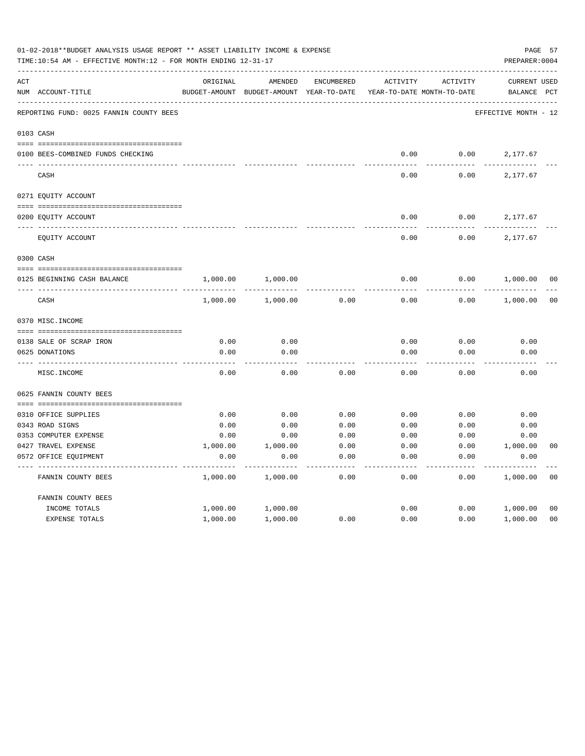|     | 01-02-2018**BUDGET ANALYSIS USAGE REPORT ** ASSET LIABILITY INCOME & EXPENSE<br>TIME:10:54 AM - EFFECTIVE MONTH:12 - FOR MONTH ENDING 12-31-17 |               |               |                   |                            |                 | PREPARER: 0004       | PAGE 57        |
|-----|------------------------------------------------------------------------------------------------------------------------------------------------|---------------|---------------|-------------------|----------------------------|-----------------|----------------------|----------------|
| ACT |                                                                                                                                                | ORIGINAL      | AMENDED       | <b>ENCUMBERED</b> | ACTIVITY                   | <b>ACTIVITY</b> | <b>CURRENT USED</b>  |                |
|     | NUM ACCOUNT-TITLE                                                                                                                              | BUDGET-AMOUNT | BUDGET-AMOUNT | YEAR-TO-DATE      | YEAR-TO-DATE MONTH-TO-DATE |                 | BALANCE              | $_{\rm PCT}$   |
|     | REPORTING FUND: 0025 FANNIN COUNTY BEES                                                                                                        |               |               |                   |                            |                 | EFFECTIVE MONTH - 12 |                |
|     | 0103 CASH                                                                                                                                      |               |               |                   |                            |                 |                      |                |
|     | 0100 BEES-COMBINED FUNDS CHECKING                                                                                                              |               |               |                   | 0.00                       | 0.00            | 2,177.67             |                |
|     | CASH                                                                                                                                           |               |               |                   | 0.00                       | 0.00            | 2,177.67             |                |
|     |                                                                                                                                                |               |               |                   |                            |                 |                      |                |
|     | 0271 EQUITY ACCOUNT                                                                                                                            |               |               |                   |                            |                 |                      |                |
|     | 0200 EQUITY ACCOUNT                                                                                                                            |               |               |                   | 0.00                       | 0.00            | 2,177.67             |                |
|     | EQUITY ACCOUNT                                                                                                                                 |               |               |                   | 0.00                       | 0.00            | 2,177.67             |                |
|     | 0300 CASH                                                                                                                                      |               |               |                   |                            |                 |                      |                |
|     | 0125 BEGINNING CASH BALANCE                                                                                                                    | 1,000.00      | 1,000.00      |                   | 0.00                       | 0.00            | 1,000.00             | 0 <sub>0</sub> |
|     | CASH                                                                                                                                           | 1,000.00      | 1,000.00      | 0.00              | 0.00                       | 0.00            | 1,000.00             | 0 <sub>0</sub> |
|     | 0370 MISC. INCOME                                                                                                                              |               |               |                   |                            |                 |                      |                |
|     | 0138 SALE OF SCRAP IRON                                                                                                                        | 0.00          | 0.00          |                   | 0.00                       | 0.00            | 0.00                 |                |
|     | 0625 DONATIONS                                                                                                                                 | 0.00          | 0.00          |                   | 0.00                       | 0.00            | 0.00                 |                |
|     | MISC. INCOME                                                                                                                                   | 0.00          | 0.00          | 0.00              | 0.00                       | 0.00            | 0.00                 |                |
|     | 0625 FANNIN COUNTY BEES                                                                                                                        |               |               |                   |                            |                 |                      |                |
|     | 0310 OFFICE SUPPLIES                                                                                                                           | 0.00          | 0.00          | 0.00              | 0.00                       | 0.00            | 0.00                 |                |
|     | 0343 ROAD SIGNS                                                                                                                                | 0.00          | 0.00          | 0.00              | 0.00                       | 0.00            | 0.00                 |                |
|     | 0353 COMPUTER EXPENSE                                                                                                                          | 0.00          | 0.00          | 0.00              | 0.00                       | 0.00            | 0.00                 |                |
|     | 0427 TRAVEL EXPENSE                                                                                                                            | 1,000.00      | 1,000.00      | 0.00              | 0.00                       | 0.00            | 1,000.00             | 0 <sub>0</sub> |
|     | 0572 OFFICE EQUIPMENT                                                                                                                          | 0.00          | 0.00          | 0.00              | 0.00                       | 0.00            | 0.00                 |                |
|     | FANNIN COUNTY BEES                                                                                                                             | 1,000.00      | 1,000.00      | 0.00              | 0.00                       | 0.00            | 1,000.00             | 0 <sub>0</sub> |
|     | FANNIN COUNTY BEES                                                                                                                             |               |               |                   |                            |                 |                      |                |
|     | INCOME TOTALS                                                                                                                                  | 1,000.00      | 1,000.00      |                   | 0.00                       | 0.00            | 1,000.00             | 0 <sub>0</sub> |
|     | EXPENSE TOTALS                                                                                                                                 | 1,000.00      | 1,000.00      | 0.00              | 0.00                       | 0.00            | 1,000.00             | 0 <sub>0</sub> |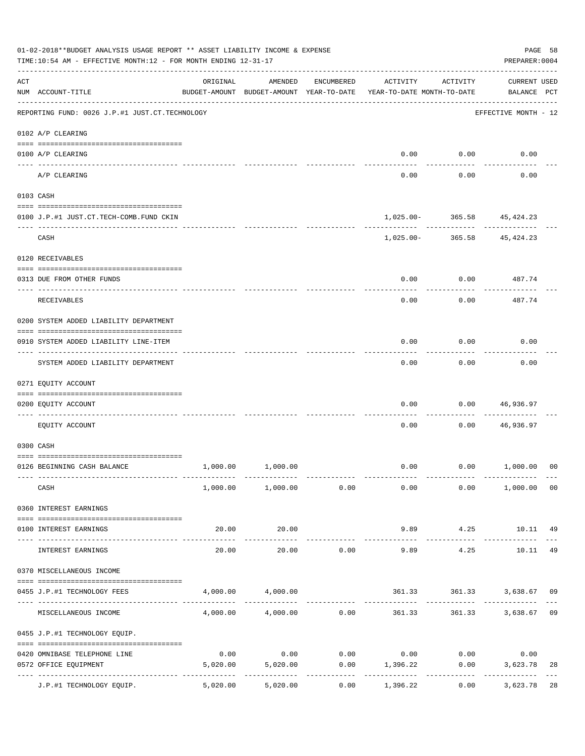|                    | 01-02-2018**BUDGET ANALYSIS USAGE REPORT ** ASSET LIABILITY INCOME & EXPENSE<br>TIME:10:54 AM - EFFECTIVE MONTH:12 - FOR MONTH ENDING 12-31-17 |                                                      |                              |                       |                                        |                                            | PAGE 58<br>PREPARER: 0004          |                |
|--------------------|------------------------------------------------------------------------------------------------------------------------------------------------|------------------------------------------------------|------------------------------|-----------------------|----------------------------------------|--------------------------------------------|------------------------------------|----------------|
| $\mathop{\rm ACT}$ | NUM ACCOUNT-TITLE                                                                                                                              | ORIGINAL<br>BUDGET-AMOUNT BUDGET-AMOUNT YEAR-TO-DATE | AMENDED                      | ENCUMBERED            | ACTIVITY<br>YEAR-TO-DATE MONTH-TO-DATE | ACTIVITY                                   | <b>CURRENT USED</b><br>BALANCE PCT |                |
|                    | ------------------------------------<br>REPORTING FUND: 0026 J.P.#1 JUST.CT.TECHNOLOGY                                                         |                                                      |                              |                       |                                        |                                            | EFFECTIVE MONTH - 12               |                |
|                    | 0102 A/P CLEARING                                                                                                                              |                                                      |                              |                       |                                        |                                            |                                    |                |
|                    | 0100 A/P CLEARING                                                                                                                              |                                                      |                              |                       | 0.00                                   | 0.00                                       | 0.00                               |                |
|                    | ---- --------<br>A/P CLEARING                                                                                                                  |                                                      |                              |                       | 0.00                                   | 0.00                                       | 0.00                               |                |
|                    | 0103 CASH                                                                                                                                      |                                                      |                              |                       |                                        |                                            |                                    |                |
|                    | 0100 J.P.#1 JUST.CT.TECH-COMB.FUND CKIN                                                                                                        |                                                      |                              |                       |                                        | 1,025.00- 365.58 45,424.23                 |                                    |                |
|                    | CASH                                                                                                                                           |                                                      |                              |                       |                                        | ------------<br>1,025.00- 365.58 45,424.23 | . <u>.</u> .                       |                |
|                    | 0120 RECEIVABLES                                                                                                                               |                                                      |                              |                       |                                        |                                            |                                    |                |
|                    | 0313 DUE FROM OTHER FUNDS                                                                                                                      |                                                      |                              |                       | 0.00                                   |                                            | $0.00$ 487.74                      |                |
|                    | RECEIVABLES                                                                                                                                    |                                                      |                              |                       | 0.00                                   | 0.00                                       | 487.74                             |                |
|                    | 0200 SYSTEM ADDED LIABILITY DEPARTMENT                                                                                                         |                                                      |                              |                       |                                        |                                            |                                    |                |
|                    | 0910 SYSTEM ADDED LIABILITY LINE-ITEM                                                                                                          |                                                      |                              |                       | 0.00                                   | 0.00                                       | 0.00                               |                |
|                    | SYSTEM ADDED LIABILITY DEPARTMENT                                                                                                              |                                                      |                              |                       | 0.00                                   | 0.00                                       | 0.00                               |                |
|                    | 0271 EQUITY ACCOUNT                                                                                                                            |                                                      |                              |                       |                                        |                                            |                                    |                |
|                    | 0200 EQUITY ACCOUNT                                                                                                                            |                                                      |                              |                       | 0.00                                   | 0.00                                       | 46,936.97                          |                |
|                    | EQUITY ACCOUNT                                                                                                                                 |                                                      |                              |                       | 0.00                                   | 0.00                                       | 46,936.97                          |                |
|                    | 0300 CASH                                                                                                                                      |                                                      |                              |                       |                                        |                                            |                                    |                |
|                    | 0126 BEGINNING CASH BALANCE                                                                                                                    |                                                      | 1,000.00 1,000.00            |                       |                                        | $0.00$ $0.00$ $1,000.00$                   |                                    | 0 <sup>0</sup> |
|                    | CASH                                                                                                                                           |                                                      | $1,000.00$ $1,000.00$ $0.00$ |                       | 0.00                                   |                                            | $0.00$ $1,000.00$ 00               |                |
|                    | 0360 INTEREST EARNINGS                                                                                                                         |                                                      |                              |                       |                                        |                                            |                                    |                |
|                    | 0100 INTEREST EARNINGS                                                                                                                         | 20.00                                                | 20.00<br>-------------       |                       | 9.89<br>--------------                 | .                                          | 4.25 10.11 49<br>-------------     |                |
|                    | INTEREST EARNINGS                                                                                                                              | 20.00                                                | 20.00                        | 0.00                  | 9.89                                   | 4.25                                       | 10.11                              | 49             |
|                    | 0370 MISCELLANEOUS INCOME                                                                                                                      |                                                      |                              |                       |                                        |                                            |                                    |                |
|                    | 0455 J.P.#1 TECHNOLOGY FEES                                                                                                                    |                                                      | 4,000.00 4,000.00            |                       |                                        | 361.33 361.33 3,638.67 09                  |                                    |                |
|                    | MISCELLANEOUS INCOME                                                                                                                           |                                                      | $4,000.00$ $4,000.00$ $0.00$ | ------------          | 361.33                                 |                                            | 361.33 3,638.67                    | 09             |
|                    | 0455 J.P.#1 TECHNOLOGY EQUIP.                                                                                                                  |                                                      |                              |                       |                                        |                                            |                                    |                |
|                    | 0420 OMNIBASE TELEPHONE LINE                                                                                                                   | 0.00                                                 |                              |                       | $0.00$ $0.00$ $0.00$ $0.00$ $0.00$     |                                            | 0.00                               |                |
|                    | 0572 OFFICE EQUIPMENT                                                                                                                          |                                                      | 5,020.00 5,020.00<br>.       | . _ _ _ _ _ _ _ _ _ _ | $0.00$ 1,396.22<br>-----------         | 0.00<br>------------                       | 3,623.78<br>.                      | 28             |
|                    | J.P.#1 TECHNOLOGY EQUIP.                                                                                                                       | 5,020.00                                             | 5,020.00                     | 0.00                  | 1,396.22                               | 0.00                                       | 3,623.78                           | 28             |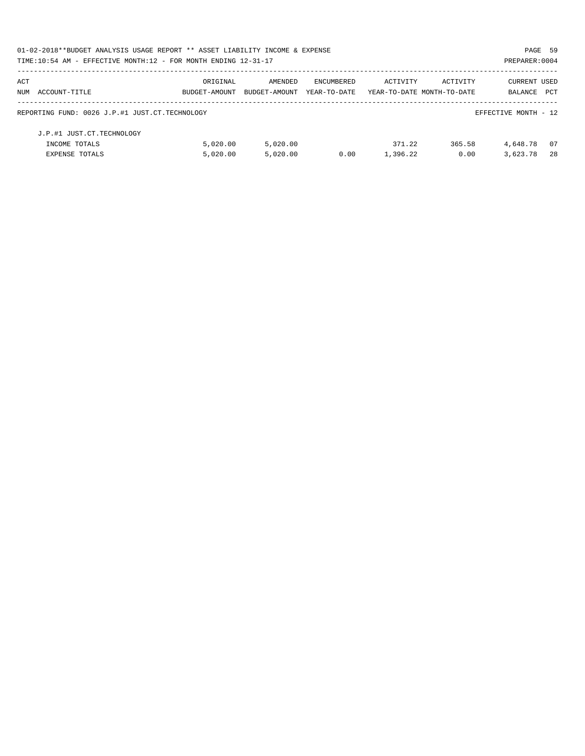| 01-02-2018**BUDGET ANALYSIS USAGE REPORT ** ASSET LIABILITY INCOME & EXPENSE |               |               |                   |                            |          | PAGE 59              |      |
|------------------------------------------------------------------------------|---------------|---------------|-------------------|----------------------------|----------|----------------------|------|
| TIME:10:54 AM - EFFECTIVE MONTH:12 - FOR MONTH ENDING 12-31-17               |               |               |                   |                            |          | PREPARER: 0004       |      |
| ACT                                                                          | ORIGINAL      | AMENDED       | <b>ENCUMBERED</b> | ACTIVITY                   | ACTIVITY | CURRENT USED         |      |
| NUM ACCOUNT-TITLE                                                            | BUDGET-AMOUNT | BUDGET-AMOUNT | YEAR-TO-DATE      | YEAR-TO-DATE MONTH-TO-DATE |          | BALANCE              | PCT  |
| REPORTING FUND: 0026 J.P.#1 JUST.CT.TECHNOLOGY                               |               |               |                   |                            |          | EFFECTIVE MONTH - 12 |      |
| J.P.#1 JUST.CT.TECHNOLOGY                                                    |               |               |                   |                            |          |                      |      |
| INCOME TOTALS                                                                | 5.020.00      | 5,020.00      |                   | 371.22                     | 365.58   | 4,648.78             | - 07 |
| <b>EXPENSE TOTALS</b>                                                        | 5.020.00      | 5.020.00      | 0.00              | 1,396.22                   | 0.00     | 3,623.78             | -28  |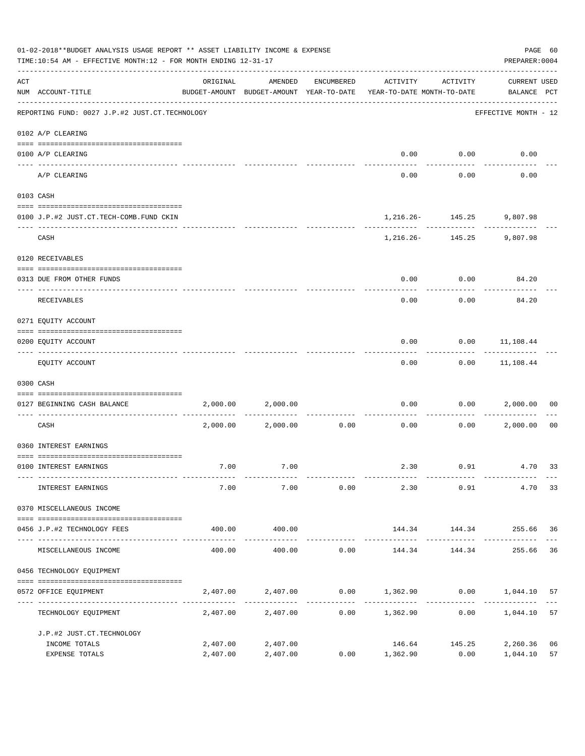|     | 01-02-2018**BUDGET ANALYSIS USAGE REPORT ** ASSET LIABILITY INCOME & EXPENSE<br>TIME:10:54 AM - EFFECTIVE MONTH:12 - FOR MONTH ENDING 12-31-17 |          |                                                     |                             |                                        |               | PREPARER: 0004                     | PAGE 60        |
|-----|------------------------------------------------------------------------------------------------------------------------------------------------|----------|-----------------------------------------------------|-----------------------------|----------------------------------------|---------------|------------------------------------|----------------|
| ACT | NUM ACCOUNT-TITLE                                                                                                                              | ORIGINAL | AMENDED<br>BUDGET-AMOUNT BUDGET-AMOUNT YEAR-TO-DATE | ENCUMBERED                  | ACTIVITY<br>YEAR-TO-DATE MONTH-TO-DATE | ACTIVITY      | <b>CURRENT USED</b><br>BALANCE PCT |                |
|     | REPORTING FUND: 0027 J.P.#2 JUST.CT.TECHNOLOGY                                                                                                 |          |                                                     |                             |                                        |               | EFFECTIVE MONTH - 12               |                |
|     | 0102 A/P CLEARING                                                                                                                              |          |                                                     |                             |                                        |               |                                    |                |
|     | 0100 A/P CLEARING<br>---- --------                                                                                                             |          |                                                     |                             | 0.00                                   | 0.00          | 0.00                               |                |
|     | A/P CLEARING                                                                                                                                   |          |                                                     |                             | 0.00                                   | 0.00          | 0.00                               |                |
|     | 0103 CASH                                                                                                                                      |          |                                                     |                             |                                        |               |                                    |                |
|     | 0100 J.P.#2 JUST.CT.TECH-COMB.FUND CKIN                                                                                                        |          |                                                     |                             |                                        |               | 1,216.26- 145.25 9,807.98          |                |
|     | CASH                                                                                                                                           |          |                                                     |                             | ---------                              | ------------- | 1, 216. 26 - 145. 25 9, 807. 98    |                |
|     | 0120 RECEIVABLES                                                                                                                               |          |                                                     |                             |                                        |               |                                    |                |
|     | 0313 DUE FROM OTHER FUNDS                                                                                                                      |          |                                                     |                             | 0.00                                   | 0.00          | 84.20                              |                |
|     | RECEIVABLES                                                                                                                                    |          |                                                     |                             | 0.00                                   | 0.00          | 84.20                              |                |
|     | 0271 EQUITY ACCOUNT                                                                                                                            |          |                                                     |                             |                                        |               |                                    |                |
|     | 0200 EQUITY ACCOUNT                                                                                                                            |          |                                                     |                             | 0.00                                   |               | $0.00$ 11,108.44                   |                |
|     | EQUITY ACCOUNT                                                                                                                                 |          |                                                     |                             | 0.00                                   |               | $0.00$ 11,108.44                   |                |
|     | 0300 CASH                                                                                                                                      |          |                                                     |                             |                                        |               |                                    |                |
|     | 0127 BEGINNING CASH BALANCE                                                                                                                    | 2,000.00 | 2,000.00                                            |                             | 0.00                                   | 0.00          | 2,000.00                           | 00             |
|     | CASH                                                                                                                                           |          | 2,000.00 2,000.00                                   | ------------ ------<br>0.00 | 0.00                                   | 0.00          | 2,000.00                           | 0 <sub>0</sub> |
|     | 0360 INTEREST EARNINGS                                                                                                                         |          |                                                     |                             |                                        |               |                                    |                |
|     | 0100 INTEREST EARNINGS                                                                                                                         | 7.00     | 7.00                                                |                             |                                        |               | 2.30 0.91 4.70 33                  |                |
|     | INTEREST EARNINGS                                                                                                                              | 7.00     | 7.00                                                | 0.00                        | 2.30                                   | 0.91          |                                    | 4.70 33        |
|     | 0370 MISCELLANEOUS INCOME                                                                                                                      |          |                                                     |                             |                                        |               |                                    |                |
|     | 0456 J.P.#2 TECHNOLOGY FEES                                                                                                                    | 400.00   | 400.00                                              |                             |                                        |               | 144.34    144.34    255.66    36   |                |
|     | MISCELLANEOUS INCOME                                                                                                                           | 400.00   | 400.00                                              | 0.00                        | 144.34                                 | 144.34        | 255.66                             | 36             |
|     | 0456 TECHNOLOGY EQUIPMENT                                                                                                                      |          |                                                     |                             |                                        |               |                                    |                |
|     | 0572 OFFICE EQUIPMENT                                                                                                                          | 2,407.00 | 2,407.00                                            |                             | $0.00$ $1,362.90$ $0.00$ $1,044.10$    |               |                                    | 57             |
|     | --------------------- -----------<br>TECHNOLOGY EQUIPMENT                                                                                      |          | 2,407.00 2,407.00                                   | -------------               | $0.00$ 1,362.90 0.00                   |               | 1,044.10                           | 57             |
|     | J.P.#2 JUST.CT.TECHNOLOGY                                                                                                                      |          |                                                     |                             |                                        |               |                                    |                |
|     | INCOME TOTALS                                                                                                                                  | 2,407.00 | 2,407.00                                            |                             | 146.64                                 | 145.25        | 2,260.36                           | 06             |
|     | EXPENSE TOTALS                                                                                                                                 | 2,407.00 | 2,407.00                                            |                             | $0.00$ 1,362.90                        | 0.00          | 1,044.10                           | 57             |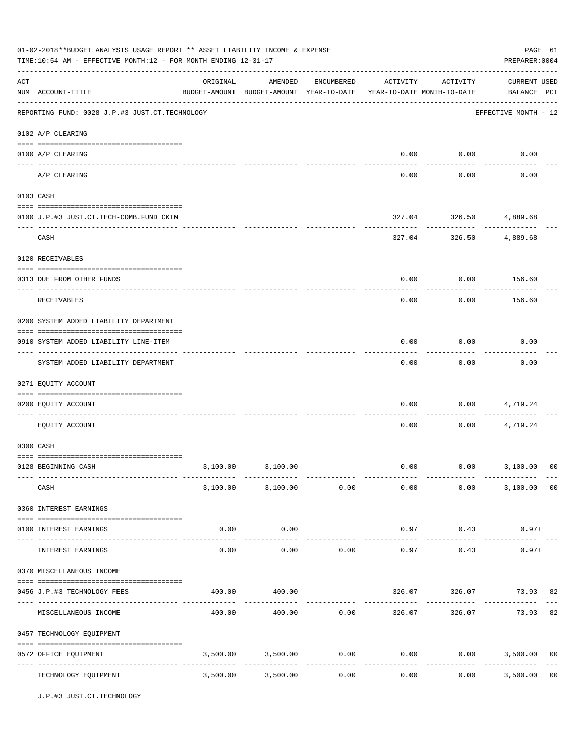|     | 01-02-2018**BUDGET ANALYSIS USAGE REPORT ** ASSET LIABILITY INCOME & EXPENSE<br>TIME:10:54 AM - EFFECTIVE MONTH:12 - FOR MONTH ENDING 12-31-17 |                                                                                 |                        |                       |          |                               | PAGE 61<br>PREPARER: 0004          |                |
|-----|------------------------------------------------------------------------------------------------------------------------------------------------|---------------------------------------------------------------------------------|------------------------|-----------------------|----------|-------------------------------|------------------------------------|----------------|
| ACT | NUM ACCOUNT-TITLE                                                                                                                              | ORIGINAL<br>BUDGET-AMOUNT BUDGET-AMOUNT YEAR-TO-DATE YEAR-TO-DATE MONTH-TO-DATE | AMENDED                | ENCUMBERED            | ACTIVITY | ACTIVITY                      | <b>CURRENT USED</b><br>BALANCE PCT |                |
|     | REPORTING FUND: 0028 J.P.#3 JUST.CT.TECHNOLOGY                                                                                                 |                                                                                 |                        |                       |          |                               | EFFECTIVE MONTH - 12               |                |
|     | 0102 A/P CLEARING                                                                                                                              |                                                                                 |                        |                       |          |                               |                                    |                |
|     | 0100 A/P CLEARING                                                                                                                              |                                                                                 |                        |                       | 0.00     | 0.00                          | 0.00                               |                |
|     | A/P CLEARING                                                                                                                                   |                                                                                 |                        |                       | 0.00     | 0.00                          | 0.00                               |                |
|     | 0103 CASH                                                                                                                                      |                                                                                 |                        |                       |          |                               |                                    |                |
|     | 0100 J.P.#3 JUST.CT.TECH-COMB.FUND CKIN                                                                                                        |                                                                                 |                        |                       |          | 327.04 326.50 4,889.68        |                                    |                |
|     | CASH                                                                                                                                           |                                                                                 |                        |                       |          | ------------<br>327.04 326.50 | ------------<br>4,889.68           |                |
|     | 0120 RECEIVABLES                                                                                                                               |                                                                                 |                        |                       |          |                               |                                    |                |
|     | 0313 DUE FROM OTHER FUNDS                                                                                                                      |                                                                                 |                        |                       | 0.00     | 0.00                          | 156.60                             |                |
|     | RECEIVABLES                                                                                                                                    |                                                                                 |                        |                       | 0.00     | 0.00                          | 156.60                             |                |
|     | 0200 SYSTEM ADDED LIABILITY DEPARTMENT                                                                                                         |                                                                                 |                        |                       |          |                               |                                    |                |
|     | 0910 SYSTEM ADDED LIABILITY LINE-ITEM                                                                                                          |                                                                                 |                        |                       | 0.00     | 0.00                          | 0.00                               |                |
|     | SYSTEM ADDED LIABILITY DEPARTMENT                                                                                                              |                                                                                 |                        |                       | 0.00     | 0.00                          | 0.00                               |                |
|     | 0271 EQUITY ACCOUNT                                                                                                                            |                                                                                 |                        |                       |          |                               |                                    |                |
|     | 0200 EQUITY ACCOUNT                                                                                                                            |                                                                                 |                        |                       | 0.00     | 0.00                          | 4,719.24                           |                |
|     | EQUITY ACCOUNT                                                                                                                                 |                                                                                 |                        |                       | 0.00     | 0.00                          | 4,719.24                           |                |
|     | 0300 CASH                                                                                                                                      |                                                                                 |                        |                       |          |                               |                                    |                |
|     | 0128 BEGINNING CASH                                                                                                                            | 3,100.00                                                                        | 3,100.00               |                       |          |                               | $0.00$ $0.00$ $3,100.00$           | 00             |
|     | CASH                                                                                                                                           |                                                                                 | 3,100.00 3,100.00 0.00 |                       |          | $0.00$ 0.00                   | 3,100.00 00                        |                |
|     | 0360 INTEREST EARNINGS                                                                                                                         |                                                                                 |                        |                       |          |                               |                                    |                |
|     | 0100 INTEREST EARNINGS                                                                                                                         | 0.00                                                                            | 0.00                   |                       | 0.97     | 0.43<br>----------            | $0.97+$                            |                |
|     | INTEREST EARNINGS                                                                                                                              | . <u>.</u> .<br>0.00                                                            | ----------<br>0.00     | 0.00                  | 0.97     | 0.43                          | $0.97+$                            |                |
|     | 0370 MISCELLANEOUS INCOME                                                                                                                      |                                                                                 |                        |                       |          |                               |                                    |                |
|     | 0456 J.P.#3 TECHNOLOGY FEES                                                                                                                    | 400.00                                                                          | 400.00                 |                       | 326.07   |                               | 326.07 73.93 82                    |                |
|     | MISCELLANEOUS INCOME                                                                                                                           |                                                                                 | 400.00 400.00          |                       |          | $0.00$ 326.07 326.07          | 73.93                              | 82             |
|     | 0457 TECHNOLOGY EQUIPMENT                                                                                                                      |                                                                                 |                        |                       |          |                               |                                    |                |
|     | 0572 OFFICE EQUIPMENT                                                                                                                          | 3,500.00                                                                        | 3,500.00               | 0.00                  | 0.00     | 0.00                          | 3,500.00 00<br>--------------      |                |
|     | TECHNOLOGY EQUIPMENT                                                                                                                           | 3,500.00                                                                        | 3,500.00               | -------------<br>0.00 | 0.00     | 0.00                          | 3,500.00                           | 0 <sub>0</sub> |

J.P.#3 JUST.CT.TECHNOLOGY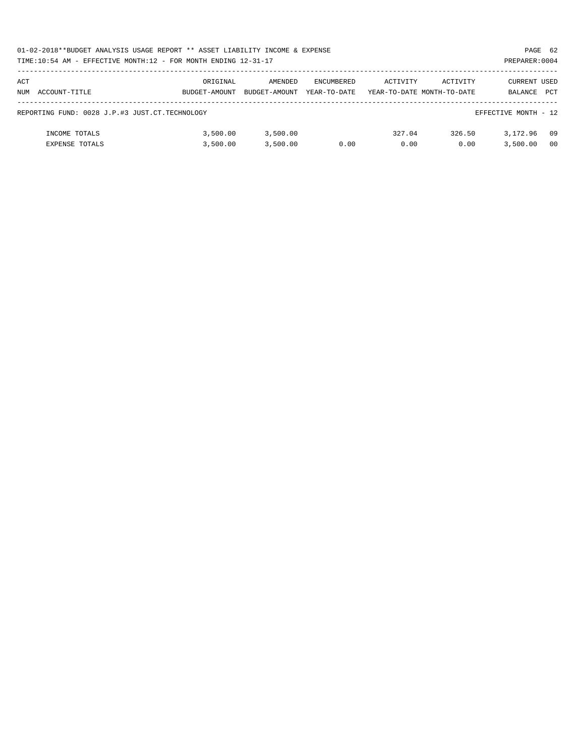|     | 01-02-2018**BUDGET ANALYSIS USAGE REPORT ** ASSET LIABILITY INCOME & EXPENSE<br>PAGE 62 |               |               |                   |          |                            |                      |     |  |  |  |
|-----|-----------------------------------------------------------------------------------------|---------------|---------------|-------------------|----------|----------------------------|----------------------|-----|--|--|--|
|     | TIME:10:54 AM - EFFECTIVE MONTH:12 - FOR MONTH ENDING 12-31-17                          |               |               |                   |          |                            | PREPARER: 0004       |     |  |  |  |
|     |                                                                                         |               |               |                   |          |                            |                      |     |  |  |  |
| ACT |                                                                                         | ORIGINAL      | AMENDED       | <b>ENCUMBERED</b> | ACTIVITY | ACTIVITY                   | CURRENT USED         |     |  |  |  |
|     | NUM ACCOUNT-TITLE                                                                       | BUDGET-AMOUNT | BUDGET-AMOUNT | YEAR-TO-DATE      |          | YEAR-TO-DATE MONTH-TO-DATE | BALANCE              | PCT |  |  |  |
|     |                                                                                         |               |               |                   |          |                            |                      |     |  |  |  |
|     | REPORTING FUND: 0028 J.P.#3 JUST.CT.TECHNOLOGY                                          |               |               |                   |          |                            | EFFECTIVE MONTH - 12 |     |  |  |  |
|     |                                                                                         |               |               |                   |          |                            |                      |     |  |  |  |
|     | INCOME TOTALS                                                                           | 3.500.00      | 3,500.00      |                   | 327.04   | 326.50                     | 3,172.96             | 09  |  |  |  |
|     | <b>EXPENSE TOTALS</b>                                                                   | 3.500.00      | 3.500.00      | 0.00              | 0.00     | 0.00                       | 3,500.00             | 00  |  |  |  |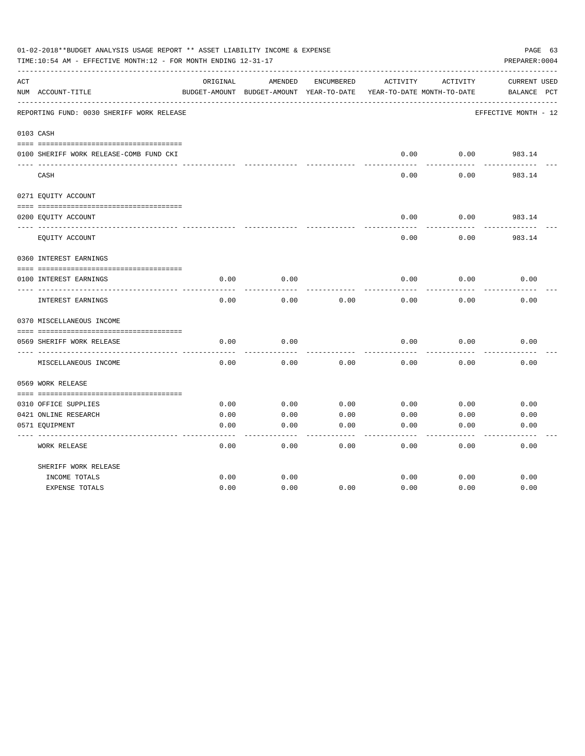|     | 01-02-2018**BUDGET ANALYSIS USAGE REPORT ** ASSET LIABILITY INCOME & EXPENSE<br>PAGE 63<br>TIME:10:54 AM - EFFECTIVE MONTH:12 - FOR MONTH ENDING 12-31-17<br>PREPARER: 0004<br>ORIGINAL<br>AMENDED<br>ACTIVITY<br>ACTIVITY<br>CURRENT USED<br>ENCUMBERED<br>BUDGET-AMOUNT BUDGET-AMOUNT YEAR-TO-DATE<br>YEAR-TO-DATE MONTH-TO-DATE<br>BALANCE<br>$_{\rm PCT}$<br>EFFECTIVE MONTH - 12<br>0.00<br>0.00<br>983.14<br>0.00<br>0.00<br>983.14<br>0.00<br>0.00<br>983.14<br>0.00<br>0.00<br>983.14<br>0.00<br>0.00<br>0.00<br>0.00<br>0.00<br>0.00<br>0.00<br>0.00<br>0.00<br>0.00<br>0.00<br>0.00<br>0.00<br>0.00<br>0.00<br>0.00<br>------------<br>0.00<br>0.00<br>0.00<br>0.00<br>0.00<br>0.00<br>0.00<br>0.00<br>0.00<br>0.00<br>0.00<br>0.00<br>0310 OFFICE SUPPLIES<br>0421 ONLINE RESEARCH<br>0.00<br>0.00<br>0.00<br>0.00<br>0.00<br>0.00<br>0.00<br>0.00<br>0.00<br>0.00<br>0.00<br>0.00 |      |      |      |      |      |      |
|-----|-----------------------------------------------------------------------------------------------------------------------------------------------------------------------------------------------------------------------------------------------------------------------------------------------------------------------------------------------------------------------------------------------------------------------------------------------------------------------------------------------------------------------------------------------------------------------------------------------------------------------------------------------------------------------------------------------------------------------------------------------------------------------------------------------------------------------------------------------------------------------------------------------|------|------|------|------|------|------|
| ACT |                                                                                                                                                                                                                                                                                                                                                                                                                                                                                                                                                                                                                                                                                                                                                                                                                                                                                               |      |      |      |      |      |      |
|     | NUM ACCOUNT-TITLE                                                                                                                                                                                                                                                                                                                                                                                                                                                                                                                                                                                                                                                                                                                                                                                                                                                                             |      |      |      |      |      |      |
|     | REPORTING FUND: 0030 SHERIFF WORK RELEASE                                                                                                                                                                                                                                                                                                                                                                                                                                                                                                                                                                                                                                                                                                                                                                                                                                                     |      |      |      |      |      |      |
|     | 0103 CASH                                                                                                                                                                                                                                                                                                                                                                                                                                                                                                                                                                                                                                                                                                                                                                                                                                                                                     |      |      |      |      |      |      |
|     | 0100 SHERIFF WORK RELEASE-COMB FUND CKI                                                                                                                                                                                                                                                                                                                                                                                                                                                                                                                                                                                                                                                                                                                                                                                                                                                       |      |      |      |      |      |      |
|     | $\mbox{CASH}$                                                                                                                                                                                                                                                                                                                                                                                                                                                                                                                                                                                                                                                                                                                                                                                                                                                                                 |      |      |      |      |      |      |
|     | 0271 EQUITY ACCOUNT                                                                                                                                                                                                                                                                                                                                                                                                                                                                                                                                                                                                                                                                                                                                                                                                                                                                           |      |      |      |      |      |      |
|     | 0200 EQUITY ACCOUNT                                                                                                                                                                                                                                                                                                                                                                                                                                                                                                                                                                                                                                                                                                                                                                                                                                                                           |      |      |      |      |      |      |
|     | EQUITY ACCOUNT                                                                                                                                                                                                                                                                                                                                                                                                                                                                                                                                                                                                                                                                                                                                                                                                                                                                                |      |      |      |      |      |      |
|     | 0360 INTEREST EARNINGS                                                                                                                                                                                                                                                                                                                                                                                                                                                                                                                                                                                                                                                                                                                                                                                                                                                                        |      |      |      |      |      |      |
|     | 0100 INTEREST EARNINGS                                                                                                                                                                                                                                                                                                                                                                                                                                                                                                                                                                                                                                                                                                                                                                                                                                                                        |      |      |      |      |      |      |
|     | INTEREST EARNINGS                                                                                                                                                                                                                                                                                                                                                                                                                                                                                                                                                                                                                                                                                                                                                                                                                                                                             |      |      |      |      |      |      |
|     | 0370 MISCELLANEOUS INCOME                                                                                                                                                                                                                                                                                                                                                                                                                                                                                                                                                                                                                                                                                                                                                                                                                                                                     |      |      |      |      |      |      |
|     | 0569 SHERIFF WORK RELEASE                                                                                                                                                                                                                                                                                                                                                                                                                                                                                                                                                                                                                                                                                                                                                                                                                                                                     |      |      |      |      |      |      |
|     | MISCELLANEOUS INCOME                                                                                                                                                                                                                                                                                                                                                                                                                                                                                                                                                                                                                                                                                                                                                                                                                                                                          |      |      |      |      |      |      |
|     | 0569 WORK RELEASE                                                                                                                                                                                                                                                                                                                                                                                                                                                                                                                                                                                                                                                                                                                                                                                                                                                                             |      |      |      |      |      |      |
|     |                                                                                                                                                                                                                                                                                                                                                                                                                                                                                                                                                                                                                                                                                                                                                                                                                                                                                               |      |      |      |      |      |      |
|     |                                                                                                                                                                                                                                                                                                                                                                                                                                                                                                                                                                                                                                                                                                                                                                                                                                                                                               |      |      |      |      |      |      |
|     | 0571 EQUIPMENT                                                                                                                                                                                                                                                                                                                                                                                                                                                                                                                                                                                                                                                                                                                                                                                                                                                                                |      |      |      |      |      |      |
|     | <b>WORK RELEASE</b>                                                                                                                                                                                                                                                                                                                                                                                                                                                                                                                                                                                                                                                                                                                                                                                                                                                                           | 0.00 | 0.00 | 0.00 | 0.00 | 0.00 | 0.00 |
|     | SHERIFF WORK RELEASE                                                                                                                                                                                                                                                                                                                                                                                                                                                                                                                                                                                                                                                                                                                                                                                                                                                                          |      |      |      |      |      |      |
|     | INCOME TOTALS                                                                                                                                                                                                                                                                                                                                                                                                                                                                                                                                                                                                                                                                                                                                                                                                                                                                                 | 0.00 | 0.00 |      | 0.00 | 0.00 | 0.00 |
|     | <b>EXPENSE TOTALS</b>                                                                                                                                                                                                                                                                                                                                                                                                                                                                                                                                                                                                                                                                                                                                                                                                                                                                         | 0.00 | 0.00 | 0.00 | 0.00 | 0.00 | 0.00 |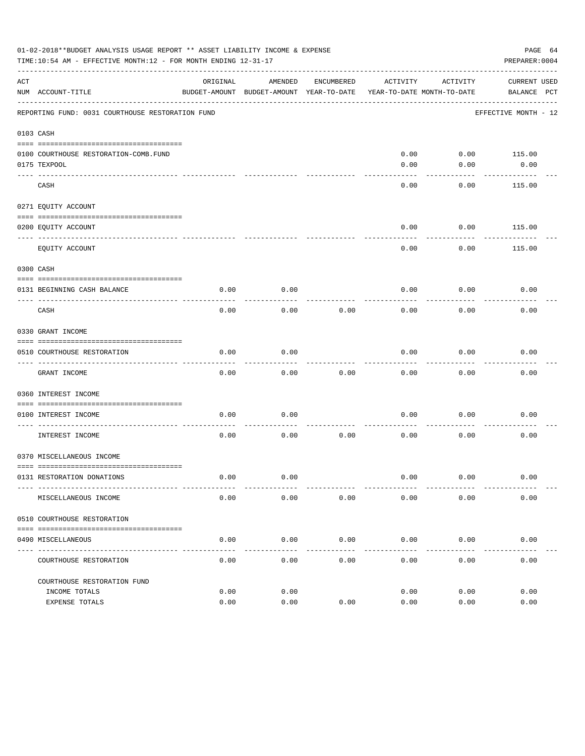|     | 01-02-2018**BUDGET ANALYSIS USAGE REPORT ** ASSET LIABILITY INCOME & EXPENSE<br>TIME:10:54 AM - EFFECTIVE MONTH:12 - FOR MONTH ENDING 12-31-17 |          |                                                     |               |                                        |          | PAGE 64<br>PREPARER: 0004          |  |
|-----|------------------------------------------------------------------------------------------------------------------------------------------------|----------|-----------------------------------------------------|---------------|----------------------------------------|----------|------------------------------------|--|
| ACT | NUM ACCOUNT-TITLE                                                                                                                              | ORIGINAL | AMENDED<br>BUDGET-AMOUNT BUDGET-AMOUNT YEAR-TO-DATE | ENCUMBERED    | ACTIVITY<br>YEAR-TO-DATE MONTH-TO-DATE | ACTIVITY | <b>CURRENT USED</b><br>BALANCE PCT |  |
|     | REPORTING FUND: 0031 COURTHOUSE RESTORATION FUND                                                                                               |          |                                                     |               |                                        |          | EFFECTIVE MONTH - 12               |  |
|     | 0103 CASH                                                                                                                                      |          |                                                     |               |                                        |          |                                    |  |
|     | 0100 COURTHOUSE RESTORATION-COMB.FUND<br>0175 TEXPOOL                                                                                          |          |                                                     |               | 0.00<br>0.00                           | 0.00     | $0.00$ 115.00<br>0.00              |  |
|     | CASH                                                                                                                                           |          |                                                     |               | 0.00                                   | 0.00     | 115.00                             |  |
|     | 0271 EQUITY ACCOUNT                                                                                                                            |          |                                                     |               |                                        |          |                                    |  |
|     | 0200 EQUITY ACCOUNT                                                                                                                            |          |                                                     |               | 0.00                                   | 0.00     | 115.00                             |  |
|     | EQUITY ACCOUNT                                                                                                                                 |          |                                                     |               | 0.00                                   | 0.00     | 115.00                             |  |
|     | 0300 CASH                                                                                                                                      |          |                                                     |               |                                        |          |                                    |  |
|     | 0131 BEGINNING CASH BALANCE                                                                                                                    | 0.00     | 0.00                                                |               | 0.00                                   | 0.00     | 0.00                               |  |
|     | CASH                                                                                                                                           | 0.00     | 0.00                                                | 0.00          | 0.00                                   | 0.00     | 0.00                               |  |
|     | 0330 GRANT INCOME                                                                                                                              |          |                                                     |               |                                        |          |                                    |  |
|     | 0510 COURTHOUSE RESTORATION                                                                                                                    | 0.00     | 0.00                                                |               | 0.00                                   | 0.00     | 0.00                               |  |
|     | GRANT INCOME                                                                                                                                   | 0.00     | 0.00                                                | 0.00          | 0.00                                   | 0.00     | 0.00                               |  |
|     | 0360 INTEREST INCOME                                                                                                                           |          |                                                     |               |                                        |          |                                    |  |
|     |                                                                                                                                                |          |                                                     |               |                                        |          |                                    |  |
|     | 0100 INTEREST INCOME                                                                                                                           | 0.00     | 0.00                                                |               | 0.00                                   | 0.00     | 0.00                               |  |
|     | INTEREST INCOME                                                                                                                                | 0.00     | 0.00                                                | 0.00          | 0.00                                   | 0.00     | 0.00                               |  |
|     | 0370 MISCELLANEOUS INCOME                                                                                                                      |          |                                                     |               |                                        |          |                                    |  |
|     | 0131 RESTORATION DONATIONS                                                                                                                     | 0.00     | 0.00                                                |               | 0.00                                   | 0.00     | 0.00                               |  |
|     | MISCELLANEOUS INCOME                                                                                                                           | 0.00     | 0.00                                                | 0.00          | 0.00                                   | 0.00     | 0.00                               |  |
|     | 0510 COURTHOUSE RESTORATION                                                                                                                    |          |                                                     |               |                                        |          |                                    |  |
|     | 0490 MISCELLANEOUS                                                                                                                             | 0.00     | 0.00                                                | 0.00          | 0.00                                   | 0.00     | 0.00                               |  |
|     | ---------------<br>COURTHOUSE RESTORATION                                                                                                      | 0.00     | $---$<br>0.00                                       | $---$<br>0.00 | 0.00                                   | 0.00     | 0.00                               |  |
|     | COURTHOUSE RESTORATION FUND                                                                                                                    |          |                                                     |               |                                        |          |                                    |  |
|     | INCOME TOTALS                                                                                                                                  | 0.00     | 0.00                                                |               | 0.00                                   | 0.00     | 0.00                               |  |
|     | EXPENSE TOTALS                                                                                                                                 | 0.00     | 0.00                                                | 0.00          | 0.00                                   | 0.00     | 0.00                               |  |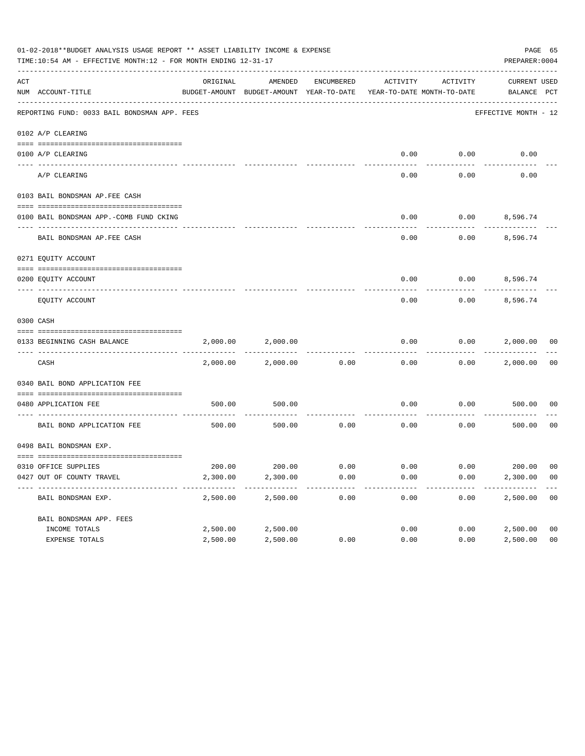|     | 01-02-2018**BUDGET ANALYSIS USAGE REPORT ** ASSET LIABILITY INCOME & EXPENSE<br>TIME:10:54 AM - EFFECTIVE MONTH:12 - FOR MONTH ENDING 12-31-17 |          |                                                     |            |                                        |                 | PAGE 65<br>PREPARER: 0004   |                |
|-----|------------------------------------------------------------------------------------------------------------------------------------------------|----------|-----------------------------------------------------|------------|----------------------------------------|-----------------|-----------------------------|----------------|
| ACT | NUM ACCOUNT-TITLE                                                                                                                              | ORIGINAL | AMENDED<br>BUDGET-AMOUNT BUDGET-AMOUNT YEAR-TO-DATE | ENCUMBERED | ACTIVITY<br>YEAR-TO-DATE MONTH-TO-DATE | ACTIVITY        | CURRENT USED<br>BALANCE PCT |                |
|     | REPORTING FUND: 0033 BAIL BONDSMAN APP. FEES                                                                                                   |          |                                                     |            |                                        |                 | EFFECTIVE MONTH - 12        |                |
|     | 0102 A/P CLEARING                                                                                                                              |          |                                                     |            |                                        |                 |                             |                |
|     |                                                                                                                                                |          |                                                     |            |                                        |                 |                             |                |
|     | 0100 A/P CLEARING<br>---- ----------                                                                                                           |          |                                                     |            | 0.00                                   | 0.00            | 0.00                        |                |
|     | A/P CLEARING                                                                                                                                   |          |                                                     |            | 0.00                                   | 0.00            | 0.00                        |                |
|     | 0103 BAIL BONDSMAN AP.FEE CASH                                                                                                                 |          |                                                     |            |                                        |                 |                             |                |
|     | 0100 BAIL BONDSMAN APP.-COMB FUND CKING                                                                                                        |          |                                                     |            | 0.00                                   | $0.00$ 8,596.74 |                             |                |
|     | --------------------------<br>BAIL BONDSMAN AP. FEE CASH                                                                                       |          |                                                     |            | 0.00                                   |                 | $0.00$ 8,596.74             |                |
|     | 0271 EQUITY ACCOUNT                                                                                                                            |          |                                                     |            |                                        |                 |                             |                |
|     |                                                                                                                                                |          |                                                     |            | 0.00                                   | $0.00$ 8,596.74 |                             |                |
|     | 0200 EQUITY ACCOUNT                                                                                                                            |          |                                                     |            |                                        |                 |                             |                |
|     | EQUITY ACCOUNT                                                                                                                                 |          |                                                     |            | 0.00                                   | 0.00            | 8,596.74                    |                |
|     | 0300 CASH                                                                                                                                      |          |                                                     |            |                                        |                 |                             |                |
|     | 0133 BEGINNING CASH BALANCE                                                                                                                    | 2,000.00 | 2,000.00                                            |            | 0.00                                   |                 | $0.00$ 2,000.00             | 00             |
|     | CASH                                                                                                                                           | 2,000.00 | 2,000.00                                            | 0.00       | 0.00                                   |                 | $0.00$ 2,000.00             | 00             |
|     | 0340 BAIL BOND APPLICATION FEE                                                                                                                 |          |                                                     |            |                                        |                 |                             |                |
|     | 0480 APPLICATION FEE                                                                                                                           | 500.00   | 500.00                                              |            | 0.00                                   | 0.00            | 500.00                      | 00             |
|     | ---------------------------------                                                                                                              |          |                                                     |            |                                        |                 |                             |                |
|     | BAIL BOND APPLICATION FEE                                                                                                                      | 500.00   | 500.00                                              | 0.00       | 0.00                                   | 0.00            | 500.00                      | 0 <sub>0</sub> |
|     | 0498 BAIL BONDSMAN EXP.                                                                                                                        |          |                                                     |            |                                        |                 |                             |                |
|     | 0310 OFFICE SUPPLIES                                                                                                                           |          | 200.00 200.00 0.00                                  |            | $0.00$ $0.00$ $200.00$ $00$            |                 |                             |                |
|     | 0427 OUT OF COUNTY TRAVEL                                                                                                                      | 2,300.00 | 2,300.00                                            | 0.00       | 0.00                                   | 0.00            | 2,300.00                    | 0 <sub>0</sub> |
|     | BAIL BONDSMAN EXP.                                                                                                                             | 2,500.00 | 2,500.00                                            | 0.00       | 0.00                                   | 0.00            | 2,500.00                    | 0 <sub>0</sub> |
|     | BAIL BONDSMAN APP. FEES                                                                                                                        |          |                                                     |            |                                        |                 |                             |                |
|     | INCOME TOTALS                                                                                                                                  | 2,500.00 | 2,500.00                                            |            | 0.00                                   | 0.00            | 2,500.00                    | 0 <sub>0</sub> |
|     | EXPENSE TOTALS                                                                                                                                 | 2,500.00 | 2,500.00                                            | 0.00       | 0.00                                   | 0.00            | 2,500.00                    | 0 <sub>0</sub> |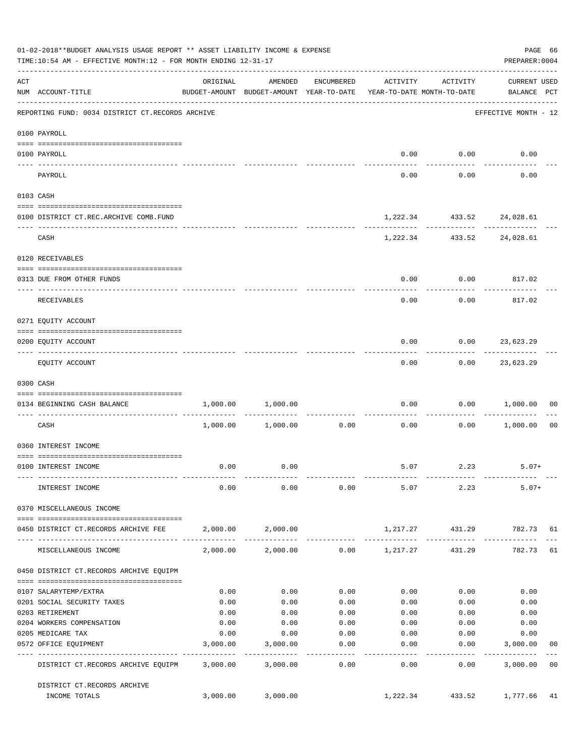|     | 01-02-2018**BUDGET ANALYSIS USAGE REPORT ** ASSET LIABILITY INCOME & EXPENSE<br>TIME:10:54 AM - EFFECTIVE MONTH:12 - FOR MONTH ENDING 12-31-17                                                                                                                                                                                                                                                                                                       |          |                                                                                |                   |                       |                                                            | PAGE 66<br>PREPARER: 0004               |                |
|-----|------------------------------------------------------------------------------------------------------------------------------------------------------------------------------------------------------------------------------------------------------------------------------------------------------------------------------------------------------------------------------------------------------------------------------------------------------|----------|--------------------------------------------------------------------------------|-------------------|-----------------------|------------------------------------------------------------|-----------------------------------------|----------------|
| ACT | NUM ACCOUNT-TITLE                                                                                                                                                                                                                                                                                                                                                                                                                                    | ORIGINAL | AMENDED<br>BUDGET-AMOUNT BUDGET-AMOUNT YEAR-TO-DATE YEAR-TO-DATE MONTH-TO-DATE | ENCUMBERED        | ACTIVITY              | ACTIVITY                                                   | <b>CURRENT USED</b><br>BALANCE PCT      |                |
|     | REPORTING FUND: 0034 DISTRICT CT.RECORDS ARCHIVE                                                                                                                                                                                                                                                                                                                                                                                                     |          |                                                                                |                   |                       |                                                            | ---------------<br>EFFECTIVE MONTH - 12 |                |
|     | 0100 PAYROLL                                                                                                                                                                                                                                                                                                                                                                                                                                         |          |                                                                                |                   |                       |                                                            |                                         |                |
|     |                                                                                                                                                                                                                                                                                                                                                                                                                                                      |          |                                                                                |                   |                       |                                                            |                                         |                |
|     | 0100 PAYROLL<br>---- -------<br>--------------------------- --------                                                                                                                                                                                                                                                                                                                                                                                 |          |                                                                                |                   |                       | $0.00$ $0.00$<br>----------                                | 0.00                                    |                |
|     | PAYROLL                                                                                                                                                                                                                                                                                                                                                                                                                                              |          |                                                                                |                   | 0.00                  | 0.00                                                       | 0.00                                    |                |
|     | 0103 CASH                                                                                                                                                                                                                                                                                                                                                                                                                                            |          |                                                                                |                   |                       |                                                            |                                         |                |
|     | 0100 DISTRICT CT.REC.ARCHIVE COMB.FUND                                                                                                                                                                                                                                                                                                                                                                                                               |          |                                                                                |                   |                       | 1,222.34 433.52 24,028.61                                  |                                         |                |
|     | CASH                                                                                                                                                                                                                                                                                                                                                                                                                                                 |          |                                                                                |                   |                       | -----------------------------<br>1,222.34 433.52 24,028.61 |                                         |                |
|     | 0120 RECEIVABLES                                                                                                                                                                                                                                                                                                                                                                                                                                     |          |                                                                                |                   |                       |                                                            |                                         |                |
|     | 0313 DUE FROM OTHER FUNDS                                                                                                                                                                                                                                                                                                                                                                                                                            |          |                                                                                |                   | 0.00                  | $0.00$ 817.02                                              |                                         |                |
|     | RECEIVABLES                                                                                                                                                                                                                                                                                                                                                                                                                                          |          |                                                                                |                   | 0.00                  | 0.00                                                       | 817.02                                  |                |
|     | 0271 EQUITY ACCOUNT                                                                                                                                                                                                                                                                                                                                                                                                                                  |          |                                                                                |                   |                       |                                                            |                                         |                |
|     | 0200 EQUITY ACCOUNT                                                                                                                                                                                                                                                                                                                                                                                                                                  |          |                                                                                |                   | 0.00                  | $0.00$ 23,623.29                                           |                                         |                |
|     | EQUITY ACCOUNT                                                                                                                                                                                                                                                                                                                                                                                                                                       |          |                                                                                |                   | --------<br>0.00      | ---------                                                  | . <u>.</u> .<br>$0.00$ 23,623.29        |                |
|     | 0300 CASH                                                                                                                                                                                                                                                                                                                                                                                                                                            |          |                                                                                |                   |                       |                                                            |                                         |                |
|     | $\verb c  = \verb c  = \verb c  = \verb c  = \verb c  = \verb c  = \verb c  = \verb c  = \verb c  = \verb c  = \verb c  = \verb c  = \verb c  = \verb c  = \verb c  = \verb c  = \verb c  = \verb c  = \verb c  = \verb c  = \verb c  = \verb c  = \verb c  = \verb c  = \verb c  = \verb c  = \verb c  = \verb c  = \verb c  = \verb c  = \verb c  = \verb c  = \verb c  = \verb c  = \verb c  = \verb c  = \verb c$<br>0134 BEGINNING CASH BALANCE |          | 1,000.00 1,000.00                                                              |                   | 0.00                  |                                                            | 0.00 1,000.00                           | 00             |
|     |                                                                                                                                                                                                                                                                                                                                                                                                                                                      |          |                                                                                |                   |                       |                                                            |                                         |                |
|     | CASH                                                                                                                                                                                                                                                                                                                                                                                                                                                 |          | $1,000.00$ $1,000.00$                                                          | 0.00              | 0.00                  |                                                            | $0.00$ 1,000.00                         | 0 <sub>0</sub> |
|     | 0360 INTEREST INCOME                                                                                                                                                                                                                                                                                                                                                                                                                                 |          |                                                                                |                   |                       |                                                            |                                         |                |
|     | 0100 INTEREST INCOME                                                                                                                                                                                                                                                                                                                                                                                                                                 | 0.00     | 0.00                                                                           |                   |                       | 5.07 2.23                                                  | $5.07+$                                 |                |
|     | INTEREST INCOME                                                                                                                                                                                                                                                                                                                                                                                                                                      | 0.00     | 0.00                                                                           | 0.00              |                       | 5.07 2.23                                                  | $5.07+$                                 |                |
|     | 0370 MISCELLANEOUS INCOME                                                                                                                                                                                                                                                                                                                                                                                                                            |          |                                                                                |                   |                       |                                                            |                                         |                |
|     |                                                                                                                                                                                                                                                                                                                                                                                                                                                      |          |                                                                                |                   |                       |                                                            |                                         |                |
|     | 0450 DISTRICT CT.RECORDS ARCHIVE FEE                                                                                                                                                                                                                                                                                                                                                                                                                 |          | 2,000.00 2,000.00                                                              |                   |                       | 1,217.27 431.29                                            | 782.73 61                               |                |
|     | MISCELLANEOUS INCOME                                                                                                                                                                                                                                                                                                                                                                                                                                 |          | 2,000.00 2,000.00                                                              |                   | $0.00$ 1,217.27       | 431.29                                                     | 782.73                                  | 61             |
|     | 0450 DISTRICT CT.RECORDS ARCHIVE EQUIPM                                                                                                                                                                                                                                                                                                                                                                                                              |          |                                                                                |                   |                       |                                                            |                                         |                |
|     | 0107 SALARYTEMP/EXTRA                                                                                                                                                                                                                                                                                                                                                                                                                                | 0.00     | 0.00                                                                           | 0.00              | 0.00                  | 0.00                                                       | 0.00                                    |                |
|     | 0201 SOCIAL SECURITY TAXES                                                                                                                                                                                                                                                                                                                                                                                                                           | 0.00     | 0.00                                                                           | 0.00              | 0.00                  | 0.00                                                       | 0.00                                    |                |
|     | 0203 RETIREMENT                                                                                                                                                                                                                                                                                                                                                                                                                                      | 0.00     | 0.00                                                                           | 0.00              | 0.00                  | 0.00                                                       | 0.00                                    |                |
|     | 0204 WORKERS COMPENSATION                                                                                                                                                                                                                                                                                                                                                                                                                            | 0.00     | 0.00                                                                           | 0.00              | 0.00                  | 0.00                                                       | 0.00                                    |                |
|     | 0205 MEDICARE TAX                                                                                                                                                                                                                                                                                                                                                                                                                                    | 0.00     | 0.00                                                                           | 0.00              | 0.00                  | 0.00                                                       | 0.00                                    |                |
|     | 0572 OFFICE EQUIPMENT<br>------------------- -------------                                                                                                                                                                                                                                                                                                                                                                                           | 3,000.00 | 3,000.00<br>-----------                                                        | 0.00<br>--------- | 0.00<br>$- - - - - -$ | 0.00<br>---------                                          | 3,000.00<br>-----------                 | 00             |
|     | DISTRICT CT.RECORDS ARCHIVE EQUIPM                                                                                                                                                                                                                                                                                                                                                                                                                   |          | 3,000.00 3,000.00                                                              | 0.00              | 0.00                  | 0.00                                                       | 3,000.00                                | 0 <sub>0</sub> |
|     | DISTRICT CT.RECORDS ARCHIVE                                                                                                                                                                                                                                                                                                                                                                                                                          |          |                                                                                |                   |                       |                                                            |                                         |                |
|     | INCOME TOTALS                                                                                                                                                                                                                                                                                                                                                                                                                                        | 3,000.00 | 3,000.00                                                                       |                   | 1,222.34              | 433.52                                                     | 1,777.66                                | 41             |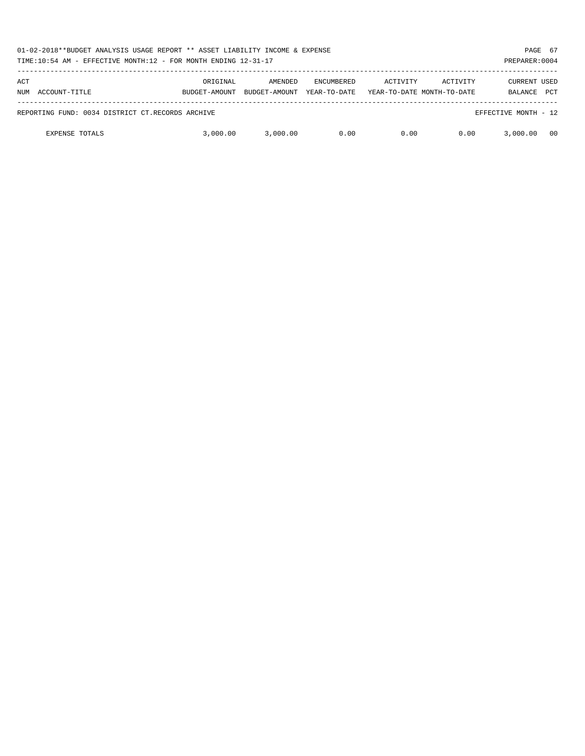|     | 01-02-2018**BUDGET ANALYSIS USAGE REPORT ** ASSET LIABILITY INCOME & EXPENSE<br>TIME:10:54 AM - EFFECTIVE MONTH:12 - FOR MONTH ENDING 12-31-17<br>PREPARER: 0004 |               |               |                   |          |                            |                      |            |  |
|-----|------------------------------------------------------------------------------------------------------------------------------------------------------------------|---------------|---------------|-------------------|----------|----------------------------|----------------------|------------|--|
| ACT |                                                                                                                                                                  | ORIGINAL      | AMENDED       | <b>ENCUMBERED</b> | ACTIVITY | ACTIVITY                   | <b>CURRENT USED</b>  |            |  |
| NUM | ACCOUNT-TITLE                                                                                                                                                    | BUDGET-AMOUNT | BUDGET-AMOUNT | YEAR-TO-DATE      |          | YEAR-TO-DATE MONTH-TO-DATE | BALANCE              | <b>PCT</b> |  |
|     | REPORTING FUND: 0034 DISTRICT CT.RECORDS ARCHIVE                                                                                                                 |               |               |                   |          |                            | EFFECTIVE MONTH - 12 |            |  |
|     | <b>EXPENSE TOTALS</b>                                                                                                                                            | 3,000.00      | 3.000.00      | 0.00              | 0.00     | 0.00                       | 3,000.00             | 00         |  |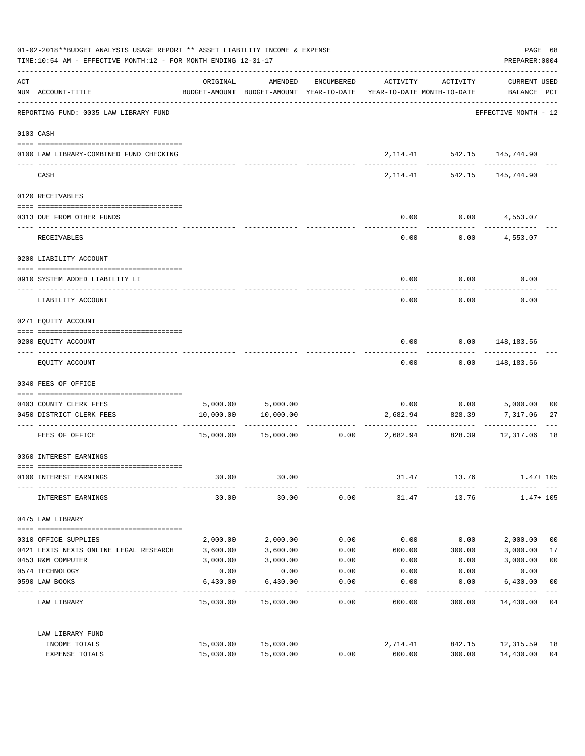| 01-02-2018**BUDGET ANALYSIS USAGE REPORT ** ASSET LIABILITY INCOME & EXPENSE<br>TIME:10:54 AM - EFFECTIVE MONTH:12 - FOR MONTH ENDING 12-31-17 |                                                             |           |                                                                                |            |              |                                       | PREPARER: 0004                             | PAGE 68        |
|------------------------------------------------------------------------------------------------------------------------------------------------|-------------------------------------------------------------|-----------|--------------------------------------------------------------------------------|------------|--------------|---------------------------------------|--------------------------------------------|----------------|
| ACT                                                                                                                                            | NUM ACCOUNT-TITLE<br>-------------------------------------- | ORIGINAL  | AMENDED<br>BUDGET-AMOUNT BUDGET-AMOUNT YEAR-TO-DATE YEAR-TO-DATE MONTH-TO-DATE | ENCUMBERED | ACTIVITY     | ACTIVITY                              | CURRENT USED<br>BALANCE PCT                |                |
|                                                                                                                                                | REPORTING FUND: 0035 LAW LIBRARY FUND                       |           |                                                                                |            |              |                                       | EFFECTIVE MONTH - 12                       |                |
|                                                                                                                                                | 0103 CASH                                                   |           |                                                                                |            |              |                                       |                                            |                |
|                                                                                                                                                | 0100 LAW LIBRARY-COMBINED FUND CHECKING                     |           |                                                                                |            |              | ------------                          | 2, 114.41 542.15 145, 744.90<br>---------  |                |
|                                                                                                                                                | CASH                                                        |           |                                                                                |            |              |                                       | 2, 114. 41 542. 15 145, 744. 90            |                |
|                                                                                                                                                | 0120 RECEIVABLES                                            |           |                                                                                |            |              |                                       |                                            |                |
|                                                                                                                                                | 0313 DUE FROM OTHER FUNDS                                   |           |                                                                                |            | 0.00         |                                       | $0.00$ 4,553.07                            |                |
|                                                                                                                                                | RECEIVABLES                                                 |           |                                                                                |            | 0.00         |                                       | $0.00$ 4,553.07                            |                |
|                                                                                                                                                | 0200 LIABILITY ACCOUNT                                      |           |                                                                                |            |              |                                       |                                            |                |
|                                                                                                                                                | 0910 SYSTEM ADDED LIABILITY LI                              |           |                                                                                |            | 0.00         | 0.00                                  | 0.00                                       |                |
|                                                                                                                                                | LIABILITY ACCOUNT                                           |           |                                                                                |            | 0.00         | 0.00                                  | 0.00                                       |                |
|                                                                                                                                                | 0271 EQUITY ACCOUNT                                         |           |                                                                                |            |              |                                       |                                            |                |
|                                                                                                                                                | 0200 EQUITY ACCOUNT                                         |           |                                                                                |            | 0.00         |                                       | 0.00 148,183.56                            |                |
|                                                                                                                                                | EQUITY ACCOUNT                                              |           |                                                                                |            |              | ---------                             | ------------<br>$0.00$ $0.00$ $148,183.56$ |                |
|                                                                                                                                                | 0340 FEES OF OFFICE                                         |           |                                                                                |            |              |                                       |                                            |                |
|                                                                                                                                                | 0403 COUNTY CLERK FEES                                      |           |                                                                                |            |              |                                       |                                            | 00             |
|                                                                                                                                                | 0450 DISTRICT CLERK FEES                                    | 10,000.00 | 5,000.00 5,000.00<br>10,000.00                                                 |            | 2,682.94     | 828.39                                | $0.00$ $0.00$ $5,000.00$<br>7,317.06       | 27             |
|                                                                                                                                                | --------------------- -------------<br>FEES OF OFFICE       |           | 15,000.00 15,000.00                                                            |            | ------------ | -----------<br>$0.00$ 2,682.94 828.39 | -----------<br>12,317.06                   | 18             |
|                                                                                                                                                | 0360 INTEREST EARNINGS                                      |           |                                                                                |            |              |                                       |                                            |                |
|                                                                                                                                                | 0100 INTEREST EARNINGS                                      | 30.00     | 30.00                                                                          |            | 31.47        | 13.76                                 | $1.47+105$                                 |                |
|                                                                                                                                                | INTEREST EARNINGS                                           | 30.00     | 30.00                                                                          | 0.00       | 31.47        | 13.76                                 | $1.47 + 105$                               |                |
|                                                                                                                                                | 0475 LAW LIBRARY                                            |           |                                                                                |            |              |                                       |                                            |                |
|                                                                                                                                                | 0310 OFFICE SUPPLIES                                        | 2,000.00  | 2,000.00                                                                       | 0.00       | 0.00         | 0.00                                  | 2,000.00                                   | 0 <sub>0</sub> |
|                                                                                                                                                | 0421 LEXIS NEXIS ONLINE LEGAL RESEARCH                      | 3,600.00  | 3,600.00                                                                       | 0.00       | 600.00       | 300.00                                | 3,000.00                                   | 17             |
|                                                                                                                                                | 0453 R&M COMPUTER                                           | 3,000.00  | 3,000.00                                                                       | 0.00       | 0.00         | 0.00                                  | 3,000.00                                   | 0 <sub>0</sub> |
|                                                                                                                                                | 0574 TECHNOLOGY                                             | 0.00      | 0.00                                                                           | 0.00       | 0.00         | 0.00                                  | 0.00                                       |                |
|                                                                                                                                                | 0590 LAW BOOKS                                              | 6,430.00  | 6,430.00                                                                       | 0.00       | 0.00         | 0.00                                  | 6,430.00                                   | 0 <sub>0</sub> |
|                                                                                                                                                | LAW LIBRARY                                                 |           | 15,030.00 15,030.00                                                            | 0.00       | 600.00       | 300.00                                | 14,430.00                                  | 04             |
|                                                                                                                                                | LAW LIBRARY FUND                                            |           |                                                                                |            |              |                                       |                                            |                |
|                                                                                                                                                | INCOME TOTALS                                               | 15,030.00 | 15,030.00                                                                      |            | 2,714.41     | 842.15                                | 12,315.59                                  | 18             |
|                                                                                                                                                | EXPENSE TOTALS                                              | 15,030.00 | 15,030.00                                                                      | 0.00       | 600.00       | 300.00                                | 14,430.00                                  | 04             |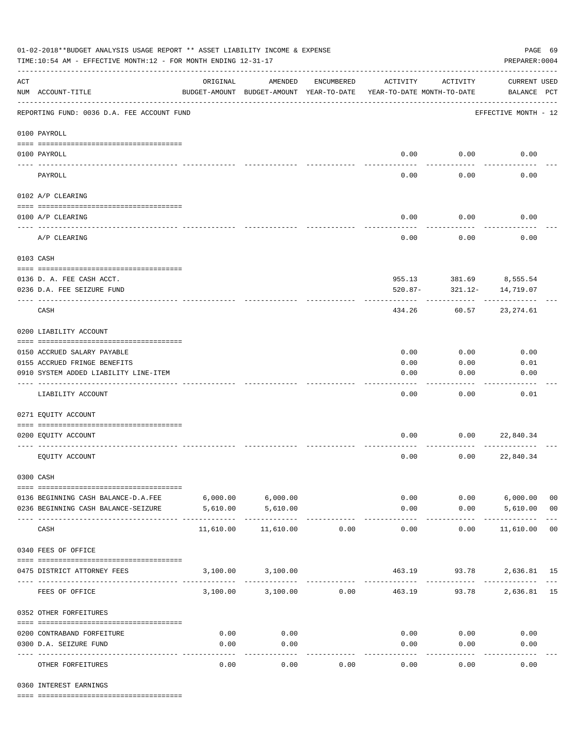| 01-02-2018**BUDGET ANALYSIS USAGE REPORT ** ASSET LIABILITY INCOME & EXPENSE<br>PAGE 69<br>TIME:10:54 AM - EFFECTIVE MONTH:12 - FOR MONTH ENDING 12-31-17<br>PREPARER: 0004 |                                                         |                       |                                                     |                    |               |                                        |                                     |                |
|-----------------------------------------------------------------------------------------------------------------------------------------------------------------------------|---------------------------------------------------------|-----------------------|-----------------------------------------------------|--------------------|---------------|----------------------------------------|-------------------------------------|----------------|
| $\mathop{\rm ACT}$                                                                                                                                                          | NUM ACCOUNT-TITLE                                       | ORIGINAL              | AMENDED<br>BUDGET-AMOUNT BUDGET-AMOUNT YEAR-TO-DATE | ENCUMBERED         | ACTIVITY      | ACTIVITY<br>YEAR-TO-DATE MONTH-TO-DATE | <b>CURRENT USED</b><br>BALANCE PCT  |                |
|                                                                                                                                                                             | REPORTING FUND: 0036 D.A. FEE ACCOUNT FUND              |                       |                                                     |                    |               |                                        | EFFECTIVE MONTH - 12                |                |
|                                                                                                                                                                             | 0100 PAYROLL                                            |                       |                                                     |                    |               |                                        |                                     |                |
|                                                                                                                                                                             | 0100 PAYROLL                                            |                       |                                                     |                    | 0.00          | 0.00                                   | 0.00                                |                |
|                                                                                                                                                                             | PAYROLL                                                 |                       |                                                     |                    | 0.00          | 0.00                                   | 0.00                                |                |
|                                                                                                                                                                             | 0102 A/P CLEARING                                       |                       |                                                     |                    |               |                                        |                                     |                |
|                                                                                                                                                                             | 0100 A/P CLEARING                                       |                       |                                                     |                    | 0.00          | 0.00                                   | 0.00                                |                |
|                                                                                                                                                                             | A/P CLEARING                                            |                       |                                                     |                    | 0.00          | 0.00                                   | 0.00                                |                |
| 0103 CASH                                                                                                                                                                   |                                                         |                       |                                                     |                    |               |                                        |                                     |                |
|                                                                                                                                                                             |                                                         |                       |                                                     |                    |               |                                        |                                     |                |
|                                                                                                                                                                             | 0136 D. A. FEE CASH ACCT.<br>0236 D.A. FEE SEIZURE FUND |                       |                                                     |                    | $520.87 -$    | 321.12-                                | 955.13 381.69 8,555.54<br>14,719.07 |                |
|                                                                                                                                                                             | CASH                                                    |                       |                                                     |                    | 434.26        | 60.57                                  | 23,274.61                           |                |
|                                                                                                                                                                             |                                                         |                       |                                                     |                    |               |                                        |                                     |                |
|                                                                                                                                                                             | 0200 LIABILITY ACCOUNT                                  |                       |                                                     |                    |               |                                        |                                     |                |
|                                                                                                                                                                             | 0150 ACCRUED SALARY PAYABLE                             |                       |                                                     |                    | 0.00          | 0.00                                   | 0.00                                |                |
|                                                                                                                                                                             | 0155 ACCRUED FRINGE BENEFITS                            |                       |                                                     |                    | 0.00          | 0.00                                   | 0.01                                |                |
|                                                                                                                                                                             | 0910 SYSTEM ADDED LIABILITY LINE-ITEM                   |                       |                                                     |                    | 0.00          | 0.00                                   | 0.00                                |                |
|                                                                                                                                                                             | LIABILITY ACCOUNT                                       |                       |                                                     |                    | 0.00          | 0.00                                   | 0.01                                |                |
|                                                                                                                                                                             | 0271 EQUITY ACCOUNT                                     |                       |                                                     |                    |               |                                        |                                     |                |
|                                                                                                                                                                             | 0200 EQUITY ACCOUNT                                     |                       |                                                     |                    | 0.00          | 0.00                                   | 22,840.34                           |                |
|                                                                                                                                                                             | EQUITY ACCOUNT                                          |                       |                                                     |                    | 0.00          | 0.00                                   | 22,840.34                           |                |
| 0300 CASH                                                                                                                                                                   |                                                         |                       |                                                     |                    |               |                                        |                                     |                |
|                                                                                                                                                                             | 0136 BEGINNING CASH BALANCE-D.A.FEE                     | $6,000.00$ $6,000.00$ |                                                     |                    |               | 0.00                                   | $0.00$ 6,000.00                     | 0 <sub>0</sub> |
|                                                                                                                                                                             | 0236 BEGINNING CASH BALANCE-SEIZURE                     | 5,610.00              | 5,610.00                                            |                    | 0.00          |                                        | $0.00$ 5,610.00                     | 00             |
|                                                                                                                                                                             | -------------------------- -----------<br>CASH          | 11,610.00             | -------------<br>11,610.00                          | 0.00               | .<br>0.00     | 0.00                                   | ------------<br>11,610.00 00        |                |
|                                                                                                                                                                             | 0340 FEES OF OFFICE                                     |                       |                                                     |                    |               |                                        |                                     |                |
|                                                                                                                                                                             | 0475 DISTRICT ATTORNEY FEES                             |                       | 3,100.00 3,100.00                                   |                    |               |                                        | 463.19 93.78 2,636.81 15            |                |
|                                                                                                                                                                             | FEES OF OFFICE                                          |                       | 3,100.00 3,100.00                                   | ----------<br>0.00 | 463.19        |                                        | 93.78 2,636.81 15                   |                |
|                                                                                                                                                                             | 0352 OTHER FORFEITURES                                  |                       |                                                     |                    |               |                                        |                                     |                |
|                                                                                                                                                                             | 0200 CONTRABAND FORFEITURE                              | 0.00                  | 0.00                                                |                    | 0.00          | 0.00                                   | 0.00                                |                |
|                                                                                                                                                                             | 0300 D.A. SEIZURE FUND                                  | 0.00                  | 0.00                                                |                    | 0.00          | 0.00                                   | 0.00                                |                |
|                                                                                                                                                                             | OTHER FORFEITURES                                       | 0.00                  | ----------<br>0.00                                  | 0.00               | -----<br>0.00 | -----<br>0.00                          | ----------<br>0.00                  |                |

0360 INTEREST EARNINGS

==== ===================================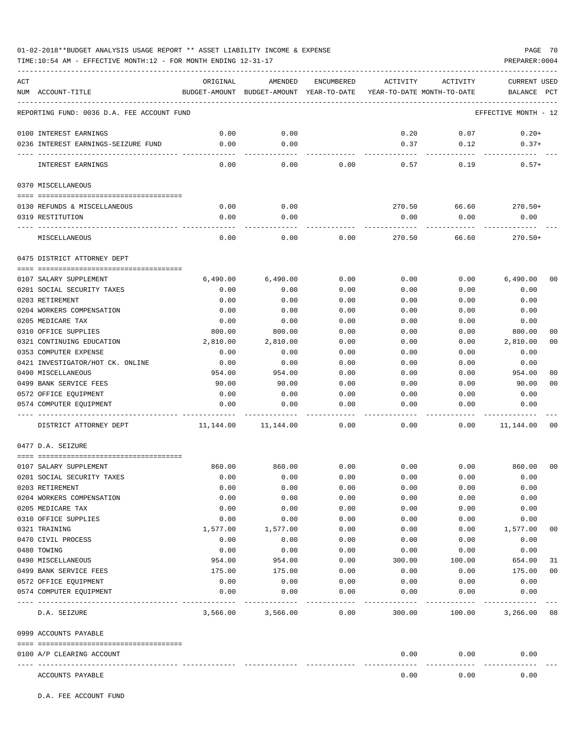TIME:10:54 AM - EFFECTIVE MONTH:12 - FOR MONTH ENDING 12-31-17

| ACT |                                            | ORIGINAL  | AMENDED                                                             | ENCUMBERED | ACTIVITY | ACTIVITY  | <b>CURRENT USED</b>  |                |
|-----|--------------------------------------------|-----------|---------------------------------------------------------------------|------------|----------|-----------|----------------------|----------------|
|     | NUM ACCOUNT-TITLE                          |           | BUDGET-AMOUNT BUDGET-AMOUNT YEAR-TO-DATE YEAR-TO-DATE MONTH-TO-DATE |            |          |           | BALANCE PCT          |                |
|     | REPORTING FUND: 0036 D.A. FEE ACCOUNT FUND |           |                                                                     |            |          |           | EFFECTIVE MONTH - 12 |                |
|     | 0100 INTEREST EARNINGS                     | 0.00      | 0.00                                                                |            | 0.20     | 0.07      | $0.20+$              |                |
|     | 0236 INTEREST EARNINGS-SEIZURE FUND        | 0.00      | 0.00                                                                |            | 0.37     | 0.12      | $0.37+$              |                |
|     |                                            | -----     | $--- - -$                                                           |            |          | --------- |                      |                |
|     | INTEREST EARNINGS                          | 0.00      | 0.00                                                                | 0.00       | 0.57     | 0.19      | $0.57+$              |                |
|     | 0370 MISCELLANEOUS                         |           |                                                                     |            |          |           |                      |                |
|     |                                            |           |                                                                     |            |          |           |                      |                |
|     | 0130 REFUNDS & MISCELLANEOUS               | 0.00      | 0.00                                                                |            | 270.50   | 66.60     | $270.50+$            |                |
|     | 0319 RESTITUTION                           | 0.00      | 0.00                                                                |            | 0.00     | 0.00      | 0.00                 |                |
|     | MISCELLANEOUS                              | 0.00      | 0.00                                                                | 0.00       | 270.50   | 66.60     | $270.50+$            |                |
|     | 0475 DISTRICT ATTORNEY DEPT                |           |                                                                     |            |          |           |                      |                |
|     |                                            |           |                                                                     |            |          |           |                      |                |
|     | 0107 SALARY SUPPLEMENT                     | 6,490.00  | 6,490.00                                                            | 0.00       | 0.00     | 0.00      | 6,490.00             | 0 <sub>0</sub> |
|     | 0201 SOCIAL SECURITY TAXES                 | 0.00      | 0.00                                                                | 0.00       | 0.00     | 0.00      | 0.00                 |                |
|     | 0203 RETIREMENT                            | 0.00      | 0.00                                                                | 0.00       | 0.00     | 0.00      | 0.00                 |                |
|     | 0204 WORKERS COMPENSATION                  | 0.00      | 0.00                                                                | 0.00       | 0.00     | 0.00      | 0.00                 |                |
|     | 0205 MEDICARE TAX                          | 0.00      | 0.00                                                                | 0.00       | 0.00     | 0.00      | 0.00                 |                |
|     | 0310 OFFICE SUPPLIES                       | 800.00    | 800.00                                                              | 0.00       | 0.00     | 0.00      | 800.00               | 00             |
|     | 0321 CONTINUING EDUCATION                  | 2,810.00  | 2,810.00                                                            | 0.00       | 0.00     | 0.00      | 2,810.00             | 0 <sub>0</sub> |
|     | 0353 COMPUTER EXPENSE                      | 0.00      | 0.00                                                                | 0.00       | 0.00     | 0.00      | 0.00                 |                |
|     | 0421 INVESTIGATOR/HOT CK. ONLINE           | 0.00      | 0.00                                                                | 0.00       | 0.00     | 0.00      | 0.00                 |                |
|     | 0490 MISCELLANEOUS                         | 954.00    | 954.00                                                              | 0.00       | 0.00     | 0.00      | 954.00               | 0 <sub>0</sub> |
|     | 0499 BANK SERVICE FEES                     | 90.00     | 90.00                                                               | 0.00       | 0.00     | 0.00      | 90.00                | 0 <sub>0</sub> |
|     | 0572 OFFICE EQUIPMENT                      | 0.00      | 0.00                                                                | 0.00       | 0.00     | 0.00      | 0.00                 |                |
|     | 0574 COMPUTER EQUIPMENT                    | 0.00      | 0.00                                                                | 0.00       | 0.00     | 0.00      | 0.00                 |                |
|     | DISTRICT ATTORNEY DEPT                     | 11,144.00 | 11,144.00                                                           | 0.00       | 0.00     | 0.00      | 11,144.00            | 0 <sub>0</sub> |
|     | 0477 D.A. SEIZURE                          |           |                                                                     |            |          |           |                      |                |
|     |                                            |           |                                                                     |            |          |           |                      |                |
|     | 0107 SALARY SUPPLEMENT                     | 860.00    | 860.00                                                              | 0.00       | 0.00     | 0.00      | 860.00               | 00             |
|     | 0201 SOCIAL SECURITY TAXES                 | 0.00      | 0.00                                                                | 0.00       | 0.00     | 0.00      | 0.00                 |                |
|     | 0203 RETIREMENT                            | 0.00      | 0.00                                                                | 0.00       | 0.00     | 0.00      | 0.00                 |                |
|     | 0204 WORKERS COMPENSATION                  | 0.00      | 0.00                                                                | 0.00       | 0.00     | 0.00      | 0.00                 |                |
|     | 0205 MEDICARE TAX                          | 0.00      | 0.00                                                                | 0.00       | 0.00     | 0.00      | 0.00                 |                |
|     | 0310 OFFICE SUPPLIES                       | 0.00      | 0.00                                                                | 0.00       | 0.00     | 0.00      | 0.00                 |                |
|     | 0321 TRAINING                              | 1,577.00  | 1,577.00                                                            | 0.00       | 0.00     | 0.00      | 1,577.00             | 00             |
|     | 0470 CIVIL PROCESS                         | 0.00      | 0.00                                                                | 0.00       | 0.00     | 0.00      | 0.00                 |                |
|     | 0480 TOWING                                | 0.00      | 0.00                                                                | 0.00       | 0.00     | 0.00      | 0.00                 |                |
|     | 0490 MISCELLANEOUS                         | 954.00    | 954.00                                                              | 0.00       | 300.00   | 100.00    | 654.00               | 31             |
|     | 0499 BANK SERVICE FEES                     | 175.00    | 175.00                                                              | 0.00       | 0.00     | 0.00      | 175.00               | 0 <sub>0</sub> |
|     | 0572 OFFICE EQUIPMENT                      | 0.00      | 0.00                                                                | 0.00       | 0.00     | 0.00      | 0.00                 |                |
|     | 0574 COMPUTER EQUIPMENT                    | 0.00      | 0.00                                                                | 0.00       | 0.00     | 0.00      | 0.00                 |                |
|     | D.A. SEIZURE                               | 3,566.00  | 3,566.00                                                            | 0.00       | 300.00   | 100.00    | 3,266.00             | 08             |
|     |                                            |           |                                                                     |            |          |           |                      |                |
|     | 0999 ACCOUNTS PAYABLE                      |           |                                                                     |            |          |           |                      |                |
|     | 0100 A/P CLEARING ACCOUNT                  |           |                                                                     |            | 0.00     | 0.00      | 0.00                 |                |
|     | ACCOUNTS PAYABLE                           |           |                                                                     |            | 0.00     | 0.00      | 0.00                 |                |

D.A. FEE ACCOUNT FUND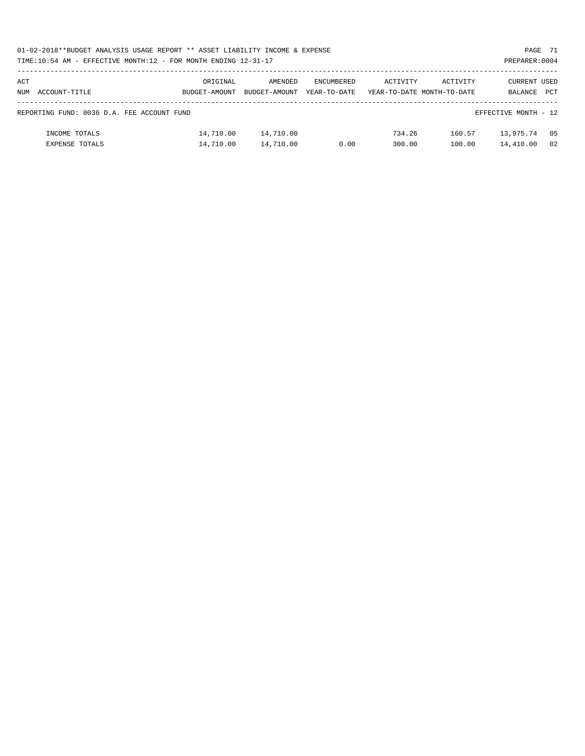| 01-02-2018**BUDGET ANALYSIS USAGE REPORT ** ASSET LIABILITY INCOME & EXPENSE | PAGE 71        |
|------------------------------------------------------------------------------|----------------|
| TIME:10:54 AM - EFFECTIVE MONTH:12 - FOR MONTH ENDING 12-31-17               | PREPARER: 0004 |

| ACT                                                                |                | ORIGINAL      | AMENDED       | ENCUMBERED   | ACTIVITY | ACTIVITY                   | CURRENT USED |            |
|--------------------------------------------------------------------|----------------|---------------|---------------|--------------|----------|----------------------------|--------------|------------|
| NUM                                                                | ACCOUNT-TITLE  | BUDGET-AMOUNT | BUDGET-AMOUNT | YEAR-TO-DATE |          | YEAR-TO-DATE MONTH-TO-DATE | BALANCE      | <b>PCT</b> |
|                                                                    |                |               |               |              |          |                            |              |            |
| EFFECTIVE MONTH - 12<br>REPORTING FUND: 0036 D.A. FEE ACCOUNT FUND |                |               |               |              |          |                            |              |            |
|                                                                    |                |               |               |              |          |                            |              |            |
|                                                                    | INCOME TOTALS  | 14,710.00     | 14,710.00     |              | 734.26   | 160.57                     | 13,975.74    | 05         |
|                                                                    | EXPENSE TOTALS | 14,710.00     | 14,710.00     | 0.00         | 300.00   | 100.00                     | 14,410.00    | 02         |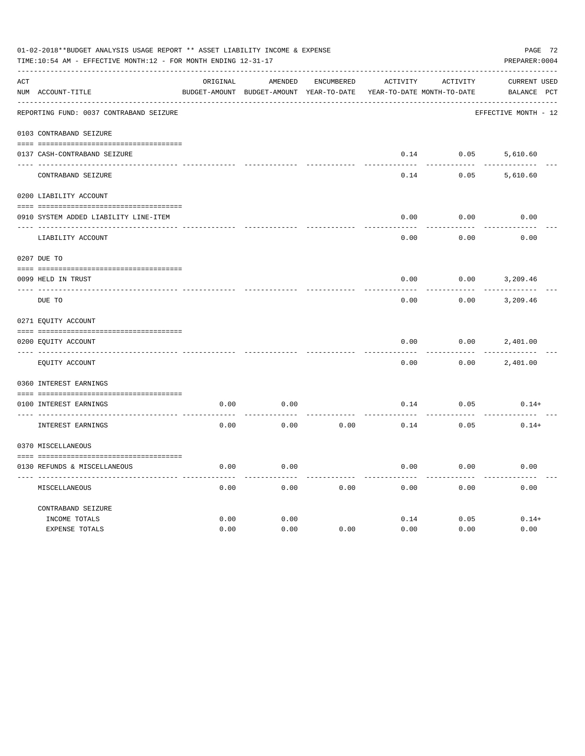|                 | 01-02-2018**BUDGET ANALYSIS USAGE REPORT ** ASSET LIABILITY INCOME & EXPENSE<br>TIME:10:54 AM - EFFECTIVE MONTH:12 - FOR MONTH ENDING 12-31-17<br>PREPARER: 0004 |              |                                          |                   |              |                            |                      |  |  |  |  |
|-----------------|------------------------------------------------------------------------------------------------------------------------------------------------------------------|--------------|------------------------------------------|-------------------|--------------|----------------------------|----------------------|--|--|--|--|
| ACT             |                                                                                                                                                                  | ORIGINAL     | AMENDED                                  | <b>ENCUMBERED</b> | ACTIVITY     | ACTIVITY                   | CURRENT USED         |  |  |  |  |
|                 | NUM ACCOUNT-TITLE                                                                                                                                                |              | BUDGET-AMOUNT BUDGET-AMOUNT YEAR-TO-DATE |                   |              | YEAR-TO-DATE MONTH-TO-DATE | BALANCE PCT          |  |  |  |  |
|                 | REPORTING FUND: 0037 CONTRABAND SEIZURE                                                                                                                          |              |                                          |                   |              |                            | EFFECTIVE MONTH - 12 |  |  |  |  |
|                 | 0103 CONTRABAND SEIZURE                                                                                                                                          |              |                                          |                   |              |                            |                      |  |  |  |  |
|                 | 0137 CASH-CONTRABAND SEIZURE                                                                                                                                     |              |                                          |                   | 0.14         | 0.05                       | 5,610.60             |  |  |  |  |
|                 | CONTRABAND SEIZURE                                                                                                                                               |              |                                          |                   | 0.14         | 0.05                       | 5,610.60             |  |  |  |  |
|                 | 0200 LIABILITY ACCOUNT                                                                                                                                           |              |                                          |                   |              |                            |                      |  |  |  |  |
|                 | 0910 SYSTEM ADDED LIABILITY LINE-ITEM                                                                                                                            |              |                                          |                   | 0.00         | 0.00                       | 0.00                 |  |  |  |  |
|                 | LIABILITY ACCOUNT                                                                                                                                                |              |                                          |                   | 0.00         | 0.00                       | 0.00                 |  |  |  |  |
|                 | 0207 DUE TO                                                                                                                                                      |              |                                          |                   |              |                            |                      |  |  |  |  |
|                 | 0099 HELD IN TRUST                                                                                                                                               |              |                                          |                   | 0.00         | 0.00                       | 3,209.46             |  |  |  |  |
| $- - - - - - -$ | DUE TO                                                                                                                                                           |              |                                          |                   | 0.00         | 0.00                       | 3,209.46             |  |  |  |  |
|                 | 0271 EQUITY ACCOUNT                                                                                                                                              |              |                                          |                   |              |                            |                      |  |  |  |  |
|                 | 0200 EQUITY ACCOUNT                                                                                                                                              |              |                                          |                   | 0.00         | 0.00                       | 2,401.00             |  |  |  |  |
|                 | EQUITY ACCOUNT                                                                                                                                                   |              |                                          |                   | 0.00         | 0.00                       | 2,401.00             |  |  |  |  |
|                 | 0360 INTEREST EARNINGS                                                                                                                                           |              |                                          |                   |              |                            |                      |  |  |  |  |
|                 | 0100 INTEREST EARNINGS                                                                                                                                           | 0.00         | 0.00                                     |                   | 0.14         | 0.05                       | $0.14+$              |  |  |  |  |
|                 | INTEREST EARNINGS                                                                                                                                                | 0.00         | 0.00                                     | 0.00              | 0.14         | 0.05                       | $0.14+$              |  |  |  |  |
|                 | 0370 MISCELLANEOUS                                                                                                                                               |              |                                          |                   |              |                            |                      |  |  |  |  |
|                 | 0130 REFUNDS & MISCELLANEOUS                                                                                                                                     | 0.00         | 0.00                                     |                   | 0.00         | 0.00                       | 0.00                 |  |  |  |  |
|                 | MISCELLANEOUS                                                                                                                                                    | 0.00         | 0.00                                     | 0.00              | 0.00         | 0.00                       | 0.00                 |  |  |  |  |
|                 | CONTRABAND SEIZURE                                                                                                                                               |              |                                          |                   |              |                            |                      |  |  |  |  |
|                 | INCOME TOTALS<br>EXPENSE TOTALS                                                                                                                                  | 0.00<br>0.00 | 0.00<br>0.00                             | 0.00              | 0.14<br>0.00 | 0.05<br>0.00               | $0.14+$<br>0.00      |  |  |  |  |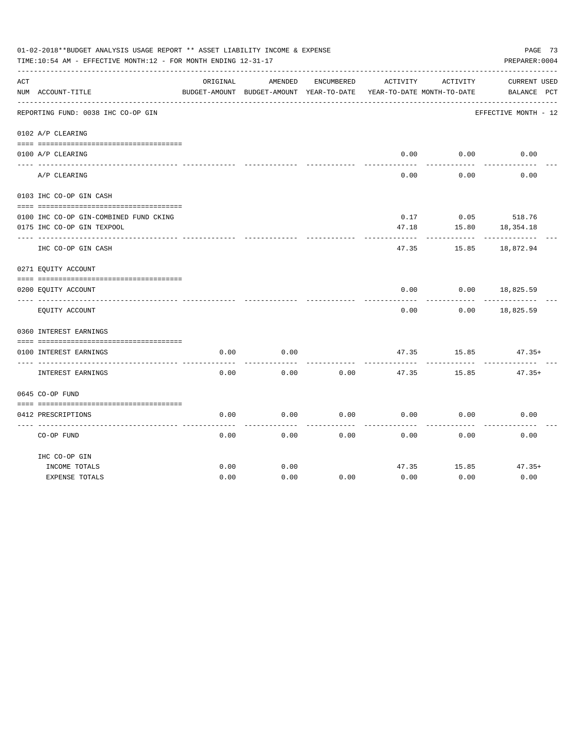|     | 01-02-2018**BUDGET ANALYSIS USAGE REPORT ** ASSET LIABILITY INCOME & EXPENSE<br>TIME:10:54 AM - EFFECTIVE MONTH:12 - FOR MONTH ENDING 12-31-17 |          |                                                     |            |          |                                        | PAGE 73<br>PREPARER: 0004          |
|-----|------------------------------------------------------------------------------------------------------------------------------------------------|----------|-----------------------------------------------------|------------|----------|----------------------------------------|------------------------------------|
| ACT | NUM ACCOUNT-TITLE                                                                                                                              | ORIGINAL | AMENDED<br>BUDGET-AMOUNT BUDGET-AMOUNT YEAR-TO-DATE | ENCUMBERED | ACTIVITY | ACTIVITY<br>YEAR-TO-DATE MONTH-TO-DATE | <b>CURRENT USED</b><br>BALANCE PCT |
|     | REPORTING FUND: 0038 IHC CO-OP GIN                                                                                                             |          |                                                     |            |          |                                        | EFFECTIVE MONTH - 12               |
|     | 0102 A/P CLEARING                                                                                                                              |          |                                                     |            |          |                                        |                                    |
|     |                                                                                                                                                |          |                                                     |            |          |                                        |                                    |
|     | 0100 A/P CLEARING                                                                                                                              |          |                                                     |            | 0.00     | 0.00                                   | 0.00                               |
|     | A/P CLEARING                                                                                                                                   |          |                                                     |            | 0.00     | 0.00                                   | 0.00                               |
|     | 0103 IHC CO-OP GIN CASH                                                                                                                        |          |                                                     |            |          |                                        |                                    |
|     | 0100 IHC CO-OP GIN-COMBINED FUND CKING                                                                                                         |          |                                                     |            | 0.17     |                                        | $0.05$ 518.76                      |
|     | 0175 IHC CO-OP GIN TEXPOOL                                                                                                                     |          |                                                     |            | 47.18    | 15.80                                  | 18,354.18                          |
|     | IHC CO-OP GIN CASH                                                                                                                             |          |                                                     |            | 47.35    | 15.85                                  | 18,872.94                          |
|     | 0271 EQUITY ACCOUNT                                                                                                                            |          |                                                     |            |          |                                        |                                    |
|     | 0200 EQUITY ACCOUNT                                                                                                                            |          |                                                     |            | 0.00     | 0.00                                   | 18,825.59                          |
|     | EQUITY ACCOUNT                                                                                                                                 |          |                                                     |            | 0.00     | 0.00                                   | 18,825.59                          |
|     | 0360 INTEREST EARNINGS                                                                                                                         |          |                                                     |            |          |                                        |                                    |
|     |                                                                                                                                                |          |                                                     |            |          |                                        |                                    |
|     | 0100 INTEREST EARNINGS                                                                                                                         | 0.00     | 0.00                                                |            | 47.35    | 15.85                                  | $47.35+$                           |
|     | INTEREST EARNINGS                                                                                                                              | 0.00     | 0.00                                                | 0.00       | 47.35    | 15.85                                  | $47.35+$                           |
|     | 0645 CO-OP FUND                                                                                                                                |          |                                                     |            |          |                                        |                                    |
|     |                                                                                                                                                |          |                                                     |            |          |                                        |                                    |
|     | 0412 PRESCRIPTIONS                                                                                                                             | 0.00     | 0.00                                                | 0.00       | 0.00     | 0.00                                   | 0.00                               |
|     | CO-OP FUND                                                                                                                                     | 0.00     | 0.00                                                | 0.00       | 0.00     | 0.00                                   | 0.00                               |
|     | IHC CO-OP GIN                                                                                                                                  |          |                                                     |            |          |                                        |                                    |
|     | INCOME TOTALS                                                                                                                                  | 0.00     | 0.00                                                |            | 47.35    | 15.85                                  | $47.35+$                           |
|     | <b>EXPENSE TOTALS</b>                                                                                                                          | 0.00     | 0.00                                                | 0.00       | 0.00     | 0.00                                   | 0.00                               |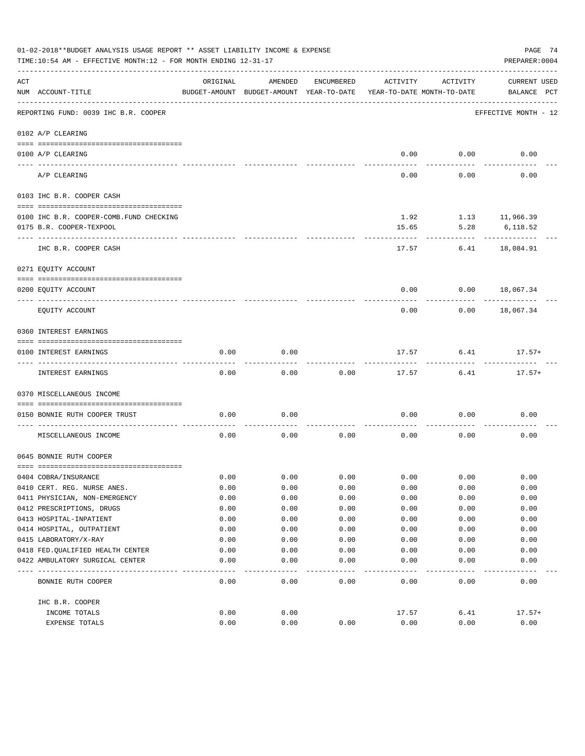|     | 01-02-2018**BUDGET ANALYSIS USAGE REPORT ** ASSET LIABILITY INCOME & EXPENSE<br>TIME:10:54 AM - EFFECTIVE MONTH:12 - FOR MONTH ENDING 12-31-17 |              |                                                     |              |                                        |                           | PAGE 74<br>PREPARER: 0004          |
|-----|------------------------------------------------------------------------------------------------------------------------------------------------|--------------|-----------------------------------------------------|--------------|----------------------------------------|---------------------------|------------------------------------|
| ACT | NUM ACCOUNT-TITLE                                                                                                                              | ORIGINAL     | AMENDED<br>BUDGET-AMOUNT BUDGET-AMOUNT YEAR-TO-DATE | ENCUMBERED   | ACTIVITY<br>YEAR-TO-DATE MONTH-TO-DATE | ACTIVITY                  | <b>CURRENT USED</b><br>BALANCE PCT |
|     | REPORTING FUND: 0039 IHC B.R. COOPER                                                                                                           |              |                                                     |              |                                        |                           | EFFECTIVE MONTH - 12               |
|     | 0102 A/P CLEARING                                                                                                                              |              |                                                     |              |                                        |                           |                                    |
|     |                                                                                                                                                |              |                                                     |              |                                        |                           |                                    |
|     | 0100 A/P CLEARING<br>---- --------                                                                                                             |              |                                                     |              | 0.00                                   | 0.00                      | 0.00                               |
|     | A/P CLEARING                                                                                                                                   |              |                                                     |              | 0.00                                   | 0.00                      | 0.00                               |
|     | 0103 IHC B.R. COOPER CASH                                                                                                                      |              |                                                     |              |                                        |                           |                                    |
|     | 0100 IHC B.R. COOPER-COMB.FUND CHECKING                                                                                                        |              |                                                     |              |                                        | $1.92$ $1.13$ $11,966.39$ |                                    |
|     | 0175 B.R. COOPER-TEXPOOL                                                                                                                       |              |                                                     |              | 15.65                                  | 5.28                      | 6,118.52                           |
|     |                                                                                                                                                |              |                                                     |              |                                        |                           |                                    |
|     | IHC B.R. COOPER CASH                                                                                                                           |              |                                                     |              | 17.57                                  | 6.41                      | 18,084.91                          |
|     | 0271 EQUITY ACCOUNT                                                                                                                            |              |                                                     |              |                                        |                           |                                    |
|     | 0200 EQUITY ACCOUNT                                                                                                                            |              |                                                     |              | 0.00                                   | 0.00                      | 18,067.34                          |
|     |                                                                                                                                                |              |                                                     |              |                                        |                           |                                    |
|     | EQUITY ACCOUNT                                                                                                                                 |              |                                                     |              | 0.00                                   | 0.00                      | 18,067.34                          |
|     | 0360 INTEREST EARNINGS                                                                                                                         |              |                                                     |              |                                        |                           |                                    |
|     |                                                                                                                                                |              |                                                     |              |                                        |                           |                                    |
|     | 0100 INTEREST EARNINGS                                                                                                                         | 0.00         | 0.00                                                |              | 17.57                                  | 6.41                      | $17.57+$                           |
|     | INTEREST EARNINGS                                                                                                                              | 0.00         | 0.00                                                | 0.00         | 17.57                                  | 6.41                      | $17.57+$                           |
|     | 0370 MISCELLANEOUS INCOME                                                                                                                      |              |                                                     |              |                                        |                           |                                    |
|     | 0150 BONNIE RUTH COOPER TRUST                                                                                                                  | 0.00         | 0.00                                                |              | 0.00                                   | 0.00                      | 0.00                               |
|     | MISCELLANEOUS INCOME                                                                                                                           | 0.00         | 0.00                                                | 0.00         | 0.00                                   | 0.00                      | 0.00                               |
|     | 0645 BONNIE RUTH COOPER                                                                                                                        |              |                                                     |              |                                        |                           |                                    |
|     |                                                                                                                                                |              |                                                     |              |                                        |                           |                                    |
|     | 0404 COBRA/INSURANCE                                                                                                                           | 0.00         | 0.00                                                | 0.00         | 0.00                                   | 0.00                      | 0.00                               |
|     | 0410 CERT. REG. NURSE ANES.                                                                                                                    | 0.00         | 0.00                                                | 0.00         | 0.00                                   | 0.00                      | 0.00                               |
|     | 0411 PHYSICIAN, NON-EMERGENCY                                                                                                                  | 0.00         | 0.00                                                | 0.00         | 0.00                                   | 0.00                      | 0.00                               |
|     | 0412 PRESCRIPTIONS, DRUGS                                                                                                                      | 0.00         | 0.00                                                | 0.00         | 0.00                                   | 0.00                      | 0.00                               |
|     | 0413 HOSPITAL-INPATIENT                                                                                                                        | 0.00         | 0.00                                                | 0.00         | 0.00                                   | 0.00                      | 0.00                               |
|     | 0414 HOSPITAL, OUTPATIENT                                                                                                                      | 0.00         | 0.00                                                | 0.00         | 0.00                                   | 0.00                      | 0.00                               |
|     | 0415 LABORATORY/X-RAY<br>0418 FED. QUALIFIED HEALTH CENTER                                                                                     | 0.00<br>0.00 | 0.00<br>0.00                                        | 0.00<br>0.00 | 0.00<br>0.00                           | 0.00<br>0.00              | 0.00<br>0.00                       |
|     | 0422 AMBULATORY SURGICAL CENTER                                                                                                                | 0.00         | 0.00                                                | 0.00         | 0.00                                   | 0.00                      | 0.00                               |
|     |                                                                                                                                                |              |                                                     | ----         |                                        |                           |                                    |
|     | BONNIE RUTH COOPER                                                                                                                             | 0.00         | 0.00                                                | 0.00         | 0.00                                   | 0.00                      | 0.00                               |
|     | IHC B.R. COOPER                                                                                                                                |              |                                                     |              |                                        |                           |                                    |
|     | INCOME TOTALS                                                                                                                                  | 0.00         | 0.00                                                |              | 17.57                                  | 6.41                      | $17.57+$                           |
|     | EXPENSE TOTALS                                                                                                                                 | 0.00         | 0.00                                                | 0.00         | 0.00                                   | 0.00                      | 0.00                               |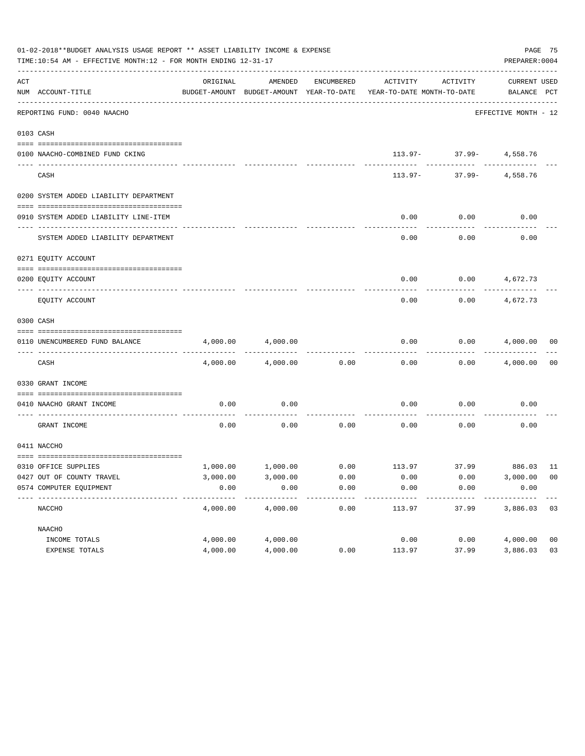|     | 01-02-2018**BUDGET ANALYSIS USAGE REPORT ** ASSET LIABILITY INCOME & EXPENSE<br>TIME:10:54 AM - EFFECTIVE MONTH:12 - FOR MONTH ENDING 12-31-17 |          |          |            |                                                                     |                                             | PREPARER: 0004              | PAGE 75        |
|-----|------------------------------------------------------------------------------------------------------------------------------------------------|----------|----------|------------|---------------------------------------------------------------------|---------------------------------------------|-----------------------------|----------------|
| ACT | NUM ACCOUNT-TITLE                                                                                                                              | ORIGINAL | AMENDED  | ENCUMBERED | BUDGET-AMOUNT BUDGET-AMOUNT YEAR-TO-DATE YEAR-TO-DATE MONTH-TO-DATE | ACTIVITY ACTIVITY                           | CURRENT USED<br>BALANCE PCT |                |
|     | REPORTING FUND: 0040 NAACHO                                                                                                                    |          |          |            |                                                                     |                                             | EFFECTIVE MONTH - 12        |                |
|     | 0103 CASH                                                                                                                                      |          |          |            |                                                                     |                                             |                             |                |
|     | 0100 NAACHO-COMBINED FUND CKING                                                                                                                |          |          |            |                                                                     | $113.97 - 37.99 - 4,558.76$                 |                             |                |
|     | CASH                                                                                                                                           |          |          |            |                                                                     | . <u>.</u> .<br>$113.97 - 37.99 - 4,558.76$ |                             |                |
|     | 0200 SYSTEM ADDED LIABILITY DEPARTMENT                                                                                                         |          |          |            |                                                                     |                                             |                             |                |
|     | 0910 SYSTEM ADDED LIABILITY LINE-ITEM                                                                                                          |          |          |            | 0.00                                                                | 0.00                                        | 0.00                        |                |
|     | SYSTEM ADDED LIABILITY DEPARTMENT                                                                                                              |          |          |            | 0.00                                                                | 0.00                                        | 0.00                        |                |
|     | 0271 EOUITY ACCOUNT                                                                                                                            |          |          |            |                                                                     |                                             |                             |                |
|     | 0200 EQUITY ACCOUNT                                                                                                                            |          |          |            |                                                                     | $0.00$ $0.00$ $4,672.73$                    |                             |                |
|     | EQUITY ACCOUNT                                                                                                                                 |          |          |            | 0.00                                                                | 0.00                                        | 4,672.73                    |                |
|     | 0300 CASH                                                                                                                                      |          |          |            |                                                                     |                                             |                             |                |
|     | 0110 UNENCUMBERED FUND BALANCE                                                                                                                 | 4,000.00 | 4,000.00 |            | 0.00                                                                |                                             | $0.00$ $4,000.00$ 00        |                |
|     | CASH                                                                                                                                           | 4,000.00 | 4,000.00 | 0.00       | 0.00                                                                |                                             | $0.00$ 4,000.00             | 0 <sub>0</sub> |
|     | 0330 GRANT INCOME                                                                                                                              |          |          |            |                                                                     |                                             |                             |                |
|     | 0410 NAACHO GRANT INCOME                                                                                                                       | 0.00     | 0.00     |            | 0.00                                                                | 0.00                                        | 0.00                        |                |
|     | GRANT INCOME                                                                                                                                   | 0.00     | 0.00     |            | $0.00$ 0.00                                                         | 0.00                                        | 0.00                        |                |
|     | 0411 NACCHO                                                                                                                                    |          |          |            |                                                                     |                                             |                             |                |
|     | 0310 OFFICE SUPPLIES                                                                                                                           |          |          |            | $1,000.00$ $1,000.00$ $0.00$ $113.97$ $37.99$ $886.03$ $11$         |                                             |                             |                |
|     | 0427 OUT OF COUNTY TRAVEL                                                                                                                      | 3,000.00 | 3,000.00 | 0.00       | 0.00                                                                | 0.00                                        | 3,000.00 00                 |                |
|     | 0574 COMPUTER EQUIPMENT                                                                                                                        | 0.00     | 0.00     | 0.00       | 0.00                                                                | 0.00                                        | 0.00                        |                |
|     | NACCHO                                                                                                                                         | 4,000.00 | 4,000.00 | 0.00       | 113.97                                                              | 37.99                                       | 3,886.03                    | 03             |
|     | NAACHO                                                                                                                                         |          |          |            |                                                                     |                                             |                             |                |
|     | INCOME TOTALS                                                                                                                                  | 4,000.00 | 4,000.00 |            | 0.00                                                                | 0.00                                        | 4,000.00                    | 0 <sub>0</sub> |
|     | EXPENSE TOTALS                                                                                                                                 | 4,000.00 | 4,000.00 | 0.00       | 113.97                                                              | 37.99                                       | 3,886.03                    | 03             |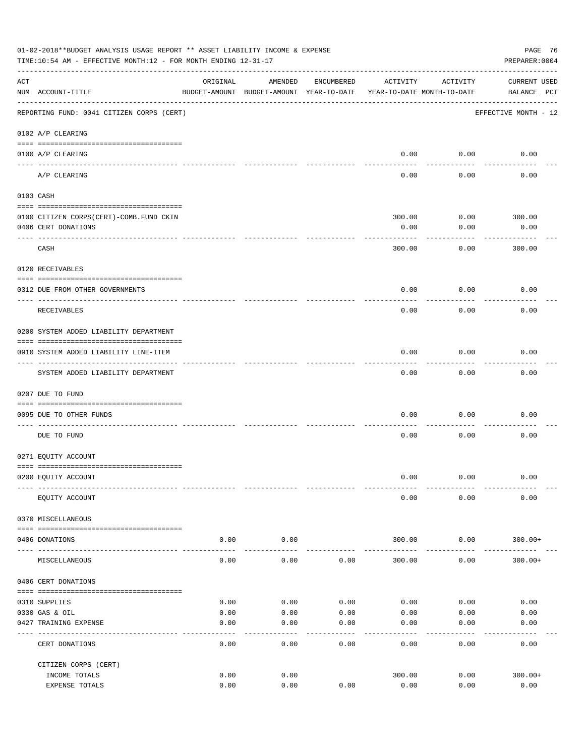|     | 01-02-2018**BUDGET ANALYSIS USAGE REPORT ** ASSET LIABILITY INCOME & EXPENSE<br>TIME:10:54 AM - EFFECTIVE MONTH:12 - FOR MONTH ENDING 12-31-17 |              |                                                     |              |                                        |                       | PAGE 76<br>PREPARER: 0004   |
|-----|------------------------------------------------------------------------------------------------------------------------------------------------|--------------|-----------------------------------------------------|--------------|----------------------------------------|-----------------------|-----------------------------|
| ACT | NUM ACCOUNT-TITLE                                                                                                                              | ORIGINAL     | AMENDED<br>BUDGET-AMOUNT BUDGET-AMOUNT YEAR-TO-DATE | ENCUMBERED   | ACTIVITY<br>YEAR-TO-DATE MONTH-TO-DATE | ACTIVITY              | CURRENT USED<br>BALANCE PCT |
|     | REPORTING FUND: 0041 CITIZEN CORPS (CERT)                                                                                                      |              |                                                     |              |                                        |                       | EFFECTIVE MONTH - 12        |
|     | 0102 A/P CLEARING                                                                                                                              |              |                                                     |              |                                        |                       |                             |
|     | 0100 A/P CLEARING                                                                                                                              |              |                                                     |              | 0.00                                   | 0.00                  | 0.00                        |
|     | A/P CLEARING                                                                                                                                   |              |                                                     |              | $- - - -$<br>0.00                      | --------<br>0.00      | 0.00                        |
|     | 0103 CASH                                                                                                                                      |              |                                                     |              |                                        |                       |                             |
|     |                                                                                                                                                |              |                                                     |              |                                        |                       |                             |
|     | 0100 CITIZEN CORPS (CERT) - COMB. FUND CKIN<br>0406 CERT DONATIONS                                                                             |              |                                                     |              | 300.00<br>0.00                         | $0.00$ 300.00<br>0.00 | 0.00                        |
|     | CASH                                                                                                                                           |              |                                                     |              | 300.00                                 | 0.00                  | . <u>.</u><br>300.00        |
|     | 0120 RECEIVABLES                                                                                                                               |              |                                                     |              |                                        |                       |                             |
|     |                                                                                                                                                |              |                                                     |              |                                        |                       |                             |
|     | 0312 DUE FROM OTHER GOVERNMENTS                                                                                                                |              |                                                     |              | 0.00                                   | 0.00                  | 0.00                        |
|     | RECEIVABLES                                                                                                                                    |              |                                                     |              | 0.00                                   | 0.00                  | 0.00                        |
|     | 0200 SYSTEM ADDED LIABILITY DEPARTMENT                                                                                                         |              |                                                     |              |                                        |                       |                             |
|     | 0910 SYSTEM ADDED LIABILITY LINE-ITEM                                                                                                          |              |                                                     |              | 0.00                                   | 0.00                  | 0.00                        |
|     | SYSTEM ADDED LIABILITY DEPARTMENT                                                                                                              |              |                                                     |              | 0.00                                   | 0.00                  | 0.00                        |
|     | 0207 DUE TO FUND                                                                                                                               |              |                                                     |              |                                        |                       |                             |
|     |                                                                                                                                                |              |                                                     |              |                                        |                       |                             |
|     | 0095 DUE TO OTHER FUNDS                                                                                                                        |              |                                                     |              | 0.00                                   | 0.00                  | 0.00                        |
|     | DUE TO FUND                                                                                                                                    |              |                                                     |              | 0.00                                   | 0.00                  | 0.00                        |
|     | 0271 EQUITY ACCOUNT                                                                                                                            |              |                                                     |              |                                        |                       |                             |
|     | 0200 EQUITY ACCOUNT                                                                                                                            |              |                                                     |              | 0.00                                   | 0.00                  | 0.00                        |
|     | EQUITY ACCOUNT                                                                                                                                 |              |                                                     |              | 0.00                                   | 0.00                  | 0.00                        |
|     | 0370 MISCELLANEOUS                                                                                                                             |              |                                                     |              |                                        |                       |                             |
|     |                                                                                                                                                |              |                                                     |              |                                        |                       |                             |
|     | 0406 DONATIONS                                                                                                                                 | 0.00         | 0.00                                                |              | 300.00                                 | 0.00                  | $300.00+$                   |
|     | MISCELLANEOUS                                                                                                                                  | 0.00         | 0.00                                                | 0.00         | 300.00                                 | 0.00                  | $300.00+$                   |
|     | 0406 CERT DONATIONS                                                                                                                            |              |                                                     |              |                                        |                       |                             |
|     |                                                                                                                                                |              |                                                     |              |                                        |                       |                             |
|     | 0310 SUPPLIES                                                                                                                                  | 0.00         | 0.00                                                | 0.00         | 0.00                                   | 0.00                  | 0.00                        |
|     | 0330 GAS & OIL<br>0427 TRAINING EXPENSE                                                                                                        | 0.00<br>0.00 | 0.00<br>0.00                                        | 0.00<br>0.00 | 0.00<br>0.00                           | 0.00<br>0.00          | 0.00<br>0.00                |
|     | CERT DONATIONS                                                                                                                                 | 0.00         | 0.00                                                | 0.00         | 0.00                                   | 0.00                  | 0.00                        |
|     | CITIZEN CORPS (CERT)                                                                                                                           |              |                                                     |              |                                        |                       |                             |
|     | INCOME TOTALS                                                                                                                                  | 0.00         | 0.00                                                |              | 300.00                                 | 0.00                  | $300.00+$                   |
|     | EXPENSE TOTALS                                                                                                                                 | 0.00         | 0.00                                                | 0.00         | 0.00                                   | 0.00                  | 0.00                        |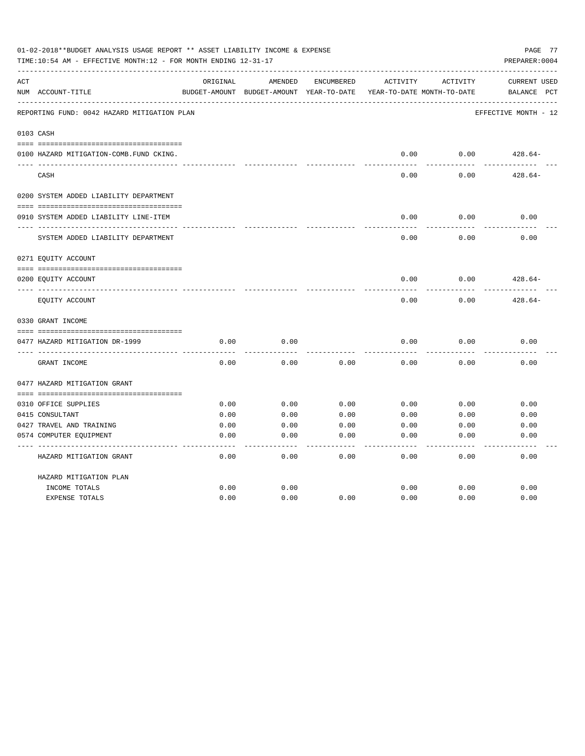|     | 01-02-2018**BUDGET ANALYSIS USAGE REPORT ** ASSET LIABILITY INCOME & EXPENSE<br>TIME:10:54 AM - EFFECTIVE MONTH:12 - FOR MONTH ENDING 12-31-17 |          |                                                     |            |          |                                        | PAGE 77<br>PREPARER: 0004                      |
|-----|------------------------------------------------------------------------------------------------------------------------------------------------|----------|-----------------------------------------------------|------------|----------|----------------------------------------|------------------------------------------------|
| ACT | NUM ACCOUNT-TITLE                                                                                                                              | ORIGINAL | AMENDED<br>BUDGET-AMOUNT BUDGET-AMOUNT YEAR-TO-DATE | ENCUMBERED | ACTIVITY | ACTIVITY<br>YEAR-TO-DATE MONTH-TO-DATE | <b>CURRENT USED</b><br>$_{\rm PCT}$<br>BALANCE |
|     | REPORTING FUND: 0042 HAZARD MITIGATION PLAN                                                                                                    |          |                                                     |            |          |                                        | EFFECTIVE MONTH - 12                           |
|     | 0103 CASH                                                                                                                                      |          |                                                     |            |          |                                        |                                                |
|     | 0100 HAZARD MITIGATION-COMB.FUND CKING.                                                                                                        |          |                                                     |            | 0.00     | 0.00                                   | $428.64-$                                      |
|     | CASH                                                                                                                                           |          |                                                     |            | 0.00     | 0.00                                   | $428.64-$                                      |
|     | 0200 SYSTEM ADDED LIABILITY DEPARTMENT                                                                                                         |          |                                                     |            |          |                                        |                                                |
|     | 0910 SYSTEM ADDED LIABILITY LINE-ITEM                                                                                                          |          |                                                     |            | 0.00     | 0.00                                   | 0.00                                           |
|     | SYSTEM ADDED LIABILITY DEPARTMENT                                                                                                              |          |                                                     |            | 0.00     | 0.00                                   | 0.00                                           |
|     | 0271 EQUITY ACCOUNT                                                                                                                            |          |                                                     |            |          |                                        |                                                |
|     | 0200 EQUITY ACCOUNT                                                                                                                            |          |                                                     |            | 0.00     | 0.00                                   | $428.64-$                                      |
|     | EQUITY ACCOUNT                                                                                                                                 |          |                                                     |            | 0.00     | 0.00                                   | $428.64-$                                      |
|     | 0330 GRANT INCOME                                                                                                                              |          |                                                     |            |          |                                        |                                                |
|     | 0477 HAZARD MITIGATION DR-1999                                                                                                                 | 0.00     | 0.00                                                |            | 0.00     | 0.00                                   | 0.00                                           |
|     | GRANT INCOME                                                                                                                                   | 0.00     | 0.00                                                | 0.00       | 0.00     | 0.00                                   | 0.00                                           |
|     | 0477 HAZARD MITIGATION GRANT                                                                                                                   |          |                                                     |            |          |                                        |                                                |
|     | 0310 OFFICE SUPPLIES                                                                                                                           | 0.00     | 0.00                                                | 0.00       | 0.00     | 0.00                                   | 0.00                                           |
|     | 0415 CONSULTANT                                                                                                                                | 0.00     | 0.00                                                | 0.00       | 0.00     | 0.00                                   | 0.00                                           |
|     | 0427 TRAVEL AND TRAINING                                                                                                                       | 0.00     | 0.00                                                | 0.00       | 0.00     | 0.00                                   | 0.00                                           |
|     | 0574 COMPUTER EQUIPMENT                                                                                                                        | 0.00     | 0.00                                                | 0.00       | 0.00     | 0.00                                   | 0.00                                           |
|     | HAZARD MITIGATION GRANT                                                                                                                        | 0.00     | 0.00                                                | 0.00       | 0.00     | 0.00                                   | 0.00                                           |
|     | HAZARD MITIGATION PLAN                                                                                                                         |          |                                                     |            |          |                                        |                                                |
|     | INCOME TOTALS                                                                                                                                  | 0.00     | 0.00                                                |            | 0.00     | 0.00                                   | 0.00                                           |
|     | <b>EXPENSE TOTALS</b>                                                                                                                          | 0.00     | 0.00                                                | 0.00       | 0.00     | 0.00                                   | 0.00                                           |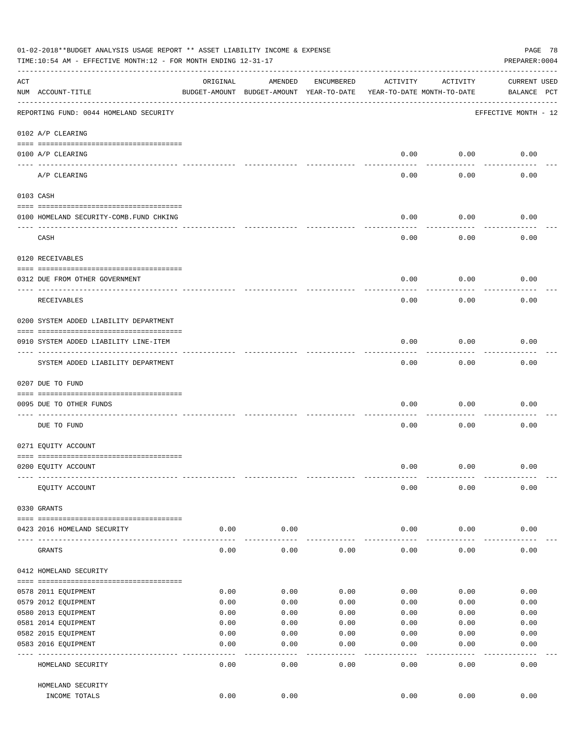|     | 01-02-2018**BUDGET ANALYSIS USAGE REPORT ** ASSET LIABILITY INCOME & EXPENSE<br>TIME:10:54 AM - EFFECTIVE MONTH:12 - FOR MONTH ENDING 12-31-17 |          |                                                     |            |                                        |                 | PAGE 78<br>PREPARER: 0004          |
|-----|------------------------------------------------------------------------------------------------------------------------------------------------|----------|-----------------------------------------------------|------------|----------------------------------------|-----------------|------------------------------------|
| ACT | NUM ACCOUNT-TITLE                                                                                                                              | ORIGINAL | AMENDED<br>BUDGET-AMOUNT BUDGET-AMOUNT YEAR-TO-DATE | ENCUMBERED | ACTIVITY<br>YEAR-TO-DATE MONTH-TO-DATE | ACTIVITY        | <b>CURRENT USED</b><br>BALANCE PCT |
|     | REPORTING FUND: 0044 HOMELAND SECURITY                                                                                                         |          |                                                     |            |                                        |                 | EFFECTIVE MONTH - 12               |
|     | 0102 A/P CLEARING                                                                                                                              |          |                                                     |            |                                        |                 |                                    |
|     | 0100 A/P CLEARING                                                                                                                              |          |                                                     |            | 0.00                                   | 0.00            | 0.00                               |
|     | ____ _________<br>A/P CLEARING                                                                                                                 |          |                                                     |            | 0.00                                   | 0.00            | 0.00                               |
|     | 0103 CASH                                                                                                                                      |          |                                                     |            |                                        |                 |                                    |
|     | 0100 HOMELAND SECURITY-COMB. FUND CHKING                                                                                                       |          |                                                     |            | 0.00                                   | 0.00            | 0.00                               |
|     | CASH                                                                                                                                           |          |                                                     |            | 0.00                                   | 0.00            | 0.00                               |
|     | 0120 RECEIVABLES                                                                                                                               |          |                                                     |            |                                        |                 |                                    |
|     | 0312 DUE FROM OTHER GOVERNMENT                                                                                                                 |          |                                                     |            | 0.00                                   | 0.00            | 0.00                               |
|     | RECEIVABLES                                                                                                                                    |          |                                                     |            | 0.00                                   | 0.00            | 0.00                               |
|     | 0200 SYSTEM ADDED LIABILITY DEPARTMENT                                                                                                         |          |                                                     |            |                                        |                 |                                    |
|     | 0910 SYSTEM ADDED LIABILITY LINE-ITEM                                                                                                          |          |                                                     |            | 0.00                                   | 0.00            | 0.00                               |
|     | SYSTEM ADDED LIABILITY DEPARTMENT                                                                                                              |          |                                                     |            | 0.00                                   | 0.00            | 0.00                               |
|     | 0207 DUE TO FUND                                                                                                                               |          |                                                     |            |                                        |                 |                                    |
|     | 0095 DUE TO OTHER FUNDS                                                                                                                        |          |                                                     |            | 0.00                                   | 0.00            | 0.00                               |
|     | DUE TO FUND                                                                                                                                    |          |                                                     |            | 0.00                                   | 0.00            | 0.00                               |
|     | 0271 EQUITY ACCOUNT                                                                                                                            |          |                                                     |            |                                        |                 |                                    |
|     | 0200 EQUITY ACCOUNT                                                                                                                            |          |                                                     |            | 0.00                                   | 0.00            | 0.00                               |
|     | EQUITY ACCOUNT                                                                                                                                 |          |                                                     |            | 0.00                                   | 0.00            | 0.00                               |
|     | 0330 GRANTS                                                                                                                                    |          |                                                     |            |                                        |                 |                                    |
|     | 0423 2016 HOMELAND SECURITY                                                                                                                    | 0.00     | 0.00                                                |            | 0.00                                   | 0.00            | 0.00                               |
|     | GRANTS                                                                                                                                         | 0.00     | 0.00                                                | 0.00       | 0.00                                   | 0.00            | 0.00                               |
|     | 0412 HOMELAND SECURITY                                                                                                                         |          |                                                     |            |                                        |                 |                                    |
|     | 0578 2011 EQUIPMENT                                                                                                                            | 0.00     | 0.00                                                | 0.00       | 0.00                                   | 0.00            | 0.00                               |
|     | 0579 2012 EQUIPMENT                                                                                                                            | 0.00     | 0.00                                                | 0.00       | 0.00                                   | 0.00            | 0.00                               |
|     | 0580 2013 EQUIPMENT                                                                                                                            | 0.00     | 0.00                                                | 0.00       | 0.00                                   | 0.00            | 0.00                               |
|     | 0581 2014 EQUIPMENT                                                                                                                            | 0.00     | 0.00                                                | 0.00       | 0.00                                   | 0.00            | 0.00                               |
|     | 0582 2015 EQUIPMENT                                                                                                                            | 0.00     | 0.00                                                | 0.00       | 0.00                                   | 0.00            | 0.00                               |
|     | 0583 2016 EQUIPMENT                                                                                                                            | 0.00     | 0.00                                                | 0.00       | 0.00                                   | 0.00            | 0.00                               |
|     | HOMELAND SECURITY                                                                                                                              | 0.00     | 0.00                                                | 0.00       | 0.00                                   | $--- -$<br>0.00 | 0.00                               |
|     | HOMELAND SECURITY                                                                                                                              |          |                                                     |            |                                        |                 |                                    |
|     | INCOME TOTALS                                                                                                                                  | 0.00     | 0.00                                                |            | 0.00                                   | 0.00            | 0.00                               |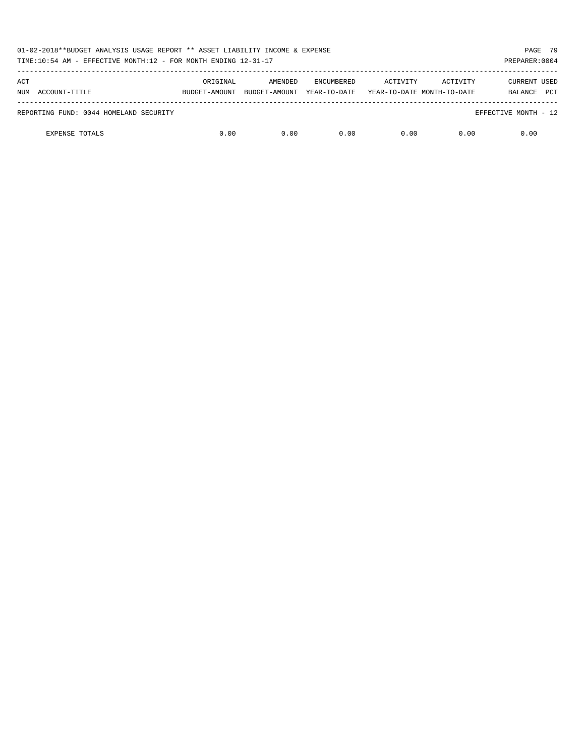| 01-02-2018**BUDGET ANALYSIS USAGE REPORT ** ASSET LIABILITY INCOME & EXPENSE<br>TIME:10:54 AM - EFFECTIVE MONTH:12 - FOR MONTH ENDING 12-31-17<br>PREPARER: 0004 |               |               |                   |          |                            |                      |            |  |
|------------------------------------------------------------------------------------------------------------------------------------------------------------------|---------------|---------------|-------------------|----------|----------------------------|----------------------|------------|--|
| ACT                                                                                                                                                              | ORIGINAL      | AMENDED       | <b>ENCUMBERED</b> | ACTIVITY | ACTIVITY                   | <b>CURRENT USED</b>  |            |  |
| ACCOUNT-TITLE<br>NUM                                                                                                                                             | BUDGET-AMOUNT | BUDGET-AMOUNT | YEAR-TO-DATE      |          | YEAR-TO-DATE MONTH-TO-DATE | BALANCE              | <b>PCT</b> |  |
| REPORTING FUND: 0044 HOMELAND SECURITY                                                                                                                           |               |               |                   |          |                            | EFFECTIVE MONTH - 12 |            |  |
| <b>EXPENSE TOTALS</b>                                                                                                                                            | 0.00          | 0.00          | 0.00              | 0.00     | 0.00                       | 0.00                 |            |  |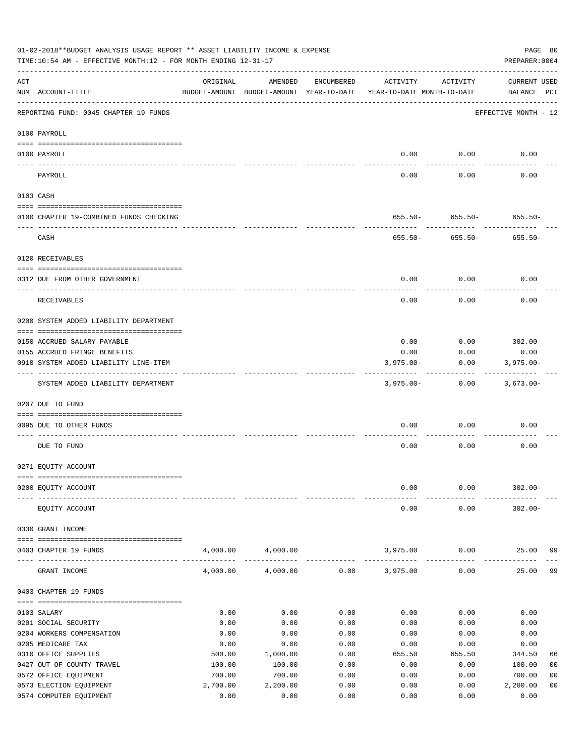|     | 01-02-2018**BUDGET ANALYSIS USAGE REPORT ** ASSET LIABILITY INCOME & EXPENSE<br>TIME:10:54 AM - EFFECTIVE MONTH:12 - FOR MONTH ENDING 12-31-17 |          |                                                     |            |                                        |                              | PAGE 80<br>PREPARER: 0004          |  |
|-----|------------------------------------------------------------------------------------------------------------------------------------------------|----------|-----------------------------------------------------|------------|----------------------------------------|------------------------------|------------------------------------|--|
| ACT | NUM ACCOUNT-TITLE                                                                                                                              | ORIGINAL | AMENDED<br>BUDGET-AMOUNT BUDGET-AMOUNT YEAR-TO-DATE | ENCUMBERED | ACTIVITY<br>YEAR-TO-DATE MONTH-TO-DATE | ACTIVITY                     | <b>CURRENT USED</b><br>BALANCE PCT |  |
|     | REPORTING FUND: 0045 CHAPTER 19 FUNDS                                                                                                          |          |                                                     |            |                                        |                              | EFFECTIVE MONTH - 12               |  |
|     | 0100 PAYROLL                                                                                                                                   |          |                                                     |            |                                        |                              |                                    |  |
|     | 0100 PAYROLL                                                                                                                                   |          |                                                     |            | 0.00                                   | 0.00                         | 0.00                               |  |
|     | PAYROLL                                                                                                                                        |          |                                                     |            | 0.00                                   | 0.00                         | 0.00                               |  |
|     | 0103 CASH                                                                                                                                      |          |                                                     |            |                                        |                              |                                    |  |
|     | 0100 CHAPTER 19-COMBINED FUNDS CHECKING                                                                                                        |          |                                                     |            |                                        | $655.50 - 655.50 - 655.50 -$ |                                    |  |
|     | CASH                                                                                                                                           |          |                                                     |            |                                        | $655.50 - 655.50 -$          | $655.50 -$                         |  |
|     | 0120 RECEIVABLES                                                                                                                               |          |                                                     |            |                                        |                              |                                    |  |
|     | 0312 DUE FROM OTHER GOVERNMENT                                                                                                                 |          |                                                     |            | 0.00                                   | 0.00                         | 0.00                               |  |
|     | RECEIVABLES                                                                                                                                    |          |                                                     |            | 0.00                                   | 0.00                         | 0.00                               |  |
|     | 0200 SYSTEM ADDED LIABILITY DEPARTMENT                                                                                                         |          |                                                     |            |                                        |                              |                                    |  |
|     | 0150 ACCRUED SALARY PAYABLE                                                                                                                    |          |                                                     |            | 0.00                                   |                              | $0.00$ 302.00                      |  |
|     | 0155 ACCRUED FRINGE BENEFITS                                                                                                                   |          |                                                     |            | 0.00                                   | 0.00                         | 0.00                               |  |
|     | 0910 SYSTEM ADDED LIABILITY LINE-ITEM                                                                                                          |          |                                                     |            | $3,975.00 -$                           | 0.00                         | $3,975.00 -$                       |  |
|     | SYSTEM ADDED LIABILITY DEPARTMENT                                                                                                              |          |                                                     |            | $3,975.00 -$                           | 0.00                         | 3,673.00-                          |  |
|     | 0207 DUE TO FUND                                                                                                                               |          |                                                     |            |                                        |                              |                                    |  |
|     | 0095 DUE TO OTHER FUNDS                                                                                                                        |          |                                                     |            | 0.00                                   | 0.00                         | 0.00                               |  |
|     |                                                                                                                                                |          |                                                     |            |                                        |                              |                                    |  |
|     | DUE TO FUND                                                                                                                                    |          |                                                     |            | 0.00                                   | 0.00                         | 0.00                               |  |
|     | 0271 EQUITY ACCOUNT                                                                                                                            |          |                                                     |            |                                        |                              |                                    |  |
|     | 0200 EQUITY ACCOUNT                                                                                                                            |          |                                                     |            | 0.00                                   | 0.00                         | $302.00 -$                         |  |
|     |                                                                                                                                                |          |                                                     |            |                                        |                              |                                    |  |
|     | EQUITY ACCOUNT                                                                                                                                 |          |                                                     |            | 0.00                                   | 0.00                         | $302.00 -$                         |  |
|     | 0330 GRANT INCOME                                                                                                                              |          |                                                     |            |                                        |                              |                                    |  |
|     | 0403 CHAPTER 19 FUNDS                                                                                                                          | 4,000.00 | 4,000.00                                            |            | 3,975.00<br>-------------              | 0.00<br>$- - - - -$          | 25.00<br>99                        |  |
|     | GRANT INCOME                                                                                                                                   | 4,000.00 | 4,000.00                                            | 0.00       | 3,975.00                               | 0.00                         | 25.00<br>99                        |  |
|     | 0403 CHAPTER 19 FUNDS                                                                                                                          |          |                                                     |            |                                        |                              |                                    |  |
|     | 0103 SALARY                                                                                                                                    | 0.00     | 0.00                                                | 0.00       | 0.00                                   | 0.00                         | 0.00                               |  |
|     | 0201 SOCIAL SECURITY                                                                                                                           | 0.00     | 0.00                                                | 0.00       | 0.00                                   | 0.00                         | 0.00                               |  |
|     | 0204 WORKERS COMPENSATION                                                                                                                      | 0.00     | 0.00                                                | 0.00       | 0.00                                   | 0.00                         | 0.00                               |  |
|     | 0205 MEDICARE TAX                                                                                                                              | 0.00     | 0.00                                                | 0.00       | 0.00                                   | 0.00                         | 0.00                               |  |
|     | 0310 OFFICE SUPPLIES                                                                                                                           | 500.00   | 1,000.00                                            | 0.00       | 655.50                                 | 655.50                       | 344.50<br>66                       |  |
|     | 0427 OUT OF COUNTY TRAVEL                                                                                                                      | 100.00   | 100.00                                              | 0.00       | 0.00                                   | 0.00                         | 100.00<br>00                       |  |
|     | 0572 OFFICE EQUIPMENT                                                                                                                          | 700.00   | 700.00                                              | 0.00       | 0.00                                   | 0.00                         | 700.00<br>0 <sub>0</sub>           |  |
|     | 0573 ELECTION EQUIPMENT                                                                                                                        | 2,700.00 | 2,200.00                                            | 0.00       | 0.00                                   | 0.00                         | 0 <sub>0</sub><br>2,200.00         |  |
|     | 0574 COMPUTER EQUIPMENT                                                                                                                        | 0.00     | 0.00                                                | 0.00       | 0.00                                   | 0.00                         | 0.00                               |  |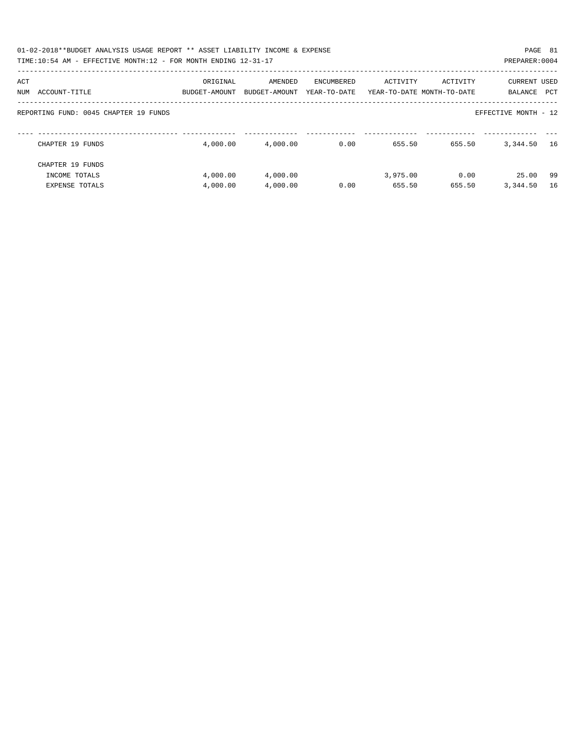| 01-02-2018**BUDGET ANALYSIS USAGE REPORT ** ASSET LIABILITY INCOME & EXPENSE<br>TIME:10:54 AM - EFFECTIVE MONTH:12 - FOR MONTH ENDING 12-31-17 |                           |                          |                            |          |                                        | PAGE 81<br>PREPARER: 0004             |  |
|------------------------------------------------------------------------------------------------------------------------------------------------|---------------------------|--------------------------|----------------------------|----------|----------------------------------------|---------------------------------------|--|
| ACT<br>ACCOUNT-TITLE<br>NUM                                                                                                                    | ORIGINAL<br>BUDGET-AMOUNT | AMENDED<br>BUDGET-AMOUNT | ENCUMBERED<br>YEAR-TO-DATE | ACTIVITY | ACTIVITY<br>YEAR-TO-DATE MONTH-TO-DATE | <b>CURRENT USED</b><br>PCT<br>BALANCE |  |
| REPORTING FUND: 0045 CHAPTER 19 FUNDS                                                                                                          |                           |                          |                            |          |                                        | EFFECTIVE MONTH - 12                  |  |
| CHAPTER 19 FUNDS                                                                                                                               | 4,000.00                  | 4,000.00                 | 0.00                       | 655.50   | 655.50                                 | 3,344.50<br>16                        |  |
| CHAPTER 19 FUNDS                                                                                                                               |                           |                          |                            |          |                                        |                                       |  |
| INCOME TOTALS                                                                                                                                  | 4,000.00                  | 4,000.00                 |                            | 3,975.00 | 0.00                                   | 25.00<br>-99                          |  |
| EXPENSE TOTALS                                                                                                                                 | 4,000.00                  | 4,000.00                 | 0.00                       | 655.50   | 655.50                                 | 3,344.50<br>16                        |  |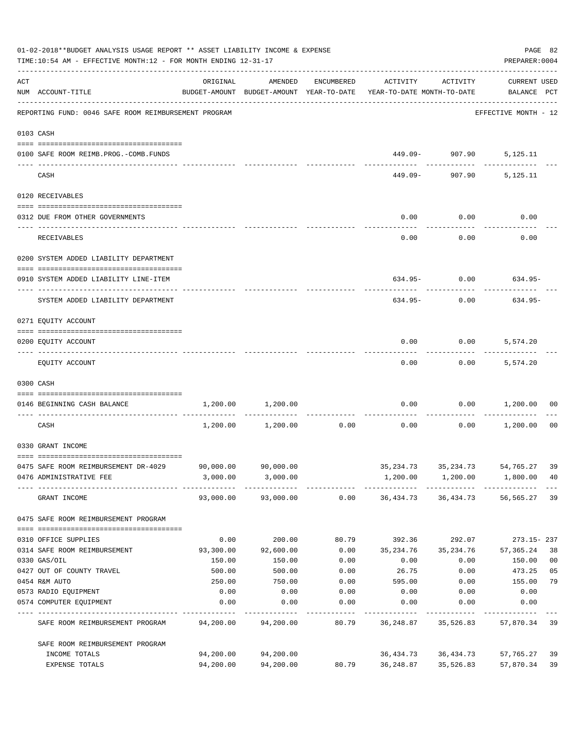|     | 01-02-2018**BUDGET ANALYSIS USAGE REPORT ** ASSET LIABILITY INCOME & EXPENSE<br>TIME:10:54 AM - EFFECTIVE MONTH:12 - FOR MONTH ENDING 12-31-17 |           |                     |            |                                                                                 |                                        | PREPARER: 0004              | PAGE 82        |
|-----|------------------------------------------------------------------------------------------------------------------------------------------------|-----------|---------------------|------------|---------------------------------------------------------------------------------|----------------------------------------|-----------------------------|----------------|
| ACT | NUM ACCOUNT-TITLE                                                                                                                              | ORIGINAL  | AMENDED             | ENCUMBERED | ACTIVITY<br>BUDGET-AMOUNT BUDGET-AMOUNT YEAR-TO-DATE YEAR-TO-DATE MONTH-TO-DATE | ACTIVITY                               | CURRENT USED<br>BALANCE PCT |                |
|     | REPORTING FUND: 0046 SAFE ROOM REIMBURSEMENT PROGRAM                                                                                           |           |                     |            |                                                                                 |                                        | EFFECTIVE MONTH - 12        |                |
|     | 0103 CASH                                                                                                                                      |           |                     |            |                                                                                 |                                        |                             |                |
|     | 0100 SAFE ROOM REIMB.PROG.-COMB.FUNDS                                                                                                          |           |                     |            |                                                                                 | 449.09- 907.90 5,125.11                |                             |                |
|     | CASH                                                                                                                                           |           |                     |            |                                                                                 | 449.09- 907.90 5,125.11                |                             |                |
|     | 0120 RECEIVABLES                                                                                                                               |           |                     |            |                                                                                 |                                        |                             |                |
|     | 0312 DUE FROM OTHER GOVERNMENTS                                                                                                                |           |                     |            | 0.00                                                                            | 0.00                                   | 0.00                        |                |
|     | RECEIVABLES                                                                                                                                    |           |                     |            | 0.00                                                                            | . <u>.</u><br>0.00                     | 0.00                        |                |
|     | 0200 SYSTEM ADDED LIABILITY DEPARTMENT                                                                                                         |           |                     |            |                                                                                 |                                        |                             |                |
|     | 0910 SYSTEM ADDED LIABILITY LINE-ITEM                                                                                                          |           |                     |            |                                                                                 | $634.95 - 0.00$ 634.95-                |                             |                |
|     | SYSTEM ADDED LIABILITY DEPARTMENT                                                                                                              |           |                     |            | 634.95-                                                                         | 0.00                                   | 634.95-                     |                |
|     | 0271 EQUITY ACCOUNT                                                                                                                            |           |                     |            |                                                                                 |                                        |                             |                |
|     | 0200 EQUITY ACCOUNT                                                                                                                            |           |                     |            | 0.00                                                                            | $0.00$ 5,574.20                        |                             |                |
|     | EQUITY ACCOUNT                                                                                                                                 |           |                     |            | 0.00                                                                            |                                        | $0.00$ 5,574.20             |                |
|     | 0300 CASH                                                                                                                                      |           |                     |            |                                                                                 |                                        |                             |                |
|     | 0146 BEGINNING CASH BALANCE                                                                                                                    |           | 1,200.00 1,200.00   |            | 0.00                                                                            |                                        | $0.00$ 1,200.00             | 00             |
|     | CASH                                                                                                                                           |           | 1,200.00 1,200.00   | 0.00       | 0.00                                                                            | 0.00                                   | 1,200.00 00                 |                |
|     | 0330 GRANT INCOME                                                                                                                              |           |                     |            |                                                                                 |                                        |                             |                |
|     | 0475 SAFE ROOM REIMBURSEMENT DR-4029                                                                                                           |           | 90,000.00 90,000.00 |            |                                                                                 | 35, 234. 73 35, 234. 73 54, 765. 27 39 |                             |                |
|     | 0476 ADMINISTRATIVE FEE                                                                                                                        |           | 3,000.00 3,000.00   |            |                                                                                 | 1,200.00  1,200.00  1,800.00  40       |                             |                |
|     | GRANT INCOME                                                                                                                                   |           | 93,000.00 93,000.00 |            | 0.00 36,434.73 36,434.73 56,565.27                                              |                                        |                             | 39             |
|     | 0475 SAFE ROOM REIMBURSEMENT PROGRAM                                                                                                           |           |                     |            |                                                                                 |                                        |                             |                |
|     | 0310 OFFICE SUPPLIES                                                                                                                           | 0.00      | 200.00              | 80.79      | 392.36                                                                          | 292.07                                 | $273.15 - 237$              |                |
|     | 0314 SAFE ROOM REIMBURSEMENT                                                                                                                   | 93,300.00 | 92,600.00           | 0.00       | 35,234.76                                                                       | 35,234.76                              | 57,365.24                   | 38             |
|     | 0330 GAS/OIL                                                                                                                                   | 150.00    | 150.00              | 0.00       | 0.00                                                                            | 0.00                                   | 150.00                      | 0 <sub>0</sub> |
|     | 0427 OUT OF COUNTY TRAVEL                                                                                                                      | 500.00    | 500.00              | 0.00       | 26.75                                                                           | 0.00                                   | 473.25                      | 05             |
|     | 0454 R&M AUTO                                                                                                                                  | 250.00    | 750.00              | 0.00       | 595.00                                                                          | 0.00                                   | 155.00                      | 79             |
|     | 0573 RADIO EQUIPMENT                                                                                                                           | 0.00      | 0.00                | 0.00       | 0.00                                                                            | 0.00                                   | 0.00                        |                |
|     | 0574 COMPUTER EQUIPMENT                                                                                                                        | 0.00      | 0.00                | 0.00       | 0.00                                                                            | 0.00                                   | 0.00                        |                |
|     | SAFE ROOM REIMBURSEMENT PROGRAM                                                                                                                | 94,200.00 | 94,200.00           | 80.79      | 36,248.87                                                                       | 35,526.83                              | 57,870.34                   | 39             |
|     | SAFE ROOM REIMBURSEMENT PROGRAM                                                                                                                |           |                     |            |                                                                                 |                                        |                             |                |
|     | INCOME TOTALS                                                                                                                                  | 94,200.00 | 94,200.00           |            | 36,434.73                                                                       | 36,434.73                              | 57,765.27                   | 39             |
|     | EXPENSE TOTALS                                                                                                                                 | 94,200.00 | 94,200.00           | 80.79      | 36,248.87                                                                       | 35,526.83                              | 57,870.34                   | 39             |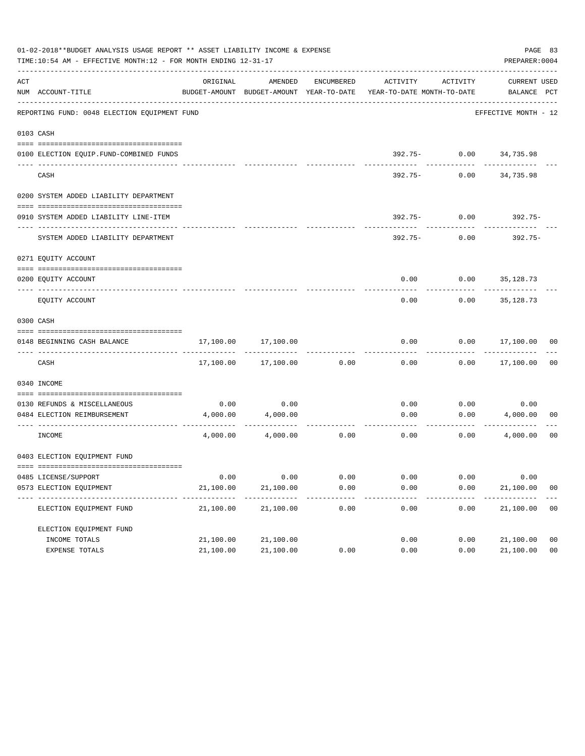|     | 01-02-2018**BUDGET ANALYSIS USAGE REPORT ** ASSET LIABILITY INCOME & EXPENSE<br>TIME:10:54 AM - EFFECTIVE MONTH:12 - FOR MONTH ENDING 12-31-17 |           |                   |            |                                                                                 |                        | PAGE 83<br>PREPARER: 0004   |                |
|-----|------------------------------------------------------------------------------------------------------------------------------------------------|-----------|-------------------|------------|---------------------------------------------------------------------------------|------------------------|-----------------------------|----------------|
| ACT | NUM ACCOUNT-TITLE                                                                                                                              | ORIGINAL  | AMENDED           | ENCUMBERED | ACTIVITY<br>BUDGET-AMOUNT BUDGET-AMOUNT YEAR-TO-DATE YEAR-TO-DATE MONTH-TO-DATE | ACTIVITY               | CURRENT USED<br>BALANCE PCT |                |
|     | REPORTING FUND: 0048 ELECTION EQUIPMENT FUND                                                                                                   |           |                   |            |                                                                                 |                        | EFFECTIVE MONTH - 12        |                |
|     | 0103 CASH                                                                                                                                      |           |                   |            |                                                                                 |                        |                             |                |
|     |                                                                                                                                                |           |                   |            |                                                                                 |                        |                             |                |
|     | 0100 ELECTION EQUIP. FUND-COMBINED FUNDS<br>-------------------------                                                                          |           |                   |            |                                                                                 | 392.75- 0.00 34,735.98 | -------                     |                |
|     | CASH                                                                                                                                           |           |                   |            | 392.75-                                                                         | 0.00                   | 34,735.98                   |                |
|     | 0200 SYSTEM ADDED LIABILITY DEPARTMENT                                                                                                         |           |                   |            |                                                                                 |                        |                             |                |
|     | 0910 SYSTEM ADDED LIABILITY LINE-ITEM                                                                                                          |           |                   |            |                                                                                 | $392.75 - 0.00$        | 392.75-                     |                |
|     | SYSTEM ADDED LIABILITY DEPARTMENT                                                                                                              |           |                   |            | 392.75-                                                                         | 0.00                   | $392.75 -$                  |                |
|     | 0271 EQUITY ACCOUNT                                                                                                                            |           |                   |            |                                                                                 |                        |                             |                |
|     |                                                                                                                                                |           |                   |            |                                                                                 |                        |                             |                |
|     | 0200 EOUITY ACCOUNT                                                                                                                            |           |                   |            | 0.00                                                                            |                        | $0.00$ 35,128.73            |                |
|     | EOUITY ACCOUNT                                                                                                                                 |           |                   |            | 0.00                                                                            | 0.00                   | 35,128.73                   |                |
|     | 0300 CASH                                                                                                                                      |           |                   |            |                                                                                 |                        |                             |                |
|     | 0148 BEGINNING CASH BALANCE                                                                                                                    | 17,100.00 | 17,100.00         |            | 0.00                                                                            |                        | $0.00$ 17,100.00 00         |                |
|     | CASH                                                                                                                                           | 17,100.00 | 17,100.00         | 0.00       | 0.00                                                                            |                        | $0.00$ 17,100.00            | 0 <sub>0</sub> |
|     | 0340 INCOME                                                                                                                                    |           |                   |            |                                                                                 |                        |                             |                |
|     | 0130 REFUNDS & MISCELLANEOUS                                                                                                                   | 0.00      | 0.00              |            | 0.00                                                                            | 0.00                   | 0.00                        |                |
|     | 0484 ELECTION REIMBURSEMENT                                                                                                                    | 4,000.00  | 4,000.00          |            | 0.00                                                                            | 0.00                   | 4,000.00                    | 00             |
|     | ---------------- --------------<br>INCOME                                                                                                      |           | 4,000.00 4,000.00 | 0.00       | 0.00                                                                            | 0.00                   | 4,000.00                    | 00             |
|     | 0403 ELECTION EQUIPMENT FUND                                                                                                                   |           |                   |            |                                                                                 |                        |                             |                |
|     |                                                                                                                                                |           |                   |            |                                                                                 |                        |                             |                |
|     | 0485 LICENSE/SUPPORT                                                                                                                           | 0.00      | 0.00              | 0.00       | 0.00                                                                            | 0.00                   | 0.00                        |                |
|     | 0573 ELECTION EOUIPMENT<br>-----------------                                                                                                   | 21,100.00 | 21,100.00         | 0.00       | 0.00                                                                            | 0.00                   | 21,100.00                   | 0 <sub>0</sub> |
|     | ELECTION EQUIPMENT FUND                                                                                                                        | 21,100.00 | 21,100.00         | 0.00       | 0.00                                                                            | 0.00                   | 21,100.00                   | 0 <sub>0</sub> |
|     | ELECTION EQUIPMENT FUND                                                                                                                        |           |                   |            |                                                                                 |                        |                             |                |
|     | INCOME TOTALS                                                                                                                                  | 21,100.00 | 21,100.00         |            | 0.00                                                                            | 0.00                   | 21,100.00                   | 0 <sub>0</sub> |
|     | EXPENSE TOTALS                                                                                                                                 | 21,100.00 | 21,100.00         | 0.00       | 0.00                                                                            | 0.00                   | 21,100.00                   | 0 <sub>0</sub> |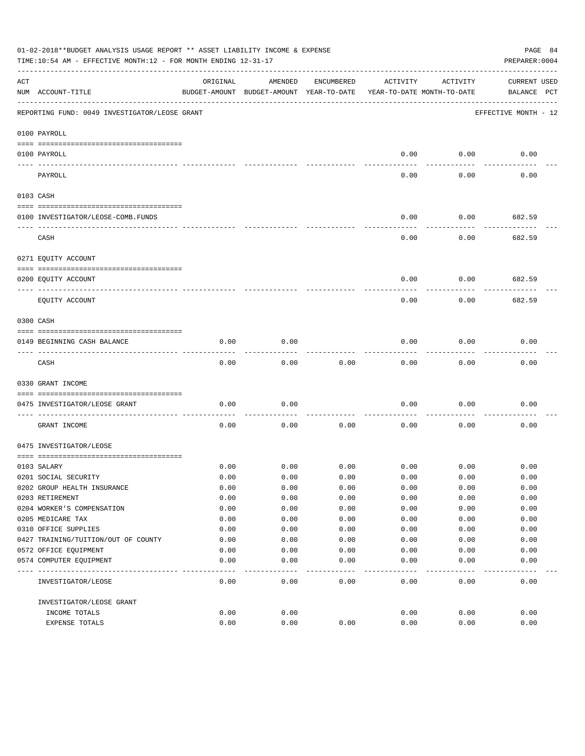|           | 01-02-2018**BUDGET ANALYSIS USAGE REPORT ** ASSET LIABILITY INCOME & EXPENSE<br>TIME:10:54 AM - EFFECTIVE MONTH:12 - FOR MONTH ENDING 12-31-17 |              |                                                     |              |                                        |              | PAGE 84<br>PREPARER: 0004          |
|-----------|------------------------------------------------------------------------------------------------------------------------------------------------|--------------|-----------------------------------------------------|--------------|----------------------------------------|--------------|------------------------------------|
| ACT       | NUM ACCOUNT-TITLE                                                                                                                              | ORIGINAL     | AMENDED<br>BUDGET-AMOUNT BUDGET-AMOUNT YEAR-TO-DATE | ENCUMBERED   | ACTIVITY<br>YEAR-TO-DATE MONTH-TO-DATE | ACTIVITY     | <b>CURRENT USED</b><br>BALANCE PCT |
|           | REPORTING FUND: 0049 INVESTIGATOR/LEOSE GRANT                                                                                                  |              |                                                     |              |                                        |              | EFFECTIVE MONTH - 12               |
|           | 0100 PAYROLL                                                                                                                                   |              |                                                     |              |                                        |              |                                    |
|           | 0100 PAYROLL                                                                                                                                   |              |                                                     |              | 0.00                                   | 0.00         | 0.00                               |
|           | PAYROLL                                                                                                                                        |              |                                                     |              | 0.00                                   | 0.00         | 0.00                               |
| 0103 CASH |                                                                                                                                                |              |                                                     |              |                                        |              |                                    |
|           | 0100 INVESTIGATOR/LEOSE-COMB.FUNDS                                                                                                             |              |                                                     |              | 0.00                                   | 0.00         | 682.59                             |
|           | CASH                                                                                                                                           |              |                                                     |              | 0.00                                   | 0.00         | . <u>.</u><br>682.59               |
|           | 0271 EQUITY ACCOUNT                                                                                                                            |              |                                                     |              |                                        |              |                                    |
|           | 0200 EQUITY ACCOUNT                                                                                                                            |              |                                                     |              | 0.00                                   | 0.00         | 682.59                             |
|           | EQUITY ACCOUNT                                                                                                                                 |              |                                                     |              | 0.00                                   | 0.00         | 682.59                             |
| 0300 CASH |                                                                                                                                                |              |                                                     |              |                                        |              |                                    |
|           | 0149 BEGINNING CASH BALANCE                                                                                                                    | 0.00         | 0.00                                                |              | 0.00                                   | 0.00         | 0.00                               |
|           | CASH                                                                                                                                           | 0.00         | 0.00                                                | 0.00         | 0.00                                   | 0.00         | 0.00                               |
|           | 0330 GRANT INCOME                                                                                                                              |              |                                                     |              |                                        |              |                                    |
|           | 0475 INVESTIGATOR/LEOSE GRANT                                                                                                                  | 0.00         | 0.00                                                |              | 0.00                                   | 0.00         | 0.00                               |
|           | GRANT INCOME                                                                                                                                   | 0.00         | 0.00                                                | 0.00         | 0.00                                   | 0.00         | 0.00                               |
|           | 0475 INVESTIGATOR/LEOSE                                                                                                                        |              |                                                     |              |                                        |              |                                    |
|           |                                                                                                                                                |              |                                                     |              |                                        |              |                                    |
|           | 0103 SALARY                                                                                                                                    | 0.00         | 0.00                                                | 0.00         | 0.00                                   | 0.00         | 0.00                               |
|           | 0201 SOCIAL SECURITY                                                                                                                           | 0.00         | 0.00                                                | 0.00         | 0.00                                   | 0.00         | 0.00                               |
|           | 0202 GROUP HEALTH INSURANCE<br>0203 RETIREMENT                                                                                                 | 0.00         | 0.00                                                | 0.00         | 0.00                                   | 0.00         | 0.00                               |
|           |                                                                                                                                                | 0.00<br>0.00 | 0.00                                                | 0.00         | 0.00                                   | 0.00         | 0.00                               |
|           | 0204 WORKER'S COMPENSATION<br>0205 MEDICARE TAX                                                                                                | 0.00         | 0.00<br>0.00                                        | 0.00<br>0.00 | 0.00<br>0.00                           | 0.00<br>0.00 | 0.00<br>0.00                       |
|           | 0310 OFFICE SUPPLIES                                                                                                                           | 0.00         | 0.00                                                | 0.00         | 0.00                                   | 0.00         | 0.00                               |
|           | 0427 TRAINING/TUITION/OUT OF COUNTY                                                                                                            | 0.00         | 0.00                                                | 0.00         | 0.00                                   | 0.00         | 0.00                               |
|           | 0572 OFFICE EQUIPMENT                                                                                                                          | 0.00         | 0.00                                                | 0.00         | 0.00                                   | 0.00         | 0.00                               |
|           | 0574 COMPUTER EQUIPMENT                                                                                                                        | 0.00         | 0.00                                                | 0.00         | 0.00                                   | 0.00         | 0.00                               |
|           | INVESTIGATOR/LEOSE                                                                                                                             | 0.00         | 0.00                                                | 0.00         | 0.00                                   | 0.00         | 0.00                               |
|           |                                                                                                                                                |              |                                                     |              |                                        |              |                                    |
|           | INVESTIGATOR/LEOSE GRANT                                                                                                                       |              |                                                     |              |                                        |              |                                    |
|           | INCOME TOTALS                                                                                                                                  | 0.00         | 0.00                                                |              | 0.00                                   | 0.00         | 0.00                               |
|           | EXPENSE TOTALS                                                                                                                                 | 0.00         | 0.00                                                | 0.00         | 0.00                                   | 0.00         | 0.00                               |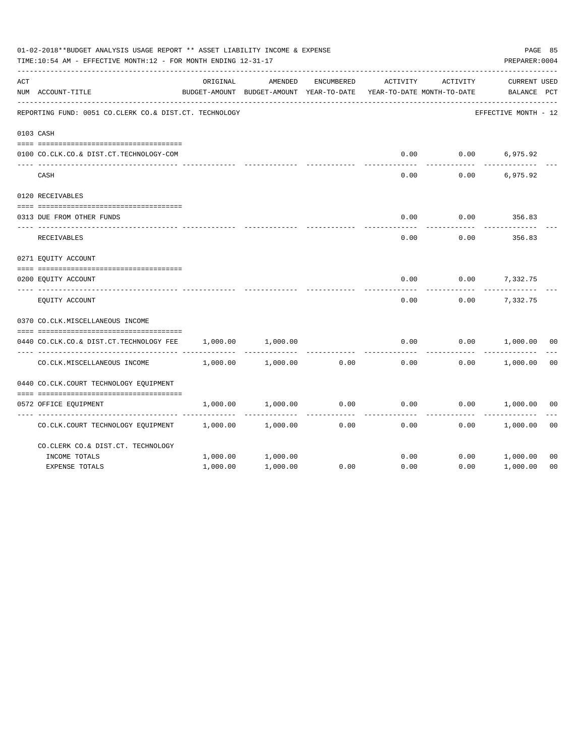|     | 01-02-2018**BUDGET ANALYSIS USAGE REPORT ** ASSET LIABILITY INCOME & EXPENSE<br>TIME:10:54 AM - EFFECTIVE MONTH:12 - FOR MONTH ENDING 12-31-17 |          |                                                     |            |                                        |                 | PAGE 85<br>PREPARER: 0004          |                |
|-----|------------------------------------------------------------------------------------------------------------------------------------------------|----------|-----------------------------------------------------|------------|----------------------------------------|-----------------|------------------------------------|----------------|
| ACT | NUM ACCOUNT-TITLE                                                                                                                              | ORIGINAL | AMENDED<br>BUDGET-AMOUNT BUDGET-AMOUNT YEAR-TO-DATE | ENCUMBERED | ACTIVITY<br>YEAR-TO-DATE MONTH-TO-DATE | ACTIVITY        | <b>CURRENT USED</b><br>BALANCE PCT |                |
|     | REPORTING FUND: 0051 CO.CLERK CO.& DIST.CT. TECHNOLOGY                                                                                         |          |                                                     |            |                                        |                 | EFFECTIVE MONTH - 12               |                |
|     | 0103 CASH                                                                                                                                      |          |                                                     |            |                                        |                 |                                    |                |
|     | 0100 CO.CLK.CO.& DIST.CT.TECHNOLOGY-COM                                                                                                        |          |                                                     |            | 0.00                                   | $0.00$ 6,975.92 |                                    |                |
|     | CASH                                                                                                                                           |          |                                                     |            | 0.00                                   | 0.00            | 6,975.92                           |                |
|     | 0120 RECEIVABLES                                                                                                                               |          |                                                     |            |                                        |                 |                                    |                |
|     | 0313 DUE FROM OTHER FUNDS                                                                                                                      |          |                                                     |            | 0.00                                   | 0.00            | 356.83                             |                |
|     | RECEIVABLES                                                                                                                                    |          |                                                     |            | 0.00                                   | 0.00            | 356.83                             |                |
|     | 0271 EQUITY ACCOUNT                                                                                                                            |          |                                                     |            |                                        |                 |                                    |                |
|     | 0200 EQUITY ACCOUNT                                                                                                                            |          |                                                     |            | 0.00                                   | 0.00            | 7,332.75                           |                |
|     | EQUITY ACCOUNT                                                                                                                                 |          |                                                     |            | 0.00                                   | 0.00            | 7,332.75                           |                |
|     | 0370 CO.CLK.MISCELLANEOUS INCOME                                                                                                               |          |                                                     |            |                                        |                 |                                    |                |
|     | 0440 CO.CLK.CO.& DIST.CT.TECHNOLOGY FEE                                                                                                        | 1,000.00 | 1,000.00                                            |            | 0.00                                   | 0.00            | 1,000.00                           | 0 <sup>0</sup> |
|     | CO. CLK. MISCELLANEOUS INCOME                                                                                                                  | 1,000.00 | 1,000.00                                            | 0.00       | 0.00                                   | 0.00            | 1,000.00                           | 0 <sub>0</sub> |
|     | 0440 CO.CLK.COURT TECHNOLOGY EQUIPMENT                                                                                                         |          |                                                     |            |                                        |                 |                                    |                |
|     | 0572 OFFICE EQUIPMENT                                                                                                                          | 1,000.00 | 1,000.00                                            | 0.00       | 0.00                                   | 0.00            | 1,000.00                           | 0 <sub>0</sub> |
|     | CO.CLK.COURT TECHNOLOGY EQUIPMENT                                                                                                              | 1,000.00 | 1,000.00                                            | 0.00       | 0.00                                   | 0.00            | 1,000.00                           | 0 <sub>0</sub> |
|     | CO.CLERK CO.& DIST.CT. TECHNOLOGY                                                                                                              |          |                                                     |            |                                        |                 |                                    |                |
|     | INCOME TOTALS                                                                                                                                  | 1,000.00 | 1,000.00                                            |            | 0.00                                   | 0.00            | 1,000.00                           | 0 <sub>0</sub> |
|     | <b>EXPENSE TOTALS</b>                                                                                                                          | 1,000.00 | 1,000.00                                            | 0.00       | 0.00                                   | 0.00            | 1,000.00                           | 0 <sub>0</sub> |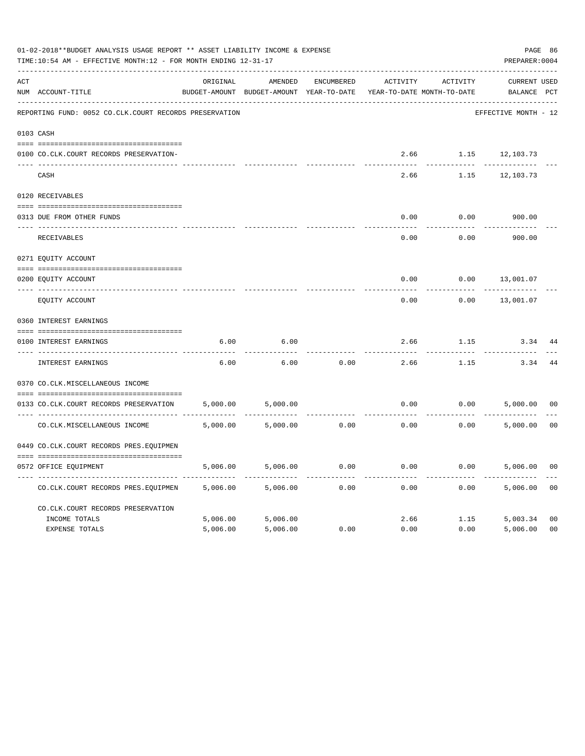|     | 01-02-2018**BUDGET ANALYSIS USAGE REPORT ** ASSET LIABILITY INCOME & EXPENSE<br>TIME:10:54 AM - EFFECTIVE MONTH:12 - FOR MONTH ENDING 12-31-17<br>PREPARER: 0004 |          |                                                     |            |          |                                        |                                    |                |  |
|-----|------------------------------------------------------------------------------------------------------------------------------------------------------------------|----------|-----------------------------------------------------|------------|----------|----------------------------------------|------------------------------------|----------------|--|
| ACT | NUM ACCOUNT-TITLE                                                                                                                                                | ORIGINAL | AMENDED<br>BUDGET-AMOUNT BUDGET-AMOUNT YEAR-TO-DATE | ENCUMBERED | ACTIVITY | ACTIVITY<br>YEAR-TO-DATE MONTH-TO-DATE | <b>CURRENT USED</b><br>BALANCE PCT |                |  |
|     | REPORTING FUND: 0052 CO.CLK.COURT RECORDS PRESERVATION                                                                                                           |          |                                                     |            |          |                                        | EFFECTIVE MONTH - 12               |                |  |
|     | 0103 CASH                                                                                                                                                        |          |                                                     |            |          |                                        |                                    |                |  |
|     | 0100 CO.CLK.COURT RECORDS PRESERVATION-                                                                                                                          |          |                                                     |            |          |                                        | 2.66 1.15 12,103.73                |                |  |
|     | CASH                                                                                                                                                             |          |                                                     |            | 2.66     | 1.15                                   | 12,103.73                          |                |  |
|     | 0120 RECEIVABLES                                                                                                                                                 |          |                                                     |            |          |                                        |                                    |                |  |
|     | 0313 DUE FROM OTHER FUNDS                                                                                                                                        |          |                                                     |            | 0.00     | 0.00                                   | 900.00                             |                |  |
|     | RECEIVABLES                                                                                                                                                      |          |                                                     |            | 0.00     | 0.00                                   | 900.00                             |                |  |
|     | 0271 EQUITY ACCOUNT                                                                                                                                              |          |                                                     |            |          |                                        |                                    |                |  |
|     | 0200 EQUITY ACCOUNT                                                                                                                                              |          |                                                     |            | 0.00     | 0.00                                   | 13,001.07                          |                |  |
|     | ---- -------------<br>EQUITY ACCOUNT                                                                                                                             |          |                                                     |            | 0.00     | 0.00                                   | 13,001.07                          |                |  |
|     | 0360 INTEREST EARNINGS                                                                                                                                           |          |                                                     |            |          |                                        |                                    |                |  |
|     | 0100 INTEREST EARNINGS                                                                                                                                           | 6.00     | 6.00                                                |            | 2.66     | 1.15                                   | 3.34                               | 44             |  |
|     | ----- --------------<br>INTEREST EARNINGS                                                                                                                        | 6.00     | 6.00                                                | 0.00       | 2.66     | 1.15                                   | 3.34                               | 44             |  |
|     | 0370 CO.CLK.MISCELLANEOUS INCOME                                                                                                                                 |          |                                                     |            |          |                                        |                                    |                |  |
|     | 0133 CO.CLK.COURT RECORDS PRESERVATION                                                                                                                           | 5,000.00 | 5,000.00                                            |            | 0.00     | 0.00                                   | 5,000.00                           | 0 <sub>0</sub> |  |
|     | CO. CLK. MISCELLANEOUS INCOME                                                                                                                                    | 5,000.00 | 5,000.00                                            | 0.00       | 0.00     | 0.00                                   | 5,000.00                           | 0 <sub>0</sub> |  |
|     | 0449 CO.CLK.COURT RECORDS PRES.EQUIPMEN                                                                                                                          |          |                                                     |            |          |                                        |                                    |                |  |
|     | 0572 OFFICE EQUIPMENT                                                                                                                                            | 5,006.00 | 5,006.00                                            | 0.00       | 0.00     | 0.00                                   | 5,006.00                           | 0 <sub>0</sub> |  |
|     | CO.CLK.COURT RECORDS PRES.EQUIPMEN                                                                                                                               | 5,006.00 | 5,006.00                                            | 0.00       | 0.00     | 0.00                                   | 5,006.00                           | 0 <sub>0</sub> |  |
|     | CO.CLK.COURT RECORDS PRESERVATION                                                                                                                                |          |                                                     |            |          |                                        |                                    |                |  |
|     | INCOME TOTALS                                                                                                                                                    | 5,006.00 | 5,006.00                                            |            |          | 2.66<br>1.15                           | 5,003.34                           | 0 <sub>0</sub> |  |
|     | <b>EXPENSE TOTALS</b>                                                                                                                                            | 5,006.00 | 5,006.00                                            | 0.00       | 0.00     | 0.00                                   | 5,006.00                           | 0 <sub>0</sub> |  |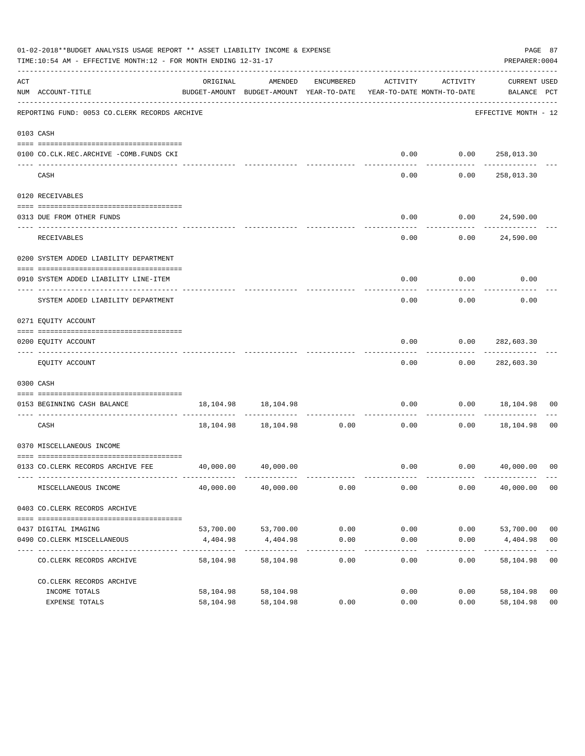|     | 01-02-2018**BUDGET ANALYSIS USAGE REPORT ** ASSET LIABILITY INCOME & EXPENSE<br>TIME:10:54 AM - EFFECTIVE MONTH:12 - FOR MONTH ENDING 12-31-17 |                                                                                 |                                |                    |                    |                            | PAGE 87<br>PREPARER: 0004          |                |
|-----|------------------------------------------------------------------------------------------------------------------------------------------------|---------------------------------------------------------------------------------|--------------------------------|--------------------|--------------------|----------------------------|------------------------------------|----------------|
| ACT | NUM ACCOUNT-TITLE                                                                                                                              | ORIGINAL<br>BUDGET-AMOUNT BUDGET-AMOUNT YEAR-TO-DATE YEAR-TO-DATE MONTH-TO-DATE | AMENDED                        | ENCUMBERED         | ACTIVITY           | ACTIVITY                   | CURRENT USED<br>BALANCE PCT        |                |
|     | REPORTING FUND: 0053 CO.CLERK RECORDS ARCHIVE                                                                                                  |                                                                                 |                                |                    |                    |                            | EFFECTIVE MONTH - 12               |                |
|     | 0103 CASH                                                                                                                                      |                                                                                 |                                |                    |                    |                            |                                    |                |
|     | 0100 CO.CLK.REC.ARCHIVE -COMB.FUNDS CKI                                                                                                        |                                                                                 |                                |                    |                    | $0.00$ $0.00$ $258,013.30$ |                                    |                |
|     | CASH                                                                                                                                           |                                                                                 |                                |                    | -----<br>0.00      | .<br>0.00                  | -------------<br>258,013.30        |                |
|     |                                                                                                                                                |                                                                                 |                                |                    |                    |                            |                                    |                |
|     | 0120 RECEIVABLES                                                                                                                               |                                                                                 |                                |                    |                    |                            |                                    |                |
|     | 0313 DUE FROM OTHER FUNDS                                                                                                                      |                                                                                 |                                |                    | 0.00               | $0.00$ 24,590.00           |                                    |                |
|     | RECEIVABLES                                                                                                                                    |                                                                                 |                                |                    | 0.00               |                            | 0.00 24,590.00                     |                |
|     | 0200 SYSTEM ADDED LIABILITY DEPARTMENT                                                                                                         |                                                                                 |                                |                    |                    |                            |                                    |                |
|     | 0910 SYSTEM ADDED LIABILITY LINE-ITEM                                                                                                          |                                                                                 |                                |                    | 0.00               | 0.00                       | 0.00                               |                |
|     | ---- -----------------------------<br>SYSTEM ADDED LIABILITY DEPARTMENT                                                                        |                                                                                 |                                |                    | 0.00               | 0.00                       | 0.00                               |                |
|     | 0271 EQUITY ACCOUNT                                                                                                                            |                                                                                 |                                |                    |                    |                            |                                    |                |
|     | 0200 EQUITY ACCOUNT                                                                                                                            |                                                                                 |                                |                    | 0.00               | $0.00$ 282,603.30          |                                    |                |
|     | EQUITY ACCOUNT                                                                                                                                 |                                                                                 |                                |                    | ----------<br>0.00 | ---------                  | -------------<br>$0.00$ 282,603.30 |                |
|     | 0300 CASH                                                                                                                                      |                                                                                 |                                |                    |                    |                            |                                    |                |
|     | 0153 BEGINNING CASH BALANCE                                                                                                                    |                                                                                 | 18, 104. 98   18, 104. 98      |                    | 0.00               |                            | $0.00$ 18,104.98                   | 00             |
|     | ------------------------------ -------                                                                                                         |                                                                                 | 18, 104.98   18, 104.98   0.00 |                    |                    |                            | $0.00$ 18,104.98 00                |                |
|     | CASH                                                                                                                                           |                                                                                 |                                |                    | 0.00               |                            |                                    |                |
|     | 0370 MISCELLANEOUS INCOME                                                                                                                      |                                                                                 |                                |                    |                    |                            |                                    |                |
|     | 0133 CO.CLERK RECORDS ARCHIVE FEE                                                                                                              |                                                                                 | 40,000.00 40,000.00            |                    |                    |                            | $0.00$ $0.00$ $40,000.00$ 00       |                |
|     | MISCELLANEOUS INCOME                                                                                                                           | 40,000.00                                                                       | 40,000.00                      | 0.00               | 0.00               | 0.00                       | 40,000.00 00                       |                |
|     | 0403 CO. CLERK RECORDS ARCHIVE                                                                                                                 |                                                                                 |                                |                    |                    |                            |                                    |                |
|     | 0437 DIGITAL IMAGING                                                                                                                           | 53,700.00                                                                       | 53,700.00                      | 0.00               | 0.00               | 0.00                       | 53,700.00                          | 00             |
|     | 0490 CO. CLERK MISCELLANEOUS                                                                                                                   | 4,404.98                                                                        | 4,404.98                       | 0.00               | 0.00               | 0.00                       | 4,404.98                           | 0 <sub>0</sub> |
|     | CO. CLERK RECORDS ARCHIVE                                                                                                                      | -------------<br>58,104.98                                                      | -------------<br>58,104.98     | ----------<br>0.00 | -----<br>0.00      | $------$<br>0.00           | -----------<br>58,104.98           | 0 <sub>0</sub> |
|     | CO. CLERK RECORDS ARCHIVE                                                                                                                      |                                                                                 |                                |                    |                    |                            |                                    |                |
|     | INCOME TOTALS                                                                                                                                  | 58,104.98                                                                       | 58,104.98                      |                    | 0.00               | 0.00                       | 58,104.98                          | 00             |
|     | EXPENSE TOTALS                                                                                                                                 | 58,104.98                                                                       | 58,104.98                      | 0.00               | 0.00               | 0.00                       | 58,104.98                          | 0 <sub>0</sub> |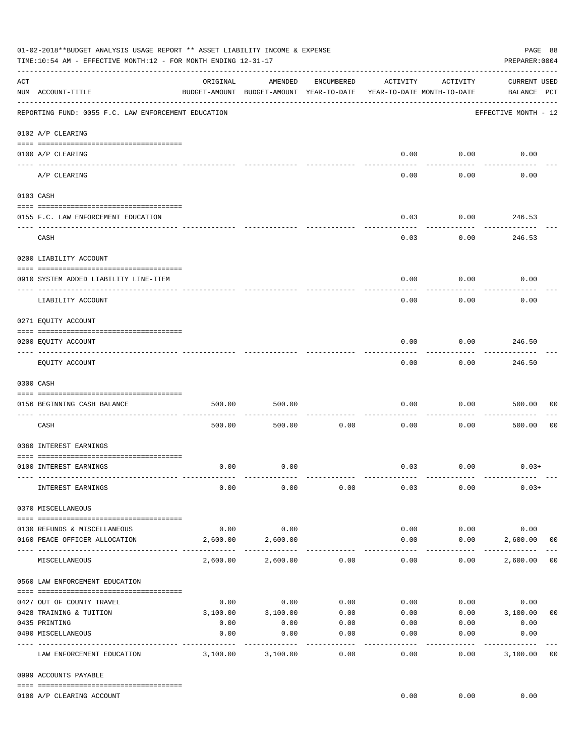|     | 01-02-2018**BUDGET ANALYSIS USAGE REPORT ** ASSET LIABILITY INCOME & EXPENSE<br>TIME:10:54 AM - EFFECTIVE MONTH:12 - FOR MONTH ENDING 12-31-17 |          |                                                     |                 |                                        |                          | PAGE 88<br>PREPARER: 0004          |                |
|-----|------------------------------------------------------------------------------------------------------------------------------------------------|----------|-----------------------------------------------------|-----------------|----------------------------------------|--------------------------|------------------------------------|----------------|
| ACT | NUM ACCOUNT-TITLE                                                                                                                              | ORIGINAL | AMENDED<br>BUDGET-AMOUNT BUDGET-AMOUNT YEAR-TO-DATE | ENCUMBERED      | ACTIVITY<br>YEAR-TO-DATE MONTH-TO-DATE | ACTIVITY                 | <b>CURRENT USED</b><br>BALANCE PCT |                |
|     | REPORTING FUND: 0055 F.C. LAW ENFORCEMENT EDUCATION                                                                                            |          |                                                     |                 |                                        |                          | EFFECTIVE MONTH - 12               |                |
|     | 0102 A/P CLEARING                                                                                                                              |          |                                                     |                 |                                        |                          |                                    |                |
|     | 0100 A/P CLEARING                                                                                                                              |          |                                                     |                 | 0.00                                   | 0.00                     | 0.00                               |                |
|     | A/P CLEARING                                                                                                                                   |          |                                                     |                 | 0.00                                   | 0.00                     | 0.00                               |                |
|     | 0103 CASH                                                                                                                                      |          |                                                     |                 |                                        |                          |                                    |                |
|     | 0155 F.C. LAW ENFORCEMENT EDUCATION                                                                                                            |          |                                                     |                 | 0.03                                   | 0.00                     | 246.53                             |                |
|     | CASH                                                                                                                                           |          |                                                     |                 | 0.03                                   | 0.00                     | 246.53                             |                |
|     | 0200 LIABILITY ACCOUNT                                                                                                                         |          |                                                     |                 |                                        |                          |                                    |                |
|     | 0910 SYSTEM ADDED LIABILITY LINE-ITEM                                                                                                          |          |                                                     |                 | 0.00                                   | 0.00                     | 0.00                               |                |
|     | LIABILITY ACCOUNT                                                                                                                              |          |                                                     |                 | 0.00                                   | 0.00                     | 0.00                               |                |
|     | 0271 EQUITY ACCOUNT                                                                                                                            |          |                                                     |                 |                                        |                          |                                    |                |
|     | 0200 EQUITY ACCOUNT                                                                                                                            |          |                                                     |                 | 0.00                                   | 0.00                     | 246.50                             |                |
|     | EQUITY ACCOUNT                                                                                                                                 |          |                                                     |                 | 0.00                                   | . <u>.</u><br>0.00       | - - - - - - - - - -<br>246.50      |                |
|     | 0300 CASH                                                                                                                                      |          |                                                     |                 |                                        |                          |                                    |                |
|     | 0156 BEGINNING CASH BALANCE                                                                                                                    | 500.00   | 500.00                                              |                 | 0.00                                   | 0.00                     | 500.00                             | 00             |
|     | CASH                                                                                                                                           | 500.00   | 500.00                                              | 0.00            | 0.00                                   | 0.00                     | 500.00                             | 0 <sub>0</sub> |
|     | 0360 INTEREST EARNINGS                                                                                                                         |          |                                                     |                 |                                        |                          |                                    |                |
|     | 0100 INTEREST EARNINGS                                                                                                                         | 0.00     | 0.00                                                |                 |                                        | $0.03$ 0.00              | $0.03+$                            |                |
|     | INTEREST EARNINGS                                                                                                                              | 0.00     | 0.00                                                | 0.00            | 0.03                                   | 0.00                     | $0.03+$                            |                |
|     | 0370 MISCELLANEOUS                                                                                                                             |          |                                                     |                 |                                        |                          |                                    |                |
|     | 0130 REFUNDS & MISCELLANEOUS                                                                                                                   | 0.00     | 0.00                                                |                 | 0.00                                   | 0.00                     | 0.00                               |                |
|     | 0160 PEACE OFFICER ALLOCATION                                                                                                                  | 2,600.00 | 2,600.00                                            |                 | 0.00<br>$- - - - -$                    | 0.00<br>-----------      | 2,600.00<br>-------------          | 0 <sub>0</sub> |
|     | MISCELLANEOUS                                                                                                                                  | 2,600.00 | 2,600.00                                            | 0.00            | 0.00                                   | 0.00                     | 2,600.00                           | 0 <sub>0</sub> |
|     | 0560 LAW ENFORCEMENT EDUCATION                                                                                                                 |          |                                                     |                 |                                        |                          |                                    |                |
|     | 0427 OUT OF COUNTY TRAVEL                                                                                                                      | 0.00     | 0.00                                                | 0.00            | 0.00                                   |                          | 0.00<br>0.00                       |                |
|     | 0428 TRAINING & TUITION                                                                                                                        |          | 3,100.00 3,100.00                                   | 0.00            |                                        | $0.00$ $0.00$ $3,100.00$ |                                    | 0 <sub>0</sub> |
|     | 0435 PRINTING                                                                                                                                  | 0.00     | 0.00                                                | 0.00            |                                        | $0.00$ 0.00              | 0.00                               |                |
|     | 0490 MISCELLANEOUS                                                                                                                             | 0.00     | 0.00                                                | 0.00<br>------- | 0.00                                   | 0.00                     | 0.00                               |                |
|     | LAW ENFORCEMENT EDUCATION                                                                                                                      | 3,100.00 | 3,100.00                                            | 0.00            | 0.00                                   | 0.00                     | 3,100.00                           | 0 <sub>0</sub> |
|     | 0999 ACCOUNTS PAYABLE                                                                                                                          |          |                                                     |                 |                                        |                          |                                    |                |
|     | 0100 A/P CLEARING ACCOUNT                                                                                                                      |          |                                                     |                 | 0.00                                   | 0.00                     | 0.00                               |                |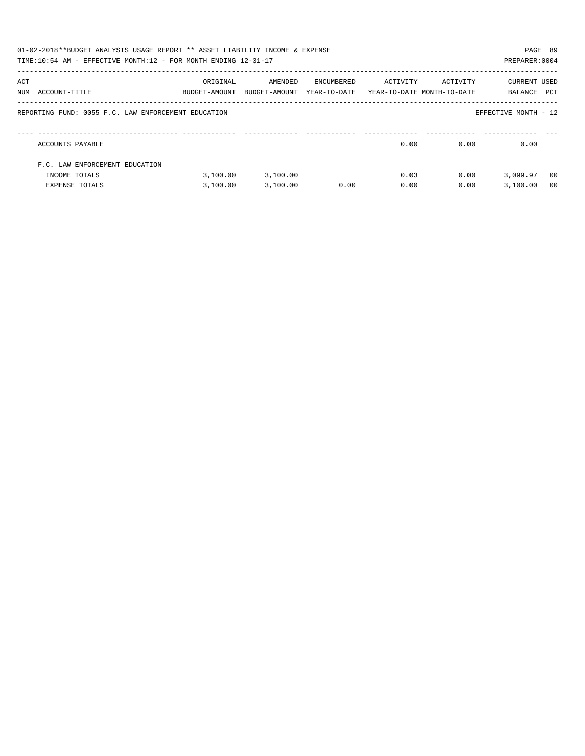|     | 01-02-2018**BUDGET ANALYSIS USAGE REPORT ** ASSET LIABILITY INCOME & EXPENSE<br>TIME:10:54 AM - EFFECTIVE MONTH:12 - FOR MONTH ENDING 12-31-17 |                           |                          |                            |          |                                        | PAGE 89<br>PREPARER: 0004 |                |
|-----|------------------------------------------------------------------------------------------------------------------------------------------------|---------------------------|--------------------------|----------------------------|----------|----------------------------------------|---------------------------|----------------|
| ACT | NUM ACCOUNT-TITLE                                                                                                                              | ORIGINAL<br>BUDGET-AMOUNT | AMENDED<br>BUDGET-AMOUNT | ENCUMBERED<br>YEAR-TO-DATE | ACTIVITY | ACTIVITY<br>YEAR-TO-DATE MONTH-TO-DATE | CURRENT USED<br>BALANCE   | PCT            |
|     | REPORTING FUND: 0055 F.C. LAW ENFORCEMENT EDUCATION                                                                                            |                           |                          |                            |          |                                        | EFFECTIVE MONTH - 12      |                |
|     | ACCOUNTS PAYABLE                                                                                                                               |                           |                          |                            | 0.00     | 0.00                                   | 0.00                      |                |
|     | F.C. LAW ENFORCEMENT EDUCATION                                                                                                                 |                           |                          |                            |          |                                        |                           |                |
|     | INCOME TOTALS                                                                                                                                  | 3,100.00                  | 3,100.00                 |                            | 0.03     | 0.00                                   | 3,099.97                  | - 00           |
|     | <b>EXPENSE TOTALS</b>                                                                                                                          | 3.100.00                  | 3,100.00                 | 0.00                       | 0.00     | 0.00                                   | 3.100.00                  | 0 <sub>0</sub> |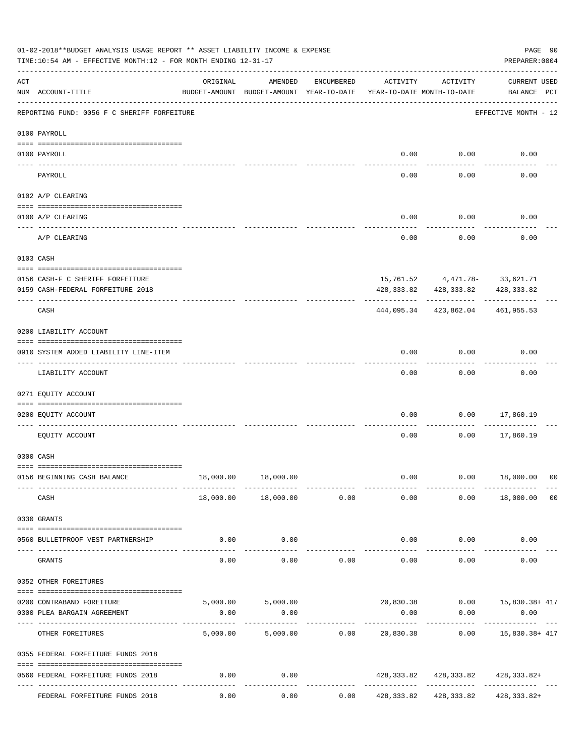|          | 01-02-2018**BUDGET ANALYSIS USAGE REPORT ** ASSET LIABILITY INCOME & EXPENSE<br>TIME:10:54 AM - EFFECTIVE MONTH:12 - FOR MONTH ENDING 12-31-17 |          |                                                     |               |                                        |                           | PREPARER: 0004                                             | PAGE 90        |
|----------|------------------------------------------------------------------------------------------------------------------------------------------------|----------|-----------------------------------------------------|---------------|----------------------------------------|---------------------------|------------------------------------------------------------|----------------|
| ACT      | NUM ACCOUNT-TITLE                                                                                                                              | ORIGINAL | AMENDED<br>BUDGET-AMOUNT BUDGET-AMOUNT YEAR-TO-DATE | ENCUMBERED    | ACTIVITY<br>YEAR-TO-DATE MONTH-TO-DATE | ACTIVITY                  | <b>CURRENT USED</b><br>BALANCE PCT                         |                |
|          | REPORTING FUND: 0056 F C SHERIFF FORFEITURE                                                                                                    |          |                                                     |               |                                        |                           | EFFECTIVE MONTH - 12                                       |                |
|          | 0100 PAYROLL                                                                                                                                   |          |                                                     |               |                                        |                           |                                                            |                |
|          | 0100 PAYROLL                                                                                                                                   |          |                                                     |               | 0.00                                   | 0.00                      | 0.00                                                       |                |
| ---- --- | PAYROLL                                                                                                                                        |          |                                                     |               | 0.00                                   | 0.00                      | 0.00                                                       |                |
|          | 0102 A/P CLEARING                                                                                                                              |          |                                                     |               |                                        |                           |                                                            |                |
|          | 0100 A/P CLEARING                                                                                                                              |          |                                                     |               | 0.00                                   | 0.00                      | 0.00                                                       |                |
|          | A/P CLEARING                                                                                                                                   |          |                                                     |               | 0.00                                   | 0.00                      | 0.00                                                       |                |
|          | 0103 CASH                                                                                                                                      |          |                                                     |               |                                        |                           |                                                            |                |
|          | 0156 CASH-F C SHERIFF FORFEITURE                                                                                                               |          |                                                     |               |                                        |                           | 15, 761.52 4, 471.78- 33, 621.71                           |                |
|          | 0159 CASH-FEDERAL FORFEITURE 2018                                                                                                              |          |                                                     |               |                                        |                           | 428, 333.82 428, 333.82 428, 333.82                        |                |
|          | CASH                                                                                                                                           |          |                                                     |               | 444,095.34                             | 423,862.04                | 461,955.53                                                 |                |
|          | 0200 LIABILITY ACCOUNT                                                                                                                         |          |                                                     |               |                                        |                           |                                                            |                |
|          | 0910 SYSTEM ADDED LIABILITY LINE-ITEM                                                                                                          |          |                                                     |               | 0.00                                   | 0.00                      | 0.00                                                       |                |
|          | LIABILITY ACCOUNT                                                                                                                              |          |                                                     |               | 0.00                                   | 0.00                      | 0.00                                                       |                |
|          | 0271 EQUITY ACCOUNT                                                                                                                            |          |                                                     |               |                                        |                           |                                                            |                |
|          | 0200 EQUITY ACCOUNT                                                                                                                            |          |                                                     |               | 0.00                                   | 0.00                      | 17,860.19                                                  |                |
|          | EQUITY ACCOUNT                                                                                                                                 |          |                                                     |               | 0.00                                   | 0.00                      | 17,860.19                                                  |                |
|          | 0300 CASH                                                                                                                                      |          |                                                     |               |                                        |                           |                                                            |                |
|          | 0156 BEGINNING CASH BALANCE                                                                                                                    |          | 18,000.00   18,000.00                               |               | 0.00                                   |                           | $0.00$ 18,000.00 00                                        |                |
|          | CASH                                                                                                                                           |          | 18,000.00  18,000.00  0.00                          | ------------  | 0.00                                   |                           | $0.00$ 18,000.00                                           | 0 <sub>0</sub> |
|          | 0330 GRANTS                                                                                                                                    |          |                                                     |               |                                        |                           |                                                            |                |
| $---$    | 0560 BULLETPROOF VEST PARTNERSHIP                                                                                                              | 0.00     | 0.00<br>-----------                                 |               |                                        | $0.00$ 0.00<br>---------- | 0.00                                                       |                |
|          | GRANTS                                                                                                                                         | 0.00     | 0.00                                                | 0.00          | 0.00                                   | 0.00                      | 0.00                                                       |                |
|          | 0352 OTHER FOREITURES                                                                                                                          |          |                                                     |               |                                        |                           |                                                            |                |
|          | 0200 CONTRABAND FOREITURE                                                                                                                      |          |                                                     |               |                                        |                           | $5,000.00$ $5,000.00$ $20,830.38$ $0.00$ $15,830.38 + 417$ |                |
|          | 0300 PLEA BARGAIN AGREEMENT                                                                                                                    | 0.00     | 0.00                                                |               | 0.00<br>-------------                  | 0.00<br>------------      | 0.00<br>.                                                  |                |
|          | OTHER FOREITURES                                                                                                                               | 5,000.00 |                                                     | 5,000.00 0.00 |                                        |                           | 20,830.38   0.00   15,830.38+ 417                          |                |
|          | 0355 FEDERAL FORFEITURE FUNDS 2018                                                                                                             |          |                                                     |               |                                        |                           |                                                            |                |
|          | 0560 FEDERAL FORFEITURE FUNDS 2018                                                                                                             | 0.00     | 0.00                                                |               |                                        |                           | 428, 333.82 428, 333.82 428, 333.82+                       |                |
|          | FEDERAL FORFEITURE FUNDS 2018                                                                                                                  | 0.00     | 0.00                                                |               |                                        |                           | $0.00$ $428,333.82$ $428,333.82$ $428.333.82+$             |                |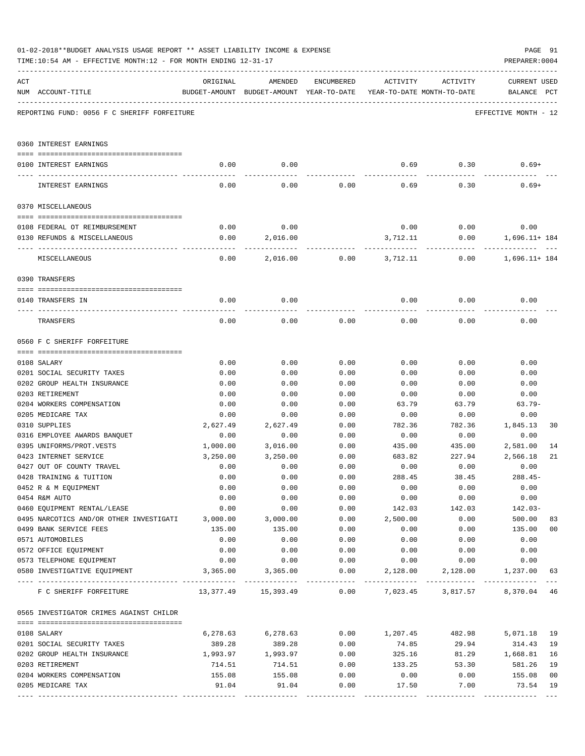|     | 01-02-2018**BUDGET ANALYSIS USAGE REPORT ** ASSET LIABILITY INCOME & EXPENSE<br>TIME:10:54 AM - EFFECTIVE MONTH:12 - FOR MONTH ENDING 12-31-17 |              |                                                     |              |                           |                                        | PAGE 91<br>PREPARER: 0004          |
|-----|------------------------------------------------------------------------------------------------------------------------------------------------|--------------|-----------------------------------------------------|--------------|---------------------------|----------------------------------------|------------------------------------|
| ACT | NUM ACCOUNT-TITLE                                                                                                                              | ORIGINAL     | AMENDED<br>BUDGET-AMOUNT BUDGET-AMOUNT YEAR-TO-DATE | ENCUMBERED   | ACTIVITY                  | ACTIVITY<br>YEAR-TO-DATE MONTH-TO-DATE | <b>CURRENT USED</b><br>BALANCE PCT |
|     | REPORTING FUND: 0056 F C SHERIFF FORFEITURE                                                                                                    |              |                                                     |              |                           |                                        | EFFECTIVE MONTH - 12               |
|     | 0360 INTEREST EARNINGS                                                                                                                         |              |                                                     |              |                           |                                        |                                    |
|     | 0100 INTEREST EARNINGS                                                                                                                         | 0.00         | 0.00                                                |              | 0.69                      |                                        | $0.30$ $0.69+$                     |
|     | INTEREST EARNINGS                                                                                                                              | 0.00         | 0.00                                                | 0.00         | 0.69                      | 0.30                                   | $0.69+$                            |
|     | 0370 MISCELLANEOUS                                                                                                                             |              |                                                     |              |                           |                                        |                                    |
|     |                                                                                                                                                |              |                                                     |              |                           |                                        |                                    |
|     | 0108 FEDERAL OT REIMBURSEMENT                                                                                                                  | 0.00         | 0.00                                                |              |                           | $0.00$ 0.00                            | 0.00<br>$0.00$ 1,696.11+184        |
|     | 0130 REFUNDS & MISCELLANEOUS                                                                                                                   | 0.00         | 2,016.00                                            |              | 3,712.11<br>------------- |                                        |                                    |
|     | MISCELLANEOUS                                                                                                                                  | 0.00         | 2,016.00                                            |              | $0.00$ 3,712.11           | 0.00                                   | 1,696.11+ 184                      |
|     | 0390 TRANSFERS                                                                                                                                 |              |                                                     |              |                           |                                        |                                    |
|     | 0140 TRANSFERS IN                                                                                                                              | 0.00         | 0.00                                                |              | 0.00                      | 0.00                                   | 0.00                               |
|     | TRANSFERS                                                                                                                                      | 0.00         | 0.00                                                | 0.00         | 0.00                      | 0.00                                   | 0.00                               |
|     | 0560 F C SHERIFF FORFEITURE                                                                                                                    |              |                                                     |              |                           |                                        |                                    |
|     |                                                                                                                                                |              |                                                     |              |                           |                                        |                                    |
|     | 0108 SALARY                                                                                                                                    | 0.00         | 0.00                                                | 0.00         | 0.00                      | 0.00                                   | 0.00                               |
|     | 0201 SOCIAL SECURITY TAXES                                                                                                                     | 0.00         | 0.00                                                | 0.00         | 0.00                      | 0.00                                   | 0.00                               |
|     | 0202 GROUP HEALTH INSURANCE<br>0203 RETIREMENT                                                                                                 | 0.00<br>0.00 | 0.00<br>0.00                                        | 0.00<br>0.00 | 0.00<br>0.00              | 0.00<br>0.00                           | 0.00<br>0.00                       |
|     | 0204 WORKERS COMPENSATION                                                                                                                      | 0.00         | 0.00                                                | 0.00         | 63.79                     | 63.79                                  | $63.79-$                           |
|     | 0205 MEDICARE TAX                                                                                                                              | 0.00         | 0.00                                                | 0.00         | 0.00                      | 0.00                                   | 0.00                               |
|     | 0310 SUPPLIES                                                                                                                                  | 2,627.49     | 2,627.49                                            | 0.00         | 782.36                    | 782.36                                 | 1,845.13<br>30                     |
|     | 0316 EMPLOYEE AWARDS BANQUET                                                                                                                   | 0.00         | 0.00                                                | 0.00         | 0.00                      | 0.00                                   | 0.00                               |
|     | 0395 UNIFORMS/PROT.VESTS                                                                                                                       | 1,000.00     | 3,016.00                                            | 0.00         | 435.00                    | 435.00                                 | 2,581.00<br>14                     |
|     | 0423 INTERNET SERVICE                                                                                                                          | 3,250.00     | 3,250.00                                            | 0.00         | 683.82                    | 227.94                                 | 2,566.18<br>21                     |
|     | 0427 OUT OF COUNTY TRAVEL                                                                                                                      | 0.00         | 0.00                                                | 0.00         | 0.00                      | 0.00                                   | 0.00                               |
|     | 0428 TRAINING & TUITION                                                                                                                        | 0.00         | 0.00                                                | 0.00         | 288.45                    | 38.45                                  | $288.45-$                          |
|     | 0452 R & M EQUIPMENT                                                                                                                           | 0.00         | 0.00                                                | 0.00         | 0.00                      | 0.00                                   | 0.00                               |
|     | 0454 R&M AUTO                                                                                                                                  | 0.00         | 0.00                                                | 0.00         | 0.00                      | 0.00                                   | 0.00                               |
|     | 0460 EQUIPMENT RENTAL/LEASE                                                                                                                    | 0.00         | 0.00                                                | 0.00         | 142.03                    | 142.03                                 | $142.03-$                          |
|     | 0495 NARCOTICS AND/OR OTHER INVESTIGATI 3,000.00                                                                                               |              | 3,000.00                                            | 0.00         | 2,500.00                  | 0.00                                   | 500.00<br>83                       |
|     | 0499 BANK SERVICE FEES                                                                                                                         | 135.00       | 135.00                                              | 0.00         | 0.00                      | 0.00                                   | 135.00<br>0 <sub>0</sub>           |
|     | 0571 AUTOMOBILES                                                                                                                               | 0.00         | 0.00                                                | 0.00         | 0.00                      | 0.00                                   | 0.00                               |
|     | 0572 OFFICE EQUIPMENT<br>0573 TELEPHONE EQUIPMENT                                                                                              | 0.00<br>0.00 | 0.00<br>0.00                                        | 0.00<br>0.00 | 0.00<br>0.00              | 0.00<br>0.00                           | 0.00<br>0.00                       |
|     | 0580 INVESTIGATIVE EQUIPMENT                                                                                                                   |              | 3,365.00 3,365.00                                   |              |                           |                                        | 63                                 |
|     | F C SHERIFF FORFEITURE $13,377.49$ $15,393.49$ 0.00 $7,023.45$ 3,817.57 8,370.04                                                               |              |                                                     |              |                           |                                        | $- - -$<br>46                      |
|     | 0565 INVESTIGATOR CRIMES AGAINST CHILDR                                                                                                        |              |                                                     |              |                           |                                        |                                    |
|     |                                                                                                                                                |              |                                                     |              |                           |                                        |                                    |
|     | 0108 SALARY                                                                                                                                    |              | $6,278.63$ $6,278.63$ $0.00$ $1,207.45$ $482.98$    |              |                           |                                        | 5,071.18<br>19                     |
|     | 0201 SOCIAL SECURITY TAXES<br>0202 GROUP HEALTH INSURANCE                                                                                      | 389.28       | 389.28                                              | 0.00<br>0.00 | 74.85<br>325.16           | 29.94                                  | 314.43<br>19<br>16                 |
|     | 0203 RETIREMENT                                                                                                                                | 714.51       | 1,993.97 1,993.97<br>714.51                         | 0.00         | 133.25                    | 53.30                                  | 81.29 1,668.81<br>581.26<br>19     |
|     | 0204 WORKERS COMPENSATION                                                                                                                      | 155.08       | 155.08                                              | 0.00         | 0.00                      | 0.00                                   | 155.08<br>0 <sub>0</sub>           |
|     | 0205 MEDICARE TAX                                                                                                                              | 91.04        | 91.04                                               | 0.00         | 17.50                     | 7.00                                   | 73.54<br>19                        |
|     |                                                                                                                                                |              |                                                     |              |                           |                                        |                                    |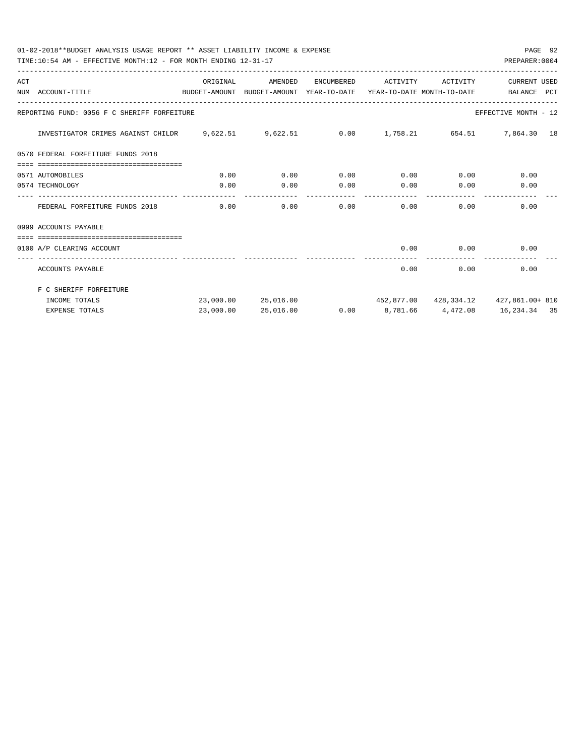01-02-2018\*\*BUDGET ANALYSIS USAGE REPORT \*\* ASSET LIABILITY INCOME & EXPENSE PAGE 92 TIME:10:54 AM - EFFECTIVE MONTH:12 - FOR MONTH ENDING 12-31-17

| ACT | NUM ACCOUNT-TITLE                                                                     | ORIGINAL | AMENDED             |      | ENCUMBERED ACTIVITY ACTIVITY |      | CURRENT USED<br>BUDGET-AMOUNT BUDGET-AMOUNT YEAR-TO-DATE YEAR-TO-DATE MONTH-TO-DATE     BALANCE PCT |
|-----|---------------------------------------------------------------------------------------|----------|---------------------|------|------------------------------|------|-----------------------------------------------------------------------------------------------------|
|     | REPORTING FUND: 0056 F C SHERIFF FORFEITURE                                           |          |                     |      |                              |      | EFFECTIVE MONTH - 12                                                                                |
|     | INVESTIGATOR CRIMES AGAINST CHILDR 9,622.51 9,622.51 0.00 1,758.21 654.51 7,864.30 18 |          |                     |      |                              |      |                                                                                                     |
|     | 0570 FEDERAL FORFEITURE FUNDS 2018                                                    |          |                     |      |                              |      |                                                                                                     |
|     | -------------------------------------                                                 |          |                     |      |                              |      |                                                                                                     |
|     | 0571 AUTOMOBILES                                                                      | 0.00     | 0.00                | 0.00 | $0.00$ 0.00                  |      | 0.00                                                                                                |
|     | 0574 TECHNOLOGY                                                                       | 0.00     | 0.00                |      |                              |      | $0.00$ $0.00$ $0.00$ $0.00$ $0.00$                                                                  |
|     | FEDERAL FORFEITURE FUNDS 2018                                                         |          | 0.00                | 0.00 | 0.00                         | 0.00 | 0.00<br>0.00                                                                                        |
|     | 0999 ACCOUNTS PAYABLE                                                                 |          |                     |      |                              |      |                                                                                                     |
|     | -------------------------------------                                                 |          |                     |      |                              |      |                                                                                                     |
|     | 0100 A/P CLEARING ACCOUNT                                                             |          |                     |      |                              |      | $0.00$ $0.00$ $0.00$<br>----------------------------                                                |
|     | ACCOUNTS PAYABLE                                                                      |          |                     |      | 0.00                         | 0.00 | 0.00                                                                                                |
|     | F C SHERIFF FORFEITURE                                                                |          |                     |      |                              |      |                                                                                                     |
|     | INCOME TOTALS                                                                         |          |                     |      |                              |      | 23,000.00  25,016.00  452,877.00  428,334.12  427,861.00+810                                        |
|     | <b>EXPENSE TOTALS</b>                                                                 |          | 23,000.00 25,016.00 |      |                              |      | $0.00$ 8,781.66 $4,472.08$ 16,234.34 35                                                             |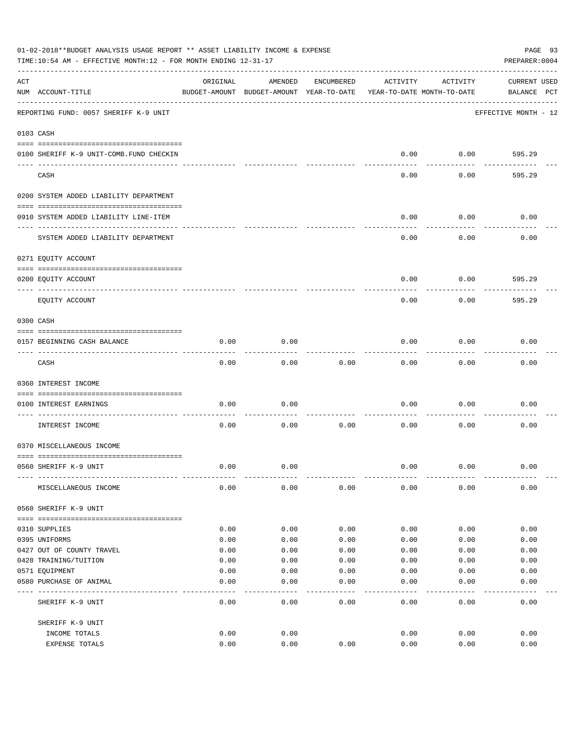|     | 01-02-2018**BUDGET ANALYSIS USAGE REPORT ** ASSET LIABILITY INCOME & EXPENSE<br>TIME:10:54 AM - EFFECTIVE MONTH:12 - FOR MONTH ENDING 12-31-17 |          |                                                     |            |          |                                        | PAGE 93<br>PREPARER: 0004          |
|-----|------------------------------------------------------------------------------------------------------------------------------------------------|----------|-----------------------------------------------------|------------|----------|----------------------------------------|------------------------------------|
| ACT | NUM ACCOUNT-TITLE                                                                                                                              | ORIGINAL | AMENDED<br>BUDGET-AMOUNT BUDGET-AMOUNT YEAR-TO-DATE | ENCUMBERED | ACTIVITY | ACTIVITY<br>YEAR-TO-DATE MONTH-TO-DATE | <b>CURRENT USED</b><br>BALANCE PCT |
|     | REPORTING FUND: 0057 SHERIFF K-9 UNIT                                                                                                          |          |                                                     |            |          |                                        | EFFECTIVE MONTH - 12               |
|     | 0103 CASH                                                                                                                                      |          |                                                     |            |          |                                        |                                    |
|     | 0100 SHERIFF K-9 UNIT-COMB.FUND CHECKIN                                                                                                        |          |                                                     |            | 0.00     | 0.00                                   | 595.29                             |
|     | CASH                                                                                                                                           |          |                                                     |            | 0.00     | 0.00                                   | 595.29                             |
|     | 0200 SYSTEM ADDED LIABILITY DEPARTMENT                                                                                                         |          |                                                     |            |          |                                        |                                    |
|     | 0910 SYSTEM ADDED LIABILITY LINE-ITEM                                                                                                          |          |                                                     |            | 0.00     | 0.00                                   | 0.00                               |
|     | SYSTEM ADDED LIABILITY DEPARTMENT                                                                                                              |          |                                                     |            | 0.00     | 0.00                                   | 0.00                               |
|     | 0271 EQUITY ACCOUNT                                                                                                                            |          |                                                     |            |          |                                        |                                    |
|     | 0200 EQUITY ACCOUNT                                                                                                                            |          |                                                     |            | 0.00     | 0.00                                   | 595.29                             |
|     | ---- ----------<br>EQUITY ACCOUNT                                                                                                              |          |                                                     |            | 0.00     | 0.00                                   | 595.29                             |
|     | 0300 CASH                                                                                                                                      |          |                                                     |            |          |                                        |                                    |
|     | 0157 BEGINNING CASH BALANCE                                                                                                                    | 0.00     | 0.00                                                |            | 0.00     | 0.00                                   | 0.00                               |
|     | CASH                                                                                                                                           | 0.00     | 0.00                                                | 0.00       | 0.00     | 0.00                                   | 0.00                               |
|     | 0360 INTEREST INCOME                                                                                                                           |          |                                                     |            |          |                                        |                                    |
|     | 0100 INTEREST EARNINGS                                                                                                                         | 0.00     | 0.00                                                |            | 0.00     | 0.00                                   | 0.00                               |
|     | INTEREST INCOME                                                                                                                                | 0.00     | 0.00                                                | 0.00       | 0.00     | 0.00                                   | 0.00                               |
|     | 0370 MISCELLANEOUS INCOME                                                                                                                      |          |                                                     |            |          |                                        |                                    |
|     | 0560 SHERIFF K-9 UNIT                                                                                                                          | 0.00     | 0.00                                                |            | 0.00     | 0.00                                   | 0.00                               |
|     | MISCELLANEOUS INCOME                                                                                                                           | 0.00     | 0.00                                                | 0.00       | 0.00     | 0.00                                   | 0.00                               |
|     | 0560 SHERIFF K-9 UNIT                                                                                                                          |          |                                                     |            |          |                                        |                                    |
|     | 0310 SUPPLIES                                                                                                                                  | 0.00     | 0.00                                                | 0.00       | 0.00     | 0.00                                   | 0.00                               |
|     | 0395 UNIFORMS                                                                                                                                  | 0.00     | 0.00                                                | 0.00       | 0.00     | 0.00                                   | 0.00                               |
|     | 0427 OUT OF COUNTY TRAVEL                                                                                                                      | 0.00     | 0.00                                                | 0.00       | 0.00     | 0.00                                   | 0.00                               |
|     | 0428 TRAINING/TUITION                                                                                                                          | 0.00     | 0.00                                                | 0.00       | 0.00     | 0.00                                   | 0.00                               |
|     | 0571 EQUIPMENT                                                                                                                                 | 0.00     | 0.00                                                | 0.00       | 0.00     | 0.00                                   | 0.00                               |
|     | 0580 PURCHASE OF ANIMAL                                                                                                                        | 0.00     | 0.00                                                | 0.00       | 0.00     | 0.00                                   | 0.00                               |
|     | SHERIFF K-9 UNIT                                                                                                                               | 0.00     | 0.00                                                | 0.00       | 0.00     | 0.00                                   | 0.00                               |
|     | SHERIFF K-9 UNIT                                                                                                                               |          |                                                     |            |          |                                        |                                    |
|     | INCOME TOTALS                                                                                                                                  | 0.00     | 0.00                                                |            | 0.00     | 0.00                                   | 0.00                               |
|     | EXPENSE TOTALS                                                                                                                                 | 0.00     | 0.00                                                | 0.00       | 0.00     | 0.00                                   | 0.00                               |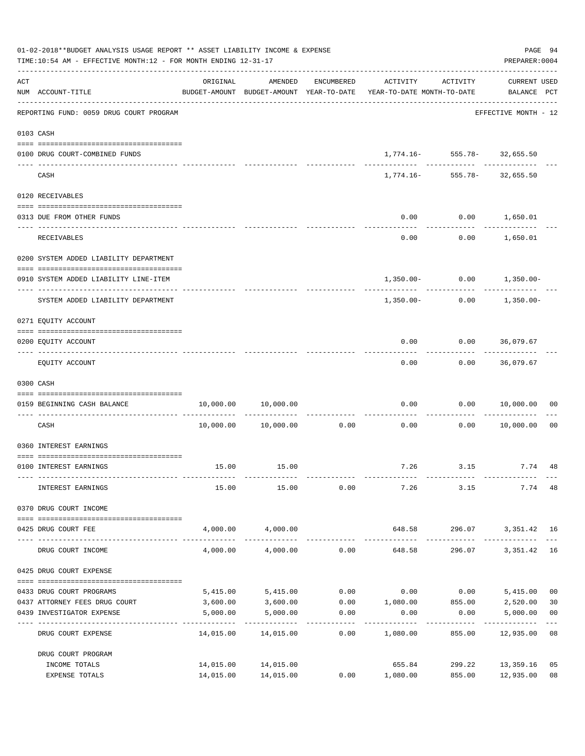|     | 01-02-2018**BUDGET ANALYSIS USAGE REPORT ** ASSET LIABILITY INCOME & EXPENSE<br>TIME:10:54 AM - EFFECTIVE MONTH:12 - FOR MONTH ENDING 12-31-17 |           |                              |                      |                                                                                 |                                    | PAGE 94<br>PREPARER: 0004      |                |
|-----|------------------------------------------------------------------------------------------------------------------------------------------------|-----------|------------------------------|----------------------|---------------------------------------------------------------------------------|------------------------------------|--------------------------------|----------------|
| ACT | NUM ACCOUNT-TITLE                                                                                                                              | ORIGINAL  | AMENDED                      | ENCUMBERED           | ACTIVITY<br>BUDGET-AMOUNT BUDGET-AMOUNT YEAR-TO-DATE YEAR-TO-DATE MONTH-TO-DATE | ACTIVITY                           | CURRENT USED<br>BALANCE PCT    |                |
|     | REPORTING FUND: 0059 DRUG COURT PROGRAM                                                                                                        |           |                              |                      |                                                                                 |                                    | EFFECTIVE MONTH - 12           |                |
|     | 0103 CASH                                                                                                                                      |           |                              |                      |                                                                                 |                                    |                                |                |
|     | 0100 DRUG COURT-COMBINED FUNDS                                                                                                                 |           |                              |                      |                                                                                 | $1,774.16 - 555.78 - 32,655.50$    |                                |                |
|     | CASH                                                                                                                                           |           |                              |                      |                                                                                 | $1,774.16 - 555.78 - 32,655.50$    |                                |                |
|     | 0120 RECEIVABLES                                                                                                                               |           |                              |                      |                                                                                 |                                    |                                |                |
|     | 0313 DUE FROM OTHER FUNDS                                                                                                                      |           |                              |                      | 0.00                                                                            | $0.00$ 1,650.01                    |                                |                |
|     | RECEIVABLES                                                                                                                                    |           |                              |                      | 0.00                                                                            |                                    | $0.00$ 1,650.01                |                |
|     | 0200 SYSTEM ADDED LIABILITY DEPARTMENT                                                                                                         |           |                              |                      |                                                                                 |                                    |                                |                |
|     | 0910 SYSTEM ADDED LIABILITY LINE-ITEM                                                                                                          |           |                              |                      |                                                                                 |                                    | $1,350.00 - 0.00 - 1,350.00 -$ |                |
|     | SYSTEM ADDED LIABILITY DEPARTMENT                                                                                                              |           |                              |                      | 1,350.00-                                                                       | 0.00                               | 1,350.00-                      |                |
|     | 0271 EQUITY ACCOUNT                                                                                                                            |           |                              |                      |                                                                                 |                                    |                                |                |
|     | 0200 EQUITY ACCOUNT                                                                                                                            |           |                              |                      | 0.00                                                                            |                                    | $0.00$ 36,079.67               |                |
|     | EQUITY ACCOUNT                                                                                                                                 |           |                              |                      | 0.00                                                                            |                                    | $0.00$ 36,079.67               |                |
|     | 0300 CASH                                                                                                                                      |           |                              |                      |                                                                                 |                                    |                                |                |
|     | 0159 BEGINNING CASH BALANCE                                                                                                                    | 10,000.00 | 10,000.00                    |                      | 0.00                                                                            | 0.00                               | 10,000.00                      | 00             |
|     | CASH                                                                                                                                           |           | 10,000.00 10,000.00          | 0.00                 | ------------- -------------<br>0.00                                             | 0.00                               | 10,000.00                      | 0 <sub>0</sub> |
|     | 0360 INTEREST EARNINGS                                                                                                                         |           |                              |                      |                                                                                 |                                    |                                |                |
|     | 0100 INTEREST EARNINGS                                                                                                                         |           | 15.00 15.00                  |                      |                                                                                 |                                    | 7.26 3.15 7.74 48              |                |
|     | INTEREST EARNINGS                                                                                                                              | 15.00     | 15.00                        | 0.00                 | 7.26                                                                            | 3.15                               | 7.74 48                        |                |
|     | 0370 DRUG COURT INCOME                                                                                                                         |           |                              |                      |                                                                                 |                                    |                                |                |
|     | 0425 DRUG COURT FEE                                                                                                                            |           | 4,000.00 4,000.00            |                      |                                                                                 |                                    | 648.58 296.07 3,351.42 16      |                |
|     | DRUG COURT INCOME                                                                                                                              |           | $4,000.00$ $4,000.00$ $0.00$ |                      | 648.58                                                                          |                                    | 296.07 3,351.42 16             |                |
|     | 0425 DRUG COURT EXPENSE                                                                                                                        |           |                              |                      |                                                                                 |                                    |                                |                |
|     | 0433 DRUG COURT PROGRAMS                                                                                                                       |           | 5,415.00 5,415.00            |                      | $0.00$ $0.00$ $0.00$ $5,415.00$                                                 |                                    |                                | 0 <sub>0</sub> |
|     | 0437 ATTORNEY FEES DRUG COURT                                                                                                                  |           | 3,600.00 3,600.00            |                      | $0.00$ 1,080.00 855.00 2,520.00                                                 |                                    |                                | 30             |
|     | 0439 INVESTIGATOR EXPENSE                                                                                                                      | 5,000.00  | 5,000.00                     | 0.00<br>------------ | 0.00                                                                            | 0.00<br>------------ ------------- | 5,000.00                       | 0 <sub>0</sub> |
|     | DRUG COURT EXPENSE                                                                                                                             | 14,015.00 | 14,015.00                    | 0.00                 | 1,080.00                                                                        |                                    | 855.00 12,935.00 08            |                |
|     | DRUG COURT PROGRAM                                                                                                                             |           |                              |                      |                                                                                 |                                    |                                |                |
|     | INCOME TOTALS                                                                                                                                  |           | 14,015.00 14,015.00          |                      | 655.84                                                                          |                                    | 299.22 13,359.16               | 05             |
|     | EXPENSE TOTALS                                                                                                                                 |           | 14,015.00 14,015.00          |                      | $0.00$ 1,080.00                                                                 |                                    | 855.00 12,935.00               | 08             |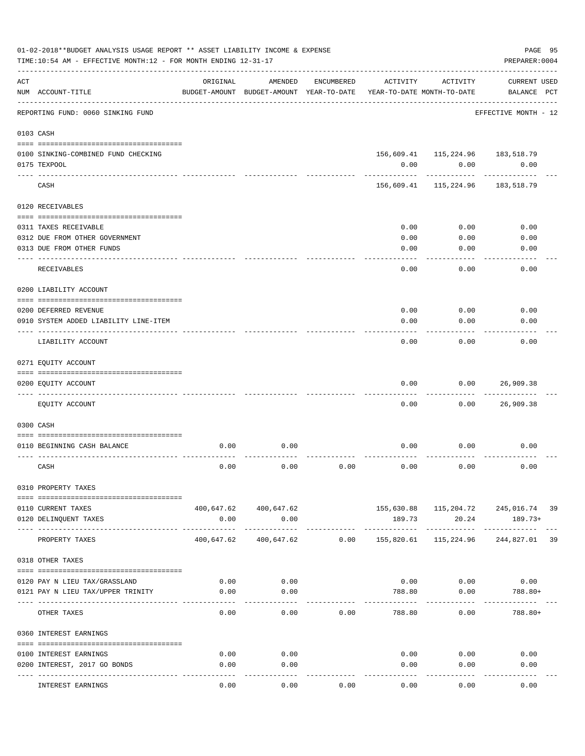|     | 01-02-2018**BUDGET ANALYSIS USAGE REPORT ** ASSET LIABILITY INCOME & EXPENSE<br>TIME:10:54 AM - EFFECTIVE MONTH:12 - FOR MONTH ENDING 12-31-17 |            |                                                     |            |                                        |                                                       | PAGE 95<br>PREPARER: 0004          |  |
|-----|------------------------------------------------------------------------------------------------------------------------------------------------|------------|-----------------------------------------------------|------------|----------------------------------------|-------------------------------------------------------|------------------------------------|--|
| ACT | NUM ACCOUNT-TITLE                                                                                                                              | ORIGINAL   | AMENDED<br>BUDGET-AMOUNT BUDGET-AMOUNT YEAR-TO-DATE | ENCUMBERED | ACTIVITY<br>YEAR-TO-DATE MONTH-TO-DATE | ACTIVITY                                              | <b>CURRENT USED</b><br>BALANCE PCT |  |
|     | REPORTING FUND: 0060 SINKING FUND                                                                                                              |            |                                                     |            |                                        |                                                       | EFFECTIVE MONTH - 12               |  |
|     | 0103 CASH                                                                                                                                      |            |                                                     |            |                                        |                                                       |                                    |  |
|     | 0100 SINKING-COMBINED FUND CHECKING                                                                                                            |            |                                                     |            |                                        | 156,609.41  115,224.96  183,518.79                    |                                    |  |
|     | 0175 TEXPOOL                                                                                                                                   |            |                                                     |            | 0.00                                   | 0.00                                                  | 0.00                               |  |
|     | CASH                                                                                                                                           |            |                                                     |            |                                        | 156,609.41 115,224.96                                 | 183,518.79                         |  |
|     | 0120 RECEIVABLES                                                                                                                               |            |                                                     |            |                                        |                                                       |                                    |  |
|     | 0311 TAXES RECEIVABLE                                                                                                                          |            |                                                     |            | 0.00                                   | 0.00                                                  | 0.00                               |  |
|     | 0312 DUE FROM OTHER GOVERNMENT                                                                                                                 |            |                                                     |            | 0.00                                   | 0.00                                                  | 0.00                               |  |
|     | 0313 DUE FROM OTHER FUNDS                                                                                                                      |            |                                                     |            | 0.00                                   | 0.00                                                  | 0.00                               |  |
|     | RECEIVABLES                                                                                                                                    |            |                                                     |            | 0.00                                   | 0.00                                                  | 0.00                               |  |
|     | 0200 LIABILITY ACCOUNT                                                                                                                         |            |                                                     |            |                                        |                                                       |                                    |  |
|     | 0200 DEFERRED REVENUE                                                                                                                          |            |                                                     |            | 0.00                                   | 0.00                                                  | 0.00                               |  |
|     | 0910 SYSTEM ADDED LIABILITY LINE-ITEM                                                                                                          |            |                                                     |            | 0.00                                   | 0.00                                                  | 0.00                               |  |
|     | LIABILITY ACCOUNT                                                                                                                              |            |                                                     |            | 0.00                                   | 0.00                                                  | 0.00                               |  |
|     | 0271 EQUITY ACCOUNT                                                                                                                            |            |                                                     |            |                                        |                                                       |                                    |  |
|     |                                                                                                                                                |            |                                                     |            |                                        |                                                       |                                    |  |
|     | 0200 EQUITY ACCOUNT                                                                                                                            |            |                                                     |            | 0.00                                   | 0.00                                                  | 26,909.38                          |  |
|     | EQUITY ACCOUNT                                                                                                                                 |            |                                                     |            | 0.00                                   | 0.00                                                  | 26,909.38                          |  |
|     | 0300 CASH                                                                                                                                      |            |                                                     |            |                                        |                                                       |                                    |  |
|     |                                                                                                                                                |            |                                                     |            |                                        |                                                       |                                    |  |
|     | 0110 BEGINNING CASH BALANCE                                                                                                                    | 0.00       | 0.00                                                |            | 0.00                                   | 0.00                                                  | 0.00                               |  |
|     | CASH                                                                                                                                           | 0.00       | 0.00                                                | 0.00       | 0.00                                   | 0.00                                                  | 0.00                               |  |
|     | 0310 PROPERTY TAXES                                                                                                                            |            |                                                     |            |                                        |                                                       |                                    |  |
|     |                                                                                                                                                |            |                                                     |            |                                        |                                                       |                                    |  |
|     | 0110 CURRENT TAXES<br>0120 DELINQUENT TAXES                                                                                                    | 0.00       | 400,647.62 400,647.62<br>0.00                       |            | 189.73                                 | 155,630.88    115,204.72    245,016.74    39<br>20.24 | 189.73+                            |  |
|     | PROPERTY TAXES                                                                                                                                 | 400,647.62 | _______________________________<br>400,647.62       | 0.00       | 155,820.61                             | 115,224.96                                            | 244,827.01 39                      |  |
|     | 0318 OTHER TAXES                                                                                                                               |            |                                                     |            |                                        |                                                       |                                    |  |
|     |                                                                                                                                                |            |                                                     |            |                                        |                                                       |                                    |  |
|     | 0120 PAY N LIEU TAX/GRASSLAND                                                                                                                  | 0.00       | 0.00                                                |            |                                        | $0.00$ 0.00                                           | 0.00                               |  |
|     | 0121 PAY N LIEU TAX/UPPER TRINITY                                                                                                              | 0.00       | 0.00                                                |            | 788.80                                 | 0.00<br>--------                                      | 788.80+                            |  |
|     | OTHER TAXES                                                                                                                                    | 0.00       | 0.00                                                | 0.00       | 788.80                                 | 0.00                                                  | $788.80+$                          |  |
|     | 0360 INTEREST EARNINGS                                                                                                                         |            |                                                     |            |                                        |                                                       |                                    |  |
|     | 0100 INTEREST EARNINGS                                                                                                                         | 0.00       | 0.00                                                |            |                                        | 0.00<br>0.00                                          | 0.00                               |  |
|     | 0200 INTEREST, 2017 GO BONDS                                                                                                                   | 0.00       | 0.00                                                |            | 0.00                                   | 0.00                                                  | 0.00                               |  |
|     |                                                                                                                                                |            |                                                     |            |                                        |                                                       |                                    |  |
|     | INTEREST EARNINGS                                                                                                                              | 0.00       | 0.00                                                | 0.00       | 0.00                                   | 0.00                                                  | 0.00                               |  |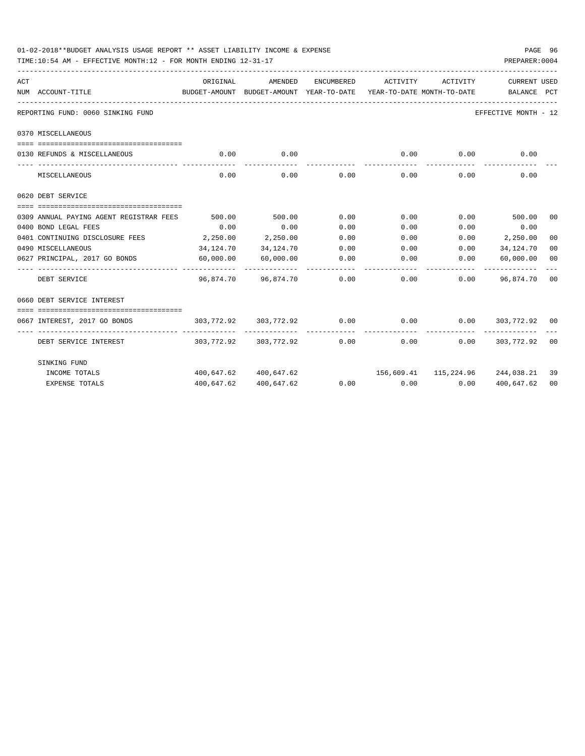| 01-02-2018**BUDGET ANALYSIS USAGE REPORT ** ASSET LIABILITY INCOME & EXPENSE<br>TIME:10:54 AM - EFFECTIVE MONTH:12 - FOR MONTH ENDING 12-31-17 |           |                          |               |                                                                                 |                      | PREPARER: 0004       | PAGE 96 |
|------------------------------------------------------------------------------------------------------------------------------------------------|-----------|--------------------------|---------------|---------------------------------------------------------------------------------|----------------------|----------------------|---------|
| ACT                                                                                                                                            | ORIGINAL  | AMENDED                  | ENCUMBERED    | ACTIVITY                                                                        | ACTIVITY             | CURRENT USED         |         |
| NUM ACCOUNT-TITLE                                                                                                                              |           |                          |               | BUDGET-AMOUNT BUDGET-AMOUNT YEAR-TO-DATE YEAR-TO-DATE MONTH-TO-DATE BALANCE PCT |                      |                      |         |
| REPORTING FUND: 0060 SINKING FUND                                                                                                              |           |                          |               |                                                                                 |                      | EFFECTIVE MONTH - 12 |         |
| 0370 MISCELLANEOUS                                                                                                                             |           |                          |               |                                                                                 |                      |                      |         |
|                                                                                                                                                |           |                          |               |                                                                                 |                      |                      |         |
| 0130 REFUNDS & MISCELLANEOUS                                                                                                                   | 0.00      | 0.00<br>-----------      |               | 0.00<br>-------------                                                           | 0.00<br>------------ | 0.00                 |         |
| MISCELLANEOUS                                                                                                                                  | 0.00      | 0.00                     | 0.00          | 0.00                                                                            | 0.00                 | 0.00                 |         |
| 0620 DEBT SERVICE                                                                                                                              |           |                          |               |                                                                                 |                      |                      |         |
|                                                                                                                                                |           |                          |               |                                                                                 |                      |                      |         |
| 0309 ANNUAL PAYING AGENT REGISTRAR FEES                                                                                                        | 500.00    | 500.00                   | 0.00          | 0.00                                                                            |                      | $0.00$ 500.00        | 00      |
| 0400 BOND LEGAL FEES                                                                                                                           | 0.00      | 0.00                     | 0.00          | 0.00                                                                            | 0.00                 | 0.00                 |         |
| 0401 CONTINUING DISCLOSURE FEES                                                                                                                | 2, 250.00 | 2,250.00                 | 0.00          | 0.00                                                                            |                      | $0.00$ 2,250.00      | 00      |
| 0490 MISCELLANEOUS                                                                                                                             | 34,124.70 | 34,124.70                | 0.00          | 0.00                                                                            | 0.00                 | 34, 124. 70          | 00      |
| 0627 PRINCIPAL, 2017 GO BONDS<br>----------------- --------------                                                                              | 60,000.00 | 60,000.00                | 0.00          | $0.00$ 0.00                                                                     |                      | 60,000.00            | 00      |
| DEBT SERVICE                                                                                                                                   |           | 96,874.70 96,874.70 0.00 |               |                                                                                 | 0.00                 | $0.00$ 96,874.70 00  |         |
| 0660 DEBT SERVICE INTEREST                                                                                                                     |           |                          |               |                                                                                 |                      |                      |         |
|                                                                                                                                                |           |                          |               |                                                                                 |                      |                      |         |
| 0667 INTEREST, 2017 GO BONDS                                                                                                                   |           | 303,772.92 303,772.92    |               | $0.00$ $0.00$ $0.00$ $0.00$ $303,772.92$ $00$                                   |                      |                      |         |
| DEBT SERVICE INTEREST                                                                                                                          |           |                          | ------------- | $303,772.92$ $303,772.92$ $0.00$ $0.00$                                         | ------------<br>0.00 | 303,772.92 00        |         |
| SINKING FUND                                                                                                                                   |           |                          |               |                                                                                 |                      |                      |         |
| INCOME TOTALS                                                                                                                                  |           | 400,647.62 400,647.62    |               | 156,609.41  115,224.96  244,038.21                                              |                      |                      | 39      |
| <b>EXPENSE TOTALS</b>                                                                                                                          |           | 400,647.62 400,647.62    |               | $0.00$ $0.00$ $0.00$ $0.00$                                                     |                      | 400,647.62           | 00      |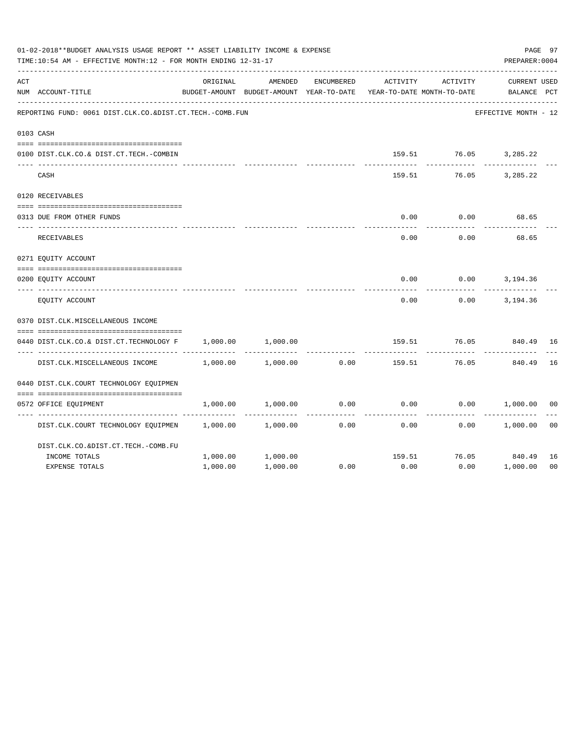|     | 01-02-2018**BUDGET ANALYSIS USAGE REPORT ** ASSET LIABILITY INCOME & EXPENSE<br>TIME:10:54 AM - EFFECTIVE MONTH:12 - FOR MONTH ENDING 12-31-17 |          |                                                     |            |                                        |                       | PAGE 97<br>PREPARER: 0004          |
|-----|------------------------------------------------------------------------------------------------------------------------------------------------|----------|-----------------------------------------------------|------------|----------------------------------------|-----------------------|------------------------------------|
| ACT | NUM ACCOUNT-TITLE                                                                                                                              | ORIGINAL | AMENDED<br>BUDGET-AMOUNT BUDGET-AMOUNT YEAR-TO-DATE | ENCUMBERED | ACTIVITY<br>YEAR-TO-DATE MONTH-TO-DATE | ACTIVITY              | <b>CURRENT USED</b><br>BALANCE PCT |
|     | REPORTING FUND: 0061 DIST.CLK.CO.&DIST.CT.TECH.-COMB.FUN                                                                                       |          |                                                     |            |                                        |                       | EFFECTIVE MONTH - 12               |
|     | 0103 CASH                                                                                                                                      |          |                                                     |            |                                        |                       |                                    |
|     | 0100 DIST.CLK.CO.& DIST.CT.TECH.-COMBIN                                                                                                        |          |                                                     |            |                                        | 159.51 76.05 3,285.22 |                                    |
|     | CASH                                                                                                                                           |          |                                                     |            | 159.51                                 | 76.05                 | 3,285.22                           |
|     | 0120 RECEIVABLES                                                                                                                               |          |                                                     |            |                                        |                       |                                    |
|     | 0313 DUE FROM OTHER FUNDS                                                                                                                      |          |                                                     |            | 0.00                                   | 0.00                  | 68.65                              |
|     | RECEIVABLES                                                                                                                                    |          |                                                     |            | 0.00                                   | 0.00                  | 68.65                              |
|     | 0271 EQUITY ACCOUNT                                                                                                                            |          |                                                     |            |                                        |                       |                                    |
|     | 0200 EOUITY ACCOUNT                                                                                                                            |          |                                                     |            | 0.00                                   | 0.00                  | 3,194.36                           |
|     | EQUITY ACCOUNT                                                                                                                                 |          |                                                     |            | 0.00                                   | 0.00                  | 3,194.36                           |
|     | 0370 DIST.CLK.MISCELLANEOUS INCOME                                                                                                             |          |                                                     |            |                                        |                       |                                    |
|     | 0440 DIST.CLK.CO.& DIST.CT.TECHNOLOGY F                                                                                                        | 1,000.00 | 1,000.00                                            |            | 159.51                                 | 76.05                 | 840.49<br>16                       |
|     | DIST.CLK.MISCELLANEOUS INCOME                                                                                                                  | 1,000.00 | 1,000.00                                            | 0.00       | 159.51                                 | 76.05                 | 16<br>840.49                       |
|     | 0440 DIST.CLK.COURT TECHNOLOGY EQUIPMEN                                                                                                        |          |                                                     |            |                                        |                       |                                    |
|     | 0572 OFFICE EQUIPMENT                                                                                                                          | 1,000.00 | 1,000.00                                            | 0.00       | 0.00                                   |                       | $0.00$ 1,000.00<br>0 <sub>0</sub>  |
|     | DIST.CLK.COURT TECHNOLOGY EQUIPMEN                                                                                                             | 1,000.00 | 1,000.00                                            | 0.00       | 0.00                                   | 0.00                  | 0 <sub>0</sub><br>1,000.00         |
|     | DIST.CLK.CO.&DIST.CT.TECH.-COMB.FU                                                                                                             |          |                                                     |            |                                        |                       |                                    |
|     | INCOME TOTALS                                                                                                                                  | 1,000.00 | 1,000.00                                            |            | 159.51                                 |                       | 76.05 840.49<br>16                 |
|     | <b>EXPENSE TOTALS</b>                                                                                                                          | 1,000.00 | 1,000.00                                            | 0.00       | 0.00                                   | 0.00                  | 1,000.00<br>0 <sub>0</sub>         |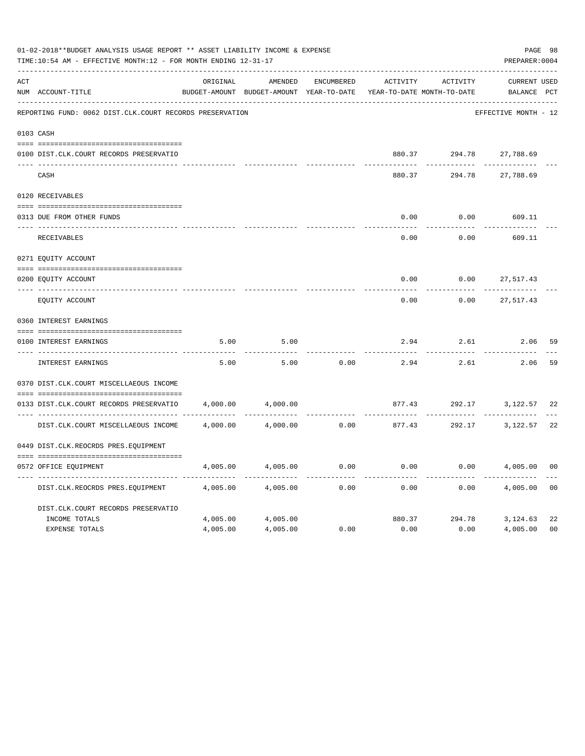|     | 01-02-2018**BUDGET ANALYSIS USAGE REPORT ** ASSET LIABILITY INCOME & EXPENSE<br>TIME:10:54 AM - EFFECTIVE MONTH:12 - FOR MONTH ENDING 12-31-17 |          |                                                     |            |                                        |              | PREPARER: 0004                    | PAGE 98        |
|-----|------------------------------------------------------------------------------------------------------------------------------------------------|----------|-----------------------------------------------------|------------|----------------------------------------|--------------|-----------------------------------|----------------|
| ACT | NUM ACCOUNT-TITLE                                                                                                                              | ORIGINAL | AMENDED<br>BUDGET-AMOUNT BUDGET-AMOUNT YEAR-TO-DATE | ENCUMBERED | ACTIVITY<br>YEAR-TO-DATE MONTH-TO-DATE | ACTIVITY     | CURRENT USED<br>BALANCE PCT       |                |
|     | REPORTING FUND: 0062 DIST.CLK.COURT RECORDS PRESERVATION                                                                                       |          |                                                     |            |                                        |              | EFFECTIVE MONTH - 12              |                |
|     | 0103 CASH                                                                                                                                      |          |                                                     |            |                                        |              |                                   |                |
|     | 0100 DIST.CLK.COURT RECORDS PRESERVATIO                                                                                                        |          |                                                     |            |                                        |              | 880.37 294.78 27,788.69           |                |
|     | CASH                                                                                                                                           |          |                                                     |            | 880.37                                 | 294.78       | 27,788.69                         |                |
|     | 0120 RECEIVABLES                                                                                                                               |          |                                                     |            |                                        |              |                                   |                |
|     | 0313 DUE FROM OTHER FUNDS                                                                                                                      |          |                                                     |            | 0.00                                   | 0.00         | 609.11                            |                |
|     | RECEIVABLES                                                                                                                                    |          |                                                     |            | $- - - - -$<br>0.00                    | 0.00         | 609.11                            |                |
|     | 0271 EQUITY ACCOUNT                                                                                                                            |          |                                                     |            |                                        |              |                                   |                |
|     | 0200 EQUITY ACCOUNT                                                                                                                            |          |                                                     |            | 0.00                                   | 0.00         | 27,517.43                         |                |
|     | ---- -------------------------<br>EQUITY ACCOUNT                                                                                               |          |                                                     |            | .<br>0.00                              | 0.00         | 27,517.43                         |                |
|     | 0360 INTEREST EARNINGS                                                                                                                         |          |                                                     |            |                                        |              |                                   |                |
|     | 0100 INTEREST EARNINGS                                                                                                                         | 5.00     | 5.00                                                |            | 2.94                                   | 2.61         | 2.06                              | 59             |
|     | <b>INTEREST EARNINGS</b>                                                                                                                       | 5.00     | 5.00                                                | 0.00       | --------<br>2.94                       | .<br>2.61    | 2.06                              | 59             |
|     | 0370 DIST.CLK.COURT MISCELLAEOUS INCOME                                                                                                        |          |                                                     |            |                                        |              |                                   |                |
|     | 0133 DIST.CLK.COURT RECORDS PRESERVATIO                                                                                                        | 4,000.00 | 4,000.00                                            |            |                                        |              | 877.43 292.17 3,122.57 22         |                |
|     | DIST.CLK.COURT MISCELLAEOUS INCOME 4,000.00                                                                                                    |          | 4,000.00                                            |            | $0.00$ 877.43 292.17 3,122.57          | . <u>.</u> . |                                   | 22             |
|     | 0449 DIST.CLK.REOCRDS PRES.EQUIPMENT                                                                                                           |          |                                                     |            |                                        |              |                                   |                |
|     | 0572 OFFICE EQUIPMENT                                                                                                                          |          | 4,005.00 4,005.00                                   | 0.00       | $0.00$ $0.00$ $4,005.00$               |              |                                   | 00             |
|     | DIST.CLK.REOCRDS PRES.EQUIPMENT                                                                                                                | 4,005.00 | 4,005.00                                            | 0.00       | .<br>0.00                              | 0.00         | . _ _ _ _ _ _ _ _ _ _<br>4,005.00 | 00             |
|     | DIST.CLK.COURT RECORDS PRESERVATIO                                                                                                             |          |                                                     |            |                                        |              |                                   |                |
|     | INCOME TOTALS                                                                                                                                  |          | 4,005.00 4,005.00                                   |            |                                        |              | 880.37 294.78 3,124.63            | 22             |
|     | <b>EXPENSE TOTALS</b>                                                                                                                          | 4,005.00 | 4,005.00                                            | 0.00       | 0.00                                   | 0.00         | 4,005.00                          | 0 <sub>0</sub> |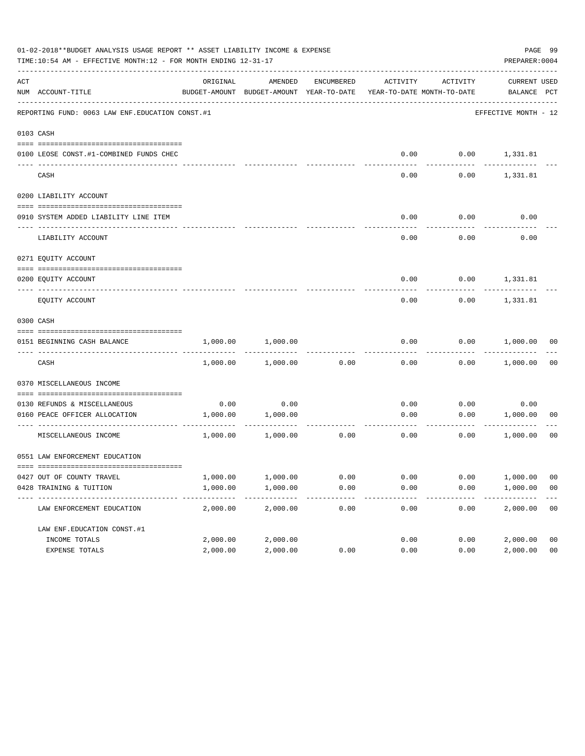|     | 01-02-2018**BUDGET ANALYSIS USAGE REPORT ** ASSET LIABILITY INCOME & EXPENSE<br>TIME:10:54 AM - EFFECTIVE MONTH:12 - FOR MONTH ENDING 12-31-17 |                      |                                                                                |              |              |              | PREPARER: 0004              | PAGE 99              |
|-----|------------------------------------------------------------------------------------------------------------------------------------------------|----------------------|--------------------------------------------------------------------------------|--------------|--------------|--------------|-----------------------------|----------------------|
| ACT | NUM ACCOUNT-TITLE                                                                                                                              | ORIGINAL             | AMENDED<br>BUDGET-AMOUNT BUDGET-AMOUNT YEAR-TO-DATE YEAR-TO-DATE MONTH-TO-DATE | ENCUMBERED   | ACTIVITY     | ACTIVITY     | CURRENT USED<br>BALANCE PCT |                      |
|     | REPORTING FUND: 0063 LAW ENF. EDUCATION CONST. #1                                                                                              |                      |                                                                                |              |              |              | EFFECTIVE MONTH - 12        |                      |
|     | 0103 CASH                                                                                                                                      |                      |                                                                                |              |              |              |                             |                      |
|     | 0100 LEOSE CONST.#1-COMBINED FUNDS CHEC                                                                                                        |                      |                                                                                |              | 0.00         |              | $0.00$ 1,331.81             |                      |
|     | CASH                                                                                                                                           |                      |                                                                                |              | 0.00         | 0.00         | 1,331.81                    |                      |
|     | 0200 LIABILITY ACCOUNT                                                                                                                         |                      |                                                                                |              |              |              |                             |                      |
|     | 0910 SYSTEM ADDED LIABILITY LINE ITEM                                                                                                          |                      |                                                                                |              | 0.00         | 0.00         | 0.00                        |                      |
|     | LIABILITY ACCOUNT                                                                                                                              |                      |                                                                                |              | 0.00         | 0.00         | 0.00                        |                      |
|     | 0271 EQUITY ACCOUNT                                                                                                                            |                      |                                                                                |              |              |              |                             |                      |
|     | 0200 EQUITY ACCOUNT                                                                                                                            |                      |                                                                                |              | 0.00         |              | $0.00$ 1,331.81             |                      |
|     | EQUITY ACCOUNT                                                                                                                                 |                      |                                                                                |              | 0.00         | 0.00         | 1,331.81                    |                      |
|     | 0300 CASH                                                                                                                                      |                      |                                                                                |              |              |              |                             |                      |
|     | 0151 BEGINNING CASH BALANCE                                                                                                                    | 1,000.00             | 1,000.00                                                                       |              | 0.00         |              | $0.00$ 1,000.00 00          |                      |
|     | CASH                                                                                                                                           | 1,000.00             | 1,000.00                                                                       | 0.00         | 0.00         |              | $0.00$ 1,000.00             | - 00                 |
|     | 0370 MISCELLANEOUS INCOME                                                                                                                      |                      |                                                                                |              |              |              |                             |                      |
|     | 0130 REFUNDS & MISCELLANEOUS                                                                                                                   |                      | 0.00                                                                           |              |              |              |                             |                      |
|     | 0160 PEACE OFFICER ALLOCATION                                                                                                                  | 0.00<br>1,000.00     | 1,000.00                                                                       |              | 0.00<br>0.00 | 0.00<br>0.00 | 0.00<br>1,000.00            | 00                   |
|     | MISCELLANEOUS INCOME                                                                                                                           | 1,000.00             | . <u>.</u> .<br>1,000.00                                                       | 0.00         | 0.00         | 0.00         | ------------<br>1,000.00    | 00                   |
|     | 0551 LAW ENFORCEMENT EDUCATION                                                                                                                 |                      |                                                                                |              |              |              |                             |                      |
|     |                                                                                                                                                |                      |                                                                                |              |              |              |                             |                      |
|     | 0427 OUT OF COUNTY TRAVEL<br>0428 TRAINING & TUITION                                                                                           | 1,000.00<br>1,000.00 | 1,000.00<br>1,000.00                                                           | 0.00<br>0.00 | 0.00<br>0.00 | 0.00<br>0.00 | 1,000.00<br>1,000.00        | 00<br>0 <sub>0</sub> |
|     | LAW ENFORCEMENT EDUCATION                                                                                                                      | 2,000.00             | 2,000.00                                                                       | 0.00         | 0.00         | 0.00         | 2,000.00                    | 0 <sub>0</sub>       |
|     | LAW ENF. EDUCATION CONST. #1                                                                                                                   |                      |                                                                                |              |              |              |                             |                      |
|     | INCOME TOTALS                                                                                                                                  | 2,000.00             | 2,000.00                                                                       |              | 0.00         | 0.00         | 2,000.00                    | 0 <sub>0</sub>       |
|     | EXPENSE TOTALS                                                                                                                                 | 2,000.00             | 2,000.00                                                                       | 0.00         | 0.00         | 0.00         | 2,000.00                    | 0 <sub>0</sub>       |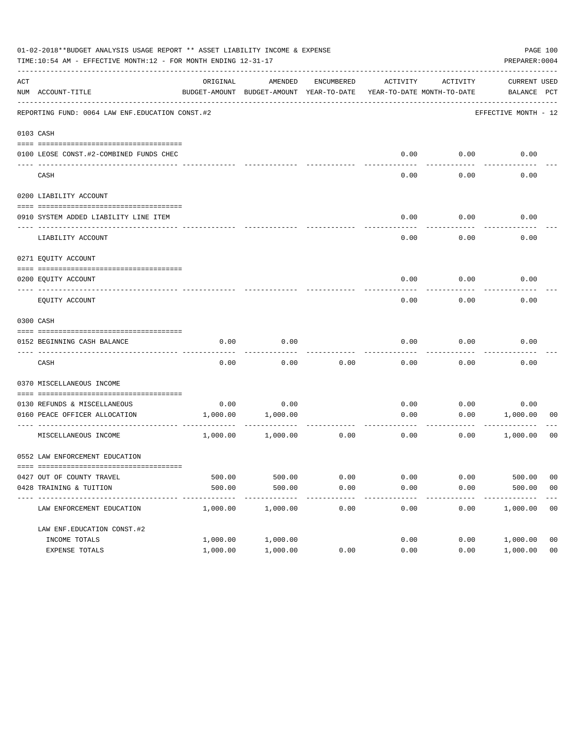|     | 01-02-2018**BUDGET ANALYSIS USAGE REPORT ** ASSET LIABILITY INCOME & EXPENSE<br>TIME:10:54 AM - EFFECTIVE MONTH:12 - FOR MONTH ENDING 12-31-17 |                        |                                                     |                |                                        |              | PREPARER: 0004              | PAGE 100             |
|-----|------------------------------------------------------------------------------------------------------------------------------------------------|------------------------|-----------------------------------------------------|----------------|----------------------------------------|--------------|-----------------------------|----------------------|
| ACT | NUM ACCOUNT-TITLE                                                                                                                              | ORIGINAL               | AMENDED<br>BUDGET-AMOUNT BUDGET-AMOUNT YEAR-TO-DATE | ENCUMBERED     | ACTIVITY<br>YEAR-TO-DATE MONTH-TO-DATE | ACTIVITY     | CURRENT USED<br>BALANCE PCT |                      |
|     | REPORTING FUND: 0064 LAW ENF. EDUCATION CONST. #2                                                                                              |                        |                                                     |                |                                        |              | EFFECTIVE MONTH - 12        |                      |
|     | 0103 CASH                                                                                                                                      |                        |                                                     |                |                                        |              |                             |                      |
|     | 0100 LEOSE CONST.#2-COMBINED FUNDS CHEC                                                                                                        |                        |                                                     |                |                                        | $0.00$ 0.00  | 0.00                        |                      |
|     | CASH                                                                                                                                           |                        |                                                     |                | 0.00                                   | 0.00         | 0.00                        |                      |
|     | 0200 LIABILITY ACCOUNT                                                                                                                         |                        |                                                     |                |                                        |              |                             |                      |
|     | 0910 SYSTEM ADDED LIABILITY LINE ITEM                                                                                                          |                        |                                                     |                | 0.00                                   | 0.00         | 0.00                        |                      |
|     | LIABILITY ACCOUNT                                                                                                                              |                        |                                                     |                | 0.00                                   | 0.00         | 0.00                        |                      |
|     | 0271 EQUITY ACCOUNT                                                                                                                            |                        |                                                     |                |                                        |              |                             |                      |
|     | 0200 EQUITY ACCOUNT                                                                                                                            |                        |                                                     |                | 0.00                                   | 0.00         | 0.00                        |                      |
|     | EQUITY ACCOUNT                                                                                                                                 |                        |                                                     |                | 0.00                                   | 0.00         | 0.00                        |                      |
|     | 0300 CASH                                                                                                                                      |                        |                                                     |                |                                        |              |                             |                      |
|     | 0152 BEGINNING CASH BALANCE                                                                                                                    | 0.00                   | 0.00                                                |                | 0.00                                   | 0.00         | 0.00                        |                      |
|     | CASH                                                                                                                                           | 0.00                   | 0.00                                                | 0.00           | 0.00                                   | 0.00         | 0.00                        |                      |
|     | 0370 MISCELLANEOUS INCOME                                                                                                                      |                        |                                                     |                |                                        |              |                             |                      |
|     | 0130 REFUNDS & MISCELLANEOUS                                                                                                                   | 0.00                   | 0.00                                                |                | 0.00                                   | 0.00         | 0.00                        |                      |
|     | 0160 PEACE OFFICER ALLOCATION                                                                                                                  |                        | 1,000.00 1,000.00                                   |                | 0.00                                   | ---------    | 0.00 1,000.00               | 00                   |
|     | MISCELLANEOUS INCOME                                                                                                                           | 1,000.00               | 1,000.00                                            | 0.00           | 0.00                                   | 0.00         | 1,000.00                    | 00                   |
|     | 0552 LAW ENFORCEMENT EDUCATION                                                                                                                 |                        |                                                     |                |                                        |              |                             |                      |
|     |                                                                                                                                                |                        |                                                     |                |                                        |              |                             |                      |
|     | 0427 OUT OF COUNTY TRAVEL<br>0428 TRAINING & TUITION                                                                                           | 500.00<br>500.00       | 500.00<br>500.00                                    | 0.00<br>0.00   | 0.00<br>0.00                           | 0.00<br>0.00 | 500.00<br>500.00            | 00<br>0 <sub>0</sub> |
|     | ---------------------------------- --<br>LAW ENFORCEMENT EDUCATION                                                                             | ----------<br>1,000.00 | -------------<br>1,000.00                           | ------<br>0.00 | 0.00                                   | 0.00         | 1,000.00                    | 00                   |
|     | LAW ENF. EDUCATION CONST. #2                                                                                                                   |                        |                                                     |                |                                        |              |                             |                      |
|     | INCOME TOTALS                                                                                                                                  | 1,000.00               | 1,000.00                                            |                | 0.00                                   | 0.00         | 1,000.00                    | 0 <sub>0</sub>       |
|     | EXPENSE TOTALS                                                                                                                                 | 1,000.00               | 1,000.00                                            | 0.00           | 0.00                                   | 0.00         | 1,000.00                    | 0 <sub>0</sub>       |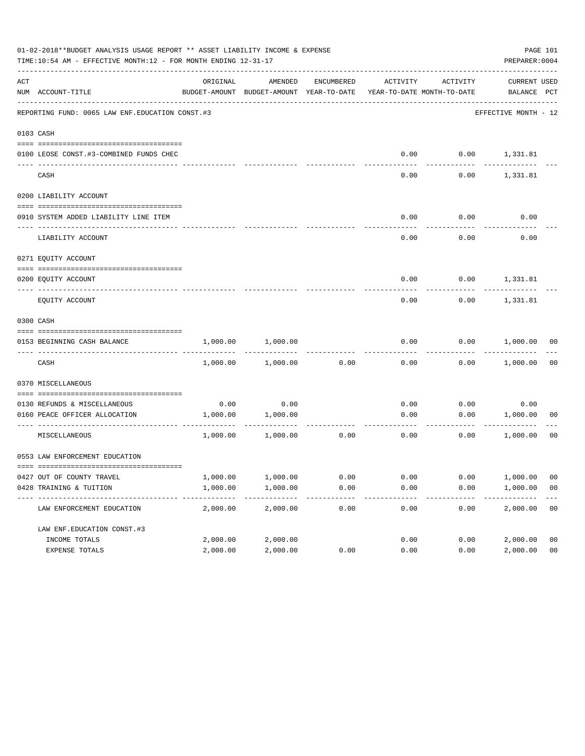|     | 01-02-2018**BUDGET ANALYSIS USAGE REPORT ** ASSET LIABILITY INCOME & EXPENSE<br>TIME:10:54 AM - EFFECTIVE MONTH:12 - FOR MONTH ENDING 12-31-17 |                      |                                                                                |              |              |              | PREPARER: 0004              | PAGE 101             |
|-----|------------------------------------------------------------------------------------------------------------------------------------------------|----------------------|--------------------------------------------------------------------------------|--------------|--------------|--------------|-----------------------------|----------------------|
| ACT | NUM ACCOUNT-TITLE                                                                                                                              | ORIGINAL             | AMENDED<br>BUDGET-AMOUNT BUDGET-AMOUNT YEAR-TO-DATE YEAR-TO-DATE MONTH-TO-DATE | ENCUMBERED   | ACTIVITY     | ACTIVITY     | CURRENT USED<br>BALANCE PCT |                      |
|     | REPORTING FUND: 0065 LAW ENF. EDUCATION CONST.#3                                                                                               |                      |                                                                                |              |              |              | EFFECTIVE MONTH - 12        |                      |
|     | 0103 CASH                                                                                                                                      |                      |                                                                                |              |              |              |                             |                      |
|     | 0100 LEOSE CONST.#3-COMBINED FUNDS CHEC                                                                                                        |                      |                                                                                |              | 0.00         |              | $0.00$ 1,331.81             |                      |
|     | CASH                                                                                                                                           |                      |                                                                                |              | 0.00         | 0.00         | 1,331.81                    |                      |
|     | 0200 LIABILITY ACCOUNT                                                                                                                         |                      |                                                                                |              |              |              |                             |                      |
|     | 0910 SYSTEM ADDED LIABILITY LINE ITEM                                                                                                          |                      |                                                                                |              | 0.00         | 0.00         | 0.00                        |                      |
|     | LIABILITY ACCOUNT                                                                                                                              |                      |                                                                                |              | 0.00         | 0.00         | 0.00                        |                      |
|     | 0271 EQUITY ACCOUNT                                                                                                                            |                      |                                                                                |              |              |              |                             |                      |
|     | 0200 EOUITY ACCOUNT                                                                                                                            |                      |                                                                                |              | 0.00         |              | $0.00$ 1,331.81             |                      |
|     | EQUITY ACCOUNT                                                                                                                                 |                      |                                                                                |              | 0.00         | 0.00         | 1,331.81                    |                      |
|     | 0300 CASH                                                                                                                                      |                      |                                                                                |              |              |              |                             |                      |
|     | 0153 BEGINNING CASH BALANCE                                                                                                                    | 1,000.00             | 1,000.00                                                                       |              | 0.00         |              | $0.00$ 1,000.00 00          |                      |
|     | CASH                                                                                                                                           | 1,000.00             | 1,000.00                                                                       | 0.00         | 0.00         |              | $0.00$ 1,000.00             | 00                   |
|     | 0370 MISCELLANEOUS                                                                                                                             |                      |                                                                                |              |              |              |                             |                      |
|     |                                                                                                                                                |                      |                                                                                |              |              |              |                             |                      |
|     | 0130 REFUNDS & MISCELLANEOUS<br>0160 PEACE OFFICER ALLOCATION                                                                                  | 0.00<br>1,000.00     | 0.00<br>1,000.00                                                               |              | 0.00<br>0.00 | 0.00<br>0.00 | 0.00<br>1,000.00            | 00                   |
|     | MISCELLANEOUS                                                                                                                                  | 1,000.00             | . <u>.</u> .<br>1,000.00                                                       | 0.00         | 0.00         | 0.00         | ------------<br>1,000.00    | 00                   |
|     | 0553 LAW ENFORCEMENT EDUCATION                                                                                                                 |                      |                                                                                |              |              |              |                             |                      |
|     |                                                                                                                                                |                      |                                                                                |              |              |              |                             |                      |
|     | 0427 OUT OF COUNTY TRAVEL<br>0428 TRAINING & TUITION                                                                                           | 1,000.00<br>1,000.00 | 1,000.00<br>1,000.00                                                           | 0.00<br>0.00 | 0.00<br>0.00 | 0.00<br>0.00 | 1,000.00<br>1,000.00        | 00<br>0 <sub>0</sub> |
|     | LAW ENFORCEMENT EDUCATION                                                                                                                      | 2,000.00             | 2,000.00                                                                       | 0.00         | 0.00         | 0.00         | 2,000.00                    | 0 <sub>0</sub>       |
|     | LAW ENF. EDUCATION CONST. #3                                                                                                                   |                      |                                                                                |              |              |              |                             |                      |
|     | INCOME TOTALS                                                                                                                                  | 2,000.00             | 2,000.00                                                                       |              | 0.00         | 0.00         | 2,000.00                    | 0 <sub>0</sub>       |
|     | EXPENSE TOTALS                                                                                                                                 | 2,000.00             | 2,000.00                                                                       | 0.00         | 0.00         | 0.00         | 2,000.00                    | 0 <sub>0</sub>       |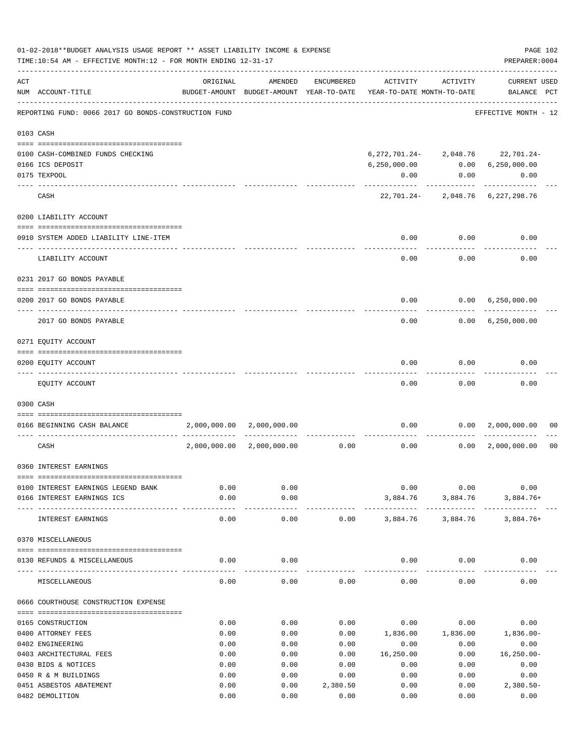|     | 01-02-2018**BUDGET ANALYSIS USAGE REPORT ** ASSET LIABILITY INCOME & EXPENSE<br>TIME:10:54 AM - EFFECTIVE MONTH:12 - FOR MONTH ENDING 12-31-17 |              |                                                     |            |                                        |                           | PAGE 102<br>PREPARER: 0004                 |                |
|-----|------------------------------------------------------------------------------------------------------------------------------------------------|--------------|-----------------------------------------------------|------------|----------------------------------------|---------------------------|--------------------------------------------|----------------|
| ACT | NUM ACCOUNT-TITLE                                                                                                                              | ORIGINAL     | AMENDED<br>BUDGET-AMOUNT BUDGET-AMOUNT YEAR-TO-DATE | ENCUMBERED | ACTIVITY<br>YEAR-TO-DATE MONTH-TO-DATE | ACTIVITY                  | <b>CURRENT USED</b><br>BALANCE PCT         |                |
|     | REPORTING FUND: 0066 2017 GO BONDS-CONSTRUCTION FUND                                                                                           |              |                                                     |            |                                        |                           | EFFECTIVE MONTH - 12                       |                |
|     | 0103 CASH                                                                                                                                      |              |                                                     |            |                                        |                           |                                            |                |
|     |                                                                                                                                                |              |                                                     |            |                                        |                           |                                            |                |
|     | 0100 CASH-COMBINED FUNDS CHECKING                                                                                                              |              |                                                     |            |                                        |                           | 6, 272, 701. 24 - 2, 048. 76 22, 701. 24 - |                |
|     | 0166 ICS DEPOSIT<br>0175 TEXPOOL                                                                                                               |              |                                                     |            | 6,250,000.00<br>0.00                   | 0.00                      | 0.00 6,250,000.00<br>0.00                  |                |
|     |                                                                                                                                                |              |                                                     |            |                                        | ---------                 |                                            |                |
|     | CASH                                                                                                                                           |              |                                                     |            |                                        |                           | 22,701.24-2,048.76 6,227,298.76            |                |
|     | 0200 LIABILITY ACCOUNT                                                                                                                         |              |                                                     |            |                                        |                           |                                            |                |
|     | 0910 SYSTEM ADDED LIABILITY LINE-ITEM                                                                                                          |              |                                                     |            | 0.00                                   | 0.00                      | 0.00                                       |                |
|     | LIABILITY ACCOUNT                                                                                                                              |              |                                                     |            | 0.00                                   | 0.00                      | 0.00                                       |                |
|     | 0231 2017 GO BONDS PAYABLE                                                                                                                     |              |                                                     |            |                                        |                           |                                            |                |
|     | 0200 2017 GO BONDS PAYABLE                                                                                                                     |              |                                                     |            | 0.00                                   |                           | $0.00 \quad 6,250,000.00$                  |                |
|     | 2017 GO BONDS PAYABLE                                                                                                                          |              |                                                     |            |                                        | 0.00                      | 0.00 6,250,000.00                          |                |
|     | 0271 EQUITY ACCOUNT                                                                                                                            |              |                                                     |            |                                        |                           |                                            |                |
|     |                                                                                                                                                |              |                                                     |            |                                        |                           |                                            |                |
|     | 0200 EQUITY ACCOUNT                                                                                                                            |              |                                                     |            | 0.00<br>-----                          | 0.00                      | 0.00                                       |                |
|     | EQUITY ACCOUNT                                                                                                                                 |              |                                                     |            | 0.00                                   | 0.00                      | 0.00                                       |                |
|     | 0300 CASH                                                                                                                                      |              |                                                     |            |                                        |                           |                                            |                |
|     | 0166 BEGINNING CASH BALANCE                                                                                                                    |              | 2,000,000.00 2,000,000.00                           |            |                                        |                           | $0.00$ $0.00$ $2,000,000.00$               | 00             |
|     | CASH                                                                                                                                           | 2,000,000.00 | 2,000,000.00                                        | 0.00       |                                        | 0.00<br>0.00              | 2,000,000.00                               | 0 <sub>0</sub> |
|     | 0360 INTEREST EARNINGS                                                                                                                         |              |                                                     |            |                                        |                           |                                            |                |
|     |                                                                                                                                                |              |                                                     |            |                                        |                           |                                            |                |
|     | 0100 INTEREST EARNINGS LEGEND BANK<br>0166 INTEREST EARNINGS ICS                                                                               | 0.00<br>0.00 | 0.00<br>0.00                                        |            | 0.00                                   | 0.00<br>3,884.76 3,884.76 | 0.00<br>$3,884.76+$                        |                |
|     |                                                                                                                                                |              |                                                     |            |                                        |                           |                                            |                |
|     | INTEREST EARNINGS                                                                                                                              | 0.00         | 0.00                                                | 0.00       |                                        | 3,884.76 3,884.76         | $3,884.76+$                                |                |
|     | 0370 MISCELLANEOUS                                                                                                                             |              |                                                     |            |                                        |                           |                                            |                |
|     | 0130 REFUNDS & MISCELLANEOUS                                                                                                                   | 0.00         | 0.00                                                |            |                                        | $0.00$ 0.00               | 0.00                                       |                |
|     | MISCELLANEOUS                                                                                                                                  | 0.00         | 0.00                                                | 0.00       | 0.00                                   | 0.00                      | 0.00                                       |                |
|     | 0666 COURTHOUSE CONSTRUCTION EXPENSE                                                                                                           |              |                                                     |            |                                        |                           |                                            |                |
|     | 0165 CONSTRUCTION                                                                                                                              | 0.00         | 0.00                                                | 0.00       | 0.00                                   | 0.00                      | 0.00                                       |                |
|     | 0400 ATTORNEY FEES                                                                                                                             | 0.00         | 0.00                                                | 0.00       | 1,836.00                               | 1,836.00                  | 1,836.00-                                  |                |
|     | 0402 ENGINEERING                                                                                                                               | 0.00         | 0.00                                                | 0.00       | 0.00                                   | 0.00                      | 0.00                                       |                |
|     | 0403 ARCHITECTURAL FEES                                                                                                                        | 0.00         | 0.00                                                | 0.00       | 16,250.00                              | 0.00                      | $16, 250.00 -$                             |                |
|     | 0430 BIDS & NOTICES                                                                                                                            | 0.00         | 0.00                                                | 0.00       | 0.00                                   | 0.00                      | 0.00                                       |                |
|     | 0450 R & M BUILDINGS                                                                                                                           | 0.00         | 0.00                                                | 0.00       | 0.00                                   | 0.00                      | 0.00                                       |                |
|     | 0451 ASBESTOS ABATEMENT                                                                                                                        | 0.00         | 0.00                                                | 2,380.50   | 0.00                                   | 0.00                      | $2,380.50-$                                |                |
|     | 0482 DEMOLITION                                                                                                                                | 0.00         | 0.00                                                | 0.00       | 0.00                                   | 0.00                      | 0.00                                       |                |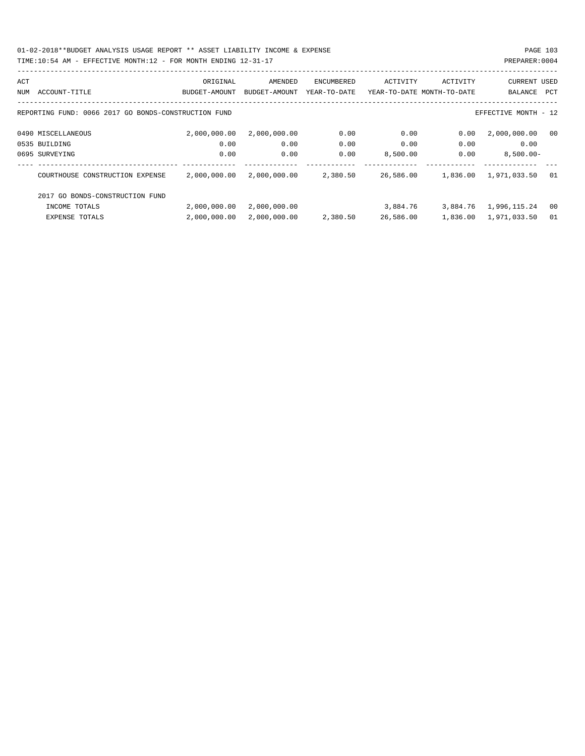01-02-2018\*\*BUDGET ANALYSIS USAGE REPORT \*\* ASSET LIABILITY INCOME & EXPENSE PAGE 103

## TIME:10:54 AM - EFFECTIVE MONTH:12 - FOR MONTH ENDING 12-31-17

| ACT |                                                      | ORIGINAL      | AMENDED       | <b>ENCUMBERED</b> | ACTIVITY                   | ACTIVITY | <b>CURRENT USED</b>   |      |
|-----|------------------------------------------------------|---------------|---------------|-------------------|----------------------------|----------|-----------------------|------|
| NUM | ACCOUNT-TITLE                                        | BUDGET-AMOUNT | BUDGET-AMOUNT | YEAR-TO-DATE      | YEAR-TO-DATE MONTH-TO-DATE |          | BALANCE               | PCT  |
|     |                                                      |               |               |                   |                            |          |                       |      |
|     | REPORTING FUND: 0066 2017 GO BONDS-CONSTRUCTION FUND |               |               |                   |                            |          | EFFECTIVE MONTH - 12  |      |
|     | 0490 MISCELLANEOUS                                   | 2,000,000.00  | 2,000,000.00  | 0.00              | 0.00                       | 0.00     | 2,000,000.00          | - 00 |
|     | 0535 BUILDING                                        | 0.00          | 0.00          | 0.00              | 0.00                       | 0.00     | 0.00                  |      |
|     | 0695 SURVEYING                                       | 0.00          | 0.00          | 0.00              | 8,500.00                   | 0.00     | $8,500.00 -$          |      |
|     |                                                      |               |               |                   |                            |          |                       |      |
|     | COURTHOUSE CONSTRUCTION EXPENSE                      | 2,000,000.00  | 2,000,000.00  | 2,380.50          | 26,586.00                  | 1,836.00 | 1,971,033.50          | 01   |
|     | 2017 GO BONDS-CONSTRUCTION FUND                      |               |               |                   |                            |          |                       |      |
|     | INCOME TOTALS                                        | 2,000,000.00  | 2,000,000.00  |                   | 3,884.76                   |          | 3,884.76 1,996,115.24 | 00   |
|     | EXPENSE TOTALS                                       | 2,000,000.00  | 2,000,000.00  | 2,380.50          | 26,586.00                  |          | 1,836.00 1,971,033.50 | 01   |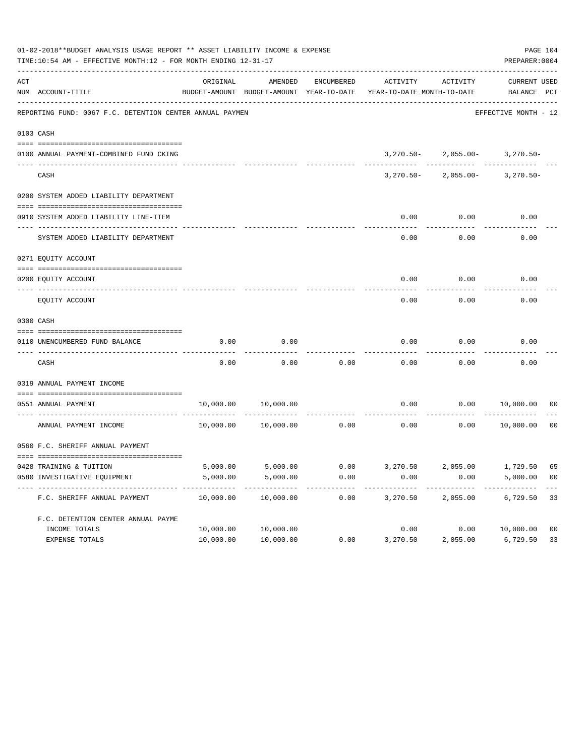|     | 01-02-2018**BUDGET ANALYSIS USAGE REPORT ** ASSET LIABILITY INCOME & EXPENSE<br>TIME:10:54 AM - EFFECTIVE MONTH:12 - FOR MONTH ENDING 12-31-17 |           |                                                     |            |                                                      |                                    | PAGE 104<br>PREPARER: 0004  |                |
|-----|------------------------------------------------------------------------------------------------------------------------------------------------|-----------|-----------------------------------------------------|------------|------------------------------------------------------|------------------------------------|-----------------------------|----------------|
| ACT | NUM ACCOUNT-TITLE                                                                                                                              | ORIGINAL  | AMENDED<br>BUDGET-AMOUNT BUDGET-AMOUNT YEAR-TO-DATE | ENCUMBERED | ACTIVITY<br>YEAR-TO-DATE MONTH-TO-DATE               | ACTIVITY                           | CURRENT USED<br>BALANCE PCT |                |
|     | REPORTING FUND: 0067 F.C. DETENTION CENTER ANNUAL PAYMEN                                                                                       |           |                                                     |            |                                                      |                                    | EFFECTIVE MONTH - 12        |                |
|     | 0103 CASH                                                                                                                                      |           |                                                     |            |                                                      |                                    |                             |                |
|     |                                                                                                                                                |           |                                                     |            |                                                      |                                    |                             |                |
|     | 0100 ANNUAL PAYMENT-COMBINED FUND CKING                                                                                                        |           |                                                     |            |                                                      | $3,270.50 - 2,055.00 - 3,270.50 -$ |                             |                |
|     | CASH                                                                                                                                           |           |                                                     |            |                                                      | $3,270.50 - 2,055.00 - 3,270.50 -$ |                             |                |
|     | 0200 SYSTEM ADDED LIABILITY DEPARTMENT                                                                                                         |           |                                                     |            |                                                      |                                    |                             |                |
|     | 0910 SYSTEM ADDED LIABILITY LINE-ITEM                                                                                                          |           |                                                     |            | 0.00                                                 | 0.00                               | 0.00                        |                |
|     | SYSTEM ADDED LIABILITY DEPARTMENT                                                                                                              |           |                                                     |            | 0.00                                                 | 0.00                               | 0.00                        |                |
|     | 0271 EQUITY ACCOUNT                                                                                                                            |           |                                                     |            |                                                      |                                    |                             |                |
|     | 0200 EQUITY ACCOUNT                                                                                                                            |           |                                                     |            | 0.00                                                 | 0.00                               | 0.00                        |                |
|     | EQUITY ACCOUNT                                                                                                                                 |           |                                                     |            | 0.00                                                 | 0.00                               | 0.00                        |                |
|     | 0300 CASH                                                                                                                                      |           |                                                     |            |                                                      |                                    |                             |                |
|     | 0110 UNENCUMBERED FUND BALANCE                                                                                                                 | 0.00      | 0.00                                                |            | 0.00                                                 | 0.00                               | 0.00                        |                |
|     | CASH                                                                                                                                           | 0.00      | 0.00                                                | 0.00       | 0.00                                                 | 0.00                               | 0.00                        |                |
|     | 0319 ANNUAL PAYMENT INCOME                                                                                                                     |           |                                                     |            |                                                      |                                    |                             |                |
|     | 0551 ANNUAL PAYMENT                                                                                                                            | 10,000.00 | 10,000.00                                           |            | 0.00                                                 |                                    | 0.00 10,000.00              | 00             |
|     | ANNUAL PAYMENT INCOME                                                                                                                          | 10,000.00 | 10,000.00                                           | 0.00       | 0.00                                                 | 0.00                               | 10,000.00                   | 0 <sub>0</sub> |
|     | 0560 F.C. SHERIFF ANNUAL PAYMENT                                                                                                               |           |                                                     |            |                                                      |                                    |                             |                |
|     |                                                                                                                                                |           |                                                     |            |                                                      |                                    |                             |                |
|     | 0428 TRAINING & TUITION                                                                                                                        |           |                                                     |            | 5,000.00 5,000.00 0.00 3,270.50 2,055.00 1,729.50 65 |                                    |                             |                |
|     | 0580 INVESTIGATIVE EQUIPMENT                                                                                                                   | 5,000.00  | 5,000.00                                            | 0.00       | 0.00                                                 | 0.00                               | 5,000.00                    | - 00           |
|     | F.C. SHERIFF ANNUAL PAYMENT                                                                                                                    | 10,000.00 | 10,000.00                                           | 0.00       | 3,270.50                                             | 2,055.00                           | 6,729.50                    | 33             |
|     | F.C. DETENTION CENTER ANNUAL PAYME                                                                                                             |           |                                                     |            |                                                      |                                    |                             |                |
|     | INCOME TOTALS                                                                                                                                  | 10,000.00 | 10,000.00                                           |            | 0.00                                                 | 0.00                               | 10,000.00                   | 0 <sub>0</sub> |
|     | EXPENSE TOTALS                                                                                                                                 | 10,000.00 | 10,000.00                                           | 0.00       | 3,270.50                                             | 2,055.00                           | 6,729.50                    | 33             |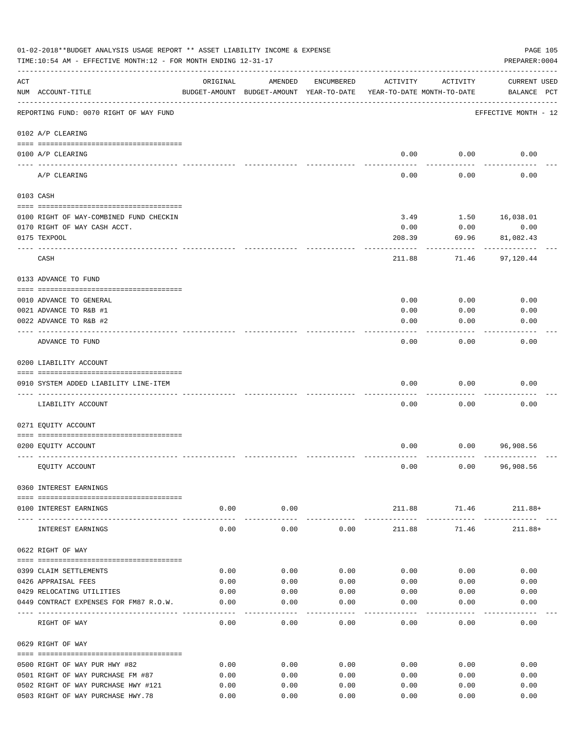|     | 01-02-2018**BUDGET ANALYSIS USAGE REPORT ** ASSET LIABILITY INCOME & EXPENSE<br>TIME:10:54 AM - EFFECTIVE MONTH:12 - FOR MONTH ENDING 12-31-17 |          |                                                     |            |                                        |                                           | PAGE 105<br>PREPARER: 0004         |
|-----|------------------------------------------------------------------------------------------------------------------------------------------------|----------|-----------------------------------------------------|------------|----------------------------------------|-------------------------------------------|------------------------------------|
| ACT | NUM ACCOUNT-TITLE                                                                                                                              | ORIGINAL | AMENDED<br>BUDGET-AMOUNT BUDGET-AMOUNT YEAR-TO-DATE | ENCUMBERED | ACTIVITY<br>YEAR-TO-DATE MONTH-TO-DATE | ACTIVITY                                  | <b>CURRENT USED</b><br>BALANCE PCT |
|     | REPORTING FUND: 0070 RIGHT OF WAY FUND                                                                                                         |          |                                                     |            |                                        |                                           | EFFECTIVE MONTH - 12               |
|     | 0102 A/P CLEARING                                                                                                                              |          |                                                     |            |                                        |                                           |                                    |
|     | 0100 A/P CLEARING<br>---- ---------                                                                                                            |          |                                                     |            | 0.00                                   | 0.00                                      | 0.00                               |
|     | A/P CLEARING                                                                                                                                   |          |                                                     |            | 0.00                                   | 0.00                                      | 0.00                               |
|     | 0103 CASH                                                                                                                                      |          |                                                     |            |                                        |                                           |                                    |
|     | 0100 RIGHT OF WAY-COMBINED FUND CHECKIN                                                                                                        |          |                                                     |            | 3.49                                   | 1.50                                      | 16,038.01                          |
|     | 0170 RIGHT OF WAY CASH ACCT.                                                                                                                   |          |                                                     |            | 0.00                                   | 0.00                                      | 0.00                               |
|     | 0175 TEXPOOL                                                                                                                                   |          |                                                     |            | 208.39                                 | 69.96                                     | 81,082.43                          |
|     | CASH                                                                                                                                           |          |                                                     |            | 211.88                                 | 71.46                                     | 97,120.44                          |
|     | 0133 ADVANCE TO FUND                                                                                                                           |          |                                                     |            |                                        |                                           |                                    |
|     |                                                                                                                                                |          |                                                     |            |                                        |                                           |                                    |
|     | 0010 ADVANCE TO GENERAL                                                                                                                        |          |                                                     |            | 0.00                                   | 0.00                                      | 0.00                               |
|     | 0021 ADVANCE TO R&B #1                                                                                                                         |          |                                                     |            | 0.00                                   | 0.00                                      | 0.00                               |
|     | 0022 ADVANCE TO R&B #2                                                                                                                         |          |                                                     |            | 0.00                                   | 0.00                                      | 0.00                               |
|     | ADVANCE TO FUND                                                                                                                                |          |                                                     |            | 0.00                                   | 0.00                                      | 0.00                               |
|     | 0200 LIABILITY ACCOUNT                                                                                                                         |          |                                                     |            |                                        |                                           |                                    |
|     | 0910 SYSTEM ADDED LIABILITY LINE-ITEM                                                                                                          |          |                                                     |            | 0.00                                   | 0.00                                      | 0.00                               |
|     |                                                                                                                                                |          |                                                     |            |                                        |                                           |                                    |
|     | LIABILITY ACCOUNT                                                                                                                              |          |                                                     |            | 0.00                                   | 0.00                                      | 0.00                               |
|     | 0271 EQUITY ACCOUNT                                                                                                                            |          |                                                     |            |                                        |                                           |                                    |
|     |                                                                                                                                                |          |                                                     |            |                                        |                                           |                                    |
|     | 0200 EQUITY ACCOUNT                                                                                                                            |          |                                                     |            | 0.00                                   | 0.00                                      | 96,908.56                          |
|     |                                                                                                                                                |          |                                                     |            |                                        |                                           |                                    |
|     | EQUITY ACCOUNT                                                                                                                                 |          |                                                     |            | 0.00                                   | 0.00                                      | 96,908.56                          |
|     | 0360 INTEREST EARNINGS                                                                                                                         |          |                                                     |            |                                        |                                           |                                    |
|     |                                                                                                                                                |          |                                                     |            |                                        |                                           |                                    |
|     | 0100 INTEREST EARNINGS                                                                                                                         | 0.00     | 0.00<br>. <u>.</u> .                                |            | ------------                           | $211.88$ $71.46$ $211.88+$<br>----------- | . <u>.</u> .                       |
|     | INTEREST EARNINGS                                                                                                                              | 0.00     | 0.00                                                | 0.00       | 211.88                                 | 71.46                                     | $211.88+$                          |
|     | 0622 RIGHT OF WAY                                                                                                                              |          |                                                     |            |                                        |                                           |                                    |
|     | 0399 CLAIM SETTLEMENTS                                                                                                                         | 0.00     | 0.00                                                | 0.00       | 0.00                                   | 0.00                                      | 0.00                               |
|     | 0426 APPRAISAL FEES                                                                                                                            | 0.00     | 0.00                                                | 0.00       | 0.00                                   | 0.00                                      | 0.00                               |
|     | 0429 RELOCATING UTILITIES                                                                                                                      | 0.00     | 0.00                                                | 0.00       | 0.00                                   | 0.00                                      | 0.00                               |
|     | 0449 CONTRACT EXPENSES FOR FM87 R.O.W.                                                                                                         | 0.00     | 0.00                                                | 0.00       | 0.00                                   | 0.00                                      | 0.00                               |
|     | RIGHT OF WAY                                                                                                                                   | 0.00     | 0.00                                                | 0.00       | 0.00                                   | 0.00                                      | 0.00                               |
|     | 0629 RIGHT OF WAY                                                                                                                              |          |                                                     |            |                                        |                                           |                                    |
|     | 0500 RIGHT OF WAY PUR HWY #82                                                                                                                  | 0.00     | 0.00                                                | 0.00       | 0.00                                   | 0.00                                      | 0.00                               |
|     | 0501 RIGHT OF WAY PURCHASE FM #87                                                                                                              | 0.00     | 0.00                                                | 0.00       | 0.00                                   | 0.00                                      | 0.00                               |
|     | 0502 RIGHT OF WAY PURCHASE HWY #121                                                                                                            | 0.00     | 0.00                                                | 0.00       | 0.00                                   | 0.00                                      | 0.00                               |
|     | 0503 RIGHT OF WAY PURCHASE HWY.78                                                                                                              | 0.00     | 0.00                                                | 0.00       | 0.00                                   | 0.00                                      | 0.00                               |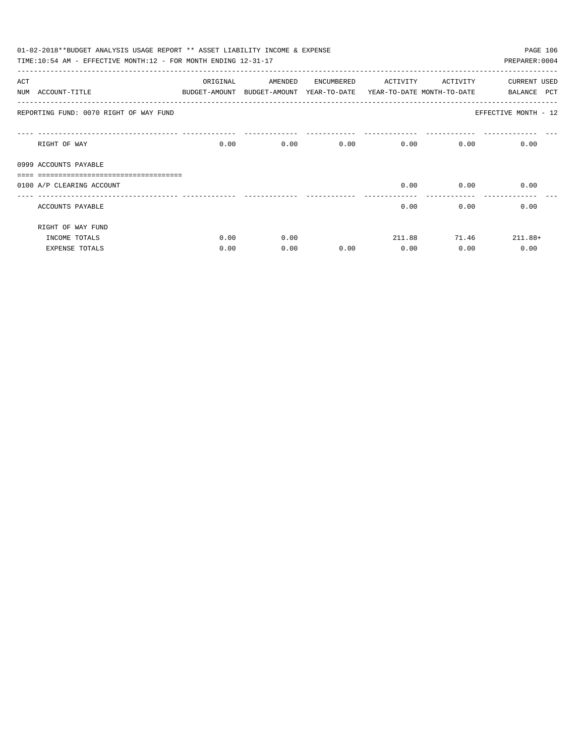|     | 01-02-2018**BUDGET ANALYSIS USAGE REPORT ** ASSET LIABILITY INCOME & EXPENSE<br>TIME:10:54 AM - EFFECTIVE MONTH:12 - FOR MONTH ENDING 12-31-17 |          |                                                                     |      |                   |              | PAGE 106<br>PREPARER: 0004 |
|-----|------------------------------------------------------------------------------------------------------------------------------------------------|----------|---------------------------------------------------------------------|------|-------------------|--------------|----------------------------|
| ACT |                                                                                                                                                | ORIGINAL | AMENDED ENCUMBERED                                                  |      | ACTIVITY ACTIVITY |              | CURRENT USED               |
|     | NUM ACCOUNT-TITLE                                                                                                                              |          | BUDGET-AMOUNT BUDGET-AMOUNT YEAR-TO-DATE YEAR-TO-DATE MONTH-TO-DATE |      |                   |              | <b>PCT</b><br>BALANCE      |
|     | REPORTING FUND: 0070 RIGHT OF WAY FUND                                                                                                         |          |                                                                     |      |                   |              | EFFECTIVE MONTH - 12       |
|     | RIGHT OF WAY                                                                                                                                   |          | $0.00$ and $0.00$                                                   | 0.00 | 0.00              | 0.00         | 0.00<br>0.00               |
|     | 0999 ACCOUNTS PAYABLE                                                                                                                          |          |                                                                     |      |                   |              |                            |
|     |                                                                                                                                                |          |                                                                     |      |                   |              |                            |
|     | 0100 A/P CLEARING ACCOUNT                                                                                                                      |          |                                                                     |      | 0.00              | 0.00         | 0.00                       |
|     | ACCOUNTS PAYABLE                                                                                                                               |          |                                                                     |      | 0.00              |              | 0.00<br>0.00               |
|     | RIGHT OF WAY FUND                                                                                                                              |          |                                                                     |      |                   |              |                            |
|     | INCOME TOTALS                                                                                                                                  | 0.00     | 0.00                                                                |      |                   | 211.88 71.46 | $211.88+$                  |
|     | <b>EXPENSE TOTALS</b>                                                                                                                          | 0.00     | 0.00                                                                | 0.00 | 0.00              | 0.00         | 0.00                       |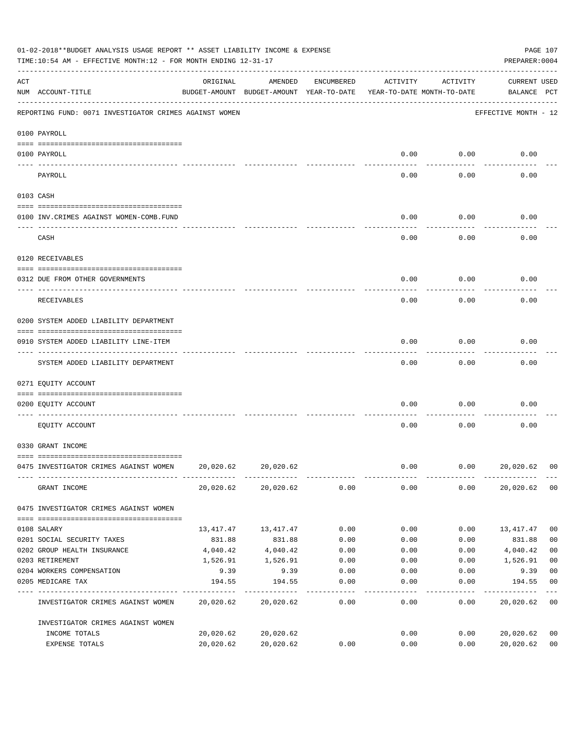|     | 01-02-2018**BUDGET ANALYSIS USAGE REPORT ** ASSET LIABILITY INCOME & EXPENSE<br>TIME:10:54 AM - EFFECTIVE MONTH:12 - FOR MONTH ENDING 12-31-17 |           |                                                                                |            |          |          | PREPARER: 0004              | PAGE 107       |
|-----|------------------------------------------------------------------------------------------------------------------------------------------------|-----------|--------------------------------------------------------------------------------|------------|----------|----------|-----------------------------|----------------|
| ACT | NUM ACCOUNT-TITLE                                                                                                                              | ORIGINAL  | AMENDED<br>BUDGET-AMOUNT BUDGET-AMOUNT YEAR-TO-DATE YEAR-TO-DATE MONTH-TO-DATE | ENCUMBERED | ACTIVITY | ACTIVITY | CURRENT USED<br>BALANCE PCT |                |
|     | REPORTING FUND: 0071 INVESTIGATOR CRIMES AGAINST WOMEN                                                                                         |           |                                                                                |            |          |          | EFFECTIVE MONTH - 12        |                |
|     | 0100 PAYROLL                                                                                                                                   |           |                                                                                |            |          |          |                             |                |
|     | 0100 PAYROLL                                                                                                                                   |           |                                                                                |            | 0.00     | 0.00     | 0.00                        |                |
|     | ---- --------<br>PAYROLL                                                                                                                       |           |                                                                                |            | 0.00     | 0.00     | 0.00                        |                |
|     | 0103 CASH                                                                                                                                      |           |                                                                                |            |          |          |                             |                |
|     | 0100 INV. CRIMES AGAINST WOMEN-COMB. FUND                                                                                                      |           |                                                                                |            | 0.00     | 0.00     | 0.00                        |                |
|     | CASH                                                                                                                                           |           |                                                                                |            | 0.00     | 0.00     | 0.00                        |                |
|     | 0120 RECEIVABLES                                                                                                                               |           |                                                                                |            |          |          |                             |                |
|     | 0312 DUE FROM OTHER GOVERNMENTS                                                                                                                |           |                                                                                |            | 0.00     | 0.00     | 0.00                        |                |
|     | RECEIVABLES                                                                                                                                    |           |                                                                                |            | 0.00     | 0.00     | 0.00                        |                |
|     | 0200 SYSTEM ADDED LIABILITY DEPARTMENT                                                                                                         |           |                                                                                |            |          |          |                             |                |
|     | 0910 SYSTEM ADDED LIABILITY LINE-ITEM                                                                                                          |           |                                                                                |            | 0.00     | 0.00     | 0.00                        |                |
|     | SYSTEM ADDED LIABILITY DEPARTMENT                                                                                                              |           |                                                                                |            | 0.00     | 0.00     | 0.00                        |                |
|     | 0271 EQUITY ACCOUNT                                                                                                                            |           |                                                                                |            |          |          |                             |                |
|     | 0200 EQUITY ACCOUNT                                                                                                                            |           |                                                                                |            | 0.00     | 0.00     | 0.00                        |                |
|     | EOUITY ACCOUNT                                                                                                                                 |           |                                                                                |            | 0.00     | 0.00     | 0.00                        |                |
|     | 0330 GRANT INCOME                                                                                                                              |           |                                                                                |            |          |          |                             |                |
|     | 0475 INVESTIGATOR CRIMES AGAINST WOMEN 20,020.62                                                                                               |           | 20,020.62                                                                      |            | 0.00     | 0.00     | 20,020.62                   | 00             |
|     | GRANT INCOME                                                                                                                                   |           | 20,020.62 20,020.62                                                            | 0.00       | 0.00     | 0.00     | 20,020.62                   | 0 <sub>0</sub> |
|     | 0475 INVESTIGATOR CRIMES AGAINST WOMEN                                                                                                         |           |                                                                                |            |          |          |                             |                |
|     | 0108 SALARY                                                                                                                                    |           | 13, 417. 47 13, 417. 47                                                        | 0.00       | 0.00     | 0.00     | 13,417.47                   | 0 <sub>0</sub> |
|     | 0201 SOCIAL SECURITY TAXES                                                                                                                     | 831.88    | 831.88                                                                         | 0.00       | 0.00     | 0.00     | 831.88                      | 0 <sub>0</sub> |
|     | 0202 GROUP HEALTH INSURANCE                                                                                                                    | 4,040.42  | 4,040.42                                                                       | 0.00       | 0.00     | 0.00     | 4,040.42                    | 0 <sub>0</sub> |
|     | 0203 RETIREMENT                                                                                                                                | 1,526.91  | 1,526.91                                                                       | 0.00       | 0.00     | 0.00     | 1,526.91                    | 0 <sub>0</sub> |
|     | 0204 WORKERS COMPENSATION                                                                                                                      | 9.39      | 9.39                                                                           | 0.00       | 0.00     | 0.00     | 9.39                        | 0 <sub>0</sub> |
|     | 0205 MEDICARE TAX                                                                                                                              | 194.55    | 194.55                                                                         | 0.00       | 0.00     | 0.00     | 194.55                      | 0 <sub>0</sub> |
|     | INVESTIGATOR CRIMES AGAINST WOMEN                                                                                                              |           | 20,020.62 20,020.62                                                            | 0.00       | 0.00     | 0.00     | 20,020.62                   | 0 <sub>0</sub> |
|     | INVESTIGATOR CRIMES AGAINST WOMEN                                                                                                              |           |                                                                                |            |          |          |                             |                |
|     | INCOME TOTALS                                                                                                                                  | 20,020.62 | 20,020.62                                                                      |            | 0.00     | 0.00     | 20,020.62                   | 0 <sub>0</sub> |
|     | EXPENSE TOTALS                                                                                                                                 | 20,020.62 | 20,020.62                                                                      | 0.00       | 0.00     | 0.00     | 20,020.62                   | 0 <sub>0</sub> |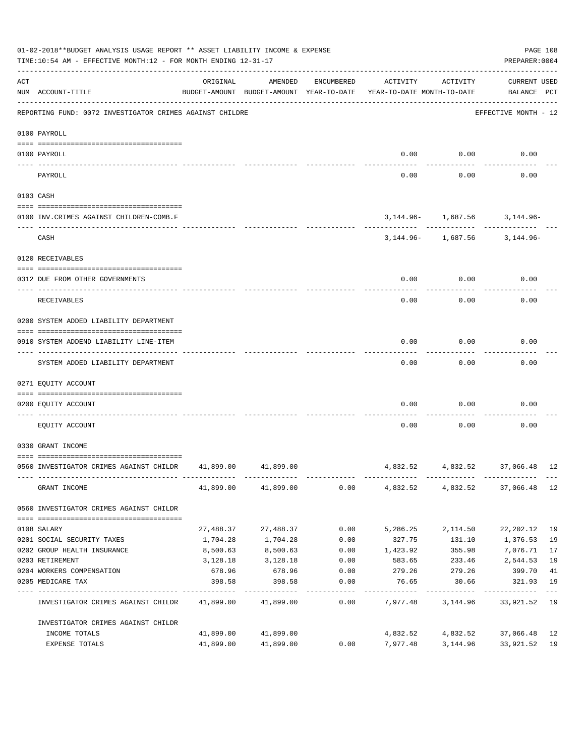|     | 01-02-2018**BUDGET ANALYSIS USAGE REPORT ** ASSET LIABILITY INCOME & EXPENSE<br>PREPARER: 0004<br>TIME:10:54 AM - EFFECTIVE MONTH:12 - FOR MONTH ENDING 12-31-17 |           |                     |                  |                                                                                 |                                                              |                                    |             |  |  |
|-----|------------------------------------------------------------------------------------------------------------------------------------------------------------------|-----------|---------------------|------------------|---------------------------------------------------------------------------------|--------------------------------------------------------------|------------------------------------|-------------|--|--|
| ACT | NUM ACCOUNT-TITLE                                                                                                                                                | ORIGINAL  | AMENDED             | ENCUMBERED       | ACTIVITY<br>BUDGET-AMOUNT BUDGET-AMOUNT YEAR-TO-DATE YEAR-TO-DATE MONTH-TO-DATE | ACTIVITY                                                     | <b>CURRENT USED</b><br>BALANCE PCT |             |  |  |
|     | REPORTING FUND: 0072 INVESTIGATOR CRIMES AGAINST CHILDRE                                                                                                         |           |                     |                  |                                                                                 |                                                              | EFFECTIVE MONTH - 12               |             |  |  |
|     | 0100 PAYROLL                                                                                                                                                     |           |                     |                  |                                                                                 |                                                              |                                    |             |  |  |
|     | 0100 PAYROLL                                                                                                                                                     |           |                     |                  |                                                                                 | $0.00$ 0.00                                                  | 0.00                               |             |  |  |
|     | PAYROLL                                                                                                                                                          |           |                     |                  | 0.00                                                                            | 0.00                                                         | 0.00                               |             |  |  |
|     | 0103 CASH                                                                                                                                                        |           |                     |                  |                                                                                 |                                                              |                                    |             |  |  |
|     | 0100 INV. CRIMES AGAINST CHILDREN-COMB.F                                                                                                                         |           |                     |                  |                                                                                 | $3,144.96 - 1,687.56$ 3,144.96-                              |                                    |             |  |  |
|     | CASH                                                                                                                                                             |           |                     |                  |                                                                                 | ---------- ------------<br>3, 144.96 - 1, 687.56 3, 144.96 - |                                    |             |  |  |
|     | 0120 RECEIVABLES                                                                                                                                                 |           |                     |                  |                                                                                 |                                                              |                                    |             |  |  |
|     | 0312 DUE FROM OTHER GOVERNMENTS                                                                                                                                  |           |                     |                  | 0.00                                                                            | 0.00                                                         | 0.00                               |             |  |  |
|     | RECEIVABLES                                                                                                                                                      |           |                     |                  | 0.00                                                                            | 0.00                                                         | 0.00                               |             |  |  |
|     | 0200 SYSTEM ADDED LIABILITY DEPARTMENT                                                                                                                           |           |                     |                  |                                                                                 |                                                              |                                    |             |  |  |
|     | 0910 SYSTEM ADDEND LIABILITY LINE-ITEM                                                                                                                           |           |                     |                  | 0.00                                                                            | 0.00                                                         | 0.00                               |             |  |  |
|     | SYSTEM ADDED LIABILITY DEPARTMENT                                                                                                                                |           |                     |                  | 0.00                                                                            | 0.00                                                         | 0.00                               |             |  |  |
|     | 0271 EQUITY ACCOUNT                                                                                                                                              |           |                     |                  |                                                                                 |                                                              |                                    |             |  |  |
|     | 0200 EOUITY ACCOUNT                                                                                                                                              |           |                     |                  | 0.00                                                                            | 0.00                                                         | 0.00                               |             |  |  |
|     | EQUITY ACCOUNT                                                                                                                                                   |           |                     |                  | 0.00                                                                            | 0.00                                                         | 0.00                               |             |  |  |
|     | 0330 GRANT INCOME                                                                                                                                                |           |                     |                  |                                                                                 |                                                              |                                    |             |  |  |
|     | 0560 INVESTIGATOR CRIMES AGAINST CHILDR 41,899.00 41,899.00                                                                                                      |           |                     |                  |                                                                                 | 4,832.52 4,832.52 37,066.48 12                               |                                    |             |  |  |
|     | GRANT INCOME                                                                                                                                                     |           | 41,899.00 41,899.00 | 0.00             |                                                                                 | 4,832.52 4,832.52 37,066.48 12                               |                                    |             |  |  |
|     | 0560 INVESTIGATOR CRIMES AGAINST CHILDR                                                                                                                          |           |                     |                  |                                                                                 |                                                              |                                    |             |  |  |
|     | 0108 SALARY                                                                                                                                                      | 27,488.37 | 27,488.37           | 0.00             | 5,286.25                                                                        | 2,114.50                                                     | 22,202.12                          | 19          |  |  |
|     | 0201 SOCIAL SECURITY TAXES                                                                                                                                       | 1,704.28  | 1,704.28            | 0.00             | 327.75                                                                          | 131.10                                                       | 1,376.53                           | 19          |  |  |
|     | 0202 GROUP HEALTH INSURANCE                                                                                                                                      | 8,500.63  | 8,500.63            | 0.00             | 1,423.92                                                                        | 355.98                                                       | 7,076.71                           | 17          |  |  |
|     | 0203 RETIREMENT                                                                                                                                                  | 3,128.18  | 3,128.18            | 0.00             | 583.65                                                                          | 233.46                                                       | 2,544.53                           | 19          |  |  |
|     | 0204 WORKERS COMPENSATION                                                                                                                                        | 678.96    | 678.96              | 0.00             | 279.26                                                                          | 279.26                                                       | 399.70                             | 41          |  |  |
|     | 0205 MEDICARE TAX                                                                                                                                                | 398.58    | 398.58              | 0.00<br>-------- | 76.65                                                                           | 30.66                                                        | 321.93                             | 19<br>$---$ |  |  |
|     | INVESTIGATOR CRIMES AGAINST CHILDR                                                                                                                               |           | 41,899.00 41,899.00 | 0.00             |                                                                                 | 7,977.48 3,144.96                                            | 33,921.52 19                       |             |  |  |
|     | INVESTIGATOR CRIMES AGAINST CHILDR                                                                                                                               |           |                     |                  |                                                                                 |                                                              |                                    |             |  |  |
|     | INCOME TOTALS                                                                                                                                                    | 41,899.00 | 41,899.00           |                  | 4,832.52                                                                        | 4,832.52                                                     | 37,066.48                          | 12          |  |  |
|     | EXPENSE TOTALS                                                                                                                                                   | 41,899.00 | 41,899.00           | 0.00             | 7,977.48                                                                        | 3,144.96                                                     | 33,921.52 19                       |             |  |  |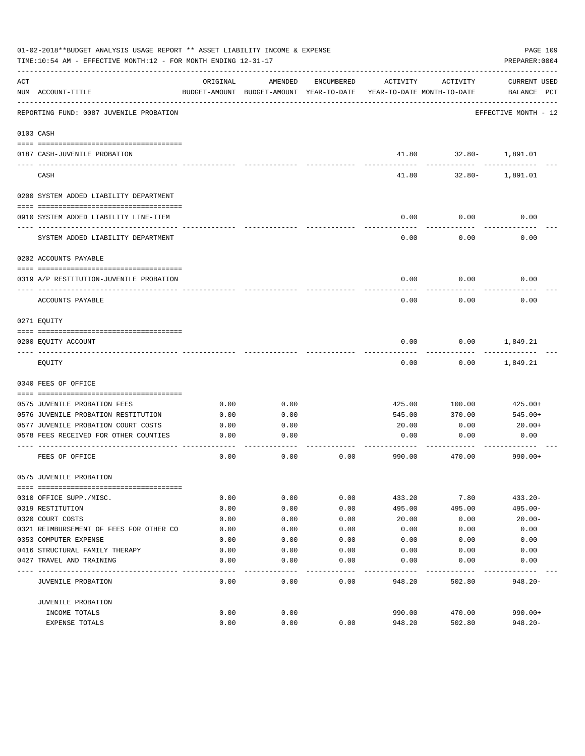|     | 01-02-2018**BUDGET ANALYSIS USAGE REPORT ** ASSET LIABILITY INCOME & EXPENSE<br>TIME:10:54 AM - EFFECTIVE MONTH:12 - FOR MONTH ENDING 12-31-17 |          |                                                     |            |                                        |          | PAGE 109<br>PREPARER: 0004         |
|-----|------------------------------------------------------------------------------------------------------------------------------------------------|----------|-----------------------------------------------------|------------|----------------------------------------|----------|------------------------------------|
| ACT | NUM ACCOUNT-TITLE                                                                                                                              | ORIGINAL | AMENDED<br>BUDGET-AMOUNT BUDGET-AMOUNT YEAR-TO-DATE | ENCUMBERED | ACTIVITY<br>YEAR-TO-DATE MONTH-TO-DATE | ACTIVITY | <b>CURRENT USED</b><br>BALANCE PCT |
|     | REPORTING FUND: 0087 JUVENILE PROBATION                                                                                                        |          |                                                     |            |                                        |          | EFFECTIVE MONTH - 12               |
|     | 0103 CASH                                                                                                                                      |          |                                                     |            |                                        |          |                                    |
|     | 0187 CASH-JUVENILE PROBATION                                                                                                                   |          |                                                     |            | 41.80                                  |          | 32.80- 1,891.01                    |
|     | CASH                                                                                                                                           |          |                                                     |            | 41.80                                  |          | 32.80- 1,891.01                    |
|     | 0200 SYSTEM ADDED LIABILITY DEPARTMENT                                                                                                         |          |                                                     |            |                                        |          |                                    |
|     | 0910 SYSTEM ADDED LIABILITY LINE-ITEM                                                                                                          |          |                                                     |            | 0.00                                   | 0.00     | 0.00                               |
|     | SYSTEM ADDED LIABILITY DEPARTMENT                                                                                                              |          |                                                     |            | 0.00                                   | 0.00     | 0.00                               |
|     | 0202 ACCOUNTS PAYABLE                                                                                                                          |          |                                                     |            |                                        |          |                                    |
|     | 0319 A/P RESTITUTION-JUVENILE PROBATION                                                                                                        |          |                                                     |            | 0.00                                   | 0.00     | 0.00                               |
|     | ACCOUNTS PAYABLE                                                                                                                               |          |                                                     |            | 0.00                                   | 0.00     | 0.00                               |
|     | 0271 EOUITY                                                                                                                                    |          |                                                     |            |                                        |          |                                    |
|     | 0200 EQUITY ACCOUNT                                                                                                                            |          |                                                     |            | 0.00                                   | 0.00     | 1,849.21                           |
|     | EQUITY                                                                                                                                         |          |                                                     |            | 0.00                                   | 0.00     | 1,849.21                           |
|     | 0340 FEES OF OFFICE                                                                                                                            |          |                                                     |            |                                        |          |                                    |
|     | 0575 JUVENILE PROBATION FEES                                                                                                                   | 0.00     | 0.00                                                |            | 425.00                                 | 100.00   | 425.00+                            |
|     | 0576 JUVENILE PROBATION RESTITUTION                                                                                                            | 0.00     | 0.00                                                |            | 545.00                                 | 370.00   | 545.00+                            |
|     | 0577 JUVENILE PROBATION COURT COSTS                                                                                                            | 0.00     | 0.00                                                |            | 20.00                                  | 0.00     | 20.00+                             |
|     | 0578 FEES RECEIVED FOR OTHER COUNTIES                                                                                                          | 0.00     | 0.00                                                |            | 0.00                                   | 0.00     | 0.00                               |
|     | FEES OF OFFICE                                                                                                                                 | 0.00     | 0.00                                                | 0.00       | 990.00                                 | 470.00   | $990.00+$                          |
|     | 0575 JUVENILE PROBATION                                                                                                                        |          |                                                     |            |                                        |          |                                    |
|     | 0310 OFFICE SUPP./MISC.                                                                                                                        | 0.00     | 0.00                                                | 0.00       | 433.20                                 | 7.80     | $433.20 -$                         |
|     | 0319 RESTITUTION                                                                                                                               | 0.00     | 0.00                                                | 0.00       | 495.00                                 | 495.00   | $495.00 -$                         |
|     | 0320 COURT COSTS                                                                                                                               | 0.00     | 0.00                                                | 0.00       | 20.00                                  | 0.00     | $20.00 -$                          |
|     | 0321 REIMBURSEMENT OF FEES FOR OTHER CO                                                                                                        | 0.00     | 0.00                                                | 0.00       | 0.00                                   | 0.00     | 0.00                               |
|     | 0353 COMPUTER EXPENSE                                                                                                                          | 0.00     | 0.00                                                | 0.00       | 0.00                                   | 0.00     | 0.00                               |
|     | 0416 STRUCTURAL FAMILY THERAPY                                                                                                                 | 0.00     | 0.00                                                | 0.00       | 0.00                                   | 0.00     | 0.00                               |
|     | 0427 TRAVEL AND TRAINING                                                                                                                       | 0.00     | 0.00                                                | 0.00       | 0.00                                   | 0.00     | 0.00                               |
|     |                                                                                                                                                |          |                                                     |            |                                        |          |                                    |
|     | JUVENILE PROBATION                                                                                                                             | 0.00     | 0.00                                                | 0.00       | 948.20                                 | 502.80   | $948.20 -$                         |
|     | JUVENILE PROBATION                                                                                                                             |          |                                                     |            |                                        |          |                                    |
|     | INCOME TOTALS                                                                                                                                  | 0.00     | 0.00                                                |            | 990.00                                 | 470.00   | $990.00+$                          |
|     | EXPENSE TOTALS                                                                                                                                 | 0.00     | 0.00                                                | 0.00       | 948.20                                 | 502.80   | $948.20 -$                         |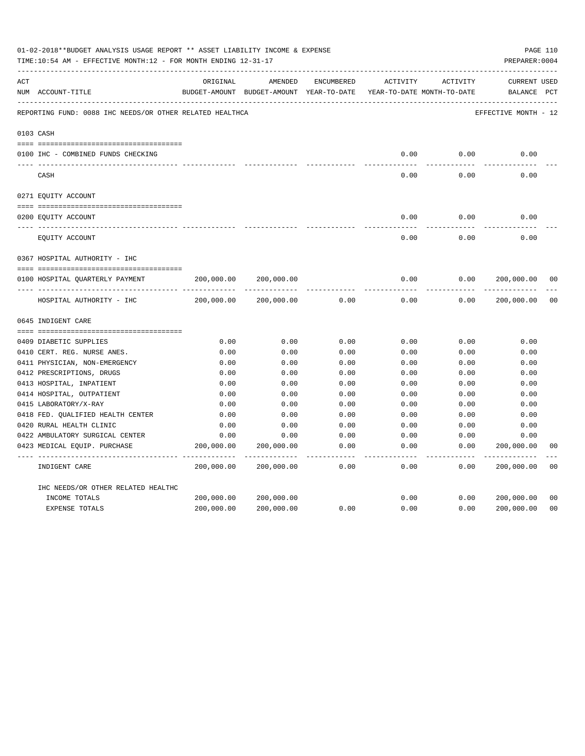|     | 01-02-2018**BUDGET ANALYSIS USAGE REPORT ** ASSET LIABILITY INCOME & EXPENSE<br>TIME:10:54 AM - EFFECTIVE MONTH:12 - FOR MONTH ENDING 12-31-17 |            |                                                                                |               |                     |                     | PREPARER: 0004                     | PAGE 110       |
|-----|------------------------------------------------------------------------------------------------------------------------------------------------|------------|--------------------------------------------------------------------------------|---------------|---------------------|---------------------|------------------------------------|----------------|
| ACT | NUM ACCOUNT-TITLE                                                                                                                              | ORIGINAL   | AMENDED<br>BUDGET-AMOUNT BUDGET-AMOUNT YEAR-TO-DATE YEAR-TO-DATE MONTH-TO-DATE | ENCUMBERED    | ACTIVITY            | ACTIVITY            | <b>CURRENT USED</b><br>BALANCE PCT |                |
|     | REPORTING FUND: 0088 IHC NEEDS/OR OTHER RELATED HEALTHCA                                                                                       |            |                                                                                |               |                     |                     | EFFECTIVE MONTH - 12               |                |
|     | 0103 CASH                                                                                                                                      |            |                                                                                |               |                     |                     |                                    |                |
|     | 0100 IHC - COMBINED FUNDS CHECKING                                                                                                             |            |                                                                                |               | 0.00                | 0.00                | 0.00                               |                |
|     | CASH                                                                                                                                           |            |                                                                                |               | -----<br>0.00       | --------<br>0.00    | 0.00                               |                |
|     | 0271 EQUITY ACCOUNT                                                                                                                            |            |                                                                                |               |                     |                     |                                    |                |
|     | 0200 EQUITY ACCOUNT                                                                                                                            |            |                                                                                |               | 0.00                | 0.00                | 0.00                               |                |
|     | EQUITY ACCOUNT                                                                                                                                 |            |                                                                                |               | 0.00                | 0.00                | 0.00                               |                |
|     | 0367 HOSPITAL AUTHORITY - IHC                                                                                                                  |            |                                                                                |               |                     |                     |                                    |                |
|     |                                                                                                                                                |            |                                                                                |               |                     |                     |                                    |                |
|     | 0100 HOSPITAL QUARTERLY PAYMENT                                                                                                                | 200,000.00 | 200,000.00                                                                     |               | 0.00                | 0.00                | 200,000.00                         | 0 <sub>0</sub> |
|     |                                                                                                                                                |            |                                                                                |               | $- - - - -$         |                     |                                    |                |
|     | HOSPITAL AUTHORITY - IHC                                                                                                                       | 200,000.00 | 200,000.00                                                                     | 0.00          | 0.00                | 0.00                | 200,000.00                         | 0 <sub>0</sub> |
|     | 0645 INDIGENT CARE                                                                                                                             |            |                                                                                |               |                     |                     |                                    |                |
|     |                                                                                                                                                |            |                                                                                |               |                     |                     |                                    |                |
|     | 0409 DIABETIC SUPPLIES                                                                                                                         | 0.00       | 0.00                                                                           | 0.00          | 0.00                | 0.00                | 0.00                               |                |
|     | 0410 CERT. REG. NURSE ANES.                                                                                                                    | 0.00       | 0.00                                                                           | 0.00          | 0.00                | 0.00                | 0.00                               |                |
|     | 0411 PHYSICIAN, NON-EMERGENCY                                                                                                                  | 0.00       | 0.00                                                                           | 0.00          | 0.00                | 0.00                | 0.00                               |                |
|     | 0412 PRESCRIPTIONS, DRUGS                                                                                                                      | 0.00       | 0.00                                                                           | 0.00          | 0.00                | 0.00                | 0.00                               |                |
|     | 0413 HOSPITAL, INPATIENT                                                                                                                       | 0.00       | 0.00                                                                           | 0.00          | 0.00                | 0.00                | 0.00                               |                |
|     | 0414 HOSPITAL, OUTPATIENT                                                                                                                      | 0.00       | 0.00                                                                           | 0.00          | 0.00                | 0.00                | 0.00                               |                |
|     | 0415 LABORATORY/X-RAY                                                                                                                          | 0.00       | 0.00                                                                           | 0.00          | 0.00                | 0.00                | 0.00                               |                |
|     | 0418 FED. QUALIFIED HEALTH CENTER                                                                                                              | 0.00       | 0.00                                                                           | 0.00          | 0.00                | 0.00                | 0.00                               |                |
|     | 0420 RURAL HEALTH CLINIC                                                                                                                       | 0.00       | 0.00                                                                           | 0.00          | 0.00                | 0.00                | 0.00                               |                |
|     | 0422 AMBULATORY SURGICAL CENTER                                                                                                                | 0.00       | 0.00                                                                           | 0.00          | 0.00                | 0.00                | 0.00                               |                |
|     | 0423 MEDICAL EQUIP. PURCHASE                                                                                                                   | 200,000.00 | 200,000.00<br>---------- --------------                                        | 0.00<br>----- | 0.00<br>$- - - - -$ | 0.00<br>$- - - - -$ | 200,000.00<br>. <u>.</u> .         | 0 <sub>0</sub> |
|     | INDIGENT CARE                                                                                                                                  | 200,000.00 | 200,000.00                                                                     | 0.00          | 0.00                | 0.00                | 200,000.00                         | 0 <sub>0</sub> |
|     | IHC NEEDS/OR OTHER RELATED HEALTHC                                                                                                             |            |                                                                                |               |                     |                     |                                    |                |
|     | INCOME TOTALS                                                                                                                                  | 200,000.00 | 200,000.00                                                                     |               | 0.00                | 0.00                | 200,000.00                         | 0 <sub>0</sub> |
|     | EXPENSE TOTALS                                                                                                                                 | 200,000.00 | 200,000.00                                                                     | 0.00          | 0.00                | 0.00                | 200,000.00                         | 0 <sub>0</sub> |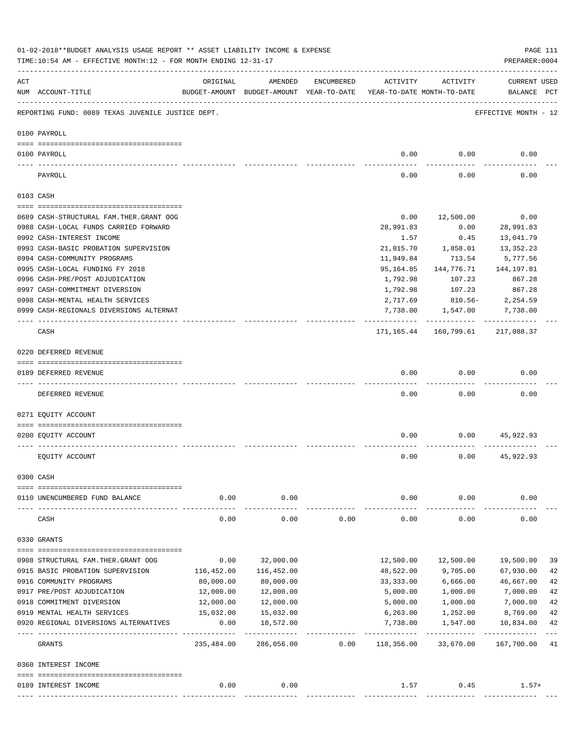|     | 01-02-2018**BUDGET ANALYSIS USAGE REPORT ** ASSET LIABILITY INCOME & EXPENSE<br>TIME:10:54 AM - EFFECTIVE MONTH:12 - FOR MONTH ENDING 12-31-17 |                    |                                                                                |            |                        |                          | PREPARER: 0004                             | PAGE 111 |
|-----|------------------------------------------------------------------------------------------------------------------------------------------------|--------------------|--------------------------------------------------------------------------------|------------|------------------------|--------------------------|--------------------------------------------|----------|
| ACT | NUM ACCOUNT-TITLE                                                                                                                              | ORIGINAL           | AMENDED<br>BUDGET-AMOUNT BUDGET-AMOUNT YEAR-TO-DATE YEAR-TO-DATE MONTH-TO-DATE | ENCUMBERED | ACTIVITY               | ACTIVITY                 | <b>CURRENT USED</b><br>BALANCE PCT         |          |
|     | REPORTING FUND: 0089 TEXAS JUVENILE JUSTICE DEPT.                                                                                              |                    |                                                                                |            |                        |                          | EFFECTIVE MONTH - 12                       |          |
|     | 0100 PAYROLL                                                                                                                                   |                    |                                                                                |            |                        |                          |                                            |          |
|     |                                                                                                                                                |                    |                                                                                |            |                        |                          |                                            |          |
|     | 0100 PAYROLL<br>---- ----                                                                                                                      |                    |                                                                                |            | 0.00                   | 0.00                     | 0.00                                       |          |
|     | PAYROLL                                                                                                                                        |                    |                                                                                |            | 0.00                   | 0.00                     | 0.00                                       |          |
|     | 0103 CASH                                                                                                                                      |                    |                                                                                |            |                        |                          |                                            |          |
|     | 0689 CASH-STRUCTURAL FAM.THER.GRANT OOG                                                                                                        |                    |                                                                                |            | 0.00                   | 12,500.00                | 0.00                                       |          |
|     | 0988 CASH-LOCAL FUNDS CARRIED FORWARD                                                                                                          |                    |                                                                                |            | 28,991.83              | 0.00                     | 28,991.83                                  |          |
|     | 0992 CASH-INTEREST INCOME                                                                                                                      |                    |                                                                                |            |                        | 0.45                     | 13,041.79                                  |          |
|     |                                                                                                                                                |                    |                                                                                |            | 1.57<br>21,015.70      | 1,858.01                 | 13,352.23                                  |          |
|     | 0993 CASH-BASIC PROBATION SUPERVISION<br>0994 CASH-COMMUNITY PROGRAMS                                                                          |                    |                                                                                |            |                        | 713.54                   |                                            |          |
|     |                                                                                                                                                |                    |                                                                                |            | 11,949.84              |                          | 5,777.56                                   |          |
|     | 0995 CASH-LOCAL FUNDING FY 2018                                                                                                                |                    |                                                                                |            | 95,164.85              | 144,776.71               | 144,197.81                                 |          |
|     | 0996 CASH-PRE/POST ADJUDICATION                                                                                                                |                    |                                                                                |            | 1,792.98               | 107.23                   | 867.28                                     |          |
|     | 0997 CASH-COMMITMENT DIVERSION                                                                                                                 |                    |                                                                                |            | 1,792.98               | 107.23                   | 867.28                                     |          |
|     | 0998 CASH-MENTAL HEALTH SERVICES                                                                                                               |                    |                                                                                |            | 2,717.69               | 810.56-                  | 2,254.59                                   |          |
|     | 0999 CASH-REGIONALS DIVERSIONS ALTERNAT                                                                                                        |                    |                                                                                |            | 7,738.00<br>---------- | 1,547.00<br>------------ | 7,738.00<br>------------                   |          |
|     | CASH                                                                                                                                           |                    |                                                                                |            |                        |                          | 171, 165. 44   160, 799. 61   217, 088. 37 |          |
|     | 0220 DEFERRED REVENUE                                                                                                                          |                    |                                                                                |            |                        |                          |                                            |          |
|     |                                                                                                                                                |                    |                                                                                |            |                        |                          |                                            |          |
|     | 0189 DEFERRED REVENUE                                                                                                                          |                    |                                                                                |            | 0.00                   | 0.00                     | 0.00                                       |          |
|     | ---- -------------<br>DEFERRED REVENUE                                                                                                         |                    |                                                                                |            | 0.00                   | 0.00                     | 0.00                                       |          |
|     | 0271 EOUITY ACCOUNT                                                                                                                            |                    |                                                                                |            |                        |                          |                                            |          |
|     |                                                                                                                                                |                    |                                                                                |            |                        |                          |                                            |          |
|     | 0200 EQUITY ACCOUNT                                                                                                                            |                    |                                                                                |            | 0.00                   | 0.00                     | 45,922.93                                  |          |
|     | EQUITY ACCOUNT                                                                                                                                 |                    |                                                                                |            | 0.00                   | 0.00                     | 45,922.93                                  |          |
|     | 0300 CASH                                                                                                                                      |                    |                                                                                |            |                        |                          |                                            |          |
|     |                                                                                                                                                |                    |                                                                                |            |                        |                          |                                            |          |
|     | 0110 UNENCUMBERED FUND BALANCE                                                                                                                 | 0.00               | 0.00                                                                           |            | 0.00                   | 0.00                     | 0.00                                       |          |
|     | CASH                                                                                                                                           | 0.00               | 0.00                                                                           | 0.00       | 0.00                   | 0.00                     | 0.00                                       |          |
|     | 0330 GRANTS                                                                                                                                    |                    |                                                                                |            |                        |                          |                                            |          |
|     |                                                                                                                                                |                    |                                                                                |            |                        |                          |                                            |          |
|     | 0908 STRUCTURAL FAM. THER. GRANT OOG                                                                                                           | 0.00               | 32,000.00                                                                      |            | 12,500.00              | 12,500.00                | 19,500.00                                  | 39       |
|     | 0915 BASIC PROBATION SUPERVISION                                                                                                               | 116,452.00         | 116,452.00                                                                     |            | 48,522.00              | 9,705.00                 | 67,930.00                                  | 42       |
|     | 0916 COMMUNITY PROGRAMS                                                                                                                        | 80,000.00          | 80,000.00                                                                      |            | 33, 333.00             | 6,666.00                 | 46,667.00                                  | 42       |
|     | 0917 PRE/POST ADJUDICATION                                                                                                                     | 12,000.00          | 12,000.00                                                                      |            | 5,000.00               | 1,000.00                 | 7,000.00                                   | 42       |
|     | 0918 COMMITMENT DIVERSION                                                                                                                      | 12,000.00          | 12,000.00                                                                      |            | 5,000.00               | 1,000.00                 | 7,000.00                                   | 42       |
|     | 0919 MENTAL HEALTH SERVICES                                                                                                                    | 15,032.00          | 15,032.00                                                                      |            | 6,263.00               | 1,252.00                 | 8,769.00                                   | 42       |
|     | 0920 REGIONAL DIVERSIONS ALTERNATIVES                                                                                                          | 0.00<br>---------- | 18,572.00                                                                      |            | 7,738.00               | 1,547.00                 | 10,834.00                                  | 42       |
|     | GRANTS                                                                                                                                         | 235,484.00         | 286,056.00                                                                     | 0.00       | 118,356.00             | 33,670.00                | 167,700.00                                 | 41       |
|     | 0360 INTEREST INCOME                                                                                                                           |                    |                                                                                |            |                        |                          |                                            |          |
|     |                                                                                                                                                |                    |                                                                                |            |                        |                          |                                            |          |
|     | 0189 INTEREST INCOME                                                                                                                           | 0.00               | 0.00                                                                           |            | 1.57                   | 0.45                     | $1.57+$                                    |          |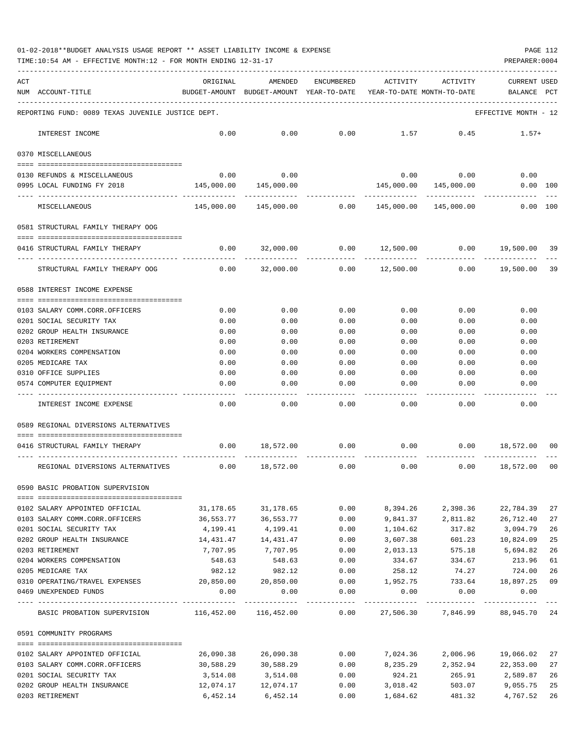01-02-2018\*\*BUDGET ANALYSIS USAGE REPORT \*\* ASSET LIABILITY INCOME & EXPENSE PAGE 112

TIME:10:54 AM - EFFECTIVE MONTH:12 - FOR MONTH ENDING 12-31-17 PREPARER:0004

| ACT |                                                                  | ORIGINAL                                                   | AMENDED                                                             | ENCUMBERED          | ACTIVITY                 | ACTIVITY                      | <b>CURRENT USED</b>                        |          |
|-----|------------------------------------------------------------------|------------------------------------------------------------|---------------------------------------------------------------------|---------------------|--------------------------|-------------------------------|--------------------------------------------|----------|
|     | NUM ACCOUNT-TITLE                                                |                                                            | BUDGET-AMOUNT BUDGET-AMOUNT YEAR-TO-DATE YEAR-TO-DATE MONTH-TO-DATE |                     |                          |                               | BALANCE PCT                                |          |
|     | REPORTING FUND: 0089 TEXAS JUVENILE JUSTICE DEPT.                |                                                            |                                                                     |                     |                          |                               | EFFECTIVE MONTH - 12                       |          |
|     | INTEREST INCOME                                                  | 0.00                                                       | 0.00                                                                | 0.00                | 1.57                     | 0.45                          | $1.57+$                                    |          |
|     | 0370 MISCELLANEOUS                                               |                                                            |                                                                     |                     |                          |                               |                                            |          |
|     |                                                                  |                                                            |                                                                     |                     |                          |                               |                                            |          |
|     | 0130 REFUNDS & MISCELLANEOUS                                     | 0.00                                                       | 0.00                                                                |                     |                          | $0.00$ 0.00                   | 0.00                                       |          |
|     | 0995 LOCAL FUNDING FY 2018                                       | 145,000.00                                                 | 145,000.00                                                          |                     | 145,000.00               | 145,000.00                    | 0.00 100                                   |          |
|     | MISCELLANEOUS                                                    |                                                            | 145,000.00 145,000.00                                               |                     | 0.00 145,000.00          | 145,000.00                    | 0.00 100                                   |          |
|     | 0581 STRUCTURAL FAMILY THERAPY OOG                               |                                                            |                                                                     |                     |                          |                               |                                            |          |
|     | 0416 STRUCTURAL FAMILY THERAPY                                   | 0.00                                                       | 32,000.00                                                           |                     |                          |                               | $0.00$ $12,500.00$ $0.00$ $19,500.00$ $39$ |          |
|     | STRUCTURAL FAMILY THERAPY OOG                                    | 0.00                                                       | 32,000.00                                                           | -----------<br>0.00 | -----------<br>12,500.00 | 0.00                          | 19,500.00                                  | 39       |
|     | 0588 INTEREST INCOME EXPENSE                                     |                                                            |                                                                     |                     |                          |                               |                                            |          |
|     | 0103 SALARY COMM.CORR.OFFICERS                                   | 0.00                                                       | 0.00                                                                | 0.00                | 0.00                     | 0.00                          | 0.00                                       |          |
|     | 0201 SOCIAL SECURITY TAX                                         | 0.00                                                       | 0.00                                                                | 0.00                | 0.00                     | 0.00                          | 0.00                                       |          |
|     | 0202 GROUP HEALTH INSURANCE                                      | 0.00                                                       | 0.00                                                                | 0.00                | 0.00                     | 0.00                          | 0.00                                       |          |
|     | 0203 RETIREMENT                                                  | 0.00                                                       | 0.00                                                                | 0.00                | 0.00                     | 0.00                          | 0.00                                       |          |
|     | 0204 WORKERS COMPENSATION                                        | 0.00                                                       | 0.00                                                                | 0.00                | 0.00                     | 0.00                          | 0.00                                       |          |
|     | 0205 MEDICARE TAX                                                | 0.00                                                       | 0.00                                                                | 0.00                | 0.00                     | 0.00                          | 0.00                                       |          |
|     | 0310 OFFICE SUPPLIES                                             | 0.00                                                       | 0.00                                                                | 0.00                | 0.00                     | 0.00                          | 0.00                                       |          |
|     | 0574 COMPUTER EQUIPMENT                                          | 0.00                                                       | 0.00                                                                | 0.00                | 0.00                     | 0.00                          | 0.00                                       |          |
|     | INTEREST INCOME EXPENSE                                          | 0.00                                                       | 0.00                                                                | 0.00                | 0.00                     | 0.00                          | 0.00                                       |          |
|     | 0589 REGIONAL DIVERSIONS ALTERNATIVES                            |                                                            |                                                                     |                     |                          |                               |                                            |          |
|     | 0416 STRUCTURAL FAMILY THERAPY                                   | 0.00                                                       | 18,572.00                                                           | 0.00                | 0.00                     | 0.00                          | 18,572.00                                  | 00       |
|     | REGIONAL DIVERSIONS ALTERNATIVES                                 | 0.00                                                       | 18,572.00                                                           | 0.00                | 0.00                     | 0.00                          | 18,572.00                                  | 00       |
|     | 0590 BASIC PROBATION SUPERVISION                                 |                                                            |                                                                     |                     |                          |                               |                                            |          |
|     |                                                                  |                                                            |                                                                     |                     | 8,394.26                 |                               |                                            |          |
|     | 0102 SALARY APPOINTED OFFICIAL<br>0103 SALARY COMM.CORR.OFFICERS | 31,178.65<br>36,553.77                                     | 31,178.65<br>36,553.77                                              | 0.00<br>0.00        |                          | 2,398.36<br>9,841.37 2,811.82 | 22,784.39<br>26,712.40                     | 27<br>27 |
|     | 0201 SOCIAL SECURITY TAX                                         | 4,199.41                                                   | 4,199.41                                                            | 0.00                | 1,104.62                 | 317.82                        | 3,094.79                                   | 26       |
|     | 0202 GROUP HEALTH INSURANCE                                      | 14,431.47                                                  | 14, 431. 47                                                         | 0.00                | 3,607.38                 | 601.23                        | 10,824.09                                  | 25       |
|     | 0203 RETIREMENT                                                  | 7,707.95                                                   | 7,707.95                                                            | 0.00                | 2,013.13                 | 575.18                        | 5,694.82                                   | 26       |
|     | 0204 WORKERS COMPENSATION                                        | 548.63                                                     | 548.63                                                              | 0.00                | 334.67                   | 334.67                        | 213.96                                     | 61       |
|     | 0205 MEDICARE TAX                                                | 982.12                                                     | 982.12                                                              | 0.00                | 258.12                   | 74.27                         | 724.00                                     | 26       |
|     | 0310 OPERATING/TRAVEL EXPENSES 20,850.00 20,850.00               |                                                            |                                                                     |                     |                          |                               | $0.00$ 1,952.75 733.64 18,897.25           | 09       |
|     | 0469 UNEXPENDED FUNDS                                            | 0.00                                                       | 0.00                                                                | 0.00                | 0.00                     | 0.00                          | 0.00                                       |          |
|     | BASIC PROBATION SUPERVISION                                      | 116,452.00 116,452.00 0.00 27,506.30 7,846.99 88,945.70 24 |                                                                     |                     |                          |                               |                                            |          |
|     | 0591 COMMUNITY PROGRAMS                                          |                                                            |                                                                     |                     |                          |                               |                                            |          |
|     |                                                                  |                                                            |                                                                     |                     |                          |                               |                                            |          |
|     | 0102 SALARY APPOINTED OFFICIAL                                   | 26,090.38                                                  | 26,090.38                                                           | 0.00                | 7,024.36                 | 2,006.96                      | 19,066.02                                  | 27       |
|     | 0103 SALARY COMM.CORR.OFFICERS<br>0201 SOCIAL SECURITY TAX       | 30,588.29<br>3,514.08                                      | 30,588.29                                                           | 0.00<br>0.00        | 8,235.29                 | 2,352.94<br>265.91            | 22,353.00                                  | 27       |
|     | 0202 GROUP HEALTH INSURANCE                                      | 12,074.17                                                  | 3,514.08<br>12,074.17                                               | 0.00                | 924.21<br>3,018.42       | 503.07                        | 2,589.87<br>9,055.75                       | 26<br>25 |
|     |                                                                  |                                                            |                                                                     |                     |                          |                               |                                            |          |

0203 RETIREMENT 6,452.14 6,452.14 0.00 1,684.62 481.32 4,767.52 26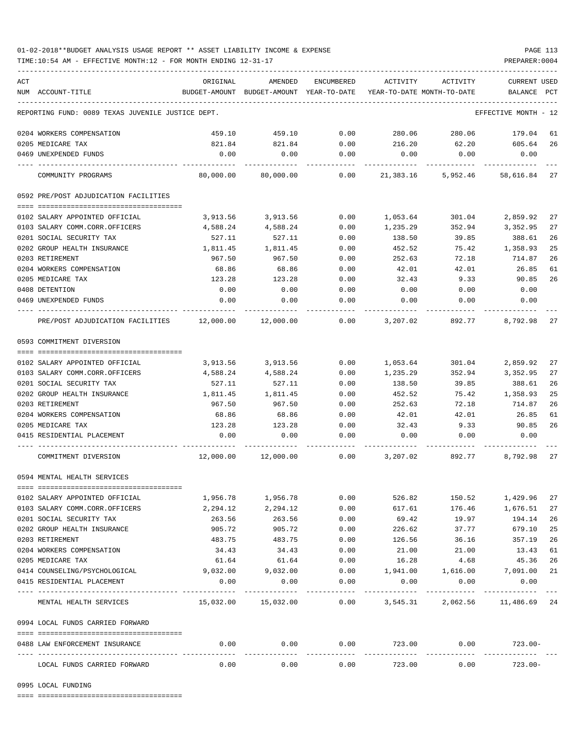## 01-02-2018\*\*BUDGET ANALYSIS USAGE REPORT \*\* ASSET LIABILITY INCOME & EXPENSE PAGE 113

TIME:10:54 AM - EFFECTIVE MONTH:12 - FOR MONTH ENDING 12-31-17

| ACT |                                                      | ORIGINAL | AMENDED             | ENCUMBERED           | ACTIVITY         | ACTIVITY                                                                        | <b>CURRENT USED</b>        |    |
|-----|------------------------------------------------------|----------|---------------------|----------------------|------------------|---------------------------------------------------------------------------------|----------------------------|----|
|     | NUM ACCOUNT-TITLE                                    |          |                     |                      |                  | BUDGET-AMOUNT BUDGET-AMOUNT YEAR-TO-DATE YEAR-TO-DATE MONTH-TO-DATE BALANCE PCT |                            |    |
|     | REPORTING FUND: 0089 TEXAS JUVENILE JUSTICE DEPT.    |          |                     |                      |                  |                                                                                 | EFFECTIVE MONTH - 12       |    |
|     | 0204 WORKERS COMPENSATION                            | 459.10   | 459.10              | 0.00                 | 280.06           | 280.06                                                                          | 179.04                     | 61 |
|     | 0205 MEDICARE TAX                                    | 821.84   | 821.84              | 0.00                 | 216.20           | 62.20                                                                           | 605.64                     | 26 |
|     | 0469 UNEXPENDED FUNDS                                | 0.00     | 0.00                | 0.00                 | 0.00             | 0.00                                                                            | 0.00                       |    |
|     | COMMUNITY PROGRAMS                                   |          | 80,000.00 80,000.00 | 0.00                 |                  | 21,383.16 5,952.46 58,616.84 27                                                 |                            |    |
|     | 0592 PRE/POST ADJUDICATION FACILITIES                |          |                     |                      |                  |                                                                                 |                            |    |
|     | 0102 SALARY APPOINTED OFFICIAL                       | 3,913.56 | 3,913.56            | 0.00                 | 1,053.64         | 301.04                                                                          | 2,859.92                   | 27 |
|     | 0103 SALARY COMM.CORR.OFFICERS                       | 4,588.24 | 4,588.24            | 0.00                 | 1,235.29         | 352.94                                                                          | 3,352.95                   | 27 |
|     | 0201 SOCIAL SECURITY TAX                             | 527.11   | 527.11              | 0.00                 | 138.50           | 39.85                                                                           | 388.61                     | 26 |
|     | 0202 GROUP HEALTH INSURANCE                          | 1,811.45 | 1,811.45            | 0.00                 | 452.52           | 75.42                                                                           | 1,358.93                   | 25 |
|     | 0203 RETIREMENT                                      | 967.50   | 967.50              | 0.00                 | 252.63           | 72.18                                                                           | 714.87                     | 26 |
|     | 0204 WORKERS COMPENSATION                            | 68.86    | 68.86               | 0.00                 | 42.01            | 42.01                                                                           | 26.85                      | 61 |
|     | 0205 MEDICARE TAX                                    | 123.28   | 123.28              | 0.00                 | 32.43            | 9.33                                                                            | 90.85                      | 26 |
|     | 0408 DETENTION                                       | 0.00     | 0.00                | 0.00                 | 0.00             | 0.00                                                                            | 0.00                       |    |
|     | 0469 UNEXPENDED FUNDS                                | 0.00     | 0.00                | 0.00                 | 0.00             | 0.00                                                                            | 0.00                       |    |
|     | PRE/POST ADJUDICATION FACILITIES 12,000.00 12,000.00 |          |                     |                      | $0.00$ 3, 207.02 | 892.77                                                                          | 8,792.98                   | 27 |
|     | 0593 COMMITMENT DIVERSION                            |          |                     |                      |                  |                                                                                 |                            |    |
|     |                                                      |          |                     |                      |                  |                                                                                 |                            |    |
|     | 0102 SALARY APPOINTED OFFICIAL                       | 3,913.56 | 3,913.56            | 0.00                 | 1,053.64         | 301.04                                                                          | 2,859.92                   | 27 |
|     | 0103 SALARY COMM.CORR.OFFICERS                       | 4,588.24 | 4,588.24            | 0.00                 | 1,235.29         | 352.94                                                                          | 3,352.95                   | 27 |
|     | 0201 SOCIAL SECURITY TAX                             | 527.11   | 527.11              | 0.00                 | 138.50           | 39.85                                                                           | 388.61                     | 26 |
|     | 0202 GROUP HEALTH INSURANCE                          | 1,811.45 | 1,811.45            | 0.00                 | 452.52           | 75.42                                                                           | 1,358.93                   | 25 |
|     | 0203 RETIREMENT                                      | 967.50   | 967.50              | 0.00                 | 252.63           | 72.18                                                                           | 714.87                     | 26 |
|     | 0204 WORKERS COMPENSATION                            | 68.86    | 68.86               | 0.00                 | 42.01            | 42.01                                                                           | 26.85                      | 61 |
|     | 0205 MEDICARE TAX                                    | 123.28   | 123.28              | 0.00                 | 32.43            | 9.33                                                                            | 90.85                      | 26 |
|     | 0415 RESIDENTIAL PLACEMENT                           | 0.00     | 0.00                | 0.00                 | 0.00             | 0.00                                                                            | 0.00                       |    |
|     | COMMITMENT DIVERSION                                 |          |                     |                      |                  | $0.00$ $3,207.02$ $892.77$ $8,792.98$ 27                                        |                            |    |
|     | 0594 MENTAL HEALTH SERVICES                          |          |                     |                      |                  |                                                                                 |                            |    |
|     |                                                      |          |                     |                      |                  |                                                                                 |                            |    |
|     | 0102 SALARY APPOINTED OFFICIAL                       | 1,956.78 | 1,956.78            | 0.00                 | 526.82           | 150.52                                                                          | 1,429.96                   | 27 |
|     | 0103 SALARY COMM.CORR.OFFICERS                       | 2,294.12 | 2,294.12            | 0.00                 | 617.61           | 176.46                                                                          | 1,676.51                   | 27 |
|     | 0201 SOCIAL SECURITY TAX                             | 263.56   | 263.56              | 0.00                 | 69.42            | 19.97                                                                           | 194.14                     | 26 |
|     | 0202 GROUP HEALTH INSURANCE                          | 905.72   | 905.72              | 0.00                 | 226.62           | 37.77                                                                           | 679.10                     | 25 |
|     | 0203 RETIREMENT                                      | 483.75   | 483.75              | 0.00                 | 126.56           | 36.16                                                                           | 357.19                     | 26 |
|     | 0204 WORKERS COMPENSATION                            | 34.43    | 34.43               | 0.00                 | 21.00            | 21.00                                                                           | 13.43                      | 61 |
|     | 0205 MEDICARE TAX                                    | 61.64    | 61.64               | 0.00                 | 16.28            | 4.68                                                                            | 45.36                      | 26 |
|     | 0414 COUNSELING/PSYCHOLOGICAL                        | 9,032.00 | 9,032.00            | 0.00                 | 1,941.00         | 1,616.00                                                                        | 7,091.00                   | 21 |
|     | 0415 RESIDENTIAL PLACEMENT                           | 0.00     | 0.00                | 0.00                 | 0.00             | 0.00                                                                            | 0.00                       |    |
|     | MENTAL HEALTH SERVICES                               |          |                     | . <u>.</u>           |                  | ---------<br>15,032.00  15,032.00   0.00  3,545.31   2,062.56   11,486.69   24  |                            |    |
|     | 0994 LOCAL FUNDS CARRIED FORWARD                     |          |                     |                      |                  |                                                                                 |                            |    |
|     | 0488 LAW ENFORCEMENT INSURANCE                       | 0.00     | 0.00                | 0.00<br>------------ |                  | 723.00 0.00                                                                     | $723.00-$<br>_____________ |    |
|     | LOCAL FUNDS CARRIED FORWARD                          | 0.00     | 0.00                | 0.00                 | 723.00           | 0.00                                                                            | $723.00 -$                 |    |

0995 LOCAL FUNDING

==== ===================================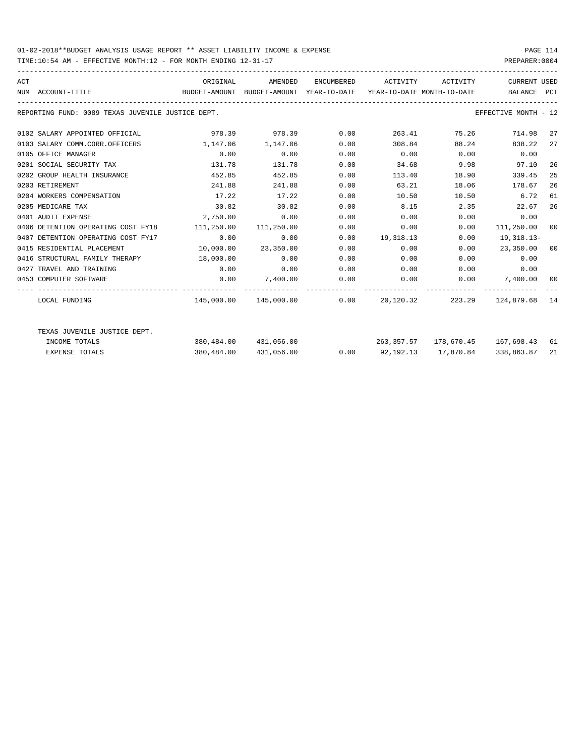## 01-02-2018\*\*BUDGET ANALYSIS USAGE REPORT \*\* ASSET LIABILITY INCOME & EXPENSE PAGE 114

TIME:10:54 AM - EFFECTIVE MONTH:12 - FOR MONTH ENDING 12-31-17

| ACT | NUM ACCOUNT-TITLE                                 | ORIGINAL<br>BUDGET-AMOUNT BUDGET-AMOUNT YEAR-TO-DATE YEAR-TO-DATE MONTH-TO-DATE BALANCE PCT |                          |      | AMENDED ENCUMBERED ACTIVITY ACTIVITY                          |                   | CURRENT USED         |    |
|-----|---------------------------------------------------|---------------------------------------------------------------------------------------------|--------------------------|------|---------------------------------------------------------------|-------------------|----------------------|----|
|     | REPORTING FUND: 0089 TEXAS JUVENILE JUSTICE DEPT. |                                                                                             |                          |      |                                                               |                   | EFFECTIVE MONTH - 12 |    |
|     | 0102 SALARY APPOINTED OFFICIAL                    |                                                                                             | 978.39 978.39 0.00       |      |                                                               | 263.41 75.26      | 714.98 27            |    |
|     | 0103 SALARY COMM.CORR.OFFICERS                    | 1, 147.06 1, 147.06                                                                         |                          | 0.00 |                                                               | 308.84 88.24      | 838.22 27            |    |
|     | 0105 OFFICE MANAGER                               | 0.00                                                                                        | 0.00                     | 0.00 | $0.00$ $0.00$ $0.00$ $0.00$                                   |                   |                      |    |
|     | 0201 SOCIAL SECURITY TAX                          | 131.78                                                                                      | 131.78                   | 0.00 | 34.68 9.98 97.10                                              |                   |                      | 26 |
|     | 0202 GROUP HEALTH INSURANCE                       | 452.85                                                                                      | 452.85                   | 0.00 | 113.40                                                        | 18.90             | 339.45               | 25 |
|     | 0203 RETIREMENT                                   | 241.88                                                                                      | 241.88                   | 0.00 | 63.21                                                         | 18.06             | 178.67               | 26 |
|     | 0204 WORKERS COMPENSATION                         | 17.22                                                                                       | 17.22                    | 0.00 | 10.50                                                         |                   | 10.50 6.72           | 61 |
|     | 0205 MEDICARE TAX                                 | 30.82                                                                                       | 30.82                    | 0.00 |                                                               | 8.15 2.35         | 22.67                | 26 |
|     | 0401 AUDIT EXPENSE                                | 2,750.00                                                                                    | 0.00                     | 0.00 | 0.00                                                          | 0.00              | 0.00                 |    |
|     | 0406 DETENTION OPERATING COST FY18                | 111,250.00 111,250.00                                                                       |                          | 0.00 |                                                               | 0.00<br>0.00      | 111,250.00 00        |    |
|     | 0407 DETENTION OPERATING COST FY17                | 0.00                                                                                        | 0.00                     |      | $0.00$ 19,318.13                                              | 0.00              | 19,318.13-           |    |
|     | 0415 RESIDENTIAL PLACEMENT                        |                                                                                             | 10,000.00 23,350.00      | 0.00 | 0.00                                                          |                   | $0.00$ 23,350.00 00  |    |
|     | 0416 STRUCTURAL FAMILY THERAPY 18,000.00          |                                                                                             | 0.00                     | 0.00 |                                                               | $0.00$ and $0.00$ | 0.00<br>0.00         |    |
|     | 0427 TRAVEL AND TRAINING                          | 0.00                                                                                        | 0.00                     | 0.00 | $0.00$ $0.00$ $0.00$ $0.00$                                   |                   |                      |    |
|     | 0453 COMPUTER SOFTWARE                            |                                                                                             | $0.00$ $7,400.00$ $0.00$ |      | $0.00$ $0.00$ $7,400.00$ $00$                                 |                   |                      |    |
|     | LOCAL FUNDING                                     |                                                                                             |                          |      | $145,000.00$ $145,000.00$ 0.00 20,120.32 223.29 124,879.68 14 |                   |                      |    |
|     | TEXAS JUVENILE JUSTICE DEPT.                      |                                                                                             |                          |      |                                                               |                   |                      |    |
|     | INCOME TOTALS                                     |                                                                                             |                          |      | 380,484.00 431,056.00 263,357.57 178,670.45 167,698.43 61     |                   |                      |    |
|     | <b>EXPENSE TOTALS</b>                             |                                                                                             | 380,484.00 431,056.00    |      | $0.00$ $92,192.13$ $17,870.84$                                |                   | 338,863.87           | 21 |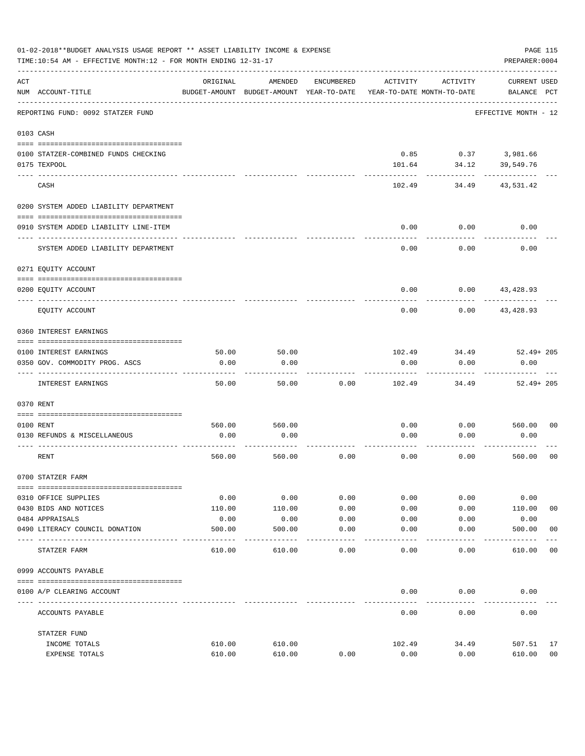|      | 01-02-2018**BUDGET ANALYSIS USAGE REPORT ** ASSET LIABILITY INCOME & EXPENSE<br>PAGE 115<br>TIME:10:54 AM - EFFECTIVE MONTH:12 - FOR MONTH ENDING 12-31-17<br>PREPARER: 0004 |          |                                                     |            |          |                                        |                                    |                |  |  |
|------|------------------------------------------------------------------------------------------------------------------------------------------------------------------------------|----------|-----------------------------------------------------|------------|----------|----------------------------------------|------------------------------------|----------------|--|--|
| ACT  | NUM ACCOUNT-TITLE                                                                                                                                                            | ORIGINAL | AMENDED<br>BUDGET-AMOUNT BUDGET-AMOUNT YEAR-TO-DATE | ENCUMBERED | ACTIVITY | ACTIVITY<br>YEAR-TO-DATE MONTH-TO-DATE | <b>CURRENT USED</b><br>BALANCE PCT |                |  |  |
|      | REPORTING FUND: 0092 STATZER FUND                                                                                                                                            |          |                                                     |            |          |                                        | EFFECTIVE MONTH - 12               |                |  |  |
|      | 0103 CASH                                                                                                                                                                    |          |                                                     |            |          |                                        |                                    |                |  |  |
|      | 0100 STATZER-COMBINED FUNDS CHECKING<br>0175 TEXPOOL                                                                                                                         |          |                                                     |            | 101.64   | $0.85$ $0.37$ $3,981.66$<br>34.12      | 39,549.76                          |                |  |  |
|      | CASH                                                                                                                                                                         |          |                                                     |            | 102.49   | 34.49                                  | 43,531.42                          |                |  |  |
|      | 0200 SYSTEM ADDED LIABILITY DEPARTMENT                                                                                                                                       |          |                                                     |            |          |                                        |                                    |                |  |  |
|      | 0910 SYSTEM ADDED LIABILITY LINE-ITEM                                                                                                                                        |          |                                                     |            | 0.00     | 0.00<br>.                              | 0.00                               |                |  |  |
|      | SYSTEM ADDED LIABILITY DEPARTMENT                                                                                                                                            |          |                                                     |            | 0.00     | 0.00                                   | 0.00                               |                |  |  |
|      | 0271 EQUITY ACCOUNT                                                                                                                                                          |          |                                                     |            |          |                                        |                                    |                |  |  |
|      | 0200 EQUITY ACCOUNT                                                                                                                                                          |          |                                                     |            | 0.00     |                                        | $0.00$ 43,428.93                   |                |  |  |
|      | EQUITY ACCOUNT                                                                                                                                                               |          |                                                     |            | 0.00     | 0.00                                   | 43,428.93                          |                |  |  |
|      | 0360 INTEREST EARNINGS                                                                                                                                                       |          |                                                     |            |          |                                        |                                    |                |  |  |
|      | 0100 INTEREST EARNINGS                                                                                                                                                       | 50.00    | 50.00                                               |            | 102.49   |                                        | 34.49 52.49 + 205                  |                |  |  |
|      | 0350 GOV. COMMODITY PROG. ASCS                                                                                                                                               | 0.00     | 0.00                                                |            | 0.00     | 0.00                                   | 0.00                               |                |  |  |
|      | INTEREST EARNINGS                                                                                                                                                            | 50.00    | 50.00                                               | 0.00       | 102.49   | 34.49                                  | $52.49 + 205$                      |                |  |  |
|      | 0370 RENT                                                                                                                                                                    |          |                                                     |            |          |                                        |                                    |                |  |  |
|      | 0100 RENT                                                                                                                                                                    | 560.00   | 560.00                                              |            | 0.00     |                                        | $0.00$ 560.00                      | 0 <sub>0</sub> |  |  |
|      | 0130 REFUNDS & MISCELLANEOUS                                                                                                                                                 | 0.00     | 0.00                                                |            | 0.00     | 0.00                                   | 0.00                               |                |  |  |
|      | RENT                                                                                                                                                                         | 560.00   | 560.00                                              | 0.00       | 0.00     | 0.00                                   | 560.00                             | 0 <sub>0</sub> |  |  |
|      | 0700 STATZER FARM                                                                                                                                                            |          |                                                     |            |          |                                        |                                    |                |  |  |
|      | 0310 OFFICE SUPPLIES                                                                                                                                                         | 0.00     | 0.00                                                | 0.00       | 0.00     | 0.00                                   | 0.00                               |                |  |  |
|      | 0430 BIDS AND NOTICES                                                                                                                                                        | 110.00   | 110.00                                              | 0.00       | 0.00     | 0.00                                   | 110.00                             | 0 <sub>0</sub> |  |  |
|      | 0484 APPRAISALS                                                                                                                                                              | 0.00     | 0.00                                                | 0.00       | 0.00     | 0.00                                   | 0.00                               |                |  |  |
|      | 0490 LITERACY COUNCIL DONATION                                                                                                                                               | 500.00   | 500.00                                              | 0.00       | 0.00     | 0.00                                   | 500.00                             | 0 <sub>0</sub> |  |  |
| ---- | STATZER FARM                                                                                                                                                                 | 610.00   | 610.00                                              | 0.00       | 0.00     | 0.00                                   | 610.00                             | 0 <sub>0</sub> |  |  |
|      | 0999 ACCOUNTS PAYABLE                                                                                                                                                        |          |                                                     |            |          |                                        |                                    |                |  |  |
|      | 0100 A/P CLEARING ACCOUNT                                                                                                                                                    |          |                                                     |            | 0.00     | 0.00                                   | 0.00                               |                |  |  |
|      | ACCOUNTS PAYABLE                                                                                                                                                             |          |                                                     |            | 0.00     | 0.00                                   | 0.00                               |                |  |  |
|      | STATZER FUND                                                                                                                                                                 |          |                                                     |            |          |                                        |                                    |                |  |  |
|      | INCOME TOTALS                                                                                                                                                                | 610.00   | 610.00                                              |            | 102.49   | 34.49                                  | 507.51                             | 17             |  |  |
|      | EXPENSE TOTALS                                                                                                                                                               | 610.00   | 610.00                                              | 0.00       | 0.00     | 0.00                                   | 610.00                             | 0 <sub>0</sub> |  |  |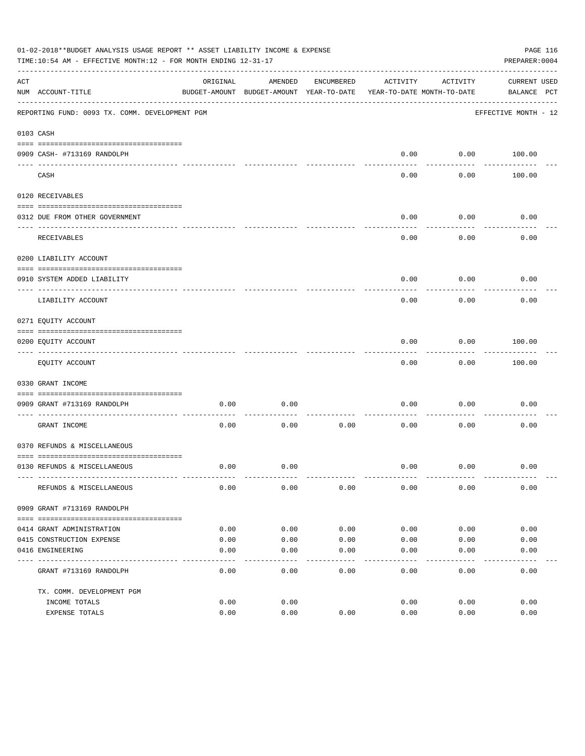|     | 01-02-2018**BUDGET ANALYSIS USAGE REPORT ** ASSET LIABILITY INCOME & EXPENSE<br>TIME:10:54 AM - EFFECTIVE MONTH:12 - FOR MONTH ENDING 12-31-17 |          |                                          |            |                            |           | PAGE 116<br>PREPARER: 0004 |  |
|-----|------------------------------------------------------------------------------------------------------------------------------------------------|----------|------------------------------------------|------------|----------------------------|-----------|----------------------------|--|
| ACT |                                                                                                                                                | ORIGINAL | AMENDED                                  | ENCUMBERED | ACTIVITY                   | ACTIVITY  | CURRENT USED               |  |
|     | NUM ACCOUNT-TITLE                                                                                                                              |          | BUDGET-AMOUNT BUDGET-AMOUNT YEAR-TO-DATE |            | YEAR-TO-DATE MONTH-TO-DATE |           | BALANCE PCT                |  |
|     | REPORTING FUND: 0093 TX. COMM. DEVELOPMENT PGM                                                                                                 |          |                                          |            |                            |           | EFFECTIVE MONTH - 12       |  |
|     | 0103 CASH                                                                                                                                      |          |                                          |            |                            |           |                            |  |
|     |                                                                                                                                                |          |                                          |            |                            |           |                            |  |
|     | 0909 CASH- #713169 RANDOLPH                                                                                                                    |          |                                          |            | 0.00                       | --------- | $0.00$ 100.00              |  |
|     | CASH                                                                                                                                           |          |                                          |            | 0.00                       | 0.00      | 100.00                     |  |
|     | 0120 RECEIVABLES                                                                                                                               |          |                                          |            |                            |           |                            |  |
|     | 0312 DUE FROM OTHER GOVERNMENT                                                                                                                 |          |                                          |            | 0.00                       | 0.00      | 0.00                       |  |
|     |                                                                                                                                                |          |                                          |            |                            | --------  |                            |  |
|     | RECEIVABLES                                                                                                                                    |          |                                          |            | 0.00                       | 0.00      | 0.00                       |  |
|     | 0200 LIABILITY ACCOUNT                                                                                                                         |          |                                          |            |                            |           |                            |  |
|     | 0910 SYSTEM ADDED LIABILITY                                                                                                                    |          |                                          |            | 0.00                       | 0.00      | 0.00                       |  |
|     | LIABILITY ACCOUNT                                                                                                                              |          |                                          |            | 0.00                       | 0.00      | 0.00                       |  |
|     | 0271 EQUITY ACCOUNT                                                                                                                            |          |                                          |            |                            |           |                            |  |
|     | 0200 EQUITY ACCOUNT                                                                                                                            |          |                                          |            | 0.00                       | 0.00      | 100.00                     |  |
|     | EQUITY ACCOUNT                                                                                                                                 |          |                                          |            | 0.00                       | 0.00      | 100.00                     |  |
|     | 0330 GRANT INCOME                                                                                                                              |          |                                          |            |                            |           |                            |  |
|     |                                                                                                                                                |          |                                          |            |                            |           |                            |  |
|     | 0909 GRANT #713169 RANDOLPH<br>---------------------- -----                                                                                    | 0.00     | 0.00                                     |            | 0.00                       | 0.00      | 0.00                       |  |
|     | GRANT INCOME                                                                                                                                   | 0.00     | 0.00                                     | 0.00       | 0.00                       | 0.00      | 0.00                       |  |
|     | 0370 REFUNDS & MISCELLANEOUS                                                                                                                   |          |                                          |            |                            |           |                            |  |
|     |                                                                                                                                                |          |                                          |            |                            |           |                            |  |
|     | 0130 REFUNDS & MISCELLANEOUS                                                                                                                   | 0.00     | 0.00                                     |            | 0.00                       | 0.00      | 0.00                       |  |
|     | REFUNDS & MISCELLANEOUS                                                                                                                        | 0.00     | 0.00                                     | 0.00       | 0.00                       | 0.00      | 0.00                       |  |
|     | 0909 GRANT #713169 RANDOLPH                                                                                                                    |          |                                          |            |                            |           |                            |  |
|     |                                                                                                                                                |          |                                          |            |                            |           |                            |  |
|     | 0414 GRANT ADMINISTRATION                                                                                                                      | 0.00     | 0.00                                     | 0.00       | 0.00                       | 0.00      | 0.00                       |  |
|     | 0415 CONSTRUCTION EXPENSE                                                                                                                      | 0.00     | 0.00                                     | 0.00       | 0.00                       | 0.00      | 0.00                       |  |
|     | 0416 ENGINEERING                                                                                                                               | 0.00     | 0.00                                     | 0.00       | 0.00                       | 0.00      | 0.00                       |  |
|     | GRANT #713169 RANDOLPH                                                                                                                         | 0.00     | 0.00                                     | 0.00       | 0.00                       | 0.00      | 0.00                       |  |
|     | TX. COMM. DEVELOPMENT PGM                                                                                                                      |          |                                          |            |                            |           |                            |  |
|     | INCOME TOTALS                                                                                                                                  | 0.00     | 0.00                                     |            | 0.00                       | 0.00      | 0.00                       |  |
|     | EXPENSE TOTALS                                                                                                                                 | 0.00     | 0.00                                     | 0.00       | 0.00                       | 0.00      | 0.00                       |  |
|     |                                                                                                                                                |          |                                          |            |                            |           |                            |  |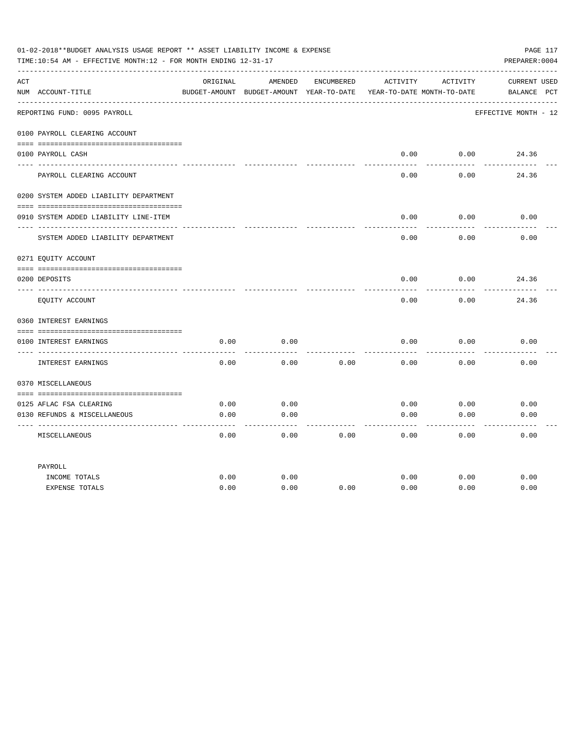|     | 01-02-2018**BUDGET ANALYSIS USAGE REPORT ** ASSET LIABILITY INCOME & EXPENSE<br>TIME:10:54 AM - EFFECTIVE MONTH:12 - FOR MONTH ENDING 12-31-17 |          |                                                     |            |                                        |                 | PAGE 117<br>PREPARER: 0004         |
|-----|------------------------------------------------------------------------------------------------------------------------------------------------|----------|-----------------------------------------------------|------------|----------------------------------------|-----------------|------------------------------------|
| ACT | NUM ACCOUNT-TITLE                                                                                                                              | ORIGINAL | AMENDED<br>BUDGET-AMOUNT BUDGET-AMOUNT YEAR-TO-DATE | ENCUMBERED | ACTIVITY<br>YEAR-TO-DATE MONTH-TO-DATE | ACTIVITY        | <b>CURRENT USED</b><br>BALANCE PCT |
|     | REPORTING FUND: 0095 PAYROLL                                                                                                                   |          |                                                     |            |                                        |                 | EFFECTIVE MONTH - 12               |
|     | 0100 PAYROLL CLEARING ACCOUNT                                                                                                                  |          |                                                     |            |                                        |                 |                                    |
|     | 0100 PAYROLL CASH                                                                                                                              |          |                                                     |            | 0.00                                   | 0.00            | 24.36                              |
|     | PAYROLL CLEARING ACCOUNT                                                                                                                       |          |                                                     |            | 0.00                                   | 0.00            | 24.36                              |
|     | 0200 SYSTEM ADDED LIABILITY DEPARTMENT                                                                                                         |          |                                                     |            |                                        |                 |                                    |
|     | 0910 SYSTEM ADDED LIABILITY LINE-ITEM                                                                                                          |          |                                                     |            | 0.00                                   | 0.00            | 0.00                               |
|     | SYSTEM ADDED LIABILITY DEPARTMENT                                                                                                              |          |                                                     |            | 0.00                                   | -------<br>0.00 | 0.00                               |
|     | 0271 EQUITY ACCOUNT                                                                                                                            |          |                                                     |            |                                        |                 |                                    |
|     | 0200 DEPOSITS                                                                                                                                  |          |                                                     |            | 0.00                                   | 0.00            | 24.36                              |
|     | EQUITY ACCOUNT                                                                                                                                 |          |                                                     |            | 0.00                                   | 0.00            | 24.36                              |
|     | 0360 INTEREST EARNINGS                                                                                                                         |          |                                                     |            |                                        |                 |                                    |
|     | 0100 INTEREST EARNINGS                                                                                                                         | 0.00     | 0.00                                                |            | 0.00                                   | 0.00            | 0.00                               |
|     | ---- --------------<br>INTEREST EARNINGS                                                                                                       | 0.00     | 0.00                                                | 0.00       | 0.00                                   | 0.00            | 0.00                               |
|     | 0370 MISCELLANEOUS                                                                                                                             |          |                                                     |            |                                        |                 |                                    |
|     | 0125 AFLAC FSA CLEARING                                                                                                                        | 0.00     | 0.00                                                |            | 0.00                                   | 0.00            | 0.00                               |
|     | 0130 REFUNDS & MISCELLANEOUS                                                                                                                   | 0.00     | 0.00                                                |            | 0.00                                   | 0.00            | 0.00                               |
|     | MISCELLANEOUS                                                                                                                                  | 0.00     | 0.00                                                | 0.00       | 0.00                                   | 0.00            | 0.00                               |
|     | PAYROLL                                                                                                                                        |          |                                                     |            |                                        |                 |                                    |
|     | INCOME TOTALS                                                                                                                                  | 0.00     | 0.00                                                |            | 0.00                                   | 0.00            | 0.00                               |
|     | <b>EXPENSE TOTALS</b>                                                                                                                          | 0.00     | 0.00                                                | 0.00       | 0.00                                   | 0.00            | 0.00                               |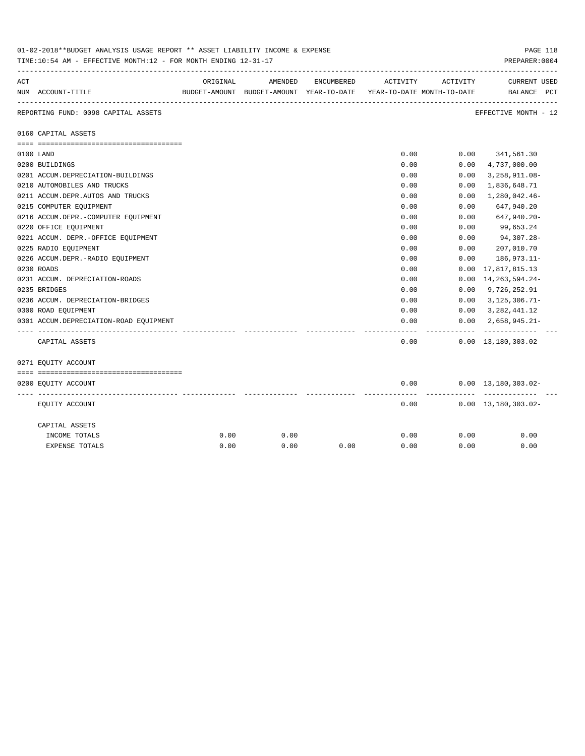|     | 01-02-2018**BUDGET ANALYSIS USAGE REPORT ** ASSET LIABILITY INCOME & EXPENSE<br>TIME:10:54 AM - EFFECTIVE MONTH:12 - FOR MONTH ENDING 12-31-17 |          |                                                     |            |                                        |            | PAGE 118<br>PREPARER: 0004                    |
|-----|------------------------------------------------------------------------------------------------------------------------------------------------|----------|-----------------------------------------------------|------------|----------------------------------------|------------|-----------------------------------------------|
| ACT | NUM ACCOUNT-TITLE                                                                                                                              | ORIGINAL | AMENDED<br>BUDGET-AMOUNT BUDGET-AMOUNT YEAR-TO-DATE | ENCUMBERED | ACTIVITY<br>YEAR-TO-DATE MONTH-TO-DATE | ACTIVITY   | <b>CURRENT USED</b><br>BALANCE PCT            |
|     | REPORTING FUND: 0098 CAPITAL ASSETS                                                                                                            |          |                                                     |            |                                        |            | EFFECTIVE MONTH - 12                          |
|     | 0160 CAPITAL ASSETS                                                                                                                            |          |                                                     |            |                                        |            |                                               |
|     |                                                                                                                                                |          |                                                     |            |                                        |            |                                               |
|     | 0100 LAND                                                                                                                                      |          |                                                     |            | 0.00                                   | 0.00       | 341,561.30                                    |
|     | 0200 BUILDINGS                                                                                                                                 |          |                                                     |            | 0.00                                   | 0.00       | 4,737,000.00                                  |
|     | 0201 ACCUM.DEPRECIATION-BUILDINGS                                                                                                              |          |                                                     |            | 0.00                                   | 0.00       | 3, 258, 911.08-                               |
|     | 0210 AUTOMOBILES AND TRUCKS                                                                                                                    |          |                                                     |            | 0.00                                   | 0.00       | 1,836,648.71                                  |
|     | 0211 ACCUM.DEPR.AUTOS AND TRUCKS                                                                                                               |          |                                                     |            | 0.00                                   | 0.00       | 1,280,042.46-                                 |
|     | 0215 COMPUTER EQUIPMENT                                                                                                                        |          |                                                     |            | 0.00                                   | 0.00       | 647,940.20                                    |
|     | 0216 ACCUM.DEPR.-COMPUTER EOUIPMENT                                                                                                            |          |                                                     |            | 0.00                                   | 0.00       | 647,940.20-                                   |
|     | 0220 OFFICE EQUIPMENT                                                                                                                          |          |                                                     |            | 0.00                                   | 0.00       | 99,653.24                                     |
|     | 0221 ACCUM. DEPR. - OFFICE EQUIPMENT                                                                                                           |          |                                                     |            | 0.00                                   | 0.00       | 94,307.28-                                    |
|     | 0225 RADIO EQUIPMENT                                                                                                                           |          |                                                     |            | 0.00                                   | 0.00       | 207,010.70                                    |
|     | 0226 ACCUM.DEPR.-RADIO EQUIPMENT                                                                                                               |          |                                                     |            | 0.00                                   | 0.00       | 186,973.11-                                   |
|     | 0230 ROADS                                                                                                                                     |          |                                                     |            | 0.00                                   |            | $0.00 \quad 17,817,815.13$                    |
|     | 0231 ACCUM. DEPRECIATION-ROADS                                                                                                                 |          |                                                     |            | 0.00                                   |            | $0.00 \quad 14,263,594.24$                    |
|     | 0235 BRIDGES                                                                                                                                   |          |                                                     |            | 0.00                                   |            | $0.00 \quad 9,726,252.91$                     |
|     | 0236 ACCUM. DEPRECIATION-BRIDGES                                                                                                               |          |                                                     |            | 0.00                                   |            | $0.00 \quad 3,125,306.71$ -                   |
|     | 0300 ROAD EQUIPMENT                                                                                                                            |          |                                                     |            | 0.00                                   |            | $0.00$ $3,282,441.12$                         |
|     | 0301 ACCUM.DEPRECIATION-ROAD EOUIPMENT                                                                                                         |          |                                                     |            | 0.00                                   | 0.00       | 2,658,945.21-<br>.                            |
|     | CAPITAL ASSETS                                                                                                                                 |          |                                                     |            | 0.00                                   |            | $0.00 \quad 13,180,303.02$                    |
|     | 0271 EQUITY ACCOUNT                                                                                                                            |          |                                                     |            |                                        |            |                                               |
|     |                                                                                                                                                |          |                                                     |            |                                        |            |                                               |
|     | 0200 EQUITY ACCOUNT                                                                                                                            |          |                                                     |            | 0.00                                   | ---------- | $0.00 \quad 13,180,303.02 -$<br>------------- |
|     | EQUITY ACCOUNT                                                                                                                                 |          |                                                     |            | 0.00                                   |            | $0.00 \quad 13,180,303.02$ -                  |
|     | CAPITAL ASSETS                                                                                                                                 |          |                                                     |            |                                        |            |                                               |
|     | INCOME TOTALS                                                                                                                                  | 0.00     | 0.00                                                |            | 0.00                                   | 0.00       | 0.00                                          |
|     | <b>EXPENSE TOTALS</b>                                                                                                                          | 0.00     | 0.00                                                | 0.00       | 0.00                                   | 0.00       | 0.00                                          |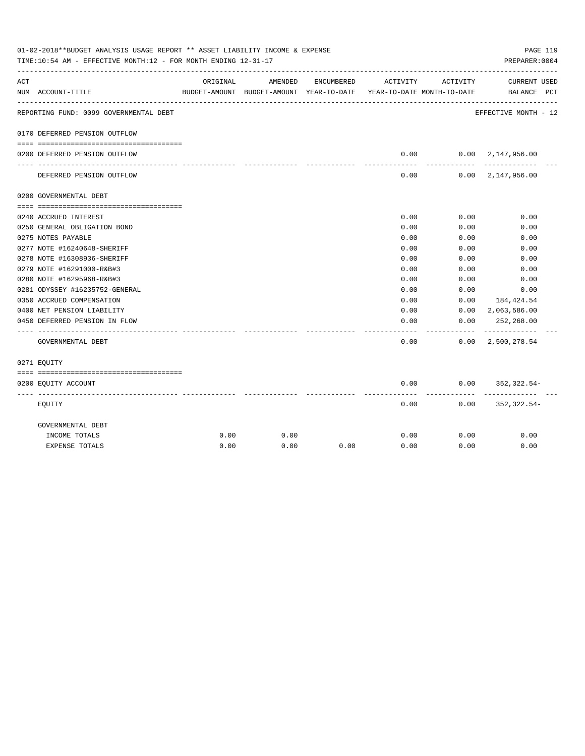|     | 01-02-2018**BUDGET ANALYSIS USAGE REPORT ** ASSET LIABILITY INCOME & EXPENSE<br>TIME:10:54 AM - EFFECTIVE MONTH:12 - FOR MONTH ENDING 12-31-17 |          |                                                     |            |                                        |            | PAGE 119<br>PREPARER: 0004                 |  |
|-----|------------------------------------------------------------------------------------------------------------------------------------------------|----------|-----------------------------------------------------|------------|----------------------------------------|------------|--------------------------------------------|--|
| ACT | NUM ACCOUNT-TITLE                                                                                                                              | ORIGINAL | AMENDED<br>BUDGET-AMOUNT BUDGET-AMOUNT YEAR-TO-DATE | ENCUMBERED | ACTIVITY<br>YEAR-TO-DATE MONTH-TO-DATE | ACTIVITY   | CURRENT USED<br>BALANCE PCT                |  |
|     | REPORTING FUND: 0099 GOVERNMENTAL DEBT                                                                                                         |          |                                                     |            |                                        |            | EFFECTIVE MONTH - 12                       |  |
|     | 0170 DEFERRED PENSION OUTFLOW                                                                                                                  |          |                                                     |            |                                        |            |                                            |  |
|     | 0200 DEFERRED PENSION OUTFLOW                                                                                                                  |          |                                                     |            | 0.00                                   |            | 0.00 2,147,956.00                          |  |
|     | DEFERRED PENSION OUTFLOW                                                                                                                       |          |                                                     |            | ---------<br>0.00                      | ---------- | -------------<br>$0.00 \quad 2,147,956.00$ |  |
|     | 0200 GOVERNMENTAL DEBT                                                                                                                         |          |                                                     |            |                                        |            |                                            |  |
|     |                                                                                                                                                |          |                                                     |            |                                        |            |                                            |  |
|     | 0240 ACCRUED INTEREST                                                                                                                          |          |                                                     |            | 0.00                                   | 0.00       | 0.00                                       |  |
|     | 0250 GENERAL OBLIGATION BOND                                                                                                                   |          |                                                     |            | 0.00                                   | 0.00       | 0.00                                       |  |
|     | 0275 NOTES PAYABLE                                                                                                                             |          |                                                     |            | 0.00                                   | 0.00       | 0.00                                       |  |
|     | 0277 NOTE #16240648-SHERIFF                                                                                                                    |          |                                                     |            | 0.00                                   | 0.00       | 0.00                                       |  |
|     | 0278 NOTE #16308936-SHERIFF                                                                                                                    |          |                                                     |            | 0.00                                   | 0.00       | 0.00                                       |  |
|     | 0279 NOTE #16291000-R&B#3                                                                                                                      |          |                                                     |            | 0.00                                   | 0.00       | 0.00                                       |  |
|     | 0280 NOTE #16295968-R&B#3                                                                                                                      |          |                                                     |            | 0.00                                   | 0.00       | 0.00                                       |  |
|     | 0281 ODYSSEY #16235752-GENERAL                                                                                                                 |          |                                                     |            | 0.00                                   | 0.00       | 0.00                                       |  |
|     | 0350 ACCRUED COMPENSATION                                                                                                                      |          |                                                     |            | 0.00                                   | 0.00       | 184,424.54                                 |  |
|     | 0400 NET PENSION LIABILITY                                                                                                                     |          |                                                     |            | 0.00                                   | 0.00       | $0.00 \quad 2,063,586.00$                  |  |
|     | 0450 DEFERRED PENSION IN FLOW                                                                                                                  |          |                                                     |            | 0.00                                   |            | 252,268.00                                 |  |
|     | GOVERNMENTAL DEBT                                                                                                                              |          |                                                     |            | 0.00                                   |            | $0.00 \quad 2,500,278.54$                  |  |
|     | 0271 EOUITY                                                                                                                                    |          |                                                     |            |                                        |            |                                            |  |
|     |                                                                                                                                                |          |                                                     |            |                                        |            |                                            |  |
|     | 0200 EQUITY ACCOUNT                                                                                                                            |          |                                                     |            | 0.00<br>--------                       | ---------  | $0.00$ $352,322.54-$                       |  |
|     | EQUITY                                                                                                                                         |          |                                                     |            | 0.00                                   |            | $0.00$ $352,322.54-$                       |  |
|     | GOVERNMENTAL DEBT                                                                                                                              |          |                                                     |            |                                        |            |                                            |  |
|     | INCOME TOTALS                                                                                                                                  | 0.00     | 0.00                                                |            | 0.00                                   | 0.00       | 0.00                                       |  |
|     | <b>EXPENSE TOTALS</b>                                                                                                                          | 0.00     | 0.00                                                | 0.00       | 0.00                                   | 0.00       | 0.00                                       |  |